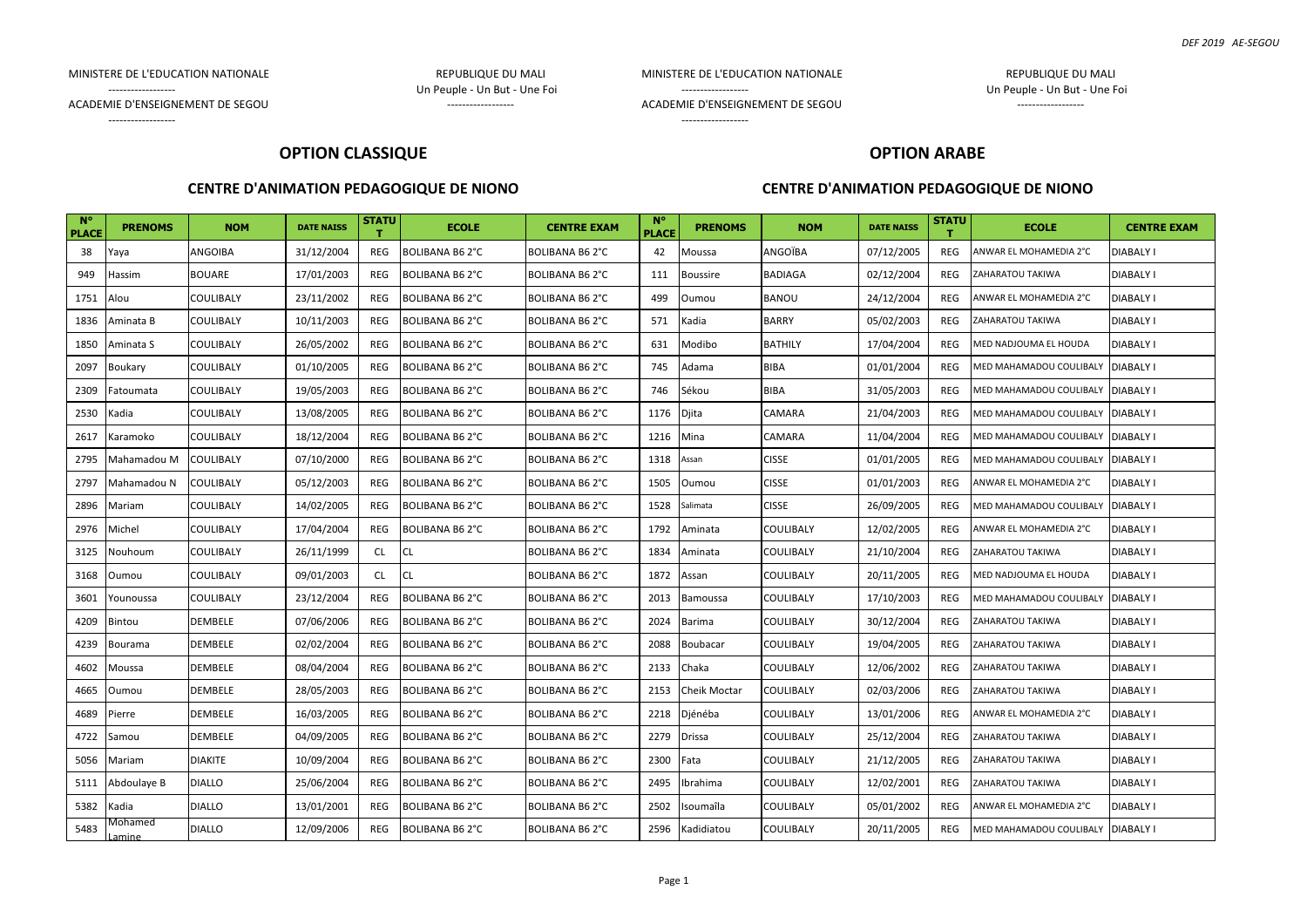#### MINISTERE DE L'EDUCATION NATIONALE

REPUBLIQUE DU MALI Un Peuple - Un But - Une Foi ------------------

MINISTERE DE L'EDUCATION NATIONALE ACADEMIE D'ENSEIGNEMENT DE SEGOU

------------------

------------------

REPUBLIQUE DU MALI Un Peuple - Un But - Une Foi

------------------

ACADEMIE D'ENSEIGNEMENT DE SEGOU

------------------

------------------

#### **OPTION CLASSIQUE**

# **OPTION ARABE**

#### **CENTRE D'ANIMATION PEDAGOGIQUE DE NIONO**

| $N^{\circ}$<br><b>PLACE</b> | <b>PRENOMS</b>           | <b>NOM</b>       | <b>DATE NAISS</b> | <b>STATU</b> | <b>ECOLE</b>          | <b>CENTRE EXAM</b>     | $N^{\circ}$<br><b>PLACE</b> | <b>PRENOMS</b>  | <b>NOM</b>     | <b>DATE NAISS</b> | <b>STATU</b> | <b>ECOLE</b>            | <b>CENTRE EXAM</b> |
|-----------------------------|--------------------------|------------------|-------------------|--------------|-----------------------|------------------------|-----------------------------|-----------------|----------------|-------------------|--------------|-------------------------|--------------------|
| 38                          | Yaya                     | ANGOIBA          | 31/12/2004        | REG          | BOLIBANA B62°C        | <b>BOLIBANA B6 2°C</b> | 42                          | Moussa          | ANGOÏBA        | 07/12/2005        | REG          | ANWAR EL MOHAMEDIA 2°C  | <b>DIABALY I</b>   |
| 949                         | Hassim                   | <b>BOUARE</b>    | 17/01/2003        | REG          | BOLIBANA B6 2°C       | BOLIBANA B6 2°C        | 111                         | <b>Boussire</b> | BADIAGA        | 02/12/2004        | REG          | ZAHARATOU TAKIWA        | DIABALY I          |
| 1751                        | Alou                     | <b>COULIBALY</b> | 23/11/2002        | <b>REG</b>   | <b>BOLIBANA B62°C</b> | BOLIBANA B62°C         | 499                         | Oumou           | BANOU          | 24/12/2004        | <b>REG</b>   | ANWAR EL MOHAMEDIA 2°C  | <b>DIABALY I</b>   |
| 1836                        | Aminata B                | COULIBALY        | 10/11/2003        | REG          | BOLIBANA B6 2°C       | <b>BOLIBANA B6 2°C</b> | 571                         | Kadia           | BARRY          | 05/02/2003        | <b>REG</b>   | ZAHARATOU TAKIWA        | DIABALY I          |
| 1850                        | Aminata S                | COULIBALY        | 26/05/2002        | REG          | BOLIBANA B6 2°C       | <b>BOLIBANA B62°C</b>  | 631                         | Modibo          | <b>BATHILY</b> | 17/04/2004        | REG          | MED NADJOUMA EL HOUDA   | <b>DIABALY I</b>   |
| 2097                        | Boukary                  | <b>COULIBALY</b> | 01/10/2005        | <b>REG</b>   | BOLIBANA B6 2°C       | <b>BOLIBANA B62°C</b>  | 745                         | Adama           | BIBA           | 01/01/2004        | REG          | MED MAHAMADOU COULIBALY | <b>DIABALY I</b>   |
| 2309                        | <sup>-</sup> atoumata    | COULIBALY        | 19/05/2003        | REG          | BOLIBANA B62°C        | <b>BOLIBANA B6 2°C</b> | 746                         | Sékou           | BIBA           | 31/05/2003        | REG          | MED MAHAMADOU COULIBALY | <b>DIABALY I</b>   |
| 2530                        | Kadia                    | COULIBALY        | 13/08/2005        | REG          | BOLIBANA B6 2°C       | <b>BOLIBANA B62°C</b>  | 1176                        | Djita           | CAMARA         | 21/04/2003        | REG          | MED MAHAMADOU COULIBALY | <b>DIABALY I</b>   |
| 2617                        | Karamoko                 | COULIBALY        | 18/12/2004        | <b>REG</b>   | BOLIBANA B6 2°C       | BOLIBANA B6 2°C        | 1216                        | Mina            | CAMARA         | 11/04/2004        | REG          | MED MAHAMADOU COULIBALY | <b>DIABALY I</b>   |
| 2795                        | Mahamadou M              | <b>COULIBALY</b> | 07/10/2000        | <b>REG</b>   | BOLIBANA B62°C        | BOLIBANA B6 2°C        | 1318                        | Assan           | <b>CISSE</b>   | 01/01/2005        | REG          | MED MAHAMADOU COULIBALY | <b>DIABALY I</b>   |
| 2797                        | Mahamadou N              | COULIBALY        | 05/12/2003        | REG          | BOLIBANA B6 2°C       | BOLIBANA B6 2°C        | 1505                        | Oumou           | <b>CISSE</b>   | 01/01/2003        | REG          | ANWAR EL MOHAMEDIA 2°C  | <b>DIABALY I</b>   |
| 2896                        | Mariam                   | COULIBALY        | 14/02/2005        | <b>REG</b>   | BOLIBANA B62°C        | BOLIBANA B6 2°C        | 1528                        | Salimata        | <b>CISSE</b>   | 26/09/2005        | <b>REG</b>   | MED MAHAMADOU COULIBALY | <b>DIABALY I</b>   |
| 2976                        | Michel                   | COULIBALY        | 17/04/2004        | REG          | BOLIBANA B6 2°C       | BOLIBANA B6 2°C        | 1792                        | Aminata         | COULIBALY      | 12/02/2005        | REG          | ANWAR EL MOHAMEDIA 2°C  | <b>DIABALY I</b>   |
| 3125                        | Nouhoum                  | COULIBALY        | 26/11/1999        | <b>CL</b>    | CL                    | <b>BOLIBANA B62°C</b>  | 1834                        | Aminata         | COULIBALY      | 21/10/2004        | REG          | ZAHARATOU TAKIWA        | DIABALY I          |
| 3168                        | Oumou                    | COULIBALY        | 09/01/2003        | <b>CL</b>    | CL                    | BOLIBANA B62°C         | 1872                        | Assan           | COULIBALY      | 20/11/2005        | REG          | MED NADJOUMA EL HOUDA   | <b>DIABALY I</b>   |
| 3601                        | Younoussa                | COULIBALY        | 23/12/2004        | <b>REG</b>   | BOLIBANA B6 2°C       | <b>BOLIBANA B62°C</b>  | 2013                        | Bamoussa        | COULIBALY      | 17/10/2003        | <b>REG</b>   | MED MAHAMADOU COULIBALY | <b>DIABALY I</b>   |
| 4209                        | Bintou                   | DEMBELE          | 07/06/2006        | REG          | BOLIBANA B6 2°C       | BOLIBANA B6 2°C        | 2024                        | <b>Barima</b>   | COULIBALY      | 30/12/2004        | REG          | ZAHARATOU TAKIWA        | <b>DIABALY I</b>   |
| 4239                        | Bourama                  | DEMBELE          | 02/02/2004        | <b>REG</b>   | BOLIBANA B6 2°C       | BOLIBANA B62°C         | 2088                        | <b>Boubacar</b> | COULIBALY      | 19/04/2005        | <b>REG</b>   | ZAHARATOU TAKIWA        | DIABALY I          |
| 4602                        | Moussa                   | DEMBELE          | 08/04/2004        | <b>REG</b>   | BOLIBANA B6 2°C       | BOLIBANA B6 2°C        | 2133                        | Chaka           | COULIBALY      | 12/06/2002        | REG          | ZAHARATOU TAKIWA        | <b>DIABALY I</b>   |
| 4665                        | Oumou                    | DEMBELE          | 28/05/2003        | REG          | BOLIBANA B6 2°C       | <b>BOLIBANA B62°C</b>  | 2153                        | Cheik Moctar    | COULIBALY      | 02/03/2006        | REG          | ZAHARATOU TAKIWA        | DIABALY I          |
| 4689                        | Pierre                   | DEMBELE          | 16/03/2005        | REG          | BOLIBANA B6 2°C       | BOLIBANA B6 2°C        | 2218                        | Djénéba         | COULIBALY      | 13/01/2006        | REG          | ANWAR EL MOHAMEDIA 2°C  | <b>DIABALY I</b>   |
| 4722                        | Samou                    | DEMBELE          | 04/09/2005        | REG          | BOLIBANA B6 2°C       | BOLIBANA B6 2°C        | 2279                        | <b>Drissa</b>   | COULIBALY      | 25/12/2004        | REG          | ZAHARATOU TAKIWA        | <b>DIABALY I</b>   |
| 5056                        | Mariam                   | <b>DIAKITE</b>   | 10/09/2004        | REG          | BOLIBANA B6 2°C       | BOLIBANA B6 2°C        | 2300                        | Fata            | COULIBALY      | 21/12/2005        | REG          | ZAHARATOU TAKIWA        | <b>DIABALY I</b>   |
| 5111                        | Abdoulaye B              | <b>DIALLO</b>    | 25/06/2004        | <b>REG</b>   | BOLIBANA B6 2°C       | BOLIBANA B6 2°C        | 2495                        | Ibrahima        | COULIBALY      | 12/02/2001        | <b>REG</b>   | ZAHARATOU TAKIWA        | <b>DIABALY I</b>   |
| 5382                        | Kadia                    | <b>DIALLO</b>    | 13/01/2001        | REG          | BOLIBANA B6 2°C       | BOLIBANA B6 2°C        | 2502                        | Isoumaîla       | COULIBALY      | 05/01/2002        | REG          | ANWAR EL MOHAMEDIA 2°C  | <b>DIABALY I</b>   |
| 5483                        | Mohamed<br><b>Lamine</b> | <b>DIALLO</b>    | 12/09/2006        | REG          | BOLIBANA B6 2°C       | BOLIBANA B6 2°C        | 2596                        | Kadidiatou      | COULIBALY      | 20/11/2005        | REG          | MED MAHAMADOU COULIBALY | <b>DIABALY I</b>   |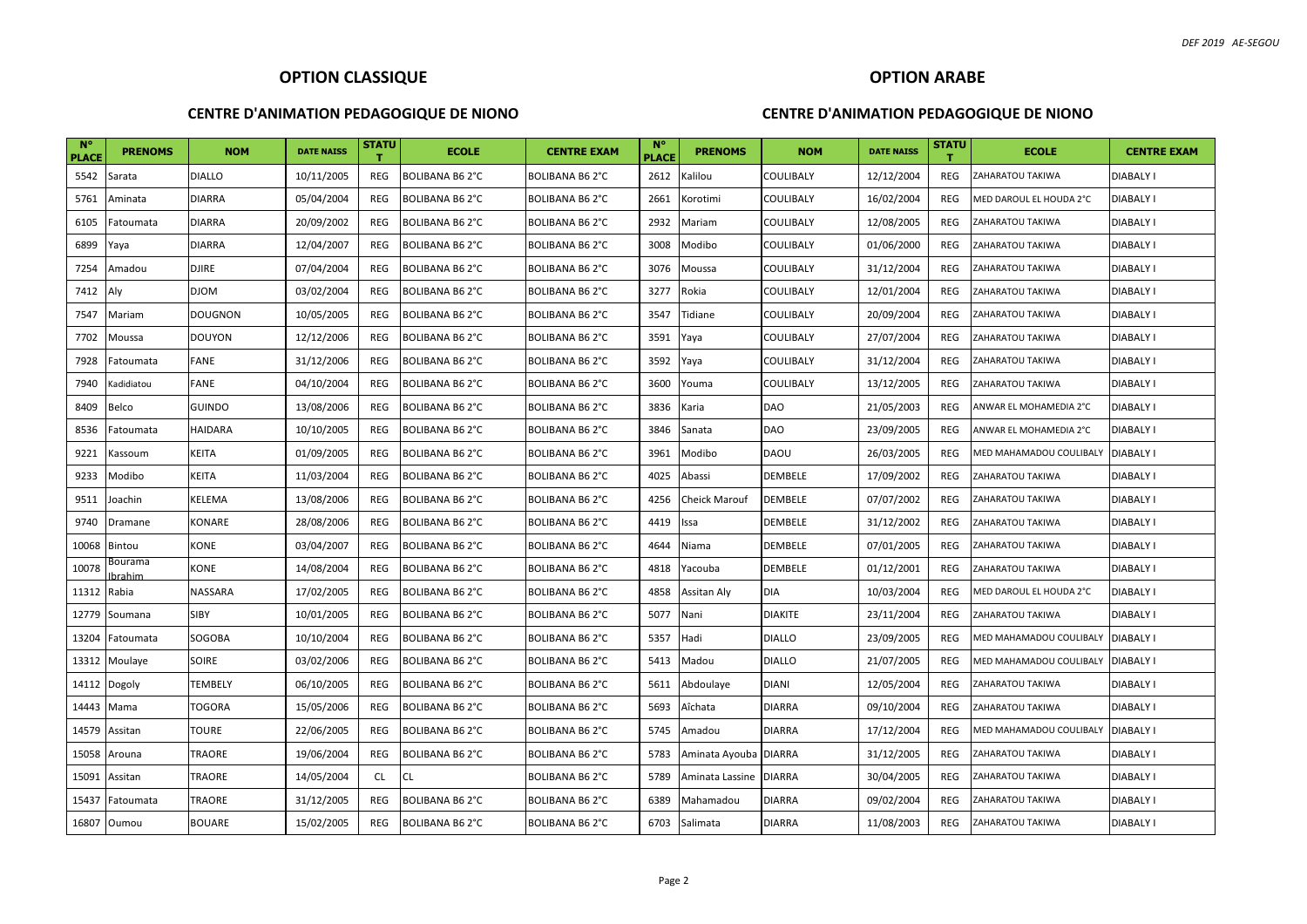#### **CENTRE D'ANIMATION PEDAGOGIQUE DE NIONO**

### **OPTION ARABE**

| <b>N°</b><br><b>PLACE</b> | <b>PRENOMS</b>    | <b>NOM</b>     | <b>DATE NAISS</b> | <b>STATU</b> | <b>ECOLE</b>          | <b>CENTRE EXAM</b>    | <b>N°</b><br><b>PLACE</b> | <b>PRENOMS</b>        | <b>NOM</b>       | <b>DATE NAISS</b> | <b>STATU</b> | <b>ECOLE</b>            | <b>CENTRE EXAM</b> |
|---------------------------|-------------------|----------------|-------------------|--------------|-----------------------|-----------------------|---------------------------|-----------------------|------------------|-------------------|--------------|-------------------------|--------------------|
| 5542                      | Sarata            | <b>DIALLO</b>  | 10/11/2005        | REG          | <b>BOLIBANA B62°C</b> | BOLIBANA B6 2°C       | 2612                      | Kalilou               | <b>COULIBALY</b> | 12/12/2004        | REG          | ZAHARATOU TAKIWA        | <b>DIABALY I</b>   |
| 5761                      | Aminata           | <b>DIARRA</b>  | 05/04/2004        | REG          | <b>BOLIBANA B62°C</b> | BOLIBANA B6 2°C       | 2661                      | Korotimi              | COULIBALY        | 16/02/2004        | REG          | MED DAROUL EL HOUDA 2°C | <b>DIABALY I</b>   |
| 6105                      | Fatoumata         | <b>DIARRA</b>  | 20/09/2002        | REG          | <b>BOLIBANA B62°C</b> | BOLIBANA B6 2°C       | 2932                      | Mariam                | COULIBALY        | 12/08/2005        | REG          | ZAHARATOU TAKIWA        | <b>DIABALY I</b>   |
| 6899                      | Yaya              | <b>DIARRA</b>  | 12/04/2007        | REG          | <b>BOLIBANA B62°C</b> | BOLIBANA B6 2°C       | 3008                      | Modibo                | COULIBALY        | 01/06/2000        | REG          | ZAHARATOU TAKIWA        | <b>DIABALY I</b>   |
| 7254                      | Amadou            | <b>DJIRE</b>   | 07/04/2004        | REG          | <b>BOLIBANA B62°C</b> | BOLIBANA B6 2°C       | 3076                      | Moussa                | COULIBALY        | 31/12/2004        | REG          | ZAHARATOU TAKIWA        | <b>DIABALY I</b>   |
| 7412                      | Aly               | <b>DJOM</b>    | 03/02/2004        | REG          | <b>BOLIBANA B62°C</b> | BOLIBANA B62°C        | 3277                      | Rokia                 | COULIBALY        | 12/01/2004        | REG          | ZAHARATOU TAKIWA        | <b>DIABALY I</b>   |
| 7547                      | Mariam            | <b>DOUGNON</b> | 10/05/2005        | REG          | <b>BOLIBANA B62°C</b> | <b>BOLIBANA B62°C</b> | 3547                      | Tidiane               | <b>COULIBALY</b> | 20/09/2004        | REG          | ZAHARATOU TAKIWA        | <b>DIABALY I</b>   |
| 7702                      | Moussa            | <b>DOUYON</b>  | 12/12/2006        | <b>REG</b>   | BOLIBANA B6 2°C       | BOLIBANA B6 2°C       | 3591                      | Yaya                  | COULIBALY        | 27/07/2004        | <b>REG</b>   | ZAHARATOU TAKIWA        | <b>DIABALY I</b>   |
| 7928                      | Fatoumata         | FANE           | 31/12/2006        | REG          | <b>BOLIBANA B62°C</b> | BOLIBANA B6 2°C       | 3592                      | Yaya                  | <b>COULIBALY</b> | 31/12/2004        | REG          | ZAHARATOU TAKIWA        | <b>DIABALY I</b>   |
| 7940                      | Kadidiatou        | FANE           | 04/10/2004        | REG          | <b>BOLIBANA B62°C</b> | <b>BOLIBANA B62°C</b> | 3600                      | Youma                 | COULIBALY        | 13/12/2005        | <b>REG</b>   | ZAHARATOU TAKIWA        | <b>DIABALY I</b>   |
| 8409                      | Belco             | <b>GUINDO</b>  | 13/08/2006        | REG          | <b>BOLIBANA B62°C</b> | <b>BOLIBANA B62°C</b> | 3836                      | Karia                 | DAO              | 21/05/2003        | REG          | ANWAR EL MOHAMEDIA 2°C  | <b>DIABALY I</b>   |
| 8536                      | Fatoumata         | <b>HAIDARA</b> | 10/10/2005        | REG          | <b>BOLIBANA B62°C</b> | BOLIBANA B6 2°C       | 3846                      | Sanata                | DAO              | 23/09/2005        | <b>REG</b>   | ANWAR EL MOHAMEDIA 2°C  | <b>DIABALY I</b>   |
| 9221                      | Kassoum           | <b>KEITA</b>   | 01/09/2005        | REG          | <b>BOLIBANA B62°C</b> | BOLIBANA B6 2°C       | 3961                      | Modibo                | DAOU             | 26/03/2005        | REG          | MED MAHAMADOU COULIBALY | <b>DIABALY I</b>   |
| 9233                      | Modibo            | KEITA          | 11/03/2004        | REG          | <b>BOLIBANA B62°C</b> | BOLIBANA B6 2°C       | 4025                      | Abassi                | DEMBELE          | 17/09/2002        | REG          | ZAHARATOU TAKIWA        | <b>DIABALY I</b>   |
| 9511                      | Joachin           | KELEMA         | 13/08/2006        | REG          | <b>BOLIBANA B62°C</b> | <b>BOLIBANA B62°C</b> | 4256                      | <b>Cheick Marouf</b>  | DEMBELE          | 07/07/2002        | REG          | ZAHARATOU TAKIWA        | <b>DIABALY I</b>   |
| 9740                      | Dramane           | KONARE         | 28/08/2006        | REG          | <b>BOLIBANA B62°C</b> | BOLIBANA B6 2°C       | 4419                      | Issa                  | DEMBELE          | 31/12/2002        | REG          | ZAHARATOU TAKIWA        | <b>DIABALY I</b>   |
| 10068                     | Bintou            | KONE           | 03/04/2007        | REG          | <b>BOLIBANA B62°C</b> | BOLIBANA B6 2°C       | 4644                      | Niama                 | DEMBELE          | 07/01/2005        | REG          | ZAHARATOU TAKIWA        | <b>DIABALY I</b>   |
| 10078                     | Bourama<br>brahim | KONE           | 14/08/2004        | REG          | <b>BOLIBANA B62°C</b> | BOLIBANA B6 2°C       | 4818                      | Yacouba               | DEMBELE          | 01/12/2001        | REG          | ZAHARATOU TAKIWA        | <b>DIABALY I</b>   |
| 11312                     | Rabia             | NASSARA        | 17/02/2005        | REG          | BOLIBANA B6 2°C       | BOLIBANA B6 2°C       | 4858                      | Assitan Aly           | DIA              | 10/03/2004        | REG          | MED DAROUL EL HOUDA 2°C | <b>DIABALY I</b>   |
| 12779                     | Soumana           | SIBY           | 10/01/2005        | REG          | <b>BOLIBANA B62°C</b> | BOLIBANA B6 2°C       | 5077                      | Nani                  | <b>DIAKITE</b>   | 23/11/2004        | REG          | ZAHARATOU TAKIWA        | <b>DIABALY I</b>   |
| 13204                     | Fatoumata         | SOGOBA         | 10/10/2004        | <b>REG</b>   | <b>BOLIBANA B62°C</b> | BOLIBANA B6 2°C       | 5357                      | Hadi                  | <b>DIALLO</b>    | 23/09/2005        | REG          | MED MAHAMADOU COULIBALY | <b>DIABALY I</b>   |
| 13312                     | Moulaye           | SOIRE          | 03/02/2006        | REG          | <b>BOLIBANA B62°C</b> | BOLIBANA B6 2°C       | 5413                      | Madou                 | <b>DIALLO</b>    | 21/07/2005        | REG          | MED MAHAMADOU COULIBALY | <b>DIABALY I</b>   |
| 14112                     | Dogoly            | TEMBELY        | 06/10/2005        | REG          | <b>BOLIBANA B62°C</b> | BOLIBANA B6 2°C       | 5611                      | Abdoulaye             | <b>DIANI</b>     | 12/05/2004        | REG          | ZAHARATOU TAKIWA        | <b>DIABALY I</b>   |
| 14443                     | Mama              | TOGORA         | 15/05/2006        | <b>REG</b>   | <b>BOLIBANA B62°C</b> | BOLIBANA B6 2°C       | 5693                      | Aîchata               | <b>DIARRA</b>    | 09/10/2004        | REG          | ZAHARATOU TAKIWA        | <b>DIABALY I</b>   |
| 14579                     | Assitan           | TOURE          | 22/06/2005        | REG          | BOLIBANA B6 2°C       | BOLIBANA B6 2°C       | 5745                      | Amadou                | <b>DIARRA</b>    | 17/12/2004        | <b>REG</b>   | MED MAHAMADOU COULIBALY | <b>DIABALY I</b>   |
| 15058                     | Arouna            | TRAORE         | 19/06/2004        | REG          | <b>BOLIBANA B62°C</b> | BOLIBANA B6 2°C       | 5783                      | Aminata Ayouba DIARRA |                  | 31/12/2005        | REG          | ZAHARATOU TAKIWA        | <b>DIABALY I</b>   |
| 15091                     | Assitan           | TRAORE         | 14/05/2004        | CL           | <b>CL</b>             | BOLIBANA B6 2°C       | 5789                      | Aminata Lassine       | <b>DIARRA</b>    | 30/04/2005        | REG          | ZAHARATOU TAKIWA        | <b>DIABALY I</b>   |
| 15437                     | Fatoumata         | TRAORE         | 31/12/2005        | <b>REG</b>   | <b>BOLIBANA B62°C</b> | BOLIBANA B6 2°C       | 6389                      | Mahamadou             | <b>DIARRA</b>    | 09/02/2004        | REG          | ZAHARATOU TAKIWA        | <b>DIABALY I</b>   |
| 16807                     | Oumou             | BOUARE         | 15/02/2005        | REG          | <b>BOLIBANA B62°C</b> | BOLIBANA B6 2°C       | 6703                      | Salimata              | <b>DIARRA</b>    | 11/08/2003        | REG          | ZAHARATOU TAKIWA        | <b>DIABALY I</b>   |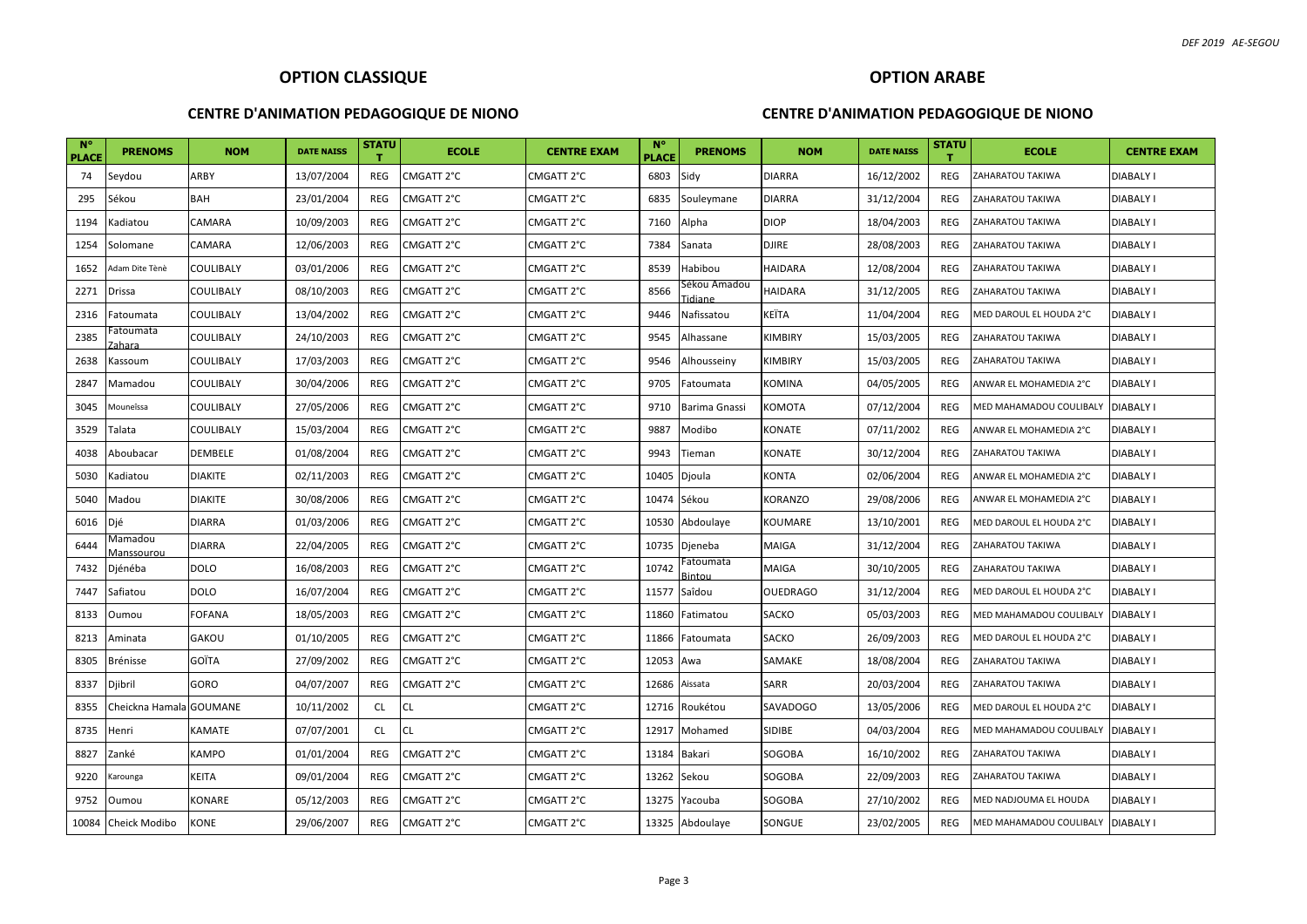#### **CENTRE D'ANIMATION PEDAGOGIQUE DE NIONO**

# **OPTION ARABE**

| <b>N°</b><br><b>PLACE</b> | <b>PRENOMS</b>               | <b>NOM</b>     | <b>DATE NAISS</b> | <b>STATU</b><br>т | <b>ECOLE</b> | <b>CENTRE EXAM</b> | <b>N°</b><br><b>PLACE</b> | <b>PRENOMS</b>         | <b>NOM</b>      | <b>DATE NAISS</b> | <b>STATU</b><br>т. | <b>ECOLE</b>            | <b>CENTRE EXAM</b> |
|---------------------------|------------------------------|----------------|-------------------|-------------------|--------------|--------------------|---------------------------|------------------------|-----------------|-------------------|--------------------|-------------------------|--------------------|
| 74                        | Seydou                       | ARBY           | 13/07/2004        | REG               | CMGATT 2°C   | CMGATT 2°C         | 6803                      | Sidy                   | <b>DIARRA</b>   | 16/12/2002        | REG                | ZAHARATOU TAKIWA        | DIABALY I          |
| 295                       | Sékou                        | BAH            | 23/01/2004        | REG               | CMGATT 2°C   | CMGATT 2°C         | 6835                      | Souleymane             | DIARRA          | 31/12/2004        | REG                | ZAHARATOU TAKIWA        | <b>DIABALY I</b>   |
| 1194                      | Kadiatou                     | CAMARA         | 10/09/2003        | REG               | CMGATT 2°C   | CMGATT 2°C         | 7160                      | Alpha                  | DIOP            | 18/04/2003        | REG                | ZAHARATOU TAKIWA        | DIABALY I          |
| 1254                      | Solomane                     | CAMARA         | 12/06/2003        | REG               | CMGATT 2°C   | CMGATT 2°C         | 7384                      | Sanata                 | DJIRE           | 28/08/2003        | REG                | ZAHARATOU TAKIWA        | DIABALY I          |
| 1652                      | Adam Dite Tènè               | COULIBALY      | 03/01/2006        | REG               | CMGATT 2°C   | CMGATT 2°C         | 8539                      | Habibou                | HAIDARA         | 12/08/2004        | REG                | ZAHARATOU TAKIWA        | DIABALY I          |
| 2271                      | <b>Drissa</b>                | COULIBALY      | 08/10/2003        | REG               | CMGATT 2°C   | CMGATT 2°C         | 8566                      | Sékou Amadou<br>idiane | HAIDARA         | 31/12/2005        | REG                | ZAHARATOU TAKIWA        | DIABALY I          |
| 2316                      | Fatoumata                    | COULIBALY      | 13/04/2002        | REG               | CMGATT 2°C   | CMGATT 2°C         | 9446                      | Nafissatou             | KEÏTA           | 11/04/2004        | REG                | MED DAROUL EL HOUDA 2°C | <b>DIABALY I</b>   |
| 2385                      | atoumata<br>'ahara           | COULIBALY      | 24/10/2003        | REG               | CMGATT 2°C   | CMGATT 2°C         | 9545                      | Alhassane              | KIMBIRY         | 15/03/2005        | REG                | ZAHARATOU TAKIWA        | DIABALY I          |
| 2638                      | Kassoum                      | COULIBALY      | 17/03/2003        | REG               | CMGATT 2°C   | CMGATT 2°C         | 9546                      | Alhousseiny            | <b>KIMBIRY</b>  | 15/03/2005        | REG                | ZAHARATOU TAKIWA        | <b>DIABALY I</b>   |
| 2847                      | Mamadou                      | COULIBALY      | 30/04/2006        | REG               | CMGATT 2°C   | CMGATT 2°C         | 9705                      | Fatoumata              | KOMINA          | 04/05/2005        | REG                | ANWAR EL MOHAMEDIA 2°C  | DIABALY I          |
| 3045                      | Mouneîssa                    | COULIBALY      | 27/05/2006        | REG               | CMGATT 2°C   | CMGATT 2°C         | 9710                      | Barima Gnassi          | KOMOTA          | 07/12/2004        | REG                | MED MAHAMADOU COULIBALY | <b>DIABALY I</b>   |
| 3529                      | Talata                       | COULIBALY      | 15/03/2004        | REG               | CMGATT 2°C   | CMGATT 2°C         | 9887                      | Modibo                 | KONATE          | 07/11/2002        | <b>REG</b>         | ANWAR EL MOHAMEDIA 2°C  | <b>DIABALY I</b>   |
| 4038                      | Aboubacar                    | <b>DEMBELE</b> | 01/08/2004        | REG               | CMGATT 2°C   | CMGATT 2°C         | 9943                      | Tieman                 | KONATE          | 30/12/2004        | REG                | ZAHARATOU TAKIWA        | <b>DIABALY I</b>   |
| 5030                      | Kadiatou                     | <b>DIAKITE</b> | 02/11/2003        | REG               | CMGATT 2°C   | CMGATT 2°C         |                           | 10405 Djoula           | KONTA           | 02/06/2004        | <b>REG</b>         | ANWAR EL MOHAMEDIA 2°C  | <b>DIABALY I</b>   |
| 5040                      | Madou                        | <b>DIAKITE</b> | 30/08/2006        | REG               | CMGATT 2°C   | CMGATT 2°C         | 10474 Sékou               |                        | KORANZO         | 29/08/2006        | REG                | ANWAR EL MOHAMEDIA 2°C  | <b>DIABALY I</b>   |
| 6016                      | Djé                          | <b>DIARRA</b>  | 01/03/2006        | REG               | CMGATT 2°C   | CMGATT 2°C         |                           | 10530 Abdoulaye        | KOUMARE         | 13/10/2001        | <b>REG</b>         | MED DAROUL EL HOUDA 2°C | <b>DIABALY I</b>   |
| 6444                      | Mamadou<br><u>Aanssourou</u> | <b>DIARRA</b>  | 22/04/2005        | REG               | CMGATT 2°C   | CMGATT 2°C         |                           | 10735 Djeneba          | MAIGA           | 31/12/2004        | REG                | ZAHARATOU TAKIWA        | DIABALY I          |
| 7432                      | Djénéba                      | <b>DOLO</b>    | 16/08/2003        | REG               | CMGATT 2°C   | CMGATT 2°C         | 10742                     | Fatoumata<br>Bintou    | MAIGA           | 30/10/2005        | <b>REG</b>         | ZAHARATOU TAKIWA        | DIABALY I          |
| 7447                      | Safiatou                     | DOLO           | 16/07/2004        | REG               | CMGATT 2°C   | CMGATT 2°C         |                           | 11577 Saîdou           | <b>OUEDRAGO</b> | 31/12/2004        | REG                | MED DAROUL EL HOUDA 2°C | <b>DIABALY I</b>   |
| 8133                      | Oumou                        | FOFANA         | 18/05/2003        | REG               | CMGATT 2°C   | CMGATT 2°C         |                           | 11860 Fatimatou        | <b>SACKO</b>    | 05/03/2003        | REG                | MED MAHAMADOU COULIBALY | <b>DIABALY I</b>   |
| 8213                      | Aminata                      | <b>GAKOU</b>   | 01/10/2005        | REG               | CMGATT 2°C   | CMGATT 2°C         |                           | 11866 Fatoumata        | <b>SACKO</b>    | 26/09/2003        | REG                | MED DAROUL EL HOUDA 2°C | <b>DIABALY I</b>   |
| 8305                      | Brénisse                     | GOÏTA          | 27/09/2002        | REG               | CMGATT 2°C   | CMGATT 2°C         | 12053 Awa                 |                        | SAMAKE          | 18/08/2004        | REG                | ZAHARATOU TAKIWA        | DIABALY I          |
| 8337                      | Djibril                      | GORO           | 04/07/2007        | REG               | CMGATT 2°C   | CMGATT 2°C         |                           | 12686 Aissata          | SARR            | 20/03/2004        | REG                | ZAHARATOU TAKIWA        | DIABALY I          |
| 8355                      | Cheickna Hamala GOUMANE      |                | 10/11/2002        | CL                | <b>CL</b>    | CMGATT 2°C         |                           | 12716 Roukétou         | <b>SAVADOGO</b> | 13/05/2006        | REG                | MED DAROUL EL HOUDA 2°C | DIABALY I          |
| 8735                      | Henri                        | KAMATE         | 07/07/2001        | CL                | <b>CL</b>    | CMGATT 2°C         |                           | 12917 Mohamed          | SIDIBE          | 04/03/2004        | REG                | MED MAHAMADOU COULIBALY | <b>DIABALY I</b>   |
| 8827                      | Zanké                        | KAMPO          | 01/01/2004        | REG               | CMGATT 2°C   | CMGATT 2°C         |                           | 13184 Bakari           | SOGOBA          | 16/10/2002        | REG                | ZAHARATOU TAKIWA        | DIABALY I          |
| 9220                      | Karounga                     | KEITA          | 09/01/2004        | REG               | CMGATT 2°C   | CMGATT 2°C         |                           | 13262 Sekou            | SOGOBA          | 22/09/2003        | REG                | ZAHARATOU TAKIWA        | DIABALY I          |
| 9752                      | Oumou                        | KONARE         | 05/12/2003        | REG               | CMGATT 2°C   | CMGATT 2°C         |                           | 13275 Yacouba          | SOGOBA          | 27/10/2002        | REG                | MED NADJOUMA EL HOUDA   | <b>DIABALY I</b>   |
| 10084                     | Cheick Modibo                | KONE           | 29/06/2007        | REG               | CMGATT 2°C   | CMGATT 2°C         |                           | 13325 Abdoulaye        | SONGUE          | 23/02/2005        | REG                | MED MAHAMADOU COULIBALY | <b>DIABALY I</b>   |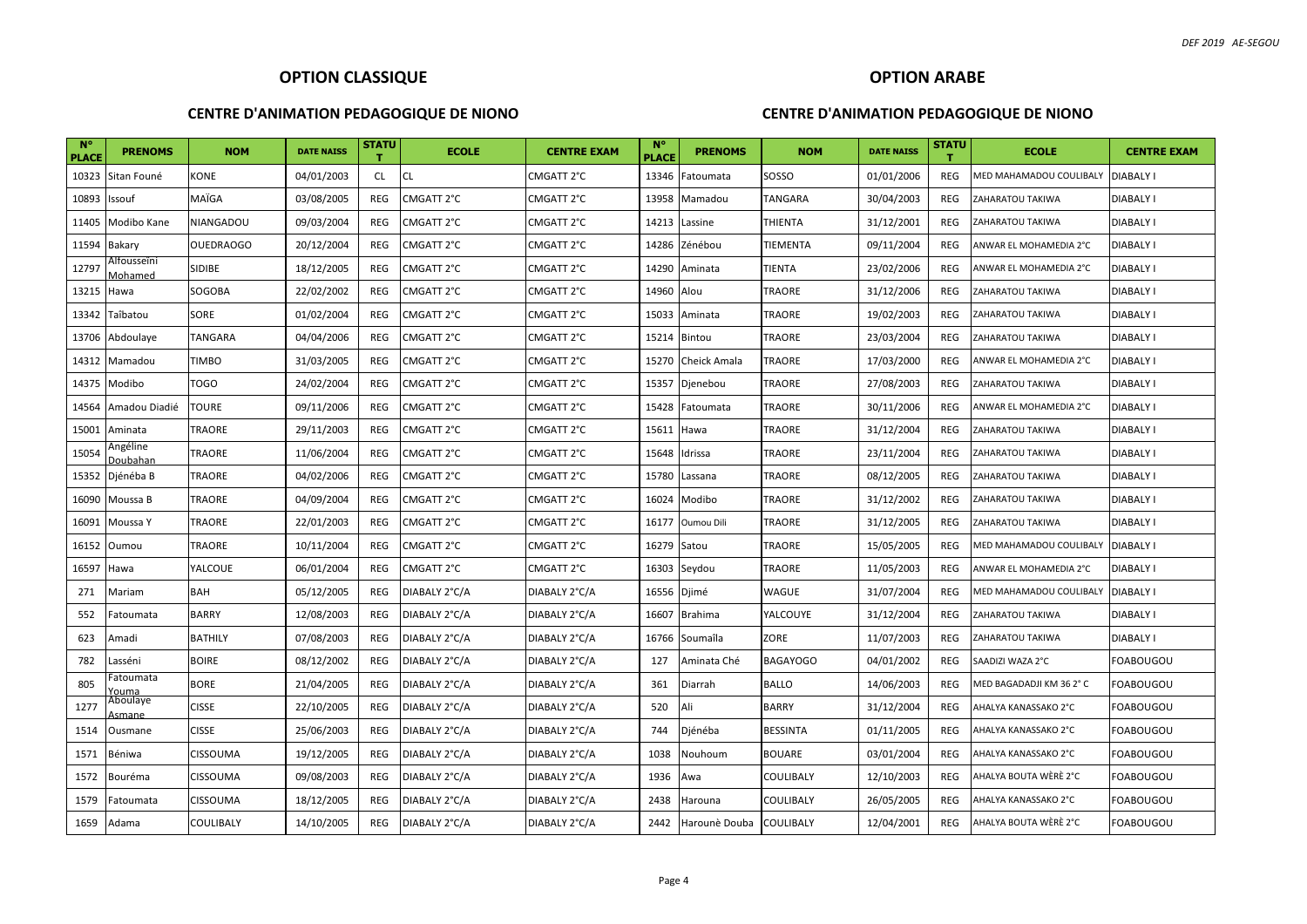#### **CENTRE D'ANIMATION PEDAGOGIQUE DE NIONO**

## **CENTRE D'ANIMATION PEDAGOGIQUE DE NIONO**

| $N^{\circ}$<br><b>PLACE</b> | <b>PRENOMS</b>                 | <b>NOM</b>       | <b>DATE NAISS</b> | <b>STATU</b> | <b>ECOLE</b>  | <b>CENTRE EXAM</b> | $N^{\circ}$<br><b>PLACE</b> | <b>PRENOMS</b>   | <b>NOM</b>       | <b>DATE NAISS</b> | <b>STATU</b> | <b>ECOLE</b>                        | <b>CENTRE EXAM</b> |
|-----------------------------|--------------------------------|------------------|-------------------|--------------|---------------|--------------------|-----------------------------|------------------|------------------|-------------------|--------------|-------------------------------------|--------------------|
| 10323                       | Sitan Founé                    | KONE             | 04/01/2003        | <b>CL</b>    | <b>CL</b>     | CMGATT 2°C         | 13346                       | atoumata         | SOSSO            | 01/01/2006        | <b>REG</b>   | MED MAHAMADOU COULIBALY             | <b>DIABALY I</b>   |
| 10893                       | Issouf                         | MAÏGA            | 03/08/2005        | <b>REG</b>   | CMGATT 2°C    | CMGATT 2°C         |                             | 13958 Mamadou    | TANGARA          | 30/04/2003        | <b>REG</b>   | ZAHARATOU TAKIWA                    | DIABALY I          |
| 11405                       | Modibo Kane                    | <b>NIANGADOU</b> | 09/03/2004        | <b>REG</b>   | CMGATT 2°C    | CMGATT 2°C         | 14213                       | Lassine          | THIENTA          | 31/12/2001        | <b>REG</b>   | ZAHARATOU TAKIWA                    | DIABALY I          |
| 11594                       | Bakary                         | <b>OUEDRAOGO</b> | 20/12/2004        | REG          | CMGATT 2°C    | CMGATT 2°C         | 14286                       | Zénébou          | TIEMENTA         | 09/11/2004        | REG          | ANWAR EL MOHAMEDIA 2°C              | <b>DIABALY I</b>   |
| 12797                       | Alfousseîni<br>Mohamed         | <b>SIDIBE</b>    | 18/12/2005        | REG          | CMGATT 2°C    | CMGATT 2°C         |                             | 14290 Aminata    | TIENTA           | 23/02/2006        | <b>REG</b>   | ANWAR EL MOHAMEDIA 2°C              | DIABALY I          |
| 13215                       | Hawa                           | SOGOBA           | 22/02/2002        | REG          | CMGATT 2°C    | CMGATT 2°C         | 14960 Alou                  |                  | TRAORE           | 31/12/2006        | <b>REG</b>   | ZAHARATOU TAKIWA                    | DIABALY I          |
| 13342                       | Taîbatou                       | SORE             | 01/02/2004        | REG          | CMGATT 2°C    | CMGATT 2°C         |                             | 15033 Aminata    | TRAORE           | 19/02/2003        | REG          | ZAHARATOU TAKIWA                    | DIABALY I          |
| 13706                       | Abdoulaye                      | TANGARA          | 04/04/2006        | REG          | CMGATT 2°C    | CMGATT 2°C         |                             | 15214 Bintou     | TRAORE           | 23/03/2004        | REG          | ZAHARATOU TAKIWA                    | DIABALY I          |
| 14312                       | Mamadou                        | <b>TIMBO</b>     | 31/03/2005        | <b>REG</b>   | CMGATT 2°C    | CMGATT 2°C         | 15270                       | Cheick Amala     | TRAORE           | 17/03/2000        | REG          | ANWAR EL MOHAMEDIA 2°C              | DIABALY I          |
| 14375                       | Modibo                         | TOGO             | 24/02/2004        | REG          | CMGATT 2°C    | CMGATT 2°C         | 15357                       | Djenebou         | TRAORE           | 27/08/2003        | <b>REG</b>   | ZAHARATOU TAKIWA                    | DIABALY I          |
| 14564                       | Amadou Diadié                  | <b>TOURE</b>     | 09/11/2006        | REG          | CMGATT 2°C    | CMGATT 2°C         | 15428                       | Fatoumata        | TRAORE           | 30/11/2006        | REG          | ANWAR EL MOHAMEDIA 2°C              | DIABALY I          |
| 15001                       | Aminata                        | TRAORE           | 29/11/2003        | REG          | CMGATT 2°C    | CMGATT 2°C         | 15611                       | Hawa             | TRAORE           | 31/12/2004        | <b>REG</b>   | ZAHARATOU TAKIWA                    | DIABALY I          |
| 15054                       | Angéline<br><u> )oubahan</u>   | TRAORE           | 11/06/2004        | REG          | CMGATT 2°C    | CMGATT 2°C         | 15648                       | Idrissa          | TRAORE           | 23/11/2004        | <b>REG</b>   | ZAHARATOU TAKIWA                    | DIABALY I          |
| 15352                       | Djénéba B                      | TRAORE           | 04/02/2006        | REG          | CMGATT 2°C    | CMGATT 2°C         | 15780                       | Lassana          | TRAORE           | 08/12/2005        | <b>REG</b>   | ZAHARATOU TAKIWA                    | DIABALY I          |
| 16090                       | Moussa B                       | TRAORE           | 04/09/2004        | REG          | CMGATT 2°C    | CMGATT 2°C         | 16024                       | Modibo           | TRAORE           | 31/12/2002        | REG          | ZAHARATOU TAKIWA                    | DIABALY I          |
| 16091                       | Moussa Y                       | TRAORE           | 22/01/2003        | <b>REG</b>   | CMGATT 2°C    | CMGATT 2°C         |                             | 16177 Oumou Dili | TRAORE           | 31/12/2005        | <b>REG</b>   | ZAHARATOU TAKIWA                    | DIABALY I          |
| 16152                       | Oumou                          | <b>TRAORE</b>    | 10/11/2004        | REG          | CMGATT 2°C    | CMGATT 2°C         | 16279 Satou                 |                  | TRAORE           | 15/05/2005        | <b>REG</b>   | MED MAHAMADOU COULIBALY   DIABALY I |                    |
| 16597                       | Hawa                           | YALCOUE          | 06/01/2004        | <b>REG</b>   | CMGATT 2°C    | CMGATT 2°C         |                             | 16303 Seydou     | TRAORE           | 11/05/2003        | REG          | ANWAR EL MOHAMEDIA 2°C              | DIABALY I          |
| 271                         | Mariam                         | <b>BAH</b>       | 05/12/2005        | REG          | DIABALY 2°C/A | DIABALY 2°C/A      | 16556 Djimé                 |                  | WAGUE            | 31/07/2004        | REG          | MED MAHAMADOU COULIBALY             | <b>DIABALY I</b>   |
| 552                         | Fatoumata                      | <b>BARRY</b>     | 12/08/2003        | REG          | DIABALY 2°C/A | DIABALY 2°C/A      | 16607                       | <b>Brahima</b>   | YALCOUYE         | 31/12/2004        | <b>REG</b>   | ZAHARATOU TAKIWA                    | DIABALY I          |
| 623                         | Amadi                          | <b>BATHILY</b>   | 07/08/2003        | REG          | DIABALY 2°C/A | DIABALY 2°C/A      |                             | 16766 Soumaîla   | ZORE             | 11/07/2003        | <b>REG</b>   | ZAHARATOU TAKIWA                    | DIABALY I          |
| 782                         | Lasséni                        | <b>BOIRE</b>     | 08/12/2002        | REG          | DIABALY 2°C/A | DIABALY 2°C/A      | 127                         | Aminata Ché      | <b>BAGAYOGO</b>  | 04/01/2002        | REG          | SAADIZI WAZA 2°C                    | FOABOUGOU          |
| 805                         | <sup>:</sup> atoumata<br>'ouma | BORE             | 21/04/2005        | REG          | DIABALY 2°C/A | DIABALY 2°C/A      | 361                         | Diarrah          | <b>BALLO</b>     | 14/06/2003        | REG          | MED BAGADADJI KM 362°C              | FOABOUGOU          |
| 1277                        | Aboulaye<br>smane              | <b>CISSE</b>     | 22/10/2005        | <b>REG</b>   | DIABALY 2°C/A | DIABALY 2°C/A      | 520                         | Ali              | <b>BARRY</b>     | 31/12/2004        | REG          | AHALYA KANASSAKO 2°C                | FOABOUGOU          |
| 1514                        | Ousmane                        | <b>CISSE</b>     | 25/06/2003        | REG          | DIABALY 2°C/A | DIABALY 2°C/A      | 744                         | Djénéba          | <b>BESSINTA</b>  | 01/11/2005        | <b>REG</b>   | AHALYA KANASSAKO 2°C                | FOABOUGOU          |
| 1571                        | Béniwa                         | CISSOUMA         | 19/12/2005        | REG          | DIABALY 2°C/A | DIABALY 2°C/A      | 1038                        | Nouhoum          | <b>BOUARE</b>    | 03/01/2004        | REG          | AHALYA KANASSAKO 2°C                | FOABOUGOU          |
| 1572                        | Bouréma                        | CISSOUMA         | 09/08/2003        | REG          | DIABALY 2°C/A | DIABALY 2°C/A      | 1936                        | Awa              | <b>COULIBALY</b> | 12/10/2003        | REG          | AHALYA BOUTA WÈRÈ 2°C               | FOABOUGOU          |
| 1579                        | Fatoumata                      | CISSOUMA         | 18/12/2005        | <b>REG</b>   | DIABALY 2°C/A | DIABALY 2°C/A      | 2438                        | Harouna          | COULIBALY        | 26/05/2005        | <b>REG</b>   | AHALYA KANASSAKO 2°C                | FOABOUGOU          |
| 1659                        | Adama                          | COULIBALY        | 14/10/2005        | REG          | DIABALY 2°C/A | DIABALY 2°C/A      | 2442                        | Harounè Douba    | <b>COULIBALY</b> | 12/04/2001        | <b>REG</b>   | AHALYA BOUTA WÈRÈ 2°C               | FOABOUGOU          |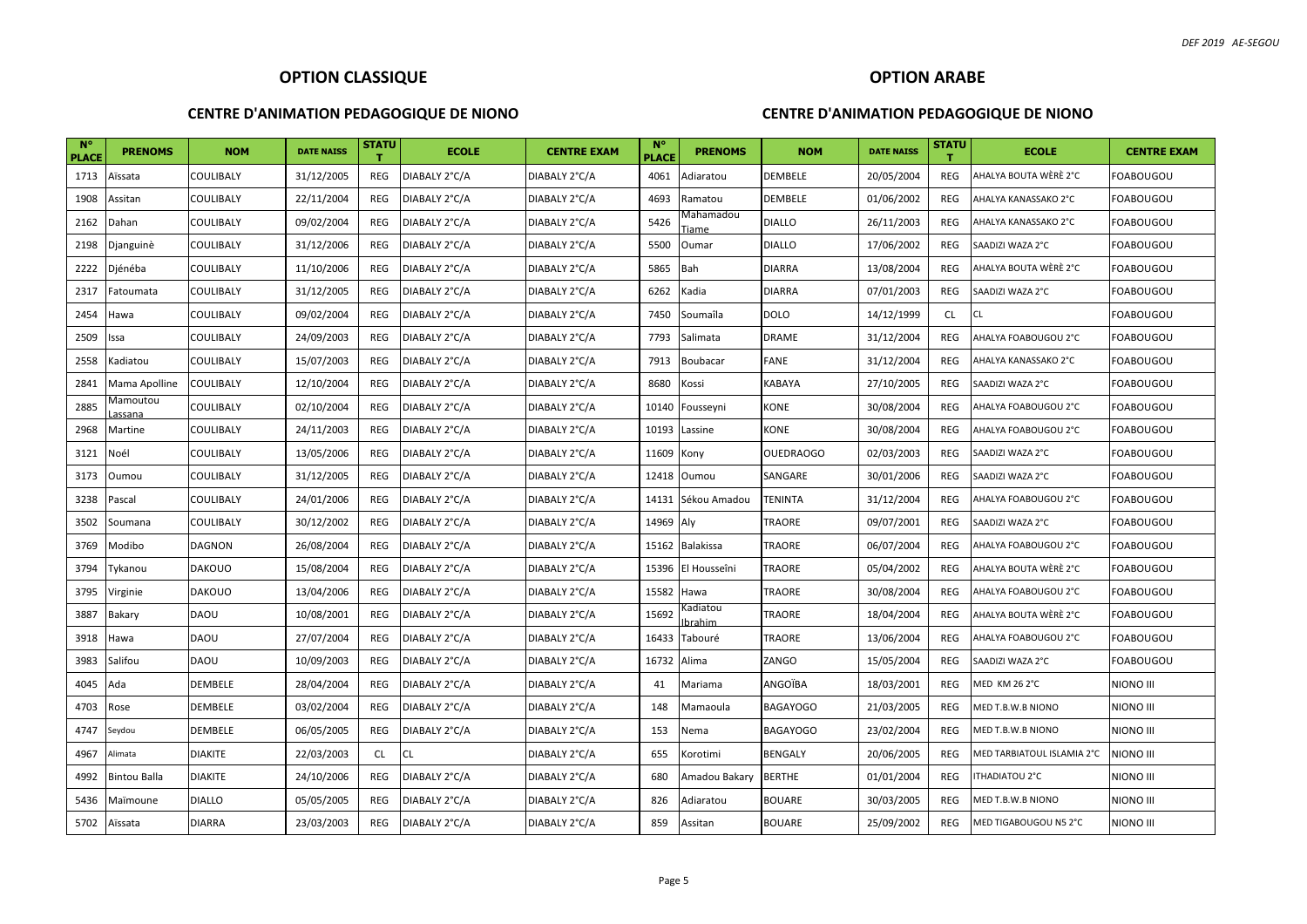#### **CENTRE D'ANIMATION PEDAGOGIQUE DE NIONO**

# **OPTION ARABE CENTRE D'ANIMATION PEDAGOGIQUE DE NIONO**

| $N^{\circ}$<br><b>PLACE</b> | <b>PRENOMS</b>      | <b>NOM</b>       | <b>DATE NAISS</b> | <b>STATU</b> | <b>ECOLE</b>  | <b>CENTRE EXAM</b> | $N^{\circ}$<br><b>PLACE</b> | <b>PRENOMS</b>     | <b>NOM</b>       | <b>DATE NAISS</b> | <b>STATU</b> | <b>ECOLE</b>               | <b>CENTRE EXAM</b> |
|-----------------------------|---------------------|------------------|-------------------|--------------|---------------|--------------------|-----------------------------|--------------------|------------------|-------------------|--------------|----------------------------|--------------------|
| 1713                        | Aïssata             | COULIBALY        | 31/12/2005        | REG          | DIABALY 2°C/A | DIABALY 2°C/A      | 4061                        | Adiaratou          | DEMBELE          | 20/05/2004        | REG          | AHALYA BOUTA WÈRÈ 2°C      | FOABOUGOU          |
| 1908                        | Assitan             | <b>COULIBALY</b> | 22/11/2004        | <b>REG</b>   | DIABALY 2°C/A | DIABALY 2°C/A      | 4693                        | Ramatou            | <b>DEMBELE</b>   | 01/06/2002        | <b>REG</b>   | AHALYA KANASSAKO 2°C       | FOABOUGOU          |
| 2162                        | Dahan               | <b>COULIBALY</b> | 09/02/2004        | <b>REG</b>   | DIABALY 2°C/A | DIABALY 2°C/A      | 5426                        | Mahamadou<br>Tiame | <b>DIALLO</b>    | 26/11/2003        | <b>REG</b>   | AHALYA KANASSAKO 2°C       | <b>FOABOUGOU</b>   |
| 2198                        | Djanguinè           | COULIBALY        | 31/12/2006        | <b>REG</b>   | DIABALY 2°C/A | DIABALY 2°C/A      | 5500                        | Oumar              | <b>DIALLO</b>    | 17/06/2002        | REG          | SAADIZI WAZA 2°C           | FOABOUGOU          |
| 2222                        | Djénéba             | COULIBALY        | 11/10/2006        | <b>REG</b>   | DIABALY 2°C/A | DIABALY 2°C/A      | 5865                        | Bah                | <b>DIARRA</b>    | 13/08/2004        | <b>REG</b>   | AHALYA BOUTA WÈRÈ 2°C      | FOABOUGOU          |
| 2317                        | Fatoumata           | COULIBALY        | 31/12/2005        | REG          | DIABALY 2°C/A | DIABALY 2°C/A      | 6262                        | Kadia              | <b>DIARRA</b>    | 07/01/2003        | REG          | SAADIZI WAZA 2°C           | <b>FOABOUGOU</b>   |
| 2454                        | Hawa                | <b>COULIBALY</b> | 09/02/2004        | <b>REG</b>   | DIABALY 2°C/A | DIABALY 2°C/A      | 7450                        | Soumaîla           | <b>DOLO</b>      | 14/12/1999        | <b>CL</b>    | <b>CL</b>                  | <b>FOABOUGOU</b>   |
| 2509                        | Issa                | COULIBALY        | 24/09/2003        | <b>REG</b>   | DIABALY 2°C/A | DIABALY 2°C/A      | 7793                        | Salimata           | <b>DRAME</b>     | 31/12/2004        | <b>REG</b>   | AHALYA FOABOUGOU 2°C       | <b>FOABOUGOU</b>   |
| 2558                        | Kadiatou            | COULIBALY        | 15/07/2003        | <b>REG</b>   | DIABALY 2°C/A | DIABALY 2°C/A      | 7913                        | <b>Boubacar</b>    | <b>FANE</b>      | 31/12/2004        | <b>REG</b>   | AHALYA KANASSAKO 2°C       | <b>FOABOUGOU</b>   |
| 2841                        | Mama Apolline       | <b>COULIBALY</b> | 12/10/2004        | REG          | DIABALY 2°C/A | DIABALY 2°C/A      | 8680                        | Kossi              | <b>KABAYA</b>    | 27/10/2005        | REG          | SAADIZI WAZA 2°C           | <b>FOABOUGOU</b>   |
| 2885                        | Vlamoutou<br>assana | COULIBALY        | 02/10/2004        | <b>REG</b>   | DIABALY 2°C/A | DIABALY 2°C/A      |                             | 10140 Fousseyni    | <b>KONE</b>      | 30/08/2004        | <b>REG</b>   | AHALYA FOABOUGOU 2°C       | <b>FOABOUGOU</b>   |
| 2968                        | Martine             | COULIBALY        | 24/11/2003        | <b>REG</b>   | DIABALY 2°C/A | DIABALY 2°C/A      | 10193                       | Lassine            | <b>KONE</b>      | 30/08/2004        | REG          | AHALYA FOABOUGOU 2°C       | <b>FOABOUGOU</b>   |
| 3121                        | Noél                | COULIBALY        | 13/05/2006        | <b>REG</b>   | DIABALY 2°C/A | DIABALY 2°C/A      | 11609                       | Kony               | <b>OUEDRAOGO</b> | 02/03/2003        | <b>REG</b>   | SAADIZI WAZA 2°C           | <b>FOABOUGOU</b>   |
| 3173                        | Oumou               | <b>COULIBALY</b> | 31/12/2005        | <b>REG</b>   | DIABALY 2°C/A | DIABALY 2°C/A      |                             | 12418 Oumou        | SANGARE          | 30/01/2006        | <b>REG</b>   | SAADIZI WAZA 2°C           | <b>FOABOUGOU</b>   |
| 3238                        | Pascal              | COULIBALY        | 24/01/2006        | <b>REG</b>   | DIABALY 2°C/A | DIABALY 2°C/A      | 14131                       | Sékou Amadou       | <b>TENINTA</b>   | 31/12/2004        | <b>REG</b>   | AHALYA FOABOUGOU 2°C       | FOABOUGOU          |
| 3502                        | Soumana             | COULIBALY        | 30/12/2002        | <b>REG</b>   | DIABALY 2°C/A | DIABALY 2°C/A      | 14969 Aly                   |                    | <b>TRAORE</b>    | 09/07/2001        | <b>REG</b>   | SAADIZI WAZA 2°C           | <b>FOABOUGOU</b>   |
| 3769                        | Modibo              | DAGNON           | 26/08/2004        | <b>REG</b>   | DIABALY 2°C/A | DIABALY 2°C/A      |                             | 15162 Balakissa    | TRAORE           | 06/07/2004        | <b>REG</b>   | AHALYA FOABOUGOU 2°C       | FOABOUGOU          |
| 3794                        | Tykanou             | <b>DAKOUO</b>    | 15/08/2004        | <b>REG</b>   | DIABALY 2°C/A | DIABALY 2°C/A      |                             | 15396 El Housseîni | <b>TRAORE</b>    | 05/04/2002        | <b>REG</b>   | AHALYA BOUTA WÈRÈ 2°C      | FOABOUGOU          |
| 3795                        | Virginie            | <b>DAKOUO</b>    | 13/04/2006        | <b>REG</b>   | DIABALY 2°C/A | DIABALY 2°C/A      | 15582 Hawa                  |                    | <b>TRAORE</b>    | 30/08/2004        | REG          | AHALYA FOABOUGOU 2°C       | FOABOUGOU          |
| 3887                        | Bakary              | <b>DAOU</b>      | 10/08/2001        | <b>REG</b>   | DIABALY 2°C/A | DIABALY 2°C/A      | 15692                       | Kadiatou<br>brahim | <b>TRAORE</b>    | 18/04/2004        | <b>REG</b>   | AHALYA BOUTA WÈRÈ 2°C      | <b>FOABOUGOU</b>   |
| 3918                        | Hawa                | <b>DAOU</b>      | 27/07/2004        | <b>REG</b>   | DIABALY 2°C/A | DIABALY 2°C/A      | 16433                       | Tabouré            | <b>TRAORE</b>    | 13/06/2004        | <b>REG</b>   | AHALYA FOABOUGOU 2°C       | FOABOUGOU          |
| 3983                        | Salifou             | <b>DAOU</b>      | 10/09/2003        | <b>REG</b>   | DIABALY 2°C/A | DIABALY 2°C/A      | 16732                       | Alima              | ZANGO            | 15/05/2004        | <b>REG</b>   | SAADIZI WAZA 2°C           | <b>FOABOUGOU</b>   |
| 4045                        | Ada                 | DEMBELE          | 28/04/2004        | <b>REG</b>   | DIABALY 2°C/A | DIABALY 2°C/A      | 41                          | Mariama            | ANGOÏBA          | 18/03/2001        | <b>REG</b>   | <b>MED KM 26 2°C</b>       | NIONO III          |
| 4703                        | Rose                | <b>DEMBELE</b>   | 03/02/2004        | <b>REG</b>   | DIABALY 2°C/A | DIABALY 2°C/A      | 148                         | Mamaoula           | <b>BAGAYOGO</b>  | 21/03/2005        | REG          | MED T.B.W.B NIONO          | NIONO III          |
| 4747                        | Seydou              | DEMBELE          | 06/05/2005        | REG          | DIABALY 2°C/A | DIABALY 2°C/A      | 153                         | Nema               | <b>BAGAYOGO</b>  | 23/02/2004        | REG          | MED T.B.W.B NIONO          | <b>NIONO III</b>   |
| 4967                        | Alimata             | <b>DIAKITE</b>   | 22/03/2003        | <b>CL</b>    | CL.           | DIABALY 2°C/A      | 655                         | Korotimi           | BENGALY          | 20/06/2005        | <b>REG</b>   | MED TARBIATOUL ISLAMIA 2°C | NIONO III          |
| 4992                        | <b>Bintou Balla</b> | <b>DIAKITE</b>   | 24/10/2006        | <b>REG</b>   | DIABALY 2°C/A | DIABALY 2°C/A      | 680                         | Amadou Bakary      | <b>BERTHE</b>    | 01/01/2004        | <b>REG</b>   | ITHADIATOU 2°C             | NIONO III          |
| 5436                        | Maïmoune            | <b>DIALLO</b>    | 05/05/2005        | <b>REG</b>   | DIABALY 2°C/A | DIABALY 2°C/A      | 826                         | Adiaratou          | <b>BOUARE</b>    | 30/03/2005        | <b>REG</b>   | MED T.B.W.B NIONO          | NIONO III          |
| 5702                        | Aïssata             | <b>DIARRA</b>    | 23/03/2003        | <b>REG</b>   | DIABALY 2°C/A | DIABALY 2°C/A      | 859                         | Assitan            | <b>BOUARE</b>    | 25/09/2002        | REG          | MED TIGABOUGOU N5 2°C      | NIONO III          |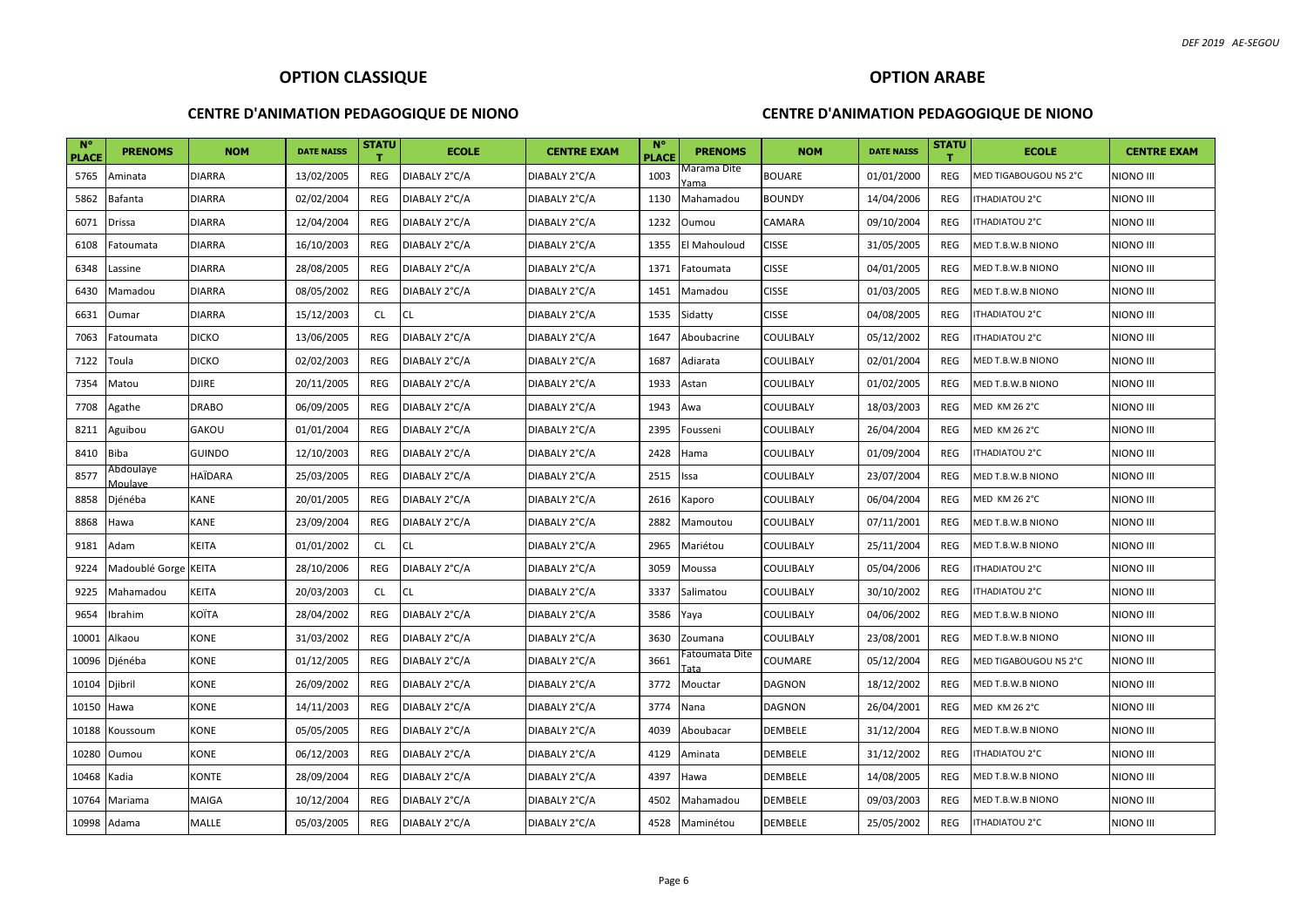#### **CENTRE D'ANIMATION PEDAGOGIQUE DE NIONO**

## **OPTION ARABE CENTRE D'ANIMATION PEDAGOGIQUE DE NIONO**

| $\mathbb{N}^{\circ}$<br><b>PLACE</b> | <b>PRENOMS</b>       | <b>NOM</b>    | <b>DATE NAISS</b> | <b>STATU</b> | <b>ECOLE</b>  | <b>CENTRE EXAM</b> | $N^{\circ}$<br><b>PLACE</b> | <b>PRENOMS</b>         | <b>NOM</b>     | <b>DATE NAISS</b> | <b>STATU</b> | <b>ECOLE</b>          | <b>CENTRE EXAM</b> |
|--------------------------------------|----------------------|---------------|-------------------|--------------|---------------|--------------------|-----------------------------|------------------------|----------------|-------------------|--------------|-----------------------|--------------------|
| 5765                                 | Aminata              | DIARRA        | 13/02/2005        | REG          | DIABALY 2°C/A | DIABALY 2°C/A      | 1003                        | Vlarama Dite<br>Yama   | <b>BOUARE</b>  | 01/01/2000        | <b>REG</b>   | MED TIGABOUGOU N5 2°C | NIONO III          |
| 5862                                 | Bafanta              | <b>DIARRA</b> | 02/02/2004        | REG          | DIABALY 2°C/A | DIABALY 2°C/A      | 1130                        | Mahamadou              | <b>BOUNDY</b>  | 14/04/2006        | <b>REG</b>   | <b>ITHADIATOU 2°C</b> | NIONO III          |
| 6071                                 | Drissa               | DIARRA        | 12/04/2004        | <b>REG</b>   | DIABALY 2°C/A | DIABALY 2°C/A      | 1232                        | Oumou                  | CAMARA         | 09/10/2004        | <b>REG</b>   | ITHADIATOU 2°C        | NIONO III          |
| 6108                                 | Fatoumata            | <b>DIARRA</b> | 16/10/2003        | REG          | DIABALY 2°C/A | DIABALY 2°C/A      | 1355                        | El Mahouloud           | <b>CISSE</b>   | 31/05/2005        | <b>REG</b>   | MED T.B.W.B NIONO     | <b>NIONO III</b>   |
| 6348                                 | Lassine              | <b>DIARRA</b> | 28/08/2005        | REG          | DIABALY 2°C/A | DIABALY 2°C/A      | 1371                        | Fatoumata              | <b>CISSE</b>   | 04/01/2005        | <b>REG</b>   | MED T.B.W.B NIONO     | <b>NIONO III</b>   |
| 6430                                 | Mamadou              | <b>DIARRA</b> | 08/05/2002        | REG          | DIABALY 2°C/A | DIABALY 2°C/A      | 1451                        | Mamadou                | <b>CISSE</b>   | 01/03/2005        | <b>REG</b>   | MED T.B.W.B NIONO     | <b>NIONO III</b>   |
| 6631                                 | Oumar                | <b>DIARRA</b> | 15/12/2003        | <b>CL</b>    | <b>CL</b>     | DIABALY 2°C/A      | 1535                        | Sidatty                | <b>CISSE</b>   | 04/08/2005        | <b>REG</b>   | ITHADIATOU 2°C        | NIONO III          |
| 7063                                 | Fatoumata            | <b>DICKO</b>  | 13/06/2005        | <b>REG</b>   | DIABALY 2°C/A | DIABALY 2°C/A      | 1647                        | Aboubacrine            | COULIBALY      | 05/12/2002        | <b>REG</b>   | ITHADIATOU 2°C        | <b>NIONO III</b>   |
| 7122                                 | Toula                | <b>DICKO</b>  | 02/02/2003        | <b>REG</b>   | DIABALY 2°C/A | DIABALY 2°C/A      | 1687                        | Adiarata               | COULIBALY      | 02/01/2004        | <b>REG</b>   | MED T.B.W.B NIONO     | NIONO III          |
| 7354                                 | Matou                | DJIRE         | 20/11/2005        | REG          | DIABALY 2°C/A | DIABALY 2°C/A      | 1933                        | Astan                  | COULIBALY      | 01/02/2005        | REG          | MED T.B.W.B NIONO     | NIONO III          |
| 7708                                 | Agathe               | <b>DRABO</b>  | 06/09/2005        | <b>REG</b>   | DIABALY 2°C/A | DIABALY 2°C/A      | 1943                        | Awa                    | COULIBALY      | 18/03/2003        | <b>REG</b>   | <b>MED KM 26 2°C</b>  | NIONO III          |
| 8211                                 | Aguibou              | GAKOU         | 01/01/2004        | REG          | DIABALY 2°C/A | DIABALY 2°C/A      | 2395                        | Fousseni               | COULIBALY      | 26/04/2004        | <b>REG</b>   | <b>MED KM 26 2°C</b>  | NIONO III          |
| 8410                                 | Biba                 | <b>GUINDO</b> | 12/10/2003        | REG          | DIABALY 2°C/A | DIABALY 2°C/A      | 2428                        | Hama                   | COULIBALY      | 01/09/2004        | REG          | ITHADIATOU 2°C        | NIONO III          |
| 8577                                 | Abdoulaye<br>Moulave | HAÏDARA       | 25/03/2005        | REG          | DIABALY 2°C/A | DIABALY 2°C/A      | 2515                        | Issa                   | COULIBALY      | 23/07/2004        | <b>REG</b>   | MED T.B.W.B NIONO     | NIONO III          |
| 8858                                 | Djénéba              | KANE          | 20/01/2005        | REG          | DIABALY 2°C/A | DIABALY 2°C/A      | 2616                        | Kaporo                 | COULIBALY      | 06/04/2004        | <b>REG</b>   | <b>MED KM 26 2°C</b>  | NIONO III          |
| 8868                                 | Hawa                 | KANE          | 23/09/2004        | <b>REG</b>   | DIABALY 2°C/A | DIABALY 2°C/A      | 2882                        | Mamoutou               | COULIBALY      | 07/11/2001        | <b>REG</b>   | MED T.B.W.B NIONO     | NIONO III          |
| 9181                                 | Adam                 | <b>KEITA</b>  | 01/01/2002        | <b>CL</b>    | <b>CL</b>     | DIABALY 2°C/A      | 2965                        | Mariétou               | COULIBALY      | 25/11/2004        | REG          | MED T.B.W.B NIONO     | <b>NIONO III</b>   |
| 9224                                 | Madoublé Gorge KEITA |               | 28/10/2006        | REG          | DIABALY 2°C/A | DIABALY 2°C/A      | 3059                        | Moussa                 | COULIBALY      | 05/04/2006        | <b>REG</b>   | ITHADIATOU 2°C        | NIONO III          |
| 9225                                 | Mahamadou            | <b>KEITA</b>  | 20/03/2003        | <b>CL</b>    | CL            | DIABALY 2°C/A      | 3337                        | Salimatou              | COULIBALY      | 30/10/2002        | REG          | ITHADIATOU 2°C        | <b>NIONO III</b>   |
| 9654                                 | Ibrahim              | KOÏTA         | 28/04/2002        | REG          | DIABALY 2°C/A | DIABALY 2°C/A      | 3586                        | Yaya                   | COULIBALY      | 04/06/2002        | <b>REG</b>   | MED T.B.W.B NIONO     | NIONO III          |
| 10001                                | Alkaou               | KONE          | 31/03/2002        | REG          | DIABALY 2°C/A | DIABALY 2°C/A      | 3630                        | Zoumana                | COULIBALY      | 23/08/2001        | <b>REG</b>   | MED T.B.W.B NIONO     | NIONO III          |
| 10096                                | Djénéba              | KONE          | 01/12/2005        | <b>REG</b>   | DIABALY 2°C/A | DIABALY 2°C/A      | 3661                        | Fatoumata Dite<br>Tata | COUMARE        | 05/12/2004        | <b>REG</b>   | MED TIGABOUGOU N5 2°C | niono III          |
| 10104                                | Djibril              | KONE          | 26/09/2002        | REG          | DIABALY 2°C/A | DIABALY 2°C/A      | 3772                        | Mouctar                | DAGNON         | 18/12/2002        | REG          | MED T.B.W.B NIONO     | NIONO III          |
| 10150                                | Hawa                 | KONE          | 14/11/2003        | <b>REG</b>   | DIABALY 2°C/A | DIABALY 2°C/A      | 3774                        | Nana                   | <b>DAGNON</b>  | 26/04/2001        | <b>REG</b>   | <b>MED KM 26 2°C</b>  | NIONO III          |
| 10188                                | Koussoum             | KONE          | 05/05/2005        | REG          | DIABALY 2°C/A | DIABALY 2°C/A      | 4039                        | Aboubacar              | DEMBELE        | 31/12/2004        | <b>REG</b>   | MED T.B.W.B NIONO     | NIONO III          |
| 10280                                | Oumou                | KONE          | 06/12/2003        | REG          | DIABALY 2°C/A | DIABALY 2°C/A      | 4129                        | Aminata                | DEMBELE        | 31/12/2002        | <b>REG</b>   | ITHADIATOU 2°C        | NIONO III          |
| 10468                                | Kadia                | KONTE         | 28/09/2004        | REG          | DIABALY 2°C/A | DIABALY 2°C/A      | 4397                        | Hawa                   | DEMBELE        | 14/08/2005        | <b>REG</b>   | MED T.B.W.B NIONO     | NIONO III          |
| 10764                                | Mariama              | MAIGA         | 10/12/2004        | <b>REG</b>   | DIABALY 2°C/A | DIABALY 2°C/A      | 4502                        | Mahamadou              | DEMBELE        | 09/03/2003        | <b>REG</b>   | MED T.B.W.B NIONO     | NIONO III          |
|                                      | 10998 Adama          | MALLE         | 05/03/2005        | <b>REG</b>   | DIABALY 2°C/A | DIABALY 2°C/A      | 4528                        | Maminétou              | <b>DEMBELE</b> | 25/05/2002        | <b>REG</b>   | ITHADIATOU 2°C        | NIONO III          |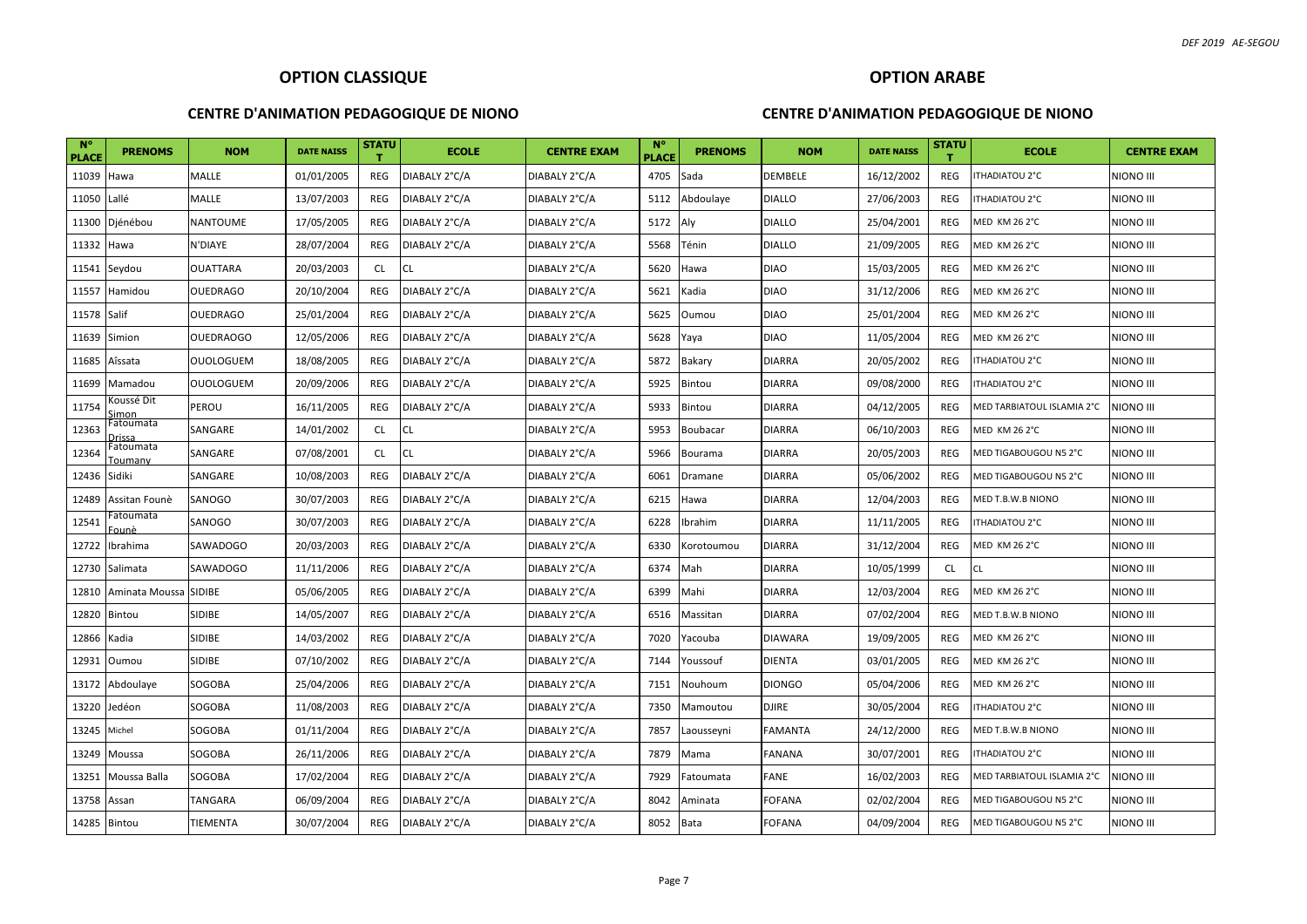#### **CENTRE D'ANIMATION PEDAGOGIQUE DE NIONO**

## **OPTION ARABE**

| <b>N°</b><br><b>PLACE</b> | <b>PRENOMS</b>                | <b>NOM</b>       | <b>DATE NAISS</b> | STATU<br>т | <b>ECOLE</b>  | <b>CENTRE EXAM</b> | <b>N°</b><br><b>PLACE</b> | <b>PRENOMS</b> | <b>NOM</b>     | <b>DATE NAISS</b> | <b>STATU</b><br>т. | <b>ECOLE</b>               | <b>CENTRE EXAM</b> |
|---------------------------|-------------------------------|------------------|-------------------|------------|---------------|--------------------|---------------------------|----------------|----------------|-------------------|--------------------|----------------------------|--------------------|
| 11039                     | Hawa                          | MALLE            | 01/01/2005        | REG        | DIABALY 2°C/A | DIABALY 2°C/A      | 4705                      | Sada           | <b>DEMBELE</b> | 16/12/2002        | REG                | <b>ITHADIATOU 2°C</b>      | <b>NIONO III</b>   |
| 11050                     | Lallé                         | MALLE            | 13/07/2003        | REG        | DIABALY 2°C/A | DIABALY 2°C/A      | 5112                      | Abdoulaye      | <b>DIALLO</b>  | 27/06/2003        | REG                | ITHADIATOU 2°C             | <b>NIONO III</b>   |
| 11300                     | Djénébou                      | <b>NANTOUME</b>  | 17/05/2005        | REG        | DIABALY 2°C/A | DIABALY 2°C/A      | 5172                      | Aly            | <b>DIALLO</b>  | 25/04/2001        | REG                | <b>MED KM 26 2°C</b>       | <b>NIONO III</b>   |
| 11332                     | Hawa                          | N'DIAYE          | 28/07/2004        | REG        | DIABALY 2°C/A | DIABALY 2°C/A      | 5568                      | Ténin          | <b>DIALLO</b>  | 21/09/2005        | <b>REG</b>         | <b>MED KM 26 2°C</b>       | <b>NIONO III</b>   |
| 11541                     | Seydou                        | <b>OUATTARA</b>  | 20/03/2003        | <b>CL</b>  | <b>CL</b>     | DIABALY 2°C/A      | 5620                      | Hawa           | <b>DIAO</b>    | 15/03/2005        | REG                | MED KM 26 2°C              | <b>NIONO III</b>   |
| 11557                     | Hamidou                       | <b>OUEDRAGO</b>  | 20/10/2004        | REG        | DIABALY 2°C/A | DIABALY 2°C/A      | 5621                      | Kadia          | <b>DIAO</b>    | 31/12/2006        | REG                | <b>MED KM 26 2°C</b>       | <b>NIONO III</b>   |
| 11578                     | Salif                         | <b>OUEDRAGO</b>  | 25/01/2004        | REG        | DIABALY 2°C/A | DIABALY 2°C/A      | 5625                      | Oumou          | <b>DIAO</b>    | 25/01/2004        | REG                | <b>MED KM 26 2°C</b>       | <b>NIONO III</b>   |
| 11639                     | Simion                        | <b>OUEDRAOGO</b> | 12/05/2006        | REG        | DIABALY 2°C/A | DIABALY 2°C/A      | 5628                      | Yaya           | <b>DIAO</b>    | 11/05/2004        | <b>REG</b>         | <b>MED KM 26 2°C</b>       | <b>NIONO III</b>   |
| 11685                     | Aîssata                       | <b>OUOLOGUEM</b> | 18/08/2005        | REG        | DIABALY 2°C/A | DIABALY 2°C/A      | 5872                      | Bakary         | <b>DIARRA</b>  | 20/05/2002        | REG                | ITHADIATOU 2°C             | <b>NIONO III</b>   |
| 11699                     | Mamadou                       | <b>OUOLOGUEM</b> | 20/09/2006        | REG        | DIABALY 2°C/A | DIABALY 2°C/A      | 5925                      | <b>Bintou</b>  | <b>DIARRA</b>  | 09/08/2000        | REG                | ITHADIATOU 2°C             | NIONO III          |
| 11754                     | <oussé dit<br="">imon</oussé> | PEROU            | 16/11/2005        | REG        | DIABALY 2°C/A | DIABALY 2°C/A      | 5933                      | <b>Bintou</b>  | <b>DIARRA</b>  | 04/12/2005        | REG                | MED TARBIATOUL ISLAMIA 2°C | <b>NIONO III</b>   |
| 12363                     | Fatoumata<br>)rissa           | SANGARE          | 14/01/2002        | CL         | <b>CL</b>     | DIABALY 2°C/A      | 5953                      | Boubacar       | <b>DIARRA</b>  | 06/10/2003        | REG                | <b>MED KM 26 2°C</b>       | NIONO III          |
| 12364                     | Fatoumata<br><u> Toumany</u>  | SANGARE          | 07/08/2001        | CL         | <b>CL</b>     | DIABALY 2°C/A      | 5966                      | Bourama        | <b>DIARRA</b>  | 20/05/2003        | REG                | MED TIGABOUGOU N5 2°C      | <b>NIONO III</b>   |
| 12436                     | Sidiki                        | SANGARE          | 10/08/2003        | REG        | DIABALY 2°C/A | DIABALY 2°C/A      | 6061                      | Dramane        | <b>DIARRA</b>  | 05/06/2002        | REG                | MED TIGABOUGOU N5 2°C      | NIONO III          |
| 12489                     | Assitan Founè                 | SANOGO           | 30/07/2003        | REG        | DIABALY 2°C/A | DIABALY 2°C/A      | 6215                      | Hawa           | <b>DIARRA</b>  | 12/04/2003        | REG                | MED T.B.W.B NIONO          | <b>NIONO III</b>   |
| 12541                     | Fatoumata<br>ounè             | SANOGO           | 30/07/2003        | REG        | DIABALY 2°C/A | DIABALY 2°C/A      | 6228                      | Ibrahim        | <b>DIARRA</b>  | 11/11/2005        | REG                | ITHADIATOU 2°C             | NIONO III          |
| 12722                     | Ibrahima                      | SAWADOGO         | 20/03/2003        | <b>REG</b> | DIABALY 2°C/A | DIABALY 2°C/A      | 6330                      | Korotoumou     | <b>DIARRA</b>  | 31/12/2004        | REG                | <b>MED KM 26 2°C</b>       | <b>NIONO III</b>   |
| 12730                     | Salimata                      | SAWADOGO         | 11/11/2006        | <b>REG</b> | DIABALY 2°C/A | DIABALY 2°C/A      | 6374                      | Mah            | <b>DIARRA</b>  | 10/05/1999        | CL                 | <b>CL</b>                  | <b>NIONO III</b>   |
| 12810                     | Aminata Moussa SIDIBE         |                  | 05/06/2005        | REG        | DIABALY 2°C/A | DIABALY 2°C/A      | 6399                      | Mahi           | <b>DIARRA</b>  | 12/03/2004        | REG                | <b>MED KM 26 2°C</b>       | <b>NIONO III</b>   |
| 12820                     | <b>Bintou</b>                 | <b>SIDIBE</b>    | 14/05/2007        | REG        | DIABALY 2°C/A | DIABALY 2°C/A      | 6516                      | Massitan       | <b>DIARRA</b>  | 07/02/2004        | REG                | MED T.B.W.B NIONO          | <b>NIONO III</b>   |
| 12866                     | Kadia                         | <b>SIDIBE</b>    | 14/03/2002        | REG        | DIABALY 2°C/A | DIABALY 2°C/A      | 7020                      | Yacouba        | <b>DIAWARA</b> | 19/09/2005        | REG                | <b>MED KM 26 2°C</b>       | <b>NIONO III</b>   |
| 12931                     | Oumou                         | <b>SIDIBE</b>    | 07/10/2002        | REG        | DIABALY 2°C/A | DIABALY 2°C/A      | 7144                      | Youssouf       | <b>DIENTA</b>  | 03/01/2005        | REG                | <b>MED KM 26 2°C</b>       | <b>NIONO III</b>   |
| 13172                     | Abdoulaye                     | SOGOBA           | 25/04/2006        | REG        | DIABALY 2°C/A | DIABALY 2°C/A      | 7151                      | Nouhoum        | <b>DIONGO</b>  | 05/04/2006        | <b>REG</b>         | <b>MED KM 26 2°C</b>       | <b>NIONO III</b>   |
| 13220                     | Jedéon                        | SOGOBA           | 11/08/2003        | REG        | DIABALY 2°C/A | DIABALY 2°C/A      | 7350                      | Mamoutou       | <b>DJIRE</b>   | 30/05/2004        | <b>REG</b>         | ITHADIATOU 2°C             | <b>NIONO III</b>   |
| 13245                     | Michel                        | SOGOBA           | 01/11/2004        | REG        | DIABALY 2°C/A | DIABALY 2°C/A      | 7857                      | Laousseyni     | <b>FAMANTA</b> | 24/12/2000        | <b>REG</b>         | MED T.B.W.B NIONO          | <b>NIONO III</b>   |
| 13249                     | Moussa                        | SOGOBA           | 26/11/2006        | REG        | DIABALY 2°C/A | DIABALY 2°C/A      | 7879                      | Mama           | <b>FANANA</b>  | 30/07/2001        | REG                | <b>ITHADIATOU 2°C</b>      | <b>NIONO III</b>   |
| 13251                     | Moussa Balla                  | SOGOBA           | 17/02/2004        | REG        | DIABALY 2°C/A | DIABALY 2°C/A      | 7929                      | Fatoumata      | FANE           | 16/02/2003        | REG                | MED TARBIATOUL ISLAMIA 2°C | <b>NIONO III</b>   |
| 13758                     | Assan                         | TANGARA          | 06/09/2004        | REG        | DIABALY 2°C/A | DIABALY 2°C/A      | 8042                      | Aminata        | <b>FOFANA</b>  | 02/02/2004        | REG                | MED TIGABOUGOU N5 2°C      | <b>NIONO III</b>   |
| 14285 Bintou              |                               | TIEMENTA         | 30/07/2004        | REG        | DIABALY 2°C/A | DIABALY 2°C/A      | 8052                      | Bata           | <b>FOFANA</b>  | 04/09/2004        | REG                | MED TIGABOUGOU N5 2°C      | <b>NIONO III</b>   |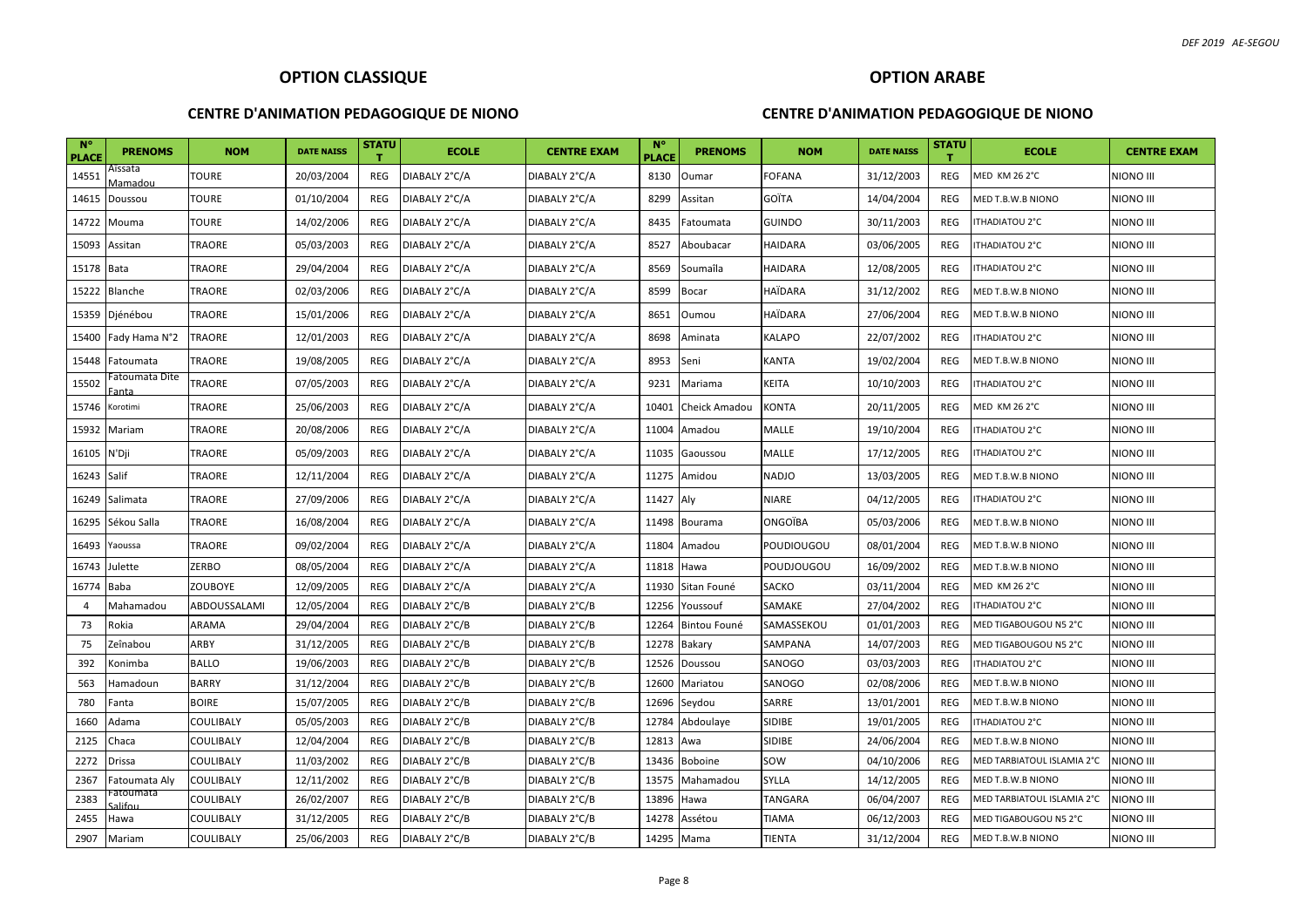#### **CENTRE D'ANIMATION PEDAGOGIQUE DE NIONO**

## **OPTION ARABE**

| $N^{\circ}$<br><b>PLACE</b> | <b>PRENOMS</b>          | <b>NOM</b>       | <b>DATE NAISS</b> | STATU      | <b>ECOLE</b>  | <b>CENTRE EXAM</b> | <b>N°</b><br><b>PLACE</b> | <b>PRENOMS</b> | <b>NOM</b>        | <b>DATE NAISS</b> | <b>STATU</b> | <b>ECOLE</b>               | <b>CENTRE EXAM</b> |
|-----------------------------|-------------------------|------------------|-------------------|------------|---------------|--------------------|---------------------------|----------------|-------------------|-------------------|--------------|----------------------------|--------------------|
| 14551                       | Aîssata<br>Vlamadou     | <b>TOURE</b>     | 20/03/2004        | REG        | DIABALY 2°C/A | DIABALY 2°C/A      | 8130                      | Oumar          | <b>FOFANA</b>     | 31/12/2003        | <b>REG</b>   | <b>MED KM 26 2°C</b>       | <b>NIONO III</b>   |
| 14615                       | Doussou                 | <b>TOURE</b>     | 01/10/2004        | REG        | DIABALY 2°C/A | DIABALY 2°C/A      | 8299                      | Assitan        | GOÏTA             | 14/04/2004        | <b>REG</b>   | MED T.B.W.B NIONO          | <b>NIONO III</b>   |
| 14722                       | Mouma                   | <b>TOURE</b>     | 14/02/2006        | <b>REG</b> | DIABALY 2°C/A | DIABALY 2°C/A      | 8435                      | Fatoumata      | <b>GUINDO</b>     | 30/11/2003        | <b>REG</b>   | ITHADIATOU 2°C             | <b>NIONO III</b>   |
| 15093                       | Assitan                 | TRAORE           | 05/03/2003        | <b>REG</b> | DIABALY 2°C/A | DIABALY 2°C/A      | 8527                      | Aboubacar      | <b>HAIDARA</b>    | 03/06/2005        | <b>REG</b>   | <b>ITHADIATOU 2°C</b>      | NIONO III          |
| 15178                       | <b>Bata</b>             | <b>TRAORE</b>    | 29/04/2004        | REG        | DIABALY 2°C/A | DIABALY 2°C/A      | 8569                      | Soumaîla       | <b>HAIDARA</b>    | 12/08/2005        | <b>REG</b>   | ITHADIATOU 2°C             | <b>NIONO III</b>   |
| 15222                       | <b>Blanche</b>          | TRAORE           | 02/03/2006        | REG        | DIABALY 2°C/A | DIABALY 2°C/A      | 8599                      | Bocar          | <b>HAÏDARA</b>    | 31/12/2002        | <b>REG</b>   | MED T.B.W.B NIONO          | <b>NIONO III</b>   |
| 15359                       | Djénébou                | TRAORE           | 15/01/2006        | REG        | DIABALY 2°C/A | DIABALY 2°C/A      | 8651                      | Oumou          | <b>HAÏDARA</b>    | 27/06/2004        | <b>REG</b>   | MED T.B.W.B NIONO          | <b>NIONO III</b>   |
| 15400                       | Fady Hama N°2           | TRAORE           | 12/01/2003        | REG        | DIABALY 2°C/A | DIABALY 2°C/A      | 8698                      | Aminata        | KALAPO            | 22/07/2002        | REG          | ITHADIATOU 2°C             | <b>NIONO III</b>   |
| 15448                       | Fatoumata               | TRAORE           | 19/08/2005        | REG        | DIABALY 2°C/A | DIABALY 2°C/A      | 8953                      | Seni           | <b>KANTA</b>      | 19/02/2004        | <b>REG</b>   | MED T.B.W.B NIONO          | <b>NIONO III</b>   |
| 15502                       | Fatoumata Dite<br>Fanta | TRAORE           | 07/05/2003        | REG        | DIABALY 2°C/A | DIABALY 2°C/A      | 9231                      | Mariama        | <b>KEITA</b>      | 10/10/2003        | <b>REG</b>   | <b>ITHADIATOU 2°C</b>      | <b>NIONO III</b>   |
| 15746                       | Korotimi                | TRAORE           | 25/06/2003        | REG        | DIABALY 2°C/A | DIABALY 2°C/A      | 10401                     | Cheick Amadou  | <b>KONTA</b>      | 20/11/2005        | <b>REG</b>   | <b>MED KM 26 2°C</b>       | NIONO III          |
| 15932                       | Mariam                  | TRAORE           | 20/08/2006        | REG        | DIABALY 2°C/A | DIABALY 2°C/A      | 11004                     | Amadou         | MALLE             | 19/10/2004        | <b>REG</b>   | ITHADIATOU 2°C             | <b>NIONO III</b>   |
| 16105                       | N'Dji                   | <b>TRAORE</b>    | 05/09/2003        | <b>REG</b> | DIABALY 2°C/A | DIABALY 2°C/A      | 11035                     | Gaoussou       | MALLE             | 17/12/2005        | <b>REG</b>   | ITHADIATOU 2°C             | NIONO III          |
| 16243                       | Salif                   | TRAORE           | 12/11/2004        | REG        | DIABALY 2°C/A | DIABALY 2°C/A      | 11275                     | Amidou         | <b>NADJO</b>      | 13/03/2005        | <b>REG</b>   | MED T.B.W.B NIONO          | <b>NIONO III</b>   |
| 16249                       | Salimata                | TRAORE           | 27/09/2006        | REG        | DIABALY 2°C/A | DIABALY 2°C/A      | 11427 Aly                 |                | NIARE             | 04/12/2005        | REG          | <b>ITHADIATOU 2°C</b>      | NIONO III          |
| 16295                       | Sékou Salla             | TRAORE           | 16/08/2004        | REG        | DIABALY 2°C/A | DIABALY 2°C/A      | 11498                     | Bourama        | ONGOÏBA           | 05/03/2006        | REG          | MED T.B.W.B NIONO          | <b>NIONO III</b>   |
| 16493                       | Yaoussa                 | TRAORE           | 09/02/2004        | <b>REG</b> | DIABALY 2°C/A | DIABALY 2°C/A      | 11804                     | Amadou         | <b>POUDIOUGOU</b> | 08/01/2004        | <b>REG</b>   | MED T.B.W.B NIONO          | <b>NIONO III</b>   |
| 16743                       | Julette                 | ZERBO            | 08/05/2004        | REG        | DIABALY 2°C/A | DIABALY 2°C/A      | 11818                     | Hawa           | <b>POUDJOUGOU</b> | 16/09/2002        | <b>REG</b>   | MED T.B.W.B NIONO          | <b>NIONO III</b>   |
| 16774                       | Baba                    | <b>ZOUBOYE</b>   | 12/09/2005        | <b>REG</b> | DIABALY 2°C/A | DIABALY 2°C/A      | 11930                     | Sitan Founé    | <b>SACKO</b>      | 03/11/2004        | <b>REG</b>   | <b>MED KM 26 2°C</b>       | <b>NIONO III</b>   |
| $\overline{4}$              | Mahamadou               | ABDOUSSALAMI     | 12/05/2004        | <b>REG</b> | DIABALY 2°C/B | DIABALY 2°C/B      | 12256                     | Youssouf       | SAMAKE            | 27/04/2002        | <b>REG</b>   | ITHADIATOU 2°C             | NIONO III          |
| 73                          | Rokia                   | ARAMA            | 29/04/2004        | REG        | DIABALY 2°C/B | DIABALY 2°C/B      | 12264                     | Bintou Founé   | SAMASSEKOU        | 01/01/2003        | REG          | MED TIGABOUGOU N5 2°C      | <b>NIONO III</b>   |
| 75                          | Zeînabou                | ARBY             | 31/12/2005        | REG        | DIABALY 2°C/B | DIABALY 2°C/B      | 12278                     | Bakary         | SAMPANA           | 14/07/2003        | <b>REG</b>   | MED TIGABOUGOU N5 2°C      | NIONO III          |
| 392                         | Konimba                 | <b>BALLO</b>     | 19/06/2003        | REG        | DIABALY 2°C/B | DIABALY 2°C/B      | 12526                     | Doussou        | SANOGO            | 03/03/2003        | REG          | ITHADIATOU 2°C             | <b>NIONO III</b>   |
| 563                         | Hamadoun                | <b>BARRY</b>     | 31/12/2004        | REG        | DIABALY 2°C/B | DIABALY 2°C/B      | 12600                     | Mariatou       | SANOGO            | 02/08/2006        | <b>REG</b>   | MED T.B.W.B NIONO          | <b>NIONO III</b>   |
| 780                         | Fanta                   | <b>BOIRE</b>     | 15/07/2005        | REG        | DIABALY 2°C/B | DIABALY 2°C/B      | 12696                     | Seydou         | SARRE             | 13/01/2001        | <b>REG</b>   | MED T.B.W.B NIONO          | <b>NIONO III</b>   |
| 1660                        | Adama                   | COULIBALY        | 05/05/2003        | REG        | DIABALY 2°C/B | DIABALY 2°C/B      | 12784                     | Abdoulaye      | SIDIBE            | 19/01/2005        | <b>REG</b>   | ITHADIATOU 2°C             | <b>NIONO III</b>   |
| 2125                        | Chaca                   | COULIBALY        | 12/04/2004        | REG        | DIABALY 2°C/B | DIABALY 2°C/B      | 12813                     | Awa            | SIDIBE            | 24/06/2004        | <b>REG</b>   | MED T.B.W.B NIONO          | <b>NIONO III</b>   |
| 2272                        | Drissa                  | COULIBALY        | 11/03/2002        | REG        | DIABALY 2°C/B | DIABALY 2°C/B      | 13436                     | Boboine        | SOW               | 04/10/2006        | <b>REG</b>   | MED TARBIATOUL ISLAMIA 2°C | <b>NIONO III</b>   |
| 2367                        | Fatoumata Aly           | <b>COULIBALY</b> | 12/11/2002        | REG        | DIABALY 2°C/B | DIABALY 2°C/B      | 13575                     | Mahamadou      | <b>SYLLA</b>      | 14/12/2005        | <b>REG</b>   | MED T.B.W.B NIONO          | NIONO III          |
| 2383                        | -atoumata               | COULIBALY        | 26/02/2007        | <b>REG</b> | DIABALY 2°C/B | DIABALY 2°C/B      | 13896                     | Hawa           | <b>TANGARA</b>    | 06/04/2007        | <b>REG</b>   | MED TARBIATOUL ISLAMIA 2°C | <b>NIONO III</b>   |
| 2455                        | Hawa                    | COULIBALY        | 31/12/2005        | REG        | DIABALY 2°C/B | DIABALY 2°C/B      | 14278                     | Assétou        | <b>TIAMA</b>      | 06/12/2003        | <b>REG</b>   | MED TIGABOUGOU N5 2°C      | NIONO III          |
| 2907                        | Mariam                  | COULIBALY        | 25/06/2003        | <b>REG</b> | DIABALY 2°C/B | DIABALY 2°C/B      | 14295 Mama                |                | <b>TIENTA</b>     | 31/12/2004        | <b>REG</b>   | MED T.B.W.B NIONO          | <b>NIONO III</b>   |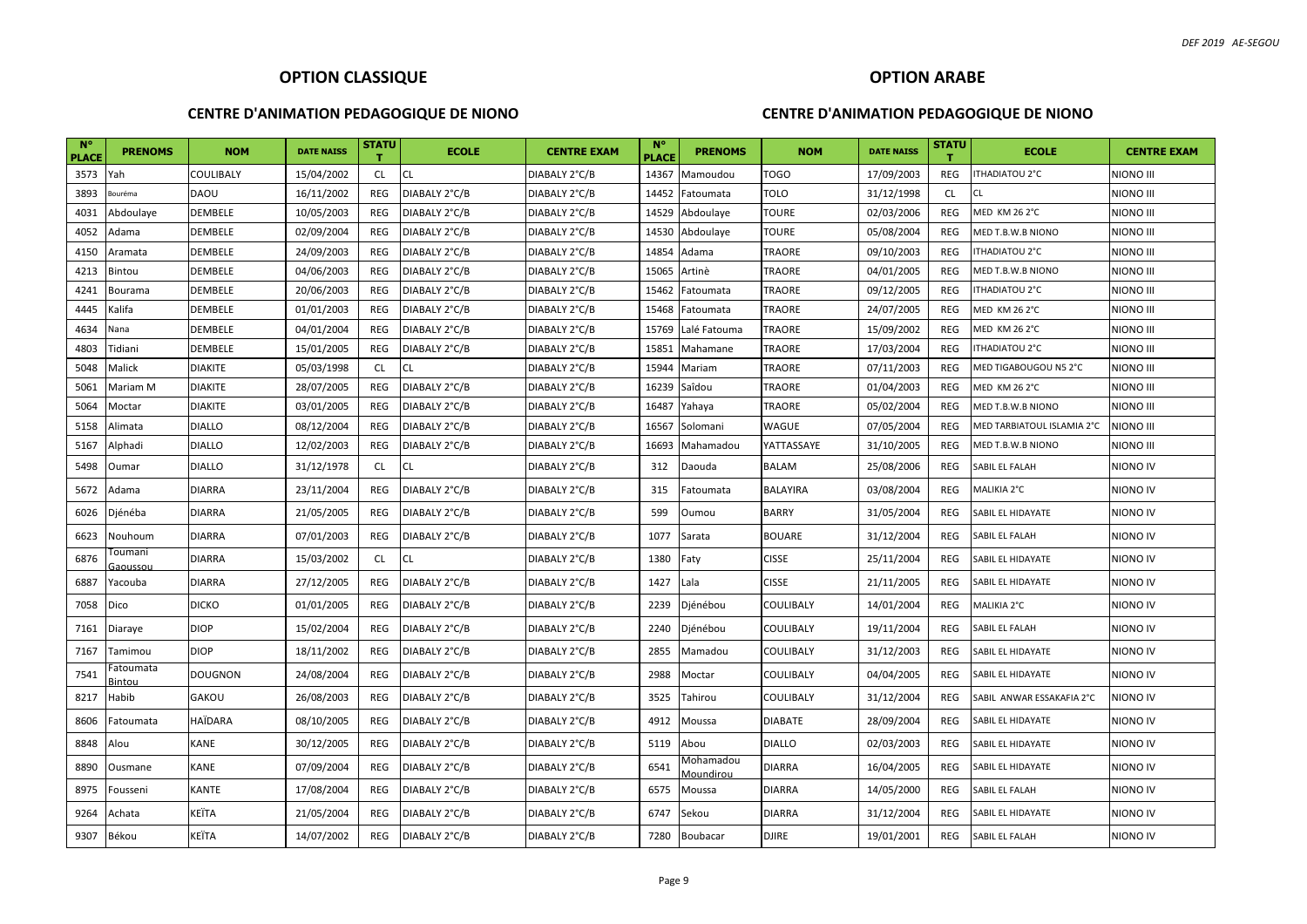#### **CENTRE D'ANIMATION PEDAGOGIQUE DE NIONO**

## **OPTION ARABE**

| <b>N°</b><br><b>PLACE</b> | <b>PRENOMS</b>      | <b>NOM</b>     | <b>DATE NAISS</b> | <b>STATU</b> | <b>ECOLE</b>  | <b>CENTRE EXAM</b> | $N^{\circ}$<br><b>PLACE</b> | <b>PRENOMS</b>          | <b>NOM</b>     | <b>DATE NAISS</b> | <b>STATU</b><br>т | <b>ECOLE</b>               | <b>CENTRE EXAM</b> |
|---------------------------|---------------------|----------------|-------------------|--------------|---------------|--------------------|-----------------------------|-------------------------|----------------|-------------------|-------------------|----------------------------|--------------------|
| 3573                      | Yah                 | COULIBALY      | 15/04/2002        | <b>CL</b>    | <b>CL</b>     | DIABALY 2°C/B      | 14367                       | Mamoudou                | <b>TOGO</b>    | 17/09/2003        | REG               | ITHADIATOU 2°C             | NIONO III          |
| 3893                      | Bouréma             | <b>DAOU</b>    | 16/11/2002        | REG          | DIABALY 2°C/B | DIABALY 2°C/B      | 14452                       | Fatoumata               | TOLO           | 31/12/1998        | <b>CL</b>         | <b>CL</b>                  | NIONO III          |
| 4031                      | Abdoulaye           | <b>DEMBELE</b> | 10/05/2003        | REG          | DIABALY 2°C/B | DIABALY 2°C/B      | 14529                       | Abdoulaye               | <b>TOURE</b>   | 02/03/2006        | <b>REG</b>        | <b>MED KM 26 2°C</b>       | NIONO III          |
| 4052                      | Adama               | <b>DEMBELE</b> | 02/09/2004        | REG          | DIABALY 2°C/B | DIABALY 2°C/B      | 14530                       | Abdoulaye               | TOURE          | 05/08/2004        | <b>REG</b>        | MED T.B.W.B NIONO          | NIONO III          |
| 4150                      | Aramata             | <b>DEMBELE</b> | 24/09/2003        | REG          | DIABALY 2°C/B | DIABALY 2°C/B      | 14854                       | Adama                   | TRAORE         | 09/10/2003        | <b>REG</b>        | ITHADIATOU 2°C             | NIONO III          |
| 4213                      | Bintou              | <b>DEMBELE</b> | 04/06/2003        | REG          | DIABALY 2°C/B | DIABALY 2°C/B      | 15065                       | Artinè                  | TRAORE         | 04/01/2005        | <b>REG</b>        | MED T.B.W.B NIONO          | NIONO III          |
| 4241                      | Bourama             | <b>DEMBELE</b> | 20/06/2003        | REG          | DIABALY 2°C/B | DIABALY 2°C/B      | 15462                       | Fatoumata               | <b>TRAORE</b>  | 09/12/2005        | <b>REG</b>        | ITHADIATOU 2°C             | NIONO III          |
| 4445                      | Kalifa              | <b>DEMBELE</b> | 01/01/2003        | REG          | DIABALY 2°C/B | DIABALY 2°C/B      | 15468                       | Fatoumata               | TRAORE         | 24/07/2005        | <b>REG</b>        | MED KM 26 2°C              | NIONO III          |
| 4634                      | Nana                | DEMBELE        | 04/01/2004        | REG          | DIABALY 2°C/B | DIABALY 2°C/B      | 15769                       | Lalé Fatouma            | TRAORE         | 15/09/2002        | <b>REG</b>        | <b>MED KM 26 2°C</b>       | NIONO III          |
| 4803                      | Tidiani             | <b>DEMBELE</b> | 15/01/2005        | REG          | DIABALY 2°C/B | DIABALY 2°C/B      | 15851                       | Mahamane                | TRAORE         | 17/03/2004        | <b>REG</b>        | ITHADIATOU 2°C             | niono III          |
| 5048                      | Malick              | <b>DIAKITE</b> | 05/03/1998        | <b>CL</b>    | <b>CL</b>     | DIABALY 2°C/B      | 15944                       | Mariam                  | TRAORE         | 07/11/2003        | <b>REG</b>        | MED TIGABOUGOU N5 2°C      | NIONO III          |
| 5061                      | Mariam M            | <b>DIAKITE</b> | 28/07/2005        | REG          | DIABALY 2°C/B | DIABALY 2°C/B      | 16239                       | Saîdou                  | <b>TRAORE</b>  | 01/04/2003        | <b>REG</b>        | <b>MED KM 26 2°C</b>       | NIONO III          |
| 5064                      | Moctar              | <b>DIAKITE</b> | 03/01/2005        | REG          | DIABALY 2°C/B | DIABALY 2°C/B      | 16487                       | Yahaya                  | <b>TRAORE</b>  | 05/02/2004        | <b>REG</b>        | MED T.B.W.B NIONO          | NIONO III          |
| 5158                      | Alimata             | <b>DIALLO</b>  | 08/12/2004        | REG          | DIABALY 2°C/B | DIABALY 2°C/B      | 16567                       | Solomani                | WAGUE          | 07/05/2004        | <b>REG</b>        | MED TARBIATOUL ISLAMIA 2°C | NIONO III          |
| 5167                      | Alphadi             | <b>DIALLO</b>  | 12/02/2003        | REG          | DIABALY 2°C/B | DIABALY 2°C/B      | 16693                       | Mahamadou               | YATTASSAYE     | 31/10/2005        | <b>REG</b>        | MED T.B.W.B NIONO          | NIONO III          |
| 5498                      | Oumar               | <b>DIALLO</b>  | 31/12/1978        | <b>CL</b>    | <b>CL</b>     | DIABALY 2°C/B      | 312                         | Daouda                  | BALAM          | 25/08/2006        | <b>REG</b>        | SABIL EL FALAH             | NIONO IV           |
| 5672                      | Adama               | <b>DIARRA</b>  | 23/11/2004        | REG          | DIABALY 2°C/B | DIABALY 2°C/B      | 315                         | Fatoumata               | BALAYIRA       | 03/08/2004        | <b>REG</b>        | MALIKIA 2°C                | NIONO IV           |
| 6026                      | Djénéba             | <b>DIARRA</b>  | 21/05/2005        | <b>REG</b>   | DIABALY 2°C/B | DIABALY 2°C/B      | 599                         | Oumou                   | <b>BARRY</b>   | 31/05/2004        | <b>REG</b>        | SABIL EL HIDAYATE          | NIONO IV           |
| 6623                      | Nouhoum             | <b>DIARRA</b>  | 07/01/2003        | REG          | DIABALY 2°C/B | DIABALY 2°C/B      | 1077                        | Sarata                  | <b>BOUARE</b>  | 31/12/2004        | <b>REG</b>        | SABIL EL FALAH             | NIONO IV           |
| 6876                      | oumani<br>Gaoussou  | <b>DIARRA</b>  | 15/03/2002        | <b>CL</b>    | <b>CL</b>     | DIABALY 2°C/B      | 1380                        | Faty                    | <b>CISSE</b>   | 25/11/2004        | <b>REG</b>        | SABIL EL HIDAYATE          | NIONO IV           |
| 6887                      | Yacouba             | <b>DIARRA</b>  | 27/12/2005        | REG          | DIABALY 2°C/B | DIABALY 2°C/B      | 1427                        | Lala                    | <b>CISSE</b>   | 21/11/2005        | <b>REG</b>        | SABIL EL HIDAYATE          | NIONO IV           |
| 7058                      | Dico                | <b>DICKO</b>   | 01/01/2005        | REG          | DIABALY 2°C/B | DIABALY 2°C/B      | 2239                        | Djénébou                | COULIBALY      | 14/01/2004        | <b>REG</b>        | MALIKIA 2°C                | NIONO IV           |
| 7161                      | Diaraye             | <b>DIOP</b>    | 15/02/2004        | REG          | DIABALY 2°C/B | DIABALY 2°C/B      | 2240                        | Djénébou                | COULIBALY      | 19/11/2004        | <b>REG</b>        | SABIL EL FALAH             | NIONO IV           |
| 7167                      | Tamimou             | <b>DIOP</b>    | 18/11/2002        | REG          | DIABALY 2°C/B | DIABALY 2°C/B      | 2855                        | Mamadou                 | COULIBALY      | 31/12/2003        | <b>REG</b>        | SABIL EL HIDAYATE          | NIONO IV           |
| 7541                      | Fatoumata<br>Bintou | <b>DOUGNON</b> | 24/08/2004        | <b>REG</b>   | DIABALY 2°C/B | DIABALY 2°C/B      | 2988                        | Moctar                  | COULIBALY      | 04/04/2005        | <b>REG</b>        | SABIL EL HIDAYATE          | NIONO IV           |
| 8217                      | Habib               | GAKOU          | 26/08/2003        | REG          | DIABALY 2°C/B | DIABALY 2°C/B      | 3525                        | Tahirou                 | COULIBALY      | 31/12/2004        | REG               | SABIL ANWAR ESSAKAFIA 2°C  | NIONO IV           |
| 8606                      | Fatoumata           | <b>HAÏDARA</b> | 08/10/2005        | <b>REG</b>   | DIABALY 2°C/B | DIABALY 2°C/B      | 4912                        | Moussa                  | <b>DIABATE</b> | 28/09/2004        | <b>REG</b>        | SABIL EL HIDAYATE          | NIONO IV           |
| 8848                      | Alou                | KANE           | 30/12/2005        | REG          | DIABALY 2°C/B | DIABALY 2°C/B      | 5119                        | Abou                    | <b>DIALLO</b>  | 02/03/2003        | <b>REG</b>        | SABIL EL HIDAYATE          | NIONO IV           |
| 8890                      | Ousmane             | KANE           | 07/09/2004        | REG          | DIABALY 2°C/B | DIABALY 2°C/B      | 6541                        | Vlohamadou<br>Moundirou | <b>DIARRA</b>  | 16/04/2005        | REG               | SABIL EL HIDAYATE          | NIONO IV           |
| 8975                      | Fousseni            | <b>KANTE</b>   | 17/08/2004        | REG          | DIABALY 2°C/B | DIABALY 2°C/B      | 6575                        | Moussa                  | <b>DIARRA</b>  | 14/05/2000        | <b>REG</b>        | SABIL EL FALAH             | NIONO IV           |
| 9264                      | Achata              | KEÏTA          | 21/05/2004        | REG          | DIABALY 2°C/B | DIABALY 2°C/B      | 6747                        | Sekou                   | <b>DIARRA</b>  | 31/12/2004        | <b>REG</b>        | SABIL EL HIDAYATE          | NIONO IV           |
| 9307                      | Békou               | KEÏTA          | 14/07/2002        | REG          | DIABALY 2°C/B | DIABALY 2°C/B      | 7280                        | <b>Boubacar</b>         | <b>DJIRE</b>   | 19/01/2001        | REG               | SABIL EL FALAH             | <b>NIONO IV</b>    |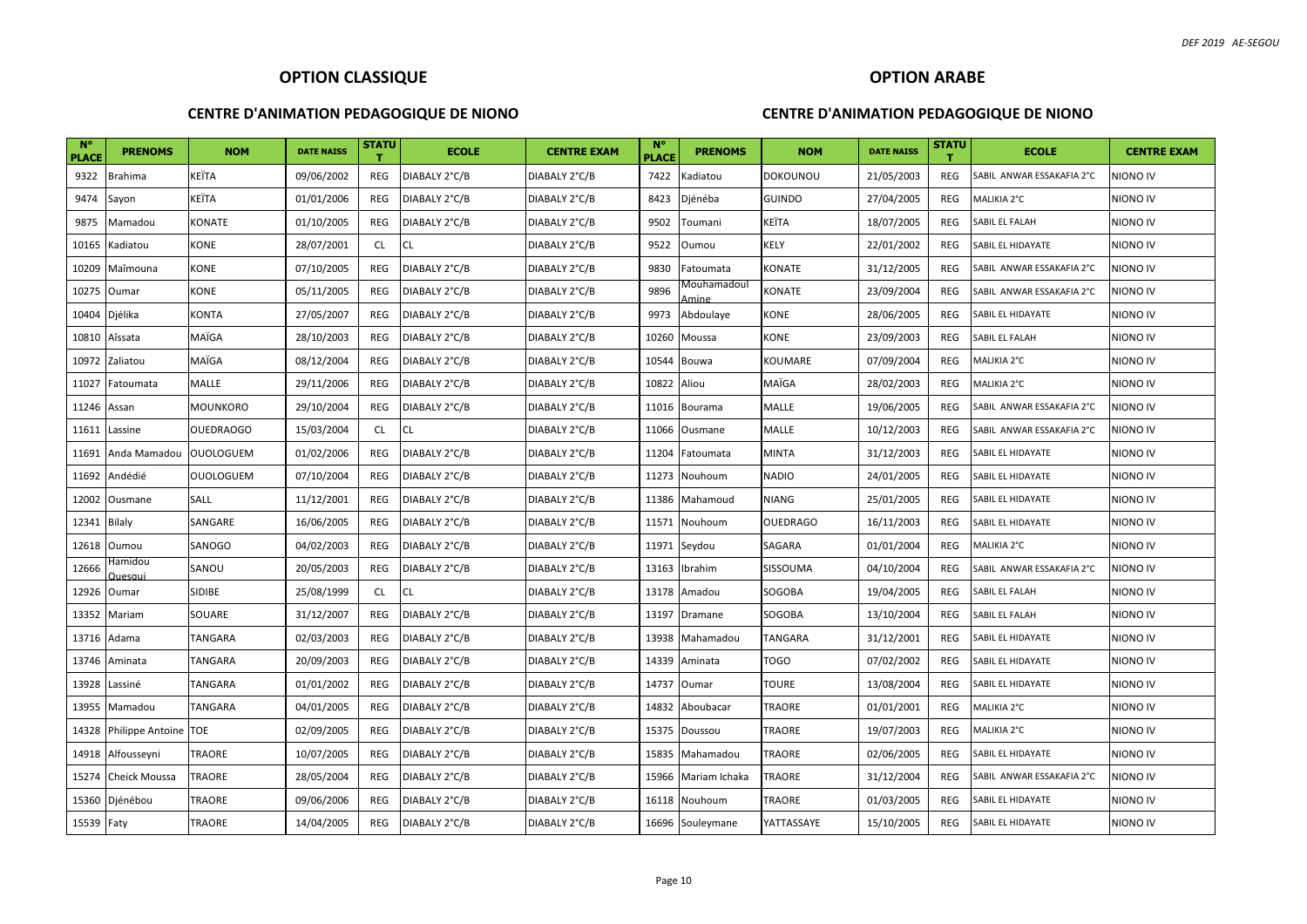#### **CENTRE D'ANIMATION PEDAGOGIQUE DE NIONO**

#### **CENTRE D'ANIMATION PEDAGOGIQUE DE NIONO**

| $N^{\circ}$<br><b>PLACE</b> | <b>PRENOMS</b>            | <b>NOM</b>       | <b>DATE NAISS</b> | <b>STATU</b><br>т | <b>ECOLE</b>  | <b>CENTRE EXAM</b> | $N^{\circ}$<br><b>PLACE</b> | <b>PRENOMS</b>       | <b>NOM</b>      | <b>DATE NAISS</b> | <b>STATU</b> | <b>ECOLE</b>              | <b>CENTRE EXAM</b> |
|-----------------------------|---------------------------|------------------|-------------------|-------------------|---------------|--------------------|-----------------------------|----------------------|-----------------|-------------------|--------------|---------------------------|--------------------|
| 9322                        | Brahima                   | KEÏTA            | 09/06/2002        | REG               | DIABALY 2°C/B | DIABALY 2°C/B      | 7422                        | adiatou)             | DOKOUNOU        | 21/05/2003        | <b>REG</b>   | SABIL ANWAR ESSAKAFIA 2°C | niono iv           |
| 9474                        | Sayon                     | KEÏTA            | 01/01/2006        | REG               | DIABALY 2°C/B | DIABALY 2°C/B      | 8423                        | Djénéba              | <b>GUINDO</b>   | 27/04/2005        | REG          | MALIKIA 2°C               | NIONO IV           |
| 9875                        | Mamadou                   | KONATE           | 01/10/2005        | <b>REG</b>        | DIABALY 2°C/B | DIABALY 2°C/B      | 9502                        | Toumani              | KEÏTA           | 18/07/2005        | <b>REG</b>   | SABIL EL FALAH            | NIONO IV           |
| 10165                       | Kadiatou                  | KONE             | 28/07/2001        | <b>CL</b>         | CL            | DIABALY 2°C/B      | 9522                        | Oumou                | KELY            | 22/01/2002        | <b>REG</b>   | SABIL EL HIDAYATE         | NIONO IV           |
| 10209                       | Maîmouna                  | KONE             | 07/10/2005        | <b>REG</b>        | DIABALY 2°C/B | DIABALY 2°C/B      | 9830                        | Fatoumata            | KONATE          | 31/12/2005        | <b>REG</b>   | SABIL ANWAR ESSAKAFIA 2°C | <b>NIONO IV</b>    |
| 10275                       | Oumar                     | KONE             | 05/11/2005        | REG               | DIABALY 2°C/B | DIABALY 2°C/B      | 9896                        | Mouhamadoul<br>Amine | KONATE          | 23/09/2004        | <b>REG</b>   | SABIL ANWAR ESSAKAFIA 2°C | NIONO IV           |
| 10404                       | Djélika                   | KONTA            | 27/05/2007        | REG               | DIABALY 2°C/B | DIABALY 2°C/B      | 9973                        | Abdoulaye            | KONE            | 28/06/2005        | <b>REG</b>   | SABIL EL HIDAYATE         | NIONO IV           |
| 10810                       | Aîssata                   | MAÏGA            | 28/10/2003        | REG               | DIABALY 2°C/B | DIABALY 2°C/B      | 10260                       | Moussa               | KONE            | 23/09/2003        | <b>REG</b>   | SABIL EL FALAH            | NIONO IV           |
| 10972                       | Zaliatou                  | MAÏGA            | 08/12/2004        | REG               | DIABALY 2°C/B | DIABALY 2°C/B      | 10544                       | Bouwa                | KOUMARE         | 07/09/2004        | <b>REG</b>   | MALIKIA 2°C               | NIONO IV           |
| 11027                       | Fatoumata                 | MALLE            | 29/11/2006        | REG               | DIABALY 2°C/B | DIABALY 2°C/B      | 10822                       | Aliou                | MAÏGA           | 28/02/2003        | <b>REG</b>   | MALIKIA 2°C               | niono iv           |
| 11246                       | Assan                     | MOUNKORO         | 29/10/2004        | REG               | DIABALY 2°C/B | DIABALY 2°C/B      |                             | 11016 Bourama        | MALLE           | 19/06/2005        | <b>REG</b>   | SABIL ANWAR ESSAKAFIA 2°C | <b>NIONO IV</b>    |
| 11611                       | Lassine                   | <b>OUEDRAOGO</b> | 15/03/2004        | <b>CL</b>         | <b>CL</b>     | DIABALY 2°C/B      | 11066                       | Ousmane              | MALLE           | 10/12/2003        | <b>REG</b>   | SABIL ANWAR ESSAKAFIA 2°C | <b>NIONO IV</b>    |
| 11691                       | Anda Mamadou              | <b>OUOLOGUEM</b> | 01/02/2006        | <b>REG</b>        | DIABALY 2°C/B | DIABALY 2°C/B      | 11204                       | Fatoumata            | <b>MINTA</b>    | 31/12/2003        | <b>REG</b>   | SABIL EL HIDAYATE         | NIONO IV           |
| 11692                       | Andédié                   | <b>OUOLOGUEM</b> | 07/10/2004        | REG               | DIABALY 2°C/B | DIABALY 2°C/B      | 11273                       | Nouhoum              | <b>NADIO</b>    | 24/01/2005        | <b>REG</b>   | SABIL EL HIDAYATE         | NIONO IV           |
| 12002                       | Ousmane                   | <b>SALL</b>      | 11/12/2001        | REG               | DIABALY 2°C/B | DIABALY 2°C/B      | 11386                       | Mahamoud             | <b>NIANG</b>    | 25/01/2005        | <b>REG</b>   | SABIL EL HIDAYATE         | NIONO IV           |
| 12341                       | <b>Bilaly</b>             | SANGARE          | 16/06/2005        | REG               | DIABALY 2°C/B | DIABALY 2°C/B      | 11571                       | Nouhoum              | <b>OUEDRAGO</b> | 16/11/2003        | <b>REG</b>   | SABIL EL HIDAYATE         | NIONO IV           |
| 12618                       | Oumou                     | SANOGO           | 04/02/2003        | REG               | DIABALY 2°C/B | DIABALY 2°C/B      | 11971                       | Seydou               | SAGARA          | 01/01/2004        | <b>REG</b>   | MALIKIA 2°C               | NIONO IV           |
| 12666                       | Hamidou<br><b>Quesqui</b> | SANOU            | 20/05/2003        | REG               | DIABALY 2°C/B | DIABALY 2°C/B      | 13163                       | Ibrahim              | SISSOUMA        | 04/10/2004        | <b>REG</b>   | SABIL ANWAR ESSAKAFIA 2°C | NIONO IV           |
| 12926                       | Oumar                     | SIDIBE           | 25/08/1999        | <b>CL</b>         | <b>CL</b>     | DIABALY 2°C/B      |                             | 13178 Amadou         | SOGOBA          | 19/04/2005        | <b>REG</b>   | SABIL EL FALAH            | NIONO IV           |
| 13352                       | Mariam                    | SOUARE           | 31/12/2007        | REG               | DIABALY 2°C/B | DIABALY 2°C/B      | 13197                       | Dramane              | SOGOBA          | 13/10/2004        | REG          | SABIL EL FALAH            | niono iv           |
| 13716                       | Adama                     | TANGARA          | 02/03/2003        | REG               | DIABALY 2°C/B | DIABALY 2°C/B      |                             | 13938 Mahamadou      | TANGARA         | 31/12/2001        | REG          | SABIL EL HIDAYATE         | NIONO IV           |
| 13746                       | Aminata                   | TANGARA          | 20/09/2003        | <b>REG</b>        | DIABALY 2°C/B | DIABALY 2°C/B      | 14339                       | Aminata              | TOGO            | 07/02/2002        | REG          | SABIL EL HIDAYATE         | NIONO IV           |
| 13928                       | Lassiné                   | TANGARA          | 01/01/2002        | REG               | DIABALY 2°C/B | DIABALY 2°C/B      | 14737                       | Oumar                | TOURE           | 13/08/2004        | <b>REG</b>   | SABIL EL HIDAYATE         | NIONO IV           |
| 13955                       | Mamadou                   | TANGARA          | 04/01/2005        | <b>REG</b>        | DIABALY 2°C/B | DIABALY 2°C/B      | 14832                       | Aboubacar            | TRAORE          | 01/01/2001        | <b>REG</b>   | MALIKIA 2°C               | NIONO IV           |
| 14328                       | Philippe Antoine TOE      |                  | 02/09/2005        | REG               | DIABALY 2°C/B | DIABALY 2°C/B      | 15375                       | Doussou              | TRAORE          | 19/07/2003        | <b>REG</b>   | MALIKIA 2°C               | NIONO IV           |
| 14918                       | Alfousseyni               | TRAORE           | 10/07/2005        | REG               | DIABALY 2°C/B | DIABALY 2°C/B      | 15835                       | Mahamadou            | TRAORE          | 02/06/2005        | <b>REG</b>   | SABIL EL HIDAYATE         | NIONO IV           |
| 15274                       | <b>Cheick Moussa</b>      | <b>TRAORE</b>    | 28/05/2004        | REG               | DIABALY 2°C/B | DIABALY 2°C/B      | 15966                       | Mariam Ichaka        | TRAORE          | 31/12/2004        | <b>REG</b>   | SABIL ANWAR ESSAKAFIA 2°C | <b>NIONO IV</b>    |
| 15360                       | Djénébou                  | <b>TRAORE</b>    | 09/06/2006        | REG               | DIABALY 2°C/B | DIABALY 2°C/B      |                             | 16118 Nouhoum        | TRAORE          | 01/03/2005        | <b>REG</b>   | SABIL EL HIDAYATE         | NIONO IV           |
| 15539 Faty                  |                           | TRAORE           | 14/04/2005        | REG               | DIABALY 2°C/B | DIABALY 2°C/B      |                             | 16696 Souleymane     | YATTASSAYE      | 15/10/2005        | <b>REG</b>   | SABIL EL HIDAYATE         | NIONO IV           |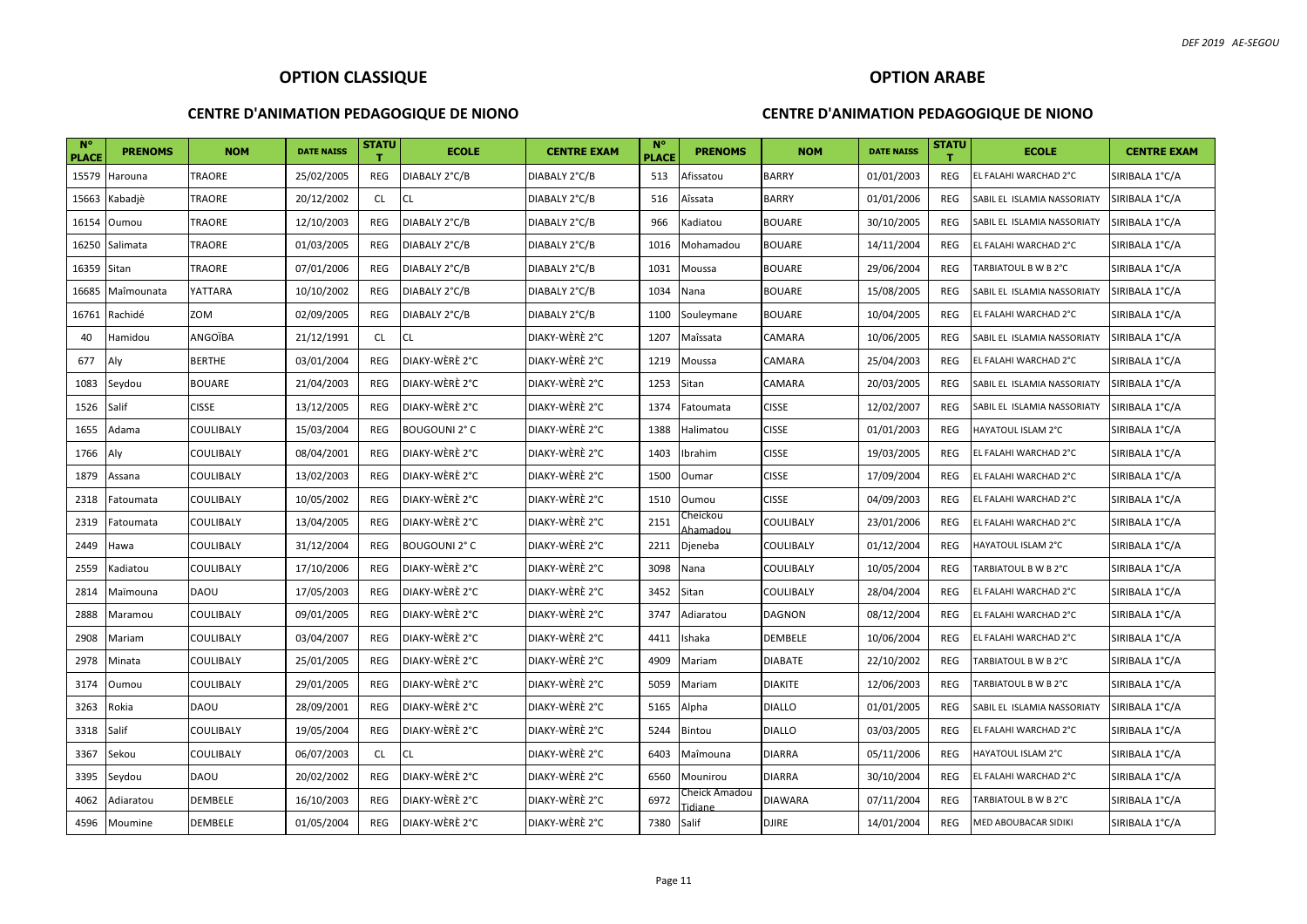#### **CENTRE D'ANIMATION PEDAGOGIQUE DE NIONO**

### **OPTION ARABE**

| <b>N°</b><br><b>PLACE</b> | <b>PRENOMS</b> | <b>NOM</b>    | <b>DATE NAISS</b> | STATU<br>т | <b>ECOLE</b>         | <b>CENTRE EXAM</b> | <b>N°</b><br><b>PLACE</b> | <b>PRENOMS</b>          | <b>NOM</b>       | <b>DATE NAISS</b> | <b>STATU</b><br>т. | <b>ECOLE</b>                | <b>CENTRE EXAM</b> |
|---------------------------|----------------|---------------|-------------------|------------|----------------------|--------------------|---------------------------|-------------------------|------------------|-------------------|--------------------|-----------------------------|--------------------|
| 15579                     | Harouna        | TRAORE        | 25/02/2005        | REG        | DIABALY 2°C/B        | DIABALY 2°C/B      | 513                       | Afissatou               | <b>BARRY</b>     | 01/01/2003        | REG                | EL FALAHI WARCHAD 2°C       | SIRIBALA 1°C/A     |
| 15663                     | Kabadjè        | TRAORE        | 20/12/2002        | <b>CL</b>  | <b>CL</b>            | DIABALY 2°C/B      | 516                       | Aîssata                 | <b>BARRY</b>     | 01/01/2006        | REG                | SABIL EL ISLAMIA NASSORIATY | SIRIBALA 1°C/A     |
| 16154                     | Oumou          | TRAORE        | 12/10/2003        | REG        | DIABALY 2°C/B        | DIABALY 2°C/B      | 966                       | Kadiatou                | <b>BOUARE</b>    | 30/10/2005        | REG                | SABIL EL ISLAMIA NASSORIATY | SIRIBALA 1°C/A     |
| 16250                     | Salimata       | TRAORE        | 01/03/2005        | REG        | DIABALY 2°C/B        | DIABALY 2°C/B      | 1016                      | Mohamadou               | <b>BOUARE</b>    | 14/11/2004        | REG                | EL FALAHI WARCHAD 2°C       | SIRIBALA 1°C/A     |
| 16359                     | Sitan          | <b>TRAORE</b> | 07/01/2006        | REG        | DIABALY 2°C/B        | DIABALY 2°C/B      | 1031                      | Moussa                  | <b>BOUARE</b>    | 29/06/2004        | REG                | TARBIATOUL B W B 2°C        | SIRIBALA 1°C/A     |
| 16685                     | Maîmounata     | YATTARA       | 10/10/2002        | REG        | DIABALY 2°C/B        | DIABALY 2°C/B      | 1034                      | Nana                    | <b>BOUARE</b>    | 15/08/2005        | <b>REG</b>         | SABIL EL ISLAMIA NASSORIATY | SIRIBALA 1°C/A     |
| 16761                     | Rachidé        | ZOM           | 02/09/2005        | REG        | DIABALY 2°C/B        | DIABALY 2°C/B      | 1100                      | Souleymane              | <b>BOUARE</b>    | 10/04/2005        | REG                | EL FALAHI WARCHAD 2°C       | SIRIBALA 1°C/A     |
| 40                        | Hamidou        | ANGOÏBA       | 21/12/1991        | <b>CL</b>  | <b>CL</b>            | DIAKY-WÈRÈ 2°C     | 1207                      | Maîssata                | CAMARA           | 10/06/2005        | REG                | SABIL EL ISLAMIA NASSORIATY | SIRIBALA 1°C/A     |
| 677                       | Aly            | <b>BERTHE</b> | 03/01/2004        | REG        | DIAKY-WÈRÈ 2°C       | DIAKY-WÈRÈ 2°C     | 1219                      | Moussa                  | CAMARA           | 25/04/2003        | REG                | EL FALAHI WARCHAD 2°C       | SIRIBALA 1°C/A     |
| 1083                      | Seydou         | <b>BOUARE</b> | 21/04/2003        | REG        | DIAKY-WÈRÈ 2°C       | DIAKY-WÈRÈ 2°C     | 1253                      | Sitan                   | CAMARA           | 20/03/2005        | <b>REG</b>         | SABIL EL ISLAMIA NASSORIATY | SIRIBALA 1°C/A     |
| 1526                      | Salif          | <b>CISSE</b>  | 13/12/2005        | REG        | DIAKY-WÈRÈ 2°C       | DIAKY-WÈRÈ 2°C     | 1374                      | Fatoumata               | <b>CISSE</b>     | 12/02/2007        | REG                | SABIL EL ISLAMIA NASSORIATY | SIRIBALA 1°C/A     |
| 1655                      | Adama          | COULIBALY     | 15/03/2004        | REG        | <b>BOUGOUNI 2° C</b> | DIAKY-WÈRÈ 2°C     | 1388                      | Halimatou               | <b>CISSE</b>     | 01/01/2003        | REG                | HAYATOUL ISLAM 2°C          | SIRIBALA 1°C/A     |
| 1766                      | Aly            | COULIBALY     | 08/04/2001        | REG        | DIAKY-WÈRÈ 2°C       | DIAKY-WÈRÈ 2°C     | 1403                      | Ibrahim                 | <b>CISSE</b>     | 19/03/2005        | REG                | EL FALAHI WARCHAD 2°C       | SIRIBALA 1°C/A     |
| 1879                      | Assana         | COULIBALY     | 13/02/2003        | REG        | DIAKY-WÈRÈ 2°C       | DIAKY-WÈRÈ 2°C     | 1500                      | Oumar                   | <b>CISSE</b>     | 17/09/2004        | REG                | EL FALAHI WARCHAD 2°C       | SIRIBALA 1°C/A     |
| 2318                      | Fatoumata      | COULIBALY     | 10/05/2002        | REG        | DIAKY-WÈRÈ 2°C       | DIAKY-WÈRÈ 2°C     | 1510                      | Oumou                   | <b>CISSE</b>     | 04/09/2003        | REG                | EL FALAHI WARCHAD 2°C       | SIRIBALA 1°C/A     |
| 2319                      | Fatoumata      | COULIBALY     | 13/04/2005        | REG        | DIAKY-WÈRÈ 2°C       | DIAKY-WÈRÈ 2°C     | 2151                      | heickou:<br>Ahamadou    | <b>COULIBALY</b> | 23/01/2006        | REG                | EL FALAHI WARCHAD 2°C       | SIRIBALA 1°C/A     |
| 2449                      | Hawa           | COULIBALY     | 31/12/2004        | REG        | <b>BOUGOUNI 2° C</b> | DIAKY-WÈRÈ 2°C     | 2211                      | Djeneba                 | <b>COULIBALY</b> | 01/12/2004        | REG                | <b>HAYATOUL ISLAM 2°C</b>   | SIRIBALA 1°C/A     |
| 2559                      | Kadiatou       | COULIBALY     | 17/10/2006        | REG        | DIAKY-WÈRÈ 2°C       | DIAKY-WÈRÈ 2°C     | 3098                      | Nana                    | COULIBALY        | 10/05/2004        | REG                | TARBIATOUL B W B 2°C        | SIRIBALA 1°C/A     |
| 2814                      | Maïmouna       | <b>DAOU</b>   | 17/05/2003        | REG        | DIAKY-WÈRÈ 2°C       | DIAKY-WÈRÈ 2°C     | 3452                      | Sitan                   | <b>COULIBALY</b> | 28/04/2004        | REG                | EL FALAHI WARCHAD 2°C       | SIRIBALA 1°C/A     |
| 2888                      | Maramou        | COULIBALY     | 09/01/2005        | REG        | DIAKY-WÈRÈ 2°C       | DIAKY-WÈRÈ 2°C     | 3747                      | Adiaratou               | <b>DAGNON</b>    | 08/12/2004        | REG                | EL FALAHI WARCHAD 2°C       | SIRIBALA 1°C/A     |
| 2908                      | Mariam         | COULIBALY     | 03/04/2007        | REG        | DIAKY-WÈRÈ 2°C       | DIAKY-WÈRÈ 2°C     | 4411                      | Ishaka                  | <b>DEMBELE</b>   | 10/06/2004        | REG                | EL FALAHI WARCHAD 2°C       | SIRIBALA 1°C/A     |
| 2978                      | Minata         | COULIBALY     | 25/01/2005        | REG        | DIAKY-WÈRÈ 2°C       | DIAKY-WÈRÈ 2°C     | 4909                      | Mariam                  | <b>DIABATE</b>   | 22/10/2002        | REG                | TARBIATOUL B W B 2°C        | SIRIBALA 1°C/A     |
| 3174                      | Oumou          | COULIBALY     | 29/01/2005        | REG        | DIAKY-WÈRÈ 2°C       | DIAKY-WÈRÈ 2°C     | 5059                      | Mariam                  | <b>DIAKITE</b>   | 12/06/2003        | <b>REG</b>         | TARBIATOUL B W B 2°C        | SIRIBALA 1°C/A     |
| 3263                      | Rokia          | <b>DAOU</b>   | 28/09/2001        | REG        | DIAKY-WÈRÈ 2°C       | DIAKY-WÈRÈ 2°C     | 5165                      | Alpha                   | <b>DIALLO</b>    | 01/01/2005        | REG                | SABIL EL ISLAMIA NASSORIATY | SIRIBALA 1°C/A     |
| 3318                      | Salif          | COULIBALY     | 19/05/2004        | REG        | DIAKY-WÈRÈ 2°C       | DIAKY-WÈRÈ 2°C     | 5244                      | Bintou                  | <b>DIALLO</b>    | 03/03/2005        | <b>REG</b>         | EL FALAHI WARCHAD 2°C       | SIRIBALA 1°C/A     |
| 3367                      | Sekou          | COULIBALY     | 06/07/2003        | CL         | <b>CL</b>            | DIAKY-WÈRÈ 2°C     | 6403                      | Maîmouna                | <b>DIARRA</b>    | 05/11/2006        | REG                | HAYATOUL ISLAM 2°C          | SIRIBALA 1°C/A     |
| 3395                      | Seydou         | <b>DAOU</b>   | 20/02/2002        | REG        | DIAKY-WÈRÈ 2°C       | DIAKY-WÈRÈ 2°C     | 6560                      | Mounirou                | <b>DIARRA</b>    | 30/10/2004        | REG                | EL FALAHI WARCHAD 2°C       | SIRIBALA 1°C/A     |
| 4062                      | Adiaratou      | DEMBELE       | 16/10/2003        | REG        | DIAKY-WÈRÈ 2°C       | DIAKY-WÈRÈ 2°C     | 6972                      | Cheick Amadou<br>idiane | <b>DIAWARA</b>   | 07/11/2004        | REG                | TARBIATOUL B W B 2°C        | SIRIBALA 1°C/A     |
| 4596                      | Moumine        | DEMBELE       | 01/05/2004        | REG        | DIAKY-WÈRÈ 2°C       | DIAKY-WÈRÈ 2°C     | 7380                      | Salif                   | <b>DJIRE</b>     | 14/01/2004        | REG                | MED ABOUBACAR SIDIKI        | SIRIBALA 1°C/A     |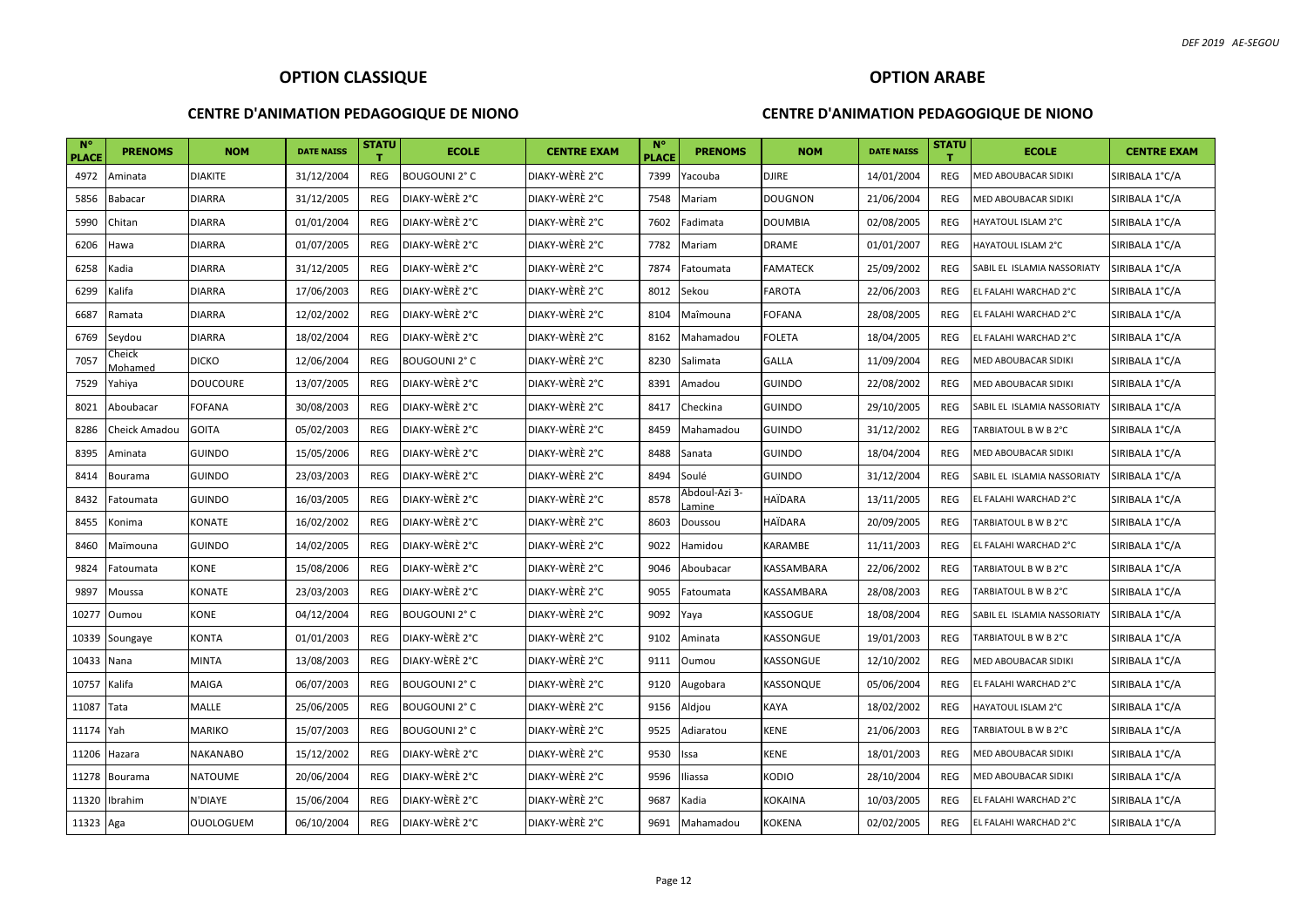#### **CENTRE D'ANIMATION PEDAGOGIQUE DE NIONO**

#### **OPTION ARABE**

| $N^{\circ}$<br><b>PLACE</b> | <b>PRENOMS</b>            | <b>NOM</b>       | <b>DATE NAISS</b> | <b>STATU</b><br>т | <b>ECOLE</b>         | <b>CENTRE EXAM</b> | $N^{\circ}$<br><b>PLACE</b> | <b>PRENOMS</b>         | <b>NOM</b>     | <b>DATE NAISS</b> | <b>STATU</b><br>т | <b>ECOLE</b>                | <b>CENTRE EXAM</b> |
|-----------------------------|---------------------------|------------------|-------------------|-------------------|----------------------|--------------------|-----------------------------|------------------------|----------------|-------------------|-------------------|-----------------------------|--------------------|
| 4972                        | Aminata                   | <b>DIAKITE</b>   | 31/12/2004        | <b>REG</b>        | <b>BOUGOUNI 2° C</b> | DIAKY-WÈRÈ 2°C     | 7399                        | Yacouba                | <b>DJIRE</b>   | 14/01/2004        | REG               | MED ABOUBACAR SIDIKI        | SIRIBALA 1°C/A     |
| 5856                        | Babacar                   | <b>DIARRA</b>    | 31/12/2005        | <b>REG</b>        | DIAKY-WÈRÈ 2°C       | DIAKY-WÈRÈ 2°C     | 7548                        | Mariam                 | <b>DOUGNON</b> | 21/06/2004        | REG               | MED ABOUBACAR SIDIKI        | SIRIBALA 1°C/A     |
| 5990                        | Chitan                    | <b>DIARRA</b>    | 01/01/2004        | REG               | DIAKY-WÈRÈ 2°C       | DIAKY-WÈRÈ 2°C     | 7602                        | Fadimata               | <b>DOUMBIA</b> | 02/08/2005        | REG               | HAYATOUL ISLAM 2°C          | SIRIBALA 1°C/A     |
| 6206                        | Hawa                      | <b>DIARRA</b>    | 01/07/2005        | <b>REG</b>        | DIAKY-WÈRÈ 2°C       | DIAKY-WÈRÈ 2°C     | 7782                        | Mariam                 | DRAME          | 01/01/2007        | <b>REG</b>        | HAYATOUL ISLAM 2°C          | SIRIBALA 1°C/A     |
| 6258                        | Kadia                     | <b>DIARRA</b>    | 31/12/2005        | <b>REG</b>        | DIAKY-WÈRÈ 2°C       | DIAKY-WÈRÈ 2°C     | 7874                        | Fatoumata              | FAMATECK       | 25/09/2002        | <b>REG</b>        | SABIL EL ISLAMIA NASSORIATY | SIRIBALA 1°C/A     |
| 6299                        | Kalifa                    | <b>DIARRA</b>    | 17/06/2003        | <b>REG</b>        | DIAKY-WÈRÈ 2°C       | DIAKY-WÈRÈ 2°C     | 8012                        | Sekou                  | FAROTA         | 22/06/2003        | <b>REG</b>        | EL FALAHI WARCHAD 2°C       | SIRIBALA 1°C/A     |
| 6687                        | Ramata                    | <b>DIARRA</b>    | 12/02/2002        | REG               | DIAKY-WÈRÈ 2°C       | DIAKY-WÈRÈ 2°C     | 8104                        | Maîmouna               | FOFANA         | 28/08/2005        | <b>REG</b>        | EL FALAHI WARCHAD 2°C       | SIRIBALA 1°C/A     |
| 6769                        | Seydou                    | <b>DIARRA</b>    | 18/02/2004        | <b>REG</b>        | DIAKY-WÈRÈ 2°C       | DIAKY-WÈRÈ 2°C     | 8162                        | Mahamadou              | FOLETA         | 18/04/2005        | <b>REG</b>        | EL FALAHI WARCHAD 2°C       | SIRIBALA 1°C/A     |
| 7057                        | Cheick<br><i>A</i> ohamed | <b>DICKO</b>     | 12/06/2004        | REG               | <b>BOUGOUNI 2° C</b> | DIAKY-WÈRÈ 2°C     | 8230                        | Salimata               | <b>GALLA</b>   | 11/09/2004        | <b>REG</b>        | MED ABOUBACAR SIDIKI        | SIRIBALA 1°C/A     |
| 7529                        | Yahiya                    | <b>DOUCOURE</b>  | 13/07/2005        | <b>REG</b>        | DIAKY-WÈRÈ 2°C       | DIAKY-WÈRÈ 2°C     | 8391                        | Amadou                 | <b>GUINDO</b>  | 22/08/2002        | REG               | MED ABOUBACAR SIDIKI        | SIRIBALA 1°C/A     |
| 8021                        | Aboubacar                 | <b>FOFANA</b>    | 30/08/2003        | REG               | DIAKY-WÈRÈ 2°C       | DIAKY-WÈRÈ 2°C     | 8417                        | Checkina               | <b>GUINDO</b>  | 29/10/2005        | <b>REG</b>        | SABIL EL ISLAMIA NASSORIATY | SIRIBALA 1°C/A     |
| 8286                        | Cheick Amadou             | <b>GOITA</b>     | 05/02/2003        | REG               | DIAKY-WÈRÈ 2°C       | DIAKY-WÈRÈ 2°C     | 8459                        | Mahamadou              | <b>GUINDO</b>  | 31/12/2002        | REG               | TARBIATOUL B W B 2°C        | SIRIBALA 1°C/A     |
| 8395                        | Aminata                   | <b>GUINDO</b>    | 15/05/2006        | REG               | DIAKY-WÈRÈ 2°C       | DIAKY-WÈRÈ 2°C     | 8488                        | Sanata                 | <b>GUINDO</b>  | 18/04/2004        | <b>REG</b>        | MED ABOUBACAR SIDIKI        | SIRIBALA 1°C/A     |
| 8414                        | Bourama                   | <b>GUINDO</b>    | 23/03/2003        | <b>REG</b>        | DIAKY-WÈRÈ 2°C       | DIAKY-WÈRÈ 2°C     | 8494                        | Soulé                  | <b>GUINDO</b>  | 31/12/2004        | REG               | SABIL EL ISLAMIA NASSORIATY | SIRIBALA 1°C/A     |
| 8432                        | Fatoumata                 | <b>GUINDO</b>    | 16/03/2005        | REG               | DIAKY-WÈRÈ 2°C       | DIAKY-WÈRÈ 2°C     | 8578                        | -Abdoul-Azi 3<br>amine | HAÏDARA        | 13/11/2005        | REG               | EL FALAHI WARCHAD 2°C       | SIRIBALA 1°C/A     |
| 8455                        | Konima                    | <b>KONATE</b>    | 16/02/2002        | REG               | DIAKY-WÈRÈ 2°C       | DIAKY-WÈRÈ 2°C     | 8603                        | Doussou                | HAÏDARA        | 20/09/2005        | REG               | TARBIATOUL B W B 2°C        | SIRIBALA 1°C/A     |
| 8460                        | Maïmouna                  | <b>GUINDO</b>    | 14/02/2005        | REG               | DIAKY-WÈRÈ 2°C       | DIAKY-WÈRÈ 2°C     | 9022                        | Hamidou                | KARAMBE        | 11/11/2003        | <b>REG</b>        | EL FALAHI WARCHAD 2°C       | SIRIBALA 1°C/A     |
| 9824                        | Fatoumata                 | KONE             | 15/08/2006        | <b>REG</b>        | DIAKY-WÈRÈ 2°C       | DIAKY-WÈRÈ 2°C     | 9046                        | Aboubacar              | KASSAMBARA     | 22/06/2002        | <b>REG</b>        | TARBIATOUL B W B 2°C        | SIRIBALA 1°C/A     |
| 9897                        | Moussa                    | <b>KONATE</b>    | 23/03/2003        | REG               | DIAKY-WÈRÈ 2°C       | DIAKY-WÈRÈ 2°C     | 9055                        | Fatoumata              | KASSAMBARA     | 28/08/2003        | <b>REG</b>        | TARBIATOUL B W B 2°C        | SIRIBALA 1°C/A     |
| 10277                       | Oumou                     | <b>KONE</b>      | 04/12/2004        | REG               | <b>BOUGOUNI 2° C</b> | DIAKY-WÈRÈ 2°C     | 9092                        | Yaya                   | KASSOGUE       | 18/08/2004        | <b>REG</b>        | SABIL EL ISLAMIA NASSORIATY | SIRIBALA 1°C/A     |
| 10339                       | Soungaye                  | KONTA            | 01/01/2003        | <b>REG</b>        | DIAKY-WÈRÈ 2°C       | DIAKY-WÈRÈ 2°C     | 9102                        | Aminata                | KASSONGUE      | 19/01/2003        | <b>REG</b>        | TARBIATOUL B W B 2°C        | SIRIBALA 1°C/A     |
| 10433                       | Nana                      | <b>MINTA</b>     | 13/08/2003        | <b>REG</b>        | DIAKY-WÈRÈ 2°C       | DIAKY-WÈRÈ 2°C     | 9111                        | Oumou                  | KASSONGUE      | 12/10/2002        | <b>REG</b>        | MED ABOUBACAR SIDIKI        | SIRIBALA 1°C/A     |
| 10757                       | Kalifa                    | MAIGA            | 06/07/2003        | REG               | <b>BOUGOUNI 2° C</b> | DIAKY-WÈRÈ 2°C     | 9120                        | Augobara               | KASSONQUE      | 05/06/2004        | <b>REG</b>        | EL FALAHI WARCHAD 2°C       | SIRIBALA 1°C/A     |
| 11087                       | Tata                      | MALLE            | 25/06/2005        | REG               | <b>BOUGOUNI 2° C</b> | DIAKY-WÈRÈ 2°C     | 9156                        | Aldjou                 | KAYA           | 18/02/2002        | <b>REG</b>        | HAYATOUL ISLAM 2°C          | SIRIBALA 1°C/A     |
| 11174                       | Yah                       | <b>MARIKO</b>    | 15/07/2003        | <b>REG</b>        | <b>BOUGOUNI 2° C</b> | DIAKY-WÈRÈ 2°C     | 9525                        | Adiaratou              | KENE           | 21/06/2003        | <b>REG</b>        | TARBIATOUL B W B 2°C        | SIRIBALA 1°C/A     |
| 11206                       | Hazara                    | <b>NAKANABO</b>  | 15/12/2002        | <b>REG</b>        | DIAKY-WÈRÈ 2°C       | DIAKY-WÈRÈ 2°C     | 9530                        | Issa                   | KENE           | 18/01/2003        | REG               | MED ABOUBACAR SIDIKI        | SIRIBALA 1°C/A     |
| 11278                       | Bourama                   | <b>NATOUME</b>   | 20/06/2004        | REG               | DIAKY-WÈRÈ 2°C       | DIAKY-WÈRÈ 2°C     | 9596                        | Iliassa                | KODIO          | 28/10/2004        | <b>REG</b>        | MED ABOUBACAR SIDIKI        | SIRIBALA 1°C/A     |
| 11320                       | Ibrahim                   | N'DIAYE          | 15/06/2004        | <b>REG</b>        | DIAKY-WÈRÈ 2°C       | DIAKY-WÈRÈ 2°C     | 9687                        | Kadia                  | KOKAINA        | 10/03/2005        | <b>REG</b>        | EL FALAHI WARCHAD 2°C       | SIRIBALA 1°C/A     |
| 11323                       | Aga                       | <b>OUOLOGUEM</b> | 06/10/2004        | <b>REG</b>        | DIAKY-WÈRÈ 2°C       | DIAKY-WÈRÈ 2°C     | 9691                        | Mahamadou              | KOKENA         | 02/02/2005        | REG               | EL FALAHI WARCHAD 2°C       | SIRIBALA 1°C/A     |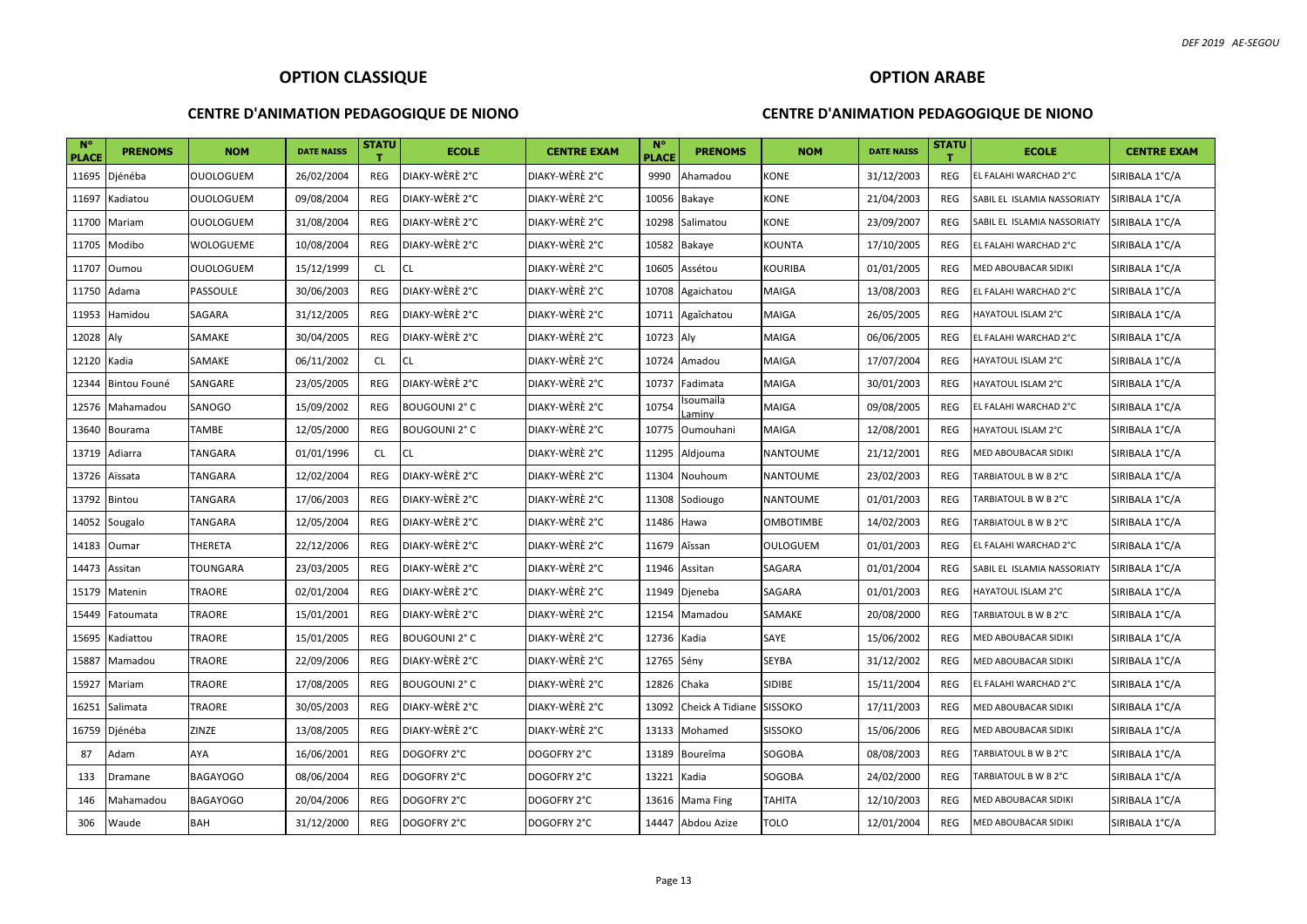#### **CENTRE D'ANIMATION PEDAGOGIQUE DE NIONO**

#### **OPTION ARABE**

| $N^{\circ}$<br><b>PLACE</b> | <b>PRENOMS</b> | <b>NOM</b>       | <b>DATE NAISS</b> | <b>STATU</b><br>т | <b>ECOLE</b>         | <b>CENTRE EXAM</b> | <b>N°</b><br><b>PLACE</b> | <b>PRENOMS</b>           | <b>NOM</b>      | <b>DATE NAISS</b> | <b>STATU</b><br>т. | <b>ECOLE</b>                | <b>CENTRE EXAM</b> |
|-----------------------------|----------------|------------------|-------------------|-------------------|----------------------|--------------------|---------------------------|--------------------------|-----------------|-------------------|--------------------|-----------------------------|--------------------|
| 11695                       | Djénéba        | <b>OUOLOGUEM</b> | 26/02/2004        | REG               | DIAKY-WÈRÈ 2°C       | DIAKY-WÈRÈ 2°C     | 9990                      | Ahamadou                 | KONE            | 31/12/2003        | REG                | EL FALAHI WARCHAD 2°C       | SIRIBALA 1°C/A     |
| 11697                       | Kadiatou       | <b>OUOLOGUEM</b> | 09/08/2004        | REG               | DIAKY-WÈRÈ 2°C       | DIAKY-WÈRÈ 2°C     |                           | 10056 Bakaye             | KONE            | 21/04/2003        | <b>REG</b>         | SABIL EL ISLAMIA NASSORIATY | SIRIBALA 1°C/A     |
| 11700                       | Mariam         | <b>OUOLOGUEM</b> | 31/08/2004        | REG               | DIAKY-WÈRÈ 2°C       | DIAKY-WÈRÈ 2°C     |                           | 10298 Salimatou          | KONE            | 23/09/2007        | <b>REG</b>         | SABIL EL ISLAMIA NASSORIATY | SIRIBALA 1°C/A     |
| 11705                       | Modibo         | WOLOGUEME        | 10/08/2004        | REG               | DIAKY-WÈRÈ 2°C       | DIAKY-WÈRÈ 2°C     |                           | 10582 Bakaye             | KOUNTA          | 17/10/2005        | REG                | EL FALAHI WARCHAD 2°C       | SIRIBALA 1°C/A     |
| 11707                       | Oumou          | <b>OUOLOGUEM</b> | 15/12/1999        | CL                | CL                   | DIAKY-WÈRÈ 2°C     | 10605                     | Assétou                  | KOURIBA         | 01/01/2005        | <b>REG</b>         | MED ABOUBACAR SIDIKI        | SIRIBALA 1°C/A     |
| 11750                       | Adama          | PASSOULE         | 30/06/2003        | REG               | DIAKY-WÈRÈ 2°C       | DIAKY-WÈRÈ 2°C     | 10708                     | Agaichatou               | MAIGA           | 13/08/2003        | REG                | EL FALAHI WARCHAD 2°C       | SIRIBALA 1°C/A     |
| 11953                       | Hamidou        | SAGARA           | 31/12/2005        | REG               | DIAKY-WÈRÈ 2°C       | DIAKY-WÈRÈ 2°C     |                           | 10711 Agaîchatou         | MAIGA           | 26/05/2005        | <b>REG</b>         | HAYATOUL ISLAM 2°C          | SIRIBALA 1°C/A     |
| 12028                       | Aly            | SAMAKE           | 30/04/2005        | REG               | DIAKY-WÈRÈ 2°C       | DIAKY-WÈRÈ 2°C     | 10723 Aly                 |                          | MAIGA           | 06/06/2005        | <b>REG</b>         | EL FALAHI WARCHAD 2°C       | SIRIBALA 1°C/A     |
| 12120                       | Kadia          | SAMAKE           | 06/11/2002        | <b>CL</b>         | <b>CL</b>            | DIAKY-WÈRÈ 2°C     |                           | 10724 Amadou             | MAIGA           | 17/07/2004        | <b>REG</b>         | HAYATOUL ISLAM 2°C          | SIRIBALA 1°C/A     |
| 12344                       | Bintou Founé   | SANGARE          | 23/05/2005        | REG               | DIAKY-WÈRÈ 2°C       | DIAKY-WÈRÈ 2°C     | 10737                     | Fadimata                 | MAIGA           | 30/01/2003        | <b>REG</b>         | HAYATOUL ISLAM 2°C          | SIRIBALA 1°C/A     |
| 12576                       | Mahamadou      | SANOGO           | 15/09/2002        | <b>REG</b>        | <b>BOUGOUNI 2° C</b> | DIAKY-WÈRÈ 2°C     | 10754                     | Isoumaila<br>aminv       | MAIGA           | 09/08/2005        | <b>REG</b>         | EL FALAHI WARCHAD 2°C       | SIRIBALA 1°C/A     |
| 13640                       | Bourama        | TAMBE            | 12/05/2000        | REG               | <b>BOUGOUNI 2° C</b> | DIAKY-WÈRÈ 2°C     | 10775                     | Oumouhani                | MAIGA           | 12/08/2001        | <b>REG</b>         | HAYATOUL ISLAM 2°C          | SIRIBALA 1°C/A     |
| 13719                       | Adiarra        | TANGARA          | 01/01/1996        | <b>CL</b>         | <b>CL</b>            | DIAKY-WÈRÈ 2°C     | 11295                     | Aldjouma                 | NANTOUME        | 21/12/2001        | <b>REG</b>         | MED ABOUBACAR SIDIKI        | SIRIBALA 1°C/A     |
| 13726                       | Aïssata        | TANGARA          | 12/02/2004        | <b>REG</b>        | DIAKY-WÈRÈ 2°C       | DIAKY-WÈRÈ 2°C     |                           | 11304 Nouhoum            | NANTOUME        | 23/02/2003        | <b>REG</b>         | TARBIATOUL B W B 2°C        | SIRIBALA 1°C/A     |
| 13792                       | Bintou         | TANGARA          | 17/06/2003        | REG               | DIAKY-WÈRÈ 2°C       | DIAKY-WÈRÈ 2°C     |                           | 11308 Sodiougo           | NANTOUME        | 01/01/2003        | <b>REG</b>         | TARBIATOUL B W B 2°C        | SIRIBALA 1°C/A     |
| 14052                       | Sougalo        | TANGARA          | 12/05/2004        | REG               | DIAKY-WÈRÈ 2°C       | DIAKY-WÈRÈ 2°C     | 11486 Hawa                |                          | OMBOTIMBE       | 14/02/2003        | <b>REG</b>         | TARBIATOUL B W B 2°C        | SIRIBALA 1°C/A     |
| 14183                       | Oumar          | THERETA          | 22/12/2006        | REG               | DIAKY-WÈRÈ 2°C       | DIAKY-WÈRÈ 2°C     | 11679 Aîssan              |                          | <b>OULOGUEM</b> | 01/01/2003        | <b>REG</b>         | EL FALAHI WARCHAD 2°C       | SIRIBALA 1°C/A     |
| 14473                       | Assitan        | TOUNGARA         | 23/03/2005        | <b>REG</b>        | DIAKY-WÈRÈ 2°C       | DIAKY-WÈRÈ 2°C     |                           | 11946 Assitan            | SAGARA          | 01/01/2004        | <b>REG</b>         | SABIL EL ISLAMIA NASSORIATY | SIRIBALA 1°C/A     |
| 15179                       | Matenin        | TRAORE           | 02/01/2004        | <b>REG</b>        | DIAKY-WÈRÈ 2°C       | DIAKY-WÈRÈ 2°C     | 11949                     | Djeneba                  | SAGARA          | 01/01/2003        | <b>REG</b>         | HAYATOUL ISLAM 2°C          | SIRIBALA 1°C/A     |
| 15449                       | Fatoumata      | TRAORE           | 15/01/2001        | REG               | DIAKY-WÈRÈ 2°C       | DIAKY-WÈRÈ 2°C     |                           | 12154 Mamadou            | SAMAKE          | 20/08/2000        | <b>REG</b>         | TARBIATOUL B W B 2°C        | SIRIBALA 1°C/A     |
| 15695                       | Kadiattou      | TRAORE           | 15/01/2005        | REG               | <b>BOUGOUNI 2° C</b> | DIAKY-WÈRÈ 2°C     | 12736 Kadia               |                          | SAYE            | 15/06/2002        | <b>REG</b>         | MED ABOUBACAR SIDIKI        | SIRIBALA 1°C/A     |
| 15887                       | Mamadou        | TRAORE           | 22/09/2006        | REG               | DIAKY-WÈRÈ 2°C       | DIAKY-WÈRÈ 2°C     | 12765 Sény                |                          | SEYBA           | 31/12/2002        | <b>REG</b>         | MED ABOUBACAR SIDIKI        | SIRIBALA 1°C/A     |
| 15927                       | Mariam         | TRAORE           | 17/08/2005        | REG               | <b>BOUGOUNI 2° C</b> | DIAKY-WÈRÈ 2°C     | 12826 Chaka               |                          | SIDIBE          | 15/11/2004        | <b>REG</b>         | EL FALAHI WARCHAD 2°C       | SIRIBALA 1°C/A     |
| 16251                       | Salimata       | <b>TRAORE</b>    | 30/05/2003        | REG               | DIAKY-WÈRÈ 2°C       | DIAKY-WÈRÈ 2°C     | 13092                     | Cheick A Tidiane SISSOKO |                 | 17/11/2003        | <b>REG</b>         | MED ABOUBACAR SIDIKI        | SIRIBALA 1°C/A     |
| 16759                       | Djénéba        | ZINZE            | 13/08/2005        | REG               | DIAKY-WÈRÈ 2°C       | DIAKY-WÈRÈ 2°C     | 13133                     | Mohamed                  | <b>SISSOKO</b>  | 15/06/2006        | REG                | MED ABOUBACAR SIDIKI        | SIRIBALA 1°C/A     |
| 87                          | Adam           | AYA              | 16/06/2001        | REG               | DOGOFRY 2°C          | DOGOFRY 2°C        | 13189                     | Boureîma                 | SOGOBA          | 08/08/2003        | REG                | TARBIATOUL B W B 2°C        | SIRIBALA 1°C/A     |
| 133                         | Dramane        | <b>BAGAYOGO</b>  | 08/06/2004        | REG               | DOGOFRY 2°C          | DOGOFRY 2°C        | 13221                     | Kadia                    | SOGOBA          | 24/02/2000        | REG                | TARBIATOUL B W B 2°C        | SIRIBALA 1°C/A     |
| 146                         | Mahamadou      | <b>BAGAYOGO</b>  | 20/04/2006        | REG               | DOGOFRY 2°C          | DOGOFRY 2°C        | 13616                     | Mama Fing                | ТАНІТА          | 12/10/2003        | <b>REG</b>         | <b>MED ABOUBACAR SIDIKI</b> | SIRIBALA 1°C/A     |
| 306                         | Waude          | <b>BAH</b>       | 31/12/2000        | REG               | DOGOFRY 2°C          | DOGOFRY 2°C        | 14447                     | Abdou Azize              | TOLO            | 12/01/2004        | <b>REG</b>         | <b>MED ABOUBACAR SIDIKI</b> | SIRIBALA 1°C/A     |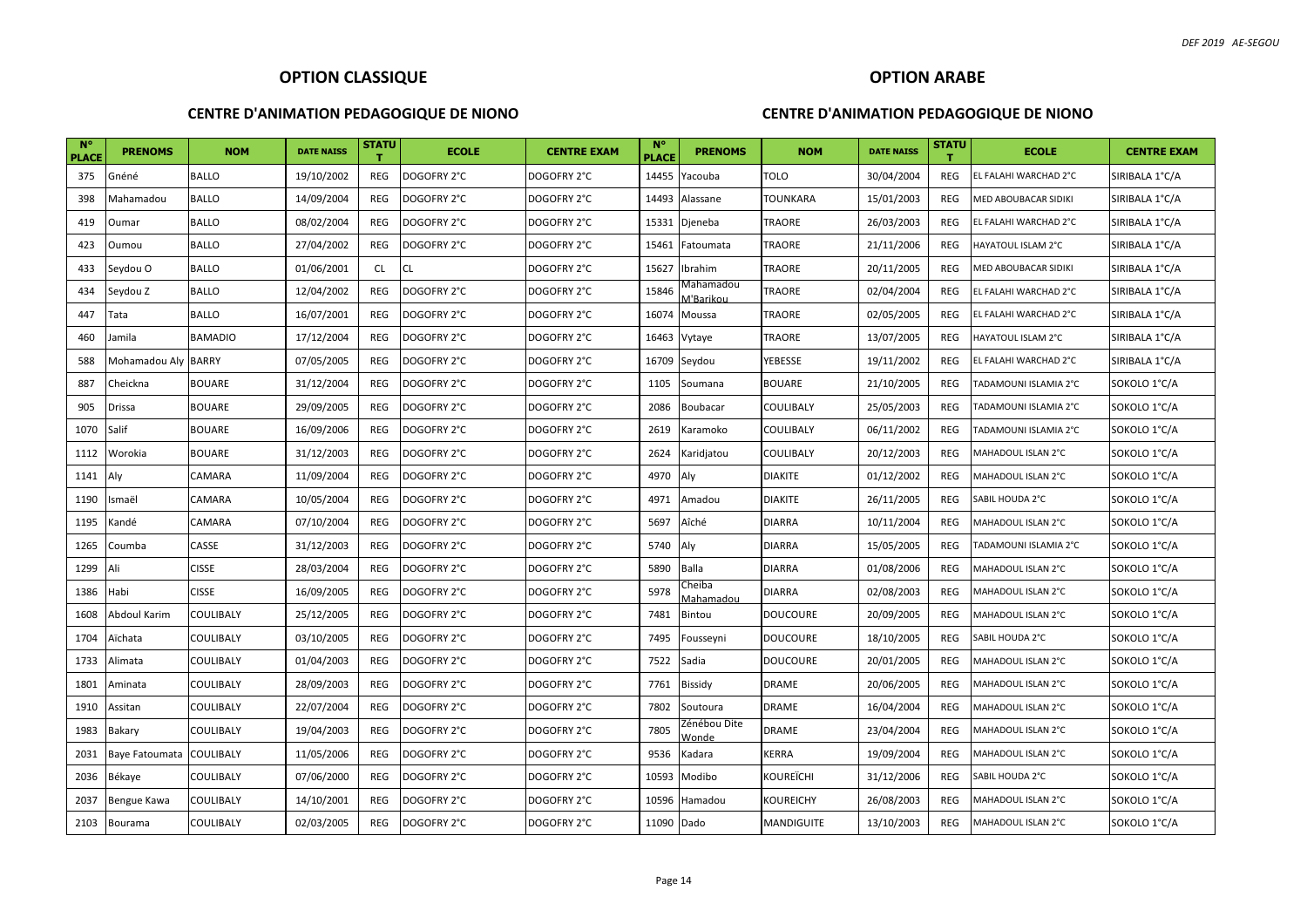#### **CENTRE D'ANIMATION PEDAGOGIQUE DE NIONO**

## **OPTION ARABE CENTRE D'ANIMATION PEDAGOGIQUE DE NIONO**

| <b>N°</b><br><b>PLACE</b> | <b>PRENOMS</b>      | <b>NOM</b>       | <b>DATE NAISS</b> | <b>STATU</b> | <b>ECOLE</b> | <b>CENTRE EXAM</b> | $N^{\circ}$<br><b>PLACE</b> | <b>PRENOMS</b>           | <b>NOM</b>    | <b>DATE NAISS</b> | <b>STATU</b> | <b>ECOLE</b>          | <b>CENTRE EXAM</b> |
|---------------------------|---------------------|------------------|-------------------|--------------|--------------|--------------------|-----------------------------|--------------------------|---------------|-------------------|--------------|-----------------------|--------------------|
| 375                       | Gnéné               | <b>BALLO</b>     | 19/10/2002        | <b>REG</b>   | DOGOFRY 2°C  | DOGOFRY 2°C        | 14455                       | Yacouba                  | TOLO          | 30/04/2004        | <b>REG</b>   | EL FALAHI WARCHAD 2°C | SIRIBALA 1°C/A     |
| 398                       | Mahamadou           | <b>BALLO</b>     | 14/09/2004        | REG          | DOGOFRY 2°C  | DOGOFRY 2°C        | 14493                       | Alassane                 | TOUNKARA      | 15/01/2003        | <b>REG</b>   | MED ABOUBACAR SIDIKI  | SIRIBALA 1°C/A     |
| 419                       | Oumar               | <b>BALLO</b>     | 08/02/2004        | REG          | DOGOFRY 2°C  | DOGOFRY 2°C        | 15331                       | Djeneba                  | TRAORE        | 26/03/2003        | REG          | EL FALAHI WARCHAD 2°C | SIRIBALA 1°C/A     |
| 423                       | Oumou               | <b>BALLO</b>     | 27/04/2002        | REG          | DOGOFRY 2°C  | DOGOFRY 2°C        | 15461                       | Fatoumata                | TRAORE        | 21/11/2006        | REG          | HAYATOUL ISLAM 2°C    | SIRIBALA 1°C/A     |
| 433                       | Seydou O            | <b>BALLO</b>     | 01/06/2001        | CL           | <b>CL</b>    | DOGOFRY 2°C        | 15627                       | Ibrahim                  | TRAORE        | 20/11/2005        | <b>REG</b>   | MED ABOUBACAR SIDIKI  | SIRIBALA 1°C/A     |
| 434                       | Seydou Z            | <b>BALLO</b>     | 12/04/2002        | <b>REG</b>   | DOGOFRY 2°C  | DOGOFRY 2°C        | 15846                       | Vlahamadou<br>∕l'Barikou | TRAORE        | 02/04/2004        | <b>REG</b>   | EL FALAHI WARCHAD 2°C | SIRIBALA 1°C/A     |
| 447                       | Tata                | <b>BALLO</b>     | 16/07/2001        | REG          | DOGOFRY 2°C  | DOGOFRY 2°C        | 16074                       | Moussa                   | TRAORE        | 02/05/2005        | <b>REG</b>   | EL FALAHI WARCHAD 2°C | SIRIBALA 1°C/A     |
| 460                       | Jamila              | <b>BAMADIO</b>   | 17/12/2004        | REG          | DOGOFRY 2°C  | DOGOFRY 2°C        | 16463                       | Vytaye                   | TRAORE        | 13/07/2005        | <b>REG</b>   | HAYATOUL ISLAM 2°C    | SIRIBALA 1°C/A     |
| 588                       | Mohamadou Aly BARRY |                  | 07/05/2005        | REG          | DOGOFRY 2°C  | DOGOFRY 2°C        |                             | 16709 Seydou             | YEBESSE       | 19/11/2002        | REG          | EL FALAHI WARCHAD 2°C | SIRIBALA 1°C/A     |
| 887                       | Cheickna            | <b>BOUARE</b>    | 31/12/2004        | REG          | DOGOFRY 2°C  | DOGOFRY 2°C        | 1105                        | Soumana                  | <b>BOUARE</b> | 21/10/2005        | <b>REG</b>   | TADAMOUNI ISLAMIA 2°C | SOKOLO 1°C/A       |
| 905                       | Drissa              | <b>BOUARE</b>    | 29/09/2005        | REG          | DOGOFRY 2°C  | DOGOFRY 2°C        | 2086                        | <b>Boubacar</b>          | COULIBALY     | 25/05/2003        | REG          | TADAMOUNI ISLAMIA 2°C | SOKOLO 1°C/A       |
| 1070                      | Salif               | <b>BOUARE</b>    | 16/09/2006        | REG          | DOGOFRY 2°C  | DOGOFRY 2°C        | 2619                        | Karamoko                 | COULIBALY     | 06/11/2002        | REG          | TADAMOUNI ISLAMIA 2°C | SOKOLO 1°C/A       |
| 1112                      | Worokia             | <b>BOUARE</b>    | 31/12/2003        | REG          | DOGOFRY 2°C  | DOGOFRY 2°C        | 2624                        | Karidjatou               | COULIBALY     | 20/12/2003        | <b>REG</b>   | MAHADOUL ISLAN 2°C    | SOKOLO 1°C/A       |
| 1141                      | Aly                 | CAMARA           | 11/09/2004        | REG          | DOGOFRY 2°C  | DOGOFRY 2°C        | 4970                        | Aly                      | DIAKITE       | 01/12/2002        | <b>REG</b>   | MAHADOUL ISLAN 2°C    | SOKOLO 1°C/A       |
| 1190                      | Ismaël              | CAMARA           | 10/05/2004        | REG          | DOGOFRY 2°C  | DOGOFRY 2°C        | 4971                        | Amadou                   | DIAKITE       | 26/11/2005        | <b>REG</b>   | SABIL HOUDA 2°C       | SOKOLO 1°C/A       |
| 1195                      | Kandé               | CAMARA           | 07/10/2004        | REG          | DOGOFRY 2°C  | DOGOFRY 2°C        | 5697                        | Aîché                    | DIARRA        | 10/11/2004        | REG          | MAHADOUL ISLAN 2°C    | SOKOLO 1°C/A       |
| 1265                      | Coumba              | CASSE            | 31/12/2003        | REG          | DOGOFRY 2°C  | DOGOFRY 2°C        | 5740                        | Aly                      | <b>DIARRA</b> | 15/05/2005        | REG          | TADAMOUNI ISLAMIA 2°C | SOKOLO 1°C/A       |
| 1299                      | Ali                 | <b>CISSE</b>     | 28/03/2004        | <b>REG</b>   | DOGOFRY 2°C  | DOGOFRY 2°C        | 5890                        | Balla                    | DIARRA        | 01/08/2006        | <b>REG</b>   | MAHADOUL ISLAN 2°C    | SOKOLO 1°C/A       |
| 1386                      | Habi                | <b>CISSE</b>     | 16/09/2005        | REG          | DOGOFRY 2°C  | DOGOFRY 2°C        | 5978                        | Cheiba<br>Mahamadou      | DIARRA        | 02/08/2003        | REG          | MAHADOUL ISLAN 2°C    | SOKOLO 1°C/A       |
| 1608                      | Abdoul Karim        | COULIBALY        | 25/12/2005        | REG          | DOGOFRY 2°C  | DOGOFRY 2°C        | 7481                        | <b>Bintou</b>            | DOUCOURE      | 20/09/2005        | <b>REG</b>   | MAHADOUL ISLAN 2°C    | SOKOLO 1°C/A       |
| 1704                      | Aïchata             | COULIBALY        | 03/10/2005        | REG          | DOGOFRY 2°C  | DOGOFRY 2°C        | 7495                        | Fousseyni                | DOUCOURE      | 18/10/2005        | REG          | SABIL HOUDA 2°C       | SOKOLO 1°C/A       |
| 1733                      | Alimata             | COULIBALY        | 01/04/2003        | REG          | DOGOFRY 2°C  | DOGOFRY 2°C        | 7522                        | Sadia                    | DOUCOURE      | 20/01/2005        | REG          | MAHADOUL ISLAN 2°C    | SOKOLO 1°C/A       |
| 1801                      | Aminata             | COULIBALY        | 28/09/2003        | REG          | DOGOFRY 2°C  | DOGOFRY 2°C        | 7761                        | <b>Bissidy</b>           | DRAME         | 20/06/2005        | <b>REG</b>   | MAHADOUL ISLAN 2°C    | SOKOLO 1°C/A       |
| 1910                      | Assitan             | COULIBALY        | 22/07/2004        | <b>REG</b>   | DOGOFRY 2°C  | DOGOFRY 2°C        | 7802                        | Soutoura                 | DRAME         | 16/04/2004        | <b>REG</b>   | MAHADOUL ISLAN 2°C    | SOKOLO 1°C/A       |
| 1983                      | Bakary              | COULIBALY        | 19/04/2003        | REG          | DOGOFRY 2°C  | DOGOFRY 2°C        | 7805                        | Zénébou Dite<br>Wonde    | DRAME         | 23/04/2004        | REG          | MAHADOUL ISLAN 2°C    | SOKOLO 1°C/A       |
| 2031                      | Baye Fatoumata      | <b>COULIBALY</b> | 11/05/2006        | REG          | DOGOFRY 2°C  | DOGOFRY 2°C        | 9536                        | Kadara                   | KERRA         | 19/09/2004        | REG          | MAHADOUL ISLAN 2°C    | SOKOLO 1°C/A       |
| 2036                      | Békaye              | COULIBALY        | 07/06/2000        | <b>REG</b>   | DOGOFRY 2°C  | DOGOFRY 2°C        | 10593                       | Modibo                   | KOUREÏCHI     | 31/12/2006        | <b>REG</b>   | SABIL HOUDA 2°C       | SOKOLO 1°C/A       |
| 2037                      | Bengue Kawa         | COULIBALY        | 14/10/2001        | REG          | DOGOFRY 2°C  | DOGOFRY 2°C        | 10596                       | Hamadou                  | KOUREICHY     | 26/08/2003        | <b>REG</b>   | MAHADOUL ISLAN 2°C    | SOKOLO 1°C/A       |
| 2103                      | Bourama             | COULIBALY        | 02/03/2005        | REG          | DOGOFRY 2°C  | DOGOFRY 2°C        | 11090 Dado                  |                          | MANDIGUITE    | 13/10/2003        | REG          | MAHADOUL ISLAN 2°C    | SOKOLO 1°C/A       |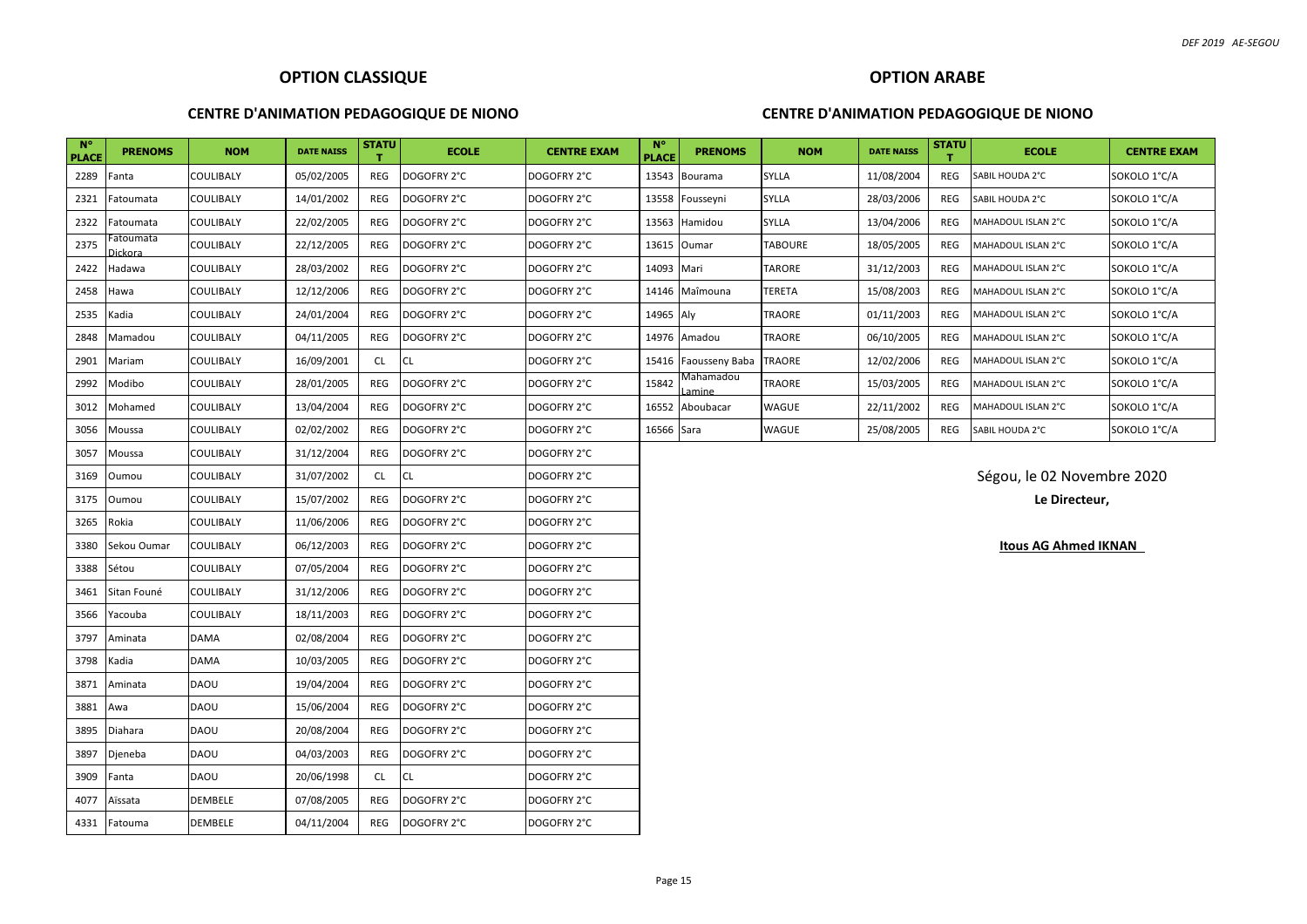#### **CENTRE D'ANIMATION PEDAGOGIQUE DE NIONO**

#### **CENTRE D'ANIMATION PEDAGOGIQUE DE NIONO**

| $N^{\circ}$<br><b>PLACE</b> | <b>PRENOMS</b>       | <b>NOM</b>  | <b>DATE NAISS</b> | <b>STATU</b> | <b>ECOLE</b> | <b>CENTRE EXAM</b> | $N^{\circ}$<br><b>PLACE</b> | <b>PRENOMS</b>     | <b>NOM</b>    | <b>DATE NAISS</b> | <b>STATU</b> | <b>ECOLE</b>                | <b>CENTRE EXAM</b> |
|-----------------------------|----------------------|-------------|-------------------|--------------|--------------|--------------------|-----------------------------|--------------------|---------------|-------------------|--------------|-----------------------------|--------------------|
| 2289                        | Fanta                | COULIBALY   | 05/02/2005        | REG          | DOGOFRY 2°C  | DOGOFRY 2°C        | 13543                       | Bourama            | SYLLA         | 11/08/2004        | REG          | SABIL HOUDA 2°C             | SOKOLO 1°C/A       |
| 2321                        | Fatoumata            | COULIBALY   | 14/01/2002        | REG          | DOGOFRY 2°C  | DOGOFRY 2°C        | 13558                       | Fousseyni          | <b>SYLLA</b>  | 28/03/2006        | REG          | SABIL HOUDA 2°C             | SOKOLO 1°C/A       |
| 2322                        | Fatoumata            | COULIBALY   | 22/02/2005        | <b>REG</b>   | DOGOFRY 2°C  | DOGOFRY 2°C        | 13563                       | Hamidou            | SYLLA         | 13/04/2006        | REG          | MAHADOUL ISLAN 2°C          | SOKOLO 1°C/A       |
| 2375                        | Fatoumata<br>Dickora | COULIBALY   | 22/12/2005        | <b>REG</b>   | DOGOFRY 2°C  | DOGOFRY 2°C        | 13615                       | Oumar              | TABOURE       | 18/05/2005        | REG          | MAHADOUL ISLAN 2°C          | SOKOLO 1°C/A       |
| 2422                        | Hadawa               | COULIBALY   | 28/03/2002        | <b>REG</b>   | DOGOFRY 2°C  | DOGOFRY 2°C        | 14093                       | Mari               | TARORE        | 31/12/2003        | REG          | MAHADOUL ISLAN 2°C          | SOKOLO 1°C/A       |
| 2458                        | Hawa                 | COULIBALY   | 12/12/2006        | REG          | DOGOFRY 2°C  | DOGOFRY 2°C        | 14146                       | Maîmouna           | TERETA        | 15/08/2003        | REG          | MAHADOUL ISLAN 2°C          | SOKOLO 1°C/A       |
| 2535                        | Kadia                | COULIBALY   | 24/01/2004        | REG          | DOGOFRY 2°C  | DOGOFRY 2°C        | 14965 Aly                   |                    | TRAORE        | 01/11/2003        | REG          | MAHADOUL ISLAN 2°C          | SOKOLO 1°C/A       |
| 2848                        | Mamadou              | COULIBALY   | 04/11/2005        | REG          | DOGOFRY 2°C  | DOGOFRY 2°C        | 14976                       | Amadou             | TRAORE        | 06/10/2005        | REG          | MAHADOUL ISLAN 2°C          | SOKOLO 1°C/A       |
| 2901                        | Mariam               | COULIBALY   | 16/09/2001        | <b>CL</b>    | CL           | DOGOFRY 2°C        | 15416                       | Faousseny Baba     | <b>TRAORE</b> | 12/02/2006        | REG          | MAHADOUL ISLAN 2°C          | SOKOLO 1°C/A       |
| 2992                        | Modibo               | COULIBALY   | 28/01/2005        | <b>REG</b>   | DOGOFRY 2°C  | DOGOFRY 2°C        | 15842                       | Mahamadou<br>amine | TRAORE        | 15/03/2005        | REG          | MAHADOUL ISLAN 2°C          | SOKOLO 1°C/A       |
| 3012                        | Mohamed              | COULIBALY   | 13/04/2004        | <b>REG</b>   | DOGOFRY 2°C  | DOGOFRY 2°C        | 16552                       | Aboubacar          | WAGUE         | 22/11/2002        | REG          | MAHADOUL ISLAN 2°C          | SOKOLO 1°C/A       |
| 3056                        | Moussa               | COULIBALY   | 02/02/2002        | <b>REG</b>   | DOGOFRY 2°C  | DOGOFRY 2°C        | 16566 Sara                  |                    | WAGUE         | 25/08/2005        | REG          | SABIL HOUDA 2°C             | SOKOLO 1°C/A       |
| 3057                        | Moussa               | COULIBALY   | 31/12/2004        | <b>REG</b>   | DOGOFRY 2°C  | DOGOFRY 2°C        |                             |                    |               |                   |              |                             |                    |
| 3169                        | Oumou                | COULIBALY   | 31/07/2002        | <b>CL</b>    | CL           | DOGOFRY 2°C        |                             |                    |               |                   |              | Ségou, le 02 Novembre 2020  |                    |
| 3175                        | Oumou                | COULIBALY   | 15/07/2002        | <b>REG</b>   | DOGOFRY 2°C  | DOGOFRY 2°C        |                             |                    |               |                   |              | Le Directeur,               |                    |
| 3265                        | Rokia                | COULIBALY   | 11/06/2006        | REG          | DOGOFRY 2°C  | DOGOFRY 2°C        |                             |                    |               |                   |              |                             |                    |
| 3380                        | Sekou Oumar          | COULIBALY   | 06/12/2003        | REG          | DOGOFRY 2°C  | DOGOFRY 2°C        |                             |                    |               |                   |              | <b>Itous AG Ahmed IKNAN</b> |                    |
| 3388                        | Sétou                | COULIBALY   | 07/05/2004        | <b>REG</b>   | DOGOFRY 2°C  | DOGOFRY 2°C        |                             |                    |               |                   |              |                             |                    |
| 3461                        | Sitan Founé          | COULIBALY   | 31/12/2006        | REG          | DOGOFRY 2°C  | DOGOFRY 2°C        |                             |                    |               |                   |              |                             |                    |
| 3566                        | Yacouba              | COULIBALY   | 18/11/2003        | <b>REG</b>   | DOGOFRY 2°C  | DOGOFRY 2°C        |                             |                    |               |                   |              |                             |                    |
| 3797                        | Aminata              | <b>DAMA</b> | 02/08/2004        | REG          | DOGOFRY 2°C  | DOGOFRY 2°C        |                             |                    |               |                   |              |                             |                    |
| 3798                        | Kadia                | <b>DAMA</b> | 10/03/2005        | REG          | DOGOFRY 2°C  | DOGOFRY 2°C        |                             |                    |               |                   |              |                             |                    |
| 3871                        | Aminata              | <b>DAOU</b> | 19/04/2004        | REG          | DOGOFRY 2°C  | DOGOFRY 2°C        |                             |                    |               |                   |              |                             |                    |
| 3881                        | Awa                  | DAOU        | 15/06/2004        | REG          | DOGOFRY 2°C  | DOGOFRY 2°C        |                             |                    |               |                   |              |                             |                    |
| 3895                        | Diahara              | <b>DAOU</b> | 20/08/2004        | REG          | DOGOFRY 2°C  | DOGOFRY 2°C        |                             |                    |               |                   |              |                             |                    |
| 3897                        | Djeneba              | DAOU        | 04/03/2003        | REG          | DOGOFRY 2°C  | DOGOFRY 2°C        |                             |                    |               |                   |              |                             |                    |
| 3909                        | Fanta                | <b>DAOU</b> | 20/06/1998        | <b>CL</b>    | CL           | DOGOFRY 2°C        |                             |                    |               |                   |              |                             |                    |
| 4077                        | Aïssata              | DEMBELE     | 07/08/2005        | <b>REG</b>   | DOGOFRY 2°C  | DOGOFRY 2°C        |                             |                    |               |                   |              |                             |                    |
| 4331                        | Fatouma              | DEMBELE     | 04/11/2004        | REG          | DOGOFRY 2°C  | DOGOFRY 2°C        |                             |                    |               |                   |              |                             |                    |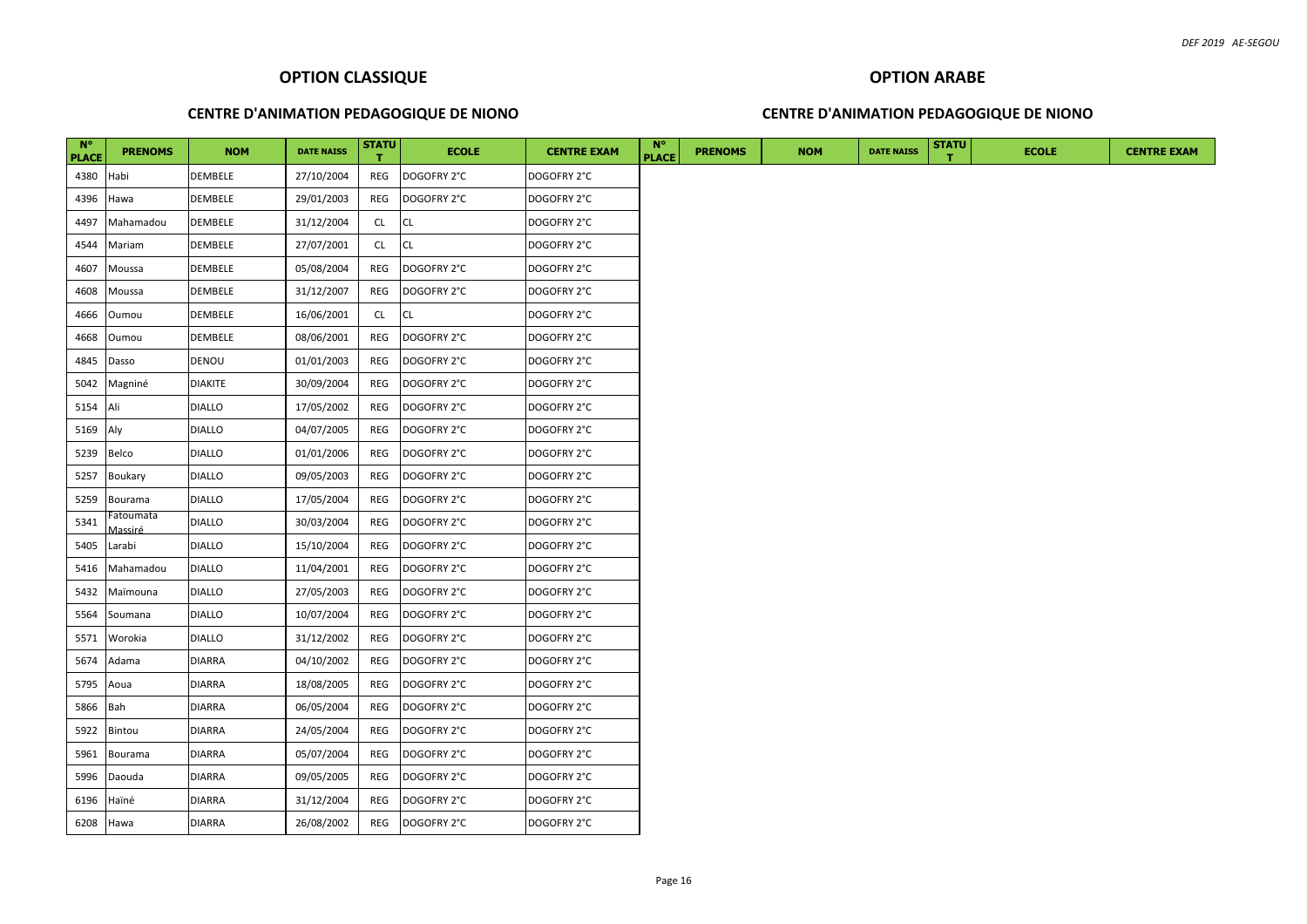## **OPTION ARABE**

#### **CENTRE D'ANIMATION PEDAGOGIQUE DE NIONO**

| $N^{\circ}$<br><b>PLACE</b> | <b>PRENOMS</b>       | <b>NOM</b>     | <b>DATE NAISS</b> | <b>STATU</b> | <b>ECOLE</b> | <b>CENTRE EXAM</b> | $N^{\circ}$<br><b>PLACE</b> | <b>PRENOMS</b> | <b>NOM</b> | <b>DATE NAISS</b> | <b>STATU</b> | <b>ECOLE</b> | <b>CENTRE EXAM</b> |
|-----------------------------|----------------------|----------------|-------------------|--------------|--------------|--------------------|-----------------------------|----------------|------------|-------------------|--------------|--------------|--------------------|
| 4380                        | Habi                 | <b>DEMBELE</b> | 27/10/2004        | REG          | DOGOFRY 2°C  | DOGOFRY 2°C        |                             |                |            |                   |              |              |                    |
| 4396                        | Hawa                 | <b>DEMBELE</b> | 29/01/2003        | REG          | DOGOFRY 2°C  | DOGOFRY 2°C        |                             |                |            |                   |              |              |                    |
| 4497                        | Mahamadou            | DEMBELE        | 31/12/2004        | CL           | <b>CL</b>    | DOGOFRY 2°C        |                             |                |            |                   |              |              |                    |
| 4544                        | Mariam               | DEMBELE        | 27/07/2001        | CL           | <b>CL</b>    | DOGOFRY 2°C        |                             |                |            |                   |              |              |                    |
| 4607                        | Moussa               | <b>DEMBELE</b> | 05/08/2004        | REG          | DOGOFRY 2°C  | DOGOFRY 2°C        |                             |                |            |                   |              |              |                    |
| 4608                        | Moussa               | <b>DEMBELE</b> | 31/12/2007        | REG          | DOGOFRY 2°C  | DOGOFRY 2°C        |                             |                |            |                   |              |              |                    |
| 4666                        | Oumou                | <b>DEMBELE</b> | 16/06/2001        | <b>CL</b>    | <b>CL</b>    | DOGOFRY 2°C        |                             |                |            |                   |              |              |                    |
| 4668                        | Oumou                | <b>DEMBELE</b> | 08/06/2001        | REG          | DOGOFRY 2°C  | DOGOFRY 2°C        |                             |                |            |                   |              |              |                    |
| 4845                        | Dasso                | DENOU          | 01/01/2003        | REG          | DOGOFRY 2°C  | DOGOFRY 2°C        |                             |                |            |                   |              |              |                    |
| 5042                        | Magniné              | <b>DIAKITE</b> | 30/09/2004        | REG          | DOGOFRY 2°C  | DOGOFRY 2°C        |                             |                |            |                   |              |              |                    |
| 5154                        | Ali                  | <b>DIALLO</b>  | 17/05/2002        | REG          | DOGOFRY 2°C  | DOGOFRY 2°C        |                             |                |            |                   |              |              |                    |
| 5169                        | Aly                  | <b>DIALLO</b>  | 04/07/2005        | REG          | DOGOFRY 2°C  | DOGOFRY 2°C        |                             |                |            |                   |              |              |                    |
| 5239                        | Belco                | <b>DIALLO</b>  | 01/01/2006        | REG          | DOGOFRY 2°C  | DOGOFRY 2°C        |                             |                |            |                   |              |              |                    |
| 5257                        | Boukary              | <b>DIALLO</b>  | 09/05/2003        | REG          | DOGOFRY 2°C  | DOGOFRY 2°C        |                             |                |            |                   |              |              |                    |
| 5259                        | Bourama              | <b>DIALLO</b>  | 17/05/2004        | REG          | DOGOFRY 2°C  | DOGOFRY 2°C        |                             |                |            |                   |              |              |                    |
| 5341                        | Fatoumata<br>Massiré | <b>DIALLO</b>  | 30/03/2004        | REG          | DOGOFRY 2°C  | DOGOFRY 2°C        |                             |                |            |                   |              |              |                    |
| 5405                        | Larabi               | <b>DIALLO</b>  | 15/10/2004        | REG          | DOGOFRY 2°C  | DOGOFRY 2°C        |                             |                |            |                   |              |              |                    |
| 5416                        | Mahamadou            | <b>DIALLO</b>  | 11/04/2001        | REG          | DOGOFRY 2°C  | DOGOFRY 2°C        |                             |                |            |                   |              |              |                    |
| 5432                        | Maïmouna             | <b>DIALLO</b>  | 27/05/2003        | REG          | DOGOFRY 2°C  | DOGOFRY 2°C        |                             |                |            |                   |              |              |                    |
| 5564                        | Soumana              | <b>DIALLO</b>  | 10/07/2004        | REG          | DOGOFRY 2°C  | DOGOFRY 2°C        |                             |                |            |                   |              |              |                    |
| 5571                        | Worokia              | <b>DIALLO</b>  | 31/12/2002        | REG          | DOGOFRY 2°C  | DOGOFRY 2°C        |                             |                |            |                   |              |              |                    |
| 5674                        | Adama                | <b>DIARRA</b>  | 04/10/2002        | REG          | DOGOFRY 2°C  | DOGOFRY 2°C        |                             |                |            |                   |              |              |                    |
| 5795                        | Aoua                 | <b>DIARRA</b>  | 18/08/2005        | REG          | DOGOFRY 2°C  | DOGOFRY 2°C        |                             |                |            |                   |              |              |                    |
| 5866                        | Bah                  | <b>DIARRA</b>  | 06/05/2004        | REG          | DOGOFRY 2°C  | DOGOFRY 2°C        |                             |                |            |                   |              |              |                    |
| 5922                        | Bintou               | <b>DIARRA</b>  | 24/05/2004        | REG          | DOGOFRY 2°C  | DOGOFRY 2°C        |                             |                |            |                   |              |              |                    |
| 5961                        | Bourama              | <b>DIARRA</b>  | 05/07/2004        | REG          | DOGOFRY 2°C  | DOGOFRY 2°C        |                             |                |            |                   |              |              |                    |
| 5996                        | Daouda               | <b>DIARRA</b>  | 09/05/2005        | REG          | DOGOFRY 2°C  | DOGOFRY 2°C        |                             |                |            |                   |              |              |                    |
| 6196                        | Haïné                | <b>DIARRA</b>  | 31/12/2004        | REG          | DOGOFRY 2°C  | DOGOFRY 2°C        |                             |                |            |                   |              |              |                    |
|                             | 6208 Hawa            | <b>DIARRA</b>  | 26/08/2002        | REG          | DOGOFRY 2°C  | DOGOFRY 2°C        |                             |                |            |                   |              |              |                    |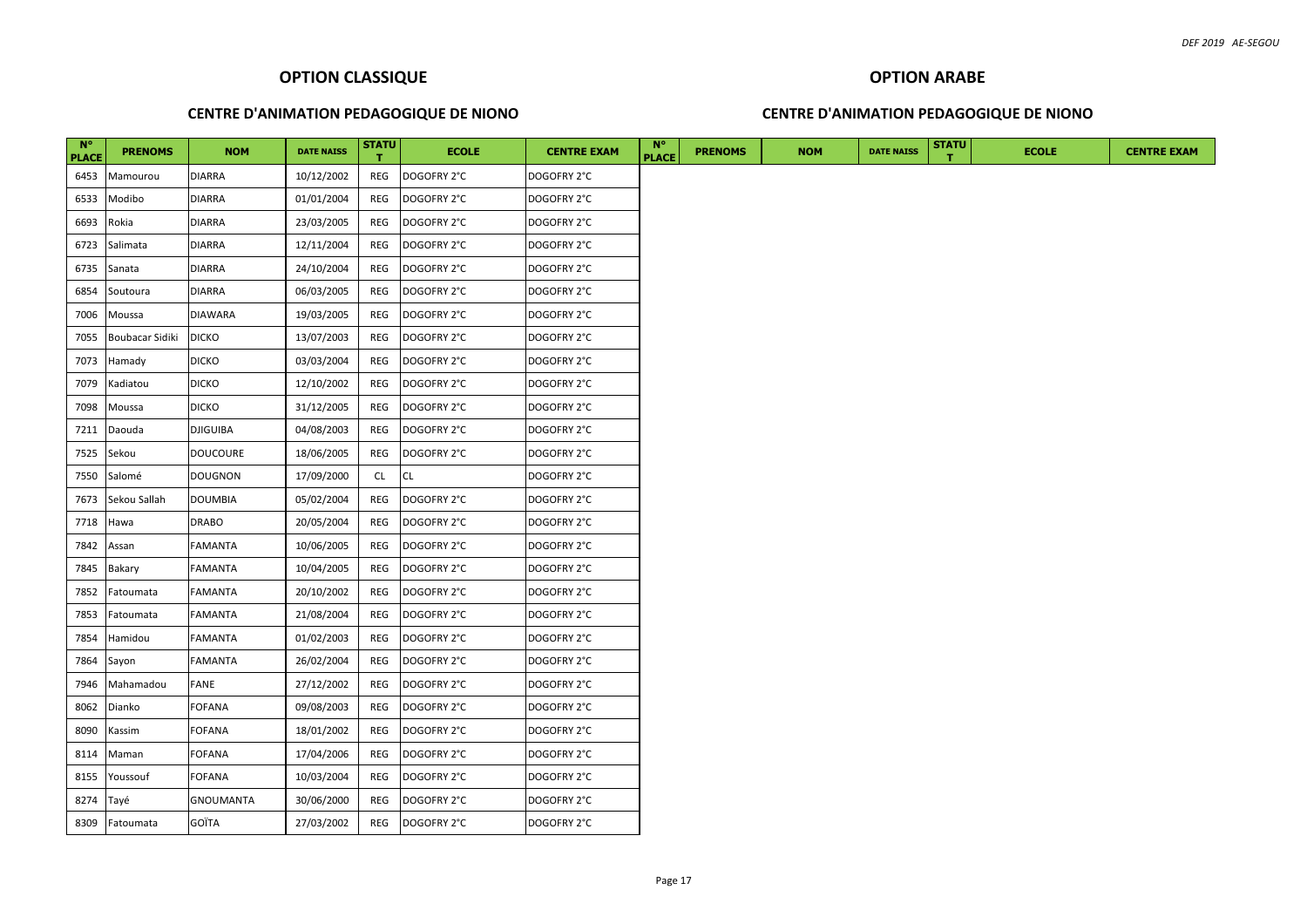## **OPTION ARABE**

#### **CENTRE D'ANIMATION PEDAGOGIQUE DE NIONO**

| $N^{\circ}$<br><b>PLACE</b> | <b>PRENOMS</b>  | <b>NOM</b>      | <b>DATE NAISS</b> | <b>STATU</b><br>$\mathbf{T}$ | <b>ECOLE</b> | <b>CENTRE EXAM</b> | $N^{\circ}$<br><b>PLACE</b> | <b>PRENOMS</b> | <b>NOM</b> | <b>DATE NAISS</b> | <b>STATU</b><br>т | <b>ECOLE</b> | <b>CENTRE EXAM</b> |
|-----------------------------|-----------------|-----------------|-------------------|------------------------------|--------------|--------------------|-----------------------------|----------------|------------|-------------------|-------------------|--------------|--------------------|
| 6453                        | Mamourou        | <b>DIARRA</b>   | 10/12/2002        | REG                          | DOGOFRY 2°C  | DOGOFRY 2°C        |                             |                |            |                   |                   |              |                    |
| 6533                        | Modibo          | <b>DIARRA</b>   | 01/01/2004        | REG                          | DOGOFRY 2°C  | DOGOFRY 2°C        |                             |                |            |                   |                   |              |                    |
| 6693                        | Rokia           | <b>DIARRA</b>   | 23/03/2005        | REG                          | DOGOFRY 2°C  | DOGOFRY 2°C        |                             |                |            |                   |                   |              |                    |
| 6723                        | Salimata        | <b>DIARRA</b>   | 12/11/2004        | REG                          | DOGOFRY 2°C  | DOGOFRY 2°C        |                             |                |            |                   |                   |              |                    |
| 6735                        | Sanata          | <b>DIARRA</b>   | 24/10/2004        | REG                          | DOGOFRY 2°C  | DOGOFRY 2°C        |                             |                |            |                   |                   |              |                    |
| 6854                        | Soutoura        | <b>DIARRA</b>   | 06/03/2005        | REG                          | DOGOFRY 2°C  | DOGOFRY 2°C        |                             |                |            |                   |                   |              |                    |
| 7006                        | Moussa          | DIAWARA         | 19/03/2005        | REG                          | DOGOFRY 2°C  | DOGOFRY 2°C        |                             |                |            |                   |                   |              |                    |
| 7055                        | Boubacar Sidiki | <b>DICKO</b>    | 13/07/2003        | REG                          | DOGOFRY 2°C  | DOGOFRY 2°C        |                             |                |            |                   |                   |              |                    |
| 7073                        | Hamady          | <b>DICKO</b>    | 03/03/2004        | REG                          | DOGOFRY 2°C  | DOGOFRY 2°C        |                             |                |            |                   |                   |              |                    |
| 7079                        | Kadiatou        | <b>DICKO</b>    | 12/10/2002        | REG                          | DOGOFRY 2°C  | DOGOFRY 2°C        |                             |                |            |                   |                   |              |                    |
| 7098                        | Moussa          | <b>DICKO</b>    | 31/12/2005        | REG                          | DOGOFRY 2°C  | DOGOFRY 2°C        |                             |                |            |                   |                   |              |                    |
| 7211                        | Daouda          | <b>DJIGUIBA</b> | 04/08/2003        | REG                          | DOGOFRY 2°C  | DOGOFRY 2°C        |                             |                |            |                   |                   |              |                    |
| 7525                        | Sekou           | <b>DOUCOURE</b> | 18/06/2005        | REG                          | DOGOFRY 2°C  | DOGOFRY 2°C        |                             |                |            |                   |                   |              |                    |
| 7550                        | Salomé          | <b>DOUGNON</b>  | 17/09/2000        | <b>CL</b>                    | <b>CL</b>    | DOGOFRY 2°C        |                             |                |            |                   |                   |              |                    |
| 7673                        | Sekou Sallah    | <b>DOUMBIA</b>  | 05/02/2004        | REG                          | DOGOFRY 2°C  | DOGOFRY 2°C        |                             |                |            |                   |                   |              |                    |
| 7718                        | Hawa            | DRABO           | 20/05/2004        | REG                          | DOGOFRY 2°C  | DOGOFRY 2°C        |                             |                |            |                   |                   |              |                    |
| 7842                        | Assan           | FAMANTA         | 10/06/2005        | REG                          | DOGOFRY 2°C  | DOGOFRY 2°C        |                             |                |            |                   |                   |              |                    |
| 7845                        | Bakary          | FAMANTA         | 10/04/2005        | REG                          | DOGOFRY 2°C  | DOGOFRY 2°C        |                             |                |            |                   |                   |              |                    |
| 7852                        | Fatoumata       | FAMANTA         | 20/10/2002        | REG                          | DOGOFRY 2°C  | DOGOFRY 2°C        |                             |                |            |                   |                   |              |                    |
| 7853                        | Fatoumata       | FAMANTA         | 21/08/2004        | REG                          | DOGOFRY 2°C  | DOGOFRY 2°C        |                             |                |            |                   |                   |              |                    |
| 7854                        | Hamidou         | FAMANTA         | 01/02/2003        | REG                          | DOGOFRY 2°C  | DOGOFRY 2°C        |                             |                |            |                   |                   |              |                    |
| 7864                        | Sayon           | FAMANTA         | 26/02/2004        | REG                          | DOGOFRY 2°C  | DOGOFRY 2°C        |                             |                |            |                   |                   |              |                    |
| 7946                        | Mahamadou       | FANE            | 27/12/2002        | REG                          | DOGOFRY 2°C  | DOGOFRY 2°C        |                             |                |            |                   |                   |              |                    |
| 8062                        | Dianko          | <b>FOFANA</b>   | 09/08/2003        | REG                          | DOGOFRY 2°C  | DOGOFRY 2°C        |                             |                |            |                   |                   |              |                    |
| 8090                        | Kassim          | <b>FOFANA</b>   | 18/01/2002        | REG                          | DOGOFRY 2°C  | DOGOFRY 2°C        |                             |                |            |                   |                   |              |                    |
| 8114                        | Maman           | FOFANA          | 17/04/2006        | REG                          | DOGOFRY 2°C  | DOGOFRY 2°C        |                             |                |            |                   |                   |              |                    |
| 8155                        | Youssouf        | <b>FOFANA</b>   | 10/03/2004        | REG                          | DOGOFRY 2°C  | DOGOFRY 2°C        |                             |                |            |                   |                   |              |                    |
| 8274                        | Tayé            | GNOUMANTA       | 30/06/2000        | REG                          | DOGOFRY 2°C  | DOGOFRY 2°C        |                             |                |            |                   |                   |              |                    |
|                             | 8309 Fatoumata  | GOÏTA           | 27/03/2002        | REG                          | DOGOFRY 2°C  | DOGOFRY 2°C        |                             |                |            |                   |                   |              |                    |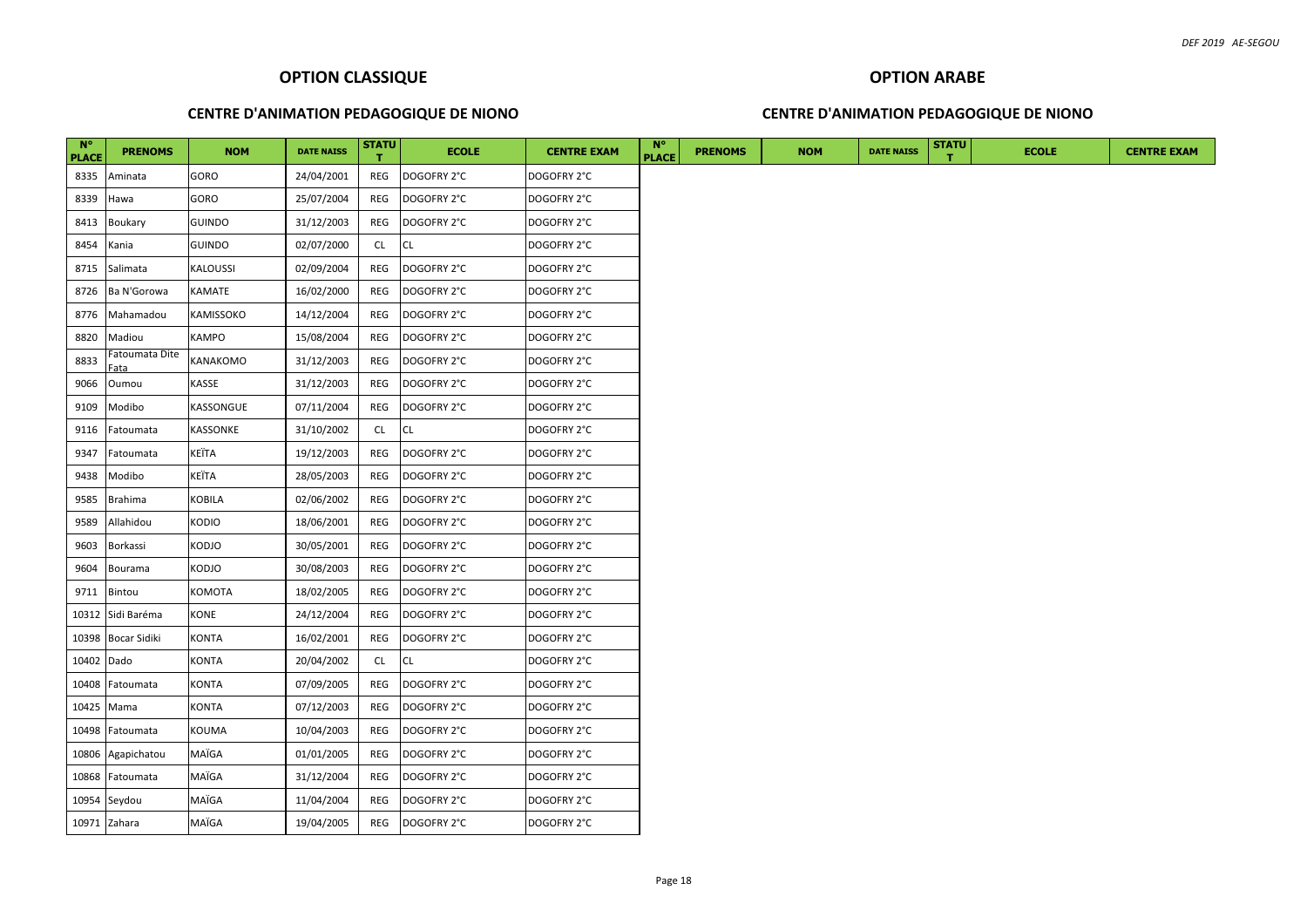## **CENTRE D'ANIMATION PEDAGOGIQUE DE NIONO**

#### **CENTRE D'ANIMATION PEDAGOGIQUE DE NIONO**

| <b>N°</b><br><b>PLACE</b> | <b>PRENOMS</b>                     | <b>NOM</b>    | <b>DATE NAISS</b> | <b>STATU</b> | <b>ECOLE</b> | <b>CENTRE EXAM</b> | $N^{\circ}$<br><b>PLACE</b> | <b>PRENOMS</b> | <b>NOM</b> | <b>DATE NAISS</b> | <b>STATU</b> | <b>ECOLE</b> |  | <b>CENTRE EXAM</b> |
|---------------------------|------------------------------------|---------------|-------------------|--------------|--------------|--------------------|-----------------------------|----------------|------------|-------------------|--------------|--------------|--|--------------------|
| 8335                      | Aminata                            | GORO          | 24/04/2001        | REG          | DOGOFRY 2°C  | DOGOFRY 2°C        |                             |                |            |                   |              |              |  |                    |
| 8339                      | Hawa                               | GORO          | 25/07/2004        | REG          | DOGOFRY 2°C  | DOGOFRY 2°C        |                             |                |            |                   |              |              |  |                    |
| 8413                      | <b>Boukary</b>                     | <b>GUINDO</b> | 31/12/2003        | REG          | DOGOFRY 2°C  | DOGOFRY 2°C        |                             |                |            |                   |              |              |  |                    |
| 8454                      | Kania                              | <b>GUINDO</b> | 02/07/2000        | <b>CL</b>    | CL           | DOGOFRY 2°C        |                             |                |            |                   |              |              |  |                    |
| 8715                      | Salimata                           | KALOUSSI      | 02/09/2004        | REG          | DOGOFRY 2°C  | DOGOFRY 2°C        |                             |                |            |                   |              |              |  |                    |
| 8726                      | Ba N'Gorowa                        | KAMATE        | 16/02/2000        | REG          | DOGOFRY 2°C  | DOGOFRY 2°C        |                             |                |            |                   |              |              |  |                    |
| 8776                      | Mahamadou                          | KAMISSOKO     | 14/12/2004        | REG          | DOGOFRY 2°C  | DOGOFRY 2°C        |                             |                |            |                   |              |              |  |                    |
| 8820                      | Madiou                             | KAMPO         | 15/08/2004        | REG          | DOGOFRY 2°C  | DOGOFRY 2°C        |                             |                |            |                   |              |              |  |                    |
| 8833                      | Fatoumata Dite<br><sup>=</sup> ata | KANAKOMO      | 31/12/2003        | REG          | DOGOFRY 2°C  | DOGOFRY 2°C        |                             |                |            |                   |              |              |  |                    |
| 9066                      | Oumou                              | KASSE         | 31/12/2003        | REG          | DOGOFRY 2°C  | DOGOFRY 2°C        |                             |                |            |                   |              |              |  |                    |
| 9109                      | Modibo                             | KASSONGUE     | 07/11/2004        | REG          | DOGOFRY 2°C  | DOGOFRY 2°C        |                             |                |            |                   |              |              |  |                    |
| 9116                      | Fatoumata                          | KASSONKE      | 31/10/2002        | <b>CL</b>    | CL           | DOGOFRY 2°C        |                             |                |            |                   |              |              |  |                    |
| 9347                      | Fatoumata                          | KEÏTA         | 19/12/2003        | REG          | DOGOFRY 2°C  | DOGOFRY 2°C        |                             |                |            |                   |              |              |  |                    |
| 9438                      | Modibo                             | KEÏTA         | 28/05/2003        | REG          | DOGOFRY 2°C  | DOGOFRY 2°C        |                             |                |            |                   |              |              |  |                    |
| 9585                      | Brahima                            | KOBILA        | 02/06/2002        | REG          | DOGOFRY 2°C  | DOGOFRY 2°C        |                             |                |            |                   |              |              |  |                    |
| 9589                      | Allahidou                          | KODIO         | 18/06/2001        | REG          | DOGOFRY 2°C  | DOGOFRY 2°C        |                             |                |            |                   |              |              |  |                    |
| 9603                      | Borkassi                           | KODJO         | 30/05/2001        | REG          | DOGOFRY 2°C  | DOGOFRY 2°C        |                             |                |            |                   |              |              |  |                    |
| 9604                      | Bourama                            | KODJO         | 30/08/2003        | REG          | DOGOFRY 2°C  | DOGOFRY 2°C        |                             |                |            |                   |              |              |  |                    |
| 9711                      | Bintou                             | KOMOTA        | 18/02/2005        | REG          | DOGOFRY 2°C  | DOGOFRY 2°C        |                             |                |            |                   |              |              |  |                    |
| 10312                     | Sidi Baréma                        | KONE          | 24/12/2004        | REG          | DOGOFRY 2°C  | DOGOFRY 2°C        |                             |                |            |                   |              |              |  |                    |
| 10398                     | <b>Bocar Sidiki</b>                | KONTA         | 16/02/2001        | REG          | DOGOFRY 2°C  | DOGOFRY 2°C        |                             |                |            |                   |              |              |  |                    |
| 10402                     | Dado                               | KONTA         | 20/04/2002        | <b>CL</b>    | СL           | DOGOFRY 2°C        |                             |                |            |                   |              |              |  |                    |
| 10408                     | Fatoumata                          | KONTA         | 07/09/2005        | REG          | DOGOFRY 2°C  | DOGOFRY 2°C        |                             |                |            |                   |              |              |  |                    |
| 10425                     | Mama                               | KONTA         | 07/12/2003        | REG          | DOGOFRY 2°C  | DOGOFRY 2°C        |                             |                |            |                   |              |              |  |                    |
| 10498                     | Fatoumata                          | KOUMA         | 10/04/2003        | REG          | DOGOFRY 2°C  | DOGOFRY 2°C        |                             |                |            |                   |              |              |  |                    |
| 10806                     | Agapichatou                        | MAÏGA         | 01/01/2005        | REG          | DOGOFRY 2°C  | DOGOFRY 2°C        |                             |                |            |                   |              |              |  |                    |
| 10868                     | Fatoumata                          | MAÏGA         | 31/12/2004        | REG          | DOGOFRY 2°C  | DOGOFRY 2°C        |                             |                |            |                   |              |              |  |                    |
|                           | 10954 Seydou                       | MAÏGA         | 11/04/2004        | REG          | DOGOFRY 2°C  | DOGOFRY 2°C        |                             |                |            |                   |              |              |  |                    |
|                           | 10971 Zahara                       | MAÏGA         | 19/04/2005        | REG          | DOGOFRY 2°C  | DOGOFRY 2°C        |                             |                |            |                   |              |              |  |                    |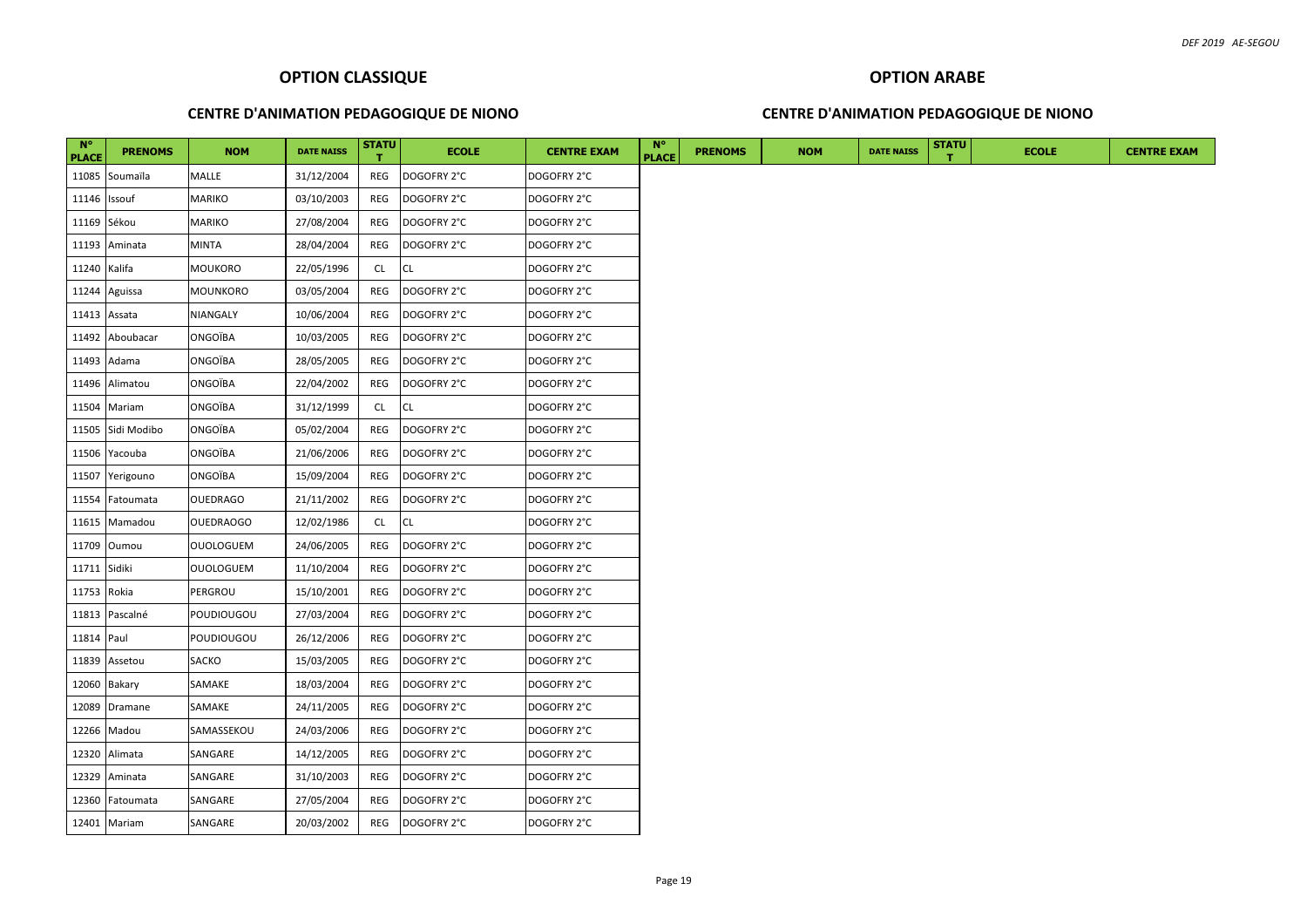#### **CENTRE D'ANIMATION PEDAGOGIQUE DE NIONO**

#### **CENTRE D'ANIMATION PEDAGOGIQUE DE NIONO**

| $N^{\circ}$<br><b>PLACE</b> | <b>PRENOMS</b>    | <b>NOM</b>       | <b>DATE NAISS</b> | <b>STATU</b> | <b>ECOLE</b> | <b>CENTRE EXAM</b> | $N^{\circ}$<br><b>PLACE</b> | <b>PRENOMS</b> | <b>NOM</b> | <b>DATE NAISS</b> | <b>STATU</b> | <b>ECOLE</b> | <b>CENTRE EXAM</b> |
|-----------------------------|-------------------|------------------|-------------------|--------------|--------------|--------------------|-----------------------------|----------------|------------|-------------------|--------------|--------------|--------------------|
| 11085                       | Soumaïla          | MALLE            | 31/12/2004        | REG          | DOGOFRY 2°C  | DOGOFRY 2°C        |                             |                |            |                   |              |              |                    |
| 11146                       | Issouf            | <b>MARIKO</b>    | 03/10/2003        | REG          | DOGOFRY 2°C  | DOGOFRY 2°C        |                             |                |            |                   |              |              |                    |
| 11169 Sékou                 |                   | MARIKO           | 27/08/2004        | REG          | DOGOFRY 2°C  | DOGOFRY 2°C        |                             |                |            |                   |              |              |                    |
|                             | 11193 Aminata     | MINTA            | 28/04/2004        | REG          | DOGOFRY 2°C  | DOGOFRY 2°C        |                             |                |            |                   |              |              |                    |
| 11240 Kalifa                |                   | MOUKORO          | 22/05/1996        | CL           | <b>CL</b>    | DOGOFRY 2°C        |                             |                |            |                   |              |              |                    |
|                             | 11244 Aguissa     | <b>MOUNKORO</b>  | 03/05/2004        | REG          | DOGOFRY 2°C  | DOGOFRY 2°C        |                             |                |            |                   |              |              |                    |
| 11413 Assata                |                   | NIANGALY         | 10/06/2004        | REG          | DOGOFRY 2°C  | DOGOFRY 2°C        |                             |                |            |                   |              |              |                    |
|                             | 11492 Aboubacar   | ONGOÏBA          | 10/03/2005        | REG          | DOGOFRY 2°C  | DOGOFRY 2°C        |                             |                |            |                   |              |              |                    |
| 11493                       | Adama             | ONGOÏBA          | 28/05/2005        | REG          | DOGOFRY 2°C  | DOGOFRY 2°C        |                             |                |            |                   |              |              |                    |
| 11496                       | Alimatou          | ONGOÏBA          | 22/04/2002        | REG          | DOGOFRY 2°C  | DOGOFRY 2°C        |                             |                |            |                   |              |              |                    |
| 11504                       | Mariam            | ONGOÏBA          | 31/12/1999        | CL           | <b>CL</b>    | DOGOFRY 2°C        |                             |                |            |                   |              |              |                    |
|                             | 11505 Sidi Modibo | ONGOÏBA          | 05/02/2004        | REG          | DOGOFRY 2°C  | DOGOFRY 2°C        |                             |                |            |                   |              |              |                    |
|                             | 11506 Yacouba     | ONGOÏBA          | 21/06/2006        | REG          | DOGOFRY 2°C  | DOGOFRY 2°C        |                             |                |            |                   |              |              |                    |
|                             | 11507 Yerigouno   | ONGOÏBA          | 15/09/2004        | REG          | DOGOFRY 2°C  | DOGOFRY 2°C        |                             |                |            |                   |              |              |                    |
| 11554                       | Fatoumata         | <b>OUEDRAGO</b>  | 21/11/2002        | REG          | DOGOFRY 2°C  | DOGOFRY 2°C        |                             |                |            |                   |              |              |                    |
|                             | 11615 Mamadou     | <b>OUEDRAOGO</b> | 12/02/1986        | <b>CL</b>    | <b>CL</b>    | DOGOFRY 2°C        |                             |                |            |                   |              |              |                    |
| 11709                       | Oumou             | OUOLOGUEM        | 24/06/2005        | REG          | DOGOFRY 2°C  | DOGOFRY 2°C        |                             |                |            |                   |              |              |                    |
| 11711 Sidiki                |                   | <b>OUOLOGUEM</b> | 11/10/2004        | REG          | DOGOFRY 2°C  | DOGOFRY 2°C        |                             |                |            |                   |              |              |                    |
| 11753 Rokia                 |                   | PERGROU          | 15/10/2001        | REG          | DOGOFRY 2°C  | DOGOFRY 2°C        |                             |                |            |                   |              |              |                    |
|                             | 11813 Pascalné    | POUDIOUGOU       | 27/03/2004        | REG          | DOGOFRY 2°C  | DOGOFRY 2°C        |                             |                |            |                   |              |              |                    |
| 11814 Paul                  |                   | POUDIOUGOU       | 26/12/2006        | REG          | DOGOFRY 2°C  | DOGOFRY 2°C        |                             |                |            |                   |              |              |                    |
| 11839                       | Assetou           | SACKO            | 15/03/2005        | REG          | DOGOFRY 2°C  | DOGOFRY 2°C        |                             |                |            |                   |              |              |                    |
|                             | 12060 Bakary      | SAMAKE           | 18/03/2004        | REG          | DOGOFRY 2°C  | DOGOFRY 2°C        |                             |                |            |                   |              |              |                    |
| 12089                       | Dramane           | SAMAKE           | 24/11/2005        | <b>REG</b>   | DOGOFRY 2°C  | DOGOFRY 2°C        |                             |                |            |                   |              |              |                    |
| 12266                       | Madou             | SAMASSEKOU       | 24/03/2006        | REG          | DOGOFRY 2°C  | DOGOFRY 2°C        |                             |                |            |                   |              |              |                    |
| 12320                       | Alimata           | SANGARE          | 14/12/2005        | REG          | DOGOFRY 2°C  | DOGOFRY 2°C        |                             |                |            |                   |              |              |                    |
| 12329                       | Aminata           | SANGARE          | 31/10/2003        | REG          | DOGOFRY 2°C  | DOGOFRY 2°C        |                             |                |            |                   |              |              |                    |
| 12360                       | Fatoumata         | SANGARE          | 27/05/2004        | REG          | DOGOFRY 2°C  | DOGOFRY 2°C        |                             |                |            |                   |              |              |                    |
|                             | 12401 Mariam      | SANGARE          | 20/03/2002        | REG          | DOGOFRY 2°C  | DOGOFRY 2°C        |                             |                |            |                   |              |              |                    |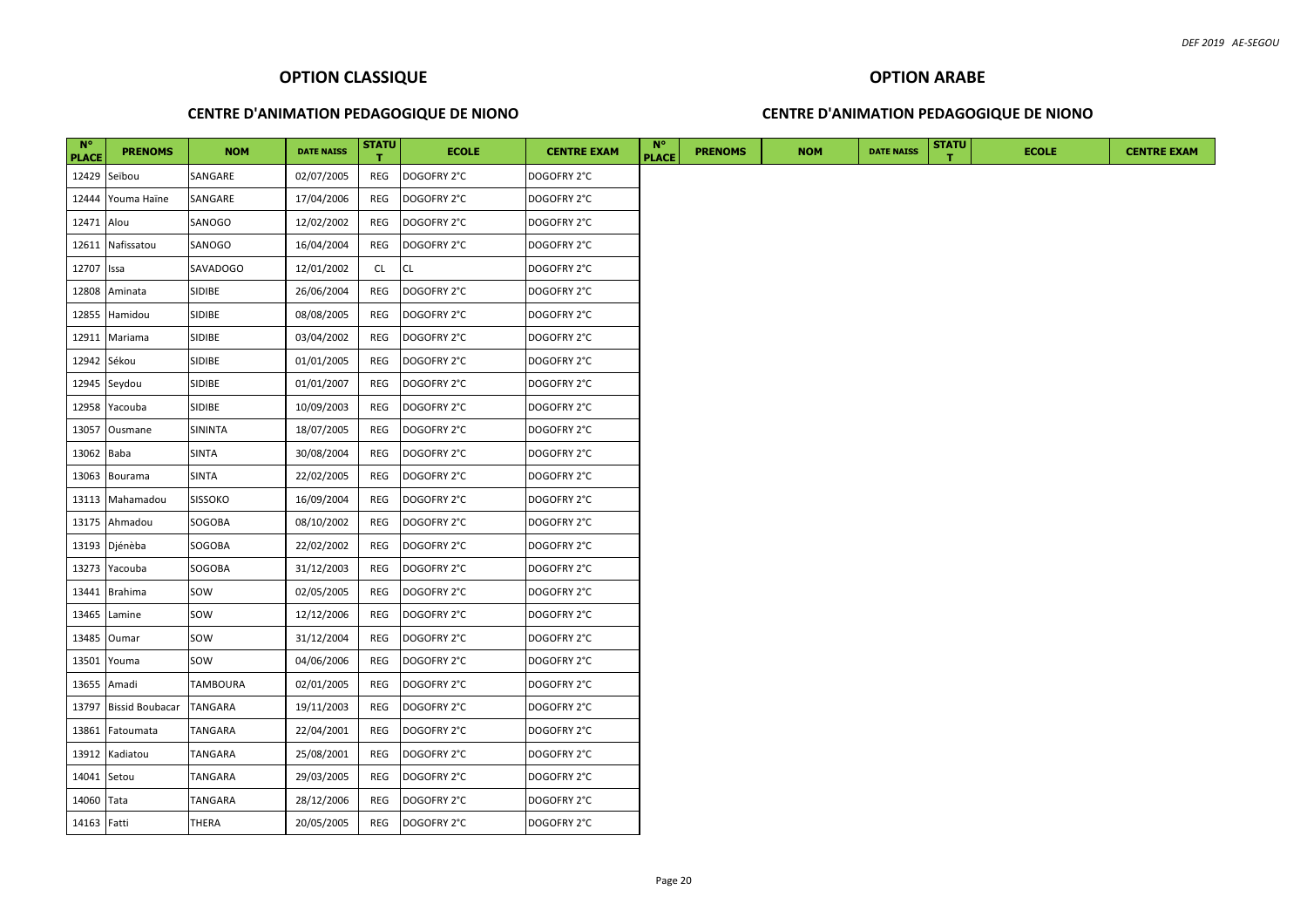#### **CENTRE D'ANIMATION PEDAGOGIQUE DE NIONO**

#### **CENTRE D'ANIMATION PEDAGOGIQUE DE NIONO**

| $N^{\circ}$<br><b>PLACE</b> | <b>PRENOMS</b>         | <b>NOM</b>     | <b>DATE NAISS</b> | <b>STATU</b> | <b>ECOLE</b> | <b>CENTRE EXAM</b> | $N^{\circ}$<br><b>PLACE</b> | <b>PRENOMS</b> | <b>NOM</b> | <b>DATE NAISS</b> | <b>STATU</b> | <b>ECOLE</b> |
|-----------------------------|------------------------|----------------|-------------------|--------------|--------------|--------------------|-----------------------------|----------------|------------|-------------------|--------------|--------------|
|                             | 12429 Seïbou           | SANGARE        | 02/07/2005        | REG          | DOGOFRY 2°C  | DOGOFRY 2°C        |                             |                |            |                   |              |              |
|                             | 12444 Youma Haïne      | SANGARE        | 17/04/2006        | REG          | DOGOFRY 2°C  | DOGOFRY 2°C        |                             |                |            |                   |              |              |
| 12471 Alou                  |                        | SANOGO         | 12/02/2002        | REG          | DOGOFRY 2°C  | DOGOFRY 2°C        |                             |                |            |                   |              |              |
| 12611                       | Nafissatou             | SANOGO         | 16/04/2004        | REG          | DOGOFRY 2°C  | DOGOFRY 2°C        |                             |                |            |                   |              |              |
| 12707                       | Issa                   | SAVADOGO       | 12/01/2002        | CL           | <b>CL</b>    | DOGOFRY 2°C        |                             |                |            |                   |              |              |
| 12808                       | Aminata                | <b>SIDIBE</b>  | 26/06/2004        | REG          | DOGOFRY 2°C  | DOGOFRY 2°C        |                             |                |            |                   |              |              |
| 12855                       | Hamidou                | SIDIBE         | 08/08/2005        | REG          | DOGOFRY 2°C  | DOGOFRY 2°C        |                             |                |            |                   |              |              |
|                             | 12911 Mariama          | <b>SIDIBE</b>  | 03/04/2002        | REG          | DOGOFRY 2°C  | DOGOFRY 2°C        |                             |                |            |                   |              |              |
| 12942 Sékou                 |                        | <b>SIDIBE</b>  | 01/01/2005        | REG          | DOGOFRY 2°C  | DOGOFRY 2°C        |                             |                |            |                   |              |              |
|                             | 12945 Seydou           | <b>SIDIBE</b>  | 01/01/2007        | REG          | DOGOFRY 2°C  | DOGOFRY 2°C        |                             |                |            |                   |              |              |
|                             | 12958 Yacouba          | SIDIBE         | 10/09/2003        | REG          | DOGOFRY 2°C  | DOGOFRY 2°C        |                             |                |            |                   |              |              |
| 13057                       | Ousmane                | SININTA        | 18/07/2005        | REG          | DOGOFRY 2°C  | DOGOFRY 2°C        |                             |                |            |                   |              |              |
| 13062 Baba                  |                        | SINTA          | 30/08/2004        | REG          | DOGOFRY 2°C  | DOGOFRY 2°C        |                             |                |            |                   |              |              |
| 13063                       | Bourama                | <b>SINTA</b>   | 22/02/2005        | REG          | DOGOFRY 2°C  | DOGOFRY 2°C        |                             |                |            |                   |              |              |
|                             | 13113 Mahamadou        | <b>SISSOKO</b> | 16/09/2004        | REG          | DOGOFRY 2°C  | DOGOFRY 2°C        |                             |                |            |                   |              |              |
|                             | 13175 Ahmadou          | SOGOBA         | 08/10/2002        | REG          | DOGOFRY 2°C  | DOGOFRY 2°C        |                             |                |            |                   |              |              |
|                             | 13193 Djénèba          | SOGOBA         | 22/02/2002        | REG          | DOGOFRY 2°C  | DOGOFRY 2°C        |                             |                |            |                   |              |              |
|                             | 13273 Yacouba          | SOGOBA         | 31/12/2003        | REG          | DOGOFRY 2°C  | DOGOFRY 2°C        |                             |                |            |                   |              |              |
| 13441                       | <b>Brahima</b>         | SOW            | 02/05/2005        | REG          | DOGOFRY 2°C  | DOGOFRY 2°C        |                             |                |            |                   |              |              |
| 13465                       | Lamine                 | SOW            | 12/12/2006        | REG          | DOGOFRY 2°C  | DOGOFRY 2°C        |                             |                |            |                   |              |              |
| 13485                       | Oumar                  | SOW            | 31/12/2004        | REG          | DOGOFRY 2°C  | DOGOFRY 2°C        |                             |                |            |                   |              |              |
|                             | 13501 Youma            | SOW            | 04/06/2006        | REG          | DOGOFRY 2°C  | DOGOFRY 2°C        |                             |                |            |                   |              |              |
| 13655                       | Amadi                  | TAMBOURA       | 02/01/2005        | REG          | DOGOFRY 2°C  | DOGOFRY 2°C        |                             |                |            |                   |              |              |
| 13797                       | <b>Bissid Boubacar</b> | <b>TANGARA</b> | 19/11/2003        | REG          | DOGOFRY 2°C  | DOGOFRY 2°C        |                             |                |            |                   |              |              |
| 13861                       | Fatoumata              | TANGARA        | 22/04/2001        | REG          | DOGOFRY 2°C  | DOGOFRY 2°C        |                             |                |            |                   |              |              |
| 13912                       | Kadiatou               | TANGARA        | 25/08/2001        | REG          | DOGOFRY 2°C  | DOGOFRY 2°C        |                             |                |            |                   |              |              |
| 14041 Setou                 |                        | TANGARA        | 29/03/2005        | REG          | DOGOFRY 2°C  | DOGOFRY 2°C        |                             |                |            |                   |              |              |
| 14060 Tata                  |                        | TANGARA        | 28/12/2006        | REG          | DOGOFRY 2°C  | DOGOFRY 2°C        |                             |                |            |                   |              |              |
| 14163 Fatti                 |                        | <b>THERA</b>   | 20/05/2005        | REG          | DOGOFRY 2°C  | DOGOFRY 2°C        |                             |                |            |                   |              |              |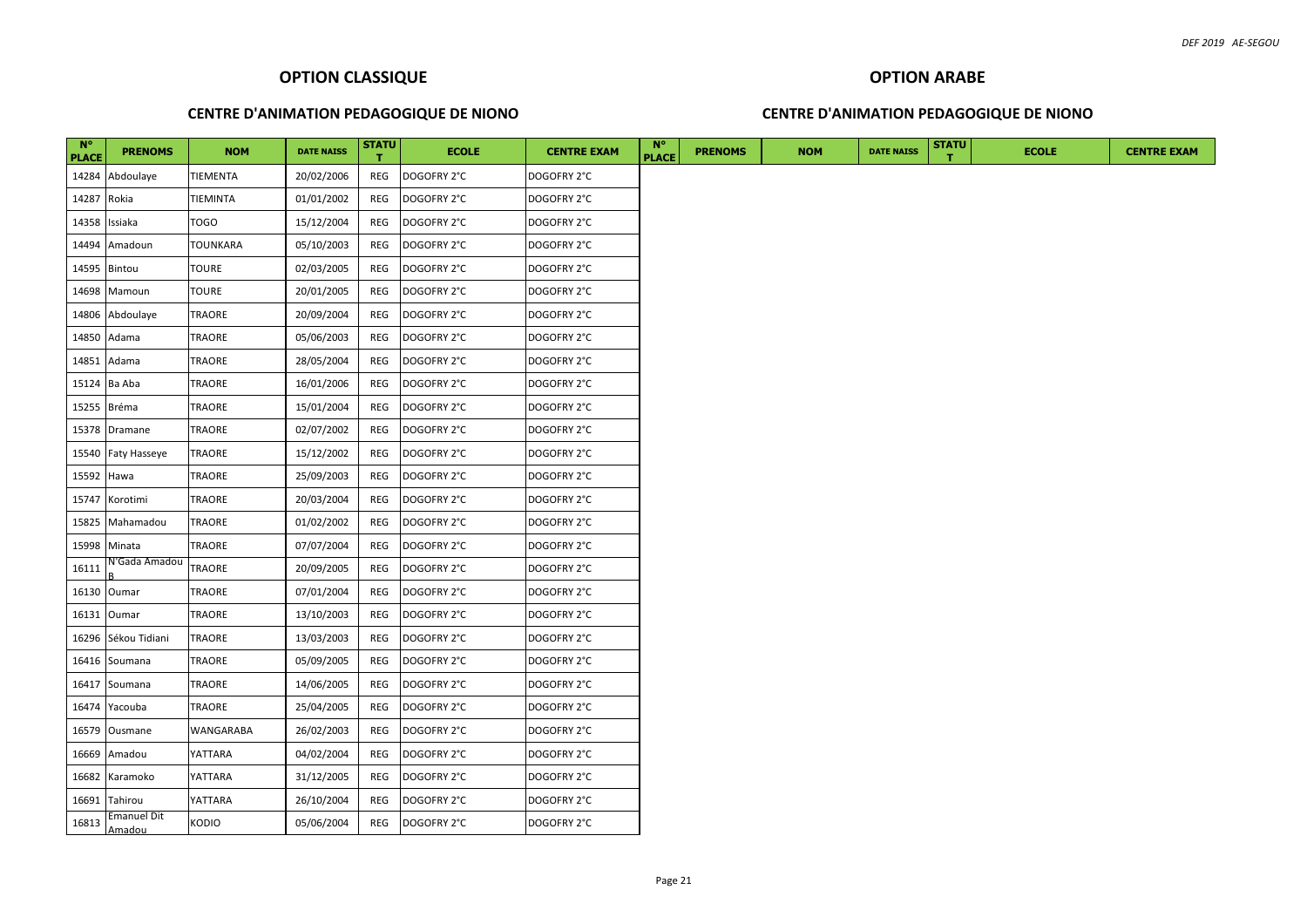#### **CENTRE D'ANIMATION PEDAGOGIQUE DE NIONO**

#### **CENTRE D'ANIMATION PEDAGOGIQUE DE NIONO**

| $N^{\circ}$<br><b>PLACE</b> | <b>PRENOMS</b>        | <b>NOM</b>    | <b>DATE NAISS</b> | <b>STATU</b> | <b>ECOLE</b> | <b>CENTRE EXAM</b> | $N^{\circ}$<br><b>PLACE</b> | <b>PRENOMS</b> | <b>NOM</b> | <b>DATE NAISS</b> | <b>STATU</b> | <b>ECOLE</b> | <b>CENTRE EXAM</b> |
|-----------------------------|-----------------------|---------------|-------------------|--------------|--------------|--------------------|-----------------------------|----------------|------------|-------------------|--------------|--------------|--------------------|
| 14284                       | Abdoulaye             | TIEMENTA      | 20/02/2006        | REG          | DOGOFRY 2°C  | DOGOFRY 2°C        |                             |                |            |                   |              |              |                    |
| 14287                       | Rokia                 | TIEMINTA      | 01/01/2002        | REG          | DOGOFRY 2°C  | DOGOFRY 2°C        |                             |                |            |                   |              |              |                    |
| 14358                       | Issiaka               | TOGO          | 15/12/2004        | REG          | DOGOFRY 2°C  | DOGOFRY 2°C        |                             |                |            |                   |              |              |                    |
|                             | 14494 Amadoun         | TOUNKARA      | 05/10/2003        | REG          | DOGOFRY 2°C  | DOGOFRY 2°C        |                             |                |            |                   |              |              |                    |
| 14595                       | Bintou                | <b>TOURE</b>  | 02/03/2005        | REG          | DOGOFRY 2°C  | DOGOFRY 2°C        |                             |                |            |                   |              |              |                    |
| 14698                       | Mamoun                | <b>TOURE</b>  | 20/01/2005        | REG          | DOGOFRY 2°C  | DOGOFRY 2°C        |                             |                |            |                   |              |              |                    |
| 14806                       | Abdoulaye             | <b>TRAORE</b> | 20/09/2004        | REG          | DOGOFRY 2°C  | DOGOFRY 2°C        |                             |                |            |                   |              |              |                    |
| 14850                       | Adama                 | TRAORE        | 05/06/2003        | REG          | DOGOFRY 2°C  | DOGOFRY 2°C        |                             |                |            |                   |              |              |                    |
| 14851                       | Adama                 | TRAORE        | 28/05/2004        | REG          | DOGOFRY 2°C  | DOGOFRY 2°C        |                             |                |            |                   |              |              |                    |
|                             | 15124 Ba Aba          | TRAORE        | 16/01/2006        | REG          | DOGOFRY 2°C  | DOGOFRY 2°C        |                             |                |            |                   |              |              |                    |
| 15255                       | Bréma                 | TRAORE        | 15/01/2004        | REG          | DOGOFRY 2°C  | DOGOFRY 2°C        |                             |                |            |                   |              |              |                    |
|                             | 15378 Dramane         | TRAORE        | 02/07/2002        | <b>REG</b>   | DOGOFRY 2°C  | DOGOFRY 2°C        |                             |                |            |                   |              |              |                    |
|                             | 15540 Faty Hasseye    | TRAORE        | 15/12/2002        | REG          | DOGOFRY 2°C  | DOGOFRY 2°C        |                             |                |            |                   |              |              |                    |
| 15592                       | Hawa                  | TRAORE        | 25/09/2003        | REG          | DOGOFRY 2°C  | DOGOFRY 2°C        |                             |                |            |                   |              |              |                    |
| 15747                       | Korotimi              | TRAORE        | 20/03/2004        | REG          | DOGOFRY 2°C  | DOGOFRY 2°C        |                             |                |            |                   |              |              |                    |
| 15825                       | Mahamadou             | TRAORE        | 01/02/2002        | REG          | DOGOFRY 2°C  | DOGOFRY 2°C        |                             |                |            |                   |              |              |                    |
| 15998                       | Minata                | TRAORE        | 07/07/2004        | REG          | DOGOFRY 2°C  | DOGOFRY 2°C        |                             |                |            |                   |              |              |                    |
| 16111                       | N'Gada Amadou         | TRAORE        | 20/09/2005        | REG          | DOGOFRY 2°C  | DOGOFRY 2°C        |                             |                |            |                   |              |              |                    |
| 16130                       | Oumar                 | TRAORE        | 07/01/2004        | REG          | DOGOFRY 2°C  | DOGOFRY 2°C        |                             |                |            |                   |              |              |                    |
|                             | 16131 Oumar           | TRAORE        | 13/10/2003        | REG          | DOGOFRY 2°C  | DOGOFRY 2°C        |                             |                |            |                   |              |              |                    |
|                             | 16296 Sékou Tidiani   | TRAORE        | 13/03/2003        | REG          | DOGOFRY 2°C  | DOGOFRY 2°C        |                             |                |            |                   |              |              |                    |
|                             | 16416 Soumana         | <b>TRAORE</b> | 05/09/2005        | REG          | DOGOFRY 2°C  | DOGOFRY 2°C        |                             |                |            |                   |              |              |                    |
|                             | 16417 Soumana         | TRAORE        | 14/06/2005        | REG          | DOGOFRY 2°C  | DOGOFRY 2°C        |                             |                |            |                   |              |              |                    |
|                             | 16474 Yacouba         | <b>TRAORE</b> | 25/04/2005        | REG          | DOGOFRY 2°C  | DOGOFRY 2°C        |                             |                |            |                   |              |              |                    |
|                             | 16579 Ousmane         | WANGARABA     | 26/02/2003        | REG          | DOGOFRY 2°C  | DOGOFRY 2°C        |                             |                |            |                   |              |              |                    |
| 16669                       | Amadou                | YATTARA       | 04/02/2004        | REG          | DOGOFRY 2°C  | DOGOFRY 2°C        |                             |                |            |                   |              |              |                    |
| 16682                       | Karamoko              | YATTARA       | 31/12/2005        | REG          | DOGOFRY 2°C  | DOGOFRY 2°C        |                             |                |            |                   |              |              |                    |
| 16691                       | Tahirou               | YATTARA       | 26/10/2004        | REG          | DOGOFRY 2°C  | DOGOFRY 2°C        |                             |                |            |                   |              |              |                    |
| 16813                       | Emanuel Dit<br>Amadou | KODIO         | 05/06/2004        | REG          | DOGOFRY 2°C  | DOGOFRY 2°C        |                             |                |            |                   |              |              |                    |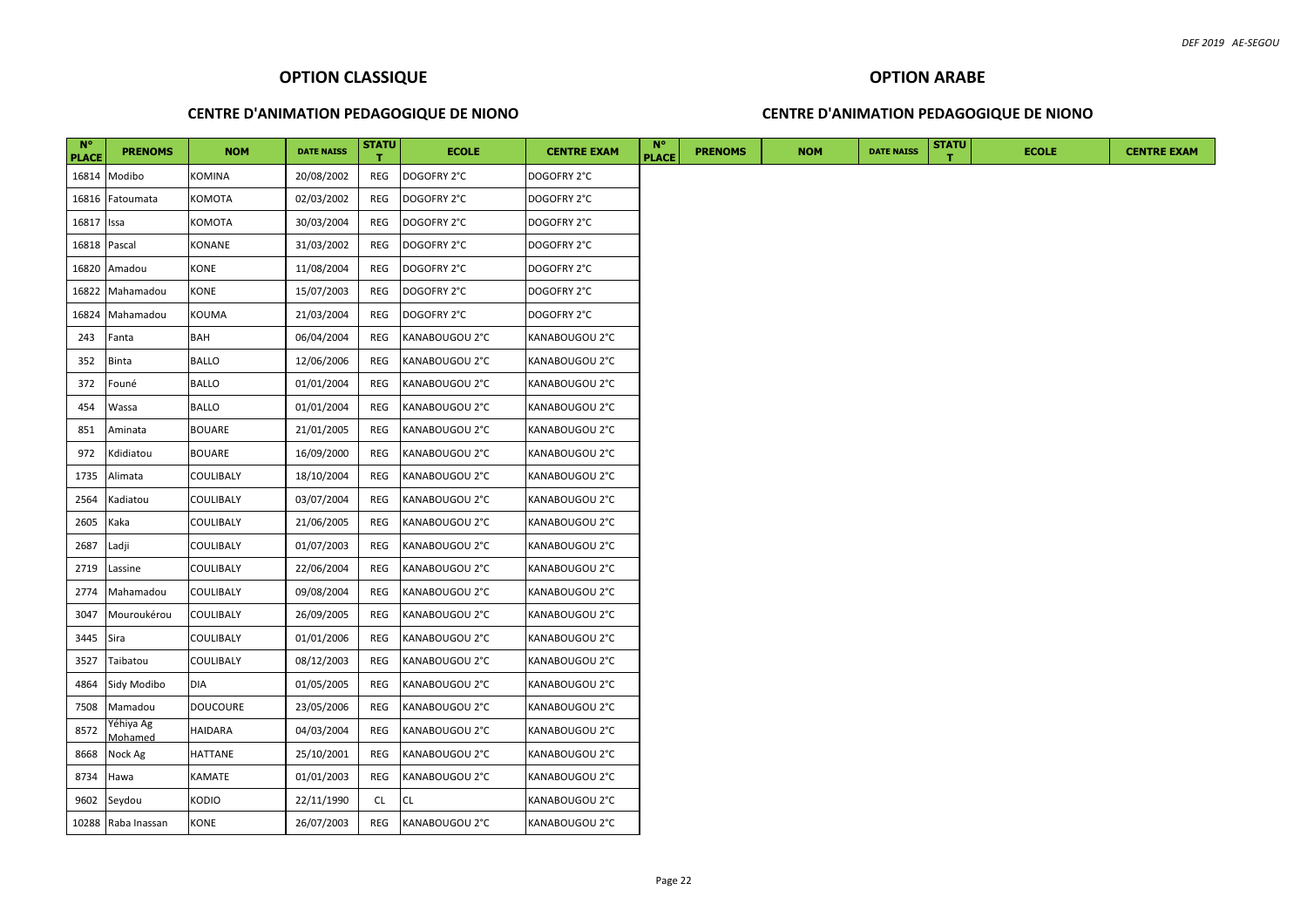#### **CENTRE D'ANIMATION PEDAGOGIQUE DE NIONO**

# **OPTION ARABE CENTRE D'ANIMATION PEDAGOGIQUE DE NIONO**

| $N^{\circ}$<br>PLACE | <b>PRENOMS</b>                   | <b>NOM</b>    | <b>DATE NAISS</b> | <b>STATU</b> | <b>ECOLE</b>   | <b>CENTRE EXAM</b> | <b>N°</b><br><b>PLACE</b> | <b>PRENOMS</b> | <b>NOM</b> | <b>DATE NAISS</b> | <b>STATU</b> | <b>ECOLE</b> |
|----------------------|----------------------------------|---------------|-------------------|--------------|----------------|--------------------|---------------------------|----------------|------------|-------------------|--------------|--------------|
| 16814                | Modibo                           | KOMINA        | 20/08/2002        | REG          | DOGOFRY 2°C    | DOGOFRY 2°C        |                           |                |            |                   |              |              |
| 16816                | Fatoumata                        | KOMOTA        | 02/03/2002        | REG          | DOGOFRY 2°C    | DOGOFRY 2°C        |                           |                |            |                   |              |              |
| 16817                | Issa                             | KOMOTA        | 30/03/2004        | REG          | DOGOFRY 2°C    | DOGOFRY 2°C        |                           |                |            |                   |              |              |
| 16818                | Pascal                           | KONANE        | 31/03/2002        | REG          | DOGOFRY 2°C    | DOGOFRY 2°C        |                           |                |            |                   |              |              |
| 16820                | Amadou                           | KONE          | 11/08/2004        | REG          | DOGOFRY 2°C    | DOGOFRY 2°C        |                           |                |            |                   |              |              |
| 16822                | Mahamadou                        | KONE          | 15/07/2003        | REG          | DOGOFRY 2°C    | DOGOFRY 2°C        |                           |                |            |                   |              |              |
| 16824                | Mahamadou                        | KOUMA         | 21/03/2004        | REG          | DOGOFRY 2°C    | DOGOFRY 2°C        |                           |                |            |                   |              |              |
| 243                  | Fanta                            | BAH           | 06/04/2004        | REG          | KANABOUGOU 2°C | KANABOUGOU 2°C     |                           |                |            |                   |              |              |
| 352                  | <b>Binta</b>                     | <b>BALLO</b>  | 12/06/2006        | REG          | KANABOUGOU 2°C | KANABOUGOU 2°C     |                           |                |            |                   |              |              |
| 372                  | Founé                            | <b>BALLO</b>  | 01/01/2004        | REG          | KANABOUGOU 2°C | KANABOUGOU 2°C     |                           |                |            |                   |              |              |
| 454                  | Wassa                            | <b>BALLO</b>  | 01/01/2004        | REG          | KANABOUGOU 2°C | KANABOUGOU 2°C     |                           |                |            |                   |              |              |
| 851                  | Aminata                          | BOUARE        | 21/01/2005        | REG          | KANABOUGOU 2°C | KANABOUGOU 2°C     |                           |                |            |                   |              |              |
| 972                  | Kdidiatou                        | <b>BOUARE</b> | 16/09/2000        | REG          | KANABOUGOU 2°C | KANABOUGOU 2°C     |                           |                |            |                   |              |              |
| 1735                 | Alimata                          | COULIBALY     | 18/10/2004        | REG          | KANABOUGOU 2°C | KANABOUGOU 2°C     |                           |                |            |                   |              |              |
| 2564                 | Kadiatou                         | COULIBALY     | 03/07/2004        | REG          | KANABOUGOU 2°C | KANABOUGOU 2°C     |                           |                |            |                   |              |              |
| 2605                 | Kaka                             | COULIBALY     | 21/06/2005        | REG          | KANABOUGOU 2°C | KANABOUGOU 2°C     |                           |                |            |                   |              |              |
| 2687                 | Ladji                            | COULIBALY     | 01/07/2003        | REG          | KANABOUGOU 2°C | KANABOUGOU 2°C     |                           |                |            |                   |              |              |
| 2719                 | Lassine                          | COULIBALY     | 22/06/2004        | REG          | KANABOUGOU 2°C | KANABOUGOU 2°C     |                           |                |            |                   |              |              |
| 2774                 | Mahamadou                        | COULIBALY     | 09/08/2004        | REG          | KANABOUGOU 2°C | KANABOUGOU 2°C     |                           |                |            |                   |              |              |
| 3047                 | Mouroukérou                      | COULIBALY     | 26/09/2005        | REG          | KANABOUGOU 2°C | KANABOUGOU 2°C     |                           |                |            |                   |              |              |
| 3445                 | Sira                             | COULIBALY     | 01/01/2006        | REG          | KANABOUGOU 2°C | KANABOUGOU 2°C     |                           |                |            |                   |              |              |
| 3527                 | Taibatou                         | COULIBALY     | 08/12/2003        | REG          | KANABOUGOU 2°C | KANABOUGOU 2°C     |                           |                |            |                   |              |              |
| 4864                 | Sidy Modibo                      | DIA           | 01/05/2005        | REG          | KANABOUGOU 2°C | KANABOUGOU 2°C     |                           |                |            |                   |              |              |
| 7508                 | Mamadou                          | DOUCOURE      | 23/05/2006        | REG          | KANABOUGOU 2°C | KANABOUGOU 2°C     |                           |                |            |                   |              |              |
| 8572                 | Yéhiya Ag                        | HAIDARA       | 04/03/2004        | REG          | KANABOUGOU 2°C | KANABOUGOU 2°C     |                           |                |            |                   |              |              |
| 8668                 | <i><b>Aohamed</b></i><br>Nock Ag | HATTANE       | 25/10/2001        | REG          | KANABOUGOU 2°C | KANABOUGOU 2°C     |                           |                |            |                   |              |              |
| 8734                 | Hawa                             | KAMATE        | 01/01/2003        | REG          | KANABOUGOU 2°C | KANABOUGOU 2°C     |                           |                |            |                   |              |              |
| 9602                 | Seydou                           | Kodio         | 22/11/1990        | CL.          | <b>CL</b>      | KANABOUGOU 2°C     |                           |                |            |                   |              |              |
|                      | 10288 Raba Inassan               | KONE          | 26/07/2003        | REG          | KANABOUGOU 2°C | KANABOUGOU 2°C     |                           |                |            |                   |              |              |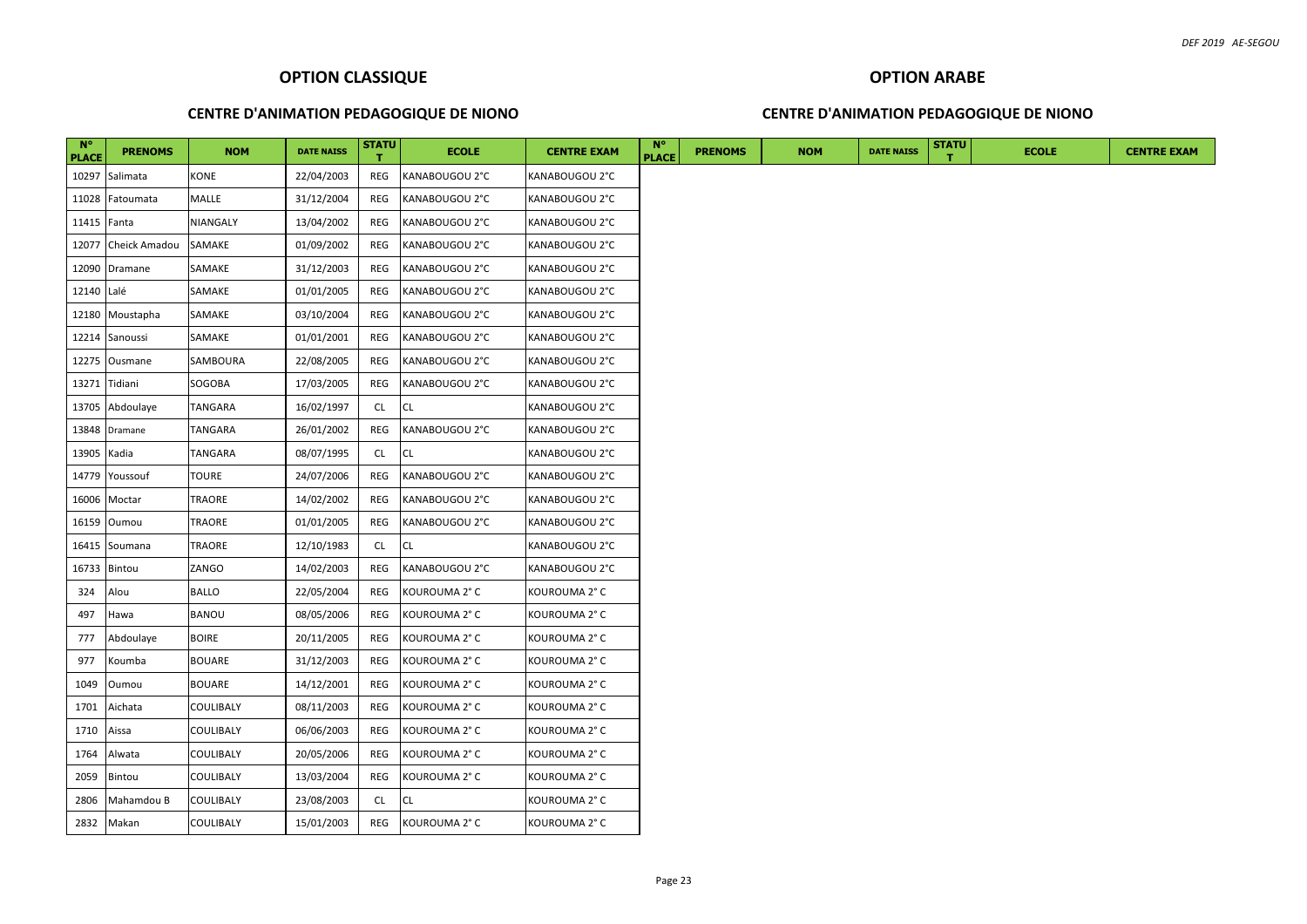#### **CENTRE D'ANIMATION PEDAGOGIQUE DE NIONO**

#### **CENTRE D'ANIMATION PEDAGOGIQUE DE NIONO**

| $N^{\circ}$<br><b>PLACE</b> | <b>PRENOMS</b>      | <b>NOM</b>       | <b>DATE NAISS</b> | <b>STATU</b> | <b>ECOLE</b>   | <b>CENTRE EXAM</b> | $N^{\circ}$<br><b>PLACE</b> | <b>PRENOMS</b> | <b>NOM</b> | <b>DATE NAISS</b> | <b>STATU</b> | <b>ECOLE</b> |
|-----------------------------|---------------------|------------------|-------------------|--------------|----------------|--------------------|-----------------------------|----------------|------------|-------------------|--------------|--------------|
| 10297                       | Salimata            | <b>KONE</b>      | 22/04/2003        | REG          | KANABOUGOU 2°C | KANABOUGOU 2°C     |                             |                |            |                   |              |              |
|                             | 11028 Fatoumata     | <b>MALLE</b>     | 31/12/2004        | REG          | KANABOUGOU 2°C | KANABOUGOU 2°C     |                             |                |            |                   |              |              |
| 11415 <b>Fanta</b>          |                     | NIANGALY         | 13/04/2002        | REG          | KANABOUGOU 2°C | KANABOUGOU 2°C     |                             |                |            |                   |              |              |
|                             | 12077 Cheick Amadou | SAMAKE           | 01/09/2002        | REG          | KANABOUGOU 2°C | KANABOUGOU 2°C     |                             |                |            |                   |              |              |
|                             | 12090 Dramane       | SAMAKE           | 31/12/2003        | REG          | KANABOUGOU 2°C | KANABOUGOU 2°C     |                             |                |            |                   |              |              |
| 12140 Lalé                  |                     | SAMAKE           | 01/01/2005        | REG          | KANABOUGOU 2°C | KANABOUGOU 2°C     |                             |                |            |                   |              |              |
|                             | 12180 Moustapha     | SAMAKE           | 03/10/2004        | REG          | KANABOUGOU 2°C | KANABOUGOU 2°C     |                             |                |            |                   |              |              |
|                             | 12214 Sanoussi      | SAMAKE           | 01/01/2001        | REG          | KANABOUGOU 2°C | KANABOUGOU 2°C     |                             |                |            |                   |              |              |
|                             | 12275 Ousmane       | SAMBOURA         | 22/08/2005        | REG          | KANABOUGOU 2°C | KANABOUGOU 2°C     |                             |                |            |                   |              |              |
| 13271                       | Tidiani             | SOGOBA           | 17/03/2005        | REG          | KANABOUGOU 2°C | KANABOUGOU 2°C     |                             |                |            |                   |              |              |
|                             | 13705 Abdoulaye     | TANGARA          | 16/02/1997        | <b>CL</b>    | <b>CL</b>      | KANABOUGOU 2°C     |                             |                |            |                   |              |              |
|                             | 13848 Dramane       | TANGARA          | 26/01/2002        | REG          | KANABOUGOU 2°C | KANABOUGOU 2°C     |                             |                |            |                   |              |              |
| 13905 Kadia                 |                     | TANGARA          | 08/07/1995        | <b>CL</b>    | <b>CL</b>      | KANABOUGOU 2°C     |                             |                |            |                   |              |              |
| 14779                       | Youssouf            | <b>TOURE</b>     | 24/07/2006        | REG          | KANABOUGOU 2°C | KANABOUGOU 2°C     |                             |                |            |                   |              |              |
| 16006                       | Moctar              | TRAORE           | 14/02/2002        | REG          | KANABOUGOU 2°C | KANABOUGOU 2°C     |                             |                |            |                   |              |              |
| 16159                       | Oumou               | <b>TRAORE</b>    | 01/01/2005        | REG          | KANABOUGOU 2°C | KANABOUGOU 2°C     |                             |                |            |                   |              |              |
| 16415                       | Soumana             | <b>TRAORE</b>    | 12/10/1983        | <b>CL</b>    | <b>CL</b>      | KANABOUGOU 2°C     |                             |                |            |                   |              |              |
| 16733                       | Bintou              | ZANGO            | 14/02/2003        | REG          | KANABOUGOU 2°C | KANABOUGOU 2°C     |                             |                |            |                   |              |              |
| 324                         | Alou                | <b>BALLO</b>     | 22/05/2004        | REG          | KOUROUMA 2° C  | KOUROUMA 2° C      |                             |                |            |                   |              |              |
| 497                         | Hawa                | <b>BANOU</b>     | 08/05/2006        | REG          | KOUROUMA 2° C  | KOUROUMA 2° C      |                             |                |            |                   |              |              |
| 777                         | Abdoulaye           | <b>BOIRE</b>     | 20/11/2005        | REG          | KOUROUMA 2° C  | KOUROUMA 2° C      |                             |                |            |                   |              |              |
| 977                         | Koumba              | <b>BOUARE</b>    | 31/12/2003        | REG          | KOUROUMA 2° C  | KOUROUMA 2° C      |                             |                |            |                   |              |              |
| 1049                        | Oumou               | <b>BOUARE</b>    | 14/12/2001        | REG          | KOUROUMA 2° C  | KOUROUMA 2° C      |                             |                |            |                   |              |              |
| 1701                        | Aichata             | <b>COULIBALY</b> | 08/11/2003        | REG          | KOUROUMA 2° C  | KOUROUMA 2° C      |                             |                |            |                   |              |              |
| 1710                        | Aissa               | COULIBALY        | 06/06/2003        | REG          | KOUROUMA 2° C  | KOUROUMA 2° C      |                             |                |            |                   |              |              |
| 1764                        | Alwata              | COULIBALY        | 20/05/2006        | REG          | KOUROUMA 2° C  | KOUROUMA 2° C      |                             |                |            |                   |              |              |
| 2059                        | Bintou              | <b>COULIBALY</b> | 13/03/2004        | REG          | KOUROUMA 2° C  | KOUROUMA 2° C      |                             |                |            |                   |              |              |
| 2806                        | Mahamdou B          | COULIBALY        | 23/08/2003        | <b>CL</b>    | CL             | KOUROUMA 2° C      |                             |                |            |                   |              |              |
|                             | 2832 Makan          | COULIBALY        | 15/01/2003        | REG          | KOUROUMA 2°C   | KOUROUMA 2° C      |                             |                |            |                   |              |              |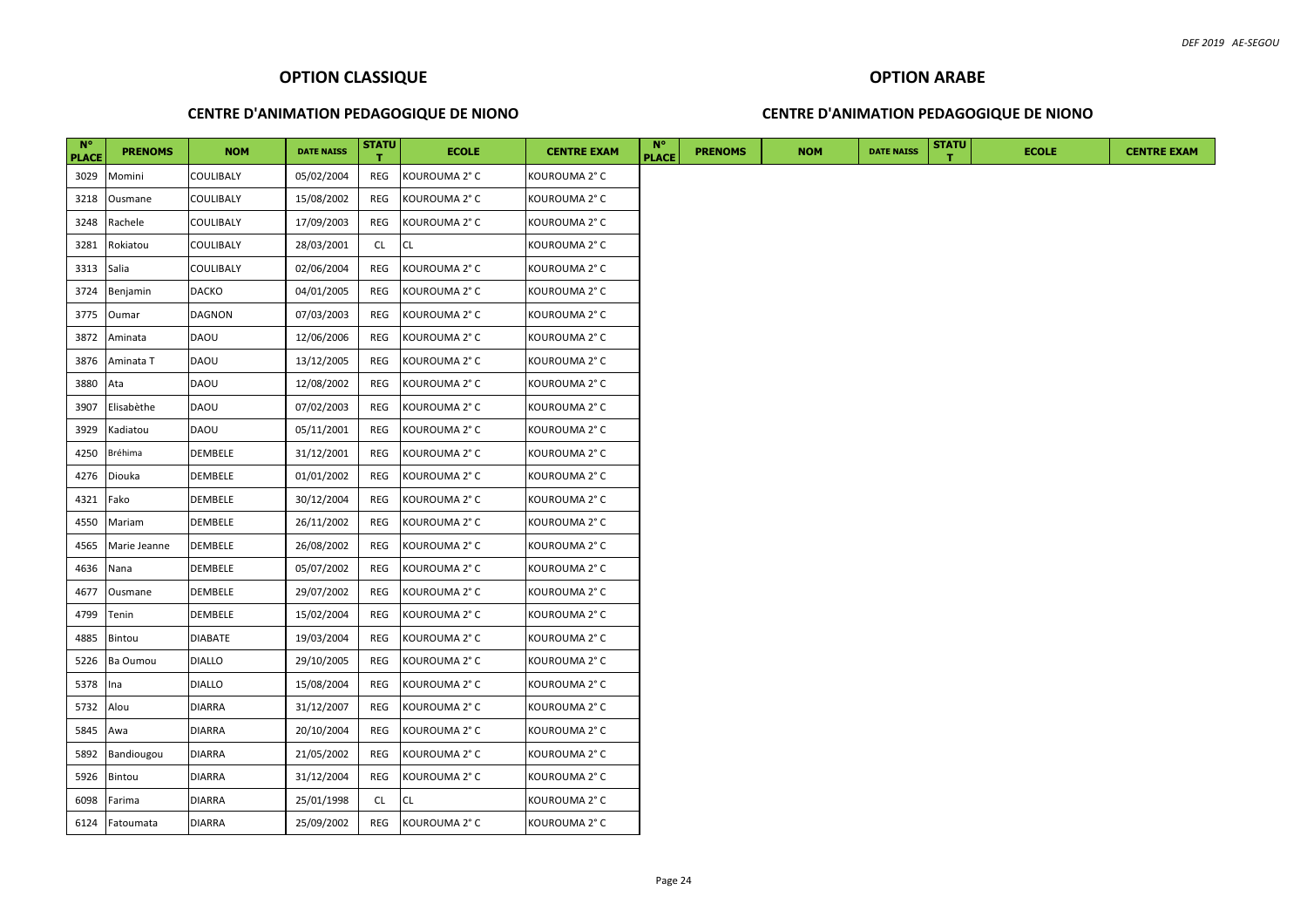#### **CENTRE D'ANIMATION PEDAGOGIQUE DE NIONO**

#### **CENTRE D'ANIMATION PEDAGOGIQUE DE NIONO**

| <b>N°</b><br><b>PLACE</b> | <b>PRENOMS</b> | <b>NOM</b>     | <b>DATE NAISS</b> | <b>STATU</b> | <b>ECOLE</b>  | <b>CENTRE EXAM</b> | <b>N°</b><br><b>PLACE</b> | <b>PRENOMS</b> | <b>NOM</b> | <b>DATE NAISS</b> | <b>STATU</b> | <b>ECOLE</b> |
|---------------------------|----------------|----------------|-------------------|--------------|---------------|--------------------|---------------------------|----------------|------------|-------------------|--------------|--------------|
| 3029                      | Momini         | COULIBALY      | 05/02/2004        | REG          | KOUROUMA 2° C | KOUROUMA 2° C      |                           |                |            |                   |              |              |
| 3218                      | Ousmane        | COULIBALY      | 15/08/2002        | REG          | KOUROUMA 2° C | KOUROUMA 2° C      |                           |                |            |                   |              |              |
| 3248                      | Rachele        | COULIBALY      | 17/09/2003        | REG          | KOUROUMA 2° C | KOUROUMA 2° C      |                           |                |            |                   |              |              |
| 3281                      | Rokiatou       | COULIBALY      | 28/03/2001        | <b>CL</b>    | <b>CL</b>     | KOUROUMA 2° C      |                           |                |            |                   |              |              |
| 3313                      | Salia          | COULIBALY      | 02/06/2004        | REG          | KOUROUMA 2° C | KOUROUMA 2° C      |                           |                |            |                   |              |              |
| 3724                      | Benjamin       | <b>DACKO</b>   | 04/01/2005        | REG          | KOUROUMA 2° C | KOUROUMA 2° C      |                           |                |            |                   |              |              |
| 3775                      | Oumar          | DAGNON         | 07/03/2003        | REG          | KOUROUMA 2° C | KOUROUMA 2°C       |                           |                |            |                   |              |              |
| 3872                      | Aminata        | <b>DAOU</b>    | 12/06/2006        | REG          | KOUROUMA 2° C | KOUROUMA 2° C      |                           |                |            |                   |              |              |
| 3876                      | Aminata T      | DAOU           | 13/12/2005        | REG          | KOUROUMA 2° C | KOUROUMA 2° C      |                           |                |            |                   |              |              |
| 3880                      | Ata            | DAOU           | 12/08/2002        | REG          | KOUROUMA 2° C | KOUROUMA 2° C      |                           |                |            |                   |              |              |
| 3907                      | Elisabèthe     | DAOU           | 07/02/2003        | REG          | KOUROUMA 2° C | KOUROUMA 2° C      |                           |                |            |                   |              |              |
| 3929                      | Kadiatou       | DAOU           | 05/11/2001        | REG          | KOUROUMA 2° C | KOUROUMA 2° C      |                           |                |            |                   |              |              |
| 4250                      | <b>Bréhima</b> | DEMBELE        | 31/12/2001        | REG          | KOUROUMA 2° C | KOUROUMA 2° C      |                           |                |            |                   |              |              |
| 4276                      | Diouka         | DEMBELE        | 01/01/2002        | REG          | KOUROUMA 2° C | KOUROUMA 2° C      |                           |                |            |                   |              |              |
| 4321                      | Fako           | DEMBELE        | 30/12/2004        | REG          | KOUROUMA 2° C | KOUROUMA 2° C      |                           |                |            |                   |              |              |
| 4550                      | Mariam         | DEMBELE        | 26/11/2002        | REG          | KOUROUMA 2° C | KOUROUMA 2° C      |                           |                |            |                   |              |              |
| 4565                      | Marie Jeanne   | DEMBELE        | 26/08/2002        | REG          | KOUROUMA 2° C | KOUROUMA 2° C      |                           |                |            |                   |              |              |
| 4636                      | Nana           | DEMBELE        | 05/07/2002        | REG          | KOUROUMA 2° C | KOUROUMA 2°C       |                           |                |            |                   |              |              |
| 4677                      | Ousmane        | DEMBELE        | 29/07/2002        | REG          | KOUROUMA 2° C | KOUROUMA 2° C      |                           |                |            |                   |              |              |
| 4799                      | Tenin          | DEMBELE        | 15/02/2004        | REG          | KOUROUMA 2° C | KOUROUMA 2° C      |                           |                |            |                   |              |              |
| 4885                      | Bintou         | <b>DIABATE</b> | 19/03/2004        | REG          | KOUROUMA 2° C | KOUROUMA 2° C      |                           |                |            |                   |              |              |
| 5226                      | Ba Oumou       | <b>DIALLO</b>  | 29/10/2005        | REG          | KOUROUMA 2° C | KOUROUMA 2° C      |                           |                |            |                   |              |              |
| 5378                      | Ina            | <b>DIALLO</b>  | 15/08/2004        | REG          | KOUROUMA 2° C | KOUROUMA 2° C      |                           |                |            |                   |              |              |
| 5732                      | Alou           | <b>DIARRA</b>  | 31/12/2007        | REG          | KOUROUMA 2° C | KOUROUMA 2° C      |                           |                |            |                   |              |              |
| 5845                      | Awa            | <b>DIARRA</b>  | 20/10/2004        | REG          | KOUROUMA 2° C | KOUROUMA 2°C       |                           |                |            |                   |              |              |
| 5892                      | Bandiougou     | <b>DIARRA</b>  | 21/05/2002        | REG          | KOUROUMA 2° C | KOUROUMA 2° C      |                           |                |            |                   |              |              |
| 5926                      | Bintou         | DIARRA         | 31/12/2004        | REG          | KOUROUMA 2° C | KOUROUMA 2° C      |                           |                |            |                   |              |              |
| 6098                      | Farima         | <b>DIARRA</b>  | 25/01/1998        | <b>CL</b>    | <b>CL</b>     | KOUROUMA 2° C      |                           |                |            |                   |              |              |
| 6124                      | Fatoumata      | <b>DIARRA</b>  | 25/09/2002        | REG          | KOUROUMA 2° C | KOUROUMA 2° C      |                           |                |            |                   |              |              |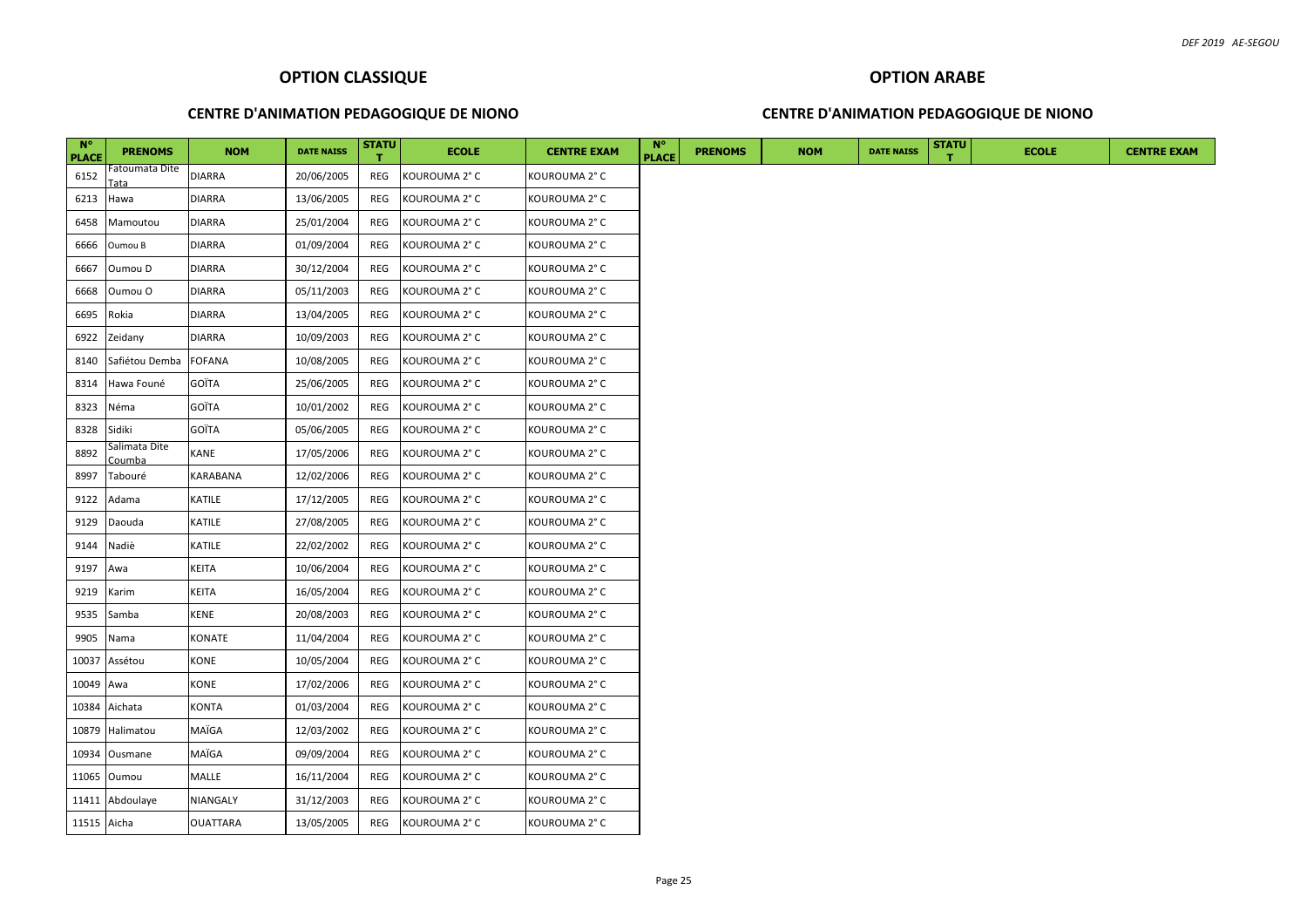#### **CENTRE D'ANIMATION PEDAGOGIQUE DE NIONO**

#### **CENTRE D'ANIMATION PEDAGOGIQUE DE NIONO**

| $N^{\circ}$<br><b>PLACE</b> | <b>PRENOMS</b>          | <b>NOM</b>      | <b>DATE NAISS</b> | <b>STATU</b> | <b>ECOLE</b>  | <b>CENTRE EXAM</b> | $N^{\circ}$<br><b>PLACE</b> | <b>PRENOMS</b> | <b>NOM</b> | <b>DATE NAISS</b> | <b>STATU</b> | <b>ECOLE</b> | <b>CENTRE EXAM</b> |
|-----------------------------|-------------------------|-----------------|-------------------|--------------|---------------|--------------------|-----------------------------|----------------|------------|-------------------|--------------|--------------|--------------------|
| 6152                        | Fatoumata Dite<br>ata   | <b>DIARRA</b>   | 20/06/2005        | REG          | KOUROUMA 2° C | KOUROUMA 2° C      |                             |                |            |                   |              |              |                    |
| 6213                        | Hawa                    | <b>DIARRA</b>   | 13/06/2005        | REG          | KOUROUMA 2° C | KOUROUMA 2° C      |                             |                |            |                   |              |              |                    |
| 6458                        | Mamoutou                | <b>DIARRA</b>   | 25/01/2004        | REG          | KOUROUMA 2° C | KOUROUMA 2° C      |                             |                |            |                   |              |              |                    |
| 6666                        | Oumou B                 | <b>DIARRA</b>   | 01/09/2004        | REG          | KOUROUMA 2° C | KOUROUMA 2° C      |                             |                |            |                   |              |              |                    |
| 6667                        | Oumou D                 | <b>DIARRA</b>   | 30/12/2004        | REG          | KOUROUMA 2° C | KOUROUMA 2° C      |                             |                |            |                   |              |              |                    |
| 6668                        | Oumou O                 | <b>DIARRA</b>   | 05/11/2003        | REG          | KOUROUMA 2° C | KOUROUMA 2° C      |                             |                |            |                   |              |              |                    |
| 6695                        | Rokia                   | <b>DIARRA</b>   | 13/04/2005        | REG          | KOUROUMA 2° C | KOUROUMA 2° C      |                             |                |            |                   |              |              |                    |
| 6922                        | Zeidany                 | <b>DIARRA</b>   | 10/09/2003        | REG          | KOUROUMA 2° C | KOUROUMA 2° C      |                             |                |            |                   |              |              |                    |
| 8140                        | Safiétou Demba          | <b>FOFANA</b>   | 10/08/2005        | REG          | KOUROUMA 2° C | KOUROUMA 2° C      |                             |                |            |                   |              |              |                    |
| 8314                        | Hawa Founé              | GOÏTA           | 25/06/2005        | REG          | KOUROUMA 2° C | KOUROUMA 2° C      |                             |                |            |                   |              |              |                    |
| 8323                        | Néma                    | GOÏTA           | 10/01/2002        | REG          | KOUROUMA 2° C | KOUROUMA 2° C      |                             |                |            |                   |              |              |                    |
| 8328                        | Sidiki                  | GOÏTA           | 05/06/2005        | REG          | KOUROUMA 2° C | KOUROUMA 2° C      |                             |                |            |                   |              |              |                    |
| 8892                        | Salimata Dite<br>Coumba | <b>KANE</b>     | 17/05/2006        | REG          | KOUROUMA 2° C | KOUROUMA 2° C      |                             |                |            |                   |              |              |                    |
| 8997                        | Tabouré                 | KARABANA        | 12/02/2006        | REG          | KOUROUMA 2° C | KOUROUMA 2° C      |                             |                |            |                   |              |              |                    |
| 9122                        | Adama                   | KATILE          | 17/12/2005        | REG          | KOUROUMA 2° C | KOUROUMA 2° C      |                             |                |            |                   |              |              |                    |
| 9129                        | Daouda                  | KATILE          | 27/08/2005        | REG          | KOUROUMA 2° C | KOUROUMA 2° C      |                             |                |            |                   |              |              |                    |
| 9144                        | Nadiè                   | KATILE          | 22/02/2002        | REG          | KOUROUMA 2° C | KOUROUMA 2°C       |                             |                |            |                   |              |              |                    |
| 9197                        | Awa                     | KEITA           | 10/06/2004        | REG          | KOUROUMA 2° C | KOUROUMA 2° C      |                             |                |            |                   |              |              |                    |
| 9219                        | Karim                   | KEITA           | 16/05/2004        | REG          | KOUROUMA 2° C | KOUROUMA 2°C       |                             |                |            |                   |              |              |                    |
| 9535                        | Samba                   | KENE            | 20/08/2003        | REG          | KOUROUMA 2° C | KOUROUMA 2° C      |                             |                |            |                   |              |              |                    |
| 9905                        | Nama                    | KONATE          | 11/04/2004        | REG          | KOUROUMA 2° C | KOUROUMA 2° C      |                             |                |            |                   |              |              |                    |
| 10037                       | Assétou                 | KONE            | 10/05/2004        | REG          | KOUROUMA 2° C | KOUROUMA 2° C      |                             |                |            |                   |              |              |                    |
| 10049                       | Awa                     | <b>KONE</b>     | 17/02/2006        | REG          | KOUROUMA 2° C | KOUROUMA 2° C      |                             |                |            |                   |              |              |                    |
|                             | 10384 Aichata           | KONTA           | 01/03/2004        | REG          | KOUROUMA 2° C | KOUROUMA 2° C      |                             |                |            |                   |              |              |                    |
| 10879                       | Halimatou               | MAÏGA           | 12/03/2002        | REG          | KOUROUMA 2° C | KOUROUMA 2° C      |                             |                |            |                   |              |              |                    |
|                             | 10934 Ousmane           | MAÏGA           | 09/09/2004        | REG          | KOUROUMA 2° C | KOUROUMA 2° C      |                             |                |            |                   |              |              |                    |
| 11065                       | Oumou                   | MALLE           | 16/11/2004        | REG          | KOUROUMA 2° C | KOUROUMA 2° C      |                             |                |            |                   |              |              |                    |
|                             | 11411 Abdoulaye         | NIANGALY        | 31/12/2003        | REG          | KOUROUMA 2° C | KOUROUMA 2° C      |                             |                |            |                   |              |              |                    |
| 11515 Aicha                 |                         | <b>OUATTARA</b> | 13/05/2005        | REG          | KOUROUMA 2° C | KOUROUMA 2° C      |                             |                |            |                   |              |              |                    |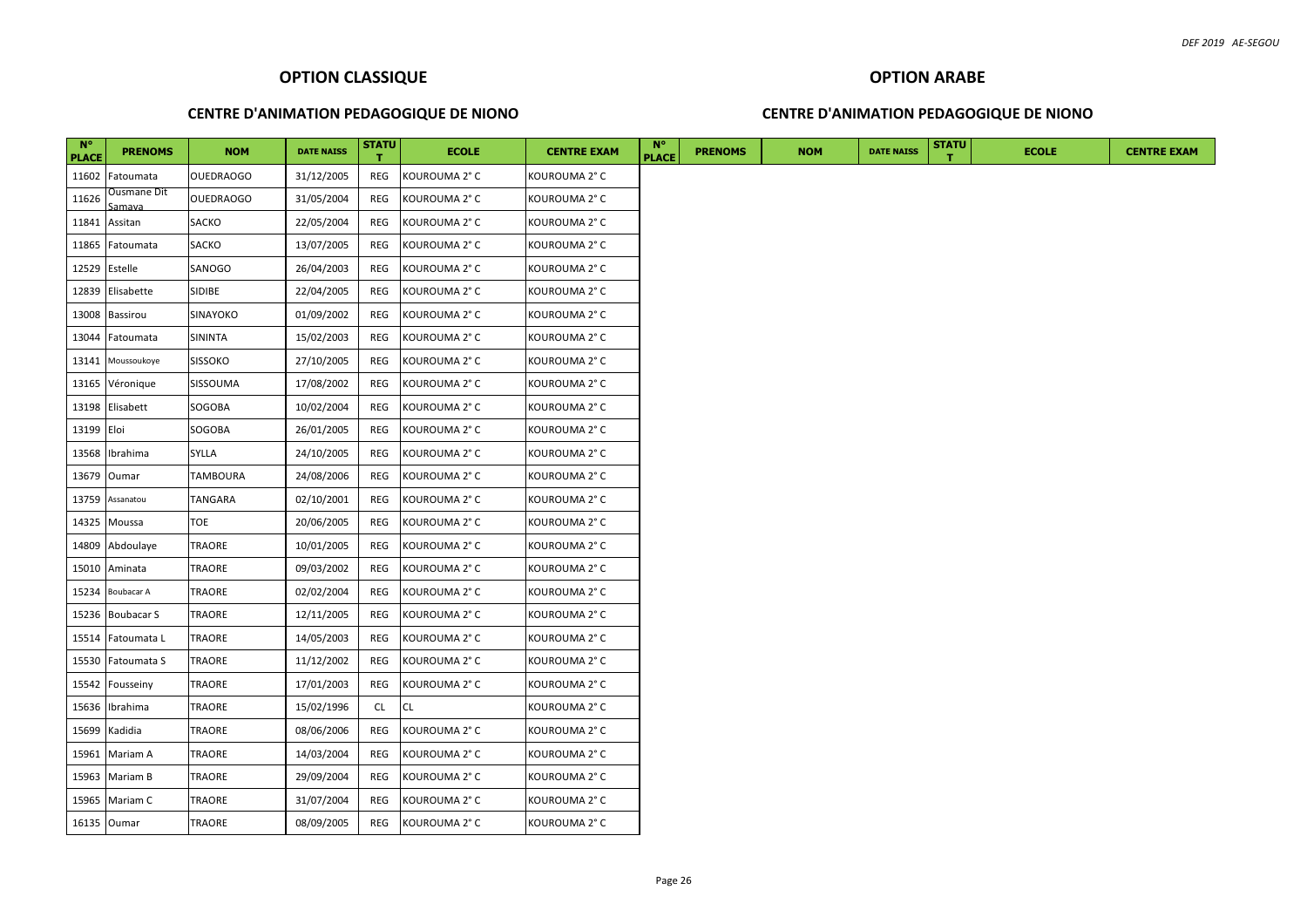#### **CENTRE D'ANIMATION PEDAGOGIQUE DE NIONO**

#### **CENTRE D'ANIMATION PEDAGOGIQUE DE NIONO**

| $N^{\circ}$<br><b>PLACE</b> | <b>PRENOMS</b>        | <b>NOM</b>       | <b>DATE NAISS</b> | <b>STATU</b> | <b>ECOLE</b>  | <b>CENTRE EXAM</b> | $N^{\circ}$<br><b>PLACE</b> | <b>PRENOMS</b> | <b>NOM</b> | <b>DATE NAISS</b> | <b>STATU</b> | <b>ECOLE</b> | <b>CENTRE EXAM</b> |
|-----------------------------|-----------------------|------------------|-------------------|--------------|---------------|--------------------|-----------------------------|----------------|------------|-------------------|--------------|--------------|--------------------|
| 11602                       | Fatoumata             | <b>OUEDRAOGO</b> | 31/12/2005        | REG          | KOUROUMA 2° C | KOUROUMA 2° C      |                             |                |            |                   |              |              |                    |
| 11626                       | Ousmane Dit<br>iamava | <b>OUEDRAOGO</b> | 31/05/2004        | REG          | KOUROUMA 2° C | KOUROUMA 2° C      |                             |                |            |                   |              |              |                    |
| 11841                       | Assitan               | SACKO            | 22/05/2004        | REG          | KOUROUMA 2° C | KOUROUMA 2° C      |                             |                |            |                   |              |              |                    |
| 11865                       | Fatoumata             | SACKO            | 13/07/2005        | REG          | KOUROUMA 2° C | KOUROUMA 2° C      |                             |                |            |                   |              |              |                    |
| 12529                       | Estelle               | SANOGO           | 26/04/2003        | REG          | KOUROUMA 2° C | KOUROUMA 2° C      |                             |                |            |                   |              |              |                    |
| 12839                       | Elisabette            | SIDIBE           | 22/04/2005        | REG          | KOUROUMA 2° C | KOUROUMA 2° C      |                             |                |            |                   |              |              |                    |
| 13008                       | Bassirou              | <b>SINAYOKO</b>  | 01/09/2002        | REG          | KOUROUMA 2° C | KOUROUMA 2° C      |                             |                |            |                   |              |              |                    |
| 13044                       | Fatoumata             | SININTA          | 15/02/2003        | REG          | KOUROUMA 2° C | KOUROUMA 2° C      |                             |                |            |                   |              |              |                    |
| 13141                       | Moussoukoye           | <b>SISSOKO</b>   | 27/10/2005        | REG          | KOUROUMA 2° C | KOUROUMA 2° C      |                             |                |            |                   |              |              |                    |
| 13165                       | Véronique             | SISSOUMA         | 17/08/2002        | REG          | KOUROUMA 2° C | KOUROUMA 2° C      |                             |                |            |                   |              |              |                    |
| 13198                       | Elisabett             | SOGOBA           | 10/02/2004        | REG          | KOUROUMA 2° C | KOUROUMA 2° C      |                             |                |            |                   |              |              |                    |
| 13199 Eloi                  |                       | SOGOBA           | 26/01/2005        | REG          | KOUROUMA 2° C | KOUROUMA 2° C      |                             |                |            |                   |              |              |                    |
| 13568                       | Ibrahima              | <b>SYLLA</b>     | 24/10/2005        | REG          | KOUROUMA 2° C | KOUROUMA 2° C      |                             |                |            |                   |              |              |                    |
| 13679                       | Oumar                 | TAMBOURA         | 24/08/2006        | REG          | KOUROUMA 2° C | KOUROUMA 2° C      |                             |                |            |                   |              |              |                    |
| 13759                       | Assanatou             | TANGARA          | 02/10/2001        | REG          | KOUROUMA 2° C | KOUROUMA 2° C      |                             |                |            |                   |              |              |                    |
| 14325                       | Moussa                | TOE              | 20/06/2005        | REG          | KOUROUMA 2° C | KOUROUMA 2° C      |                             |                |            |                   |              |              |                    |
|                             | 14809 Abdoulaye       | TRAORE           | 10/01/2005        | REG          | KOUROUMA 2° C | KOUROUMA 2° C      |                             |                |            |                   |              |              |                    |
| 15010                       | Aminata               | TRAORE           | 09/03/2002        | REG          | KOUROUMA 2° C | KOUROUMA 2° C      |                             |                |            |                   |              |              |                    |
| 15234                       | Boubacar A            | TRAORE           | 02/02/2004        | REG          | KOUROUMA 2° C | KOUROUMA 2° C      |                             |                |            |                   |              |              |                    |
| 15236                       | <b>Boubacar S</b>     | TRAORE           | 12/11/2005        | REG          | KOUROUMA 2° C | KOUROUMA 2° C      |                             |                |            |                   |              |              |                    |
|                             | 15514 Fatoumata L     | TRAORE           | 14/05/2003        | REG          | KOUROUMA 2° C | KOUROUMA 2° C      |                             |                |            |                   |              |              |                    |
|                             | 15530 Fatoumata S     | TRAORE           | 11/12/2002        | REG          | KOUROUMA 2° C | KOUROUMA 2° C      |                             |                |            |                   |              |              |                    |
| 15542                       | Fousseiny             | TRAORE           | 17/01/2003        | REG          | KOUROUMA 2° C | KOUROUMA 2° C      |                             |                |            |                   |              |              |                    |
| 15636                       | Ibrahima              | TRAORE           | 15/02/1996        | CL           | CL.           | KOUROUMA 2° C      |                             |                |            |                   |              |              |                    |
| 15699                       | Kadidia               | TRAORE           | 08/06/2006        | REG          | KOUROUMA 2° C | KOUROUMA 2° C      |                             |                |            |                   |              |              |                    |
| 15961                       | Mariam A              | TRAORE           | 14/03/2004        | REG          | KOUROUMA 2° C | KOUROUMA 2° C      |                             |                |            |                   |              |              |                    |
| 15963                       | Mariam B              | TRAORE           | 29/09/2004        | REG          | KOUROUMA 2° C | KOUROUMA 2° C      |                             |                |            |                   |              |              |                    |
|                             | 15965 Mariam C        | TRAORE           | 31/07/2004        | REG          | KOUROUMA 2° C | KOUROUMA 2° C      |                             |                |            |                   |              |              |                    |
|                             | 16135 Oumar           | TRAORE           | 08/09/2005        | REG          | KOUROUMA 2° C | KOUROUMA 2° C      |                             |                |            |                   |              |              |                    |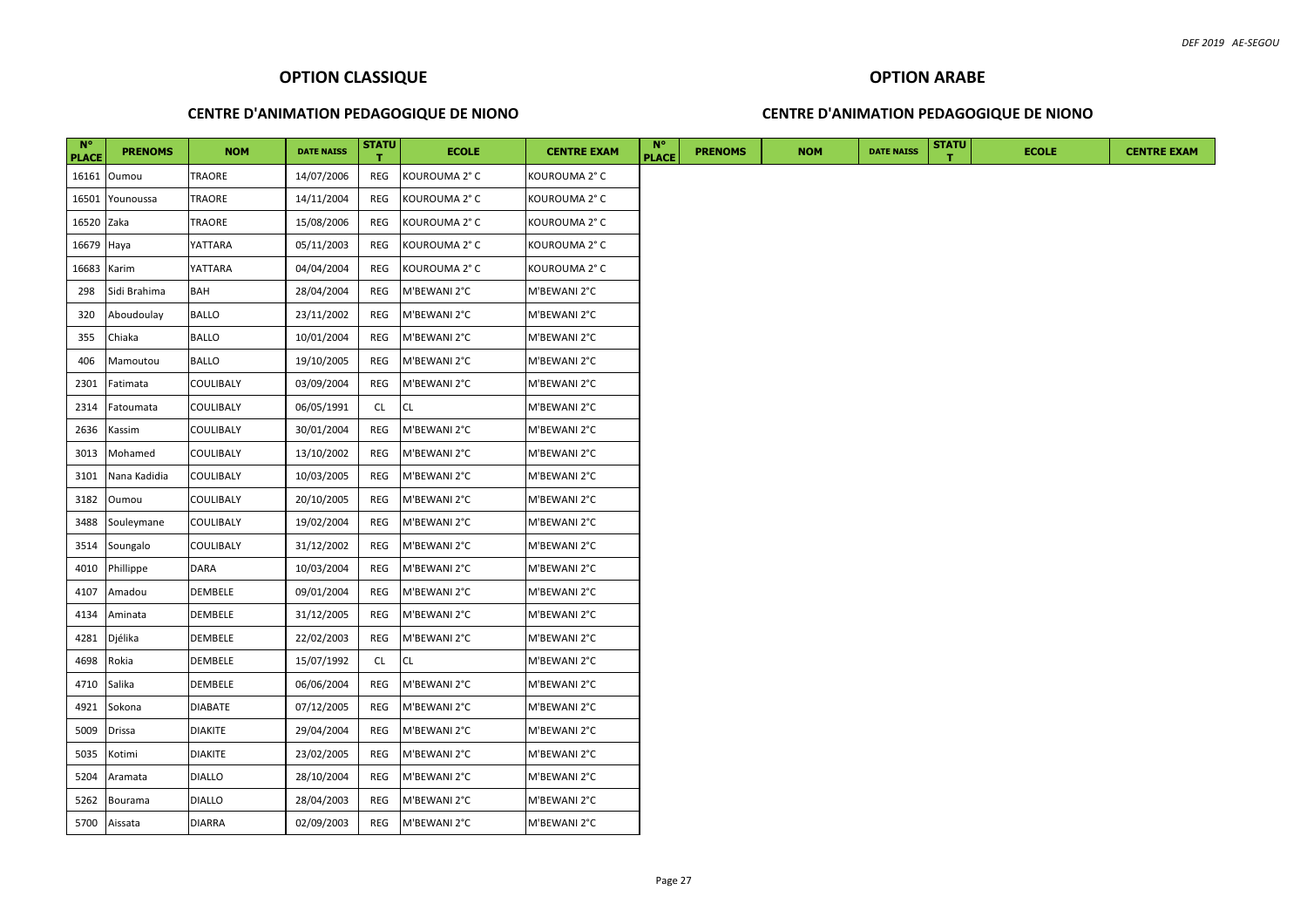#### **CENTRE D'ANIMATION PEDAGOGIQUE DE NIONO**

#### **CENTRE D'ANIMATION PEDAGOGIQUE DE NIONO**

| $N^{\circ}$<br><b>PLACE</b> | <b>PRENOMS</b> | <b>NOM</b>     | <b>DATE NAISS</b> | <b>STATU</b> | <b>ECOLE</b>  | <b>CENTRE EXAM</b> | $N^{\circ}$<br><b>PLACE</b> | <b>PRENOMS</b> | <b>NOM</b> | <b>DATE NAISS</b> | <b>STATU</b> | <b>ECOLE</b> | <b>CENTRE EXAM</b> |
|-----------------------------|----------------|----------------|-------------------|--------------|---------------|--------------------|-----------------------------|----------------|------------|-------------------|--------------|--------------|--------------------|
|                             | 16161 Oumou    | TRAORE         | 14/07/2006        | REG          | KOUROUMA 2° C | KOUROUMA 2° C      |                             |                |            |                   |              |              |                    |
| 16501                       | Younoussa      | TRAORE         | 14/11/2004        | REG          | KOUROUMA 2° C | KOUROUMA 2° C      |                             |                |            |                   |              |              |                    |
| 16520 Zaka                  |                | TRAORE         | 15/08/2006        | REG          | KOUROUMA 2° C | KOUROUMA 2°C       |                             |                |            |                   |              |              |                    |
| 16679 Haya                  |                | YATTARA        | 05/11/2003        | REG          | KOUROUMA 2° C | KOUROUMA 2° C      |                             |                |            |                   |              |              |                    |
| 16683                       | Karim          | YATTARA        | 04/04/2004        | REG          | KOUROUMA 2° C | KOUROUMA 2° C      |                             |                |            |                   |              |              |                    |
| 298                         | Sidi Brahima   | <b>BAH</b>     | 28/04/2004        | REG          | M'BEWANI 2°C  | M'BEWANI 2°C       |                             |                |            |                   |              |              |                    |
| 320                         | Aboudoulay     | <b>BALLO</b>   | 23/11/2002        | REG          | M'BEWANI 2°C  | M'BEWANI 2°C       |                             |                |            |                   |              |              |                    |
| 355                         | Chiaka         | <b>BALLO</b>   | 10/01/2004        | REG          | M'BEWANI 2°C  | M'BEWANI 2°C       |                             |                |            |                   |              |              |                    |
| 406                         | Mamoutou       | <b>BALLO</b>   | 19/10/2005        | REG          | M'BEWANI 2°C  | M'BEWANI 2°C       |                             |                |            |                   |              |              |                    |
| 2301                        | Fatimata       | COULIBALY      | 03/09/2004        | REG          | M'BEWANI 2°C  | M'BEWANI 2°C       |                             |                |            |                   |              |              |                    |
| 2314                        | Fatoumata      | COULIBALY      | 06/05/1991        | CL.          | <b>CL</b>     | M'BEWANI 2°C       |                             |                |            |                   |              |              |                    |
| 2636                        | Kassim         | COULIBALY      | 30/01/2004        | REG          | M'BEWANI 2°C  | M'BEWANI 2°C       |                             |                |            |                   |              |              |                    |
| 3013                        | Mohamed        | COULIBALY      | 13/10/2002        | REG          | M'BEWANI 2°C  | M'BEWANI 2°C       |                             |                |            |                   |              |              |                    |
| 3101                        | Nana Kadidia   | COULIBALY      | 10/03/2005        | REG          | M'BEWANI 2°C  | M'BEWANI 2°C       |                             |                |            |                   |              |              |                    |
| 3182                        | Oumou          | COULIBALY      | 20/10/2005        | REG          | M'BEWANI 2°C  | M'BEWANI 2°C       |                             |                |            |                   |              |              |                    |
| 3488                        | Souleymane     | COULIBALY      | 19/02/2004        | REG          | M'BEWANI 2°C  | M'BEWANI 2°C       |                             |                |            |                   |              |              |                    |
| 3514                        | Soungalo       | COULIBALY      | 31/12/2002        | REG          | M'BEWANI 2°C  | M'BEWANI 2°C       |                             |                |            |                   |              |              |                    |
| 4010                        | Phillippe      | <b>DARA</b>    | 10/03/2004        | REG          | M'BEWANI 2°C  | M'BEWANI 2°C       |                             |                |            |                   |              |              |                    |
| 4107                        | Amadou         | DEMBELE        | 09/01/2004        | REG          | M'BEWANI 2°C  | M'BEWANI 2°C       |                             |                |            |                   |              |              |                    |
| 4134                        | Aminata        | DEMBELE        | 31/12/2005        | REG          | M'BEWANI 2°C  | M'BEWANI 2°C       |                             |                |            |                   |              |              |                    |
| 4281                        | Djélika        | DEMBELE        | 22/02/2003        | REG          | M'BEWANI 2°C  | M'BEWANI 2°C       |                             |                |            |                   |              |              |                    |
| 4698                        | Rokia          | DEMBELE        | 15/07/1992        | <b>CL</b>    | <b>CL</b>     | M'BEWANI 2°C       |                             |                |            |                   |              |              |                    |
| 4710                        | Salika         | DEMBELE        | 06/06/2004        | REG          | M'BEWANI 2°C  | M'BEWANI 2°C       |                             |                |            |                   |              |              |                    |
| 4921                        | Sokona         | <b>DIABATE</b> | 07/12/2005        | REG          | M'BEWANI 2°C  | M'BEWANI 2°C       |                             |                |            |                   |              |              |                    |
| 5009                        | Drissa         | <b>DIAKITE</b> | 29/04/2004        | REG          | M'BEWANI 2°C  | M'BEWANI 2°C       |                             |                |            |                   |              |              |                    |
| 5035                        | Kotimi         | DIAKITE        | 23/02/2005        | REG          | M'BEWANI 2°C  | M'BEWANI 2°C       |                             |                |            |                   |              |              |                    |
| 5204                        | Aramata        | <b>DIALLO</b>  | 28/10/2004        | REG          | M'BEWANI 2°C  | M'BEWANI 2°C       |                             |                |            |                   |              |              |                    |
| 5262                        | Bourama        | <b>DIALLO</b>  | 28/04/2003        | REG          | M'BEWANI 2°C  | M'BEWANI 2°C       |                             |                |            |                   |              |              |                    |
|                             | 5700 Aissata   | <b>DIARRA</b>  | 02/09/2003        | REG          | M'BEWANI 2°C  | M'BEWANI 2°C       |                             |                |            |                   |              |              |                    |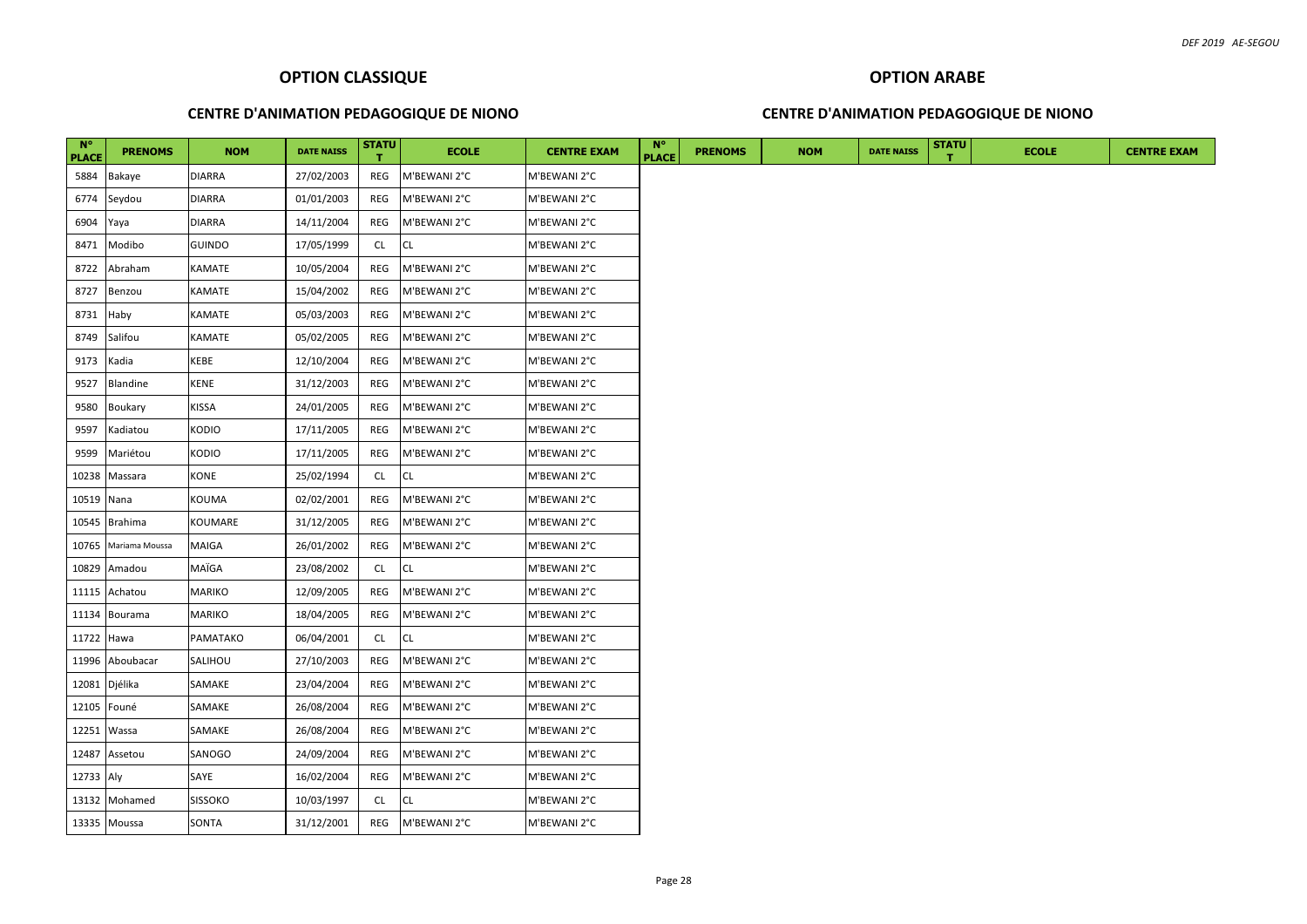#### **CENTRE D'ANIMATION PEDAGOGIQUE DE NIONO**

#### **CENTRE D'ANIMATION PEDAGOGIQUE DE NIONO**

| $N^{\circ}$<br><b>PLACE</b> | <b>PRENOMS</b>  | <b>NOM</b>     | <b>DATE NAISS</b> | <b>STATU</b> | <b>ECOLE</b> | <b>CENTRE EXAM</b> | <b>N°</b><br><b>PLACE</b> | <b>PRENOMS</b> | <b>NOM</b> | <b>DATE NAISS</b> | <b>STATU</b> | <b>ECOLE</b> |  |  |  |  | <b>CENTRE EXAM</b> |
|-----------------------------|-----------------|----------------|-------------------|--------------|--------------|--------------------|---------------------------|----------------|------------|-------------------|--------------|--------------|--|--|--|--|--------------------|
| 5884                        | Bakaye          | DIARRA         | 27/02/2003        | REG          | M'BEWANI 2°C | M'BEWANI 2°C       |                           |                |            |                   |              |              |  |  |  |  |                    |
| 6774                        | Seydou          | DIARRA         | 01/01/2003        | REG          | M'BEWANI 2°C | M'BEWANI 2°C       |                           |                |            |                   |              |              |  |  |  |  |                    |
| 6904                        | Yaya            | DIARRA         | 14/11/2004        | REG          | M'BEWANI 2°C | M'BEWANI 2°C       |                           |                |            |                   |              |              |  |  |  |  |                    |
| 8471                        | Modibo          | GUINDO         | 17/05/1999        | <b>CL</b>    | <b>CL</b>    | M'BEWANI 2°C       |                           |                |            |                   |              |              |  |  |  |  |                    |
| 8722                        | Abraham         | KAMATE         | 10/05/2004        | REG          | M'BEWANI 2°C | M'BEWANI 2°C       |                           |                |            |                   |              |              |  |  |  |  |                    |
| 8727                        | Benzou          | KAMATE         | 15/04/2002        | REG          | M'BEWANI 2°C | M'BEWANI 2°C       |                           |                |            |                   |              |              |  |  |  |  |                    |
| 8731                        | Haby            | KAMATE         | 05/03/2003        | REG          | M'BEWANI 2°C | M'BEWANI 2°C       |                           |                |            |                   |              |              |  |  |  |  |                    |
| 8749                        | Salifou         | KAMATE         | 05/02/2005        | REG          | M'BEWANI 2°C | M'BEWANI 2°C       |                           |                |            |                   |              |              |  |  |  |  |                    |
| 9173                        | Kadia           | KEBE           | 12/10/2004        | REG          | M'BEWANI 2°C | M'BEWANI 2°C       |                           |                |            |                   |              |              |  |  |  |  |                    |
| 9527                        | <b>Blandine</b> | <b>KENE</b>    | 31/12/2003        | REG          | M'BEWANI 2°C | M'BEWANI 2°C       |                           |                |            |                   |              |              |  |  |  |  |                    |
| 9580                        | Boukary         | KISSA          | 24/01/2005        | REG          | M'BEWANI 2°C | M'BEWANI 2°C       |                           |                |            |                   |              |              |  |  |  |  |                    |
| 9597                        | Kadiatou        | KODIO          | 17/11/2005        | REG          | M'BEWANI 2°C | M'BEWANI 2°C       |                           |                |            |                   |              |              |  |  |  |  |                    |
| 9599                        | Mariétou        | KODIO          | 17/11/2005        | REG          | M'BEWANI 2°C | M'BEWANI 2°C       |                           |                |            |                   |              |              |  |  |  |  |                    |
| 10238                       | Massara         | KONE           | 25/02/1994        | CL           | <b>CL</b>    | M'BEWANI 2°C       |                           |                |            |                   |              |              |  |  |  |  |                    |
| 10519                       | Nana            | KOUMA          | 02/02/2001        | REG          | M'BEWANI 2°C | M'BEWANI 2°C       |                           |                |            |                   |              |              |  |  |  |  |                    |
| 10545                       | <b>Brahima</b>  | KOUMARE        | 31/12/2005        | REG          | M'BEWANI 2°C | M'BEWANI 2°C       |                           |                |            |                   |              |              |  |  |  |  |                    |
| 10765                       | Mariama Moussa  | MAIGA          | 26/01/2002        | REG          | M'BEWANI 2°C | M'BEWANI 2°C       |                           |                |            |                   |              |              |  |  |  |  |                    |
| 10829                       | Amadou          | MAÏGA          | 23/08/2002        | <b>CL</b>    | CL           | M'BEWANI 2°C       |                           |                |            |                   |              |              |  |  |  |  |                    |
| 11115                       | Achatou         | MARIKO         | 12/09/2005        | REG          | M'BEWANI 2°C | M'BEWANI 2°C       |                           |                |            |                   |              |              |  |  |  |  |                    |
| 11134                       | <b>Bourama</b>  | MARIKO         | 18/04/2005        | REG          | M'BEWANI 2°C | M'BEWANI 2°C       |                           |                |            |                   |              |              |  |  |  |  |                    |
| 11722                       | Hawa            | PAMATAKO       | 06/04/2001        | CL.          | <b>CL</b>    | M'BEWANI 2°C       |                           |                |            |                   |              |              |  |  |  |  |                    |
| 11996                       | Aboubacar       | SALIHOU        | 27/10/2003        | REG          | M'BEWANI 2°C | M'BEWANI 2°C       |                           |                |            |                   |              |              |  |  |  |  |                    |
| 12081                       | Djélika         | SAMAKE         | 23/04/2004        | REG          | M'BEWANI 2°C | M'BEWANI 2°C       |                           |                |            |                   |              |              |  |  |  |  |                    |
| 12105                       | Founé           | SAMAKE         | 26/08/2004        | REG          | M'BEWANI 2°C | M'BEWANI 2°C       |                           |                |            |                   |              |              |  |  |  |  |                    |
|                             | 12251 Wassa     | SAMAKE         | 26/08/2004        | REG          | M'BEWANI 2°C | M'BEWANI 2°C       |                           |                |            |                   |              |              |  |  |  |  |                    |
| 12487                       | Assetou         | SANOGO         | 24/09/2004        | REG          | M'BEWANI 2°C | M'BEWANI 2°C       |                           |                |            |                   |              |              |  |  |  |  |                    |
| 12733 Aly                   |                 | SAYE           | 16/02/2004        | REG          | M'BEWANI 2°C | M'BEWANI 2°C       |                           |                |            |                   |              |              |  |  |  |  |                    |
|                             | 13132 Mohamed   | <b>SISSOKO</b> | 10/03/1997        | CL           | CL           | M'BEWANI 2°C       |                           |                |            |                   |              |              |  |  |  |  |                    |
|                             | 13335 Moussa    | SONTA          | 31/12/2001        | REG          | M'BEWANI 2°C | M'BEWANI 2°C       |                           |                |            |                   |              |              |  |  |  |  |                    |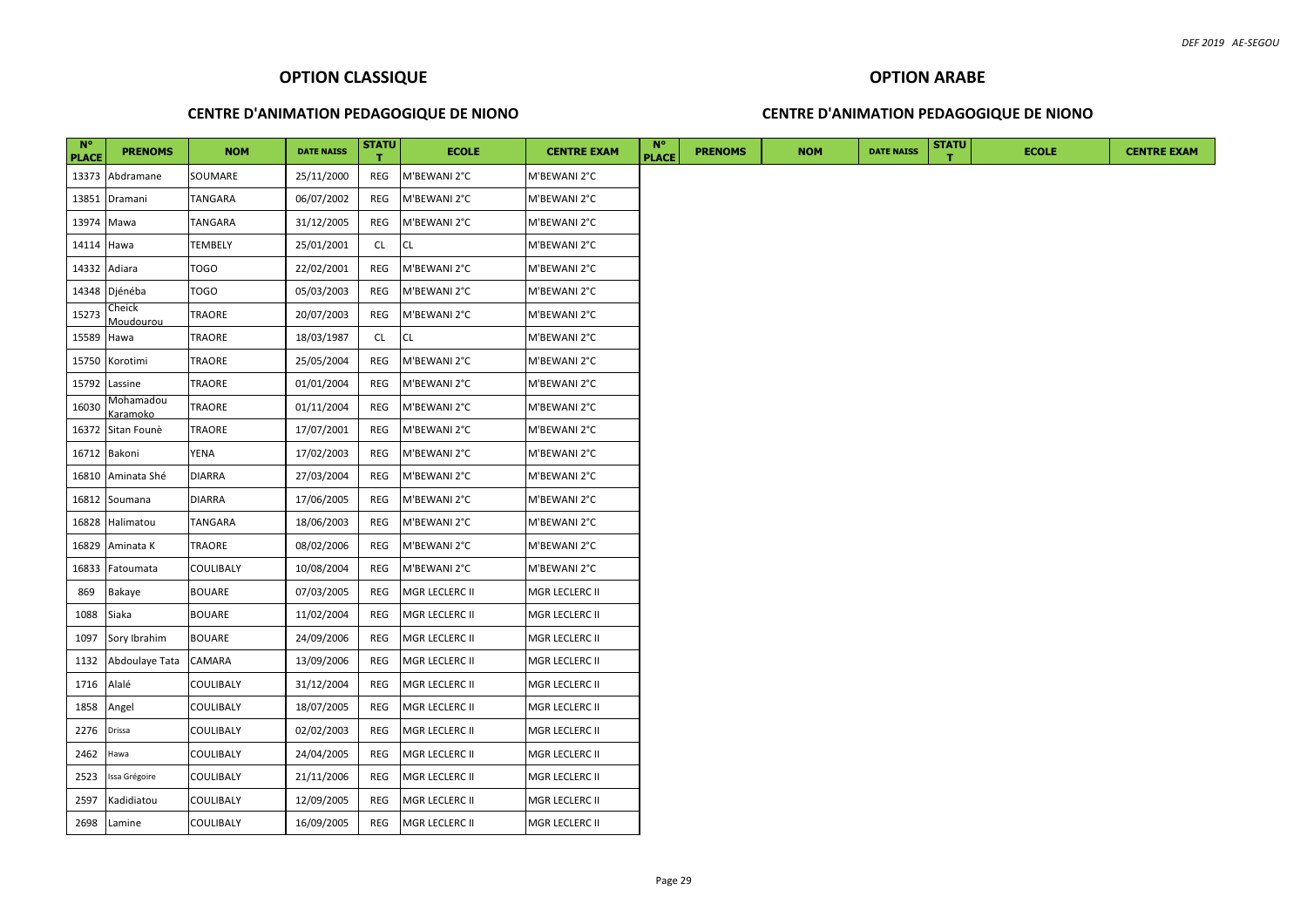#### **CENTRE D'ANIMATION PEDAGOGIQUE DE NIONO**

#### **CENTRE D'ANIMATION PEDAGOGIQUE DE NIONO**

| $N^{\circ}$<br><b>PLACE</b> | <b>PRENOMS</b>        | <b>NOM</b>       | <b>DATE NAISS</b> | <b>STATU</b> | <b>ECOLE</b>   | <b>CENTRE EXAM</b> | $N^{\circ}$<br><b>PLACE</b> | <b>PRENOMS</b> | <b>NOM</b> | <b>DATE NAISS</b> | <b>STATU</b> | <b>ECOLE</b> | <b>CENTRE EXAM</b> |
|-----------------------------|-----------------------|------------------|-------------------|--------------|----------------|--------------------|-----------------------------|----------------|------------|-------------------|--------------|--------------|--------------------|
|                             | 13373 Abdramane       | SOUMARE          | 25/11/2000        | REG          | M'BEWANI 2°C   | M'BEWANI 2°C       |                             |                |            |                   |              |              |                    |
|                             | 13851 Dramani         | <b>TANGARA</b>   | 06/07/2002        | REG          | M'BEWANI 2°C   | M'BEWANI 2°C       |                             |                |            |                   |              |              |                    |
| 13974 Mawa                  |                       | <b>TANGARA</b>   | 31/12/2005        | REG          | M'BEWANI 2°C   | M'BEWANI 2°C       |                             |                |            |                   |              |              |                    |
| 14114 Hawa                  |                       | <b>TEMBELY</b>   | 25/01/2001        | <b>CL</b>    | CL             | M'BEWANI 2°C       |                             |                |            |                   |              |              |                    |
|                             | 14332 Adiara          | <b>TOGO</b>      | 22/02/2001        | REG          | M'BEWANI 2°C   | M'BEWANI 2°C       |                             |                |            |                   |              |              |                    |
|                             | 14348 Djénéba         | <b>TOGO</b>      | 05/03/2003        | REG          | M'BEWANI 2°C   | M'BEWANI 2°C       |                             |                |            |                   |              |              |                    |
| 15273                       | Cheick<br>Moudourou   | <b>TRAORE</b>    | 20/07/2003        | REG          | M'BEWANI 2°C   | M'BEWANI 2°C       |                             |                |            |                   |              |              |                    |
| 15589 Hawa                  |                       | <b>TRAORE</b>    | 18/03/1987        | <b>CL</b>    | CL             | M'BEWANI 2°C       |                             |                |            |                   |              |              |                    |
|                             | 15750 Korotimi        | <b>TRAORE</b>    | 25/05/2004        | REG          | M'BEWANI 2°C   | M'BEWANI 2°C       |                             |                |            |                   |              |              |                    |
|                             | 15792 Lassine         | <b>TRAORE</b>    | 01/01/2004        | REG          | M'BEWANI 2°C   | M'BEWANI 2°C       |                             |                |            |                   |              |              |                    |
| 16030                       | Mohamadou<br>Karamoko | TRAORE           | 01/11/2004        | REG          | M'BEWANI 2°C   | M'BEWANI 2°C       |                             |                |            |                   |              |              |                    |
|                             | 16372 Sitan Founè     | <b>TRAORE</b>    | 17/07/2001        | REG          | M'BEWANI 2°C   | M'BEWANI 2°C       |                             |                |            |                   |              |              |                    |
|                             | 16712 Bakoni          | YENA             | 17/02/2003        | REG          | M'BEWANI 2°C   | M'BEWANI 2°C       |                             |                |            |                   |              |              |                    |
| 16810                       | Aminata Shé           | <b>DIARRA</b>    | 27/03/2004        | REG          | M'BEWANI 2°C   | M'BEWANI 2°C       |                             |                |            |                   |              |              |                    |
|                             | 16812 Soumana         | <b>DIARRA</b>    | 17/06/2005        | REG          | M'BEWANI 2°C   | M'BEWANI 2°C       |                             |                |            |                   |              |              |                    |
|                             | 16828 Halimatou       | <b>TANGARA</b>   | 18/06/2003        | REG          | M'BEWANI 2°C   | M'BEWANI 2°C       |                             |                |            |                   |              |              |                    |
| 16829                       | Aminata K             | TRAORE           | 08/02/2006        | REG          | M'BEWANI 2°C   | M'BEWANI 2°C       |                             |                |            |                   |              |              |                    |
| 16833                       | Fatoumata             | <b>COULIBALY</b> | 10/08/2004        | REG          | M'BEWANI 2°C   | M'BEWANI 2°C       |                             |                |            |                   |              |              |                    |
| 869                         | Bakaye                | <b>BOUARE</b>    | 07/03/2005        | REG          | MGR LECLERC II | MGR LECLERC II     |                             |                |            |                   |              |              |                    |
| 1088                        | Siaka                 | <b>BOUARE</b>    | 11/02/2004        | REG          | MGR LECLERC II | MGR LECLERC II     |                             |                |            |                   |              |              |                    |
| 1097                        | Sory Ibrahim          | <b>BOUARE</b>    | 24/09/2006        | REG          | MGR LECLERC II | MGR LECLERC II     |                             |                |            |                   |              |              |                    |
| 1132                        | Abdoulaye Tata        | CAMARA           | 13/09/2006        | REG          | MGR LECLERC II | MGR LECLERC II     |                             |                |            |                   |              |              |                    |
| 1716                        | Alalé                 | <b>COULIBALY</b> | 31/12/2004        | REG          | MGR LECLERC II | MGR LECLERC II     |                             |                |            |                   |              |              |                    |
| 1858                        | Angel                 | <b>COULIBALY</b> | 18/07/2005        | REG          | MGR LECLERC II | MGR LECLERC II     |                             |                |            |                   |              |              |                    |
| 2276                        | Drissa                | <b>COULIBALY</b> | 02/02/2003        | REG          | MGR LECLERC II | MGR LECLERC II     |                             |                |            |                   |              |              |                    |
| 2462                        | Hawa                  | <b>COULIBALY</b> | 24/04/2005        | REG          | MGR LECLERC II | MGR LECLERC II     |                             |                |            |                   |              |              |                    |
| 2523                        | Issa Grégoire         | <b>COULIBALY</b> | 21/11/2006        | REG          | MGR LECLERC II | MGR LECLERC II     |                             |                |            |                   |              |              |                    |
| 2597                        | Kadidiatou            | <b>COULIBALY</b> | 12/09/2005        | REG          | MGR LECLERC II | MGR LECLERC II     |                             |                |            |                   |              |              |                    |
|                             | 2698 Lamine           | <b>COULIBALY</b> | 16/09/2005        | REG          | MGR LECLERC II | MGR LECLERC II     |                             |                |            |                   |              |              |                    |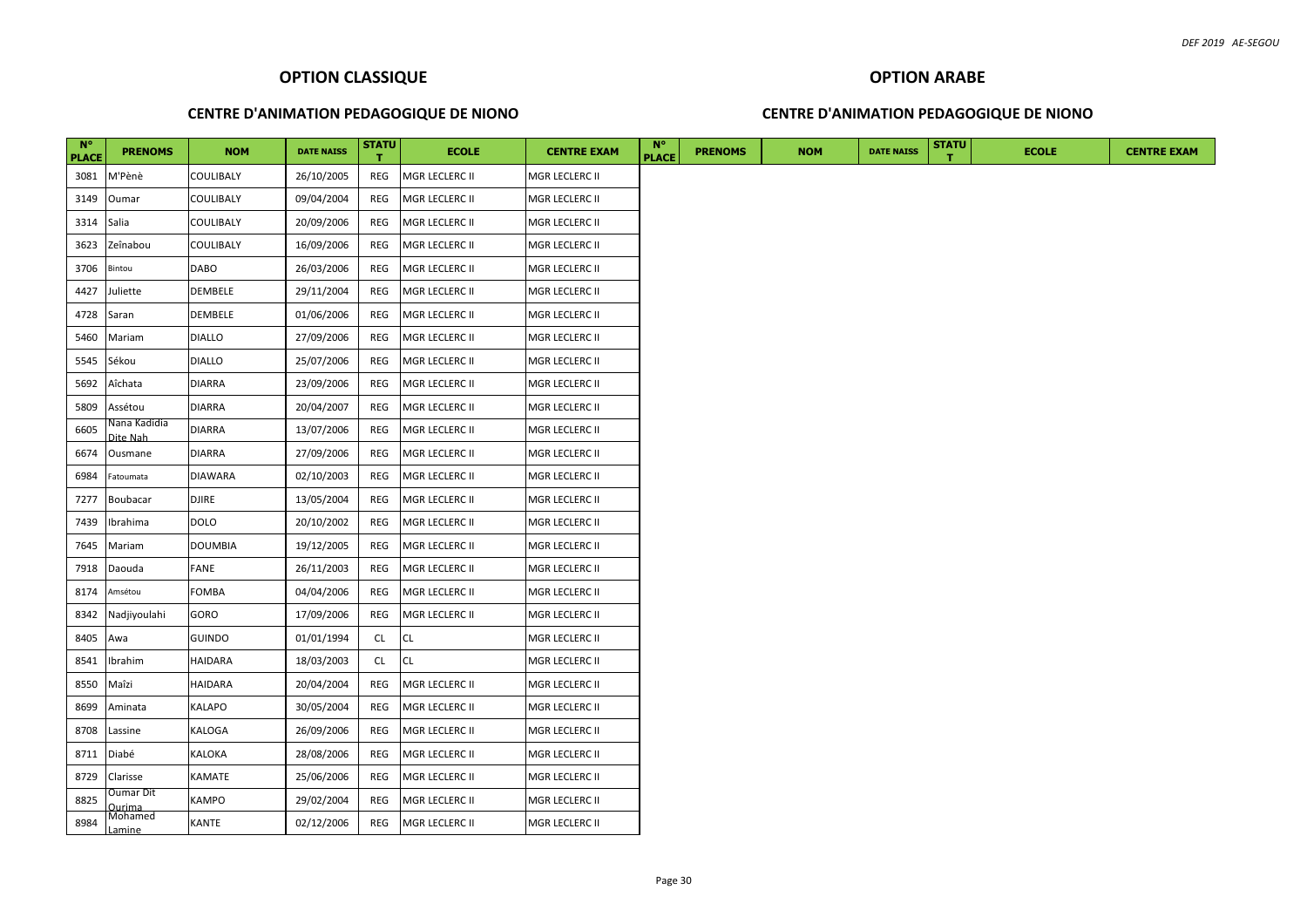#### **CENTRE D'ANIMATION PEDAGOGIQUE DE NIONO**

#### **CENTRE D'ANIMATION PEDAGOGIQUE DE NIONO**

| $N^{\circ}$<br><b>PLACE</b> | <b>PRENOMS</b>              | <b>NOM</b>       | <b>DATE NAISS</b> | <b>STATU</b> | <b>ECOLE</b>   | <b>CENTRE EXAM</b> | $N^{\circ}$<br><b>PLACE</b> | <b>PRENOMS</b> | <b>NOM</b> | <b>DATE NAISS</b> | <b>STATU</b> | <b>ECOLE</b> | <b>CENTRE EXAM</b> |
|-----------------------------|-----------------------------|------------------|-------------------|--------------|----------------|--------------------|-----------------------------|----------------|------------|-------------------|--------------|--------------|--------------------|
| 3081                        | M'Pènè                      | COULIBALY        | 26/10/2005        | REG          | MGR LECLERC II | MGR LECLERC II     |                             |                |            |                   |              |              |                    |
| 3149                        | Oumar                       | <b>COULIBALY</b> | 09/04/2004        | REG          | MGR LECLERC II | MGR LECLERC II     |                             |                |            |                   |              |              |                    |
| 3314                        | Salia                       | COULIBALY        | 20/09/2006        | REG          | MGR LECLERC II | MGR LECLERC II     |                             |                |            |                   |              |              |                    |
| 3623                        | Zeînabou                    | <b>COULIBALY</b> | 16/09/2006        | REG          | MGR LECLERC II | MGR LECLERC II     |                             |                |            |                   |              |              |                    |
| 3706                        | Bintou                      | <b>DABO</b>      | 26/03/2006        | REG          | MGR LECLERC II | MGR LECLERC II     |                             |                |            |                   |              |              |                    |
| 4427                        | Juliette                    | DEMBELE          | 29/11/2004        | REG          | MGR LECLERC II | MGR LECLERC II     |                             |                |            |                   |              |              |                    |
| 4728                        | Saran                       | <b>DEMBELE</b>   | 01/06/2006        | REG          | MGR LECLERC II | MGR LECLERC II     |                             |                |            |                   |              |              |                    |
| 5460                        | Mariam                      | <b>DIALLO</b>    | 27/09/2006        | REG          | MGR LECLERC II | MGR LECLERC II     |                             |                |            |                   |              |              |                    |
| 5545                        | Sékou                       | <b>DIALLO</b>    | 25/07/2006        | REG          | MGR LECLERC II | MGR LECLERC II     |                             |                |            |                   |              |              |                    |
| 5692                        | Aîchata                     | <b>DIARRA</b>    | 23/09/2006        | REG          | MGR LECLERC II | MGR LECLERC II     |                             |                |            |                   |              |              |                    |
| 5809                        | Assétou                     | <b>DIARRA</b>    | 20/04/2007        | REG          | MGR LECLERC II | MGR LECLERC II     |                             |                |            |                   |              |              |                    |
| 6605                        | Nana Kadidia<br>Dite Nah    | <b>DIARRA</b>    | 13/07/2006        | REG          | MGR LECLERC II | MGR LECLERC II     |                             |                |            |                   |              |              |                    |
| 6674                        | Ousmane                     | <b>DIARRA</b>    | 27/09/2006        | REG          | MGR LECLERC II | MGR LECLERC II     |                             |                |            |                   |              |              |                    |
| 6984                        | Fatoumata                   | <b>DIAWARA</b>   | 02/10/2003        | REG          | MGR LECLERC II | MGR LECLERC II     |                             |                |            |                   |              |              |                    |
| 7277                        | Boubacar                    | <b>DJIRE</b>     | 13/05/2004        | REG          | MGR LECLERC II | MGR LECLERC II     |                             |                |            |                   |              |              |                    |
| 7439                        | Ibrahima                    | <b>DOLO</b>      | 20/10/2002        | REG          | MGR LECLERC II | MGR LECLERC II     |                             |                |            |                   |              |              |                    |
| 7645                        | Mariam                      | <b>DOUMBIA</b>   | 19/12/2005        | REG          | MGR LECLERC II | MGR LECLERC II     |                             |                |            |                   |              |              |                    |
| 7918                        | Daouda                      | <b>FANE</b>      | 26/11/2003        | REG          | MGR LECLERC II | MGR LECLERC II     |                             |                |            |                   |              |              |                    |
| 8174                        | Amsétou                     | FOMBA            | 04/04/2006        | REG          | MGR LECLERC II | MGR LECLERC II     |                             |                |            |                   |              |              |                    |
| 8342                        | Nadjiyoulahi                | GORO             | 17/09/2006        | REG          | MGR LECLERC II | MGR LECLERC II     |                             |                |            |                   |              |              |                    |
| 8405                        | Awa                         | <b>GUINDO</b>    | 01/01/1994        | CL.          | <b>CL</b>      | MGR LECLERC II     |                             |                |            |                   |              |              |                    |
| 8541                        | Ibrahim                     | <b>HAIDARA</b>   | 18/03/2003        | CL.          | <b>CL</b>      | MGR LECLERC II     |                             |                |            |                   |              |              |                    |
| 8550                        | Maîzi                       | HAIDARA          | 20/04/2004        | REG          | MGR LECLERC II | MGR LECLERC II     |                             |                |            |                   |              |              |                    |
| 8699                        | Aminata                     | KALAPO           | 30/05/2004        | REG          | MGR LECLERC II | MGR LECLERC II     |                             |                |            |                   |              |              |                    |
| 8708                        | Lassine                     | KALOGA           | 26/09/2006        | REG          | MGR LECLERC II | MGR LECLERC II     |                             |                |            |                   |              |              |                    |
| 8711                        | Diabé                       | KALOKA           | 28/08/2006        | REG          | MGR LECLERC II | MGR LECLERC II     |                             |                |            |                   |              |              |                    |
| 8729                        | Clarisse                    | KAMATE           | 25/06/2006        | REG          | MGR LECLERC II | MGR LECLERC II     |                             |                |            |                   |              |              |                    |
| 8825                        | Jumar Dit<br><u> Jurima</u> | KAMPO            | 29/02/2004        | REG          | MGR LECLERC II | MGR LECLERC II     |                             |                |            |                   |              |              |                    |
| 8984                        | Mohamed                     | <b>KANTE</b>     | 02/12/2006        | REG          | MGR LECLERC II | MGR LECLERC II     |                             |                |            |                   |              |              |                    |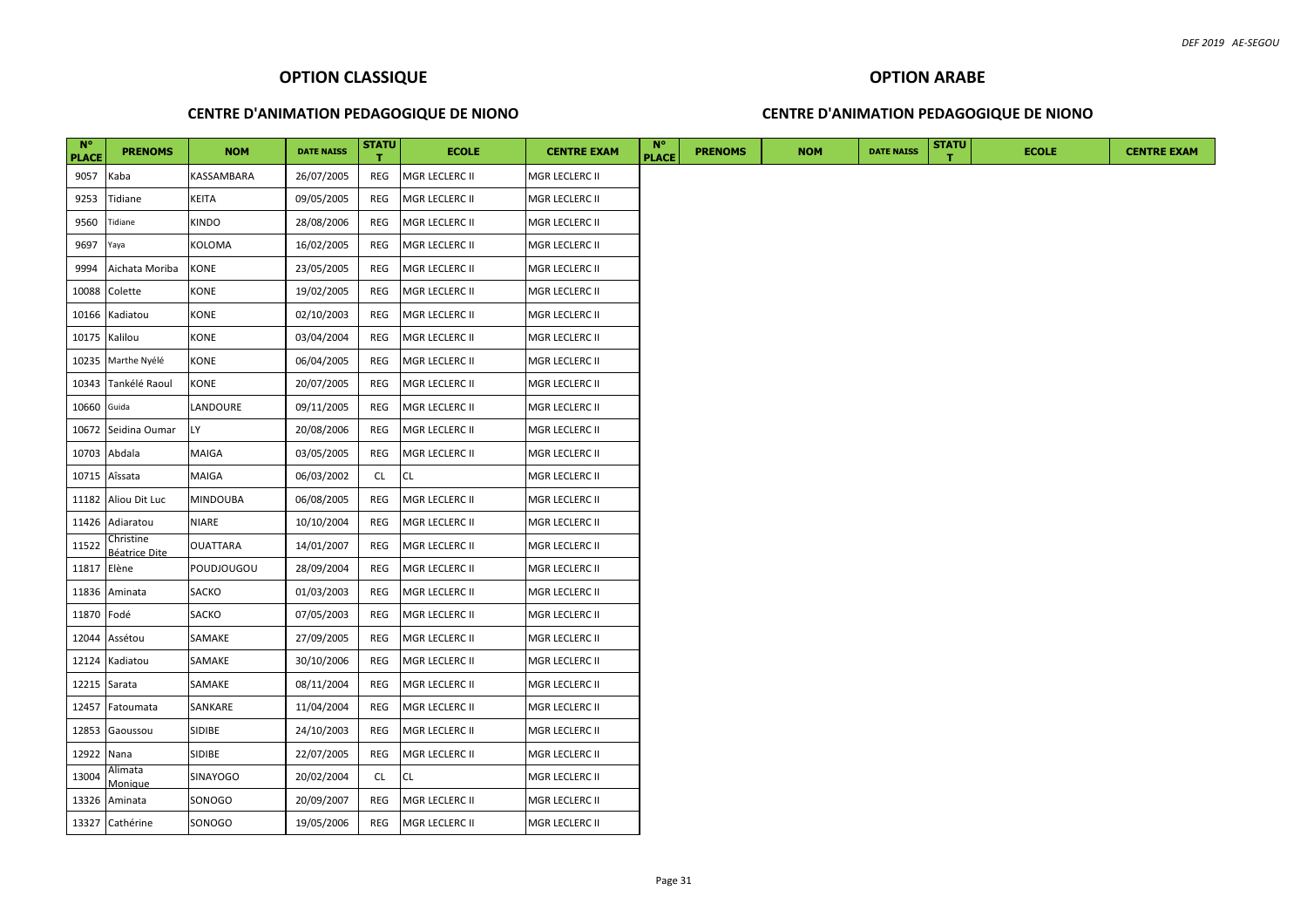#### **CENTRE D'ANIMATION PEDAGOGIQUE DE NIONO**

#### **CENTRE D'ANIMATION PEDAGOGIQUE DE NIONO**

| $N^{\circ}$<br><b>PLACE</b> | <b>PRENOMS</b>                    | <b>NOM</b>      | <b>DATE NAISS</b> | <b>STATU</b> | <b>ECOLE</b>   | <b>CENTRE EXAM</b> | $N^{\circ}$<br><b>PLACE</b> | <b>PRENOMS</b> | <b>NOM</b> | <b>DATE NAISS</b> | <b>STATU</b> | <b>ECOLE</b> | <b>CENTRE EXAM</b> |
|-----------------------------|-----------------------------------|-----------------|-------------------|--------------|----------------|--------------------|-----------------------------|----------------|------------|-------------------|--------------|--------------|--------------------|
| 9057                        | Kaba                              | KASSAMBARA      | 26/07/2005        | REG          | MGR LECLERC II | MGR LECLERC II     |                             |                |            |                   |              |              |                    |
| 9253                        | Tidiane                           | <b>KEITA</b>    | 09/05/2005        | REG          | MGR LECLERC II | MGR LECLERC II     |                             |                |            |                   |              |              |                    |
| 9560                        | Tidiane                           | <b>KINDO</b>    | 28/08/2006        | REG          | MGR LECLERC II | MGR LECLERC II     |                             |                |            |                   |              |              |                    |
| 9697                        | Yaya                              | <b>KOLOMA</b>   | 16/02/2005        | REG          | MGR LECLERC II | MGR LECLERC II     |                             |                |            |                   |              |              |                    |
| 9994                        | Aichata Moriba                    | <b>KONE</b>     | 23/05/2005        | REG          | MGR LECLERC II | MGR LECLERC II     |                             |                |            |                   |              |              |                    |
| 10088                       | Colette                           | KONE            | 19/02/2005        | REG          | MGR LECLERC II | MGR LECLERC II     |                             |                |            |                   |              |              |                    |
| 10166                       | Kadiatou                          | KONE            | 02/10/2003        | REG          | MGR LECLERC II | MGR LECLERC II     |                             |                |            |                   |              |              |                    |
| 10175                       | Kalilou                           | <b>KONE</b>     | 03/04/2004        | REG          | MGR LECLERC II | MGR LECLERC II     |                             |                |            |                   |              |              |                    |
| 10235                       | Marthe Nyélé                      | KONE            | 06/04/2005        | REG          | MGR LECLERC II | MGR LECLERC II     |                             |                |            |                   |              |              |                    |
| 10343                       | Tankélé Raoul                     | <b>KONE</b>     | 20/07/2005        | REG          | MGR LECLERC II | MGR LECLERC II     |                             |                |            |                   |              |              |                    |
| 10660                       | Guida                             | LANDOURE        | 09/11/2005        | REG          | MGR LECLERC II | MGR LECLERC II     |                             |                |            |                   |              |              |                    |
| 10672                       | Seidina Oumar                     | LY              | 20/08/2006        | REG          | MGR LECLERC II | MGR LECLERC II     |                             |                |            |                   |              |              |                    |
| 10703                       | Abdala                            | <b>MAIGA</b>    | 03/05/2005        | REG          | MGR LECLERC II | MGR LECLERC II     |                             |                |            |                   |              |              |                    |
| 10715                       | Aîssata                           | MAIGA           | 06/03/2002        | <b>CL</b>    | <b>CL</b>      | MGR LECLERC II     |                             |                |            |                   |              |              |                    |
| 11182                       | Aliou Dit Luc                     | <b>MINDOUBA</b> | 06/08/2005        | REG          | MGR LECLERC II | MGR LECLERC II     |                             |                |            |                   |              |              |                    |
|                             | 11426 Adiaratou                   | <b>NIARE</b>    | 10/10/2004        | REG          | MGR LECLERC II | MGR LECLERC II     |                             |                |            |                   |              |              |                    |
| 11522                       | Christine<br><b>Béatrice Dite</b> | <b>OUATTARA</b> | 14/01/2007        | REG          | MGR LECLERC II | MGR LECLERC II     |                             |                |            |                   |              |              |                    |
| 11817                       | Elène                             | POUDJOUGOU      | 28/09/2004        | REG          | MGR LECLERC II | MGR LECLERC II     |                             |                |            |                   |              |              |                    |
|                             | 11836 Aminata                     | <b>SACKO</b>    | 01/03/2003        | REG          | MGR LECLERC II | MGR LECLERC II     |                             |                |            |                   |              |              |                    |
| 11870 Fodé                  |                                   | SACKO           | 07/05/2003        | REG          | MGR LECLERC II | MGR LECLERC II     |                             |                |            |                   |              |              |                    |
| 12044                       | Assétou                           | SAMAKE          | 27/09/2005        | REG          | MGR LECLERC II | MGR LECLERC II     |                             |                |            |                   |              |              |                    |
| 12124                       | Kadiatou                          | SAMAKE          | 30/10/2006        | REG          | MGR LECLERC II | MGR LECLERC II     |                             |                |            |                   |              |              |                    |
| 12215                       | Sarata                            | SAMAKE          | 08/11/2004        | REG          | MGR LECLERC II | MGR LECLERC II     |                             |                |            |                   |              |              |                    |
| 12457                       | Fatoumata                         | SANKARE         | 11/04/2004        | REG          | MGR LECLERC II | MGR LECLERC II     |                             |                |            |                   |              |              |                    |
| 12853                       | Gaoussou                          | <b>SIDIBE</b>   | 24/10/2003        | REG          | MGR LECLERC II | MGR LECLERC II     |                             |                |            |                   |              |              |                    |
| 12922                       | Nana                              | SIDIBE          | 22/07/2005        | REG          | MGR LECLERC II | MGR LECLERC II     |                             |                |            |                   |              |              |                    |
| 13004                       | Alimata<br>Moniaue                | <b>SINAYOGO</b> | 20/02/2004        | CL           | <b>CL</b>      | MGR LECLERC II     |                             |                |            |                   |              |              |                    |
| 13326                       | Aminata                           | SONOGO          | 20/09/2007        | REG          | MGR LECLERC II | MGR LECLERC II     |                             |                |            |                   |              |              |                    |
|                             | 13327 Cathérine                   | SONOGO          | 19/05/2006        | REG          | MGR LECLERC II | MGR LECLERC II     |                             |                |            |                   |              |              |                    |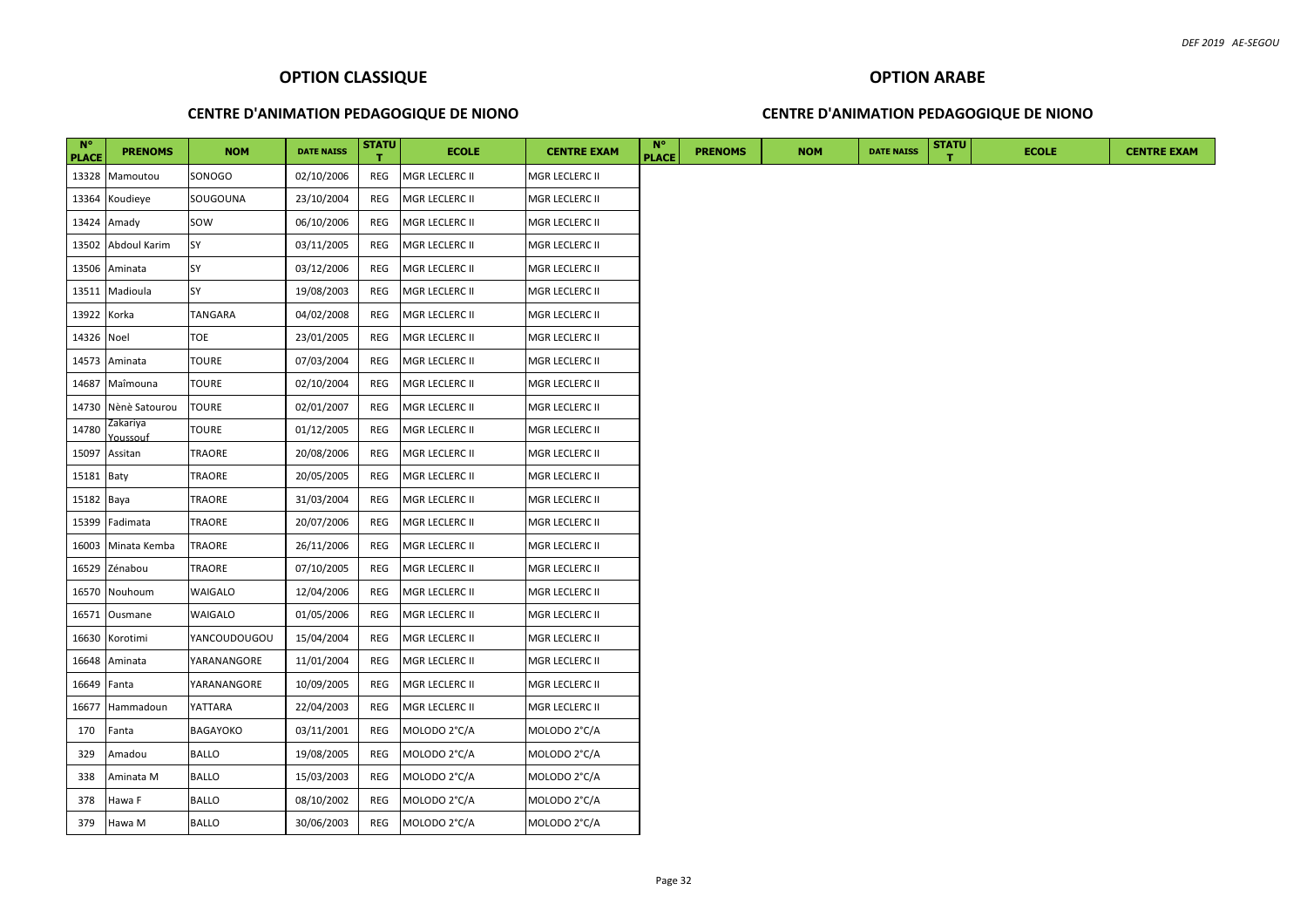#### **CENTRE D'ANIMATION PEDAGOGIQUE DE NIONO**

#### **CENTRE D'ANIMATION PEDAGOGIQUE DE NIONO**

| $N^{\circ}$<br><b>PLACE</b> | <b>PRENOMS</b>       | <b>NOM</b>      | <b>DATE NAISS</b> | <b>STATU</b> | <b>ECOLE</b>   | <b>CENTRE EXAM</b>    | <b>N°</b><br><b>PLACE</b> | <b>PRENOMS</b> | <b>NOM</b> | <b>DATE NAISS</b> | <b>STATU</b> | <b>ECOLE</b> |
|-----------------------------|----------------------|-----------------|-------------------|--------------|----------------|-----------------------|---------------------------|----------------|------------|-------------------|--------------|--------------|
| 13328                       | Mamoutou             | SONOGO          | 02/10/2006        | REG          | MGR LECLERC II | MGR LECLERC II        |                           |                |            |                   |              |              |
| 13364                       | Koudieye             | SOUGOUNA        | 23/10/2004        | REG          | MGR LECLERC II | MGR LECLERC II        |                           |                |            |                   |              |              |
|                             | 13424 Amady          | SOW             | 06/10/2006        | REG          | MGR LECLERC II | MGR LECLERC II        |                           |                |            |                   |              |              |
|                             | 13502 Abdoul Karim   | <b>SY</b>       | 03/11/2005        | REG          | MGR LECLERC II | MGR LECLERC II        |                           |                |            |                   |              |              |
| 13506                       | Aminata              | SY              | 03/12/2006        | REG          | MGR LECLERC II | MGR LECLERC II        |                           |                |            |                   |              |              |
|                             | 13511 Madioula       | SY              | 19/08/2003        | REG          | MGR LECLERC II | MGR LECLERC II        |                           |                |            |                   |              |              |
| 13922 Korka                 |                      | <b>TANGARA</b>  | 04/02/2008        | REG          | MGR LECLERC II | MGR LECLERC II        |                           |                |            |                   |              |              |
| 14326 Noel                  |                      | <b>TOE</b>      | 23/01/2005        | REG          | MGR LECLERC II | MGR LECLERC II        |                           |                |            |                   |              |              |
|                             | 14573 Aminata        | <b>TOURE</b>    | 07/03/2004        | REG          | MGR LECLERC II | MGR LECLERC II        |                           |                |            |                   |              |              |
|                             | 14687 Maîmouna       | <b>TOURE</b>    | 02/10/2004        | REG          | MGR LECLERC II | MGR LECLERC II        |                           |                |            |                   |              |              |
|                             | 14730 Nènè Satourou  | <b>TOURE</b>    | 02/01/2007        | REG          | MGR LECLERC II | MGR LECLERC II        |                           |                |            |                   |              |              |
| 14780                       | Zakariya<br>Youssouf | <b>TOURE</b>    | 01/12/2005        | REG          | MGR LECLERC II | MGR LECLERC II        |                           |                |            |                   |              |              |
| 15097                       | Assitan              | TRAORE          | 20/08/2006        | REG          | MGR LECLERC II | MGR LECLERC II        |                           |                |            |                   |              |              |
| 15181 Baty                  |                      | TRAORE          | 20/05/2005        | REG          | MGR LECLERC II | <b>MGR LECLERC II</b> |                           |                |            |                   |              |              |
| 15182 Baya                  |                      | TRAORE          | 31/03/2004        | REG          | MGR LECLERC II | MGR LECLERC II        |                           |                |            |                   |              |              |
| 15399                       | Fadimata             | TRAORE          | 20/07/2006        | REG          | MGR LECLERC II | MGR LECLERC II        |                           |                |            |                   |              |              |
| 16003                       | Minata Kemba         | TRAORE          | 26/11/2006        | REG          | MGR LECLERC II | <b>MGR LECLERC II</b> |                           |                |            |                   |              |              |
| 16529                       | Zénabou              | <b>TRAORE</b>   | 07/10/2005        | REG          | MGR LECLERC II | <b>MGR LECLERC II</b> |                           |                |            |                   |              |              |
| 16570                       | Nouhoum              | <b>WAIGALO</b>  | 12/04/2006        | REG          | MGR LECLERC II | <b>MGR LECLERC II</b> |                           |                |            |                   |              |              |
| 16571                       | Ousmane              | <b>WAIGALO</b>  | 01/05/2006        | REG          | MGR LECLERC II | MGR LECLERC II        |                           |                |            |                   |              |              |
| 16630                       | Korotimi             | YANCOUDOUGOU    | 15/04/2004        | REG          | MGR LECLERC II | MGR LECLERC II        |                           |                |            |                   |              |              |
| 16648                       | Aminata              | YARANANGORE     | 11/01/2004        | REG          | MGR LECLERC II | <b>MGR LECLERC II</b> |                           |                |            |                   |              |              |
| 16649                       | Fanta                | YARANANGORE     | 10/09/2005        | REG          | MGR LECLERC II | <b>MGR LECLERC II</b> |                           |                |            |                   |              |              |
| 16677                       | Hammadoun            | YATTARA         | 22/04/2003        | REG          | MGR LECLERC II | MGR LECLERC II        |                           |                |            |                   |              |              |
| 170                         | Fanta                | <b>BAGAYOKO</b> | 03/11/2001        | REG          | MOLODO 2°C/A   | MOLODO 2°C/A          |                           |                |            |                   |              |              |
| 329                         | Amadou               | <b>BALLO</b>    | 19/08/2005        | REG          | MOLODO 2°C/A   | MOLODO 2°C/A          |                           |                |            |                   |              |              |
| 338                         | Aminata M            | <b>BALLO</b>    | 15/03/2003        | REG          | MOLODO 2°C/A   | MOLODO 2°C/A          |                           |                |            |                   |              |              |
| 378                         | Hawa F               | <b>BALLO</b>    | 08/10/2002        | REG          | MOLODO 2°C/A   | MOLODO 2°C/A          |                           |                |            |                   |              |              |
| 379                         | Hawa M               | <b>BALLO</b>    | 30/06/2003        | REG          | MOLODO 2°C/A   | MOLODO 2°C/A          |                           |                |            |                   |              |              |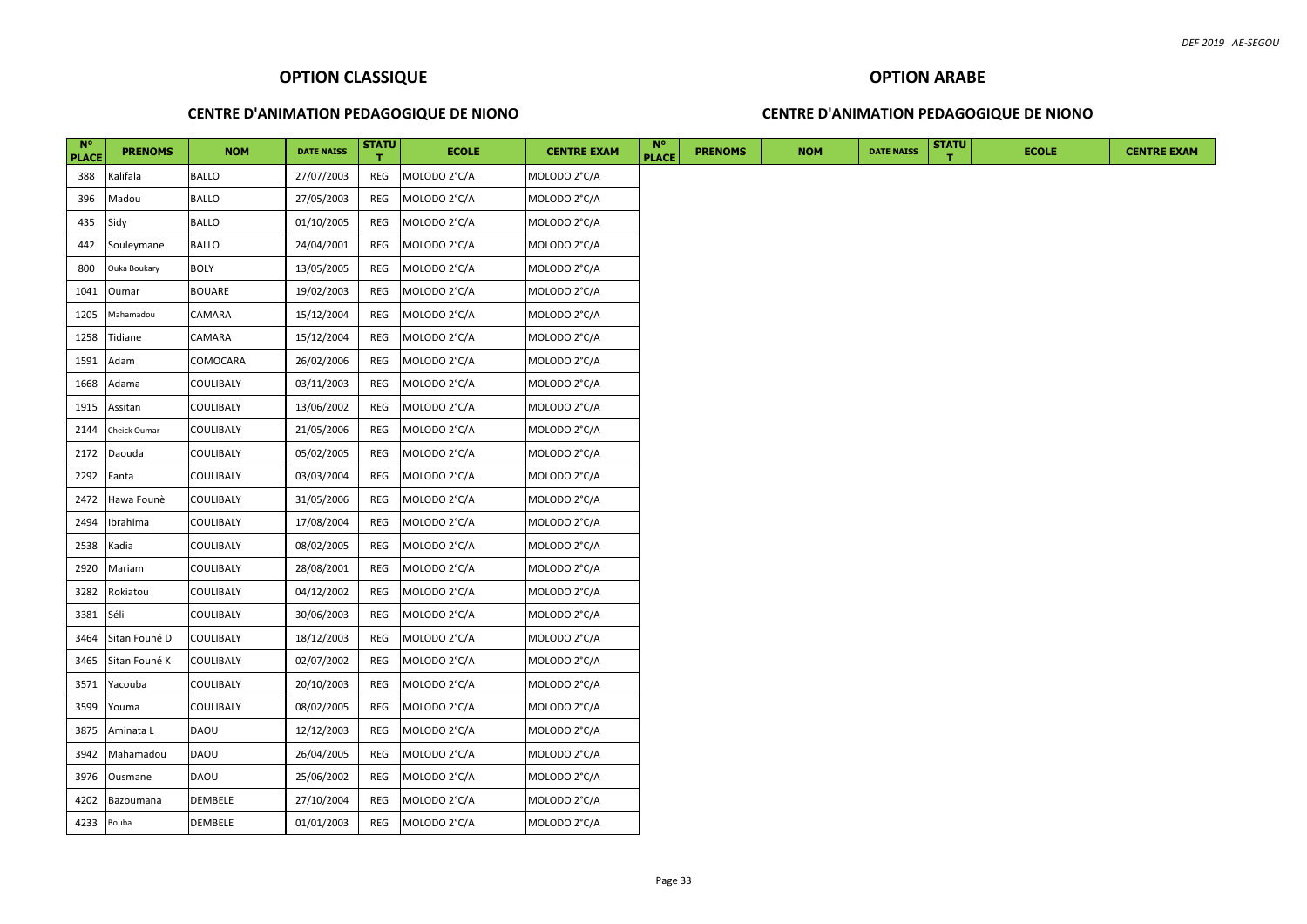#### **CENTRE D'ANIMATION PEDAGOGIQUE DE NIONO**

#### **CENTRE D'ANIMATION PEDAGOGIQUE DE NIONO**

| $N^{\circ}$<br><b>PLACE</b> | <b>PRENOMS</b> | <b>NOM</b>       | <b>DATE NAISS</b> | <b>STATU</b> | <b>ECOLE</b> | <b>CENTRE EXAM</b> | <b>N°</b><br><b>PLACE</b> | <b>PRENOMS</b> | <b>NOM</b> | <b>DATE NAISS</b> | <b>STATU</b> | <b>ECOLE</b> | <b>CENTRE EXAM</b> |
|-----------------------------|----------------|------------------|-------------------|--------------|--------------|--------------------|---------------------------|----------------|------------|-------------------|--------------|--------------|--------------------|
| 388                         | Kalifala       | <b>BALLO</b>     | 27/07/2003        | REG          | MOLODO 2°C/A | MOLODO 2°C/A       |                           |                |            |                   |              |              |                    |
| 396                         | Madou          | <b>BALLO</b>     | 27/05/2003        | REG          | MOLODO 2°C/A | MOLODO 2°C/A       |                           |                |            |                   |              |              |                    |
| 435                         | Sidy           | <b>BALLO</b>     | 01/10/2005        | REG          | MOLODO 2°C/A | MOLODO 2°C/A       |                           |                |            |                   |              |              |                    |
| 442                         | Souleymane     | <b>BALLO</b>     | 24/04/2001        | REG          | MOLODO 2°C/A | MOLODO 2°C/A       |                           |                |            |                   |              |              |                    |
| 800                         | Ouka Boukary   | <b>BOLY</b>      | 13/05/2005        | REG          | MOLODO 2°C/A | MOLODO 2°C/A       |                           |                |            |                   |              |              |                    |
| 1041                        | Oumar          | <b>BOUARE</b>    | 19/02/2003        | REG          | MOLODO 2°C/A | MOLODO 2°C/A       |                           |                |            |                   |              |              |                    |
| 1205                        | Mahamadou      | CAMARA           | 15/12/2004        | REG          | MOLODO 2°C/A | MOLODO 2°C/A       |                           |                |            |                   |              |              |                    |
| 1258                        | Tidiane        | CAMARA           | 15/12/2004        | REG          | MOLODO 2°C/A | MOLODO 2°C/A       |                           |                |            |                   |              |              |                    |
| 1591                        | Adam           | COMOCARA         | 26/02/2006        | REG          | MOLODO 2°C/A | MOLODO 2°C/A       |                           |                |            |                   |              |              |                    |
| 1668                        | Adama          | <b>COULIBALY</b> | 03/11/2003        | REG          | MOLODO 2°C/A | MOLODO 2°C/A       |                           |                |            |                   |              |              |                    |
| 1915                        | Assitan        | <b>COULIBALY</b> | 13/06/2002        | REG          | MOLODO 2°C/A | MOLODO 2°C/A       |                           |                |            |                   |              |              |                    |
| 2144                        | Cheick Oumar   | <b>COULIBALY</b> | 21/05/2006        | REG          | MOLODO 2°C/A | MOLODO 2°C/A       |                           |                |            |                   |              |              |                    |
| 2172                        | Daouda         | <b>COULIBALY</b> | 05/02/2005        | REG          | MOLODO 2°C/A | MOLODO 2°C/A       |                           |                |            |                   |              |              |                    |
| 2292                        | Fanta          | <b>COULIBALY</b> | 03/03/2004        | REG          | MOLODO 2°C/A | MOLODO 2°C/A       |                           |                |            |                   |              |              |                    |
| 2472                        | Hawa Founè     | <b>COULIBALY</b> | 31/05/2006        | REG          | MOLODO 2°C/A | MOLODO 2°C/A       |                           |                |            |                   |              |              |                    |
| 2494                        | Ibrahima       | <b>COULIBALY</b> | 17/08/2004        | REG          | MOLODO 2°C/A | MOLODO 2°C/A       |                           |                |            |                   |              |              |                    |
| 2538                        | Kadia          | <b>COULIBALY</b> | 08/02/2005        | REG          | MOLODO 2°C/A | MOLODO 2°C/A       |                           |                |            |                   |              |              |                    |
| 2920                        | Mariam         | <b>COULIBALY</b> | 28/08/2001        | REG          | MOLODO 2°C/A | MOLODO 2°C/A       |                           |                |            |                   |              |              |                    |
| 3282                        | Rokiatou       | COULIBALY        | 04/12/2002        | REG          | MOLODO 2°C/A | MOLODO 2°C/A       |                           |                |            |                   |              |              |                    |
| 3381                        | Séli           | <b>COULIBALY</b> | 30/06/2003        | REG          | MOLODO 2°C/A | MOLODO 2°C/A       |                           |                |            |                   |              |              |                    |
| 3464                        | Sitan Founé D  | <b>COULIBALY</b> | 18/12/2003        | REG          | MOLODO 2°C/A | MOLODO 2°C/A       |                           |                |            |                   |              |              |                    |
| 3465                        | Sitan Founé K  | <b>COULIBALY</b> | 02/07/2002        | REG          | MOLODO 2°C/A | MOLODO 2°C/A       |                           |                |            |                   |              |              |                    |
| 3571                        | Yacouba        | COULIBALY        | 20/10/2003        | REG          | MOLODO 2°C/A | MOLODO 2°C/A       |                           |                |            |                   |              |              |                    |
| 3599                        | Youma          | <b>COULIBALY</b> | 08/02/2005        | REG          | MOLODO 2°C/A | MOLODO 2°C/A       |                           |                |            |                   |              |              |                    |
| 3875                        | Aminata L      | <b>DAOU</b>      | 12/12/2003        | REG          | MOLODO 2°C/A | MOLODO 2°C/A       |                           |                |            |                   |              |              |                    |
| 3942                        | Mahamadou      | <b>DAOU</b>      | 26/04/2005        | REG          | MOLODO 2°C/A | MOLODO 2°C/A       |                           |                |            |                   |              |              |                    |
| 3976                        | Ousmane        | <b>DAOU</b>      | 25/06/2002        | REG          | MOLODO 2°C/A | MOLODO 2°C/A       |                           |                |            |                   |              |              |                    |
| 4202                        | Bazoumana      | <b>DEMBELE</b>   | 27/10/2004        | REG          | MOLODO 2°C/A | MOLODO 2°C/A       |                           |                |            |                   |              |              |                    |
| 4233 Bouba                  |                | DEMBELE          | 01/01/2003        | REG          | MOLODO 2°C/A | MOLODO 2°C/A       |                           |                |            |                   |              |              |                    |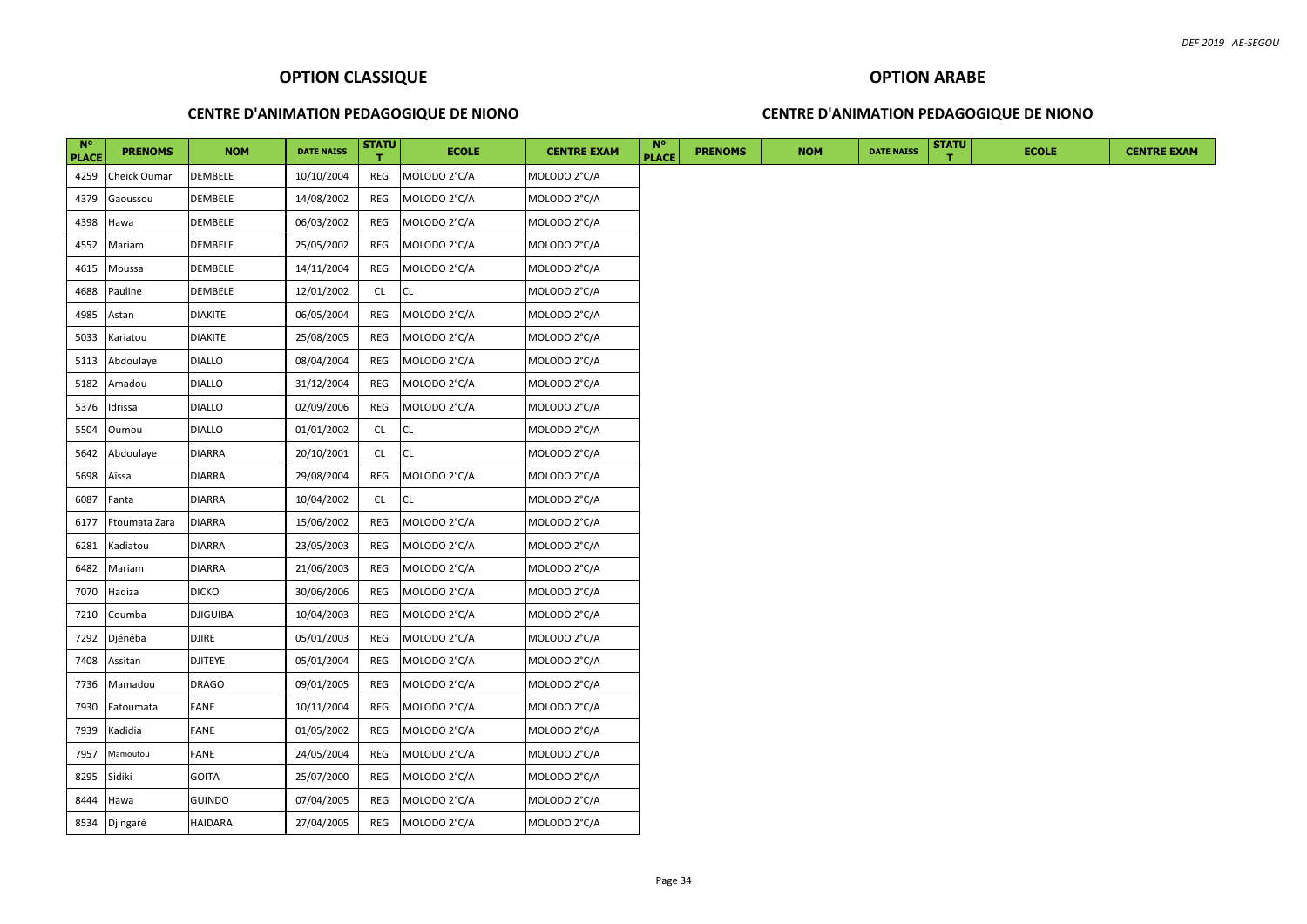#### **CENTRE D'ANIMATION PEDAGOGIQUE DE NIONO**

#### **CENTRE D'ANIMATION PEDAGOGIQUE DE NIONO**

| $N^{\circ}$<br><b>PLACE</b> | <b>PRENOMS</b> | <b>NOM</b>      | <b>DATE NAISS</b> | <b>STATU</b> | <b>ECOLE</b> | <b>CENTRE EXAM</b> | $N^{\circ}$<br><b>PLACE</b> | <b>PRENOMS</b> | <b>NOM</b> | <b>DATE NAISS</b> | <b>STATU</b> | <b>ECOLE</b> |
|-----------------------------|----------------|-----------------|-------------------|--------------|--------------|--------------------|-----------------------------|----------------|------------|-------------------|--------------|--------------|
| 4259                        | Cheick Oumar   | DEMBELE         | 10/10/2004        | REG          | MOLODO 2°C/A | MOLODO 2°C/A       |                             |                |            |                   |              |              |
| 4379                        | Gaoussou       | DEMBELE         | 14/08/2002        | REG          | MOLODO 2°C/A | MOLODO 2°C/A       |                             |                |            |                   |              |              |
| 4398                        | Hawa           | DEMBELE         | 06/03/2002        | REG          | MOLODO 2°C/A | MOLODO 2°C/A       |                             |                |            |                   |              |              |
| 4552                        | Mariam         | DEMBELE         | 25/05/2002        | REG          | MOLODO 2°C/A | MOLODO 2°C/A       |                             |                |            |                   |              |              |
| 4615                        | Moussa         | DEMBELE         | 14/11/2004        | REG          | MOLODO 2°C/A | MOLODO 2°C/A       |                             |                |            |                   |              |              |
| 4688                        | Pauline        | DEMBELE         | 12/01/2002        | <b>CL</b>    | <b>CL</b>    | MOLODO 2°C/A       |                             |                |            |                   |              |              |
| 4985                        | Astan          | <b>DIAKITE</b>  | 06/05/2004        | REG          | MOLODO 2°C/A | MOLODO 2°C/A       |                             |                |            |                   |              |              |
| 5033                        | Kariatou       | <b>DIAKITE</b>  | 25/08/2005        | REG          | MOLODO 2°C/A | MOLODO 2°C/A       |                             |                |            |                   |              |              |
| 5113                        | Abdoulaye      | <b>DIALLO</b>   | 08/04/2004        | REG          | MOLODO 2°C/A | MOLODO 2°C/A       |                             |                |            |                   |              |              |
| 5182                        | Amadou         | <b>DIALLO</b>   | 31/12/2004        | REG          | MOLODO 2°C/A | MOLODO 2°C/A       |                             |                |            |                   |              |              |
| 5376                        | Idrissa        | <b>DIALLO</b>   | 02/09/2006        | REG          | MOLODO 2°C/A | MOLODO 2°C/A       |                             |                |            |                   |              |              |
| 5504                        | Oumou          | <b>DIALLO</b>   | 01/01/2002        | CL           | <b>CL</b>    | MOLODO 2°C/A       |                             |                |            |                   |              |              |
| 5642                        | Abdoulaye      | <b>DIARRA</b>   | 20/10/2001        | CL.          | <b>CL</b>    | MOLODO 2°C/A       |                             |                |            |                   |              |              |
| 5698                        | Aîssa          | <b>DIARRA</b>   | 29/08/2004        | REG          | MOLODO 2°C/A | MOLODO 2°C/A       |                             |                |            |                   |              |              |
| 6087                        | Fanta          | <b>DIARRA</b>   | 10/04/2002        | CL           | <b>CL</b>    | MOLODO 2°C/A       |                             |                |            |                   |              |              |
| 6177                        | Ftoumata Zara  | <b>DIARRA</b>   | 15/06/2002        | REG          | MOLODO 2°C/A | MOLODO 2°C/A       |                             |                |            |                   |              |              |
| 6281                        | Kadiatou       | <b>DIARRA</b>   | 23/05/2003        | REG          | MOLODO 2°C/A | MOLODO 2°C/A       |                             |                |            |                   |              |              |
| 6482                        | Mariam         | <b>DIARRA</b>   | 21/06/2003        | REG          | MOLODO 2°C/A | MOLODO 2°C/A       |                             |                |            |                   |              |              |
| 7070                        | Hadiza         | <b>DICKO</b>    | 30/06/2006        | REG          | MOLODO 2°C/A | MOLODO 2°C/A       |                             |                |            |                   |              |              |
| 7210                        | Coumba         | <b>DJIGUIBA</b> | 10/04/2003        | REG          | MOLODO 2°C/A | MOLODO 2°C/A       |                             |                |            |                   |              |              |
| 7292                        | Djénéba        | DJIRE           | 05/01/2003        | REG          | MOLODO 2°C/A | MOLODO 2°C/A       |                             |                |            |                   |              |              |
| 7408                        | Assitan        | <b>DJITEYE</b>  | 05/01/2004        | REG          | MOLODO 2°C/A | MOLODO 2°C/A       |                             |                |            |                   |              |              |
| 7736                        | Mamadou        | DRAGO           | 09/01/2005        | REG          | MOLODO 2°C/A | MOLODO 2°C/A       |                             |                |            |                   |              |              |
| 7930                        | Fatoumata      | FANE            | 10/11/2004        | REG          | MOLODO 2°C/A | MOLODO 2°C/A       |                             |                |            |                   |              |              |
| 7939                        | Kadidia        | FANE            | 01/05/2002        | REG          | MOLODO 2°C/A | MOLODO 2°C/A       |                             |                |            |                   |              |              |
| 7957                        | Mamoutou       | FANE            | 24/05/2004        | REG          | MOLODO 2°C/A | MOLODO 2°C/A       |                             |                |            |                   |              |              |
| 8295                        | Sidiki         | <b>GOITA</b>    | 25/07/2000        | REG          | MOLODO 2°C/A | MOLODO 2°C/A       |                             |                |            |                   |              |              |
| 8444                        | Hawa           | GUINDO          | 07/04/2005        | REG          | MOLODO 2°C/A | MOLODO 2°C/A       |                             |                |            |                   |              |              |
| 8534                        | Djingaré       | HAIDARA         | 27/04/2005        | REG          | MOLODO 2°C/A | MOLODO 2°C/A       |                             |                |            |                   |              |              |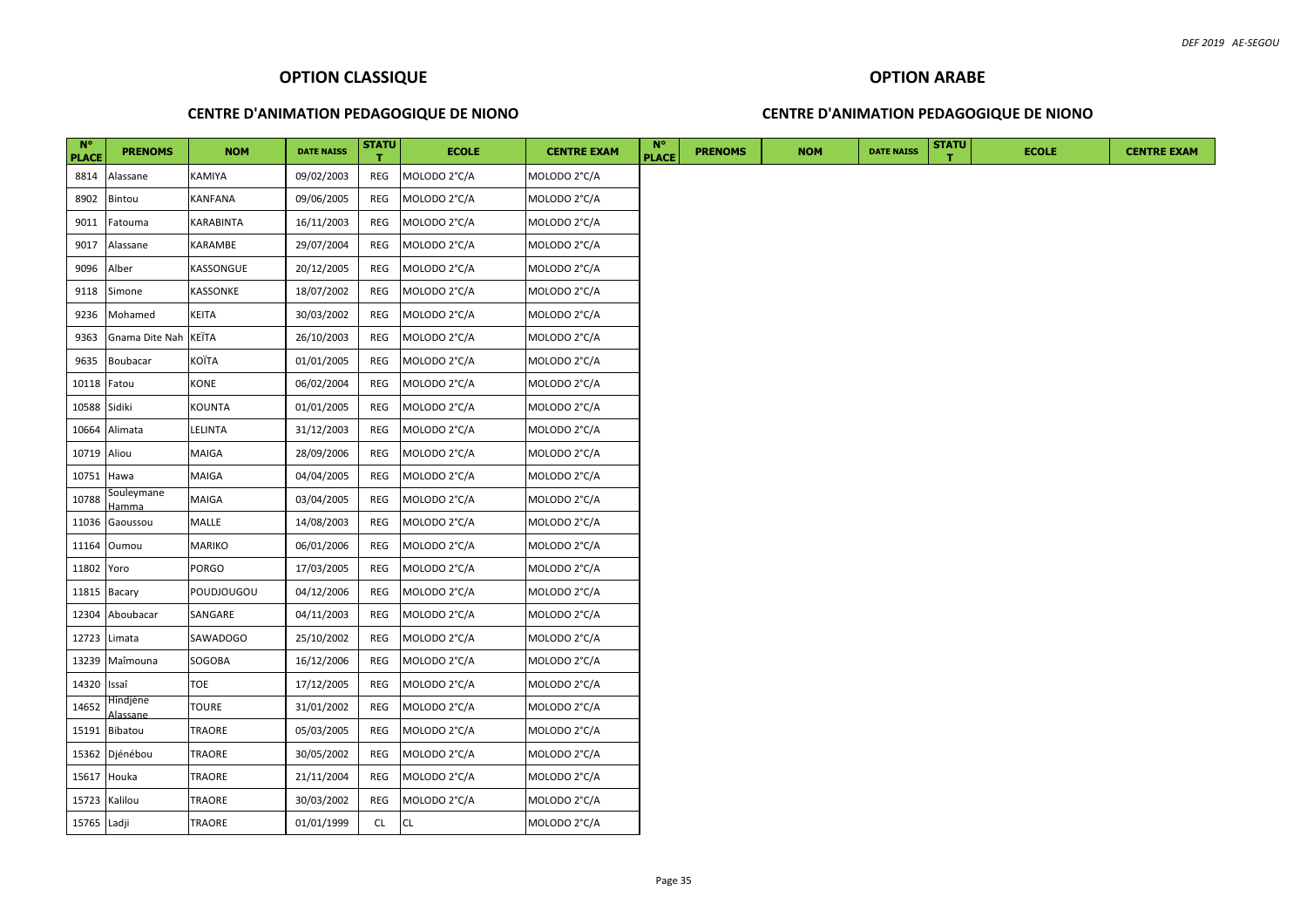#### **CENTRE D'ANIMATION PEDAGOGIQUE DE NIONO**

## **OPTION ARABE CENTRE D'ANIMATION PEDAGOGIQUE DE NIONO**

| $N^{\circ}$<br><b>PLACE</b> | <b>PRENOMS</b>       | <b>NOM</b>    | <b>DATE NAISS</b> | <b>STATU</b> | <b>ECOLE</b> | <b>CENTRE EXAM</b> | <b>N°</b><br><b>PLACE</b> | <b>PRENOMS</b> | <b>NOM</b> | <b>DATE NAISS</b> | <b>STATU</b> | <b>ECOLE</b> |  |  | <b>CENTRE EXAM</b> |  |
|-----------------------------|----------------------|---------------|-------------------|--------------|--------------|--------------------|---------------------------|----------------|------------|-------------------|--------------|--------------|--|--|--------------------|--|
| 8814                        | Alassane             | KAMIYA        | 09/02/2003        | REG          | MOLODO 2°C/A | MOLODO 2°C/A       |                           |                |            |                   |              |              |  |  |                    |  |
| 8902                        | Bintou               | KANFANA       | 09/06/2005        | REG          | MOLODO 2°C/A | MOLODO 2°C/A       |                           |                |            |                   |              |              |  |  |                    |  |
| 9011                        | Fatouma              | KARABINTA     | 16/11/2003        | REG          | MOLODO 2°C/A | MOLODO 2°C/A       |                           |                |            |                   |              |              |  |  |                    |  |
| 9017                        | Alassane             | KARAMBE       | 29/07/2004        | REG          | MOLODO 2°C/A | MOLODO 2°C/A       |                           |                |            |                   |              |              |  |  |                    |  |
| 9096                        | Alber                | KASSONGUE     | 20/12/2005        | REG          | MOLODO 2°C/A | MOLODO 2°C/A       |                           |                |            |                   |              |              |  |  |                    |  |
| 9118                        | Simone               | KASSONKE      | 18/07/2002        | REG          | MOLODO 2°C/A | MOLODO 2°C/A       |                           |                |            |                   |              |              |  |  |                    |  |
| 9236                        | Mohamed              | KEITA         | 30/03/2002        | REG          | MOLODO 2°C/A | MOLODO 2°C/A       |                           |                |            |                   |              |              |  |  |                    |  |
| 9363                        | Gnama Dite Nah KEÏTA |               | 26/10/2003        | REG          | MOLODO 2°C/A | MOLODO 2°C/A       |                           |                |            |                   |              |              |  |  |                    |  |
| 9635                        | Boubacar             | KOÏTA         | 01/01/2005        | REG          | MOLODO 2°C/A | MOLODO 2°C/A       |                           |                |            |                   |              |              |  |  |                    |  |
| 10118 <b>Fatou</b>          |                      | <b>KONE</b>   | 06/02/2004        | REG          | MOLODO 2°C/A | MOLODO 2°C/A       |                           |                |            |                   |              |              |  |  |                    |  |
| 10588 Sidiki                |                      | KOUNTA        | 01/01/2005        | REG          | MOLODO 2°C/A | MOLODO 2°C/A       |                           |                |            |                   |              |              |  |  |                    |  |
|                             | 10664 Alimata        | LELINTA       | 31/12/2003        | REG          | MOLODO 2°C/A | MOLODO 2°C/A       |                           |                |            |                   |              |              |  |  |                    |  |
| 10719 Aliou                 |                      | MAIGA         | 28/09/2006        | REG          | MOLODO 2°C/A | MOLODO 2°C/A       |                           |                |            |                   |              |              |  |  |                    |  |
| 10751 Hawa                  |                      | MAIGA         | 04/04/2005        | REG          | MOLODO 2°C/A | MOLODO 2°C/A       |                           |                |            |                   |              |              |  |  |                    |  |
| 10788                       | Souleymane<br>lamma  | MAIGA         | 03/04/2005        | REG          | MOLODO 2°C/A | MOLODO 2°C/A       |                           |                |            |                   |              |              |  |  |                    |  |
| 11036                       | Gaoussou             | MALLE         | 14/08/2003        | REG          | MOLODO 2°C/A | MOLODO 2°C/A       |                           |                |            |                   |              |              |  |  |                    |  |
|                             | 11164 Oumou          | MARIKO        | 06/01/2006        | REG          | MOLODO 2°C/A | MOLODO 2°C/A       |                           |                |            |                   |              |              |  |  |                    |  |
| 11802 Yoro                  |                      | PORGO         | 17/03/2005        | REG          | MOLODO 2°C/A | MOLODO 2°C/A       |                           |                |            |                   |              |              |  |  |                    |  |
| 11815 Bacary                |                      | POUDJOUGOU    | 04/12/2006        | REG          | MOLODO 2°C/A | MOLODO 2°C/A       |                           |                |            |                   |              |              |  |  |                    |  |
| 12304                       | Aboubacar            | SANGARE       | 04/11/2003        | REG          | MOLODO 2°C/A | MOLODO 2°C/A       |                           |                |            |                   |              |              |  |  |                    |  |
| 12723                       | Limata               | SAWADOGO      | 25/10/2002        | <b>REG</b>   | MOLODO 2°C/A | MOLODO 2°C/A       |                           |                |            |                   |              |              |  |  |                    |  |
| 13239                       | Maîmouna             | SOGOBA        | 16/12/2006        | REG          | MOLODO 2°C/A | MOLODO 2°C/A       |                           |                |            |                   |              |              |  |  |                    |  |
| 14320                       | Issaî                | TOE           | 17/12/2005        | REG          | MOLODO 2°C/A | MOLODO 2°C/A       |                           |                |            |                   |              |              |  |  |                    |  |
| 14652                       | Hindjène<br>Alassane | TOURE         | 31/01/2002        | REG          | MOLODO 2°C/A | MOLODO 2°C/A       |                           |                |            |                   |              |              |  |  |                    |  |
| 15191                       | Bibatou              | TRAORE        | 05/03/2005        | REG          | MOLODO 2°C/A | MOLODO 2°C/A       |                           |                |            |                   |              |              |  |  |                    |  |
| 15362                       | Djénébou             | TRAORE        | 30/05/2002        | REG          | MOLODO 2°C/A | MOLODO 2°C/A       |                           |                |            |                   |              |              |  |  |                    |  |
| 15617 Houka                 |                      | <b>TRAORE</b> | 21/11/2004        | REG          | MOLODO 2°C/A | MOLODO 2°C/A       |                           |                |            |                   |              |              |  |  |                    |  |
| 15723 Kalilou               |                      | TRAORE        | 30/03/2002        | REG          | MOLODO 2°C/A | MOLODO 2°C/A       |                           |                |            |                   |              |              |  |  |                    |  |
| 15765 Ladji                 |                      | <b>TRAORE</b> | 01/01/1999        | <b>CL</b>    | <b>CL</b>    | MOLODO 2°C/A       |                           |                |            |                   |              |              |  |  |                    |  |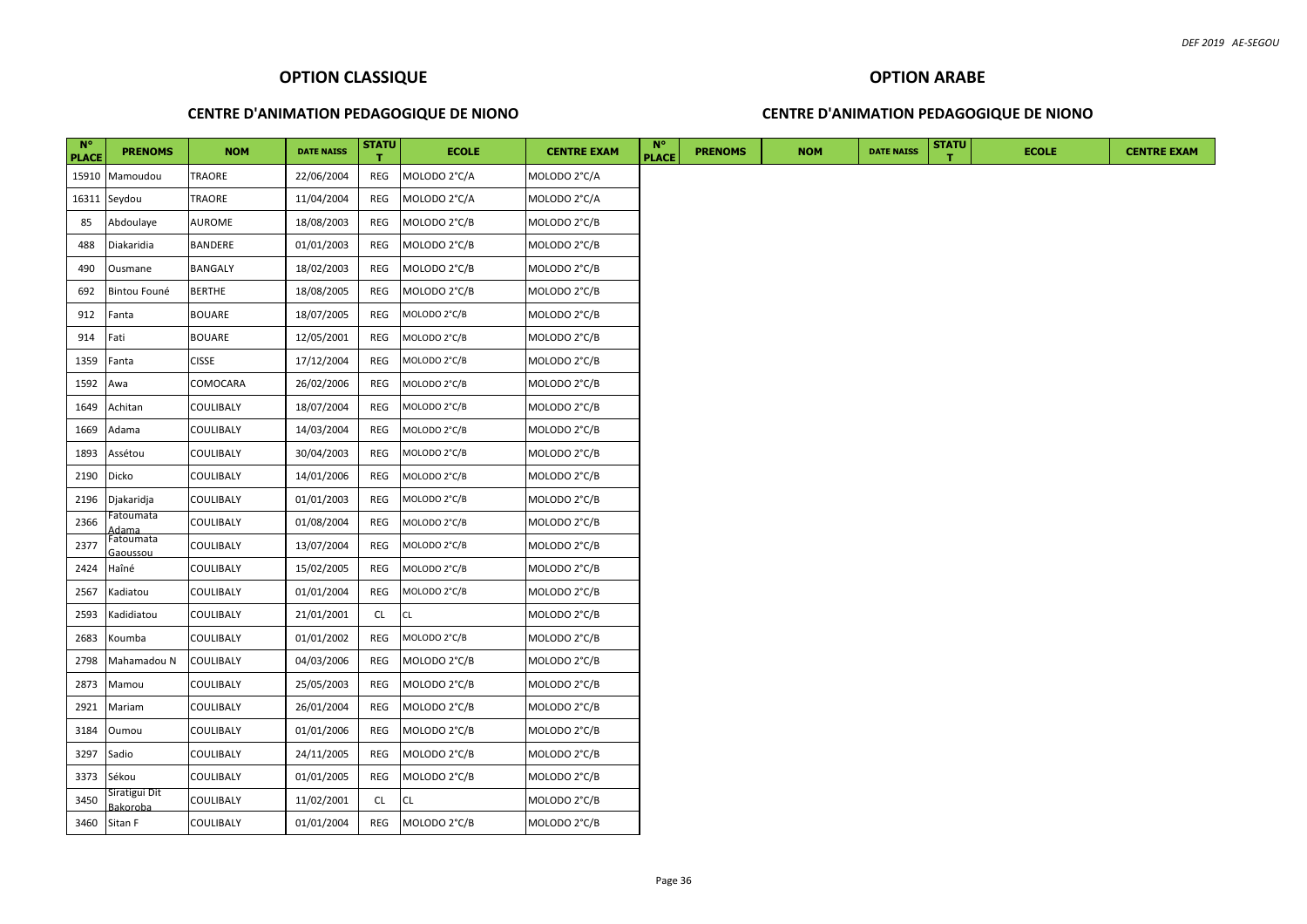#### **CENTRE D'ANIMATION PEDAGOGIQUE DE NIONO**

## **CENTRE D'ANIMATION PEDAGOGIQUE DE NIONO**

| $N^{\circ}$<br><b>PLACE</b> | <b>PRENOMS</b>            | <b>NOM</b>       | <b>DATE NAISS</b> | <b>STATU</b> | <b>ECOLE</b> | <b>CENTRE EXAM</b> | <b>N°</b><br><b>PLACE</b> | <b>PRENOMS</b> | <b>NOM</b> | <b>DATE NAISS</b> | <b>STATU</b> | <b>ECOLE</b> | <b>CENTRE EXAM</b> |
|-----------------------------|---------------------------|------------------|-------------------|--------------|--------------|--------------------|---------------------------|----------------|------------|-------------------|--------------|--------------|--------------------|
|                             | 15910 Mamoudou            | TRAORE           | 22/06/2004        | REG          | MOLODO 2°C/A | MOLODO 2°C/A       |                           |                |            |                   |              |              |                    |
| 16311                       | Seydou                    | TRAORE           | 11/04/2004        | REG          | MOLODO 2°C/A | MOLODO 2°C/A       |                           |                |            |                   |              |              |                    |
| 85                          | Abdoulaye                 | AUROME           | 18/08/2003        | REG          | MOLODO 2°C/B | MOLODO 2°C/B       |                           |                |            |                   |              |              |                    |
| 488                         | Diakaridia                | <b>BANDERE</b>   | 01/01/2003        | REG          | MOLODO 2°C/B | MOLODO 2°C/B       |                           |                |            |                   |              |              |                    |
| 490                         | Ousmane                   | <b>BANGALY</b>   | 18/02/2003        | REG          | MOLODO 2°C/B | MOLODO 2°C/B       |                           |                |            |                   |              |              |                    |
| 692                         | Bintou Founé              | <b>BERTHE</b>    | 18/08/2005        | REG          | MOLODO 2°C/B | MOLODO 2°C/B       |                           |                |            |                   |              |              |                    |
| 912                         | Fanta                     | <b>BOUARE</b>    | 18/07/2005        | REG          | MOLODO 2°C/B | MOLODO 2°C/B       |                           |                |            |                   |              |              |                    |
| 914                         | Fati                      | <b>BOUARE</b>    | 12/05/2001        | REG          | MOLODO 2°C/B | MOLODO 2°C/B       |                           |                |            |                   |              |              |                    |
| 1359                        | Fanta                     | <b>CISSE</b>     | 17/12/2004        | REG          | MOLODO 2°C/B | MOLODO 2°C/B       |                           |                |            |                   |              |              |                    |
| 1592                        | Awa                       | COMOCARA         | 26/02/2006        | REG          | MOLODO 2°C/B | MOLODO 2°C/B       |                           |                |            |                   |              |              |                    |
| 1649                        | Achitan                   | <b>COULIBALY</b> | 18/07/2004        | REG          | MOLODO 2°C/B | MOLODO 2°C/B       |                           |                |            |                   |              |              |                    |
| 1669                        | Adama                     | <b>COULIBALY</b> | 14/03/2004        | REG          | MOLODO 2°C/B | MOLODO 2°C/B       |                           |                |            |                   |              |              |                    |
| 1893                        | Assétou                   | <b>COULIBALY</b> | 30/04/2003        | REG          | MOLODO 2°C/B | MOLODO 2°C/B       |                           |                |            |                   |              |              |                    |
| 2190                        | Dicko                     | <b>COULIBALY</b> | 14/01/2006        | REG          | MOLODO 2°C/B | MOLODO 2°C/B       |                           |                |            |                   |              |              |                    |
| 2196                        | Djakaridja                | <b>COULIBALY</b> | 01/01/2003        | REG          | MOLODO 2°C/B | MOLODO 2°C/B       |                           |                |            |                   |              |              |                    |
| 2366                        | Fatoumata<br><u>\dama</u> | <b>COULIBALY</b> | 01/08/2004        | REG          | MOLODO 2°C/B | MOLODO 2°C/B       |                           |                |            |                   |              |              |                    |
| 2377                        | Fatoumata<br>Gaoussou     | <b>COULIBALY</b> | 13/07/2004        | REG          | MOLODO 2°C/B | MOLODO 2°C/B       |                           |                |            |                   |              |              |                    |
| 2424                        | Haîné                     | <b>COULIBALY</b> | 15/02/2005        | REG          | MOLODO 2°C/B | MOLODO 2°C/B       |                           |                |            |                   |              |              |                    |
| 2567                        | Kadiatou                  | <b>COULIBALY</b> | 01/01/2004        | REG          | MOLODO 2°C/B | MOLODO 2°C/B       |                           |                |            |                   |              |              |                    |
| 2593                        | Kadidiatou                | <b>COULIBALY</b> | 21/01/2001        | <b>CL</b>    | <b>CL</b>    | MOLODO 2°C/B       |                           |                |            |                   |              |              |                    |
| 2683                        | Koumba                    | <b>COULIBALY</b> | 01/01/2002        | REG          | MOLODO 2°C/B | MOLODO 2°C/B       |                           |                |            |                   |              |              |                    |
| 2798                        | Mahamadou N               | <b>COULIBALY</b> | 04/03/2006        | REG          | MOLODO 2°C/B | MOLODO 2°C/B       |                           |                |            |                   |              |              |                    |
| 2873                        | Mamou                     | <b>COULIBALY</b> | 25/05/2003        | REG          | MOLODO 2°C/B | MOLODO 2°C/B       |                           |                |            |                   |              |              |                    |
| 2921                        | Mariam                    | <b>COULIBALY</b> | 26/01/2004        | REG          | MOLODO 2°C/B | MOLODO 2°C/B       |                           |                |            |                   |              |              |                    |
| 3184                        | Oumou                     | <b>COULIBALY</b> | 01/01/2006        | REG          | MOLODO 2°C/B | MOLODO 2°C/B       |                           |                |            |                   |              |              |                    |
| 3297                        | Sadio                     | <b>COULIBALY</b> | 24/11/2005        | REG          | MOLODO 2°C/B | MOLODO 2°C/B       |                           |                |            |                   |              |              |                    |
| 3373                        | Sékou                     | <b>COULIBALY</b> | 01/01/2005        | REG          | MOLODO 2°C/B | MOLODO 2°C/B       |                           |                |            |                   |              |              |                    |
| 3450                        | Siratigui Dit<br>Bakoroba | <b>COULIBALY</b> | 11/02/2001        | CL.          | <b>CL</b>    | MOLODO 2°C/B       |                           |                |            |                   |              |              |                    |
|                             | 3460 Sitan F              | <b>COULIBALY</b> | 01/01/2004        | REG          | MOLODO 2°C/B | MOLODO 2°C/B       |                           |                |            |                   |              |              |                    |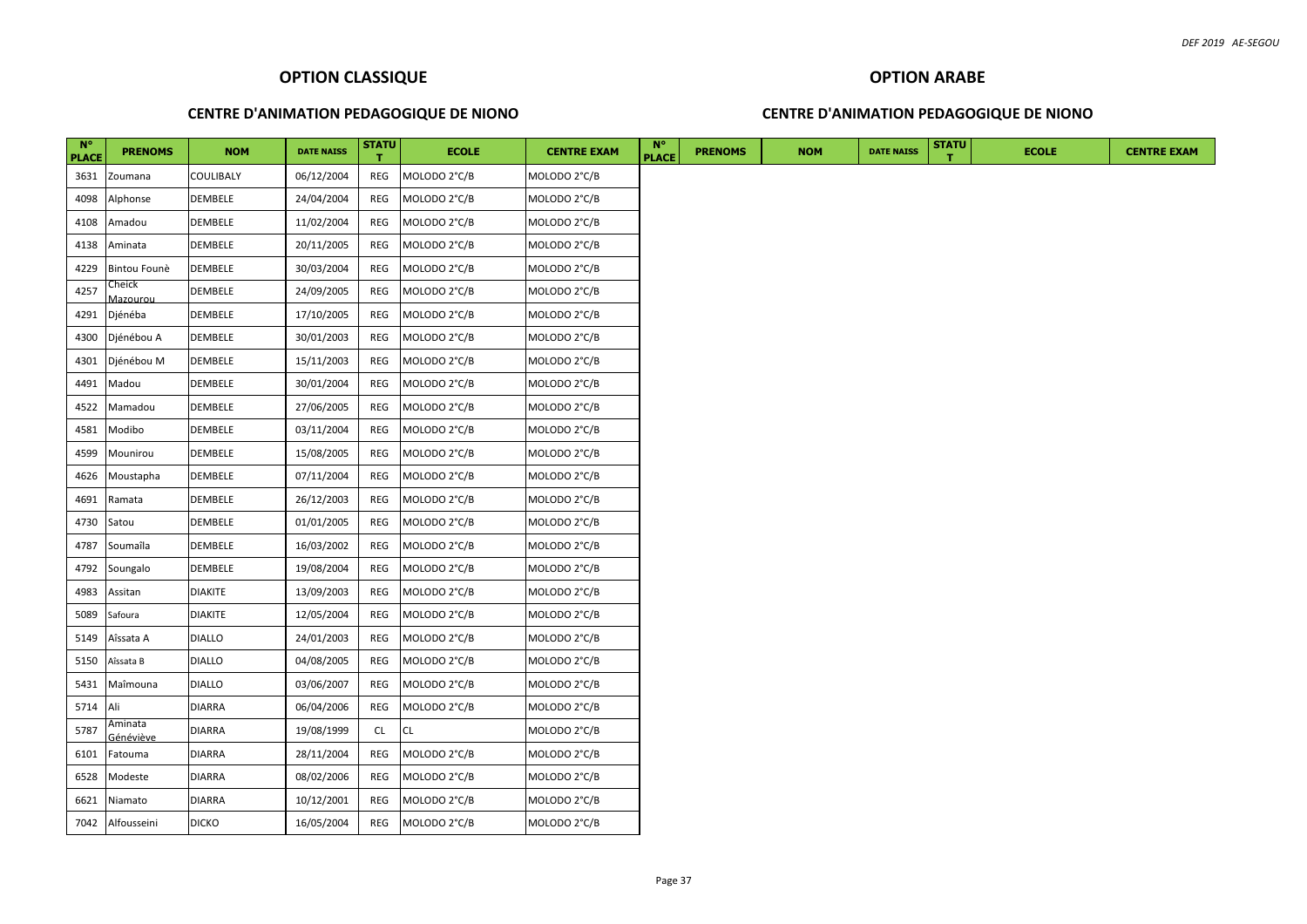## **CENTRE D'ANIMATION PEDAGOGIQUE DE NIONO**

## **CENTRE D'ANIMATION PEDAGOGIQUE DE NIONO**

| $N^{\circ}$<br><b>PLACE</b> | <b>PRENOMS</b>              | <b>NOM</b>    | <b>DATE NAISS</b> | <b>STATU</b> | <b>ECOLE</b> | <b>CENTRE EXAM</b> | <b>N°</b><br><b>PLACE</b> | <b>PRENOMS</b> | <b>NOM</b> | <b>DATE NAISS</b> | <b>STATU</b> | <b>ECOLE</b> |
|-----------------------------|-----------------------------|---------------|-------------------|--------------|--------------|--------------------|---------------------------|----------------|------------|-------------------|--------------|--------------|
| 3631                        | Zoumana                     | COULIBALY     | 06/12/2004        | REG          | MOLODO 2°C/B | MOLODO 2°C/B       |                           |                |            |                   |              |              |
| 4098                        | Alphonse                    | DEMBELE       | 24/04/2004        | REG          | MOLODO 2°C/B | MOLODO 2°C/B       |                           |                |            |                   |              |              |
| 4108                        | Amadou                      | DEMBELE       | 11/02/2004        | REG          | MOLODO 2°C/B | MOLODO 2°C/B       |                           |                |            |                   |              |              |
| 4138                        | Aminata                     | DEMBELE       | 20/11/2005        | REG          | MOLODO 2°C/B | MOLODO 2°C/B       |                           |                |            |                   |              |              |
| 4229                        | Bintou Founè                | DEMBELE       | 30/03/2004        | REG          | MOLODO 2°C/B | MOLODO 2°C/B       |                           |                |            |                   |              |              |
| 4257                        | Cheick<br><u>Aazourou</u>   | DEMBELE       | 24/09/2005        | REG          | MOLODO 2°C/B | MOLODO 2°C/B       |                           |                |            |                   |              |              |
| 4291                        | Djénéba                     | DEMBELE       | 17/10/2005        | REG          | MOLODO 2°C/B | MOLODO 2°C/B       |                           |                |            |                   |              |              |
| 4300                        | Djénébou A                  | DEMBELE       | 30/01/2003        | REG          | MOLODO 2°C/B | MOLODO 2°C/B       |                           |                |            |                   |              |              |
| 4301                        | Djénébou M                  | DEMBELE       | 15/11/2003        | REG          | MOLODO 2°C/B | MOLODO 2°C/B       |                           |                |            |                   |              |              |
| 4491                        | Madou                       | DEMBELE       | 30/01/2004        | REG          | MOLODO 2°C/B | MOLODO 2°C/B       |                           |                |            |                   |              |              |
| 4522                        | Mamadou                     | DEMBELE       | 27/06/2005        | REG          | MOLODO 2°C/B | MOLODO 2°C/B       |                           |                |            |                   |              |              |
| 4581                        | Modibo                      | DEMBELE       | 03/11/2004        | REG          | MOLODO 2°C/B | MOLODO 2°C/B       |                           |                |            |                   |              |              |
| 4599                        | Mounirou                    | DEMBELE       | 15/08/2005        | REG          | MOLODO 2°C/B | MOLODO 2°C/B       |                           |                |            |                   |              |              |
| 4626                        | Moustapha                   | DEMBELE       | 07/11/2004        | REG          | MOLODO 2°C/B | MOLODO 2°C/B       |                           |                |            |                   |              |              |
| 4691                        | Ramata                      | DEMBELE       | 26/12/2003        | REG          | MOLODO 2°C/B | MOLODO 2°C/B       |                           |                |            |                   |              |              |
| 4730                        | Satou                       | DEMBELE       | 01/01/2005        | REG          | MOLODO 2°C/B | MOLODO 2°C/B       |                           |                |            |                   |              |              |
| 4787                        | Soumaîla                    | DEMBELE       | 16/03/2002        | REG          | MOLODO 2°C/B | MOLODO 2°C/B       |                           |                |            |                   |              |              |
| 4792                        | Soungalo                    | DEMBELE       | 19/08/2004        | REG          | MOLODO 2°C/B | MOLODO 2°C/B       |                           |                |            |                   |              |              |
| 4983                        | Assitan                     | diakite       | 13/09/2003        | REG          | MOLODO 2°C/B | MOLODO 2°C/B       |                           |                |            |                   |              |              |
| 5089                        | Safoura                     | diakite       | 12/05/2004        | REG          | MOLODO 2°C/B | MOLODO 2°C/B       |                           |                |            |                   |              |              |
| 5149                        | Aîssata A                   | <b>DIALLO</b> | 24/01/2003        | REG          | MOLODO 2°C/B | MOLODO 2°C/B       |                           |                |            |                   |              |              |
| 5150                        | Aîssata B                   | <b>DIALLO</b> | 04/08/2005        | REG          | MOLODO 2°C/B | MOLODO 2°C/B       |                           |                |            |                   |              |              |
| 5431                        | Maîmouna                    | DIALLO        | 03/06/2007        | REG          | MOLODO 2°C/B | MOLODO 2°C/B       |                           |                |            |                   |              |              |
| 5714                        | Ali                         | DIARRA        | 06/04/2006        | REG          | MOLODO 2°C/B | MOLODO 2°C/B       |                           |                |            |                   |              |              |
| 5787                        | Aminata<br><u>šénéviève</u> | <b>DIARRA</b> | 19/08/1999        | <b>CL</b>    | CL           | MOLODO 2°C/B       |                           |                |            |                   |              |              |
| 6101                        | Fatouma                     | DIARRA        | 28/11/2004        | REG          | MOLODO 2°C/B | MOLODO 2°C/B       |                           |                |            |                   |              |              |
| 6528                        | Modeste                     | DIARRA        | 08/02/2006        | REG          | MOLODO 2°C/B | MOLODO 2°C/B       |                           |                |            |                   |              |              |
| 6621                        | Niamato                     | DIARRA        | 10/12/2001        | REG          | MOLODO 2°C/B | MOLODO 2°C/B       |                           |                |            |                   |              |              |
|                             | 7042 Alfousseini            | <b>DICKO</b>  | 16/05/2004        | REG          | MOLODO 2°C/B | MOLODO 2°C/B       |                           |                |            |                   |              |              |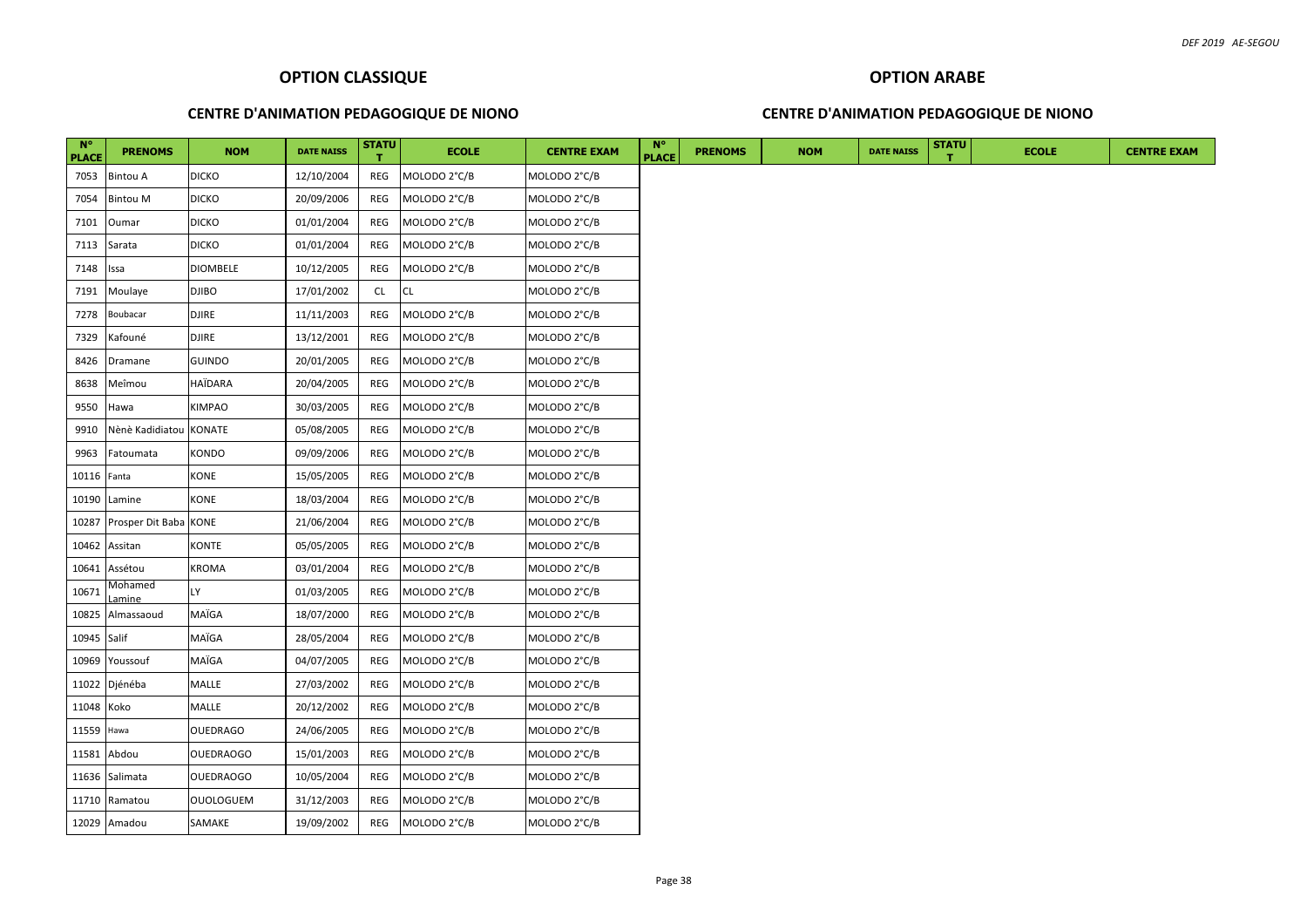## **CENTRE D'ANIMATION PEDAGOGIQUE DE NIONO**

## **OPTION ARABE**

#### **CENTRE D'ANIMATION PEDAGOGIQUE DE NIONO**

| $N^{\circ}$<br><b>PLACE</b> | <b>PRENOMS</b>         | <b>NOM</b>       | <b>DATE NAISS</b> | <b>STATU</b> | <b>ECOLE</b> | <b>CENTRE EXAM</b> | $N^{\circ}$<br><b>PLACE</b> | <b>PRENOMS</b> | <b>NOM</b> | <b>DATE NAISS</b> | <b>STATU</b> | <b>ECOLE</b> | <b>CENTRE EXAM</b> |
|-----------------------------|------------------------|------------------|-------------------|--------------|--------------|--------------------|-----------------------------|----------------|------------|-------------------|--------------|--------------|--------------------|
| 7053                        | <b>Bintou A</b>        | <b>DICKO</b>     | 12/10/2004        | REG          | MOLODO 2°C/B | MOLODO 2°C/B       |                             |                |            |                   |              |              |                    |
| 7054                        | <b>Bintou M</b>        | <b>DICKO</b>     | 20/09/2006        | REG          | MOLODO 2°C/B | MOLODO 2°C/B       |                             |                |            |                   |              |              |                    |
| 7101                        | Oumar                  | <b>DICKO</b>     | 01/01/2004        | REG          | MOLODO 2°C/B | MOLODO 2°C/B       |                             |                |            |                   |              |              |                    |
| 7113                        | Sarata                 | <b>DICKO</b>     | 01/01/2004        | REG          | MOLODO 2°C/B | MOLODO 2°C/B       |                             |                |            |                   |              |              |                    |
| 7148                        | Issa                   | DIOMBELE         | 10/12/2005        | REG          | MOLODO 2°C/B | MOLODO 2°C/B       |                             |                |            |                   |              |              |                    |
| 7191                        | Moulaye                | <b>DJIBO</b>     | 17/01/2002        | <b>CL</b>    | <b>CL</b>    | MOLODO 2°C/B       |                             |                |            |                   |              |              |                    |
| 7278                        | Boubacar               | <b>DJIRE</b>     | 11/11/2003        | REG          | MOLODO 2°C/B | MOLODO 2°C/B       |                             |                |            |                   |              |              |                    |
| 7329                        | Kafouné                | DJIRE            | 13/12/2001        | REG          | MOLODO 2°C/B | MOLODO 2°C/B       |                             |                |            |                   |              |              |                    |
| 8426                        | Dramane                | <b>GUINDO</b>    | 20/01/2005        | REG          | MOLODO 2°C/B | MOLODO 2°C/B       |                             |                |            |                   |              |              |                    |
| 8638                        | Meîmou                 | HAÏDARA          | 20/04/2005        | REG          | MOLODO 2°C/B | MOLODO 2°C/B       |                             |                |            |                   |              |              |                    |
| 9550                        | Hawa                   | KIMPAO           | 30/03/2005        | REG          | MOLODO 2°C/B | MOLODO 2°C/B       |                             |                |            |                   |              |              |                    |
| 9910                        | Nènè Kadidiatou KONATE |                  | 05/08/2005        | REG          | MOLODO 2°C/B | MOLODO 2°C/B       |                             |                |            |                   |              |              |                    |
| 9963                        | Fatoumata              | KONDO            | 09/09/2006        | REG          | MOLODO 2°C/B | MOLODO 2°C/B       |                             |                |            |                   |              |              |                    |
| 10116 Fanta                 |                        | KONE             | 15/05/2005        | REG          | MOLODO 2°C/B | MOLODO 2°C/B       |                             |                |            |                   |              |              |                    |
| 10190                       | Lamine                 | KONE             | 18/03/2004        | REG          | MOLODO 2°C/B | MOLODO 2°C/B       |                             |                |            |                   |              |              |                    |
| 10287                       | Prosper Dit Baba KONE  |                  | 21/06/2004        | REG          | MOLODO 2°C/B | MOLODO 2°C/B       |                             |                |            |                   |              |              |                    |
| 10462                       | Assitan                | KONTE            | 05/05/2005        | REG          | MOLODO 2°C/B | MOLODO 2°C/B       |                             |                |            |                   |              |              |                    |
| 10641                       | Assétou                | KROMA            | 03/01/2004        | REG          | MOLODO 2°C/B | MOLODO 2°C/B       |                             |                |            |                   |              |              |                    |
| 10671                       | Mohamed<br>.amine      | LY.              | 01/03/2005        | REG          | MOLODO 2°C/B | MOLODO 2°C/B       |                             |                |            |                   |              |              |                    |
| 10825                       | Almassaoud             | MAÏGA            | 18/07/2000        | REG          | MOLODO 2°C/B | MOLODO 2°C/B       |                             |                |            |                   |              |              |                    |
| 10945 Salif                 |                        | MAÏGA            | 28/05/2004        | REG          | MOLODO 2°C/B | MOLODO 2°C/B       |                             |                |            |                   |              |              |                    |
| 10969                       | Youssouf               | MAÏGA            | 04/07/2005        | REG          | MOLODO 2°C/B | MOLODO 2°C/B       |                             |                |            |                   |              |              |                    |
|                             | 11022 Djénéba          | MALLE            | 27/03/2002        | REG          | MOLODO 2°C/B | MOLODO 2°C/B       |                             |                |            |                   |              |              |                    |
| 11048 Koko                  |                        | MALLE            | 20/12/2002        | REG          | MOLODO 2°C/B | MOLODO 2°C/B       |                             |                |            |                   |              |              |                    |
| 11559                       | Hawa                   | <b>OUEDRAGO</b>  | 24/06/2005        | REG          | MOLODO 2°C/B | MOLODO 2°C/B       |                             |                |            |                   |              |              |                    |
|                             | 11581 Abdou            | <b>OUEDRAOGO</b> | 15/01/2003        | REG          | MOLODO 2°C/B | MOLODO 2°C/B       |                             |                |            |                   |              |              |                    |
| 11636                       | Salimata               | <b>OUEDRAOGO</b> | 10/05/2004        | REG          | MOLODO 2°C/B | MOLODO 2°C/B       |                             |                |            |                   |              |              |                    |
| 11710                       | Ramatou                | OUOLOGUEM        | 31/12/2003        | REG          | MOLODO 2°C/B | MOLODO 2°C/B       |                             |                |            |                   |              |              |                    |
|                             | 12029 Amadou           | SAMAKE           | 19/09/2002        | REG          | MOLODO 2°C/B | MOLODO 2°C/B       |                             |                |            |                   |              |              |                    |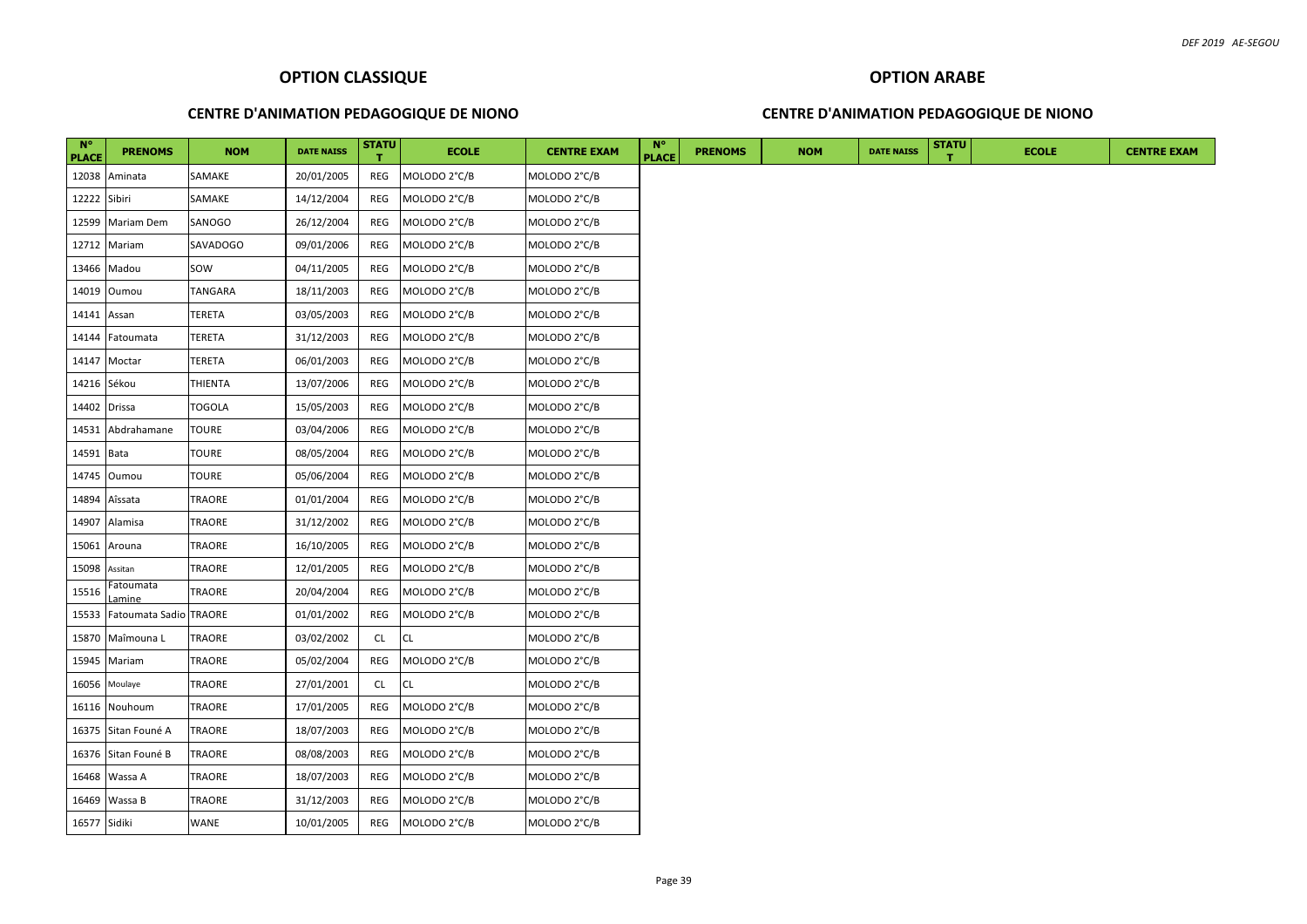#### **CENTRE D'ANIMATION PEDAGOGIQUE DE NIONO**

#### **CENTRE D'ANIMATION PEDAGOGIQUE DE NIONO**

| $N^{\circ}$<br><b>PLACE</b> | <b>PRENOMS</b>                   | <b>NOM</b>    | <b>DATE NAISS</b> | STATU     | <b>ECOLE</b> | <b>CENTRE EXAM</b> | <b>N°</b><br><b>PLACE</b> | <b>PRENOMS</b> | <b>NOM</b> | <b>DATE NAISS</b> | <b>STATU</b> | <b>ECOLE</b> |
|-----------------------------|----------------------------------|---------------|-------------------|-----------|--------------|--------------------|---------------------------|----------------|------------|-------------------|--------------|--------------|
| 12038                       | Aminata                          | SAMAKE        | 20/01/2005        | REG       | MOLODO 2°C/B | MOLODO 2°C/B       |                           |                |            |                   |              |              |
| 12222                       | Sibiri                           | SAMAKE        | 14/12/2004        | REG       | MOLODO 2°C/B | MOLODO 2°C/B       |                           |                |            |                   |              |              |
| 12599                       | Mariam Dem                       | SANOGO        | 26/12/2004        | REG       | MOLODO 2°C/B | MOLODO 2°C/B       |                           |                |            |                   |              |              |
|                             | 12712 Mariam                     | SAVADOGO      | 09/01/2006        | REG       | MOLODO 2°C/B | MOLODO 2°C/B       |                           |                |            |                   |              |              |
| 13466                       | Madou                            | SOW           | 04/11/2005        | REG       | MOLODO 2°C/B | MOLODO 2°C/B       |                           |                |            |                   |              |              |
| 14019                       | Oumou                            | TANGARA       | 18/11/2003        | REG       | MOLODO 2°C/B | MOLODO 2°C/B       |                           |                |            |                   |              |              |
| 14141 Assan                 |                                  | TERETA        | 03/05/2003        | REG       | MOLODO 2°C/B | MOLODO 2°C/B       |                           |                |            |                   |              |              |
| 14144                       | Fatoumata                        | <b>TERETA</b> | 31/12/2003        | REG       | MOLODO 2°C/B | MOLODO 2°C/B       |                           |                |            |                   |              |              |
|                             | 14147 Moctar                     | TERETA        | 06/01/2003        | REG       | MOLODO 2°C/B | MOLODO 2°C/B       |                           |                |            |                   |              |              |
| 14216                       | Sékou                            | THIENTA       | 13/07/2006        | REG       | MOLODO 2°C/B | MOLODO 2°C/B       |                           |                |            |                   |              |              |
| 14402 Drissa                |                                  | <b>TOGOLA</b> | 15/05/2003        | REG       | MOLODO 2°C/B | MOLODO 2°C/B       |                           |                |            |                   |              |              |
| 14531                       | Abdrahamane                      | <b>TOURE</b>  | 03/04/2006        | REG       | MOLODO 2°C/B | MOLODO 2°C/B       |                           |                |            |                   |              |              |
| 14591                       | Bata                             | TOURE         | 08/05/2004        | REG       | MOLODO 2°C/B | MOLODO 2°C/B       |                           |                |            |                   |              |              |
| 14745                       | Oumou                            | <b>TOURE</b>  | 05/06/2004        | REG       | MOLODO 2°C/B | MOLODO 2°C/B       |                           |                |            |                   |              |              |
| 14894                       | Aîssata                          | TRAORE        | 01/01/2004        | REG       | MOLODO 2°C/B | MOLODO 2°C/B       |                           |                |            |                   |              |              |
| 14907                       | Alamisa                          | TRAORE        | 31/12/2002        | REG       | MOLODO 2°C/B | MOLODO 2°C/B       |                           |                |            |                   |              |              |
| 15061                       | Arouna                           | TRAORE        | 16/10/2005        | REG       | MOLODO 2°C/B | MOLODO 2°C/B       |                           |                |            |                   |              |              |
| 15098                       | Assitan                          | TRAORE        | 12/01/2005        | REG       | MOLODO 2°C/B | MOLODO 2°C/B       |                           |                |            |                   |              |              |
| 15516                       | Fatoumata                        | TRAORE        | 20/04/2004        | REG       | MOLODO 2°C/B | MOLODO 2°C/B       |                           |                |            |                   |              |              |
| 15533                       | .amine<br>Fatoumata Sadio TRAORE |               | 01/01/2002        | REG       | MOLODO 2°C/B | MOLODO 2°C/B       |                           |                |            |                   |              |              |
| 15870                       | Maîmouna L                       | TRAORE        | 03/02/2002        | CL.       | <b>CL</b>    | MOLODO 2°C/B       |                           |                |            |                   |              |              |
| 15945                       | Mariam                           | TRAORE        | 05/02/2004        | REG       | MOLODO 2°C/B | MOLODO 2°C/B       |                           |                |            |                   |              |              |
| 16056                       | Moulaye                          | <b>TRAORE</b> | 27/01/2001        | <b>CL</b> | <b>CL</b>    | MOLODO 2°C/B       |                           |                |            |                   |              |              |
| 16116                       | Nouhoum                          | TRAORE        | 17/01/2005        | REG       | MOLODO 2°C/B | MOLODO 2°C/B       |                           |                |            |                   |              |              |
|                             | 16375 Sitan Founé A              | TRAORE        | 18/07/2003        | REG       | MOLODO 2°C/B | MOLODO 2°C/B       |                           |                |            |                   |              |              |
|                             | 16376 Sitan Founé B              | TRAORE        | 08/08/2003        | REG       | MOLODO 2°C/B | MOLODO 2°C/B       |                           |                |            |                   |              |              |
|                             | 16468 Wassa A                    | TRAORE        | 18/07/2003        | REG       | MOLODO 2°C/B | MOLODO 2°C/B       |                           |                |            |                   |              |              |
| 16469                       | Wassa B                          | TRAORE        | 31/12/2003        | REG       | MOLODO 2°C/B | MOLODO 2°C/B       |                           |                |            |                   |              |              |
| 16577 Sidiki                |                                  | WANE          | 10/01/2005        | REG       | MOLODO 2°C/B | MOLODO 2°C/B       |                           |                |            |                   |              |              |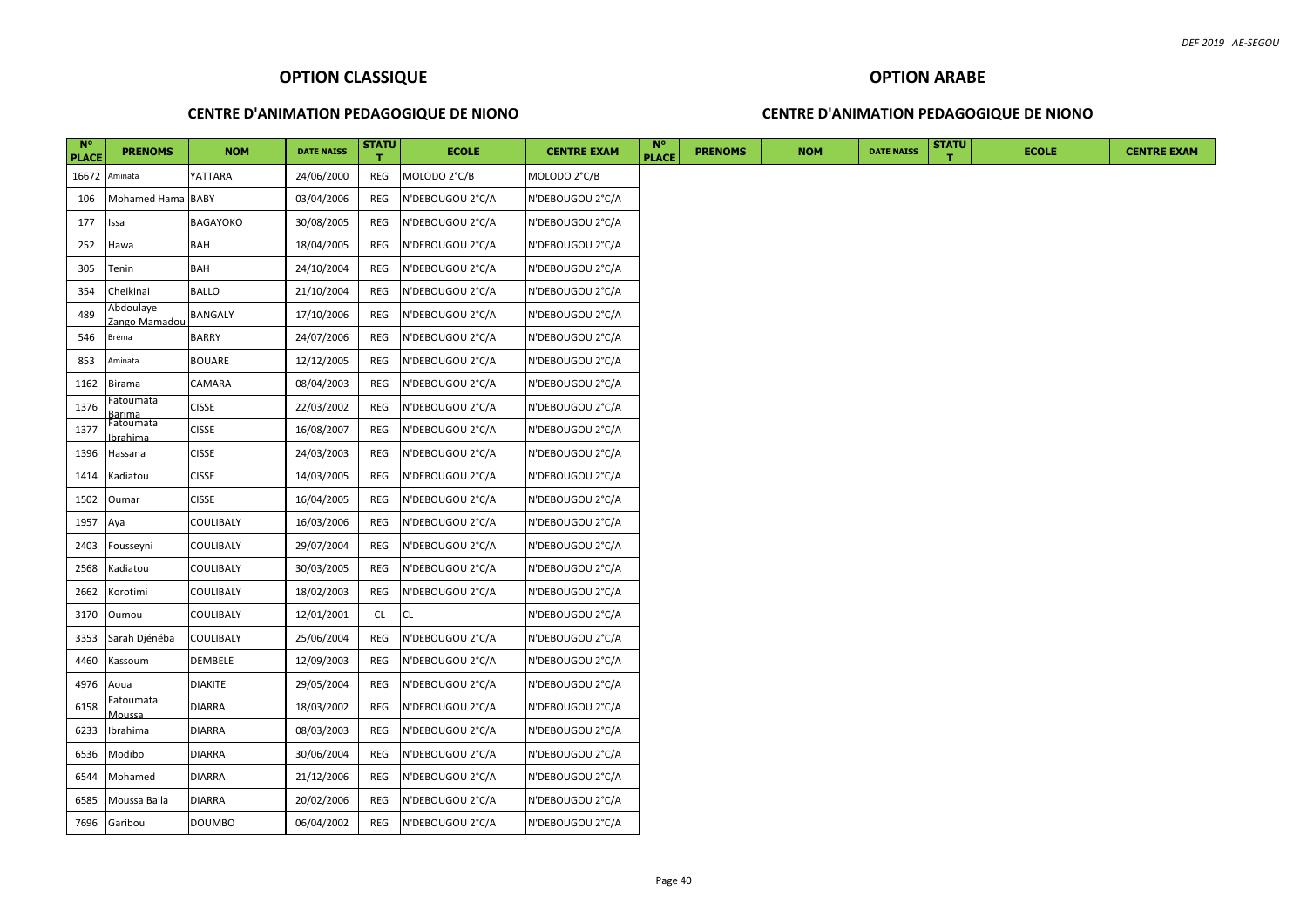## **CENTRE D'ANIMATION PEDAGOGIQUE DE NIONO**

#### **CENTRE D'ANIMATION PEDAGOGIQUE DE NIONO**

| $N^{\circ}$<br><b>PLACE</b> | <b>PRENOMS</b>                  | <b>NOM</b>     | <b>DATE NAISS</b> | <b>STATU</b> | <b>ECOLE</b>     | <b>CENTRE EXAM</b> | N°<br><b>PLACE</b> | <b>PRENOMS</b> | <b>NOM</b> | <b>DATE NAISS</b> | <b>STATU</b> | <b>ECOLE</b> |  |  |  | <b>CENTRE EXAM</b> |  |
|-----------------------------|---------------------------------|----------------|-------------------|--------------|------------------|--------------------|--------------------|----------------|------------|-------------------|--------------|--------------|--|--|--|--------------------|--|
| 16672                       | Aminata                         | YATTARA        | 24/06/2000        | REG          | MOLODO 2°C/B     | MOLODO 2°C/B       |                    |                |            |                   |              |              |  |  |  |                    |  |
| 106                         | Mohamed Hama BABY               |                | 03/04/2006        | REG          | N'DEBOUGOU 2°C/A | N'DEBOUGOU 2°C/A   |                    |                |            |                   |              |              |  |  |  |                    |  |
| 177                         | ssa                             | BAGAYOKO       | 30/08/2005        | REG          | N'DEBOUGOU 2°C/A | N'DEBOUGOU 2°C/A   |                    |                |            |                   |              |              |  |  |  |                    |  |
| 252                         | Hawa                            | <b>BAH</b>     | 18/04/2005        | REG          | N'DEBOUGOU 2°C/A | N'DEBOUGOU 2°C/A   |                    |                |            |                   |              |              |  |  |  |                    |  |
| 305                         | Tenin                           | BAH            | 24/10/2004        | REG          | N'DEBOUGOU 2°C/A | N'DEBOUGOU 2°C/A   |                    |                |            |                   |              |              |  |  |  |                    |  |
| 354                         | Cheikinai                       | <b>BALLO</b>   | 21/10/2004        | REG          | N'DEBOUGOU 2°C/A | N'DEBOUGOU 2°C/A   |                    |                |            |                   |              |              |  |  |  |                    |  |
| 489                         | Abdoulaye<br>Zango Mamadou      | <b>BANGALY</b> | 17/10/2006        | REG          | N'DEBOUGOU 2°C/A | N'DEBOUGOU 2°C/A   |                    |                |            |                   |              |              |  |  |  |                    |  |
| 546                         | Bréma                           | <b>BARRY</b>   | 24/07/2006        | REG          | N'DEBOUGOU 2°C/A | N'DEBOUGOU 2°C/A   |                    |                |            |                   |              |              |  |  |  |                    |  |
| 853                         | Aminata                         | <b>BOUARE</b>  | 12/12/2005        | REG          | N'DEBOUGOU 2°C/A | N'DEBOUGOU 2°C/A   |                    |                |            |                   |              |              |  |  |  |                    |  |
| 1162                        | Birama                          | CAMARA         | 08/04/2003        | REG          | N'DEBOUGOU 2°C/A | N'DEBOUGOU 2°C/A   |                    |                |            |                   |              |              |  |  |  |                    |  |
| 1376                        | Fatoumata<br>arima              | <b>CISSE</b>   | 22/03/2002        | REG          | N'DEBOUGOU 2°C/A | N'DEBOUGOU 2°C/A   |                    |                |            |                   |              |              |  |  |  |                    |  |
| 1377                        | Fatoumata<br><b>brahima</b>     | <b>CISSE</b>   | 16/08/2007        | REG          | N'DEBOUGOU 2°C/A | N'DEBOUGOU 2°C/A   |                    |                |            |                   |              |              |  |  |  |                    |  |
| 1396                        | Hassana                         | CISSE          | 24/03/2003        | REG          | N'DEBOUGOU 2°C/A | N'DEBOUGOU 2°C/A   |                    |                |            |                   |              |              |  |  |  |                    |  |
| 1414                        | Kadiatou                        | <b>CISSE</b>   | 14/03/2005        | REG          | N'DEBOUGOU 2°C/A | N'DEBOUGOU 2°C/A   |                    |                |            |                   |              |              |  |  |  |                    |  |
| 1502                        | Oumar                           | CISSE          | 16/04/2005        | REG          | N'DEBOUGOU 2°C/A | N'DEBOUGOU 2°C/A   |                    |                |            |                   |              |              |  |  |  |                    |  |
| 1957                        | Aya                             | COULIBALY      | 16/03/2006        | REG          | N'DEBOUGOU 2°C/A | N'DEBOUGOU 2°C/A   |                    |                |            |                   |              |              |  |  |  |                    |  |
| 2403                        | Fousseyni                       | COULIBALY      | 29/07/2004        | REG          | N'DEBOUGOU 2°C/A | N'DEBOUGOU 2°C/A   |                    |                |            |                   |              |              |  |  |  |                    |  |
| 2568                        | Kadiatou                        | COULIBALY      | 30/03/2005        | REG          | N'DEBOUGOU 2°C/A | N'DEBOUGOU 2°C/A   |                    |                |            |                   |              |              |  |  |  |                    |  |
| 2662                        | Korotimi                        | COULIBALY      | 18/02/2003        | REG          | N'DEBOUGOU 2°C/A | N'DEBOUGOU 2°C/A   |                    |                |            |                   |              |              |  |  |  |                    |  |
| 3170                        | Oumou                           | COULIBALY      | 12/01/2001        | <b>CL</b>    | CL.              | N'DEBOUGOU 2°C/A   |                    |                |            |                   |              |              |  |  |  |                    |  |
| 3353                        | Sarah Djénéba                   | COULIBALY      | 25/06/2004        | REG          | N'DEBOUGOU 2°C/A | N'DEBOUGOU 2°C/A   |                    |                |            |                   |              |              |  |  |  |                    |  |
| 4460                        | Kassoum                         | DEMBELE        | 12/09/2003        | REG          | N'DEBOUGOU 2°C/A | N'DEBOUGOU 2°C/A   |                    |                |            |                   |              |              |  |  |  |                    |  |
| 4976                        | Aoua                            | DIAKITE        | 29/05/2004        | REG          | N'DEBOUGOU 2°C/A | N'DEBOUGOU 2°C/A   |                    |                |            |                   |              |              |  |  |  |                    |  |
| 6158                        | <sup>-</sup> atoumata<br>Aoussa | DIARRA         | 18/03/2002        | REG          | N'DEBOUGOU 2°C/A | N'DEBOUGOU 2°C/A   |                    |                |            |                   |              |              |  |  |  |                    |  |
| 6233                        | Ibrahima                        | DIARRA         | 08/03/2003        | REG          | N'DEBOUGOU 2°C/A | N'DEBOUGOU 2°C/A   |                    |                |            |                   |              |              |  |  |  |                    |  |
| 6536                        | Modibo                          | DIARRA         | 30/06/2004        | REG          | N'DEBOUGOU 2°C/A | N'DEBOUGOU 2°C/A   |                    |                |            |                   |              |              |  |  |  |                    |  |
| 6544                        | Mohamed                         | DIARRA         | 21/12/2006        | REG          | N'DEBOUGOU 2°C/A | N'DEBOUGOU 2°C/A   |                    |                |            |                   |              |              |  |  |  |                    |  |
| 6585                        | Moussa Balla                    | DIARRA         | 20/02/2006        | REG          | N'DEBOUGOU 2°C/A | N'DEBOUGOU 2°C/A   |                    |                |            |                   |              |              |  |  |  |                    |  |
| 7696                        | Garibou                         | DOUMBO         | 06/04/2002        | REG          | N'DEBOUGOU 2°C/A | N'DEBOUGOU 2°C/A   |                    |                |            |                   |              |              |  |  |  |                    |  |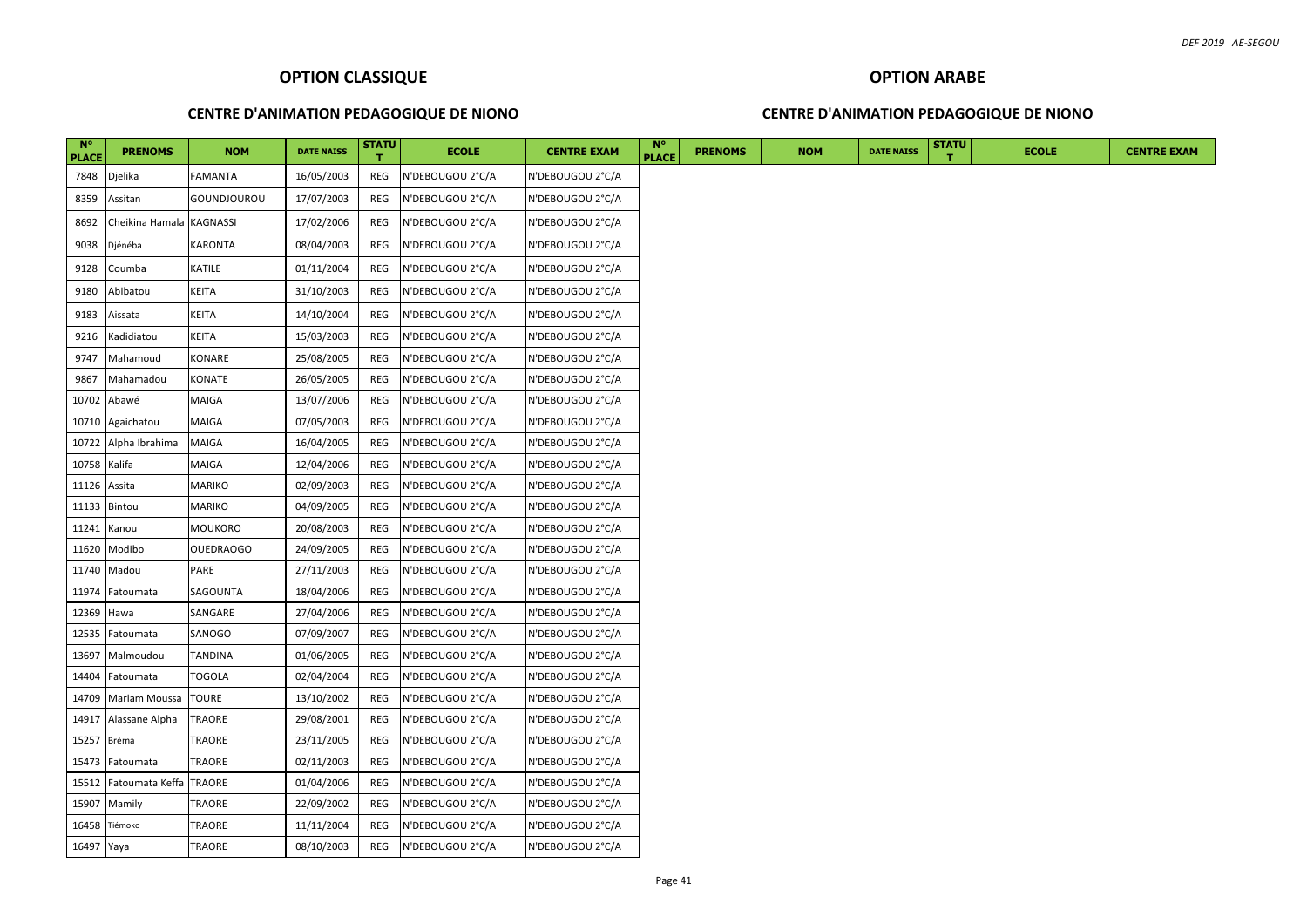#### **CENTRE D'ANIMATION PEDAGOGIQUE DE NIONO**

## **CENTRE D'ANIMATION PEDAGOGIQUE DE NIONO**

| $N^{\circ}$<br><b>PLACE</b> | <b>PRENOMS</b>           | <b>NOM</b>       | <b>DATE NAISS</b> | <b>STATU</b> | <b>ECOLE</b>     | <b>CENTRE EXAM</b> | <b>N°</b><br><b>PLACE</b> | <b>PRENOMS</b> | <b>NOM</b> | <b>DATE NAISS</b> | <b>STATU</b> | <b>ECOLE</b> | <b>CENTRE EXAM</b> |
|-----------------------------|--------------------------|------------------|-------------------|--------------|------------------|--------------------|---------------------------|----------------|------------|-------------------|--------------|--------------|--------------------|
| 7848                        | Djelika                  | FAMANTA          | 16/05/2003        | REG          | N'DEBOUGOU 2°C/A | N'DEBOUGOU 2°C/A   |                           |                |            |                   |              |              |                    |
| 8359                        | Assitan                  | GOUNDJOUROU      | 17/07/2003        | REG          | N'DEBOUGOU 2°C/A | N'DEBOUGOU 2°C/A   |                           |                |            |                   |              |              |                    |
| 8692                        | Cheikina Hamala KAGNASSI |                  | 17/02/2006        | REG          | N'DEBOUGOU 2°C/A | N'DEBOUGOU 2°C/A   |                           |                |            |                   |              |              |                    |
| 9038                        | Djénéba                  | KARONTA          | 08/04/2003        | REG          | N'DEBOUGOU 2°C/A | N'DEBOUGOU 2°C/A   |                           |                |            |                   |              |              |                    |
| 9128                        | Coumba                   | KATILE           | 01/11/2004        | REG          | N'DEBOUGOU 2°C/A | N'DEBOUGOU 2°C/A   |                           |                |            |                   |              |              |                    |
| 9180                        | Abibatou                 | KEITA            | 31/10/2003        | REG          | N'DEBOUGOU 2°C/A | N'DEBOUGOU 2°C/A   |                           |                |            |                   |              |              |                    |
| 9183                        | Aissata                  | KEITA            | 14/10/2004        | REG          | N'DEBOUGOU 2°C/A | N'DEBOUGOU 2°C/A   |                           |                |            |                   |              |              |                    |
| 9216                        | Kadidiatou               | KEITA            | 15/03/2003        | REG          | N'DEBOUGOU 2°C/A | N'DEBOUGOU 2°C/A   |                           |                |            |                   |              |              |                    |
| 9747                        | Mahamoud                 | KONARE           | 25/08/2005        | REG          | N'DEBOUGOU 2°C/A | N'DEBOUGOU 2°C/A   |                           |                |            |                   |              |              |                    |
| 9867                        | Mahamadou                | KONATE           | 26/05/2005        | REG          | N'DEBOUGOU 2°C/A | N'DEBOUGOU 2°C/A   |                           |                |            |                   |              |              |                    |
| 10702                       | Abawé                    | MAIGA            | 13/07/2006        | REG          | N'DEBOUGOU 2°C/A | N'DEBOUGOU 2°C/A   |                           |                |            |                   |              |              |                    |
| 10710                       | Agaichatou               | MAIGA            | 07/05/2003        | REG          | N'DEBOUGOU 2°C/A | N'DEBOUGOU 2°C/A   |                           |                |            |                   |              |              |                    |
| 10722                       | Alpha Ibrahima           | <b>MAIGA</b>     | 16/04/2005        | REG          | N'DEBOUGOU 2°C/A | N'DEBOUGOU 2°C/A   |                           |                |            |                   |              |              |                    |
| 10758                       | Kalifa                   | MAIGA            | 12/04/2006        | REG          | N'DEBOUGOU 2°C/A | N'DEBOUGOU 2°C/A   |                           |                |            |                   |              |              |                    |
| 11126                       | Assita                   | MARIKO           | 02/09/2003        | REG          | N'DEBOUGOU 2°C/A | N'DEBOUGOU 2°C/A   |                           |                |            |                   |              |              |                    |
| 11133                       | Bintou                   | MARIKO           | 04/09/2005        | REG          | N'DEBOUGOU 2°C/A | N'DEBOUGOU 2°C/A   |                           |                |            |                   |              |              |                    |
| 11241                       | Kanou                    | <b>MOUKORO</b>   | 20/08/2003        | REG          | N'DEBOUGOU 2°C/A | N'DEBOUGOU 2°C/A   |                           |                |            |                   |              |              |                    |
| 11620                       | Modibo                   | <b>OUEDRAOGO</b> | 24/09/2005        | REG          | N'DEBOUGOU 2°C/A | N'DEBOUGOU 2°C/A   |                           |                |            |                   |              |              |                    |
| 11740                       | Madou                    | PARE             | 27/11/2003        | REG          | N'DEBOUGOU 2°C/A | N'DEBOUGOU 2°C/A   |                           |                |            |                   |              |              |                    |
| 11974                       | Fatoumata                | SAGOUNTA         | 18/04/2006        | REG          | N'DEBOUGOU 2°C/A | N'DEBOUGOU 2°C/A   |                           |                |            |                   |              |              |                    |
| 12369                       | Hawa                     | SANGARE          | 27/04/2006        | REG          | N'DEBOUGOU 2°C/A | N'DEBOUGOU 2°C/A   |                           |                |            |                   |              |              |                    |
| 12535                       | Fatoumata                | SANOGO           | 07/09/2007        | REG          | N'DEBOUGOU 2°C/A | N'DEBOUGOU 2°C/A   |                           |                |            |                   |              |              |                    |
| 13697                       | Malmoudou                | <b>TANDINA</b>   | 01/06/2005        | REG          | N'DEBOUGOU 2°C/A | N'DEBOUGOU 2°C/A   |                           |                |            |                   |              |              |                    |
| 14404                       | Fatoumata                | TOGOLA           | 02/04/2004        | REG          | N'DEBOUGOU 2°C/A | N'DEBOUGOU 2°C/A   |                           |                |            |                   |              |              |                    |
| 14709                       | <b>Mariam Moussa</b>     | <b>TOURE</b>     | 13/10/2002        | REG          | N'DEBOUGOU 2°C/A | N'DEBOUGOU 2°C/A   |                           |                |            |                   |              |              |                    |
| 14917                       | Alassane Alpha           | TRAORE           | 29/08/2001        | REG          | N'DEBOUGOU 2°C/A | N'DEBOUGOU 2°C/A   |                           |                |            |                   |              |              |                    |
| 15257                       | Bréma                    | TRAORE           | 23/11/2005        | REG          | N'DEBOUGOU 2°C/A | N'DEBOUGOU 2°C/A   |                           |                |            |                   |              |              |                    |
| 15473                       | Fatoumata                | TRAORE           | 02/11/2003        | REG          | N'DEBOUGOU 2°C/A | N'DEBOUGOU 2°C/A   |                           |                |            |                   |              |              |                    |
| 15512                       | Fatoumata Keffa TRAORE   |                  | 01/04/2006        | REG          | N'DEBOUGOU 2°C/A | N'DEBOUGOU 2°C/A   |                           |                |            |                   |              |              |                    |
| 15907                       | Mamily                   | TRAORE           | 22/09/2002        | REG          | N'DEBOUGOU 2°C/A | N'DEBOUGOU 2°C/A   |                           |                |            |                   |              |              |                    |
| 16458                       | Tiémoko                  | TRAORE           | 11/11/2004        | REG          | N'DEBOUGOU 2°C/A | N'DEBOUGOU 2°C/A   |                           |                |            |                   |              |              |                    |
| 16497 Yaya                  |                          | TRAORE           | 08/10/2003        | REG          | N'DEBOUGOU 2°C/A | N'DEBOUGOU 2°C/A   |                           |                |            |                   |              |              |                    |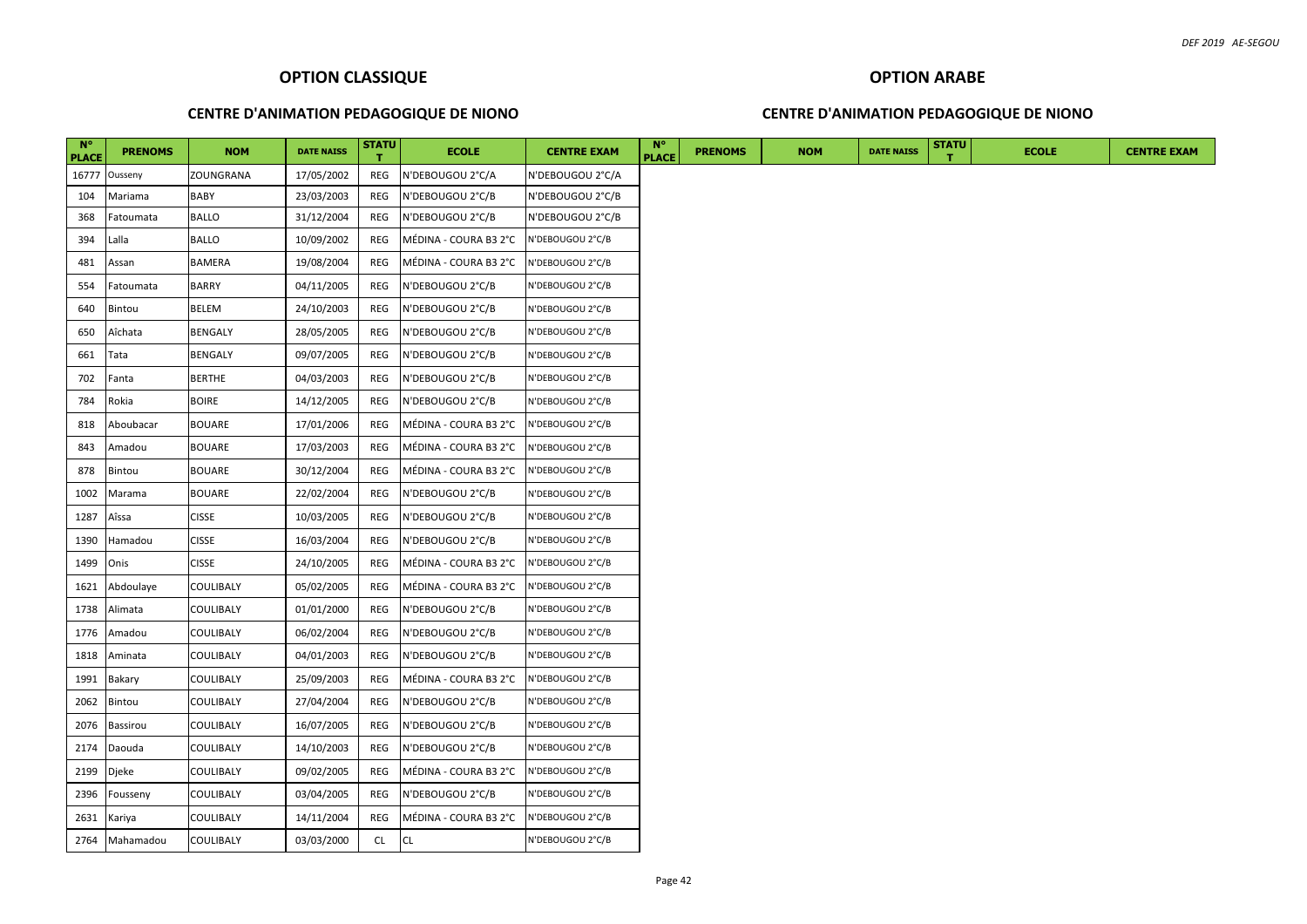## **OPTION ARABE**

#### **CENTRE D'ANIMATION PEDAGOGIQUE DE NIONO**

## **CENTRE D'ANIMATION PEDAGOGIQUE DE NIONO**

| $N^{\circ}$<br><b>PLACE</b> | <b>PRENOMS</b> | <b>NOM</b>       | <b>DATE NAISS</b> | <b>STATU</b><br>т | <b>ECOLE</b>          | <b>CENTRE EXAM</b> | $N^{\circ}$<br><b>PLACE</b> | <b>PRENOMS</b> | <b>NOM</b> | <b>DATE NAISS</b> | <b>STATU</b> | <b>ECOLE</b> | <b>CENTRE EXAM</b> |
|-----------------------------|----------------|------------------|-------------------|-------------------|-----------------------|--------------------|-----------------------------|----------------|------------|-------------------|--------------|--------------|--------------------|
| 16777                       | Ousseny        | ZOUNGRANA        | 17/05/2002        | REG               | N'DEBOUGOU 2°C/A      | N'DEBOUGOU 2°C/A   |                             |                |            |                   |              |              |                    |
| 104                         | Mariama        | BABY             | 23/03/2003        | REG               | N'DEBOUGOU 2°C/B      | N'DEBOUGOU 2°C/B   |                             |                |            |                   |              |              |                    |
| 368                         | Fatoumata      | <b>BALLO</b>     | 31/12/2004        | REG               | N'DEBOUGOU 2°C/B      | N'DEBOUGOU 2°C/B   |                             |                |            |                   |              |              |                    |
| 394                         | Lalla          | <b>BALLO</b>     | 10/09/2002        | REG               | MÉDINA - COURA B3 2°C | N'DEBOUGOU 2°C/B   |                             |                |            |                   |              |              |                    |
| 481                         | Assan          | BAMERA           | 19/08/2004        | REG               | MÉDINA - COURA B3 2°C | N'DEBOUGOU 2°C/B   |                             |                |            |                   |              |              |                    |
| 554                         | Fatoumata      | <b>BARRY</b>     | 04/11/2005        | REG               | N'DEBOUGOU 2°C/B      | N'DEBOUGOU 2°C/B   |                             |                |            |                   |              |              |                    |
| 640                         | Bintou         | BELEM            | 24/10/2003        | REG               | N'DEBOUGOU 2°C/B      | N'DEBOUGOU 2°C/B   |                             |                |            |                   |              |              |                    |
| 650                         | Aîchata        | BENGALY          | 28/05/2005        | REG               | N'DEBOUGOU 2°C/B      | N'DEBOUGOU 2°C/B   |                             |                |            |                   |              |              |                    |
| 661                         | Tata           | <b>BENGALY</b>   | 09/07/2005        | REG               | N'DEBOUGOU 2°C/B      | N'DEBOUGOU 2°C/B   |                             |                |            |                   |              |              |                    |
| 702                         | Fanta          | <b>BERTHE</b>    | 04/03/2003        | REG               | N'DEBOUGOU 2°C/B      | N'DEBOUGOU 2°C/B   |                             |                |            |                   |              |              |                    |
| 784                         | Rokia          | <b>BOIRE</b>     | 14/12/2005        | REG               | N'DEBOUGOU 2°C/B      | N'DEBOUGOU 2°C/B   |                             |                |            |                   |              |              |                    |
| 818                         | Aboubacar      | <b>BOUARE</b>    | 17/01/2006        | REG               | MÉDINA - COURA B3 2°C | N'DEBOUGOU 2°C/B   |                             |                |            |                   |              |              |                    |
| 843                         | Amadou         | <b>BOUARE</b>    | 17/03/2003        | REG               | MÉDINA - COURA B3 2°C | N'DEBOUGOU 2°C/B   |                             |                |            |                   |              |              |                    |
| 878                         | Bintou         | <b>BOUARE</b>    | 30/12/2004        | REG               | MÉDINA - COURA B3 2°C | N'DEBOUGOU 2°C/B   |                             |                |            |                   |              |              |                    |
| 1002                        | Marama         | <b>BOUARE</b>    | 22/02/2004        | REG               | N'DEBOUGOU 2°C/B      | N'DEBOUGOU 2°C/B   |                             |                |            |                   |              |              |                    |
| 1287                        | Aîssa          | <b>CISSE</b>     | 10/03/2005        | REG               | N'DEBOUGOU 2°C/B      | N'DEBOUGOU 2°C/B   |                             |                |            |                   |              |              |                    |
| 1390                        | Hamadou        | <b>CISSE</b>     | 16/03/2004        | REG               | N'DEBOUGOU 2°C/B      | N'DEBOUGOU 2°C/B   |                             |                |            |                   |              |              |                    |
| 1499                        | Onis           | <b>CISSE</b>     | 24/10/2005        | REG               | MÉDINA - COURA B3 2°C | N'DEBOUGOU 2°C/B   |                             |                |            |                   |              |              |                    |
| 1621                        | Abdoulaye      | COULIBALY        | 05/02/2005        | REG               | MÉDINA - COURA B3 2°C | N'DEBOUGOU 2°C/B   |                             |                |            |                   |              |              |                    |
| 1738                        | Alimata        | COULIBALY        | 01/01/2000        | REG               | N'DEBOUGOU 2°C/B      | N'DEBOUGOU 2°C/B   |                             |                |            |                   |              |              |                    |
| 1776                        | Amadou         | COULIBALY        | 06/02/2004        | REG               | N'DEBOUGOU 2°C/B      | N'DEBOUGOU 2°C/B   |                             |                |            |                   |              |              |                    |
| 1818                        | Aminata        | COULIBALY        | 04/01/2003        | REG               | N'DEBOUGOU 2°C/B      | N'DEBOUGOU 2°C/B   |                             |                |            |                   |              |              |                    |
| 1991                        | Bakary         | COULIBALY        | 25/09/2003        | REG               | MÉDINA - COURA B3 2°C | N'DEBOUGOU 2°C/B   |                             |                |            |                   |              |              |                    |
| 2062                        | Bintou         | COULIBALY        | 27/04/2004        | REG               | N'DEBOUGOU 2°C/B      | N'DEBOUGOU 2°C/B   |                             |                |            |                   |              |              |                    |
| 2076                        | Bassirou       | COULIBALY        | 16/07/2005        | REG               | N'DEBOUGOU 2°C/B      | N'DEBOUGOU 2°C/B   |                             |                |            |                   |              |              |                    |
| 2174                        | Daouda         | COULIBALY        | 14/10/2003        | REG               | N'DEBOUGOU 2°C/B      | N'DEBOUGOU 2°C/B   |                             |                |            |                   |              |              |                    |
| 2199                        | Djeke          | COULIBALY        | 09/02/2005        | REG               | MÉDINA - COURA B3 2°C | N'DEBOUGOU 2°C/B   |                             |                |            |                   |              |              |                    |
| 2396                        | Fousseny       | COULIBALY        | 03/04/2005        | REG               | N'DEBOUGOU 2°C/B      | N'DEBOUGOU 2°C/B   |                             |                |            |                   |              |              |                    |
| 2631                        | Kariya         | COULIBALY        | 14/11/2004        | REG               | MÉDINA - COURA B3 2°C | N'DEBOUGOU 2°C/B   |                             |                |            |                   |              |              |                    |
|                             | 2764 Mahamadou | <b>COULIBALY</b> | 03/03/2000        | <b>CL</b>         | <b>CL</b>             | N'DEBOUGOU 2°C/B   |                             |                |            |                   |              |              |                    |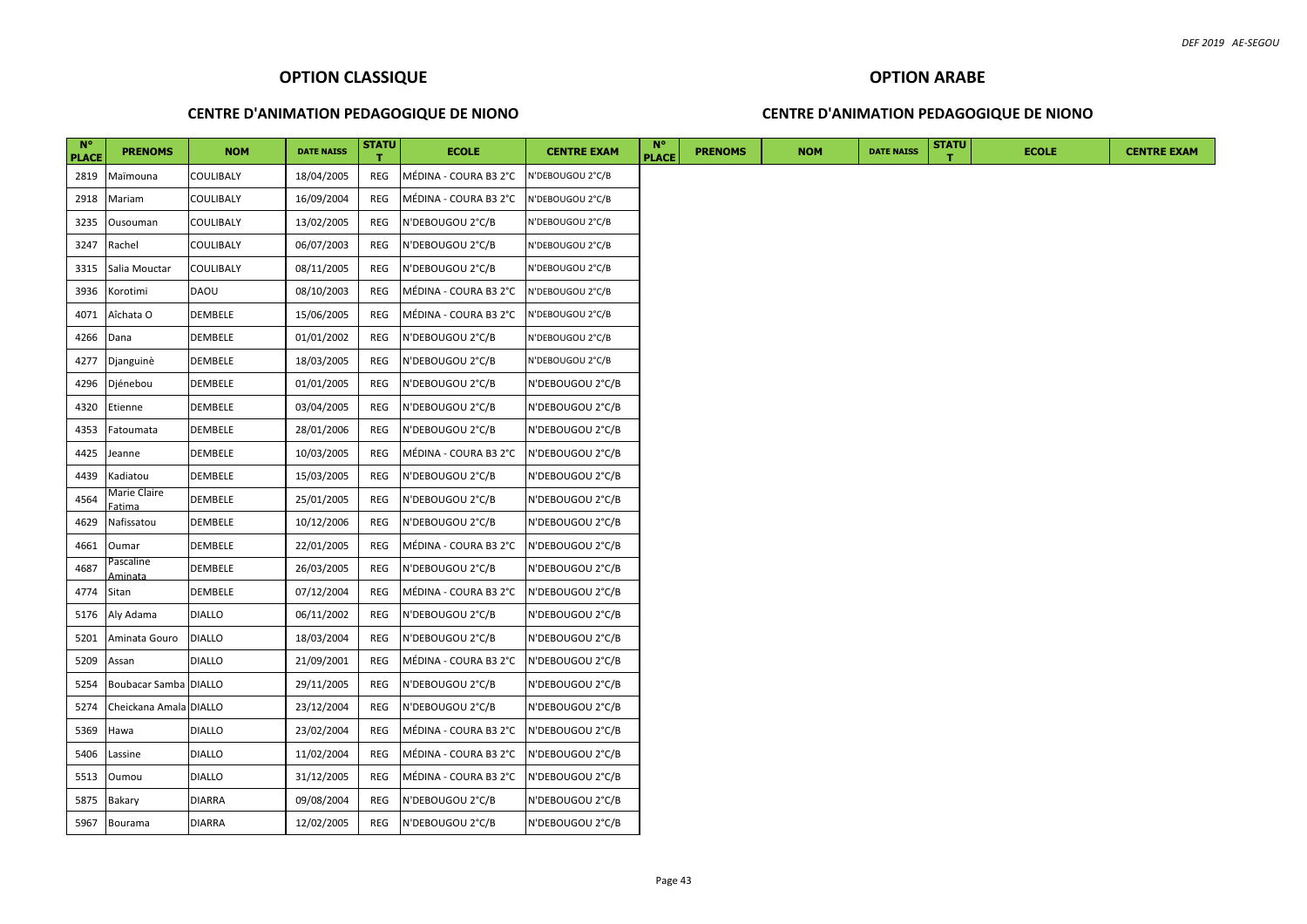#### **CENTRE D'ANIMATION PEDAGOGIQUE DE NIONO**

#### **CENTRE D'ANIMATION PEDAGOGIQUE DE NIONO**

| $N^{\circ}$<br><b>PLACE</b> | <b>PRENOMS</b>         | <b>NOM</b>     | <b>DATE NAISS</b> | <b>STATU</b> | <b>ECOLE</b>          | <b>CENTRE EXAM</b> | N°<br><b>PLACE</b> | <b>PRENOMS</b> | <b>NOM</b> | <b>DATE NAISS</b> | <b>STATU</b> | <b>ECOLE</b> | <b>CENTRE EXAM</b> |
|-----------------------------|------------------------|----------------|-------------------|--------------|-----------------------|--------------------|--------------------|----------------|------------|-------------------|--------------|--------------|--------------------|
| 2819                        | Maïmouna               | COULIBALY      | 18/04/2005        | REG          | MÉDINA - COURA B3 2°C | N'DEBOUGOU 2°C/B   |                    |                |            |                   |              |              |                    |
| 2918                        | Mariam                 | COULIBALY      | 16/09/2004        | REG          | MÉDINA - COURA B3 2°C | N'DEBOUGOU 2°C/B   |                    |                |            |                   |              |              |                    |
| 3235                        | Ousouman               | COULIBALY      | 13/02/2005        | REG          | N'DEBOUGOU 2°C/B      | N'DEBOUGOU 2°C/B   |                    |                |            |                   |              |              |                    |
| 3247                        | Rachel                 | COULIBALY      | 06/07/2003        | REG          | N'DEBOUGOU 2°C/B      | N'DEBOUGOU 2°C/B   |                    |                |            |                   |              |              |                    |
| 3315                        | Salia Mouctar          | COULIBALY      | 08/11/2005        | REG          | N'DEBOUGOU 2°C/B      | N'DEBOUGOU 2°C/B   |                    |                |            |                   |              |              |                    |
| 3936                        | Korotimi               | <b>DAOU</b>    | 08/10/2003        | REG          | MÉDINA - COURA B3 2°C | N'DEBOUGOU 2°C/B   |                    |                |            |                   |              |              |                    |
| 4071                        | Aîchata O              | DEMBELE        | 15/06/2005        | REG          | MÉDINA - COURA B3 2°C | N'DEBOUGOU 2°C/B   |                    |                |            |                   |              |              |                    |
| 4266                        | Dana                   | DEMBELE        | 01/01/2002        | REG          | N'DEBOUGOU 2°C/B      | N'DEBOUGOU 2°C/B   |                    |                |            |                   |              |              |                    |
| 4277                        | Djanguinè              | DEMBELE        | 18/03/2005        | REG          | N'DEBOUGOU 2°C/B      | N'DEBOUGOU 2°C/B   |                    |                |            |                   |              |              |                    |
| 4296                        | Djénebou               | DEMBELE        | 01/01/2005        | REG          | N'DEBOUGOU 2°C/B      | N'DEBOUGOU 2°C/B   |                    |                |            |                   |              |              |                    |
| 4320                        | Etienne                | DEMBELE        | 03/04/2005        | REG          | N'DEBOUGOU 2°C/B      | N'DEBOUGOU 2°C/B   |                    |                |            |                   |              |              |                    |
| 4353                        | Fatoumata              | DEMBELE        | 28/01/2006        | REG          | N'DEBOUGOU 2°C/B      | N'DEBOUGOU 2°C/B   |                    |                |            |                   |              |              |                    |
| 4425                        | Jeanne                 | DEMBELE        | 10/03/2005        | REG          | MÉDINA - COURA B3 2°C | N'DEBOUGOU 2°C/B   |                    |                |            |                   |              |              |                    |
| 4439                        | Kadiatou               | DEMBELE        | 15/03/2005        | REG          | N'DEBOUGOU 2°C/B      | N'DEBOUGOU 2°C/B   |                    |                |            |                   |              |              |                    |
| 4564                        | Marie Claire<br>atima  | DEMBELE        | 25/01/2005        | REG          | N'DEBOUGOU 2°C/B      | N'DEBOUGOU 2°C/B   |                    |                |            |                   |              |              |                    |
| 4629                        | Nafissatou             | <b>DEMBELE</b> | 10/12/2006        | REG          | N'DEBOUGOU 2°C/B      | N'DEBOUGOU 2°C/B   |                    |                |            |                   |              |              |                    |
| 4661                        | Oumar                  | <b>DEMBELE</b> | 22/01/2005        | REG          | MÉDINA - COURA B3 2°C | N'DEBOUGOU 2°C/B   |                    |                |            |                   |              |              |                    |
| 4687                        | ascaline'<br>Aminata   | DEMBELE        | 26/03/2005        | REG          | N'DEBOUGOU 2°C/B      | N'DEBOUGOU 2°C/B   |                    |                |            |                   |              |              |                    |
| 4774                        | Sitan                  | <b>DEMBELE</b> | 07/12/2004        | REG          | MÉDINA - COURA B3 2°C | N'DEBOUGOU 2°C/B   |                    |                |            |                   |              |              |                    |
| 5176                        | Aly Adama              | <b>DIALLO</b>  | 06/11/2002        | REG          | N'DEBOUGOU 2°C/B      | N'DEBOUGOU 2°C/B   |                    |                |            |                   |              |              |                    |
| 5201                        | Aminata Gouro          | <b>DIALLO</b>  | 18/03/2004        | REG          | N'DEBOUGOU 2°C/B      | N'DEBOUGOU 2°C/B   |                    |                |            |                   |              |              |                    |
| 5209                        | Assan                  | <b>DIALLO</b>  | 21/09/2001        | REG          | MÉDINA - COURA B3 2°C | N'DEBOUGOU 2°C/B   |                    |                |            |                   |              |              |                    |
| 5254                        | Boubacar Samba DIALLO  |                | 29/11/2005        | REG          | N'DEBOUGOU 2°C/B      | N'DEBOUGOU 2°C/B   |                    |                |            |                   |              |              |                    |
| 5274                        | Cheickana Amala DIALLO |                | 23/12/2004        | REG          | N'DEBOUGOU 2°C/B      | N'DEBOUGOU 2°C/B   |                    |                |            |                   |              |              |                    |
| 5369                        | Hawa                   | <b>DIALLO</b>  | 23/02/2004        | REG          | MÉDINA - COURA B3 2°C | N'DEBOUGOU 2°C/B   |                    |                |            |                   |              |              |                    |
| 5406                        | Lassine                | <b>DIALLO</b>  | 11/02/2004        | REG          | MÉDINA - COURA B3 2°C | N'DEBOUGOU 2°C/B   |                    |                |            |                   |              |              |                    |
| 5513                        | Oumou                  | <b>DIALLO</b>  | 31/12/2005        | REG          | MÉDINA - COURA B3 2°C | N'DEBOUGOU 2°C/B   |                    |                |            |                   |              |              |                    |
| 5875                        | <b>Bakary</b>          | <b>DIARRA</b>  | 09/08/2004        | REG          | N'DEBOUGOU 2°C/B      | N'DEBOUGOU 2°C/B   |                    |                |            |                   |              |              |                    |
| 5967                        | Bourama                | <b>DIARRA</b>  | 12/02/2005        | REG          | N'DEBOUGOU 2°C/B      | N'DEBOUGOU 2°C/B   |                    |                |            |                   |              |              |                    |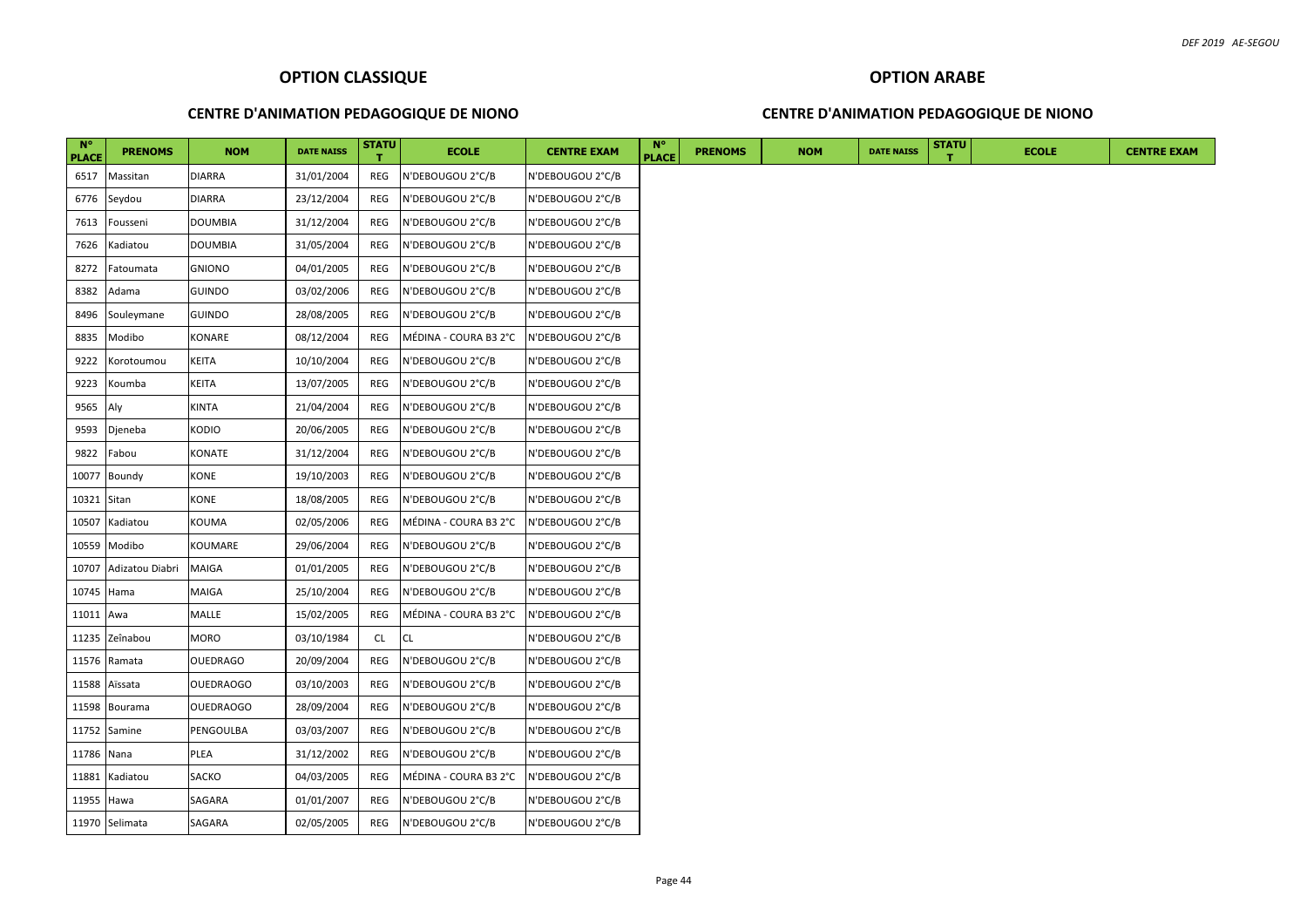## **CENTRE D'ANIMATION PEDAGOGIQUE DE NIONO**

#### **CENTRE D'ANIMATION PEDAGOGIQUE DE NIONO**

| $N^{\circ}$<br><b>PLACE</b> | <b>PRENOMS</b>  | <b>NOM</b>       | <b>DATE NAISS</b> | <b>STATU</b> | <b>ECOLE</b>          | <b>CENTRE EXAM</b> | $N^{\circ}$<br><b>PLACE</b> | <b>PRENOMS</b> | <b>NOM</b> | <b>DATE NAISS</b> | <b>STATU</b> | <b>ECOLE</b> | <b>CENTRE EXAM</b> |
|-----------------------------|-----------------|------------------|-------------------|--------------|-----------------------|--------------------|-----------------------------|----------------|------------|-------------------|--------------|--------------|--------------------|
| 6517                        | Massitan        | <b>DIARRA</b>    | 31/01/2004        | REG          | N'DEBOUGOU 2°C/B      | N'DEBOUGOU 2°C/B   |                             |                |            |                   |              |              |                    |
| 6776                        | Seydou          | <b>DIARRA</b>    | 23/12/2004        | REG          | N'DEBOUGOU 2°C/B      | N'DEBOUGOU 2°C/B   |                             |                |            |                   |              |              |                    |
| 7613                        | Fousseni        | <b>DOUMBIA</b>   | 31/12/2004        | REG          | N'DEBOUGOU 2°C/B      | N'DEBOUGOU 2°C/B   |                             |                |            |                   |              |              |                    |
| 7626                        | Kadiatou        | <b>DOUMBIA</b>   | 31/05/2004        | REG          | N'DEBOUGOU 2°C/B      | N'DEBOUGOU 2°C/B   |                             |                |            |                   |              |              |                    |
| 8272                        | Fatoumata       | <b>GNIONO</b>    | 04/01/2005        | REG          | N'DEBOUGOU 2°C/B      | N'DEBOUGOU 2°C/B   |                             |                |            |                   |              |              |                    |
| 8382                        | Adama           | <b>GUINDO</b>    | 03/02/2006        | REG          | N'DEBOUGOU 2°C/B      | N'DEBOUGOU 2°C/B   |                             |                |            |                   |              |              |                    |
| 8496                        | Souleymane      | <b>GUINDO</b>    | 28/08/2005        | REG          | N'DEBOUGOU 2°C/B      | N'DEBOUGOU 2°C/B   |                             |                |            |                   |              |              |                    |
| 8835                        | Modibo          | KONARE           | 08/12/2004        | REG          | MÉDINA - COURA B3 2°C | N'DEBOUGOU 2°C/B   |                             |                |            |                   |              |              |                    |
| 9222                        | Korotoumou      | KEITA            | 10/10/2004        | REG          | N'DEBOUGOU 2°C/B      | N'DEBOUGOU 2°C/B   |                             |                |            |                   |              |              |                    |
| 9223                        | Koumba          | KEITA            | 13/07/2005        | REG          | N'DEBOUGOU 2°C/B      | N'DEBOUGOU 2°C/B   |                             |                |            |                   |              |              |                    |
| 9565                        | Aly             | KINTA            | 21/04/2004        | REG          | N'DEBOUGOU 2°C/B      | N'DEBOUGOU 2°C/B   |                             |                |            |                   |              |              |                    |
| 9593                        | Djeneba         | KODIO            | 20/06/2005        | REG          | N'DEBOUGOU 2°C/B      | N'DEBOUGOU 2°C/B   |                             |                |            |                   |              |              |                    |
| 9822                        | Fabou           | KONATE           | 31/12/2004        | REG          | N'DEBOUGOU 2°C/B      | N'DEBOUGOU 2°C/B   |                             |                |            |                   |              |              |                    |
| 10077                       | Boundy          | KONE             | 19/10/2003        | REG          | N'DEBOUGOU 2°C/B      | N'DEBOUGOU 2°C/B   |                             |                |            |                   |              |              |                    |
| 10321                       | Sitan           | KONE             | 18/08/2005        | REG          | N'DEBOUGOU 2°C/B      | N'DEBOUGOU 2°C/B   |                             |                |            |                   |              |              |                    |
| 10507                       | Kadiatou        | KOUMA            | 02/05/2006        | REG          | MÉDINA - COURA B3 2°C | N'DEBOUGOU 2°C/B   |                             |                |            |                   |              |              |                    |
| 10559                       | Modibo          | KOUMARE          | 29/06/2004        | REG          | N'DEBOUGOU 2°C/B      | N'DEBOUGOU 2°C/B   |                             |                |            |                   |              |              |                    |
| 10707                       | Adizatou Diabri | MAIGA            | 01/01/2005        | REG          | N'DEBOUGOU 2°C/B      | N'DEBOUGOU 2°C/B   |                             |                |            |                   |              |              |                    |
| 10745                       | Hama            | MAIGA            | 25/10/2004        | REG          | N'DEBOUGOU 2°C/B      | N'DEBOUGOU 2°C/B   |                             |                |            |                   |              |              |                    |
| 11011 Awa                   |                 | MALLE            | 15/02/2005        | REG          | MÉDINA - COURA B3 2°C | N'DEBOUGOU 2°C/B   |                             |                |            |                   |              |              |                    |
| 11235                       | Zeînabou        | MORO             | 03/10/1984        | CL           | CL                    | N'DEBOUGOU 2°C/B   |                             |                |            |                   |              |              |                    |
| 11576                       | Ramata          | OUEDRAGO         | 20/09/2004        | REG          | N'DEBOUGOU 2°C/B      | N'DEBOUGOU 2°C/B   |                             |                |            |                   |              |              |                    |
| 11588                       | Aïssata         | <b>OUEDRAOGO</b> | 03/10/2003        | REG          | N'DEBOUGOU 2°C/B      | N'DEBOUGOU 2°C/B   |                             |                |            |                   |              |              |                    |
| 11598                       | Bourama         | <b>OUEDRAOGO</b> | 28/09/2004        | REG          | N'DEBOUGOU 2°C/B      | N'DEBOUGOU 2°C/B   |                             |                |            |                   |              |              |                    |
|                             | 11752 Samine    | PENGOULBA        | 03/03/2007        | REG          | N'DEBOUGOU 2°C/B      | N'DEBOUGOU 2°C/B   |                             |                |            |                   |              |              |                    |
| 11786 Nana                  |                 | PLEA             | 31/12/2002        | REG          | N'DEBOUGOU 2°C/B      | N'DEBOUGOU 2°C/B   |                             |                |            |                   |              |              |                    |
| 11881                       | Kadiatou        | SACKO            | 04/03/2005        | REG          | MÉDINA - COURA B3 2°C | N'DEBOUGOU 2°C/B   |                             |                |            |                   |              |              |                    |
| 11955 Hawa                  |                 | SAGARA           | 01/01/2007        | REG          | N'DEBOUGOU 2°C/B      | N'DEBOUGOU 2°C/B   |                             |                |            |                   |              |              |                    |
|                             | 11970 Selimata  | SAGARA           | 02/05/2005        | REG          | N'DEBOUGOU 2°C/B      | N'DEBOUGOU 2°C/B   |                             |                |            |                   |              |              |                    |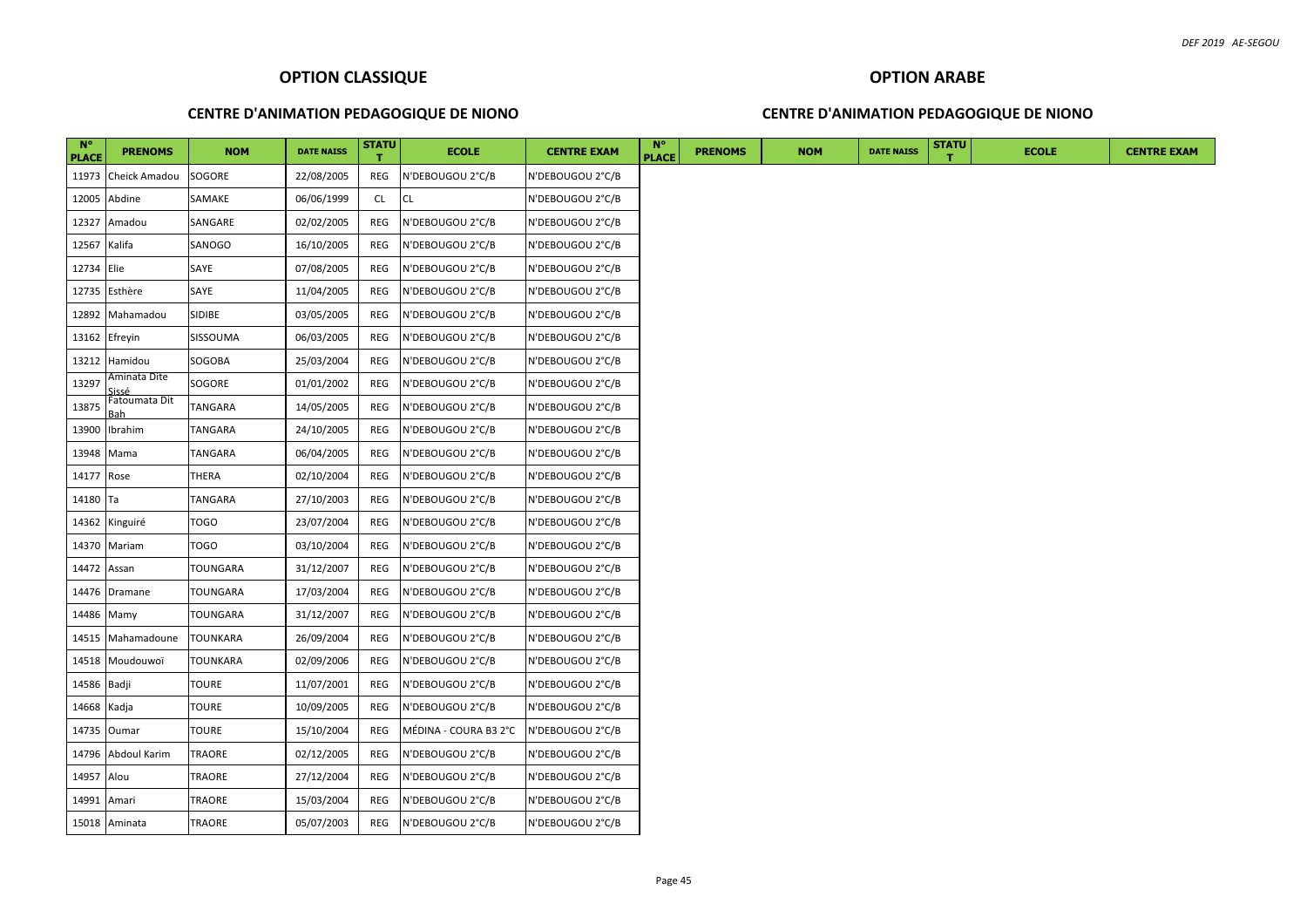#### **CENTRE D'ANIMATION PEDAGOGIQUE DE NIONO**

#### **CENTRE D'ANIMATION PEDAGOGIQUE DE NIONO**

| $N^{\circ}$<br><b>PLACE</b> | <b>PRENOMS</b>       | <b>NOM</b>      | <b>DATE NAISS</b> | <b>STATU</b> | <b>ECOLE</b>          | <b>CENTRE EXAM</b> | $N^{\circ}$<br><b>PLACE</b> | <b>PRENOMS</b> | <b>NOM</b> | <b>DATE NAISS</b> | <b>STATU</b> | <b>ECOLE</b> |
|-----------------------------|----------------------|-----------------|-------------------|--------------|-----------------------|--------------------|-----------------------------|----------------|------------|-------------------|--------------|--------------|
| 11973                       | Cheick Amadou        | SOGORE          | 22/08/2005        | REG          | N'DEBOUGOU 2°C/B      | N'DEBOUGOU 2°C/B   |                             |                |            |                   |              |              |
| 12005                       | Abdine               | SAMAKE          | 06/06/1999        | CL.          | <b>CL</b>             | N'DEBOUGOU 2°C/B   |                             |                |            |                   |              |              |
| 12327                       | Amadou               | SANGARE         | 02/02/2005        | REG          | N'DEBOUGOU 2°C/B      | N'DEBOUGOU 2°C/B   |                             |                |            |                   |              |              |
| 12567 Kalifa                |                      | SANOGO          | 16/10/2005        | REG          | N'DEBOUGOU 2°C/B      | N'DEBOUGOU 2°C/B   |                             |                |            |                   |              |              |
| 12734 Elie                  |                      | SAYE            | 07/08/2005        | REG          | N'DEBOUGOU 2°C/B      | N'DEBOUGOU 2°C/B   |                             |                |            |                   |              |              |
| 12735                       | Esthère              | SAYE            | 11/04/2005        | REG          | N'DEBOUGOU 2°C/B      | N'DEBOUGOU 2°C/B   |                             |                |            |                   |              |              |
| 12892                       | Mahamadou            | <b>SIDIBE</b>   | 03/05/2005        | REG          | N'DEBOUGOU 2°C/B      | N'DEBOUGOU 2°C/B   |                             |                |            |                   |              |              |
|                             | 13162 Efreyin        | SISSOUMA        | 06/03/2005        | REG          | N'DEBOUGOU 2°C/B      | N'DEBOUGOU 2°C/B   |                             |                |            |                   |              |              |
| 13212                       | Hamidou              | SOGOBA          | 25/03/2004        | REG          | N'DEBOUGOU 2°C/B      | N'DEBOUGOU 2°C/B   |                             |                |            |                   |              |              |
| 13297                       | Aminata Dite<br>فععن | SOGORE          | 01/01/2002        | REG          | N'DEBOUGOU 2°C/B      | N'DEBOUGOU 2°C/B   |                             |                |            |                   |              |              |
| 13875                       | Fatoumata Dit        | <b>TANGARA</b>  | 14/05/2005        | REG          | N'DEBOUGOU 2°C/B      | N'DEBOUGOU 2°C/B   |                             |                |            |                   |              |              |
| 13900                       | Ibrahim              | <b>TANGARA</b>  | 24/10/2005        | REG          | N'DEBOUGOU 2°C/B      | N'DEBOUGOU 2°C/B   |                             |                |            |                   |              |              |
|                             | 13948 Mama           | <b>TANGARA</b>  | 06/04/2005        | REG          | N'DEBOUGOU 2°C/B      | N'DEBOUGOU 2°C/B   |                             |                |            |                   |              |              |
| 14177                       | Rose                 | <b>THERA</b>    | 02/10/2004        | REG          | N'DEBOUGOU 2°C/B      | N'DEBOUGOU 2°C/B   |                             |                |            |                   |              |              |
| 14180 Ta                    |                      | <b>TANGARA</b>  | 27/10/2003        | REG          | N'DEBOUGOU 2°C/B      | N'DEBOUGOU 2°C/B   |                             |                |            |                   |              |              |
| 14362                       | Kinguiré             | <b>TOGO</b>     | 23/07/2004        | REG          | N'DEBOUGOU 2°C/B      | N'DEBOUGOU 2°C/B   |                             |                |            |                   |              |              |
|                             | 14370 Mariam         | <b>TOGO</b>     | 03/10/2004        | REG          | N'DEBOUGOU 2°C/B      | N'DEBOUGOU 2°C/B   |                             |                |            |                   |              |              |
| 14472                       | Assan                | <b>TOUNGARA</b> | 31/12/2007        | REG          | N'DEBOUGOU 2°C/B      | N'DEBOUGOU 2°C/B   |                             |                |            |                   |              |              |
|                             | 14476 Dramane        | <b>TOUNGARA</b> | 17/03/2004        | REG          | N'DEBOUGOU 2°C/B      | N'DEBOUGOU 2°C/B   |                             |                |            |                   |              |              |
| 14486                       | Mamy                 | <b>TOUNGARA</b> | 31/12/2007        | REG          | N'DEBOUGOU 2°C/B      | N'DEBOUGOU 2°C/B   |                             |                |            |                   |              |              |
| 14515                       | Mahamadoune          | <b>TOUNKARA</b> | 26/09/2004        | REG          | N'DEBOUGOU 2°C/B      | N'DEBOUGOU 2°C/B   |                             |                |            |                   |              |              |
| 14518                       | Moudouwoï            | <b>TOUNKARA</b> | 02/09/2006        | REG          | N'DEBOUGOU 2°C/B      | N'DEBOUGOU 2°C/B   |                             |                |            |                   |              |              |
| 14586 Badji                 |                      | <b>TOURE</b>    | 11/07/2001        | REG          | N'DEBOUGOU 2°C/B      | N'DEBOUGOU 2°C/B   |                             |                |            |                   |              |              |
| 14668 Kadja                 |                      | <b>TOURE</b>    | 10/09/2005        | REG          | N'DEBOUGOU 2°C/B      | N'DEBOUGOU 2°C/B   |                             |                |            |                   |              |              |
|                             | 14735 Oumar          | <b>TOURE</b>    | 15/10/2004        | REG          | MÉDINA - COURA B3 2°C | N'DEBOUGOU 2°C/B   |                             |                |            |                   |              |              |
| 14796                       | Abdoul Karim         | <b>TRAORE</b>   | 02/12/2005        | REG          | N'DEBOUGOU 2°C/B      | N'DEBOUGOU 2°C/B   |                             |                |            |                   |              |              |
| 14957 Alou                  |                      | TRAORE          | 27/12/2004        | REG          | N'DEBOUGOU 2°C/B      | N'DEBOUGOU 2°C/B   |                             |                |            |                   |              |              |
| 14991 Amari                 |                      | <b>TRAORE</b>   | 15/03/2004        | REG          | N'DEBOUGOU 2°C/B      | N'DEBOUGOU 2°C/B   |                             |                |            |                   |              |              |
|                             | 15018 Aminata        | TRAORE          | 05/07/2003        | REG          | N'DEBOUGOU 2°C/B      | N'DEBOUGOU 2°C/B   |                             |                |            |                   |              |              |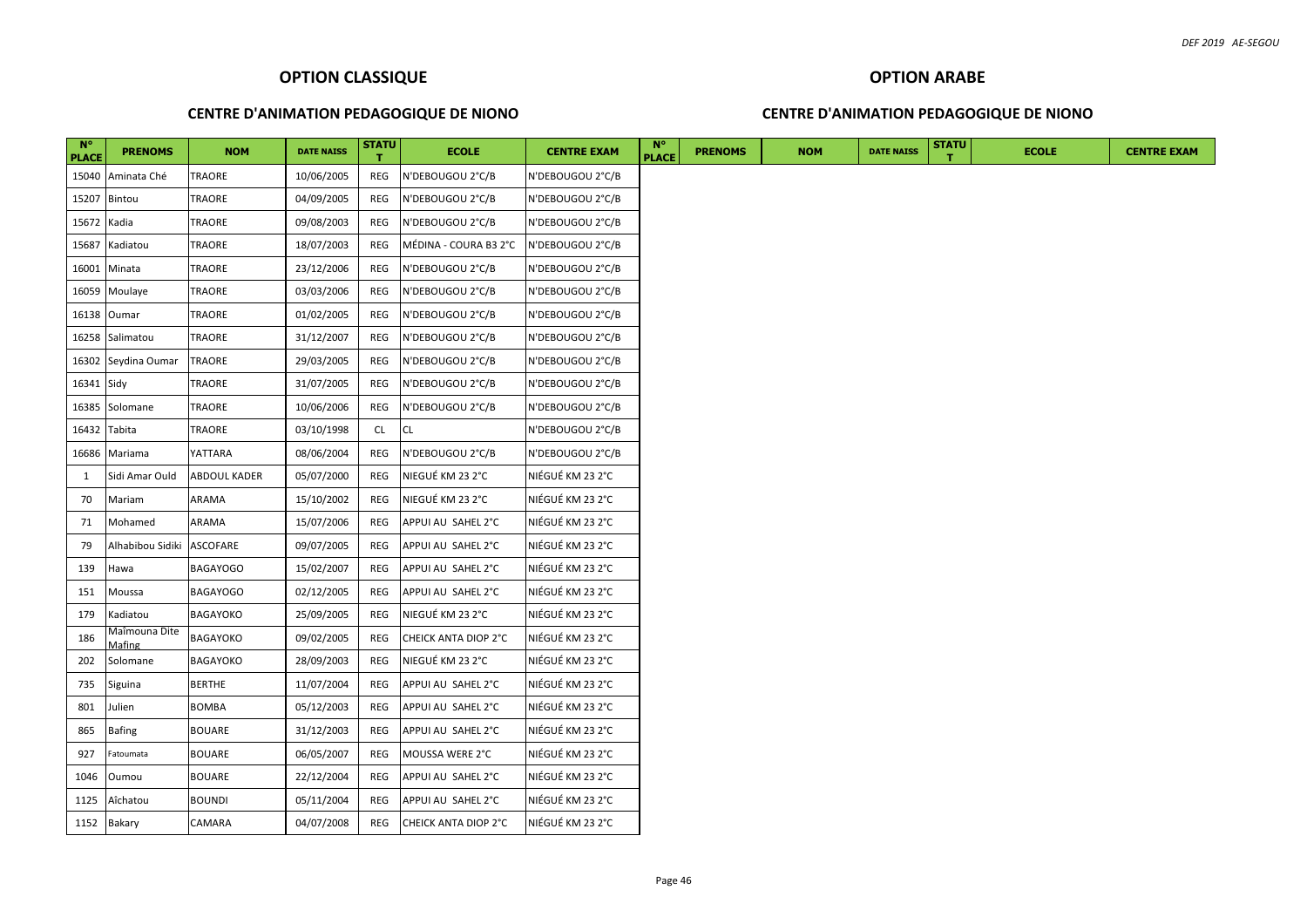## **CENTRE D'ANIMATION PEDAGOGIQUE DE NIONO**

#### **CENTRE D'ANIMATION PEDAGOGIQUE DE NIONO**

| $N^{\circ}$<br><b>PLACE</b> | <b>PRENOMS</b>   | <b>NOM</b>          | <b>DATE NAISS</b> | <b>STATU</b> | <b>ECOLE</b>          | <b>CENTRE EXAM</b> | $N^{\circ}$<br><b>PLACE</b> | <b>PRENOMS</b> | <b>NOM</b> | <b>DATE NAISS</b> | <b>STATU</b> | <b>ECOLE</b> |
|-----------------------------|------------------|---------------------|-------------------|--------------|-----------------------|--------------------|-----------------------------|----------------|------------|-------------------|--------------|--------------|
| 15040                       | Aminata Ché      | <b>TRAORE</b>       | 10/06/2005        | REG          | N'DEBOUGOU 2°C/B      | N'DEBOUGOU 2°C/B   |                             |                |            |                   |              |              |
| 15207                       | Bintou           | <b>TRAORE</b>       | 04/09/2005        | REG          | N'DEBOUGOU 2°C/B      | N'DEBOUGOU 2°C/B   |                             |                |            |                   |              |              |
| 15672 Kadia                 |                  | <b>TRAORE</b>       | 09/08/2003        | REG          | N'DEBOUGOU 2°C/B      | N'DEBOUGOU 2°C/B   |                             |                |            |                   |              |              |
| 15687                       | Kadiatou         | <b>TRAORE</b>       | 18/07/2003        | REG          | MÉDINA - COURA B3 2°C | N'DEBOUGOU 2°C/B   |                             |                |            |                   |              |              |
| 16001                       | Minata           | TRAORE              | 23/12/2006        | REG          | N'DEBOUGOU 2°C/B      | N'DEBOUGOU 2°C/B   |                             |                |            |                   |              |              |
| 16059                       | Moulaye          | <b>TRAORE</b>       | 03/03/2006        | REG          | N'DEBOUGOU 2°C/B      | N'DEBOUGOU 2°C/B   |                             |                |            |                   |              |              |
|                             | 16138 Oumar      | TRAORE              | 01/02/2005        | REG          | N'DEBOUGOU 2°C/B      | N'DEBOUGOU 2°C/B   |                             |                |            |                   |              |              |
|                             | 16258 Salimatou  | <b>TRAORE</b>       | 31/12/2007        | REG          | N'DEBOUGOU 2°C/B      | N'DEBOUGOU 2°C/B   |                             |                |            |                   |              |              |
| 16302                       | Seydina Oumar    | <b>TRAORE</b>       | 29/03/2005        | REG          | N'DEBOUGOU 2°C/B      | N'DEBOUGOU 2°C/B   |                             |                |            |                   |              |              |
| 16341                       | Sidy             | TRAORE              | 31/07/2005        | REG          | N'DEBOUGOU 2°C/B      | N'DEBOUGOU 2°C/B   |                             |                |            |                   |              |              |
| 16385                       | Solomane         | TRAORE              | 10/06/2006        | REG          | N'DEBOUGOU 2°C/B      | N'DEBOUGOU 2°C/B   |                             |                |            |                   |              |              |
| 16432                       | Tabita           | TRAORE              | 03/10/1998        | <b>CL</b>    | CL                    | N'DEBOUGOU 2°C/B   |                             |                |            |                   |              |              |
| 16686                       | Mariama          | YATTARA             | 08/06/2004        | REG          | N'DEBOUGOU 2°C/B      | N'DEBOUGOU 2°C/B   |                             |                |            |                   |              |              |
| 1                           | Sidi Amar Ould   | <b>ABDOUL KADER</b> | 05/07/2000        | REG          | NIEGUÉ KM 23 2°C      | NIÉGUÉ KM 23 2°C   |                             |                |            |                   |              |              |
| 70                          | Mariam           | ARAMA               | 15/10/2002        | REG          | NIEGUÉ KM 23 2°C      | NIÉGUÉ KM 23 2°C   |                             |                |            |                   |              |              |
| 71                          | Mohamed          | ARAMA               | 15/07/2006        | REG          | APPUI AU SAHEL 2°C    | NIÉGUÉ KM 23 2°C   |                             |                |            |                   |              |              |
| 79                          | Alhabibou Sidiki | <b>ASCOFARE</b>     | 09/07/2005        | REG          | APPUI AU SAHEL 2°C    | NIÉGUÉ KM 23 2°C   |                             |                |            |                   |              |              |
| 139                         | Hawa             | <b>BAGAYOGO</b>     | 15/02/2007        | REG          | APPUI AU SAHEL 2°C    | NIÉGUÉ KM 23 2°C   |                             |                |            |                   |              |              |
| 151                         | Moussa           | <b>BAGAYOGO</b>     | 02/12/2005        | REG          | APPUI AU SAHEL 2°C    | NIÉGUÉ KM 23 2°C   |                             |                |            |                   |              |              |
| 179                         | Kadiatou         | <b>BAGAYOKO</b>     | 25/09/2005        | REG          | NIEGUÉ KM 23 2°C      | NIÉGUÉ KM 23 2°C   |                             |                |            |                   |              |              |
| 186                         | Vlaîmouna Dite   | <b>BAGAYOKO</b>     | 09/02/2005        | <b>REG</b>   | CHEICK ANTA DIOP 2°C  | NIÉGUÉ KM 23 2°C   |                             |                |            |                   |              |              |
| 202                         | Solomane         | <b>BAGAYOKO</b>     | 28/09/2003        | REG          | NIEGUÉ KM 23 2°C      | NIÉGUÉ KM 23 2°C   |                             |                |            |                   |              |              |
| 735                         | Siguina          | <b>BERTHE</b>       | 11/07/2004        | REG          | APPUI AU SAHEL 2°C    | NIÉGUÉ KM 23 2°C   |                             |                |            |                   |              |              |
| 801                         | Julien           | <b>BOMBA</b>        | 05/12/2003        | REG          | APPUI AU SAHEL 2°C    | NIÉGUÉ KM 23 2°C   |                             |                |            |                   |              |              |
| 865                         | <b>Bafing</b>    | <b>BOUARE</b>       | 31/12/2003        | REG          | APPUI AU SAHEL 2°C    | NIÉGUÉ KM 23 2°C   |                             |                |            |                   |              |              |
| 927                         | Fatoumata        | <b>BOUARE</b>       | 06/05/2007        | REG          | MOUSSA WERE 2°C       | NIÉGUÉ KM 23 2°C   |                             |                |            |                   |              |              |
| 1046                        | Oumou            | <b>BOUARE</b>       | 22/12/2004        | REG          | APPUI AU SAHEL 2°C    | NIÉGUÉ KM 23 2°C   |                             |                |            |                   |              |              |
| 1125                        | Aîchatou         | <b>BOUNDI</b>       | 05/11/2004        | REG          | APPUI AU SAHEL 2°C    | NIÉGUÉ KM 23 2°C   |                             |                |            |                   |              |              |
|                             | 1152 Bakary      | CAMARA              | 04/07/2008        | REG          | CHEICK ANTA DIOP 2°C  | NIÉGUÉ KM 23 2°C   |                             |                |            |                   |              |              |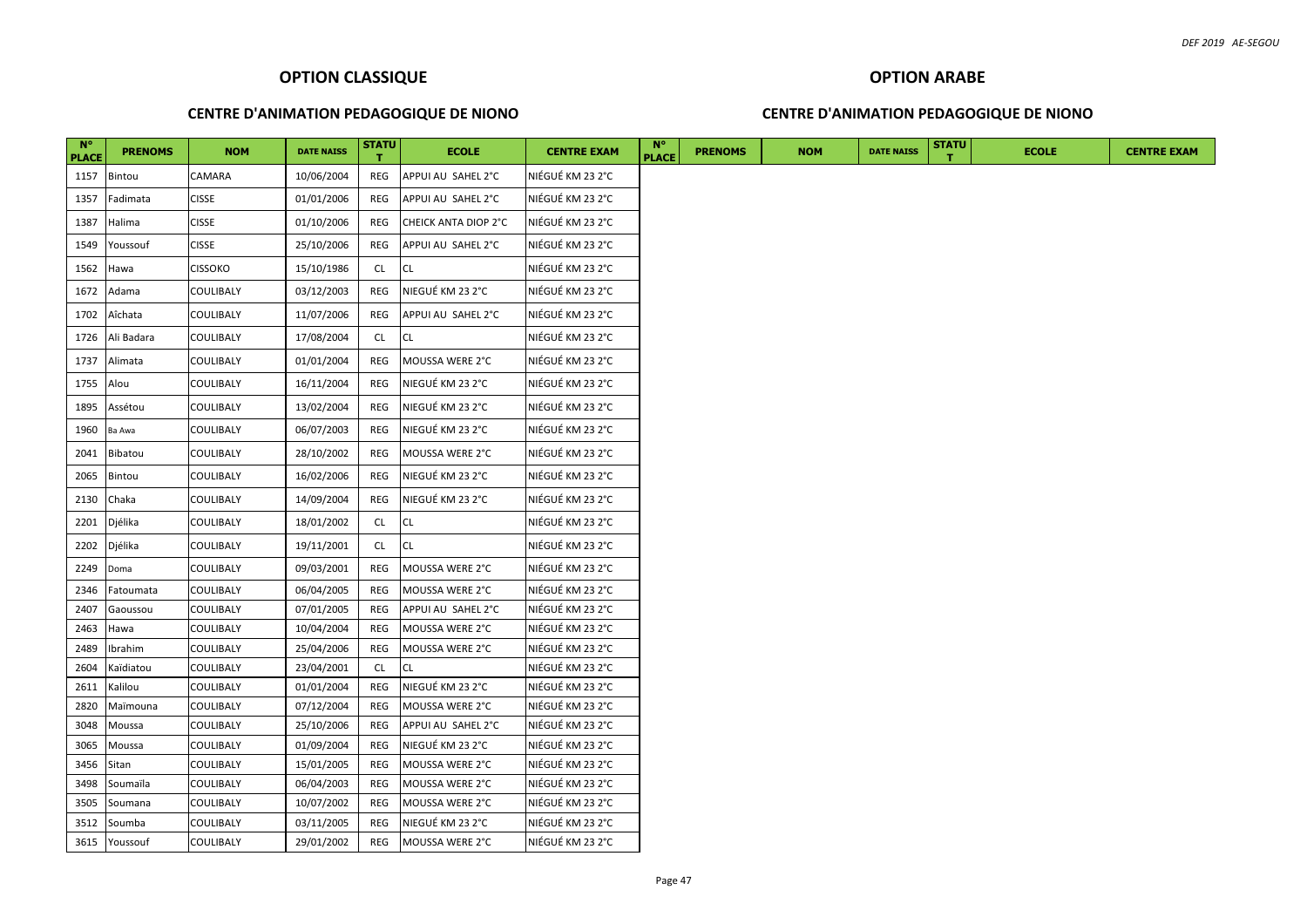#### **CENTRE D'ANIMATION PEDAGOGIQUE DE NIONO**

# **OPTION ARABE CENTRE D'ANIMATION PEDAGOGIQUE DE NIONO**

| $N^{\circ}$<br><b>PLACE</b> | <b>PRENOMS</b> | <b>NOM</b>       | <b>DATE NAISS</b> | <b>STATU</b><br>т. | <b>ECOLE</b>         | <b>CENTRE EXAM</b> | <b>N°</b><br><b>PLACE</b> | <b>PRENOMS</b> | <b>NOM</b> | <b>DATE NAISS</b> | <b>STATU</b> | <b>ECOLE</b> | <b>CENTRE EXAM</b> |
|-----------------------------|----------------|------------------|-------------------|--------------------|----------------------|--------------------|---------------------------|----------------|------------|-------------------|--------------|--------------|--------------------|
| 1157                        | Bintou         | CAMARA           | 10/06/2004        | REG                | APPUI AU SAHEL 2°C   | NIÉGUÉ KM 23 2°C   |                           |                |            |                   |              |              |                    |
| 1357                        | Fadimata       | <b>CISSE</b>     | 01/01/2006        | REG                | APPUI AU SAHEL 2°C   | NIÉGUÉ KM 23 2°C   |                           |                |            |                   |              |              |                    |
| 1387                        | Halima         | <b>CISSE</b>     | 01/10/2006        | REG                | CHEICK ANTA DIOP 2°C | NIÉGUÉ KM 23 2°C   |                           |                |            |                   |              |              |                    |
| 1549                        | Youssouf       | <b>CISSE</b>     | 25/10/2006        | <b>REG</b>         | APPUI AU SAHEL 2°C   | NIÉGUÉ KM 23 2°C   |                           |                |            |                   |              |              |                    |
| 1562                        | Hawa           | <b>CISSOKO</b>   | 15/10/1986        | CL.                | <b>CL</b>            | NIÉGUÉ KM 23 2°C   |                           |                |            |                   |              |              |                    |
| 1672                        | Adama          | COULIBALY        | 03/12/2003        | REG                | NIEGUÉ KM 23 2°C     | NIÉGUÉ KM 23 2°C   |                           |                |            |                   |              |              |                    |
| 1702                        | Aîchata        | COULIBALY        | 11/07/2006        | REG                | APPUI AU SAHEL 2°C   | NIÉGUÉ KM 23 2°C   |                           |                |            |                   |              |              |                    |
| 1726                        | Ali Badara     | COULIBALY        | 17/08/2004        | CL.                | CL                   | NIÉGUÉ KM 23 2°C   |                           |                |            |                   |              |              |                    |
| 1737                        | Alimata        | COULIBALY        | 01/01/2004        | REG                | MOUSSA WERE 2°C      | NIÉGUÉ KM 23 2°C   |                           |                |            |                   |              |              |                    |
| 1755                        | Alou           | COULIBALY        | 16/11/2004        | REG                | NIEGUÉ KM 23 2°C     | NIÉGUÉ KM 23 2°C   |                           |                |            |                   |              |              |                    |
| 1895                        | Assétou        | COULIBALY        | 13/02/2004        | REG                | NIEGUÉ KM 23 2°C     | NIÉGUÉ KM 23 2°C   |                           |                |            |                   |              |              |                    |
| 1960                        | Ba Awa         | COULIBALY        | 06/07/2003        | REG                | NIEGUÉ KM 23 2°C     | NIÉGUÉ KM 23 2°C   |                           |                |            |                   |              |              |                    |
| 2041                        | Bibatou        | COULIBALY        | 28/10/2002        | REG                | MOUSSA WERE 2°C      | NIÉGUÉ KM 23 2°C   |                           |                |            |                   |              |              |                    |
| 2065                        | Bintou         | COULIBALY        | 16/02/2006        | REG                | NIEGUÉ KM 23 2°C     | NIÉGUÉ KM 23 2°C   |                           |                |            |                   |              |              |                    |
| 2130                        | Chaka          | COULIBALY        | 14/09/2004        | REG                | NIEGUÉ KM 23 2°C     | NIÉGUÉ KM 23 2°C   |                           |                |            |                   |              |              |                    |
| 2201                        | Djélika        | COULIBALY        | 18/01/2002        | CL.                | CL                   | NIÉGUÉ KM 23 2°C   |                           |                |            |                   |              |              |                    |
| 2202                        | Djélika        | COULIBALY        | 19/11/2001        | CL.                | <b>CL</b>            | NIÉGUÉ KM 23 2°C   |                           |                |            |                   |              |              |                    |
| 2249                        | Doma           | COULIBALY        | 09/03/2001        | REG                | MOUSSA WERE 2°C      | NIÉGUÉ KM 23 2°C   |                           |                |            |                   |              |              |                    |
| 2346                        | Fatoumata      | COULIBALY        | 06/04/2005        | REG                | MOUSSA WERE 2°C      | NIÉGUÉ KM 23 2°C   |                           |                |            |                   |              |              |                    |
| 2407                        | Gaoussou       | COULIBALY        | 07/01/2005        | REG                | APPUI AU SAHEL 2°C   | NIÉGUÉ KM 23 2°C   |                           |                |            |                   |              |              |                    |
| 2463                        | Hawa           | COULIBALY        | 10/04/2004        | REG                | MOUSSA WERE 2°C      | NIÉGUÉ KM 23 2°C   |                           |                |            |                   |              |              |                    |
| 2489                        | Ibrahim        | <b>COULIBALY</b> | 25/04/2006        | REG                | MOUSSA WERE 2°C      | NIÉGUÉ KM 23 2°C   |                           |                |            |                   |              |              |                    |
| 2604                        | Kaïdiatou      | <b>COULIBALY</b> | 23/04/2001        | CL                 | СL                   | NIÉGUÉ KM 23 2°C   |                           |                |            |                   |              |              |                    |
| 2611                        | Kalilou        | <b>COULIBALY</b> | 01/01/2004        | REG                | NIEGUÉ KM 23 2°C     | NIÉGUÉ KM 23 2°C   |                           |                |            |                   |              |              |                    |
| 2820                        | Maïmouna       | COULIBALY        | 07/12/2004        | REG                | MOUSSA WERE 2°C      | NIÉGUÉ KM 23 2°C   |                           |                |            |                   |              |              |                    |
| 3048                        | Moussa         | COULIBALY        | 25/10/2006        | REG                | APPUI AU SAHEL 2°C   | NIÉGUÉ KM 23 2°C   |                           |                |            |                   |              |              |                    |
| 3065                        | Moussa         | COULIBALY        | 01/09/2004        | REG                | NIEGUÉ KM 23 2°C     | NIÉGUÉ KM 23 2°C   |                           |                |            |                   |              |              |                    |
| 3456                        | Sitan          | COULIBALY        | 15/01/2005        | REG                | MOUSSA WERE 2°C      | NIÉGUÉ KM 23 2°C   |                           |                |            |                   |              |              |                    |
| 3498                        | Soumaïla       | <b>COULIBALY</b> | 06/04/2003        | REG                | MOUSSA WERE 2°C      | NIÉGUÉ KM 23 2°C   |                           |                |            |                   |              |              |                    |
| 3505                        | Soumana        | COULIBALY        | 10/07/2002        | REG                | MOUSSA WERE 2°C      | NIÉGUÉ KM 23 2°C   |                           |                |            |                   |              |              |                    |
| 3512                        | Soumba         | COULIBALY        | 03/11/2005        | REG                | NIEGUÉ KM 23 2°C     | NIÉGUÉ KM 23 2°C   |                           |                |            |                   |              |              |                    |
|                             | 3615 Youssouf  | <b>COULIBALY</b> | 29/01/2002        | REG                | MOUSSA WERE 2°C      | NIÉGUÉ KM 23 2°C   |                           |                |            |                   |              |              |                    |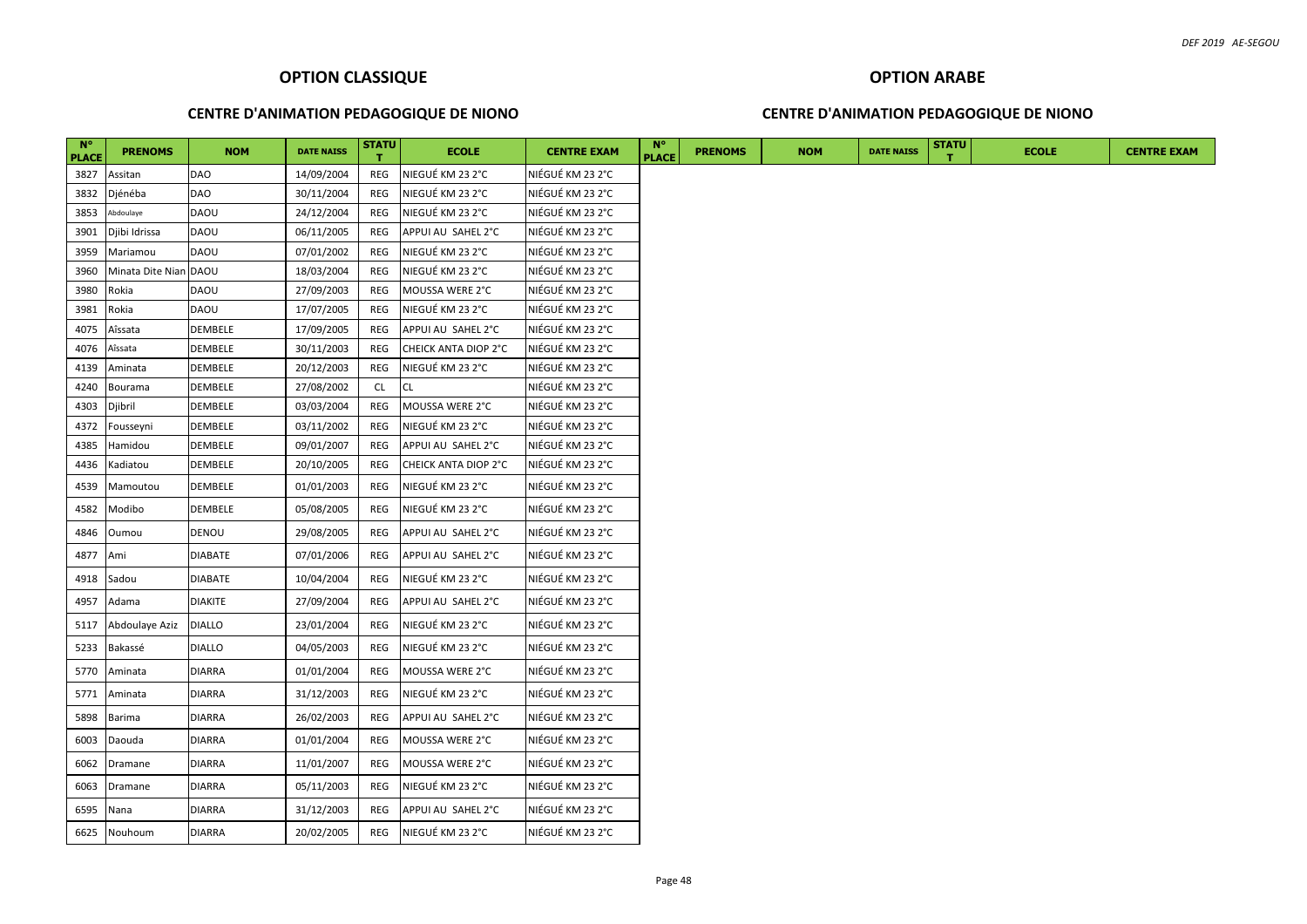#### **CENTRE D'ANIMATION PEDAGOGIQUE DE NIONO**

#### **CENTRE D'ANIMATION PEDAGOGIQUE DE NIONO**

| $N^{\circ}$<br><b>PLACE</b> | <b>PRENOMS</b>        | <b>NOM</b>     | <b>DATE NAISS</b> | <b>STATU</b> | <b>ECOLE</b>         | <b>CENTRE EXAM</b> | $N^{\circ}$<br><b>PLACE</b> | <b>PRENOMS</b> | <b>NOM</b> | <b>DATE NAISS</b> | <b>STATU</b> | <b>ECOLE</b> | <b>CENTRE EXAM</b> |
|-----------------------------|-----------------------|----------------|-------------------|--------------|----------------------|--------------------|-----------------------------|----------------|------------|-------------------|--------------|--------------|--------------------|
| 3827                        | Assitan               | <b>DAO</b>     | 14/09/2004        | REG          | NIEGUÉ KM 23 2°C     | NIÉGUÉ KM 23 2°C   |                             |                |            |                   |              |              |                    |
| 3832                        | Djénéba               | <b>DAO</b>     | 30/11/2004        | REG          | NIEGUÉ KM 23 2°C     | NIÉGUÉ KM 23 2°C   |                             |                |            |                   |              |              |                    |
| 3853                        | Abdoulaye             | DAOU           | 24/12/2004        | REG          | NIEGUÉ KM 23 2°C     | NIÉGUÉ KM 23 2°C   |                             |                |            |                   |              |              |                    |
| 3901                        | Djibi Idrissa         | DAOU           | 06/11/2005        | <b>REG</b>   | APPUI AU SAHEL 2°C   | NIÉGUÉ KM 23 2°C   |                             |                |            |                   |              |              |                    |
| 3959                        | Mariamou              | DAOU           | 07/01/2002        | REG          | NIEGUÉ KM 23 2°C     | NIÉGUÉ KM 23 2°C   |                             |                |            |                   |              |              |                    |
| 3960                        | Minata Dite Nian DAOU |                | 18/03/2004        | <b>REG</b>   | NIEGUÉ KM 23 2°C     | NIÉGUÉ KM 23 2°C   |                             |                |            |                   |              |              |                    |
| 3980                        | Rokia                 | DAOU           | 27/09/2003        | REG          | MOUSSA WERE 2°C      | NIÉGUÉ KM 23 2°C   |                             |                |            |                   |              |              |                    |
| 3981                        | Rokia                 | <b>DAOU</b>    | 17/07/2005        | REG          | NIEGUÉ KM 23 2°C     | NIÉGUÉ KM 23 2°C   |                             |                |            |                   |              |              |                    |
| 4075                        | Aîssata               | DEMBELE        | 17/09/2005        | REG          | APPUI AU SAHEL 2°C   | NIÉGUÉ KM 23 2°C   |                             |                |            |                   |              |              |                    |
| 4076                        | Aîssata               | DEMBELE        | 30/11/2003        | REG          | CHEICK ANTA DIOP 2°C | NIÉGUÉ KM 23 2°C   |                             |                |            |                   |              |              |                    |
| 4139                        | Aminata               | DEMBELE        | 20/12/2003        | REG          | NIEGUÉ KM 23 2°C     | NIÉGUÉ KM 23 2°C   |                             |                |            |                   |              |              |                    |
| 4240                        | Bourama               | DEMBELE        | 27/08/2002        | <b>CL</b>    | <b>CL</b>            | NIÉGUÉ KM 23 2°C   |                             |                |            |                   |              |              |                    |
| 4303                        | Djibril               | DEMBELE        | 03/03/2004        | <b>REG</b>   | MOUSSA WERE 2°C      | NIÉGUÉ KM 23 2°C   |                             |                |            |                   |              |              |                    |
| 4372                        | Fousseyni             | DEMBELE        | 03/11/2002        | REG          | NIEGUÉ KM 23 2°C     | NIÉGUÉ KM 23 2°C   |                             |                |            |                   |              |              |                    |
| 4385                        | Hamidou               | DEMBELE        | 09/01/2007        | REG          | APPUI AU SAHEL 2°C   | NIÉGUÉ KM 23 2°C   |                             |                |            |                   |              |              |                    |
| 4436                        | Kadiatou              | DEMBELE        | 20/10/2005        | REG          | CHEICK ANTA DIOP 2°C | NIÉGUÉ KM 23 2°C   |                             |                |            |                   |              |              |                    |
| 4539                        | Mamoutou              | DEMBELE        | 01/01/2003        | REG          | NIEGUÉ KM 23 2°C     | NIÉGUÉ KM 23 2°C   |                             |                |            |                   |              |              |                    |
| 4582                        | Modibo                | DEMBELE        | 05/08/2005        | REG          | NIEGUÉ KM 23 2°C     | NIÉGUÉ KM 23 2°C   |                             |                |            |                   |              |              |                    |
| 4846                        | Oumou                 | DENOU          | 29/08/2005        | REG          | APPUI AU SAHEL 2°C   | NIÉGUÉ KM 23 2°C   |                             |                |            |                   |              |              |                    |
| 4877                        | Ami                   | DIABATE        | 07/01/2006        | REG          | APPUI AU SAHEL 2°C   | NIÉGUÉ KM 23 2°C   |                             |                |            |                   |              |              |                    |
| 4918                        | Sadou                 | <b>DIABATE</b> | 10/04/2004        | REG          | NIEGUÉ KM 23 2°C     | NIÉGUÉ KM 23 2°C   |                             |                |            |                   |              |              |                    |
| 4957                        | Adama                 | <b>DIAKITE</b> | 27/09/2004        | REG          | APPUI AU SAHEL 2°C   | NIÉGUÉ KM 23 2°C   |                             |                |            |                   |              |              |                    |
| 5117                        | Abdoulaye Aziz        | <b>DIALLO</b>  | 23/01/2004        | REG          | NIEGUÉ KM 23 2°C     | NIÉGUÉ KM 23 2°C   |                             |                |            |                   |              |              |                    |
| 5233                        | Bakassé               | <b>DIALLO</b>  | 04/05/2003        | REG          | NIEGUÉ KM 23 2°C     | NIÉGUÉ KM 23 2°C   |                             |                |            |                   |              |              |                    |
| 5770                        | Aminata               | <b>DIARRA</b>  | 01/01/2004        | REG          | MOUSSA WERE 2°C      | NIÉGUÉ KM 23 2°C   |                             |                |            |                   |              |              |                    |
| 5771                        | Aminata               | DIARRA         | 31/12/2003        | REG          | NIEGUÉ KM 23 2°C     | NIÉGUÉ KM 23 2°C   |                             |                |            |                   |              |              |                    |
| 5898                        | <b>Barima</b>         | DIARRA         | 26/02/2003        | REG          | APPUI AU SAHEL 2°C   | NIÉGUÉ KM 23 2°C   |                             |                |            |                   |              |              |                    |
| 6003                        | Daouda                | DIARRA         | 01/01/2004        | REG          | MOUSSA WERE 2°C      | NIÉGUÉ KM 23 2°C   |                             |                |            |                   |              |              |                    |
| 6062                        | Dramane               | DIARRA         | 11/01/2007        | REG          | MOUSSA WERE 2°C      | NIÉGUÉ KM 23 2°C   |                             |                |            |                   |              |              |                    |
| 6063                        | Dramane               | <b>DIARRA</b>  | 05/11/2003        | REG          | NIEGUÉ KM 23 2°C     | NIÉGUÉ KM 23 2°C   |                             |                |            |                   |              |              |                    |
| 6595                        | Nana                  | DIARRA         | 31/12/2003        | REG          | APPUI AU SAHEL 2°C   | NIÉGUÉ KM 23 2°C   |                             |                |            |                   |              |              |                    |
| 6625                        | Nouhoum               | <b>DIARRA</b>  | 20/02/2005        | REG          | NIEGUÉ KM 23 2°C     | NIÉGUÉ KM 23 2°C   |                             |                |            |                   |              |              |                    |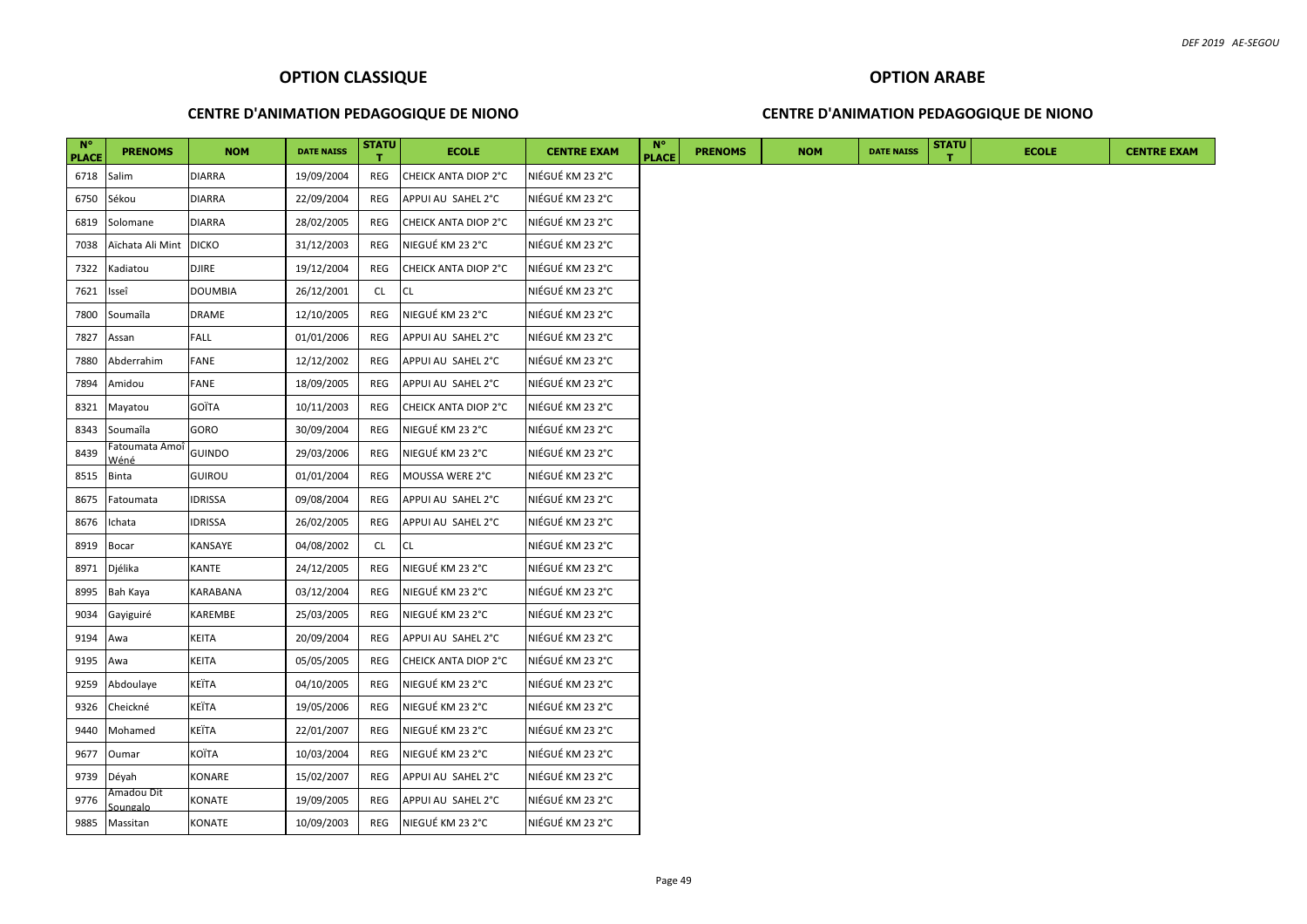#### **CENTRE D'ANIMATION PEDAGOGIQUE DE NIONO**

#### **CENTRE D'ANIMATION PEDAGOGIQUE DE NIONO**

| $N^{\circ}$<br><b>PLACE</b> | <b>PRENOMS</b>                | <b>NOM</b>     | <b>DATE NAISS</b> | <b>STATU</b> | <b>ECOLE</b>         | <b>CENTRE EXAM</b> | <b>N°</b><br><b>PLACE</b> | <b>PRENOMS</b> | <b>NOM</b> | <b>DATE NAISS</b> | <b>STATU</b> | <b>ECOLE</b> | <b>CENTRE EXAM</b> |
|-----------------------------|-------------------------------|----------------|-------------------|--------------|----------------------|--------------------|---------------------------|----------------|------------|-------------------|--------------|--------------|--------------------|
| 6718                        | Salim                         | DIARRA         | 19/09/2004        | REG          | CHEICK ANTA DIOP 2°C | NIÉGUÉ KM 23 2°C   |                           |                |            |                   |              |              |                    |
| 6750                        | Sékou                         | DIARRA         | 22/09/2004        | REG          | APPUI AU SAHEL 2°C   | NIÉGUÉ KM 23 2°C   |                           |                |            |                   |              |              |                    |
| 6819                        | Solomane                      | <b>DIARRA</b>  | 28/02/2005        | REG          | CHEICK ANTA DIOP 2°C | NIÉGUÉ KM 23 2°C   |                           |                |            |                   |              |              |                    |
| 7038                        | Aïchata Ali Mint              | <b>DICKO</b>   | 31/12/2003        | REG          | NIEGUÉ KM 23 2°C     | NIÉGUÉ KM 23 2°C   |                           |                |            |                   |              |              |                    |
| 7322                        | Kadiatou                      | DJIRE          | 19/12/2004        | REG          | CHEICK ANTA DIOP 2°C | NIÉGUÉ KM 23 2°C   |                           |                |            |                   |              |              |                    |
| 7621                        | Isseî                         | <b>DOUMBIA</b> | 26/12/2001        | CL           | <b>CL</b>            | NIÉGUÉ KM 23 2°C   |                           |                |            |                   |              |              |                    |
| 7800                        | Soumaîla                      | DRAME          | 12/10/2005        | REG          | NIEGUÉ KM 23 2°C     | NIÉGUÉ KM 23 2°C   |                           |                |            |                   |              |              |                    |
| 7827                        | Assan                         | <b>FALL</b>    | 01/01/2006        | REG          | APPUI AU SAHEL 2°C   | NIÉGUÉ KM 23 2°C   |                           |                |            |                   |              |              |                    |
| 7880                        | Abderrahim                    | <b>FANE</b>    | 12/12/2002        | REG          | APPUI AU SAHEL 2°C   | NIÉGUÉ KM 23 2°C   |                           |                |            |                   |              |              |                    |
| 7894                        | Amidou                        | <b>FANE</b>    | 18/09/2005        | REG          | APPUI AU SAHEL 2°C   | NIÉGUÉ KM 23 2°C   |                           |                |            |                   |              |              |                    |
| 8321                        | Mayatou                       | GOÏTA          | 10/11/2003        | REG          | CHEICK ANTA DIOP 2°C | NIÉGUÉ KM 23 2°C   |                           |                |            |                   |              |              |                    |
| 8343                        | Soumaîla                      | GORO           | 30/09/2004        | REG          | NIEGUÉ KM 23 2°C     | NIÉGUÉ KM 23 2°C   |                           |                |            |                   |              |              |                    |
| 8439                        | Fatoumata Amoí<br>Wéné        | GUINDO         | 29/03/2006        | REG          | NIEGUÉ KM 23 2°C     | NIÉGUÉ KM 23 2°C   |                           |                |            |                   |              |              |                    |
| 8515                        | <b>Binta</b>                  | GUIROU         | 01/01/2004        | REG          | MOUSSA WERE 2°C      | NIÉGUÉ KM 23 2°C   |                           |                |            |                   |              |              |                    |
| 8675                        | Fatoumata                     | IDRISSA        | 09/08/2004        | REG          | APPUI AU SAHEL 2°C   | NIÉGUÉ KM 23 2°C   |                           |                |            |                   |              |              |                    |
| 8676                        | Ichata                        | IDRISSA        | 26/02/2005        | REG          | APPUI AU SAHEL 2°C   | NIÉGUÉ KM 23 2°C   |                           |                |            |                   |              |              |                    |
| 8919                        | <b>Bocar</b>                  | KANSAYE        | 04/08/2002        | CL.          | CL                   | NIÉGUÉ KM 23 2°C   |                           |                |            |                   |              |              |                    |
| 8971                        | Djélika                       | KANTE          | 24/12/2005        | REG          | NIEGUÉ KM 23 2°C     | NIÉGUÉ KM 23 2°C   |                           |                |            |                   |              |              |                    |
| 8995                        | Bah Kaya                      | KARABANA       | 03/12/2004        | REG          | NIEGUÉ KM 23 2°C     | NIÉGUÉ KM 23 2°C   |                           |                |            |                   |              |              |                    |
| 9034                        | Gayiguiré                     | KAREMBE        | 25/03/2005        | REG          | NIEGUÉ KM 23 2°C     | NIÉGUÉ KM 23 2°C   |                           |                |            |                   |              |              |                    |
| 9194                        | Awa                           | KEITA          | 20/09/2004        | REG          | APPUI AU SAHEL 2°C   | NIÉGUÉ KM 23 2°C   |                           |                |            |                   |              |              |                    |
| 9195                        | Awa                           | KEITA          | 05/05/2005        | REG          | CHEICK ANTA DIOP 2°C | NIÉGUÉ KM 23 2°C   |                           |                |            |                   |              |              |                    |
| 9259                        | Abdoulaye                     | KEÏTA          | 04/10/2005        | REG          | NIEGUÉ KM 23 2°C     | NIÉGUÉ KM 23 2°C   |                           |                |            |                   |              |              |                    |
| 9326                        | Cheickné                      | KEÏTA          | 19/05/2006        | REG          | NIEGUÉ KM 23 2°C     | NIÉGUÉ KM 23 2°C   |                           |                |            |                   |              |              |                    |
| 9440                        | Mohamed                       | KEÏTA          | 22/01/2007        | REG          | NIEGUÉ KM 23 2°C     | NIÉGUÉ KM 23 2°C   |                           |                |            |                   |              |              |                    |
| 9677                        | Oumar                         | KOÏTA          | 10/03/2004        | REG          | NIEGUÉ KM 23 2°C     | NIÉGUÉ KM 23 2°C   |                           |                |            |                   |              |              |                    |
| 9739                        | Déyah                         | KONARE         | 15/02/2007        | REG          | APPUI AU SAHEL 2°C   | NIÉGUÉ KM 23 2°C   |                           |                |            |                   |              |              |                    |
| 9776                        | Amadou Dit<br><u>Soungalo</u> | KONATE         | 19/09/2005        | REG          | APPUI AU SAHEL 2°C   | NIÉGUÉ KM 23 2°C   |                           |                |            |                   |              |              |                    |
| 9885                        | Massitan                      | KONATE         | 10/09/2003        | REG          | NIEGUÉ KM 23 2°C     | NIÉGUÉ KM 23 2°C   |                           |                |            |                   |              |              |                    |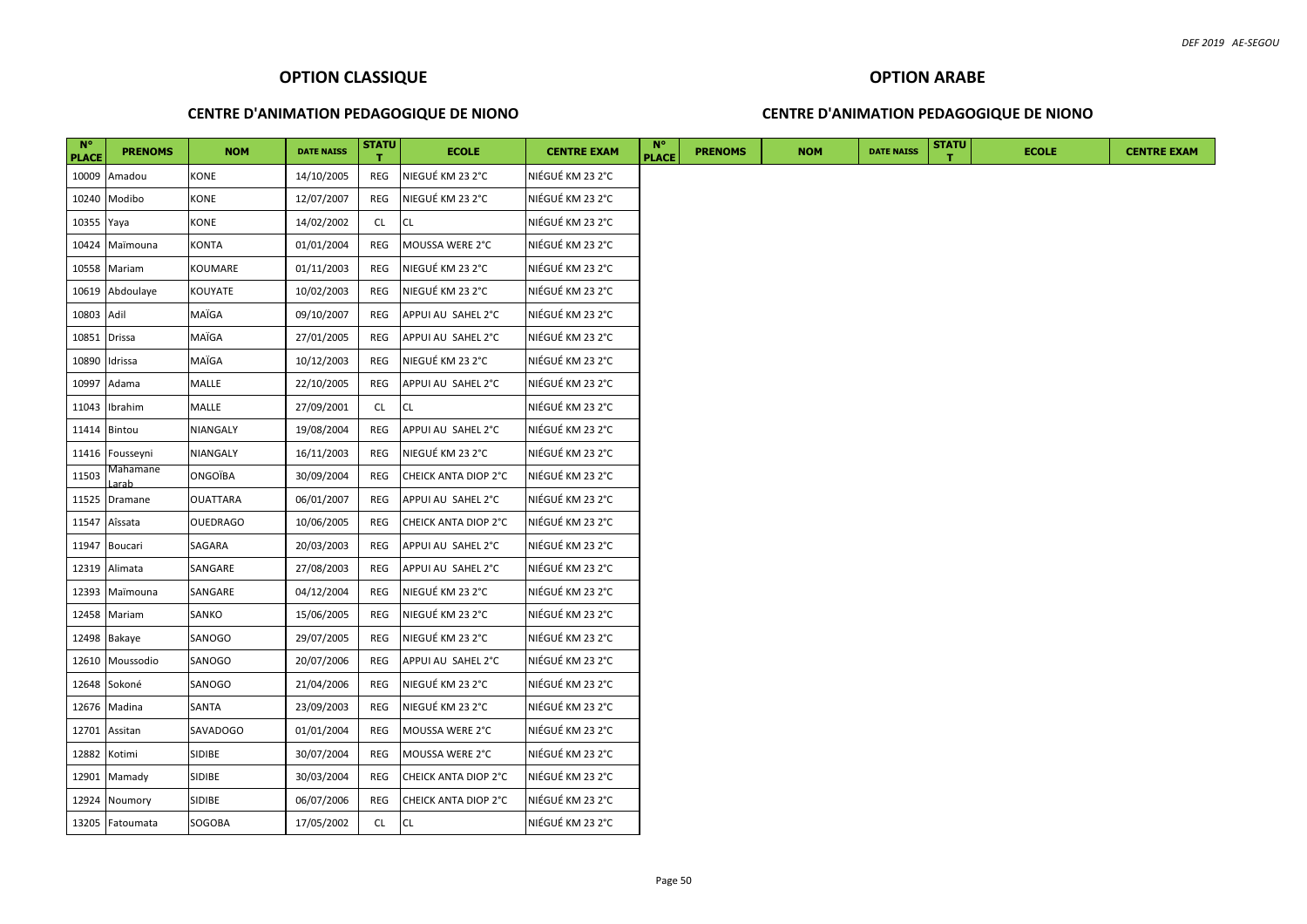#### **CENTRE D'ANIMATION PEDAGOGIQUE DE NIONO**

#### **CENTRE D'ANIMATION PEDAGOGIQUE DE NIONO**

| $N^{\circ}$<br><b>PLACE</b> | <b>PRENOMS</b>  | <b>NOM</b>      | <b>DATE NAISS</b> | STATU     | <b>ECOLE</b>         | <b>CENTRE EXAM</b> | $N^{\circ}$<br><b>PLACE</b> | <b>PRENOMS</b> | <b>NOM</b> | <b>DATE NAISS</b> | <b>STATU</b> | <b>ECOLE</b> | <b>CENTRE EXAM</b> |
|-----------------------------|-----------------|-----------------|-------------------|-----------|----------------------|--------------------|-----------------------------|----------------|------------|-------------------|--------------|--------------|--------------------|
| 10009                       | Amadou          | KONE            | 14/10/2005        | REG       | NIEGUÉ KM 23 2°C     | NIÉGUÉ KM 23 2°C   |                             |                |            |                   |              |              |                    |
|                             | 10240 Modibo    | <b>KONE</b>     | 12/07/2007        | REG       | NIEGUÉ KM 23 2°C     | NIÉGUÉ KM 23 2°C   |                             |                |            |                   |              |              |                    |
| 10355 Yaya                  |                 | KONE            | 14/02/2002        | CL        | <b>CL</b>            | NIÉGUÉ KM 23 2°C   |                             |                |            |                   |              |              |                    |
| 10424                       | Maïmouna        | <b>KONTA</b>    | 01/01/2004        | REG       | MOUSSA WERE 2°C      | NIÉGUÉ KM 23 2°C   |                             |                |            |                   |              |              |                    |
|                             | 10558 Mariam    | KOUMARE         | 01/11/2003        | REG       | NIEGUÉ KM 23 2°C     | NIÉGUÉ KM 23 2°C   |                             |                |            |                   |              |              |                    |
|                             | 10619 Abdoulaye | KOUYATE         | 10/02/2003        | REG       | NIEGUÉ KM 23 2°C     | NIÉGUÉ KM 23 2°C   |                             |                |            |                   |              |              |                    |
| 10803 Adil                  |                 | MAÏGA           | 09/10/2007        | REG       | APPUI AU SAHEL 2°C   | NIÉGUÉ KM 23 2°C   |                             |                |            |                   |              |              |                    |
| 10851 Drissa                |                 | MAÏGA           | 27/01/2005        | REG       | APPUI AU SAHEL 2°C   | NIÉGUÉ KM 23 2°C   |                             |                |            |                   |              |              |                    |
|                             | 10890 Idrissa   | MAÏGA           | 10/12/2003        | REG       | NIEGUÉ KM 23 2°C     | NIÉGUÉ KM 23 2°C   |                             |                |            |                   |              |              |                    |
|                             | 10997 Adama     | <b>MALLE</b>    | 22/10/2005        | REG       | APPUI AU SAHEL 2°C   | NIÉGUÉ KM 23 2°C   |                             |                |            |                   |              |              |                    |
| 11043                       | Ibrahim         | MALLE           | 27/09/2001        | <b>CL</b> | <b>CL</b>            | NIÉGUÉ KM 23 2°C   |                             |                |            |                   |              |              |                    |
| 11414                       | Bintou          | NIANGALY        | 19/08/2004        | REG       | APPUI AU SAHEL 2°C   | NIÉGUÉ KM 23 2°C   |                             |                |            |                   |              |              |                    |
|                             | 11416 Fousseyni | NIANGALY        | 16/11/2003        | REG       | NIEGUÉ KM 23 2°C     | NIÉGUÉ KM 23 2°C   |                             |                |            |                   |              |              |                    |
| 11503                       | Mahamane        | ONGOÏBA         | 30/09/2004        | REG       | CHEICK ANTA DIOP 2°C | NIÉGUÉ KM 23 2°C   |                             |                |            |                   |              |              |                    |
|                             | 11525 Dramane   | <b>OUATTARA</b> | 06/01/2007        | REG       | APPUI AU SAHEL 2°C   | NIÉGUÉ KM 23 2°C   |                             |                |            |                   |              |              |                    |
| 11547                       | Aîssata         | <b>OUEDRAGO</b> | 10/06/2005        | REG       | CHEICK ANTA DIOP 2°C | NIÉGUÉ KM 23 2°C   |                             |                |            |                   |              |              |                    |
| 11947                       | Boucari         | SAGARA          | 20/03/2003        | REG       | APPUI AU SAHEL 2°C   | NIÉGUÉ KM 23 2°C   |                             |                |            |                   |              |              |                    |
| 12319                       | Alimata         | SANGARE         | 27/08/2003        | REG       | APPUI AU SAHEL 2°C   | NIÉGUÉ KM 23 2°C   |                             |                |            |                   |              |              |                    |
| 12393                       | Maïmouna        | SANGARE         | 04/12/2004        | REG       | NIEGUÉ KM 23 2°C     | NIÉGUÉ KM 23 2°C   |                             |                |            |                   |              |              |                    |
| 12458                       | Mariam          | SANKO           | 15/06/2005        | REG       | NIEGUÉ KM 23 2°C     | NIÉGUÉ KM 23 2°C   |                             |                |            |                   |              |              |                    |
|                             | 12498 Bakaye    | SANOGO          | 29/07/2005        | REG       | NIEGUÉ KM 23 2°C     | NIÉGUÉ KM 23 2°C   |                             |                |            |                   |              |              |                    |
| 12610                       | Moussodio       | SANOGO          | 20/07/2006        | REG       | APPUI AU SAHEL 2°C   | NIÉGUÉ KM 23 2°C   |                             |                |            |                   |              |              |                    |
| 12648                       | Sokoné          | SANOGO          | 21/04/2006        | REG       | NIEGUÉ KM 23 2°C     | NIÉGUÉ KM 23 2°C   |                             |                |            |                   |              |              |                    |
|                             | 12676 Madina    | SANTA           | 23/09/2003        | REG       | NIEGUÉ KM 23 2°C     | NIÉGUÉ KM 23 2°C   |                             |                |            |                   |              |              |                    |
|                             | 12701 Assitan   | SAVADOGO        | 01/01/2004        | REG       | MOUSSA WERE 2°C      | NIÉGUÉ KM 23 2°C   |                             |                |            |                   |              |              |                    |
| 12882                       | Kotimi          | <b>SIDIBE</b>   | 30/07/2004        | REG       | MOUSSA WERE 2°C      | NIÉGUÉ KM 23 2°C   |                             |                |            |                   |              |              |                    |
|                             | 12901 Mamady    | <b>SIDIBE</b>   | 30/03/2004        | REG       | CHEICK ANTA DIOP 2°C | NIÉGUÉ KM 23 2°C   |                             |                |            |                   |              |              |                    |
|                             | 12924 Noumory   | SIDIBE          | 06/07/2006        | REG       | CHEICK ANTA DIOP 2°C | NIÉGUÉ KM 23 2°C   |                             |                |            |                   |              |              |                    |
|                             | 13205 Fatoumata | SOGOBA          | 17/05/2002        | CL        | <b>CL</b>            | NIÉGUÉ KM 23 2°C   |                             |                |            |                   |              |              |                    |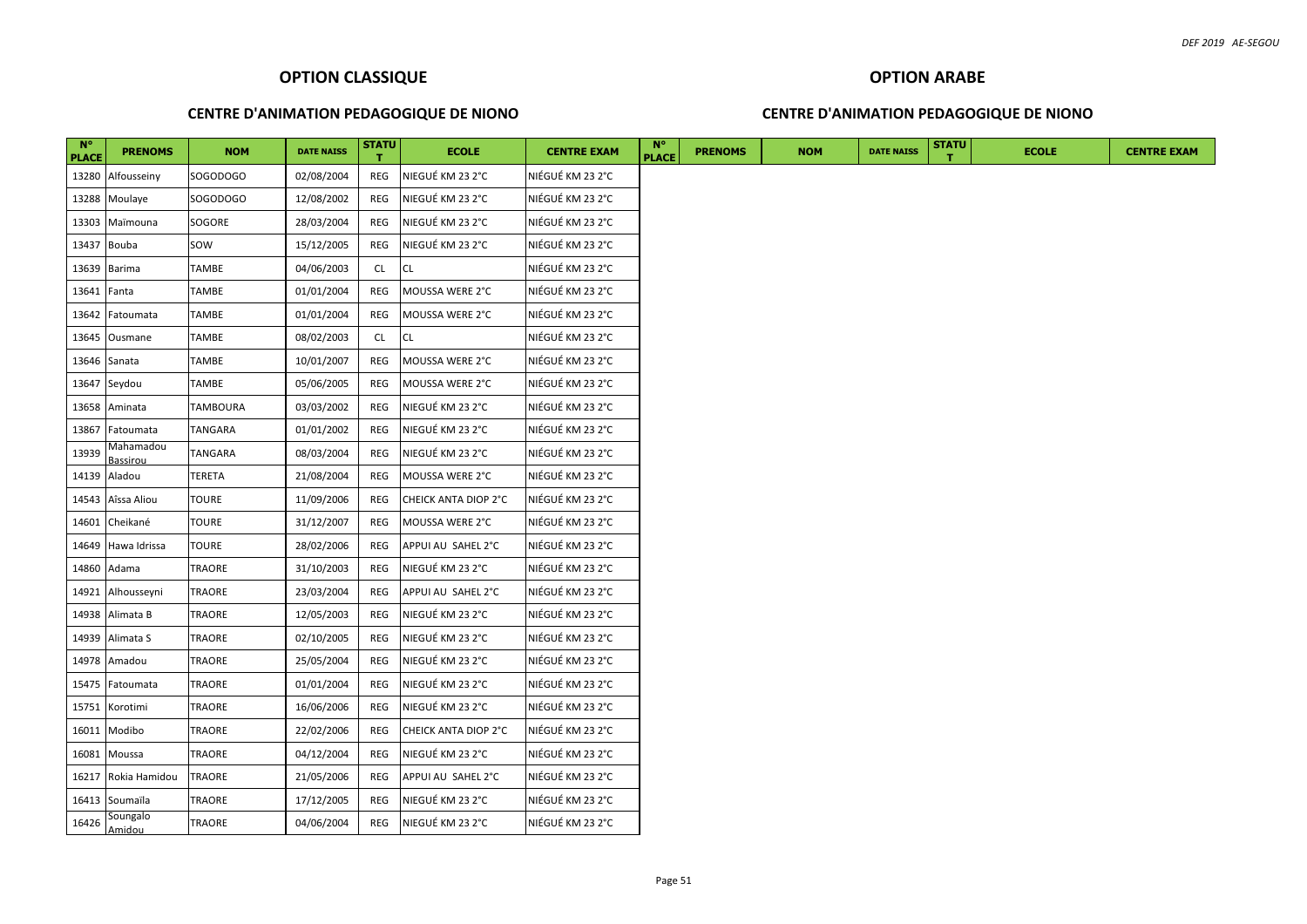#### **CENTRE D'ANIMATION PEDAGOGIQUE DE NIONO**

#### **CENTRE D'ANIMATION PEDAGOGIQUE DE NIONO**

| $N^{\circ}$<br><b>PLACE</b> | <b>PRENOMS</b>        | <b>NOM</b>   | <b>DATE NAISS</b> | STATU      | <b>ECOLE</b>         | <b>CENTRE EXAM</b> | $N^{\circ}$<br><b>PLACE</b> | <b>PRENOMS</b> | <b>NOM</b> | <b>DATE NAISS</b> | <b>STATU</b> | <b>ECOLE</b> |
|-----------------------------|-----------------------|--------------|-------------------|------------|----------------------|--------------------|-----------------------------|----------------|------------|-------------------|--------------|--------------|
| 13280                       | Alfousseiny           | SOGODOGO     | 02/08/2004        | REG        | NIEGUÉ KM 23 2°C     | NIÉGUÉ KM 23 2°C   |                             |                |            |                   |              |              |
| 13288                       | Moulaye               | SOGODOGO     | 12/08/2002        | REG        | NIEGUÉ KM 23 2°C     | NIÉGUÉ KM 23 2°C   |                             |                |            |                   |              |              |
| 13303                       | Maïmouna              | SOGORE       | 28/03/2004        | REG        | NIEGUÉ KM 23 2°C     | NIÉGUÉ KM 23 2°C   |                             |                |            |                   |              |              |
| 13437                       | Bouba                 | sow          | 15/12/2005        | REG        | NIEGUÉ KM 23 2°C     | NIÉGUÉ KM 23 2°C   |                             |                |            |                   |              |              |
| 13639                       | Barima                | TAMBE        | 04/06/2003        | <b>CL</b>  | CL                   | NIÉGUÉ KM 23 2°C   |                             |                |            |                   |              |              |
| 13641 Fanta                 |                       | TAMBE        | 01/01/2004        | REG        | MOUSSA WERE 2°C      | NIÉGUÉ KM 23 2°C   |                             |                |            |                   |              |              |
| 13642                       | Fatoumata             | TAMBE        | 01/01/2004        | REG        | MOUSSA WERE 2°C      | NIÉGUÉ KM 23 2°C   |                             |                |            |                   |              |              |
| 13645                       | Ousmane               | TAMBE        | 08/02/2003        | <b>CL</b>  | <b>CL</b>            | NIÉGUÉ KM 23 2°C   |                             |                |            |                   |              |              |
|                             | 13646 Sanata          | TAMBE        | 10/01/2007        | <b>REG</b> | MOUSSA WERE 2°C      | NIÉGUÉ KM 23 2°C   |                             |                |            |                   |              |              |
|                             | 13647 Seydou          | TAMBE        | 05/06/2005        | <b>REG</b> | MOUSSA WERE 2°C      | NIÉGUÉ KM 23 2°C   |                             |                |            |                   |              |              |
| 13658                       | Aminata               | TAMBOURA     | 03/03/2002        | REG        | NIEGUÉ KM 23 2°C     | NIÉGUÉ KM 23 2°C   |                             |                |            |                   |              |              |
| 13867                       | Fatoumata             | TANGARA      | 01/01/2002        | REG        | NIEGUÉ KM 23 2°C     | NIÉGUÉ KM 23 2°C   |                             |                |            |                   |              |              |
| 13939                       | Mahamadou<br>Bassirou | TANGARA      | 08/03/2004        | REG        | NIEGUÉ KM 23 2°C     | NIÉGUÉ KM 23 2°C   |                             |                |            |                   |              |              |
| 14139                       | Aladou                | TERETA       | 21/08/2004        | <b>REG</b> | MOUSSA WERE 2°C      | NIÉGUÉ KM 23 2°C   |                             |                |            |                   |              |              |
| 14543                       | Aîssa Aliou           | <b>TOURE</b> | 11/09/2006        | REG        | CHEICK ANTA DIOP 2°C | NIÉGUÉ KM 23 2°C   |                             |                |            |                   |              |              |
| 14601                       | Cheikané              | TOURE        | 31/12/2007        | REG        | MOUSSA WERE 2°C      | NIÉGUÉ KM 23 2°C   |                             |                |            |                   |              |              |
| 14649                       | Hawa Idrissa          | <b>TOURE</b> | 28/02/2006        | REG        | APPUI AU SAHEL 2°C   | NIÉGUÉ KM 23 2°C   |                             |                |            |                   |              |              |
| 14860                       | Adama                 | TRAORE       | 31/10/2003        | REG        | NIEGUÉ KM 23 2°C     | NIÉGUÉ KM 23 2°C   |                             |                |            |                   |              |              |
| 14921                       | Alhousseyni           | TRAORE       | 23/03/2004        | REG        | APPUI AU SAHEL 2°C   | NIÉGUÉ KM 23 2°C   |                             |                |            |                   |              |              |
|                             | 14938 Alimata B       | TRAORE       | 12/05/2003        | REG        | NIEGUÉ KM 23 2°C     | NIÉGUÉ KM 23 2°C   |                             |                |            |                   |              |              |
|                             | 14939 Alimata S       | TRAORE       | 02/10/2005        | <b>REG</b> | NIEGUÉ KM 23 2°C     | NIÉGUÉ KM 23 2°C   |                             |                |            |                   |              |              |
| 14978                       | Amadou                | TRAORE       | 25/05/2004        | REG        | NIEGUÉ KM 23 2°C     | NIÉGUÉ KM 23 2°C   |                             |                |            |                   |              |              |
| 15475                       | Fatoumata             | TRAORE       | 01/01/2004        | REG        | NIEGUÉ KM 23 2°C     | NIÉGUÉ KM 23 2°C   |                             |                |            |                   |              |              |
| 15751                       | Korotimi              | TRAORE       | 16/06/2006        | REG        | NIEGUÉ KM 23 2°C     | NIÉGUÉ KM 23 2°C   |                             |                |            |                   |              |              |
| 16011                       | Modibo                | TRAORE       | 22/02/2006        | REG        | CHEICK ANTA DIOP 2°C | NIÉGUÉ KM 23 2°C   |                             |                |            |                   |              |              |
| 16081                       | Moussa                | TRAORE       | 04/12/2004        | REG        | NIEGUÉ KM 23 2°C     | NIÉGUÉ KM 23 2°C   |                             |                |            |                   |              |              |
| 16217                       | Rokia Hamidou         | TRAORE       | 21/05/2006        | REG        | APPUI AU SAHEL 2°C   | NIÉGUÉ KM 23 2°C   |                             |                |            |                   |              |              |
|                             | 16413 Soumaïla        | TRAORE       | 17/12/2005        | REG        | NIEGUÉ KM 23 2°C     | NIÉGUÉ KM 23 2°C   |                             |                |            |                   |              |              |
| 16426                       | Soungalo<br>Amidou    | TRAORE       | 04/06/2004        | REG        | NIEGUÉ KM 23 2°C     | NIÉGUÉ KM 23 2°C   |                             |                |            |                   |              |              |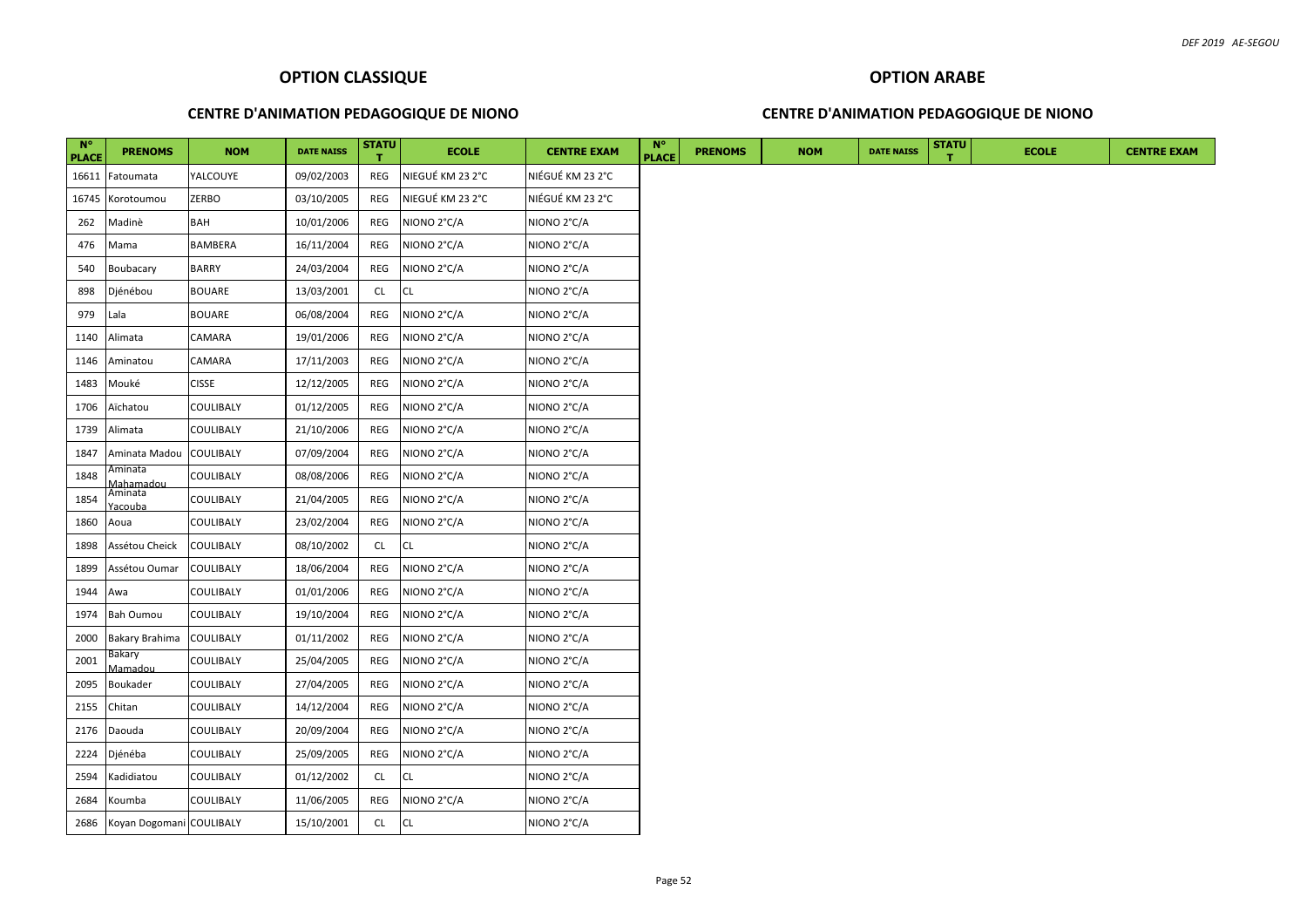# **OPTION ARABE**

## **CENTRE D'ANIMATION PEDAGOGIQUE DE NIONO**

## **CENTRE D'ANIMATION PEDAGOGIQUE DE NIONO**

| $N^{\circ}$<br><b>PLACE</b> | <b>PRENOMS</b>               | <b>NOM</b>       | <b>DATE NAISS</b> | <b>STATU</b> | <b>ECOLE</b>     | <b>CENTRE EXAM</b> | <b>N°</b><br><b>PLACE</b> | <b>PRENOMS</b> | <b>NOM</b> | <b>DATE NAISS</b> | <b>STATU</b> | <b>ECOLE</b> | <b>CENTRE EXAM</b> |
|-----------------------------|------------------------------|------------------|-------------------|--------------|------------------|--------------------|---------------------------|----------------|------------|-------------------|--------------|--------------|--------------------|
| 16611                       | Fatoumata                    | YALCOUYE         | 09/02/2003        | REG          | NIEGUÉ KM 23 2°C | NIÉGUÉ KM 23 2°C   |                           |                |            |                   |              |              |                    |
| 16745                       | Korotoumou                   | <b>ZERBO</b>     | 03/10/2005        | REG          | NIEGUÉ KM 23 2°C | NIÉGUÉ KM 23 2°C   |                           |                |            |                   |              |              |                    |
| 262                         | Madinè                       | <b>BAH</b>       | 10/01/2006        | REG          | NIONO 2°C/A      | NIONO 2°C/A        |                           |                |            |                   |              |              |                    |
| 476                         | Mama                         | BAMBERA          | 16/11/2004        | REG          | NIONO 2°C/A      | NIONO 2°C/A        |                           |                |            |                   |              |              |                    |
| 540                         | Boubacary                    | <b>BARRY</b>     | 24/03/2004        | REG          | NIONO 2°C/A      | NIONO 2°C/A        |                           |                |            |                   |              |              |                    |
| 898                         | Djénébou                     | <b>BOUARE</b>    | 13/03/2001        | <b>CL</b>    | CL               | NIONO 2°C/A        |                           |                |            |                   |              |              |                    |
| 979                         | Lala                         | <b>BOUARE</b>    | 06/08/2004        | REG          | NIONO 2°C/A      | NIONO 2°C/A        |                           |                |            |                   |              |              |                    |
| 1140                        | Alimata                      | CAMARA           | 19/01/2006        | REG          | NIONO 2°C/A      | NIONO 2°C/A        |                           |                |            |                   |              |              |                    |
| 1146                        | Aminatou                     | CAMARA           | 17/11/2003        | REG          | NIONO 2°C/A      | NIONO 2°C/A        |                           |                |            |                   |              |              |                    |
| 1483                        | Mouké                        | <b>CISSE</b>     | 12/12/2005        | REG          | NIONO 2°C/A      | NIONO 2°C/A        |                           |                |            |                   |              |              |                    |
| 1706                        | Aïchatou                     | COULIBALY        | 01/12/2005        | REG          | NIONO 2°C/A      | NIONO 2°C/A        |                           |                |            |                   |              |              |                    |
| 1739                        | Alimata                      | COULIBALY        | 21/10/2006        | REG          | NIONO 2°C/A      | NIONO 2°C/A        |                           |                |            |                   |              |              |                    |
| 1847                        | Aminata Madou                | <b>COULIBALY</b> | 07/09/2004        | REG          | NIONO 2°C/A      | NIONO 2°C/A        |                           |                |            |                   |              |              |                    |
| 1848                        | Aminata<br><u> Aahamadou</u> | COULIBALY        | 08/08/2006        | REG          | NIONO 2°C/A      | NIONO 2°C/A        |                           |                |            |                   |              |              |                    |
| 1854                        | Aminata<br>acouba            | <b>COULIBALY</b> | 21/04/2005        | REG          | NIONO 2°C/A      | NIONO 2°C/A        |                           |                |            |                   |              |              |                    |
| 1860                        | Aoua                         | <b>COULIBALY</b> | 23/02/2004        | REG          | NIONO 2°C/A      | NIONO 2°C/A        |                           |                |            |                   |              |              |                    |
| 1898                        | Assétou Cheick               | <b>COULIBALY</b> | 08/10/2002        | <b>CL</b>    | CL               | NIONO 2°C/A        |                           |                |            |                   |              |              |                    |
| 1899                        | Assétou Oumar                | <b>COULIBALY</b> | 18/06/2004        | REG          | NIONO 2°C/A      | NIONO 2°C/A        |                           |                |            |                   |              |              |                    |
| 1944                        | Awa                          | COULIBALY        | 01/01/2006        | REG          | NIONO 2°C/A      | NIONO 2°C/A        |                           |                |            |                   |              |              |                    |
| 1974                        | <b>Bah Oumou</b>             | <b>COULIBALY</b> | 19/10/2004        | REG          | NIONO 2°C/A      | NIONO 2°C/A        |                           |                |            |                   |              |              |                    |
| 2000                        | Bakary Brahima               | <b>COULIBALY</b> | 01/11/2002        | REG          | NIONO 2°C/A      | NIONO 2°C/A        |                           |                |            |                   |              |              |                    |
| 2001                        | Bakary<br>Mamadou            | COULIBALY        | 25/04/2005        | REG          | NIONO 2°C/A      | NIONO 2°C/A        |                           |                |            |                   |              |              |                    |
| 2095                        | Boukader                     | <b>COULIBALY</b> | 27/04/2005        | REG          | NIONO 2°C/A      | NIONO 2°C/A        |                           |                |            |                   |              |              |                    |
| 2155                        | Chitan                       | COULIBALY        | 14/12/2004        | REG          | NIONO 2°C/A      | NIONO 2°C/A        |                           |                |            |                   |              |              |                    |
| 2176                        | Daouda                       | COULIBALY        | 20/09/2004        | REG          | NIONO 2°C/A      | NIONO 2°C/A        |                           |                |            |                   |              |              |                    |
| 2224                        | Djénéba                      | COULIBALY        | 25/09/2005        | REG          | NIONO 2°C/A      | NIONO 2°C/A        |                           |                |            |                   |              |              |                    |
| 2594                        | Kadidiatou                   | COULIBALY        | 01/12/2002        | CL           | <b>CL</b>        | NIONO 2°C/A        |                           |                |            |                   |              |              |                    |
| 2684                        | Koumba                       | COULIBALY        | 11/06/2005        | REG          | NIONO 2°C/A      | NIONO 2°C/A        |                           |                |            |                   |              |              |                    |
| 2686                        | Koyan Dogomani COULIBALY     |                  | 15/10/2001        | CL           | CL               | NIONO 2°C/A        |                           |                |            |                   |              |              |                    |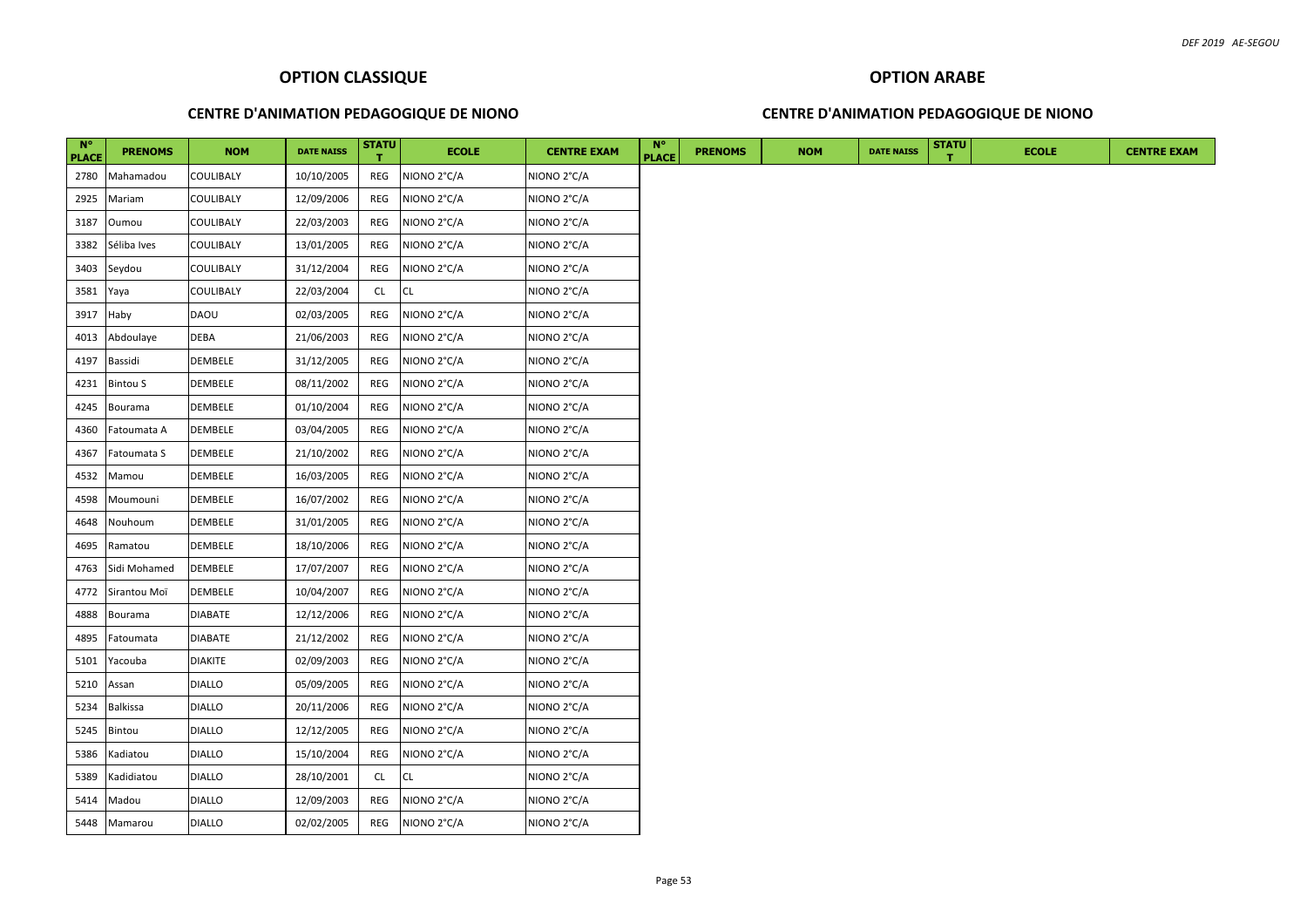#### **CENTRE D'ANIMATION PEDAGOGIQUE DE NIONO**

# **OPTION ARABE CENTRE D'ANIMATION PEDAGOGIQUE DE NIONO**

| $N^{\circ}$   | <b>PRENOMS</b>  | <b>NOM</b>     | <b>DATE NAISS</b> | <b>STATU</b> | <b>ECOLE</b> | <b>CENTRE EXAM</b> | $N^{\circ}$<br><b>PLACE</b> | <b>PRENOMS</b> | <b>NOM</b> | <b>DATE NAISS</b> | <b>STATU</b> | <b>ECOLE</b> |
|---------------|-----------------|----------------|-------------------|--------------|--------------|--------------------|-----------------------------|----------------|------------|-------------------|--------------|--------------|
| PLACE<br>2780 | Mahamadou       | COULIBALY      | 10/10/2005        | REG          | NIONO 2°C/A  | NIONO 2°C/A        |                             |                |            |                   |              |              |
| 2925          | Mariam          | COULIBALY      | 12/09/2006        | REG          | NIONO 2°C/A  | NIONO 2°C/A        |                             |                |            |                   |              |              |
| 3187          | Oumou           | COULIBALY      | 22/03/2003        | REG          | NIONO 2°C/A  | NIONO 2°C/A        |                             |                |            |                   |              |              |
| 3382          | Séliba Ives     | COULIBALY      | 13/01/2005        | REG          | NIONO 2°C/A  | NIONO 2°C/A        |                             |                |            |                   |              |              |
| 3403          | Seydou          | COULIBALY      | 31/12/2004        | REG          | NIONO 2°C/A  | NIONO 2°C/A        |                             |                |            |                   |              |              |
| 3581          | Yaya            | COULIBALY      | 22/03/2004        | CL.          | CL           | NIONO 2°C/A        |                             |                |            |                   |              |              |
| 3917          | Haby            | <b>DAOU</b>    | 02/03/2005        | REG          | NIONO 2°C/A  | NIONO 2°C/A        |                             |                |            |                   |              |              |
| 4013          | Abdoulaye       | <b>DEBA</b>    | 21/06/2003        | REG          | NIONO 2°C/A  | NIONO 2°C/A        |                             |                |            |                   |              |              |
| 4197          | Bassidi         | DEMBELE        | 31/12/2005        | REG          | NIONO 2°C/A  | NIONO 2°C/A        |                             |                |            |                   |              |              |
| 4231          | <b>Bintou S</b> | DEMBELE        | 08/11/2002        | REG          | NIONO 2°C/A  | NIONO 2°C/A        |                             |                |            |                   |              |              |
| 4245          | Bourama         | DEMBELE        | 01/10/2004        | REG          | NIONO 2°C/A  | NIONO 2°C/A        |                             |                |            |                   |              |              |
| 4360          | Fatoumata A     | DEMBELE        | 03/04/2005        | REG          | NIONO 2°C/A  | NIONO 2°C/A        |                             |                |            |                   |              |              |
| 4367          | Fatoumata S     | DEMBELE        | 21/10/2002        | REG          | NIONO 2°C/A  | NIONO 2°C/A        |                             |                |            |                   |              |              |
| 4532          | Mamou           | DEMBELE        | 16/03/2005        | REG          | NIONO 2°C/A  | NIONO 2°C/A        |                             |                |            |                   |              |              |
| 4598          | Moumouni        | DEMBELE        | 16/07/2002        | REG          | NIONO 2°C/A  | NIONO 2°C/A        |                             |                |            |                   |              |              |
| 4648          | Nouhoum         | DEMBELE        | 31/01/2005        | REG          | NIONO 2°C/A  | NIONO 2°C/A        |                             |                |            |                   |              |              |
| 4695          | Ramatou         | DEMBELE        | 18/10/2006        | REG          | NIONO 2°C/A  | NIONO 2°C/A        |                             |                |            |                   |              |              |
| 4763          | Sidi Mohamed    | DEMBELE        | 17/07/2007        | REG          | NIONO 2°C/A  | NIONO 2°C/A        |                             |                |            |                   |              |              |
| 4772          | Sirantou Moï    | DEMBELE        | 10/04/2007        | REG          | NIONO 2°C/A  | NIONO 2°C/A        |                             |                |            |                   |              |              |
| 4888          | Bourama         | <b>DIABATE</b> | 12/12/2006        | REG          | NIONO 2°C/A  | NIONO 2°C/A        |                             |                |            |                   |              |              |
| 4895          | Fatoumata       | <b>DIABATE</b> | 21/12/2002        | REG          | NIONO 2°C/A  | NIONO 2°C/A        |                             |                |            |                   |              |              |
| 5101          | Yacouba         | <b>DIAKITE</b> | 02/09/2003        | REG          | NIONO 2°C/A  | NIONO 2°C/A        |                             |                |            |                   |              |              |
| 5210          | Assan           | <b>DIALLO</b>  | 05/09/2005        | REG          | NIONO 2°C/A  | NIONO 2°C/A        |                             |                |            |                   |              |              |
| 5234          | <b>Balkissa</b> | <b>DIALLO</b>  | 20/11/2006        | REG          | NIONO 2°C/A  | NIONO 2°C/A        |                             |                |            |                   |              |              |
| 5245          | Bintou          | <b>DIALLO</b>  | 12/12/2005        | REG          | NIONO 2°C/A  | NIONO 2°C/A        |                             |                |            |                   |              |              |
| 5386          | Kadiatou        | <b>DIALLO</b>  | 15/10/2004        | REG          | NIONO 2°C/A  | NIONO 2°C/A        |                             |                |            |                   |              |              |
| 5389          | Kadidiatou      | <b>DIALLO</b>  | 28/10/2001        | CL.          | <b>CL</b>    | NIONO 2°C/A        |                             |                |            |                   |              |              |
| 5414          | Madou           | <b>DIALLO</b>  | 12/09/2003        | REG          | NIONO 2°C/A  | NIONO 2°C/A        |                             |                |            |                   |              |              |
|               | 5448 Mamarou    | <b>DIALLO</b>  | 02/02/2005        | REG          | NIONO 2°C/A  | NIONO 2°C/A        |                             |                |            |                   |              |              |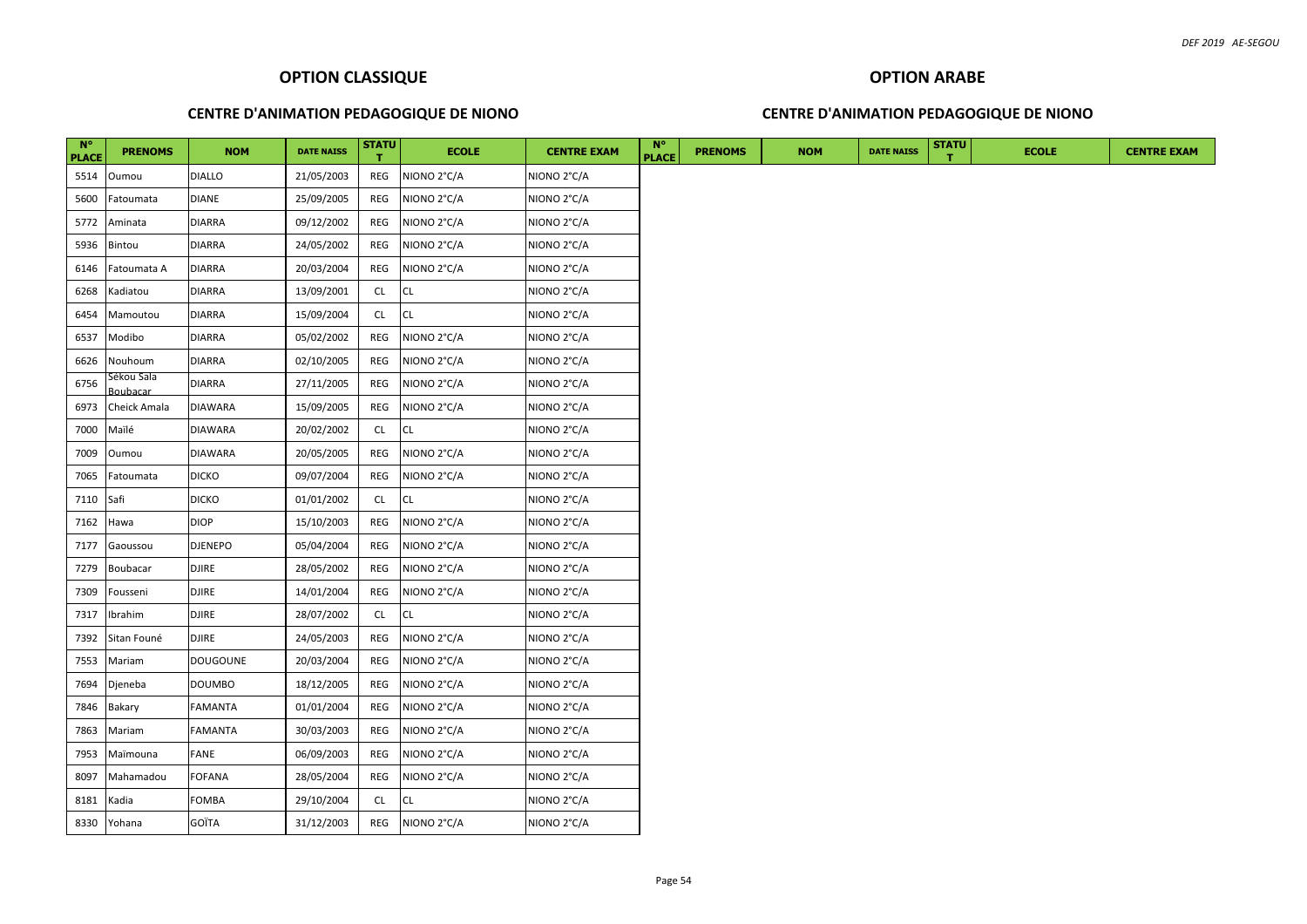## **CENTRE D'ANIMATION PEDAGOGIQUE DE NIONO**

# **OPTION ARABE**

## **CENTRE D'ANIMATION PEDAGOGIQUE DE NIONO**

| $N^{\circ}$<br><b>PLACE</b> | <b>PRENOMS</b>         | <b>NOM</b>     | <b>DATE NAISS</b> | <b>STATU</b> | <b>ECOLE</b> | <b>CENTRE EXAM</b> | <b>N°</b><br><b>PLACE</b> | <b>PRENOMS</b> | <b>NOM</b> | <b>DATE NAISS</b> | <b>STATU</b> | <b>ECOLE</b> | <b>CENTRE EXAM</b> |
|-----------------------------|------------------------|----------------|-------------------|--------------|--------------|--------------------|---------------------------|----------------|------------|-------------------|--------------|--------------|--------------------|
| 5514                        | Oumou                  | <b>DIALLO</b>  | 21/05/2003        | REG          | NIONO 2°C/A  | NIONO 2°C/A        |                           |                |            |                   |              |              |                    |
| 5600                        | Fatoumata              | <b>DIANE</b>   | 25/09/2005        | REG          | NIONO 2°C/A  | NIONO 2°C/A        |                           |                |            |                   |              |              |                    |
| 5772                        | Aminata                | <b>DIARRA</b>  | 09/12/2002        | REG          | NIONO 2°C/A  | NIONO 2°C/A        |                           |                |            |                   |              |              |                    |
| 5936                        | Bintou                 | <b>DIARRA</b>  | 24/05/2002        | REG          | NIONO 2°C/A  | NIONO 2°C/A        |                           |                |            |                   |              |              |                    |
| 6146                        | Fatoumata A            | <b>DIARRA</b>  | 20/03/2004        | REG          | NIONO 2°C/A  | NIONO 2°C/A        |                           |                |            |                   |              |              |                    |
| 6268                        | Kadiatou               | <b>DIARRA</b>  | 13/09/2001        | <b>CL</b>    | CL           | NIONO 2°C/A        |                           |                |            |                   |              |              |                    |
| 6454                        | Mamoutou               | <b>DIARRA</b>  | 15/09/2004        | CL           | CL           | NIONO 2°C/A        |                           |                |            |                   |              |              |                    |
| 6537                        | Modibo                 | <b>DIARRA</b>  | 05/02/2002        | REG          | NIONO 2°C/A  | NIONO 2°C/A        |                           |                |            |                   |              |              |                    |
| 6626                        | Nouhoum                | <b>DIARRA</b>  | 02/10/2005        | REG          | NIONO 2°C/A  | NIONO 2°C/A        |                           |                |            |                   |              |              |                    |
| 6756                        | Sékou Sala<br>Boubacar | <b>DIARRA</b>  | 27/11/2005        | REG          | NIONO 2°C/A  | NIONO 2°C/A        |                           |                |            |                   |              |              |                    |
| 6973                        | Cheick Amala           | <b>DIAWARA</b> | 15/09/2005        | REG          | NIONO 2°C/A  | NIONO 2°C/A        |                           |                |            |                   |              |              |                    |
| 7000                        | Maïlé                  | <b>DIAWARA</b> | 20/02/2002        | <b>CL</b>    | CL           | NIONO 2°C/A        |                           |                |            |                   |              |              |                    |
| 7009                        | Oumou                  | <b>DIAWARA</b> | 20/05/2005        | REG          | NIONO 2°C/A  | NIONO 2°C/A        |                           |                |            |                   |              |              |                    |
| 7065                        | Fatoumata              | <b>DICKO</b>   | 09/07/2004        | REG          | NIONO 2°C/A  | NIONO 2°C/A        |                           |                |            |                   |              |              |                    |
| 7110                        | Safi                   | <b>DICKO</b>   | 01/01/2002        | CL           | CL.          | NIONO 2°C/A        |                           |                |            |                   |              |              |                    |
| 7162                        | Hawa                   | <b>DIOP</b>    | 15/10/2003        | REG          | NIONO 2°C/A  | NIONO 2°C/A        |                           |                |            |                   |              |              |                    |
| 7177                        | Gaoussou               | <b>DJENEPO</b> | 05/04/2004        | REG          | NIONO 2°C/A  | NIONO 2°C/A        |                           |                |            |                   |              |              |                    |
| 7279                        | <b>Boubacar</b>        | <b>DJIRE</b>   | 28/05/2002        | REG          | NIONO 2°C/A  | NIONO 2°C/A        |                           |                |            |                   |              |              |                    |
| 7309                        | Fousseni               | <b>DJIRE</b>   | 14/01/2004        | REG          | NIONO 2°C/A  | NIONO 2°C/A        |                           |                |            |                   |              |              |                    |
| 7317                        | Ibrahim                | <b>DJIRE</b>   | 28/07/2002        | <b>CL</b>    | CL           | NIONO 2°C/A        |                           |                |            |                   |              |              |                    |
| 7392                        | Sitan Founé            | <b>DJIRE</b>   | 24/05/2003        | REG          | NIONO 2°C/A  | NIONO 2°C/A        |                           |                |            |                   |              |              |                    |
| 7553                        | Mariam                 | DOUGOUNE       | 20/03/2004        | REG          | NIONO 2°C/A  | NIONO 2°C/A        |                           |                |            |                   |              |              |                    |
| 7694                        | Djeneba                | <b>DOUMBO</b>  | 18/12/2005        | REG          | NIONO 2°C/A  | NIONO 2°C/A        |                           |                |            |                   |              |              |                    |
| 7846                        | Bakary                 | FAMANTA        | 01/01/2004        | REG          | NIONO 2°C/A  | NIONO 2°C/A        |                           |                |            |                   |              |              |                    |
| 7863                        | Mariam                 | FAMANTA        | 30/03/2003        | REG          | NIONO 2°C/A  | NIONO 2°C/A        |                           |                |            |                   |              |              |                    |
| 7953                        | Maïmouna               | FANE           | 06/09/2003        | REG          | NIONO 2°C/A  | NIONO 2°C/A        |                           |                |            |                   |              |              |                    |
| 8097                        | Mahamadou              | <b>FOFANA</b>  | 28/05/2004        | REG          | NIONO 2°C/A  | NIONO 2°C/A        |                           |                |            |                   |              |              |                    |
| 8181                        | Kadia                  | FOMBA          | 29/10/2004        | <b>CL</b>    | CL           | NIONO 2°C/A        |                           |                |            |                   |              |              |                    |
| 8330                        | Yohana                 | GOÏTA          | 31/12/2003        | REG          | NIONO 2°C/A  | NIONO 2°C/A        |                           |                |            |                   |              |              |                    |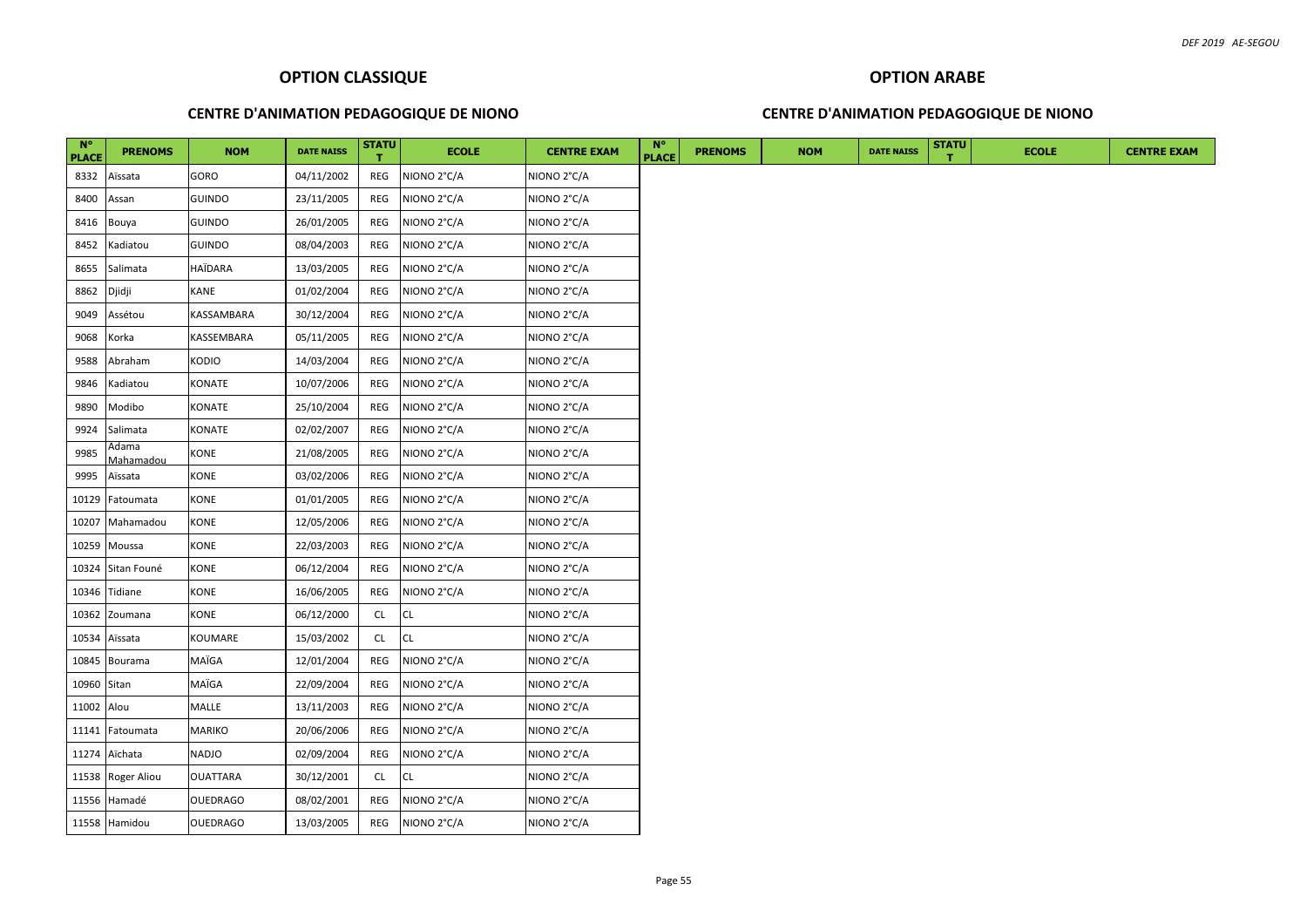## **CENTRE D'ANIMATION PEDAGOGIQUE DE NIONO**

#### **CENTRE D'ANIMATION PEDAGOGIQUE DE NIONO**

| $N^{\circ}$<br><b>PLACE</b> | <b>PRENOMS</b>     | <b>NOM</b>      | <b>DATE NAISS</b> | <b>STATU</b> | <b>ECOLE</b> | <b>CENTRE EXAM</b> | $N^{\circ}$<br><b>PLACE</b> | <b>PRENOMS</b> | <b>NOM</b> | <b>DATE NAISS</b> | <b>STATU</b> | <b>ECOLE</b> |  |
|-----------------------------|--------------------|-----------------|-------------------|--------------|--------------|--------------------|-----------------------------|----------------|------------|-------------------|--------------|--------------|--|
| 8332                        | Aïssata            | GORO            | 04/11/2002        | REG          | NIONO 2°C/A  | NIONO 2°C/A        |                             |                |            |                   |              |              |  |
| 8400                        | Assan              | <b>GUINDO</b>   | 23/11/2005        | REG          | NIONO 2°C/A  | NIONO 2°C/A        |                             |                |            |                   |              |              |  |
| 8416                        | Bouya              | <b>GUINDO</b>   | 26/01/2005        | <b>REG</b>   | NIONO 2°C/A  | NIONO 2°C/A        |                             |                |            |                   |              |              |  |
| 8452                        | Kadiatou           | <b>GUINDO</b>   | 08/04/2003        | REG          | NIONO 2°C/A  | NIONO 2°C/A        |                             |                |            |                   |              |              |  |
| 8655                        | Salimata           | HAÏDARA         | 13/03/2005        | REG          | NIONO 2°C/A  | NIONO 2°C/A        |                             |                |            |                   |              |              |  |
| 8862                        | Djidji             | KANE            | 01/02/2004        | REG          | NIONO 2°C/A  | NIONO 2°C/A        |                             |                |            |                   |              |              |  |
| 9049                        | Assétou            | KASSAMBARA      | 30/12/2004        | REG          | NIONO 2°C/A  | NIONO 2°C/A        |                             |                |            |                   |              |              |  |
| 9068                        | Korka              | KASSEMBARA      | 05/11/2005        | REG          | NIONO 2°C/A  | NIONO 2°C/A        |                             |                |            |                   |              |              |  |
| 9588                        | Abraham            | KODIO           | 14/03/2004        | REG          | NIONO 2°C/A  | NIONO 2°C/A        |                             |                |            |                   |              |              |  |
| 9846                        | Kadiatou           | KONATE          | 10/07/2006        | REG          | NIONO 2°C/A  | NIONO 2°C/A        |                             |                |            |                   |              |              |  |
| 9890                        | Modibo             | KONATE          | 25/10/2004        | REG          | NIONO 2°C/A  | NIONO 2°C/A        |                             |                |            |                   |              |              |  |
| 9924                        | Salimata           | KONATE          | 02/02/2007        | REG          | NIONO 2°C/A  | NIONO 2°C/A        |                             |                |            |                   |              |              |  |
| 9985                        | Adama<br>Mahamadou | KONE            | 21/08/2005        | REG          | NIONO 2°C/A  | NIONO 2°C/A        |                             |                |            |                   |              |              |  |
| 9995                        | Aïssata            | KONE            | 03/02/2006        | REG          | NIONO 2°C/A  | NIONO 2°C/A        |                             |                |            |                   |              |              |  |
| 10129                       | Fatoumata          | KONE            | 01/01/2005        | REG          | NIONO 2°C/A  | NIONO 2°C/A        |                             |                |            |                   |              |              |  |
| 10207                       | Mahamadou          | KONE            | 12/05/2006        | REG          | NIONO 2°C/A  | NIONO 2°C/A        |                             |                |            |                   |              |              |  |
| 10259                       | Moussa             | KONE            | 22/03/2003        | REG          | NIONO 2°C/A  | NIONO 2°C/A        |                             |                |            |                   |              |              |  |
| 10324                       | Sitan Founé        | KONE            | 06/12/2004        | REG          | NIONO 2°C/A  | NIONO 2°C/A        |                             |                |            |                   |              |              |  |
| 10346                       | Tidiane            | KONE            | 16/06/2005        | REG          | NIONO 2°C/A  | NIONO 2°C/A        |                             |                |            |                   |              |              |  |
| 10362                       | Zoumana            | KONE            | 06/12/2000        | <b>CL</b>    | CL           | NIONO 2°C/A        |                             |                |            |                   |              |              |  |
| 10534                       | Aïssata            | KOUMARE         | 15/03/2002        | <b>CL</b>    | <b>CL</b>    | NIONO 2°C/A        |                             |                |            |                   |              |              |  |
| 10845                       | Bourama            | MAÏGA           | 12/01/2004        | REG          | NIONO 2°C/A  | NIONO 2°C/A        |                             |                |            |                   |              |              |  |
| 10960 Sitan                 |                    | MAÏGA           | 22/09/2004        | REG          | NIONO 2°C/A  | NIONO 2°C/A        |                             |                |            |                   |              |              |  |
| 11002 Alou                  |                    | MALLE           | 13/11/2003        | REG          | NIONO 2°C/A  | NIONO 2°C/A        |                             |                |            |                   |              |              |  |
| 11141                       | Fatoumata          | MARIKO          | 20/06/2006        | REG          | NIONO 2°C/A  | NIONO 2°C/A        |                             |                |            |                   |              |              |  |
| 11274                       | Aïchata            | NADJO           | 02/09/2004        | REG          | NIONO 2°C/A  | NIONO 2°C/A        |                             |                |            |                   |              |              |  |
|                             | 11538 Roger Aliou  | <b>OUATTARA</b> | 30/12/2001        | <b>CL</b>    | CL.          | NIONO 2°C/A        |                             |                |            |                   |              |              |  |
| 11556                       | Hamadé             | OUEDRAGO        | 08/02/2001        | REG          | NIONO 2°C/A  | NIONO 2°C/A        |                             |                |            |                   |              |              |  |
|                             | 11558 Hamidou      | <b>OUEDRAGO</b> | 13/03/2005        | REG          | NIONO 2°C/A  | NIONO 2°C/A        |                             |                |            |                   |              |              |  |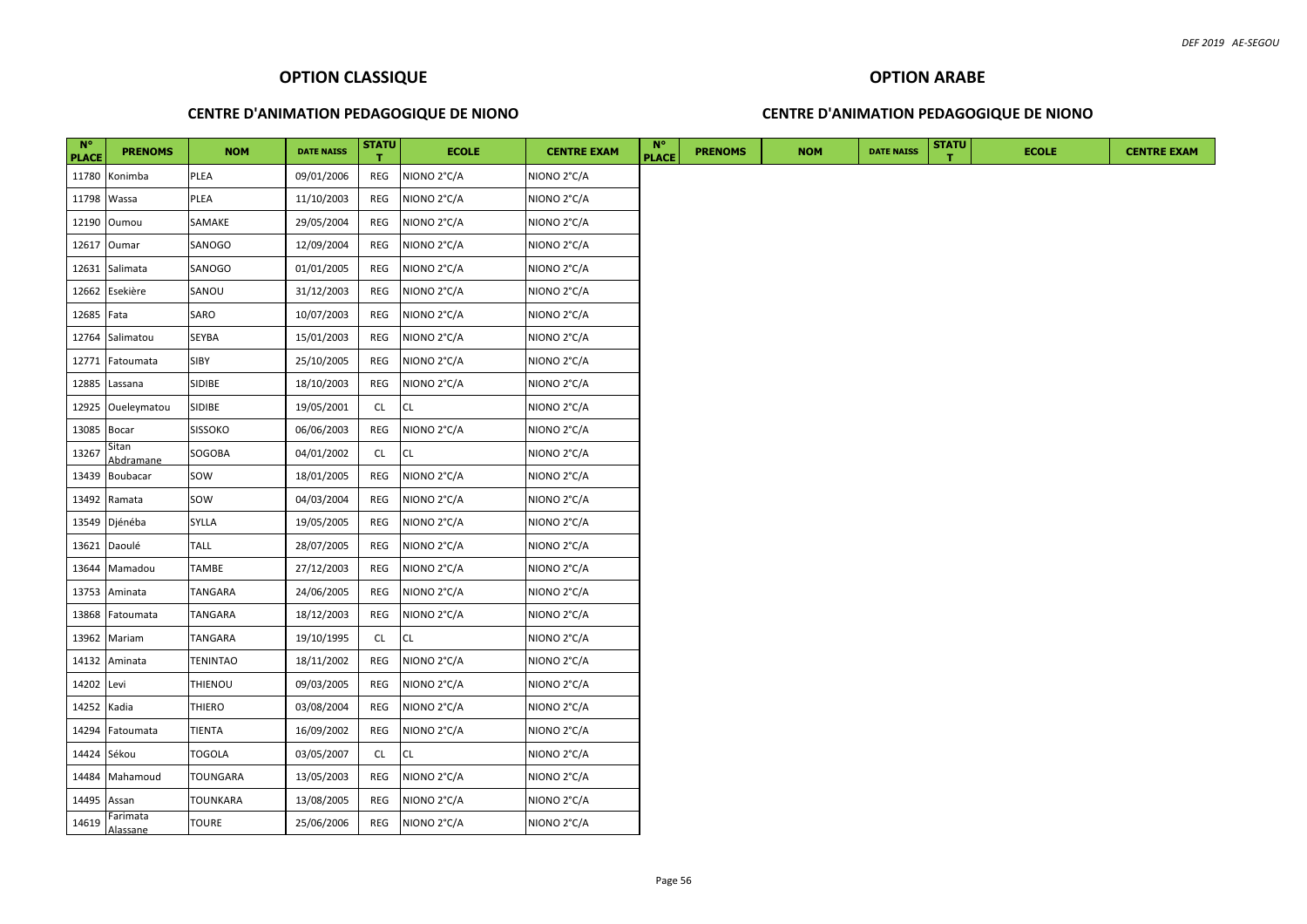## **CENTRE D'ANIMATION PEDAGOGIQUE DE NIONO**

## **CENTRE D'ANIMATION PEDAGOGIQUE DE NIONO**

| $N^{\circ}$<br><b>PLACE</b> | <b>PRENOMS</b>     | <b>NOM</b>      | <b>DATE NAISS</b> | <b>STATU</b> | <b>ECOLE</b> | <b>CENTRE EXAM</b> | $N^{\circ}$<br><b>PLACE</b> | <b>PRENOMS</b> | <b>NOM</b> | <b>DATE NAISS</b> | <b>STATU</b> | <b>ECOLE</b> | <b>CENTRE EXAM</b> |
|-----------------------------|--------------------|-----------------|-------------------|--------------|--------------|--------------------|-----------------------------|----------------|------------|-------------------|--------------|--------------|--------------------|
|                             | 11780 Konimba      | PLEA            | 09/01/2006        | REG          | NIONO 2°C/A  | NIONO 2°C/A        |                             |                |            |                   |              |              |                    |
| 11798 Wassa                 |                    | PLEA            | 11/10/2003        | REG          | NIONO 2°C/A  | NIONO 2°C/A        |                             |                |            |                   |              |              |                    |
|                             | 12190 Oumou        | SAMAKE          | 29/05/2004        | REG          | NIONO 2°C/A  | NIONO 2°C/A        |                             |                |            |                   |              |              |                    |
|                             | 12617 Oumar        | SANOGO          | 12/09/2004        | REG          | NIONO 2°C/A  | NIONO 2°C/A        |                             |                |            |                   |              |              |                    |
|                             | 12631 Salimata     | SANOGO          | 01/01/2005        | REG          | NIONO 2°C/A  | NIONO 2°C/A        |                             |                |            |                   |              |              |                    |
|                             | 12662 Esekière     | SANOU           | 31/12/2003        | REG          | NIONO 2°C/A  | NIONO 2°C/A        |                             |                |            |                   |              |              |                    |
| 12685 Fata                  |                    | SARO            | 10/07/2003        | REG          | NIONO 2°C/A  | NIONO 2°C/A        |                             |                |            |                   |              |              |                    |
|                             | 12764 Salimatou    | <b>SEYBA</b>    | 15/01/2003        | REG          | NIONO 2°C/A  | NIONO 2°C/A        |                             |                |            |                   |              |              |                    |
|                             | 12771 Fatoumata    | SIBY            | 25/10/2005        | REG          | NIONO 2°C/A  | NIONO 2°C/A        |                             |                |            |                   |              |              |                    |
|                             | 12885 Lassana      | SIDIBE          | 18/10/2003        | REG          | NIONO 2°C/A  | NIONO 2°C/A        |                             |                |            |                   |              |              |                    |
|                             | 12925 Oueleymatou  | SIDIBE          | 19/05/2001        | <b>CL</b>    | CL           | NIONO 2°C/A        |                             |                |            |                   |              |              |                    |
| 13085 Bocar                 |                    | <b>SISSOKO</b>  | 06/06/2003        | REG          | NIONO 2°C/A  | NIONO 2°C/A        |                             |                |            |                   |              |              |                    |
| 13267                       | Sitan<br>Abdramane | SOGOBA          | 04/01/2002        | CL           | CL           | NIONO 2°C/A        |                             |                |            |                   |              |              |                    |
|                             | 13439 Boubacar     | SOW             | 18/01/2005        | REG          | NIONO 2°C/A  | NIONO 2°C/A        |                             |                |            |                   |              |              |                    |
|                             | 13492 Ramata       | sow             | 04/03/2004        | REG          | NIONO 2°C/A  | NIONO 2°C/A        |                             |                |            |                   |              |              |                    |
|                             | 13549 Djénéba      | SYLLA           | 19/05/2005        | REG          | NIONO 2°C/A  | NIONO 2°C/A        |                             |                |            |                   |              |              |                    |
|                             | 13621 Daoulé       | <b>TALL</b>     | 28/07/2005        | REG          | NIONO 2°C/A  | NIONO 2°C/A        |                             |                |            |                   |              |              |                    |
|                             | 13644 Mamadou      | <b>TAMBE</b>    | 27/12/2003        | REG          | NIONO 2°C/A  | NIONO 2°C/A        |                             |                |            |                   |              |              |                    |
|                             | 13753 Aminata      | <b>TANGARA</b>  | 24/06/2005        | REG          | NIONO 2°C/A  | NIONO 2°C/A        |                             |                |            |                   |              |              |                    |
|                             | 13868 Fatoumata    | TANGARA         | 18/12/2003        | REG          | NIONO 2°C/A  | NIONO 2°C/A        |                             |                |            |                   |              |              |                    |
|                             | 13962 Mariam       | TANGARA         | 19/10/1995        | <b>CL</b>    | CL           | NIONO 2°C/A        |                             |                |            |                   |              |              |                    |
|                             | 14132 Aminata      | <b>TENINTAO</b> | 18/11/2002        | REG          | NIONO 2°C/A  | NIONO 2°C/A        |                             |                |            |                   |              |              |                    |
| 14202 Levi                  |                    | THIENOU         | 09/03/2005        | REG          | NIONO 2°C/A  | NIONO 2°C/A        |                             |                |            |                   |              |              |                    |
| 14252 Kadia                 |                    | <b>THIERO</b>   | 03/08/2004        | REG          | NIONO 2°C/A  | NIONO 2°C/A        |                             |                |            |                   |              |              |                    |
|                             | 14294 Fatoumata    | <b>TIENTA</b>   | 16/09/2002        | REG          | NIONO 2°C/A  | NIONO 2°C/A        |                             |                |            |                   |              |              |                    |
| 14424 Sékou                 |                    | <b>TOGOLA</b>   | 03/05/2007        | <b>CL</b>    | <b>CL</b>    | NIONO 2°C/A        |                             |                |            |                   |              |              |                    |
|                             | 14484 Mahamoud     | <b>TOUNGARA</b> | 13/05/2003        | REG          | NIONO 2°C/A  | NIONO 2°C/A        |                             |                |            |                   |              |              |                    |
| 14495 Assan                 |                    | <b>TOUNKARA</b> | 13/08/2005        | REG          | NIONO 2°C/A  | NIONO 2°C/A        |                             |                |            |                   |              |              |                    |
|                             | $14619$ Farimata   | <b>TOURE</b>    | 25/06/2006        | REG          | NIONO 2°C/A  | NIONO 2°C/A        |                             |                |            |                   |              |              |                    |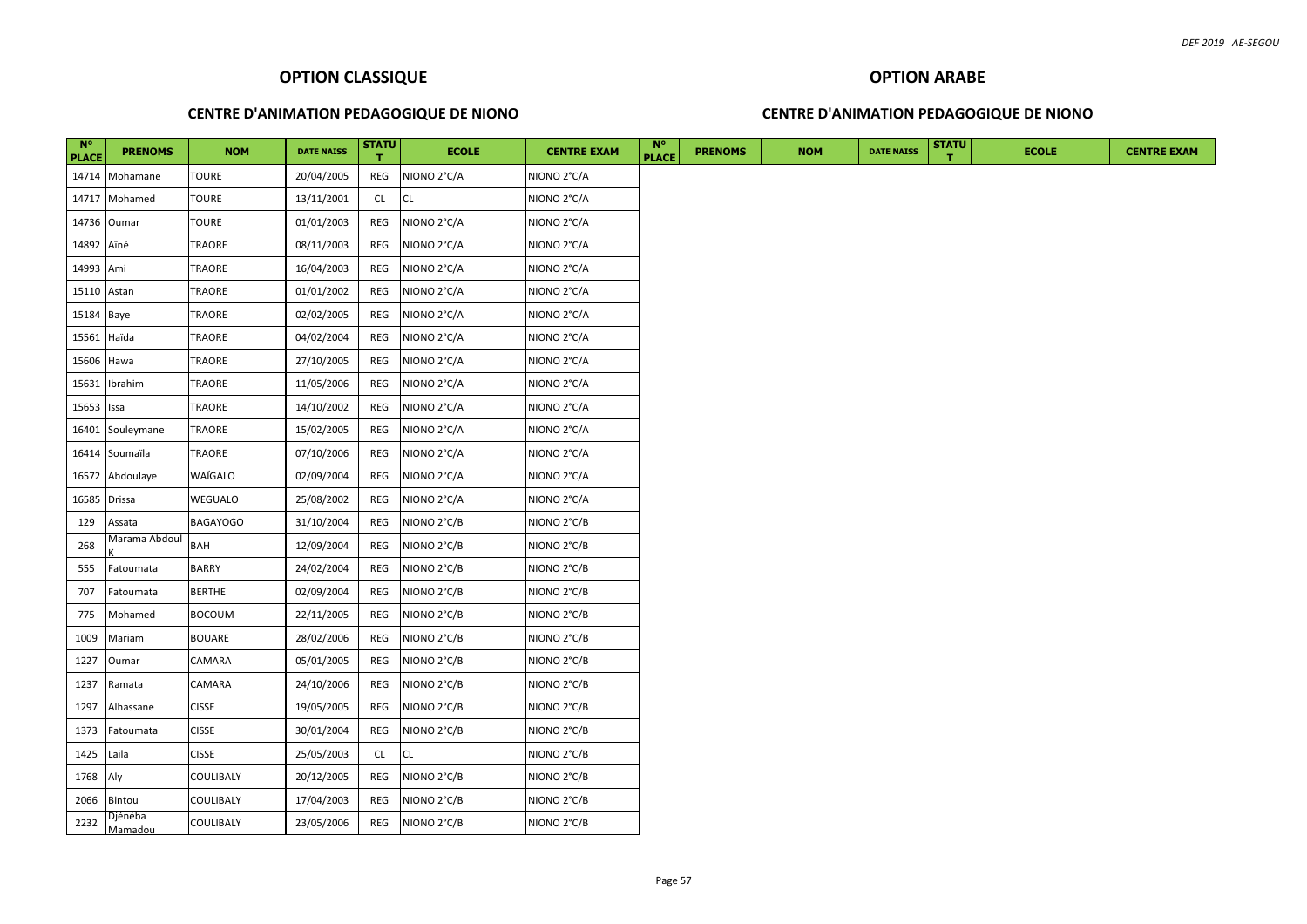## **CENTRE D'ANIMATION PEDAGOGIQUE DE NIONO**

## **CENTRE D'ANIMATION PEDAGOGIQUE DE NIONO**

| $N^{\circ}$<br><b>PLACE</b> | <b>PRENOMS</b>     | <b>NOM</b>      | <b>DATE NAISS</b> | <b>STATU</b> | <b>ECOLE</b> | <b>CENTRE EXAM</b> | $N^{\circ}$<br><b>PLACE</b> | <b>PRENOMS</b> | <b>NOM</b> | <b>DATE NAISS</b> | <b>STATU</b> | <b>ECOLE</b> |  |  |  |  | <b>CENTRE EXAM</b> |  |
|-----------------------------|--------------------|-----------------|-------------------|--------------|--------------|--------------------|-----------------------------|----------------|------------|-------------------|--------------|--------------|--|--|--|--|--------------------|--|
|                             | 14714 Mohamane     | <b>TOURE</b>    | 20/04/2005        | REG          | NIONO 2°C/A  | NIONO 2°C/A        |                             |                |            |                   |              |              |  |  |  |  |                    |  |
|                             | 14717 Mohamed      | <b>TOURE</b>    | 13/11/2001        | CL           | <b>CL</b>    | NIONO 2°C/A        |                             |                |            |                   |              |              |  |  |  |  |                    |  |
|                             | 14736 Oumar        | <b>TOURE</b>    | 01/01/2003        | REG          | NIONO 2°C/A  | NIONO 2°C/A        |                             |                |            |                   |              |              |  |  |  |  |                    |  |
| 14892 Aïné                  |                    | <b>TRAORE</b>   | 08/11/2003        | REG          | NIONO 2°C/A  | NIONO 2°C/A        |                             |                |            |                   |              |              |  |  |  |  |                    |  |
| 14993 Ami                   |                    | TRAORE          | 16/04/2003        | REG          | NIONO 2°C/A  | NIONO 2°C/A        |                             |                |            |                   |              |              |  |  |  |  |                    |  |
| 15110 Astan                 |                    | TRAORE          | 01/01/2002        | REG          | NIONO 2°C/A  | NIONO 2°C/A        |                             |                |            |                   |              |              |  |  |  |  |                    |  |
| 15184 Baye                  |                    | <b>TRAORE</b>   | 02/02/2005        | REG          | NIONO 2°C/A  | NIONO 2°C/A        |                             |                |            |                   |              |              |  |  |  |  |                    |  |
| 15561 Haïda                 |                    | TRAORE          | 04/02/2004        | REG          | NIONO 2°C/A  | NIONO 2°C/A        |                             |                |            |                   |              |              |  |  |  |  |                    |  |
| 15606 Hawa                  |                    | <b>TRAORE</b>   | 27/10/2005        | REG          | NIONO 2°C/A  | NIONO 2°C/A        |                             |                |            |                   |              |              |  |  |  |  |                    |  |
|                             | 15631 Ibrahim      | TRAORE          | 11/05/2006        | REG          | NIONO 2°C/A  | NIONO 2°C/A        |                             |                |            |                   |              |              |  |  |  |  |                    |  |
| 15653 Issa                  |                    | <b>TRAORE</b>   | 14/10/2002        | REG          | NIONO 2°C/A  | NIONO 2°C/A        |                             |                |            |                   |              |              |  |  |  |  |                    |  |
|                             | 16401 Souleymane   | <b>TRAORE</b>   | 15/02/2005        | REG          | NIONO 2°C/A  | NIONO 2°C/A        |                             |                |            |                   |              |              |  |  |  |  |                    |  |
|                             | 16414 Soumaïla     | <b>TRAORE</b>   | 07/10/2006        | REG          | NIONO 2°C/A  | NIONO 2°C/A        |                             |                |            |                   |              |              |  |  |  |  |                    |  |
|                             | 16572 Abdoulaye    | WAÏGALO         | 02/09/2004        | REG          | NIONO 2°C/A  | NIONO 2°C/A        |                             |                |            |                   |              |              |  |  |  |  |                    |  |
| 16585 Drissa                |                    | WEGUALO         | 25/08/2002        | REG          | NIONO 2°C/A  | NIONO 2°C/A        |                             |                |            |                   |              |              |  |  |  |  |                    |  |
| 129                         | Assata             | <b>BAGAYOGO</b> | 31/10/2004        | REG          | NIONO 2°C/B  | NIONO 2°C/B        |                             |                |            |                   |              |              |  |  |  |  |                    |  |
| 268                         | Vlarama Abdou      | <b>BAH</b>      | 12/09/2004        | REG          | NIONO 2°C/B  | NIONO 2°C/B        |                             |                |            |                   |              |              |  |  |  |  |                    |  |
| 555                         | Fatoumata          | <b>BARRY</b>    | 24/02/2004        | REG          | NIONO 2°C/B  | NIONO 2°C/B        |                             |                |            |                   |              |              |  |  |  |  |                    |  |
| 707                         | Fatoumata          | <b>BERTHE</b>   | 02/09/2004        | REG          | NIONO 2°C/B  | NIONO 2°C/B        |                             |                |            |                   |              |              |  |  |  |  |                    |  |
| 775                         | Mohamed            | <b>BOCOUM</b>   | 22/11/2005        | REG          | NIONO 2°C/B  | NIONO 2°C/B        |                             |                |            |                   |              |              |  |  |  |  |                    |  |
| 1009                        | Mariam             | <b>BOUARE</b>   | 28/02/2006        | REG          | NIONO 2°C/B  | NIONO 2°C/B        |                             |                |            |                   |              |              |  |  |  |  |                    |  |
| 1227                        | Oumar              | CAMARA          | 05/01/2005        | REG          | NIONO 2°C/B  | NIONO 2°C/B        |                             |                |            |                   |              |              |  |  |  |  |                    |  |
| 1237                        | Ramata             | CAMARA          | 24/10/2006        | REG          | NIONO 2°C/B  | NIONO 2°C/B        |                             |                |            |                   |              |              |  |  |  |  |                    |  |
| 1297                        | Alhassane          | <b>CISSE</b>    | 19/05/2005        | REG          | NIONO 2°C/B  | NIONO 2°C/B        |                             |                |            |                   |              |              |  |  |  |  |                    |  |
| 1373                        | Fatoumata          | <b>CISSE</b>    | 30/01/2004        | REG          | NIONO 2°C/B  | NIONO 2°C/B        |                             |                |            |                   |              |              |  |  |  |  |                    |  |
| 1425                        | Laila              | <b>CISSE</b>    | 25/05/2003        | <b>CL</b>    | <b>CL</b>    | NIONO 2°C/B        |                             |                |            |                   |              |              |  |  |  |  |                    |  |
| 1768                        | Aly                | COULIBALY       | 20/12/2005        | REG          | NIONO 2°C/B  | NIONO 2°C/B        |                             |                |            |                   |              |              |  |  |  |  |                    |  |
| 2066                        | Bintou             | COULIBALY       | 17/04/2003        | REG          | NIONO 2°C/B  | NIONO 2°C/B        |                             |                |            |                   |              |              |  |  |  |  |                    |  |
| 2232                        | Djénéba<br>Mamadou | COULIBALY       | 23/05/2006        | REG          | NIONO 2°C/B  | NIONO 2°C/B        |                             |                |            |                   |              |              |  |  |  |  |                    |  |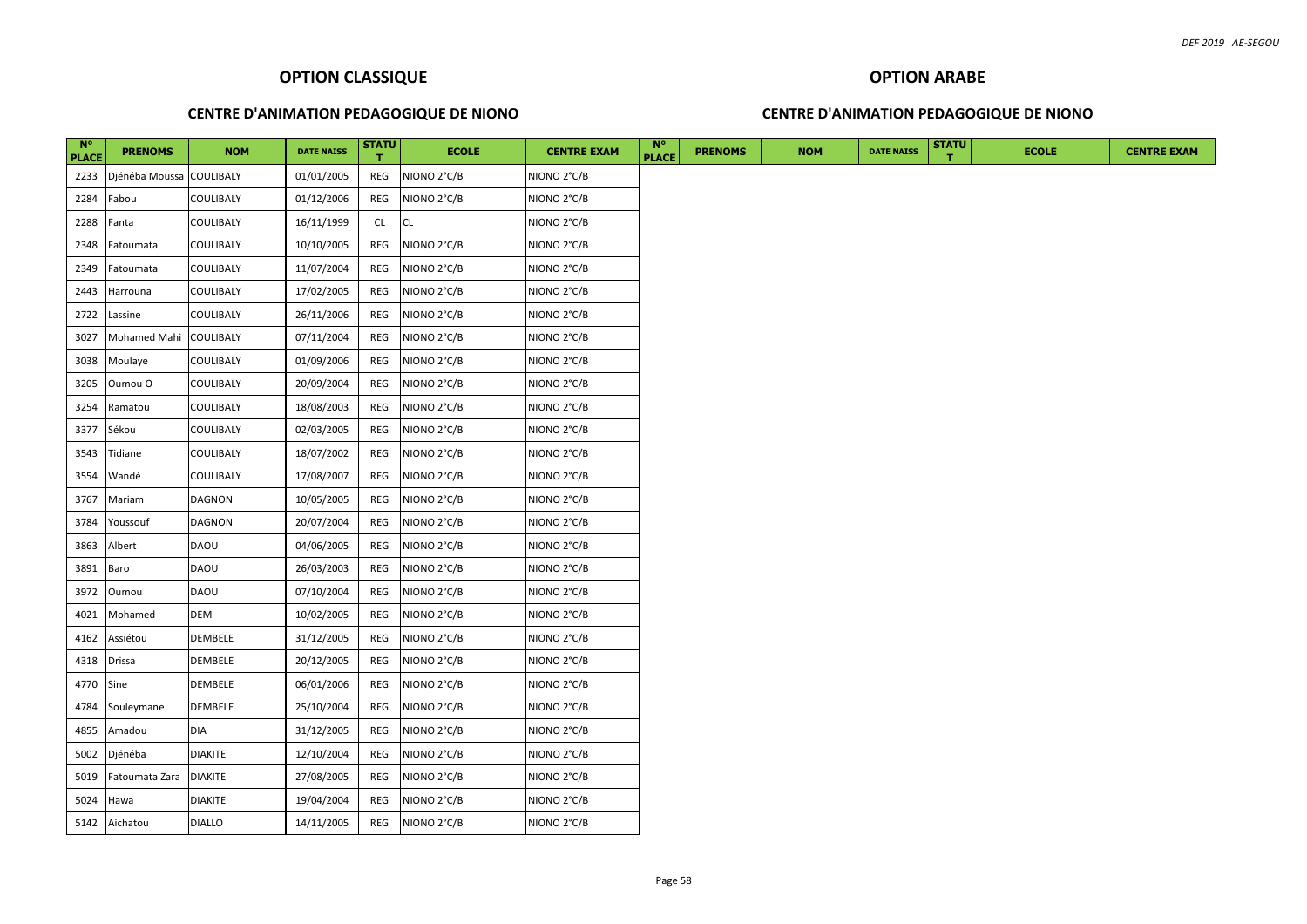#### **CENTRE D'ANIMATION PEDAGOGIQUE DE NIONO**

#### **CENTRE D'ANIMATION PEDAGOGIQUE DE NIONO**

| $N^{\circ}$<br><b>PLACE</b> | <b>PRENOMS</b>           | <b>NOM</b>       | <b>DATE NAISS</b> | <b>STATU</b> | <b>ECOLE</b> | <b>CENTRE EXAM</b> | $N^{\circ}$<br><b>PLACE</b> | <b>PRENOMS</b> | <b>NOM</b> | <b>DATE NAISS</b> | <b>STATU</b> | <b>ECOLE</b> |  |  |  | <b>CENTRE EXAM</b> |  |
|-----------------------------|--------------------------|------------------|-------------------|--------------|--------------|--------------------|-----------------------------|----------------|------------|-------------------|--------------|--------------|--|--|--|--------------------|--|
| 2233                        | Djénéba Moussa COULIBALY |                  | 01/01/2005        | REG          | NIONO 2°C/B  | NIONO 2°C/B        |                             |                |            |                   |              |              |  |  |  |                    |  |
| 2284                        | Fabou                    | COULIBALY        | 01/12/2006        | REG          | NIONO 2°C/B  | NIONO 2°C/B        |                             |                |            |                   |              |              |  |  |  |                    |  |
| 2288                        | Fanta                    | COULIBALY        | 16/11/1999        | CL.          | CL           | NIONO 2°C/B        |                             |                |            |                   |              |              |  |  |  |                    |  |
| 2348                        | Fatoumata                | COULIBALY        | 10/10/2005        | REG          | NIONO 2°C/B  | NIONO 2°C/B        |                             |                |            |                   |              |              |  |  |  |                    |  |
| 2349                        | Fatoumata                | COULIBALY        | 11/07/2004        | REG          | NIONO 2°C/B  | NIONO 2°C/B        |                             |                |            |                   |              |              |  |  |  |                    |  |
| 2443                        | Harrouna                 | COULIBALY        | 17/02/2005        | REG          | NIONO 2°C/B  | NIONO 2°C/B        |                             |                |            |                   |              |              |  |  |  |                    |  |
| 2722                        | Lassine                  | COULIBALY        | 26/11/2006        | REG          | NIONO 2°C/B  | NIONO 2°C/B        |                             |                |            |                   |              |              |  |  |  |                    |  |
| 3027                        | Mohamed Mahi             | <b>COULIBALY</b> | 07/11/2004        | REG          | NIONO 2°C/B  | NIONO 2°C/B        |                             |                |            |                   |              |              |  |  |  |                    |  |
| 3038                        | Moulaye                  | COULIBALY        | 01/09/2006        | REG          | NIONO 2°C/B  | NIONO 2°C/B        |                             |                |            |                   |              |              |  |  |  |                    |  |
| 3205                        | Oumou O                  | COULIBALY        | 20/09/2004        | REG          | NIONO 2°C/B  | NIONO 2°C/B        |                             |                |            |                   |              |              |  |  |  |                    |  |
| 3254                        | Ramatou                  | COULIBALY        | 18/08/2003        | REG          | NIONO 2°C/B  | NIONO 2°C/B        |                             |                |            |                   |              |              |  |  |  |                    |  |
| 3377                        | Sékou                    | COULIBALY        | 02/03/2005        | REG          | NIONO 2°C/B  | NIONO 2°C/B        |                             |                |            |                   |              |              |  |  |  |                    |  |
| 3543                        | Tidiane                  | COULIBALY        | 18/07/2002        | REG          | NIONO 2°C/B  | NIONO 2°C/B        |                             |                |            |                   |              |              |  |  |  |                    |  |
| 3554                        | Wandé                    | COULIBALY        | 17/08/2007        | REG          | NIONO 2°C/B  | NIONO 2°C/B        |                             |                |            |                   |              |              |  |  |  |                    |  |
| 3767                        | Mariam                   | DAGNON           | 10/05/2005        | REG          | NIONO 2°C/B  | NIONO 2°C/B        |                             |                |            |                   |              |              |  |  |  |                    |  |
| 3784                        | Youssouf                 | <b>DAGNON</b>    | 20/07/2004        | REG          | NIONO 2°C/B  | NIONO 2°C/B        |                             |                |            |                   |              |              |  |  |  |                    |  |
| 3863                        | Albert                   | <b>DAOU</b>      | 04/06/2005        | REG          | NIONO 2°C/B  | NIONO 2°C/B        |                             |                |            |                   |              |              |  |  |  |                    |  |
| 3891                        | Baro                     | DAOU             | 26/03/2003        | REG          | NIONO 2°C/B  | NIONO 2°C/B        |                             |                |            |                   |              |              |  |  |  |                    |  |
| 3972                        | Oumou                    | DAOU             | 07/10/2004        | REG          | NIONO 2°C/B  | NIONO 2°C/B        |                             |                |            |                   |              |              |  |  |  |                    |  |
| 4021                        | Mohamed                  | DEM              | 10/02/2005        | REG          | NIONO 2°C/B  | NIONO 2°C/B        |                             |                |            |                   |              |              |  |  |  |                    |  |
| 4162                        | Assiétou                 | DEMBELE          | 31/12/2005        | REG          | NIONO 2°C/B  | NIONO 2°C/B        |                             |                |            |                   |              |              |  |  |  |                    |  |
| 4318                        | <b>Drissa</b>            | DEMBELE          | 20/12/2005        | REG          | NIONO 2°C/B  | NIONO 2°C/B        |                             |                |            |                   |              |              |  |  |  |                    |  |
| 4770 Sine                   |                          | DEMBELE          | 06/01/2006        | REG          | NIONO 2°C/B  | NIONO 2°C/B        |                             |                |            |                   |              |              |  |  |  |                    |  |
| 4784                        | Souleymane               | DEMBELE          | 25/10/2004        | REG          | NIONO 2°C/B  | NIONO 2°C/B        |                             |                |            |                   |              |              |  |  |  |                    |  |
| 4855                        | Amadou                   | DIA              | 31/12/2005        | REG          | NIONO 2°C/B  | NIONO 2°C/B        |                             |                |            |                   |              |              |  |  |  |                    |  |
| 5002                        | Djénéba                  | <b>DIAKITE</b>   | 12/10/2004        | REG          | NIONO 2°C/B  | NIONO 2°C/B        |                             |                |            |                   |              |              |  |  |  |                    |  |
| 5019                        | Fatoumata Zara           | <b>DIAKITE</b>   | 27/08/2005        | REG          | NIONO 2°C/B  | NIONO 2°C/B        |                             |                |            |                   |              |              |  |  |  |                    |  |
| 5024                        | Hawa                     | <b>DIAKITE</b>   | 19/04/2004        | REG          | NIONO 2°C/B  | NIONO 2°C/B        |                             |                |            |                   |              |              |  |  |  |                    |  |
|                             | 5142 Aichatou            | <b>DIALLO</b>    | 14/11/2005        | REG          | NIONO 2°C/B  | NIONO 2°C/B        |                             |                |            |                   |              |              |  |  |  |                    |  |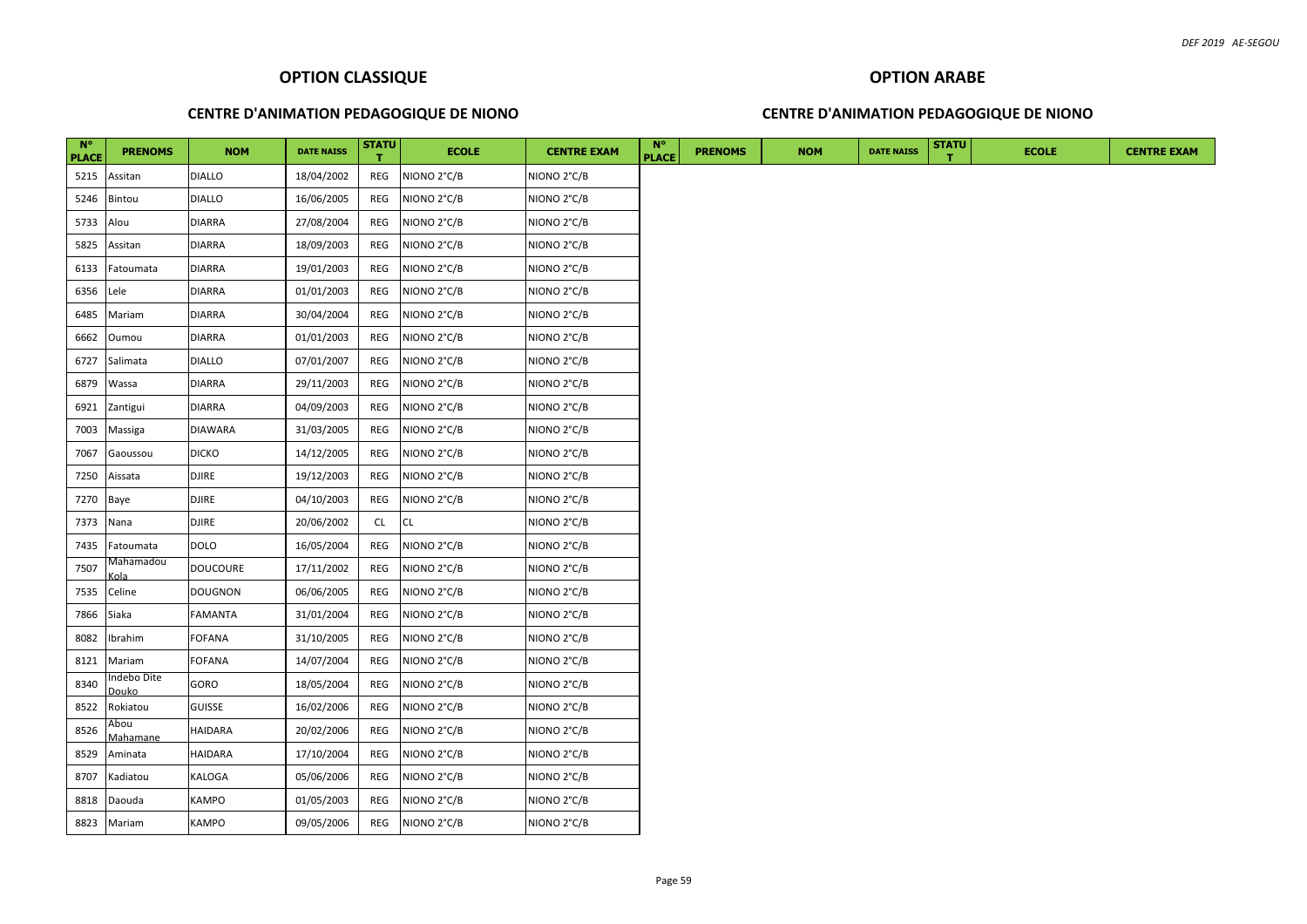## **CENTRE D'ANIMATION PEDAGOGIQUE DE NIONO**

## **CENTRE D'ANIMATION PEDAGOGIQUE DE NIONO**

| $N^{\circ}$<br><b>PLACE</b> | <b>PRENOMS</b>              | <b>NOM</b>      | <b>DATE NAISS</b> | <b>STATU</b> | <b>ECOLE</b> | <b>CENTRE EXAM</b>      | $N^{\circ}$<br><b>PLACE</b> | <b>PRENOMS</b> | <b>NOM</b> | <b>DATE NAISS</b> | <b>STATU</b> | <b>ECOLE</b> |  |  | <b>CENTRE EXAM</b> |
|-----------------------------|-----------------------------|-----------------|-------------------|--------------|--------------|-------------------------|-----------------------------|----------------|------------|-------------------|--------------|--------------|--|--|--------------------|
| 5215                        | Assitan                     | <b>DIALLO</b>   | 18/04/2002        | REG          | NIONO 2°C/B  | NIONO 2°C/B             |                             |                |            |                   |              |              |  |  |                    |
| 5246                        | Bintou                      | <b>DIALLO</b>   | 16/06/2005        | REG          | NIONO 2°C/B  | NIONO <sub>2°C</sub> /B |                             |                |            |                   |              |              |  |  |                    |
| 5733                        | Alou                        | <b>DIARRA</b>   | 27/08/2004        | REG          | NIONO 2°C/B  | NIONO 2°C/B             |                             |                |            |                   |              |              |  |  |                    |
| 5825                        | Assitan                     | <b>DIARRA</b>   | 18/09/2003        | REG          | NIONO 2°C/B  | NIONO 2°C/B             |                             |                |            |                   |              |              |  |  |                    |
| 6133                        | Fatoumata                   | <b>DIARRA</b>   | 19/01/2003        | REG          | NIONO 2°C/B  | NIONO 2°C/B             |                             |                |            |                   |              |              |  |  |                    |
| 6356                        | Lele                        | <b>DIARRA</b>   | 01/01/2003        | REG          | NIONO 2°C/B  | NIONO 2°C/B             |                             |                |            |                   |              |              |  |  |                    |
| 6485                        | Mariam                      | <b>DIARRA</b>   | 30/04/2004        | REG          | NIONO 2°C/B  | NIONO 2°C/B             |                             |                |            |                   |              |              |  |  |                    |
| 6662                        | Oumou                       | <b>DIARRA</b>   | 01/01/2003        | REG          | NIONO 2°C/B  | NIONO 2°C/B             |                             |                |            |                   |              |              |  |  |                    |
| 6727                        | Salimata                    | <b>DIALLO</b>   | 07/01/2007        | REG          | NIONO 2°C/B  | NIONO 2°C/B             |                             |                |            |                   |              |              |  |  |                    |
| 6879                        | Wassa                       | <b>DIARRA</b>   | 29/11/2003        | REG          | NIONO 2°C/B  | NIONO 2°C/B             |                             |                |            |                   |              |              |  |  |                    |
| 6921                        | Zantigui                    | <b>DIARRA</b>   | 04/09/2003        | REG          | NIONO 2°C/B  | NIONO 2°C/B             |                             |                |            |                   |              |              |  |  |                    |
| 7003                        | Massiga                     | <b>DIAWARA</b>  | 31/03/2005        | REG          | NIONO 2°C/B  | NIONO 2°C/B             |                             |                |            |                   |              |              |  |  |                    |
| 7067                        | Gaoussou                    | <b>DICKO</b>    | 14/12/2005        | REG          | NIONO 2°C/B  | NIONO 2°C/B             |                             |                |            |                   |              |              |  |  |                    |
| 7250                        | Aissata                     | <b>DJIRE</b>    | 19/12/2003        | REG          | NIONO 2°C/B  | NIONO 2°C/B             |                             |                |            |                   |              |              |  |  |                    |
| 7270                        | Baye                        | <b>DJIRE</b>    | 04/10/2003        | REG          | NIONO 2°C/B  | NIONO 2°C/B             |                             |                |            |                   |              |              |  |  |                    |
| 7373                        | Nana                        | <b>DJIRE</b>    | 20/06/2002        | CL           | <b>CL</b>    | NIONO 2°C/B             |                             |                |            |                   |              |              |  |  |                    |
| 7435                        | Fatoumata                   | <b>DOLO</b>     | 16/05/2004        | REG          | NIONO 2°C/B  | NIONO 2°C/B             |                             |                |            |                   |              |              |  |  |                    |
| 7507                        | Vlahamadou<br>ola:          | <b>DOUCOURE</b> | 17/11/2002        | REG          | NIONO 2°C/B  | NIONO 2°C/B             |                             |                |            |                   |              |              |  |  |                    |
| 7535                        | Celine                      | <b>DOUGNON</b>  | 06/06/2005        | REG          | NIONO 2°C/B  | NIONO 2°C/B             |                             |                |            |                   |              |              |  |  |                    |
| 7866                        | Siaka                       | FAMANTA         | 31/01/2004        | REG          | NIONO 2°C/B  | NIONO 2°C/B             |                             |                |            |                   |              |              |  |  |                    |
| 8082                        | Ibrahim                     | <b>FOFANA</b>   | 31/10/2005        | REG          | NIONO 2°C/B  | NIONO 2°C/B             |                             |                |            |                   |              |              |  |  |                    |
| 8121                        | Mariam                      | <b>FOFANA</b>   | 14/07/2004        | REG          | NIONO 2°C/B  | NIONO 2°C/B             |                             |                |            |                   |              |              |  |  |                    |
| 8340                        | ndebo Dite<br>Douko         | GORO            | 18/05/2004        | REG          | NIONO 2°C/B  | NIONO 2°C/B             |                             |                |            |                   |              |              |  |  |                    |
| 8522                        | Rokiatou                    | <b>GUISSE</b>   | 16/02/2006        | REG          | NIONO 2°C/B  | NIONO 2°C/B             |                             |                |            |                   |              |              |  |  |                    |
| 8526                        | Abou                        | <b>HAIDARA</b>  | 20/02/2006        | REG          | NIONO 2°C/B  | NIONO 2°C/B             |                             |                |            |                   |              |              |  |  |                    |
| 8529                        | <u> Mahamane</u><br>Aminata | <b>HAIDARA</b>  | 17/10/2004        | REG          | NIONO 2°C/B  | NIONO 2°C/B             |                             |                |            |                   |              |              |  |  |                    |
| 8707                        | Kadiatou                    | KALOGA          | 05/06/2006        | REG          | NIONO 2°C/B  | NIONO 2°C/B             |                             |                |            |                   |              |              |  |  |                    |
| 8818                        | Daouda                      | KAMPO           | 01/05/2003        | REG          | NIONO 2°C/B  | NIONO 2°C/B             |                             |                |            |                   |              |              |  |  |                    |
|                             | 8823 Mariam                 | <b>KAMPO</b>    | 09/05/2006        | REG          | NIONO 2°C/B  | NIONO 2°C/B             |                             |                |            |                   |              |              |  |  |                    |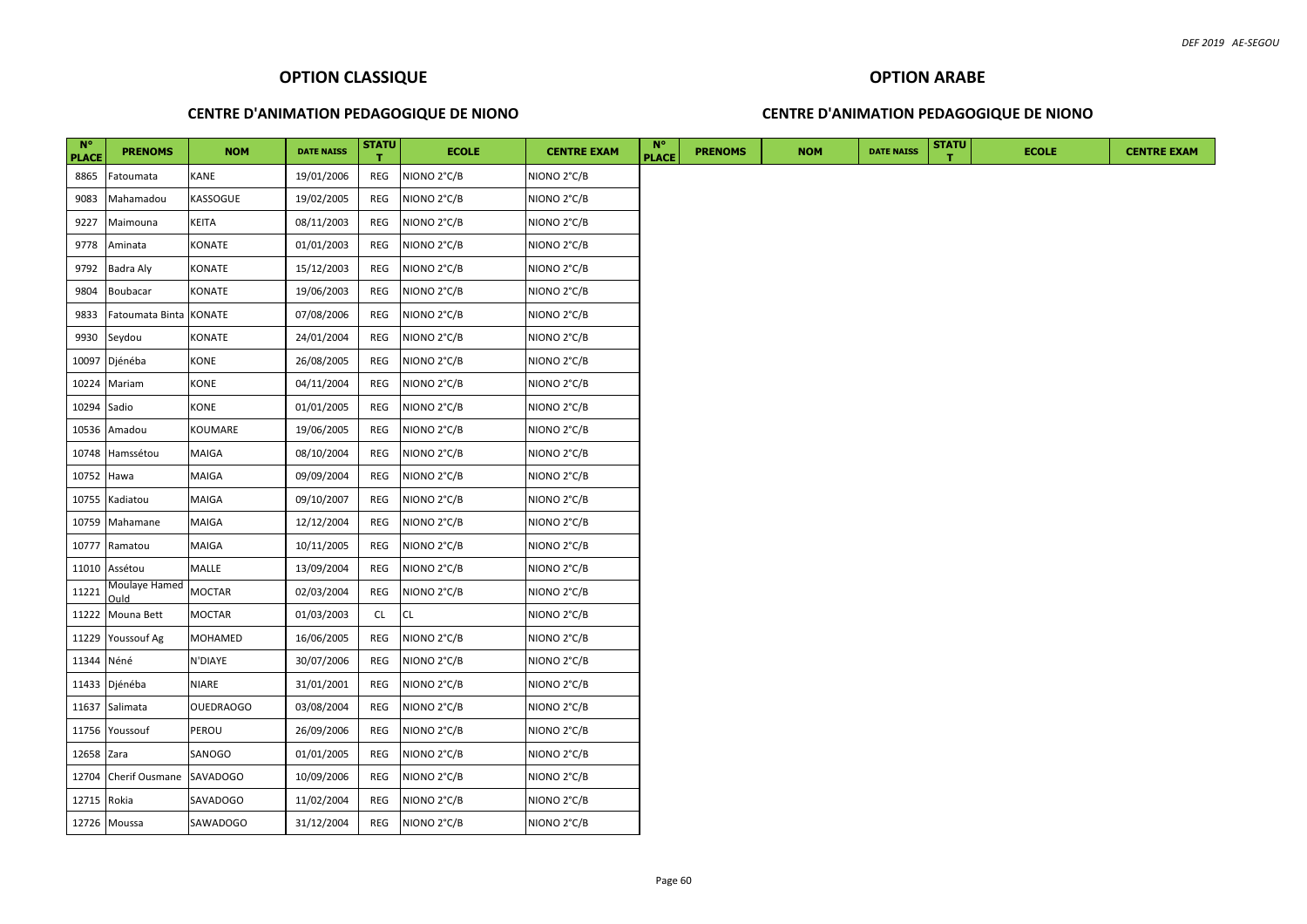#### **CENTRE D'ANIMATION PEDAGOGIQUE DE NIONO**

#### **CENTRE D'ANIMATION PEDAGOGIQUE DE NIONO**

| <b>N°</b><br><b>PLACE</b> | <b>PRENOMS</b>          | <b>NOM</b>       | <b>DATE NAISS</b> | <b>STATU</b> | <b>ECOLE</b> | <b>CENTRE EXAM</b> | <b>N°</b><br><b>PLACE</b> | <b>PRENOMS</b> | <b>NOM</b> | <b>DATE NAISS</b> | <b>STATU</b> | <b>ECOLE</b> | <b>CENTRE EXAM</b> |
|---------------------------|-------------------------|------------------|-------------------|--------------|--------------|--------------------|---------------------------|----------------|------------|-------------------|--------------|--------------|--------------------|
| 8865                      | Fatoumata               | <b>KANE</b>      | 19/01/2006        | REG          | NIONO 2°C/B  | NIONO 2°C/B        |                           |                |            |                   |              |              |                    |
| 9083                      | Mahamadou               | KASSOGUE         | 19/02/2005        | REG          | NIONO 2°C/B  | NIONO 2°C/B        |                           |                |            |                   |              |              |                    |
| 9227                      | Maimouna                | <b>KEITA</b>     | 08/11/2003        | REG          | NIONO 2°C/B  | NIONO 2°C/B        |                           |                |            |                   |              |              |                    |
| 9778                      | Aminata                 | KONATE           | 01/01/2003        | REG          | NIONO 2°C/B  | NIONO 2°C/B        |                           |                |            |                   |              |              |                    |
| 9792                      | Badra Aly               | KONATE           | 15/12/2003        | REG          | NIONO 2°C/B  | NIONO 2°C/B        |                           |                |            |                   |              |              |                    |
| 9804                      | Boubacar                | KONATE           | 19/06/2003        | REG          | NIONO 2°C/B  | NIONO 2°C/B        |                           |                |            |                   |              |              |                    |
| 9833                      | Fatoumata Binta         | <b>KONATE</b>    | 07/08/2006        | REG          | NIONO 2°C/B  | NIONO 2°C/B        |                           |                |            |                   |              |              |                    |
| 9930                      | Seydou                  | <b>KONATE</b>    | 24/01/2004        | REG          | NIONO 2°C/B  | NIONO 2°C/B        |                           |                |            |                   |              |              |                    |
| 10097                     | Djénéba                 | KONE             | 26/08/2005        | REG          | NIONO 2°C/B  | NIONO 2°C/B        |                           |                |            |                   |              |              |                    |
| 10224                     | Mariam                  | <b>KONE</b>      | 04/11/2004        | REG          | NIONO 2°C/B  | NIONO 2°C/B        |                           |                |            |                   |              |              |                    |
| 10294                     | Sadio                   | KONE             | 01/01/2005        | REG          | NIONO 2°C/B  | NIONO 2°C/B        |                           |                |            |                   |              |              |                    |
| 10536                     | Amadou                  | KOUMARE          | 19/06/2005        | REG          | NIONO 2°C/B  | NIONO 2°C/B        |                           |                |            |                   |              |              |                    |
| 10748                     | Hamssétou               | <b>MAIGA</b>     | 08/10/2004        | REG          | NIONO 2°C/B  | NIONO 2°C/B        |                           |                |            |                   |              |              |                    |
| 10752                     | Hawa                    | <b>MAIGA</b>     | 09/09/2004        | REG          | NIONO 2°C/B  | NIONO 2°C/B        |                           |                |            |                   |              |              |                    |
| 10755                     | Kadiatou                | <b>MAIGA</b>     | 09/10/2007        | REG          | NIONO 2°C/B  | NIONO 2°C/B        |                           |                |            |                   |              |              |                    |
|                           | 10759 Mahamane          | <b>MAIGA</b>     | 12/12/2004        | REG          | NIONO 2°C/B  | NIONO 2°C/B        |                           |                |            |                   |              |              |                    |
| 10777                     | Ramatou                 | <b>MAIGA</b>     | 10/11/2005        | REG          | NIONO 2°C/B  | NIONO 2°C/B        |                           |                |            |                   |              |              |                    |
| 11010                     | Assétou                 | <b>MALLE</b>     | 13/09/2004        | REG          | NIONO 2°C/B  | NIONO 2°C/B        |                           |                |            |                   |              |              |                    |
| 11221                     | Moulaye Hamed<br>bluC   | <b>MOCTAR</b>    | 02/03/2004        | REG          | NIONO 2°C/B  | NIONO 2°C/B        |                           |                |            |                   |              |              |                    |
| 11222                     | Mouna Bett              | <b>MOCTAR</b>    | 01/03/2003        | CL.          | <b>CL</b>    | NIONO 2°C/B        |                           |                |            |                   |              |              |                    |
| 11229                     | Youssouf Ag             | <b>MOHAMED</b>   | 16/06/2005        | REG          | NIONO 2°C/B  | NIONO 2°C/B        |                           |                |            |                   |              |              |                    |
| 11344                     | Néné                    | N'DIAYE          | 30/07/2006        | REG          | NIONO 2°C/B  | NIONO 2°C/B        |                           |                |            |                   |              |              |                    |
| 11433                     | Djénéba                 | <b>NIARE</b>     | 31/01/2001        | REG          | NIONO 2°C/B  | NIONO 2°C/B        |                           |                |            |                   |              |              |                    |
|                           | 11637 Salimata          | <b>OUEDRAOGO</b> | 03/08/2004        | REG          | NIONO 2°C/B  | NIONO 2°C/B        |                           |                |            |                   |              |              |                    |
| 11756                     | Youssouf                | <b>PEROU</b>     | 26/09/2006        | REG          | NIONO 2°C/B  | NIONO 2°C/B        |                           |                |            |                   |              |              |                    |
| 12658 Zara                |                         | SANOGO           | 01/01/2005        | REG          | NIONO 2°C/B  | NIONO 2°C/B        |                           |                |            |                   |              |              |                    |
| 12704                     | Cherif Ousmane SAVADOGO |                  | 10/09/2006        | REG          | NIONO 2°C/B  | NIONO 2°C/B        |                           |                |            |                   |              |              |                    |
| 12715                     | Rokia                   | SAVADOGO         | 11/02/2004        | REG          | NIONO 2°C/B  | NIONO 2°C/B        |                           |                |            |                   |              |              |                    |
|                           | 12726 Moussa            | SAWADOGO         | 31/12/2004        | REG          | NIONO 2°C/B  | NIONO 2°C/B        |                           |                |            |                   |              |              |                    |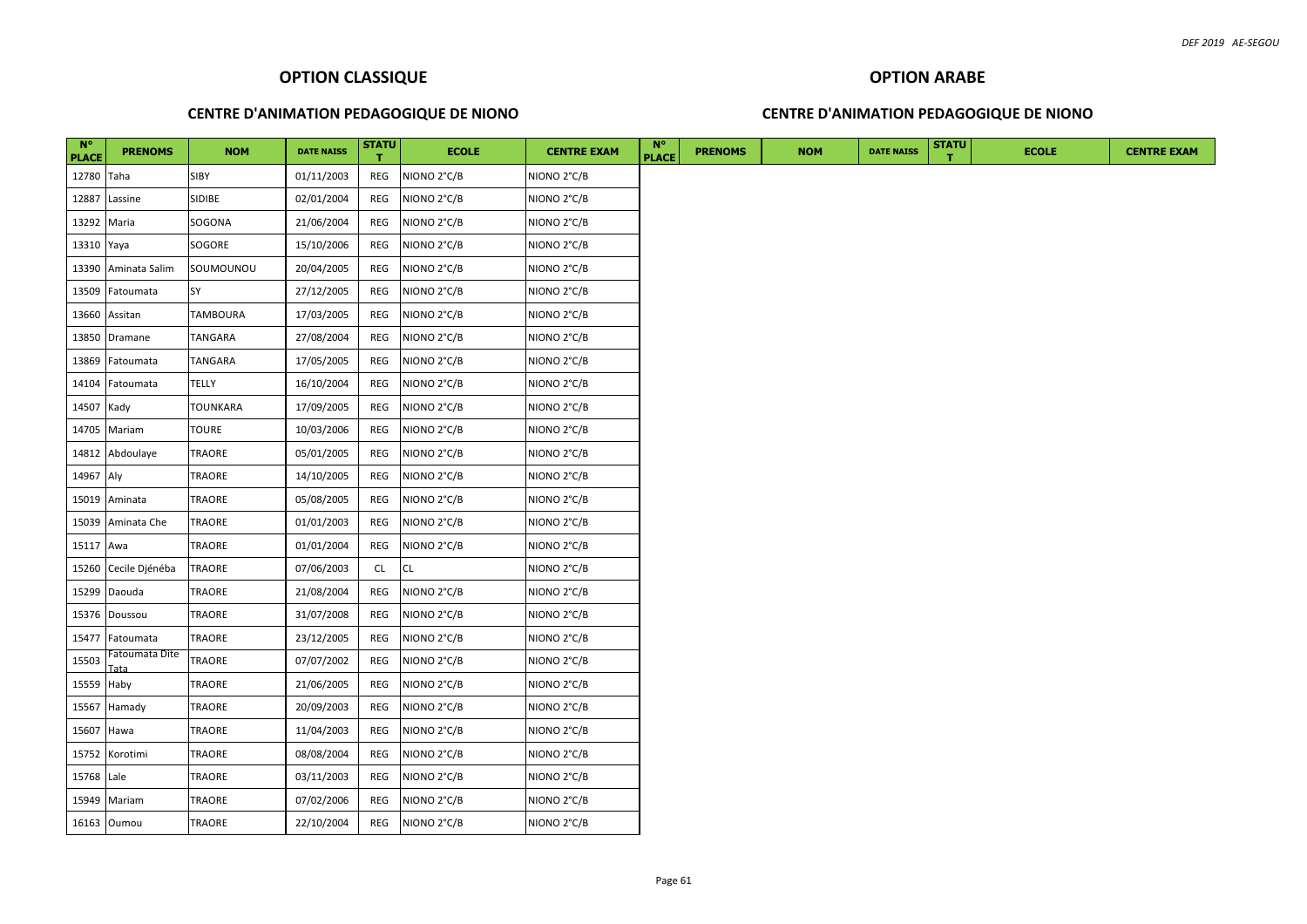#### **CENTRE D'ANIMATION PEDAGOGIQUE DE NIONO**

## **CENTRE D'ANIMATION PEDAGOGIQUE DE NIONO**

| $N^{\circ}$<br><b>PLACE</b> | <b>PRENOMS</b>         | <b>NOM</b>      | <b>DATE NAISS</b> | <b>STATU</b> | <b>ECOLE</b> | <b>CENTRE EXAM</b>      | $N^{\circ}$<br><b>PLACE</b> | <b>PRENOMS</b> | <b>NOM</b> | <b>DATE NAISS</b> | <b>STATU</b> | <b>ECOLE</b> |
|-----------------------------|------------------------|-----------------|-------------------|--------------|--------------|-------------------------|-----------------------------|----------------|------------|-------------------|--------------|--------------|
| 12780 Taha                  |                        | <b>SIBY</b>     | 01/11/2003        | REG          | NIONO 2°C/B  | NIONO 2°C/B             |                             |                |            |                   |              |              |
| 12887                       | Lassine                | <b>SIDIBE</b>   | 02/01/2004        | REG          | NIONO 2°C/B  | NIONO 2°C/B             |                             |                |            |                   |              |              |
| 13292 Maria                 |                        | SOGONA          | 21/06/2004        | REG          | NIONO 2°C/B  | NIONO 2°C/B             |                             |                |            |                   |              |              |
| 13310 Yaya                  |                        | SOGORE          | 15/10/2006        | REG          | NIONO 2°C/B  | NIONO 2°C/B             |                             |                |            |                   |              |              |
|                             | 13390 Aminata Salim    | SOUMOUNOU       | 20/04/2005        | REG          | NIONO 2°C/B  | NIONO 2°C/B             |                             |                |            |                   |              |              |
|                             | 13509 Fatoumata        | SY              | 27/12/2005        | REG          | NIONO 2°C/B  | NIONO 2°C/B             |                             |                |            |                   |              |              |
|                             | 13660 Assitan          | <b>TAMBOURA</b> | 17/03/2005        | REG          | NIONO 2°C/B  | NIONO 2°C/B             |                             |                |            |                   |              |              |
|                             | 13850 Dramane          | <b>TANGARA</b>  | 27/08/2004        | REG          | NIONO 2°C/B  | NIONO 2°C/B             |                             |                |            |                   |              |              |
|                             | 13869 Fatoumata        | <b>TANGARA</b>  | 17/05/2005        | REG          | NIONO 2°C/B  | NIONO 2°C/B             |                             |                |            |                   |              |              |
|                             | 14104 Fatoumata        | <b>TELLY</b>    | 16/10/2004        | REG          | NIONO 2°C/B  | NIONO 2°C/B             |                             |                |            |                   |              |              |
| 14507 Kady                  |                        | <b>TOUNKARA</b> | 17/09/2005        | REG          | NIONO 2°C/B  | NIONO 2°C/B             |                             |                |            |                   |              |              |
|                             | 14705 Mariam           | <b>TOURE</b>    | 10/03/2006        | REG          | NIONO 2°C/B  | NIONO 2°C/B             |                             |                |            |                   |              |              |
|                             | 14812 Abdoulaye        | <b>TRAORE</b>   | 05/01/2005        | REG          | NIONO 2°C/B  | NIONO 2°C/B             |                             |                |            |                   |              |              |
| 14967 Aly                   |                        | TRAORE          | 14/10/2005        | REG          | NIONO 2°C/B  | NIONO 2°C/B             |                             |                |            |                   |              |              |
|                             | 15019 Aminata          | TRAORE          | 05/08/2005        | REG          | NIONO 2°C/B  | NIONO 2°C/B             |                             |                |            |                   |              |              |
|                             | 15039 Aminata Che      | TRAORE          | 01/01/2003        | REG          | NIONO 2°C/B  | NIONO 2°C/B             |                             |                |            |                   |              |              |
| 15117 Awa                   |                        | TRAORE          | 01/01/2004        | REG          | NIONO 2°C/B  | NIONO 2°C/B             |                             |                |            |                   |              |              |
|                             | 15260 Cecile Djénéba   | TRAORE          | 07/06/2003        | CL           | <b>CL</b>    | NIONO 2°C/B             |                             |                |            |                   |              |              |
|                             | 15299 Daouda           | <b>TRAORE</b>   | 21/08/2004        | REG          | NIONO 2°C/B  | NIONO <sub>2°C</sub> /B |                             |                |            |                   |              |              |
|                             | 15376 Doussou          | <b>TRAORE</b>   | 31/07/2008        | REG          | NIONO 2°C/B  | NIONO <sub>2°C</sub> /B |                             |                |            |                   |              |              |
|                             | 15477 Fatoumata        | <b>TRAORE</b>   | 23/12/2005        | REG          | NIONO 2°C/B  | NIONO <sub>2°C/B</sub>  |                             |                |            |                   |              |              |
| 15503                       | Fatoumata Dite<br>Гаtа | <b>TRAORE</b>   | 07/07/2002        | REG          | NIONO 2°C/B  | NIONO <sub>2°C</sub> /B |                             |                |            |                   |              |              |
| 15559 Haby                  |                        | <b>TRAORE</b>   | 21/06/2005        | REG          | NIONO 2°C/B  | NIONO 2°C/B             |                             |                |            |                   |              |              |
|                             | 15567 Hamady           | <b>TRAORE</b>   | 20/09/2003        | REG          | NIONO 2°C/B  | NIONO 2°C/B             |                             |                |            |                   |              |              |
| 15607 Hawa                  |                        | <b>TRAORE</b>   | 11/04/2003        | REG          | NIONO 2°C/B  | NIONO <sub>2°C</sub> /B |                             |                |            |                   |              |              |
|                             | 15752 Korotimi         | <b>TRAORE</b>   | 08/08/2004        | REG          | NIONO 2°C/B  | NIONO 2°C/B             |                             |                |            |                   |              |              |
| 15768 Lale                  |                        | <b>TRAORE</b>   | 03/11/2003        | REG          | NIONO 2°C/B  | NIONO <sub>2°C</sub> /B |                             |                |            |                   |              |              |
|                             | 15949 Mariam           | <b>TRAORE</b>   | 07/02/2006        | REG          | NIONO 2°C/B  | NIONO <sub>2°C</sub> /B |                             |                |            |                   |              |              |
|                             | 16163 Oumou            | <b>TRAORE</b>   | 22/10/2004        | REG          | NIONO 2°C/B  | NIONO <sub>2°C/B</sub>  |                             |                |            |                   |              |              |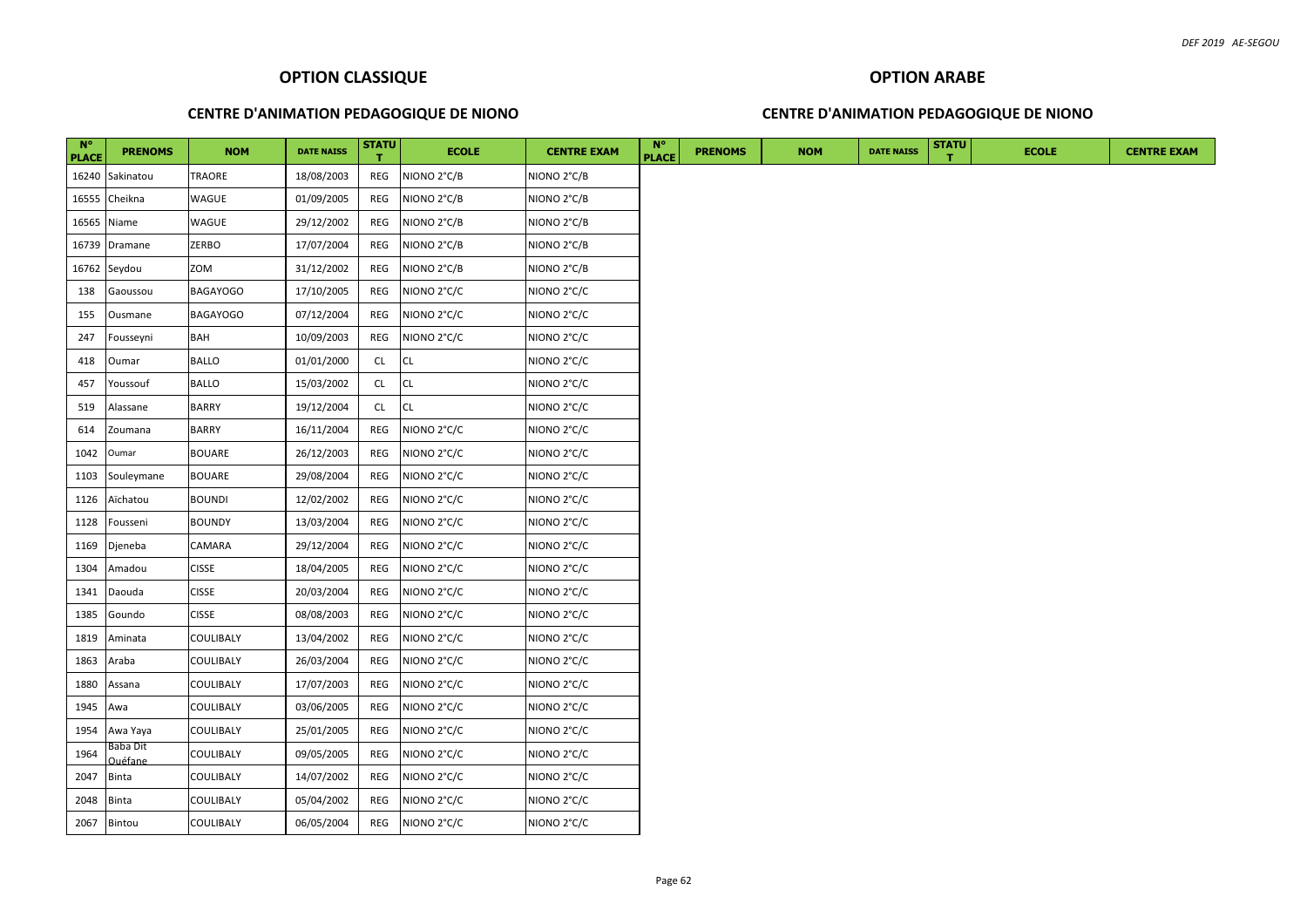## **CENTRE D'ANIMATION PEDAGOGIQUE DE NIONO**

## **CENTRE D'ANIMATION PEDAGOGIQUE DE NIONO**

| $N^{\circ}$<br><b>PLACE</b> | <b>PRENOMS</b>             | <b>NOM</b>       | <b>DATE NAISS</b> | <b>STATU</b> | <b>ECOLE</b> | <b>CENTRE EXAM</b> | <b>N°</b><br><b>PLACE</b> | <b>PRENOMS</b> | <b>NOM</b> | <b>DATE NAISS</b> | <b>STATU</b> | <b>ECOLE</b> |  | <b>CENTRE EXAM</b> |
|-----------------------------|----------------------------|------------------|-------------------|--------------|--------------|--------------------|---------------------------|----------------|------------|-------------------|--------------|--------------|--|--------------------|
|                             | 16240 Sakinatou            | TRAORE           | 18/08/2003        | REG          | NIONO 2°C/B  | NIONO 2°C/B        |                           |                |            |                   |              |              |  |                    |
| 16555                       | Cheikna                    | WAGUE            | 01/09/2005        | REG          | NIONO 2°C/B  | NIONO 2°C/B        |                           |                |            |                   |              |              |  |                    |
| 16565                       | Niame                      | WAGUE            | 29/12/2002        | REG          | NIONO 2°C/B  | NIONO 2°C/B        |                           |                |            |                   |              |              |  |                    |
| 16739                       | Dramane                    | ZERBO            | 17/07/2004        | REG          | NIONO 2°C/B  | NIONO 2°C/B        |                           |                |            |                   |              |              |  |                    |
|                             | 16762 Seydou               | ZOM              | 31/12/2002        | REG          | NIONO 2°C/B  | NIONO 2°C/B        |                           |                |            |                   |              |              |  |                    |
| 138                         | Gaoussou                   | <b>BAGAYOGO</b>  | 17/10/2005        | REG          | NIONO 2°C/C  | NIONO 2°C/C        |                           |                |            |                   |              |              |  |                    |
| 155                         | Ousmane                    | <b>BAGAYOGO</b>  | 07/12/2004        | REG          | NIONO 2°C/C  | NIONO 2°C/C        |                           |                |            |                   |              |              |  |                    |
| 247                         | Fousseyni                  | BAH              | 10/09/2003        | REG          | NIONO 2°C/C  | NIONO 2°C/C        |                           |                |            |                   |              |              |  |                    |
| 418                         | Oumar                      | <b>BALLO</b>     | 01/01/2000        | CL           | <b>CL</b>    | NIONO 2°C/C        |                           |                |            |                   |              |              |  |                    |
| 457                         | Youssouf                   | <b>BALLO</b>     | 15/03/2002        | CL.          | <b>CL</b>    | NIONO 2°C/C        |                           |                |            |                   |              |              |  |                    |
| 519                         | Alassane                   | <b>BARRY</b>     | 19/12/2004        | CL           | <b>CL</b>    | NIONO 2°C/C        |                           |                |            |                   |              |              |  |                    |
| 614                         | Zoumana                    | <b>BARRY</b>     | 16/11/2004        | REG          | NIONO 2°C/C  | NIONO 2°C/C        |                           |                |            |                   |              |              |  |                    |
| 1042                        | Oumar                      | <b>BOUARE</b>    | 26/12/2003        | REG          | NIONO 2°C/C  | NIONO 2°C/C        |                           |                |            |                   |              |              |  |                    |
| 1103                        | Souleymane                 | <b>BOUARE</b>    | 29/08/2004        | REG          | NIONO 2°C/C  | NIONO 2°C/C        |                           |                |            |                   |              |              |  |                    |
| 1126                        | Aïchatou                   | <b>BOUNDI</b>    | 12/02/2002        | REG          | NIONO 2°C/C  | NIONO 2°C/C        |                           |                |            |                   |              |              |  |                    |
| 1128                        | Fousseni                   | <b>BOUNDY</b>    | 13/03/2004        | REG          | NIONO 2°C/C  | NIONO 2°C/C        |                           |                |            |                   |              |              |  |                    |
| 1169                        | Djeneba                    | CAMARA           | 29/12/2004        | REG          | NIONO 2°C/C  | NIONO 2°C/C        |                           |                |            |                   |              |              |  |                    |
| 1304                        | Amadou                     | <b>CISSE</b>     | 18/04/2005        | REG          | NIONO 2°C/C  | NIONO 2°C/C        |                           |                |            |                   |              |              |  |                    |
| 1341                        | Daouda                     | <b>CISSE</b>     | 20/03/2004        | REG          | NIONO 2°C/C  | NIONO 2°C/C        |                           |                |            |                   |              |              |  |                    |
| 1385                        | Goundo                     | <b>CISSE</b>     | 08/08/2003        | REG          | NIONO 2°C/C  | NIONO 2°C/C        |                           |                |            |                   |              |              |  |                    |
| 1819                        | Aminata                    | COULIBALY        | 13/04/2002        | REG          | NIONO 2°C/C  | NIONO 2°C/C        |                           |                |            |                   |              |              |  |                    |
| 1863                        | Araba                      | COULIBALY        | 26/03/2004        | REG          | NIONO 2°C/C  | NIONO 2°C/C        |                           |                |            |                   |              |              |  |                    |
| 1880                        | Assana                     | COULIBALY        | 17/07/2003        | REG          | NIONO 2°C/C  | NIONO 2°C/C        |                           |                |            |                   |              |              |  |                    |
| 1945                        | Awa                        | COULIBALY        | 03/06/2005        | REG          | NIONO 2°C/C  | NIONO 2°C/C        |                           |                |            |                   |              |              |  |                    |
| 1954                        | Awa Yaya                   | COULIBALY        | 25/01/2005        | REG          | NIONO 2°C/C  | NIONO 2°C/C        |                           |                |            |                   |              |              |  |                    |
| 1964                        | Baba Dit<br><b>Quéfane</b> | COULIBALY        | 09/05/2005        | REG          | NIONO 2°C/C  | NIONO 2°C/C        |                           |                |            |                   |              |              |  |                    |
| 2047                        | <b>Binta</b>               | COULIBALY        | 14/07/2002        | REG          | NIONO 2°C/C  | NIONO 2°C/C        |                           |                |            |                   |              |              |  |                    |
| 2048                        | <b>Binta</b>               | COULIBALY        | 05/04/2002        | REG          | NIONO 2°C/C  | NIONO 2°C/C        |                           |                |            |                   |              |              |  |                    |
|                             | 2067 Bintou                | <b>COULIBALY</b> | 06/05/2004        | REG          | NIONO 2°C/C  | NIONO 2°C/C        |                           |                |            |                   |              |              |  |                    |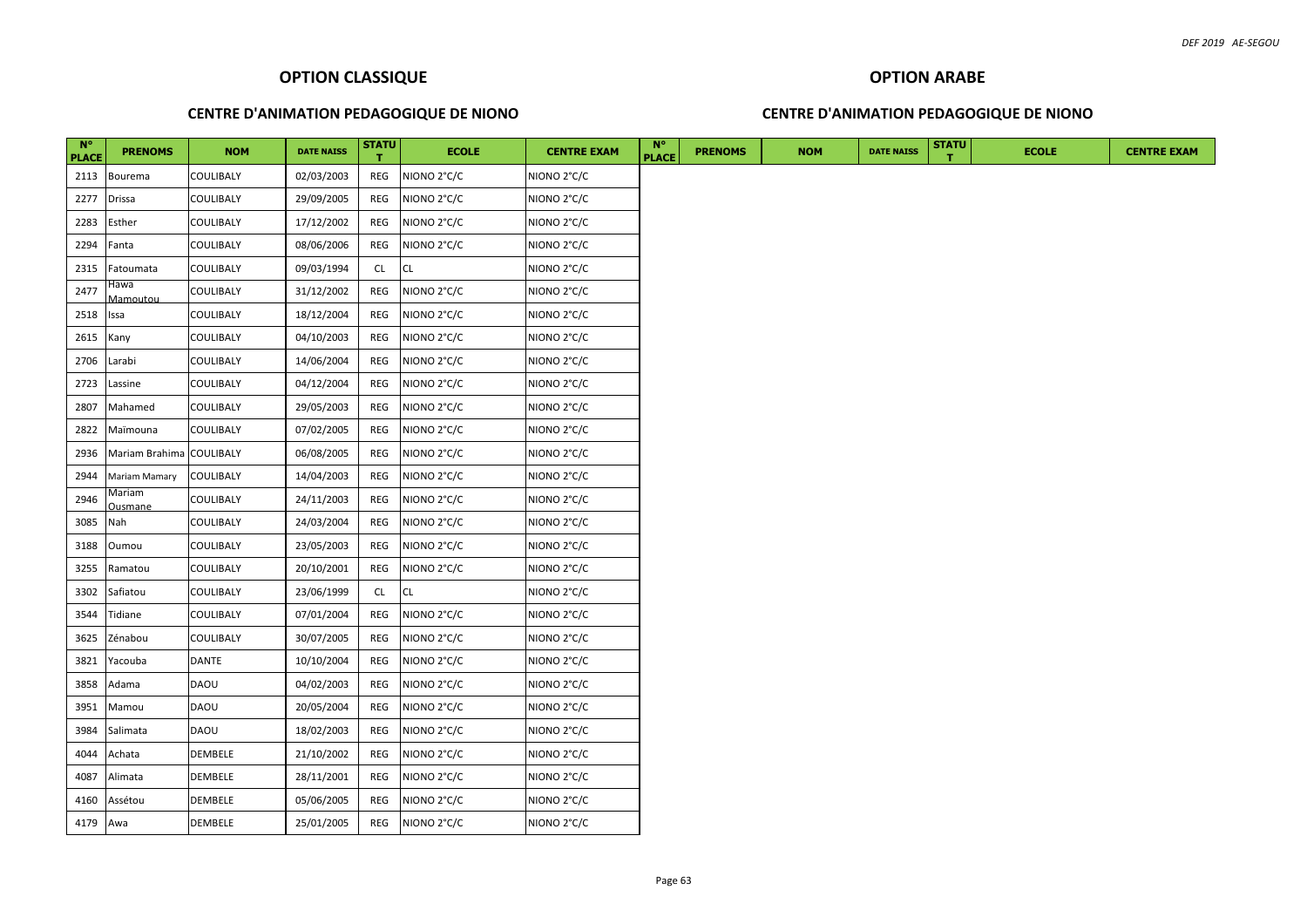## **CENTRE D'ANIMATION PEDAGOGIQUE DE NIONO**

# **OPTION ARABE CENTRE D'ANIMATION PEDAGOGIQUE DE NIONO**

| $N^{\circ}$<br><b>PLACE</b> | <b>PRENOMS</b>           | <b>NOM</b>       | <b>DATE NAISS</b> | <b>STATU</b> | <b>ECOLE</b> | <b>CENTRE EXAM</b>      | $N^{\circ}$<br><b>PLACE</b> | <b>PRENOMS</b> | <b>NOM</b> | <b>DATE NAISS</b> | <b>STATU</b> | <b>ECOLE</b> |
|-----------------------------|--------------------------|------------------|-------------------|--------------|--------------|-------------------------|-----------------------------|----------------|------------|-------------------|--------------|--------------|
| 2113                        | <b>Bourema</b>           | <b>COULIBALY</b> | 02/03/2003        | REG          | NIONO 2°C/C  | NIONO 2°C/C             |                             |                |            |                   |              |              |
| 2277                        | <b>Drissa</b>            | COULIBALY        | 29/09/2005        | REG          | NIONO 2°C/C  | NIONO 2°C/C             |                             |                |            |                   |              |              |
| 2283                        | Esther                   | <b>COULIBALY</b> | 17/12/2002        | REG          | NIONO 2°C/C  | NIONO 2°C/C             |                             |                |            |                   |              |              |
| 2294                        | Fanta                    | COULIBALY        | 08/06/2006        | REG          | NIONO 2°C/C  | NIONO 2°C/C             |                             |                |            |                   |              |              |
| 2315                        | Fatoumata                | <b>COULIBALY</b> | 09/03/1994        | CL.          | <b>CL</b>    | NIONO 2°C/C             |                             |                |            |                   |              |              |
| 2477                        | Hawa<br>Mamoutou         | COULIBALY        | 31/12/2002        | REG          | NIONO 2°C/C  | NIONO 2°C/C             |                             |                |            |                   |              |              |
| 2518                        | Issa                     | COULIBALY        | 18/12/2004        | REG          | NIONO 2°C/C  | NIONO 2°C/C             |                             |                |            |                   |              |              |
| 2615                        | Kany                     | COULIBALY        | 04/10/2003        | REG          | NIONO 2°C/C  | NIONO 2°C/C             |                             |                |            |                   |              |              |
| 2706                        | Larabi                   | COULIBALY        | 14/06/2004        | REG          | NIONO 2°C/C  | NIONO 2°C/C             |                             |                |            |                   |              |              |
| 2723                        | Lassine                  | COULIBALY        | 04/12/2004        | REG          | NIONO 2°C/C  | NIONO 2°C/C             |                             |                |            |                   |              |              |
| 2807                        | Mahamed                  | COULIBALY        | 29/05/2003        | REG          | NIONO 2°C/C  | NIONO 2°C/C             |                             |                |            |                   |              |              |
| 2822                        | Maïmouna                 | COULIBALY        | 07/02/2005        | REG          | NIONO 2°C/C  | NIONO 2°C/C             |                             |                |            |                   |              |              |
| 2936                        | Mariam Brahima           | <b>COULIBALY</b> | 06/08/2005        | REG          | NIONO 2°C/C  | NIONO 2°C/C             |                             |                |            |                   |              |              |
| 2944                        | Mariam Mamary            | <b>COULIBALY</b> | 14/04/2003        | REG          | NIONO 2°C/C  | NIONO 2°C/C             |                             |                |            |                   |              |              |
| 2946                        | Mariam<br><b>Ousmane</b> | <b>COULIBALY</b> | 24/11/2003        | REG          | NIONO 2°C/C  | NIONO 2°C/C             |                             |                |            |                   |              |              |
| 3085                        | Nah                      | <b>COULIBALY</b> | 24/03/2004        | REG          | NIONO 2°C/C  | NIONO 2°C/C             |                             |                |            |                   |              |              |
| 3188                        | Oumou                    | <b>COULIBALY</b> | 23/05/2003        | REG          | NIONO 2°C/C  | NIONO <sub>2°C</sub> /C |                             |                |            |                   |              |              |
| 3255                        | Ramatou                  | <b>COULIBALY</b> | 20/10/2001        | REG          | NIONO 2°C/C  | NIONO 2°C/C             |                             |                |            |                   |              |              |
| 3302                        | Safiatou                 | <b>COULIBALY</b> | 23/06/1999        | <b>CL</b>    | CL           | NIONO 2°C/C             |                             |                |            |                   |              |              |
| 3544                        | Tidiane                  | <b>COULIBALY</b> | 07/01/2004        | REG          | NIONO 2°C/C  | NIONO 2°C/C             |                             |                |            |                   |              |              |
| 3625                        | Zénabou                  | <b>COULIBALY</b> | 30/07/2005        | REG          | NIONO 2°C/C  | NIONO 2°C/C             |                             |                |            |                   |              |              |
| 3821                        | Yacouba                  | <b>DANTE</b>     | 10/10/2004        | REG          | NIONO 2°C/C  | NIONO 2°C/C             |                             |                |            |                   |              |              |
| 3858                        | Adama                    | <b>DAOU</b>      | 04/02/2003        | REG          | NIONO 2°C/C  | NIONO 2°C/C             |                             |                |            |                   |              |              |
| 3951                        | Mamou                    | <b>DAOU</b>      | 20/05/2004        | REG          | NIONO 2°C/C  | NIONO 2°C/C             |                             |                |            |                   |              |              |
| 3984                        | Salimata                 | <b>DAOU</b>      | 18/02/2003        | REG          | NIONO 2°C/C  | NIONO 2°C/C             |                             |                |            |                   |              |              |
| 4044                        | Achata                   | DEMBELE          | 21/10/2002        | REG          | NIONO 2°C/C  | NIONO 2°C/C             |                             |                |            |                   |              |              |
| 4087                        | Alimata                  | <b>DEMBELE</b>   | 28/11/2001        | REG          | NIONO 2°C/C  | NIONO 2°C/C             |                             |                |            |                   |              |              |
| 4160                        | Assétou                  | DEMBELE          | 05/06/2005        | REG          | NIONO 2°C/C  | NIONO 2°C/C             |                             |                |            |                   |              |              |
| 4179 Awa                    |                          | <b>DEMBELE</b>   | 25/01/2005        | REG          | NIONO 2°C/C  | NIONO 2°C/C             |                             |                |            |                   |              |              |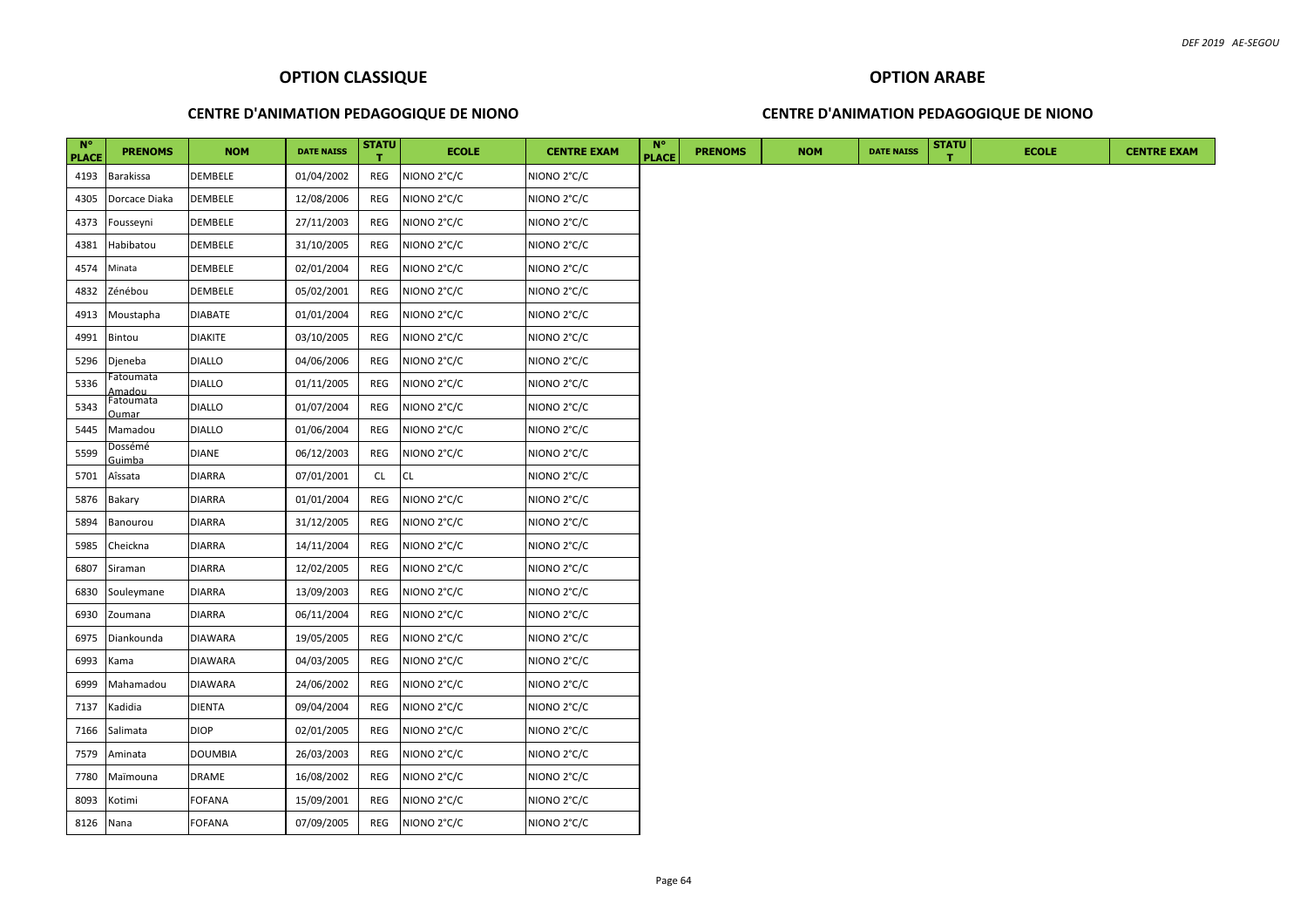# **CENTRE D'ANIMATION PEDAGOGIQUE DE NIONO**

#### **CENTRE D'ANIMATION PEDAGOGIQUE DE NIONO**

| $N^{\circ}$<br><b>PLACE</b> | <b>PRENOMS</b>     | <b>NOM</b>     | <b>DATE NAISS</b> | <b>STATU</b> | <b>ECOLE</b> | <b>CENTRE EXAM</b> | $N^{\circ}$<br><b>PLACE</b> | <b>PRENOMS</b> | <b>NOM</b> | <b>DATE NAISS</b> | <b>STATU</b> | <b>ECOLE</b> |  |
|-----------------------------|--------------------|----------------|-------------------|--------------|--------------|--------------------|-----------------------------|----------------|------------|-------------------|--------------|--------------|--|
| 4193                        | Barakissa          | <b>DEMBELE</b> | 01/04/2002        | REG          | NIONO 2°C/C  | NIONO 2°C/C        |                             |                |            |                   |              |              |  |
| 4305                        | Dorcace Diaka      | <b>DEMBELE</b> | 12/08/2006        | REG          | NIONO 2°C/C  | NIONO 2°C/C        |                             |                |            |                   |              |              |  |
| 4373                        | Fousseyni          | DEMBELE        | 27/11/2003        | REG          | NIONO 2°C/C  | NIONO 2°C/C        |                             |                |            |                   |              |              |  |
| 4381                        | Habibatou          | DEMBELE        | 31/10/2005        | REG          | NIONO 2°C/C  | NIONO 2°C/C        |                             |                |            |                   |              |              |  |
| 4574                        | Minata             | DEMBELE        | 02/01/2004        | REG          | NIONO 2°C/C  | NIONO 2°C/C        |                             |                |            |                   |              |              |  |
| 4832                        | Zénébou            | DEMBELE        | 05/02/2001        | REG          | NIONO 2°C/C  | NIONO 2°C/C        |                             |                |            |                   |              |              |  |
| 4913                        | Moustapha          | <b>DIABATE</b> | 01/01/2004        | REG          | NIONO 2°C/C  | NIONO 2°C/C        |                             |                |            |                   |              |              |  |
| 4991                        | Bintou             | <b>DIAKITE</b> | 03/10/2005        | REG          | NIONO 2°C/C  | NIONO 2°C/C        |                             |                |            |                   |              |              |  |
| 5296                        | Djeneba            | <b>DIALLO</b>  | 04/06/2006        | REG          | NIONO 2°C/C  | NIONO 2°C/C        |                             |                |            |                   |              |              |  |
| 5336                        | atoumata<br>،madou | <b>DIALLO</b>  | 01/11/2005        | REG          | NIONO 2°C/C  | NIONO 2°C/C        |                             |                |            |                   |              |              |  |
| 5343                        | Fatoumata<br>)umar | <b>DIALLO</b>  | 01/07/2004        | REG          | NIONO 2°C/C  | NIONO 2°C/C        |                             |                |            |                   |              |              |  |
| 5445                        | Mamadou            | <b>DIALLO</b>  | 01/06/2004        | REG          | NIONO 2°C/C  | NIONO 2°C/C        |                             |                |            |                   |              |              |  |
| 5599                        | Dossémé<br>Guimba  | DIANE          | 06/12/2003        | REG          | NIONO 2°C/C  | NIONO 2°C/C        |                             |                |            |                   |              |              |  |
| 5701                        | Aîssata            | DIARRA         | 07/01/2001        | CL           | CL           | NIONO 2°C/C        |                             |                |            |                   |              |              |  |
| 5876                        | Bakary             | <b>DIARRA</b>  | 01/01/2004        | REG          | NIONO 2°C/C  | NIONO 2°C/C        |                             |                |            |                   |              |              |  |
| 5894                        | Banourou           | DIARRA         | 31/12/2005        | REG          | NIONO 2°C/C  | NIONO 2°C/C        |                             |                |            |                   |              |              |  |
| 5985                        | Cheickna           | DIARRA         | 14/11/2004        | REG          | NIONO 2°C/C  | NIONO 2°C/C        |                             |                |            |                   |              |              |  |
| 6807                        | Siraman            | DIARRA         | 12/02/2005        | REG          | NIONO 2°C/C  | NIONO 2°C/C        |                             |                |            |                   |              |              |  |
| 6830                        | Souleymane         | DIARRA         | 13/09/2003        | REG          | NIONO 2°C/C  | NIONO 2°C/C        |                             |                |            |                   |              |              |  |
| 6930                        | Zoumana            | DIARRA         | 06/11/2004        | REG          | NIONO 2°C/C  | NIONO 2°C/C        |                             |                |            |                   |              |              |  |
| 6975                        | Diankounda         | DIAWARA        | 19/05/2005        | REG          | NIONO 2°C/C  | NIONO 2°C/C        |                             |                |            |                   |              |              |  |
| 6993                        | Kama               | DIAWARA        | 04/03/2005        | REG          | NIONO 2°C/C  | NIONO 2°C/C        |                             |                |            |                   |              |              |  |
| 6999                        | Mahamadou          | <b>DIAWARA</b> | 24/06/2002        | REG          | NIONO 2°C/C  | NIONO 2°C/C        |                             |                |            |                   |              |              |  |
| 7137                        | Kadidia            | DIENTA         | 09/04/2004        | REG          | NIONO 2°C/C  | NIONO 2°C/C        |                             |                |            |                   |              |              |  |
| 7166                        | Salimata           | <b>DIOP</b>    | 02/01/2005        | REG          | NIONO 2°C/C  | NIONO 2°C/C        |                             |                |            |                   |              |              |  |
| 7579                        | Aminata            | DOUMBIA        | 26/03/2003        | REG          | NIONO 2°C/C  | NIONO 2°C/C        |                             |                |            |                   |              |              |  |
| 7780                        | Maïmouna           | DRAME          | 16/08/2002        | REG          | NIONO 2°C/C  | NIONO 2°C/C        |                             |                |            |                   |              |              |  |
| 8093                        | Kotimi             | FOFANA         | 15/09/2001        | REG          | NIONO 2°C/C  | NIONO 2°C/C        |                             |                |            |                   |              |              |  |
| 8126                        | Nana               | FOFANA         | 07/09/2005        | REG          | NIONO 2°C/C  | NIONO 2°C/C        |                             |                |            |                   |              |              |  |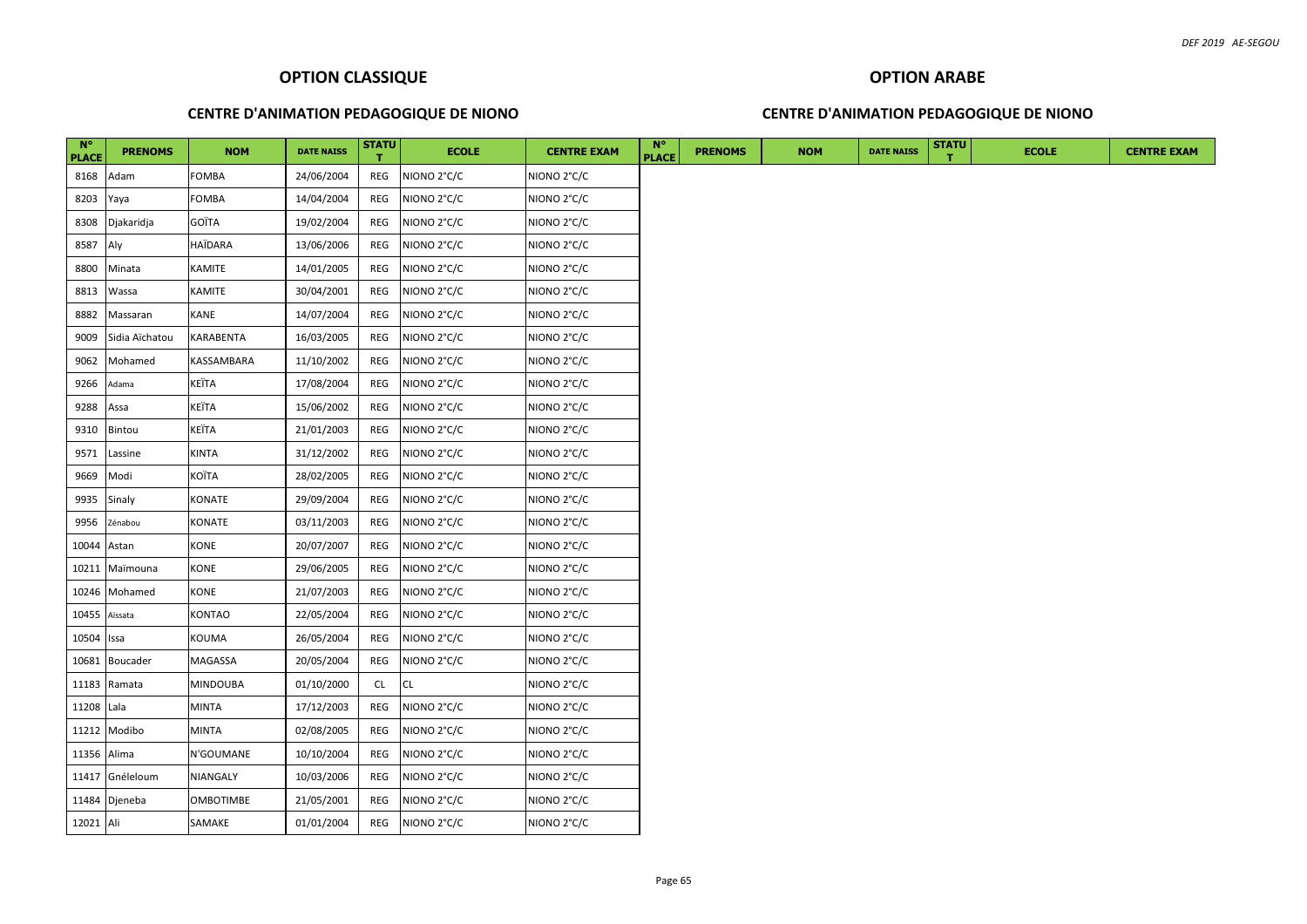## **CENTRE D'ANIMATION PEDAGOGIQUE DE NIONO**

## **CENTRE D'ANIMATION PEDAGOGIQUE DE NIONO**

| $N^{\circ}$<br><b>PLACE</b> | <b>PRENOMS</b>  | <b>NOM</b>       | <b>DATE NAISS</b> | <b>STATU</b> | <b>ECOLE</b> | <b>CENTRE EXAM</b> | $N^{\circ}$<br><b>PLACE</b> | <b>PRENOMS</b> | <b>NOM</b> | <b>DATE NAISS</b> | <b>STATU</b> | <b>ECOLE</b> | <b>CENTRE EXAM</b> |
|-----------------------------|-----------------|------------------|-------------------|--------------|--------------|--------------------|-----------------------------|----------------|------------|-------------------|--------------|--------------|--------------------|
| 8168                        | Adam            | <b>FOMBA</b>     | 24/06/2004        | REG          | NIONO 2°C/C  | NIONO 2°C/C        |                             |                |            |                   |              |              |                    |
| 8203                        | Yaya            | <b>FOMBA</b>     | 14/04/2004        | REG          | NIONO 2°C/C  | NIONO 2°C/C        |                             |                |            |                   |              |              |                    |
| 8308                        | Djakaridja      | GOÏTA            | 19/02/2004        | REG          | NIONO 2°C/C  | NIONO 2°C/C        |                             |                |            |                   |              |              |                    |
| 8587                        | Aly             | HAÏDARA          | 13/06/2006        | REG          | NIONO 2°C/C  | NIONO 2°C/C        |                             |                |            |                   |              |              |                    |
| 8800                        | Minata          | KAMITE           | 14/01/2005        | REG          | NIONO 2°C/C  | NIONO 2°C/C        |                             |                |            |                   |              |              |                    |
| 8813                        | Wassa           | <b>KAMITE</b>    | 30/04/2001        | REG          | NIONO 2°C/C  | NIONO 2°C/C        |                             |                |            |                   |              |              |                    |
| 8882                        | Massaran        | KANE             | 14/07/2004        | REG          | NIONO 2°C/C  | NIONO 2°C/C        |                             |                |            |                   |              |              |                    |
| 9009                        | Sidia Aïchatou  | <b>KARABENTA</b> | 16/03/2005        | REG          | NIONO 2°C/C  | NIONO 2°C/C        |                             |                |            |                   |              |              |                    |
| 9062                        | Mohamed         | KASSAMBARA       | 11/10/2002        | REG          | NIONO 2°C/C  | NIONO 2°C/C        |                             |                |            |                   |              |              |                    |
| 9266                        | Adama           | KEÏTA            | 17/08/2004        | REG          | NIONO 2°C/C  | NIONO 2°C/C        |                             |                |            |                   |              |              |                    |
| 9288                        | Assa            | KEÏTA            | 15/06/2002        | REG          | NIONO 2°C/C  | NIONO 2°C/C        |                             |                |            |                   |              |              |                    |
| 9310                        | Bintou          | <b>KEÏTA</b>     | 21/01/2003        | REG          | NIONO 2°C/C  | NIONO 2°C/C        |                             |                |            |                   |              |              |                    |
| 9571                        | Lassine         | <b>KINTA</b>     | 31/12/2002        | REG          | NIONO 2°C/C  | NIONO 2°C/C        |                             |                |            |                   |              |              |                    |
| 9669                        | Modi            | <b>KOÏTA</b>     | 28/02/2005        | REG          | NIONO 2°C/C  | NIONO 2°C/C        |                             |                |            |                   |              |              |                    |
| 9935                        | Sinaly          | KONATE           | 29/09/2004        | REG          | NIONO 2°C/C  | NIONO 2°C/C        |                             |                |            |                   |              |              |                    |
| 9956                        | Zénabou         | KONATE           | 03/11/2003        | REG          | NIONO 2°C/C  | NIONO 2°C/C        |                             |                |            |                   |              |              |                    |
| 10044                       | Astan           | KONE             | 20/07/2007        | REG          | NIONO 2°C/C  | NIONO 2°C/C        |                             |                |            |                   |              |              |                    |
| 10211                       | Maïmouna        | <b>KONE</b>      | 29/06/2005        | REG          | NIONO 2°C/C  | NIONO 2°C/C        |                             |                |            |                   |              |              |                    |
| 10246                       | Mohamed         | KONE             | 21/07/2003        | REG          | NIONO 2°C/C  | NIONO 2°C/C        |                             |                |            |                   |              |              |                    |
| 10455                       | Aïssata         | KONTAO           | 22/05/2004        | REG          | NIONO 2°C/C  | NIONO 2°C/C        |                             |                |            |                   |              |              |                    |
| 10504                       | Issa            | KOUMA            | 26/05/2004        | REG          | NIONO 2°C/C  | NIONO 2°C/C        |                             |                |            |                   |              |              |                    |
| 10681                       | <b>Boucader</b> | MAGASSA          | 20/05/2004        | REG          | NIONO 2°C/C  | NIONO 2°C/C        |                             |                |            |                   |              |              |                    |
| 11183                       | Ramata          | MINDOUBA         | 01/10/2000        | CL           | <b>CL</b>    | NIONO 2°C/C        |                             |                |            |                   |              |              |                    |
| 11208                       | Lala            | <b>MINTA</b>     | 17/12/2003        | REG          | NIONO 2°C/C  | NIONO 2°C/C        |                             |                |            |                   |              |              |                    |
| 11212                       | Modibo          | MINTA            | 02/08/2005        | REG          | NIONO 2°C/C  | NIONO 2°C/C        |                             |                |            |                   |              |              |                    |
| 11356 Alima                 |                 | N'GOUMANE        | 10/10/2004        | REG          | NIONO 2°C/C  | NIONO 2°C/C        |                             |                |            |                   |              |              |                    |
| 11417                       | Gnéleloum       | NIANGALY         | 10/03/2006        | REG          | NIONO 2°C/C  | NIONO 2°C/C        |                             |                |            |                   |              |              |                    |
|                             | 11484 Djeneba   | <b>OMBOTIMBE</b> | 21/05/2001        | REG          | NIONO 2°C/C  | NIONO 2°C/C        |                             |                |            |                   |              |              |                    |
| 12021 Ali                   |                 | SAMAKE           | 01/01/2004        | REG          | NIONO 2°C/C  | NIONO 2°C/C        |                             |                |            |                   |              |              |                    |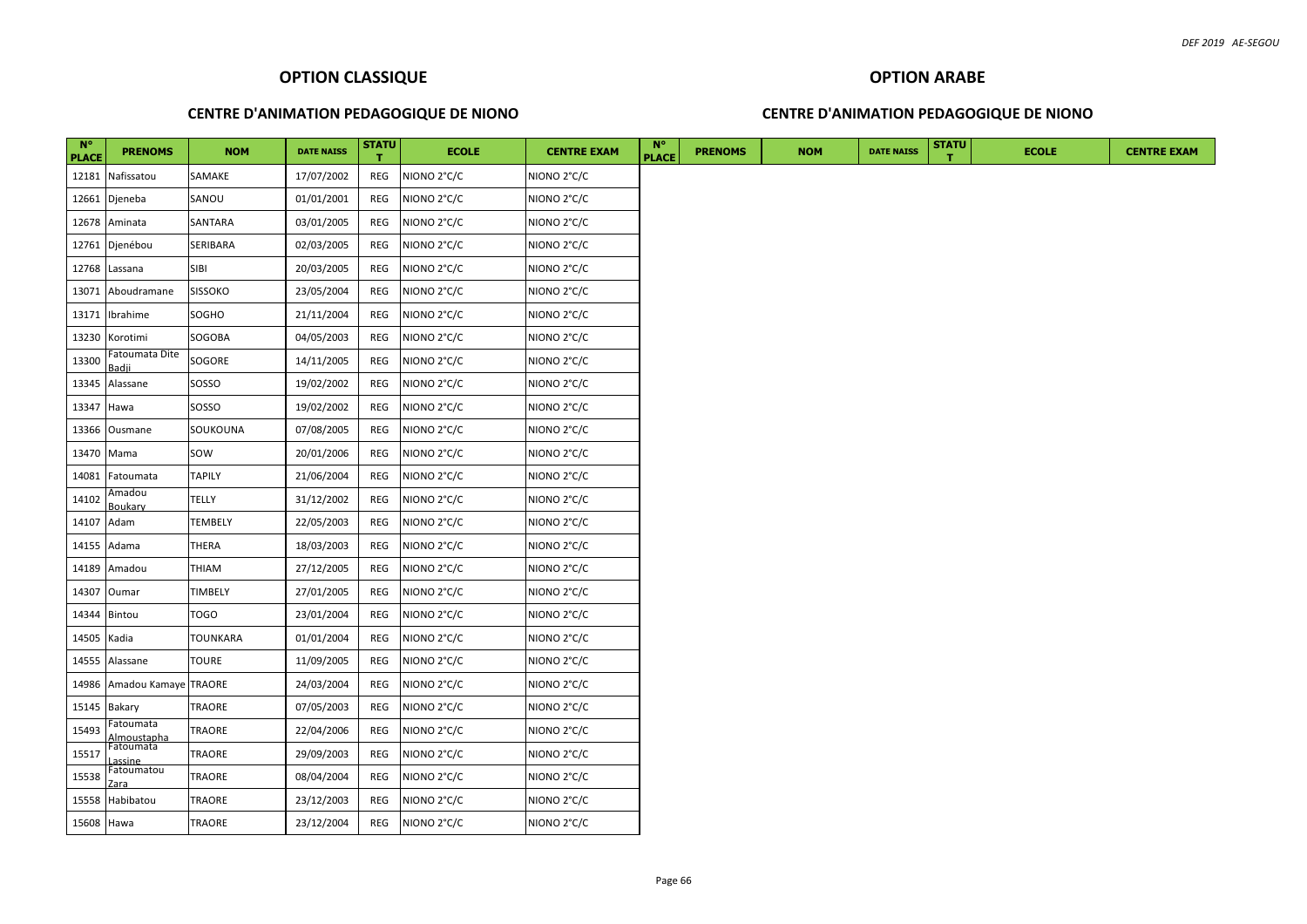## **CENTRE D'ANIMATION PEDAGOGIQUE DE NIONO**

# **OPTION ARABE CENTRE D'ANIMATION PEDAGOGIQUE DE NIONO**

| $N^{\circ}$<br><b>PLACE</b> | <b>PRENOMS</b>                  | <b>NOM</b>     | <b>DATE NAISS</b> | <b>STATU</b><br>т. | <b>ECOLE</b> | <b>CENTRE EXAM</b> | <b>N°</b><br><b>PLACE</b> | <b>PRENOMS</b> | <b>NOM</b> | <b>DATE NAISS</b> | <b>STATU</b> | <b>ECOLE</b> | <b>CENTRE EXAM</b> |
|-----------------------------|---------------------------------|----------------|-------------------|--------------------|--------------|--------------------|---------------------------|----------------|------------|-------------------|--------------|--------------|--------------------|
|                             | 12181 Nafissatou                | SAMAKE         | 17/07/2002        | REG                | NIONO 2°C/C  | NIONO 2°C/C        |                           |                |            |                   |              |              |                    |
| 12661                       | Djeneba                         | SANOU          | 01/01/2001        | REG                | NIONO 2°C/C  | NIONO 2°C/C        |                           |                |            |                   |              |              |                    |
| 12678                       | Aminata                         | SANTARA        | 03/01/2005        | REG                | NIONO 2°C/C  | NIONO 2°C/C        |                           |                |            |                   |              |              |                    |
| 12761                       | Djenébou                        | SERIBARA       | 02/03/2005        | REG                | NIONO 2°C/C  | NIONO 2°C/C        |                           |                |            |                   |              |              |                    |
| 12768                       | Lassana                         | SIBI           | 20/03/2005        | REG                | NIONO 2°C/C  | NIONO 2°C/C        |                           |                |            |                   |              |              |                    |
| 13071                       | Aboudramane                     | <b>SISSOKO</b> | 23/05/2004        | REG                | NIONO 2°C/C  | NIONO 2°C/C        |                           |                |            |                   |              |              |                    |
| 13171                       | Ibrahime                        | SOGHO          | 21/11/2004        | REG                | NIONO 2°C/C  | NIONO 2°C/C        |                           |                |            |                   |              |              |                    |
| 13230                       | Korotimi                        | SOGOBA         | 04/05/2003        | REG                | NIONO 2°C/C  | NIONO 2°C/C        |                           |                |            |                   |              |              |                    |
| 13300                       | Fatoumata Dite<br>Badii         | SOGORE         | 14/11/2005        | REG                | NIONO 2°C/C  | NIONO 2°C/C        |                           |                |            |                   |              |              |                    |
| 13345                       | Alassane                        | SOSSO          | 19/02/2002        | REG                | NIONO 2°C/C  | NIONO 2°C/C        |                           |                |            |                   |              |              |                    |
| 13347                       | Hawa                            | SOSSO          | 19/02/2002        | REG                | NIONO 2°C/C  | NIONO 2°C/C        |                           |                |            |                   |              |              |                    |
| 13366                       | Ousmane                         | SOUKOUNA       | 07/08/2005        | REG                | NIONO 2°C/C  | NIONO 2°C/C        |                           |                |            |                   |              |              |                    |
|                             | 13470 Mama                      | SOW            | 20/01/2006        | REG                | NIONO 2°C/C  | NIONO 2°C/C        |                           |                |            |                   |              |              |                    |
| 14081                       | Fatoumata                       | <b>TAPILY</b>  | 21/06/2004        | REG                | NIONO 2°C/C  | NIONO 2°C/C        |                           |                |            |                   |              |              |                    |
| 14102                       | Amadou<br>Boukarv               | TELLY          | 31/12/2002        | REG                | NIONO 2°C/C  | NIONO 2°C/C        |                           |                |            |                   |              |              |                    |
| 14107                       | Adam                            | TEMBELY        | 22/05/2003        | REG                | NIONO 2°C/C  | NIONO 2°C/C        |                           |                |            |                   |              |              |                    |
| 14155                       | Adama                           | THERA          | 18/03/2003        | REG                | NIONO 2°C/C  | NIONO 2°C/C        |                           |                |            |                   |              |              |                    |
| 14189                       | Amadou                          | THIAM          | 27/12/2005        | REG                | NIONO 2°C/C  | NIONO 2°C/C        |                           |                |            |                   |              |              |                    |
| 14307                       | Oumar                           | <b>TIMBELY</b> | 27/01/2005        | REG                | NIONO 2°C/C  | NIONO 2°C/C        |                           |                |            |                   |              |              |                    |
|                             | 14344 Bintou                    | TOGO           | 23/01/2004        | REG                | NIONO 2°C/C  | NIONO 2°C/C        |                           |                |            |                   |              |              |                    |
| 14505 Kadia                 |                                 | TOUNKARA       | 01/01/2004        | REG                | NIONO 2°C/C  | NIONO 2°C/C        |                           |                |            |                   |              |              |                    |
| 14555                       | Alassane                        | TOURE          | 11/09/2005        | REG                | NIONO 2°C/C  | NIONO 2°C/C        |                           |                |            |                   |              |              |                    |
| 14986                       | Amadou Kamaye TRAORE            |                | 24/03/2004        | REG                | NIONO 2°C/C  | NIONO 2°C/C        |                           |                |            |                   |              |              |                    |
| 15145                       | Bakary                          | TRAORE         | 07/05/2003        | REG                | NIONO 2°C/C  | NIONO 2°C/C        |                           |                |            |                   |              |              |                    |
| 15493                       | Fatoumata<br><u>\lmoustapha</u> | TRAORE         | 22/04/2006        | REG                | NIONO 2°C/C  | NIONO 2°C/C        |                           |                |            |                   |              |              |                    |
| 15517                       | Fatoumata<br>assine             | TRAORE         | 29/09/2003        | REG                | NIONO 2°C/C  | NIONO 2°C/C        |                           |                |            |                   |              |              |                    |
| 15538                       | Fatoumatou                      | TRAORE         | 08/04/2004        | REG                | NIONO 2°C/C  | NIONO 2°C/C        |                           |                |            |                   |              |              |                    |
| 15558                       | Habibatou                       | TRAORE         | 23/12/2003        | REG                | NIONO 2°C/C  | NIONO 2°C/C        |                           |                |            |                   |              |              |                    |
| 15608 Hawa                  |                                 | <b>TRAORE</b>  | 23/12/2004        | REG                | NIONO 2°C/C  | NIONO 2°C/C        |                           |                |            |                   |              |              |                    |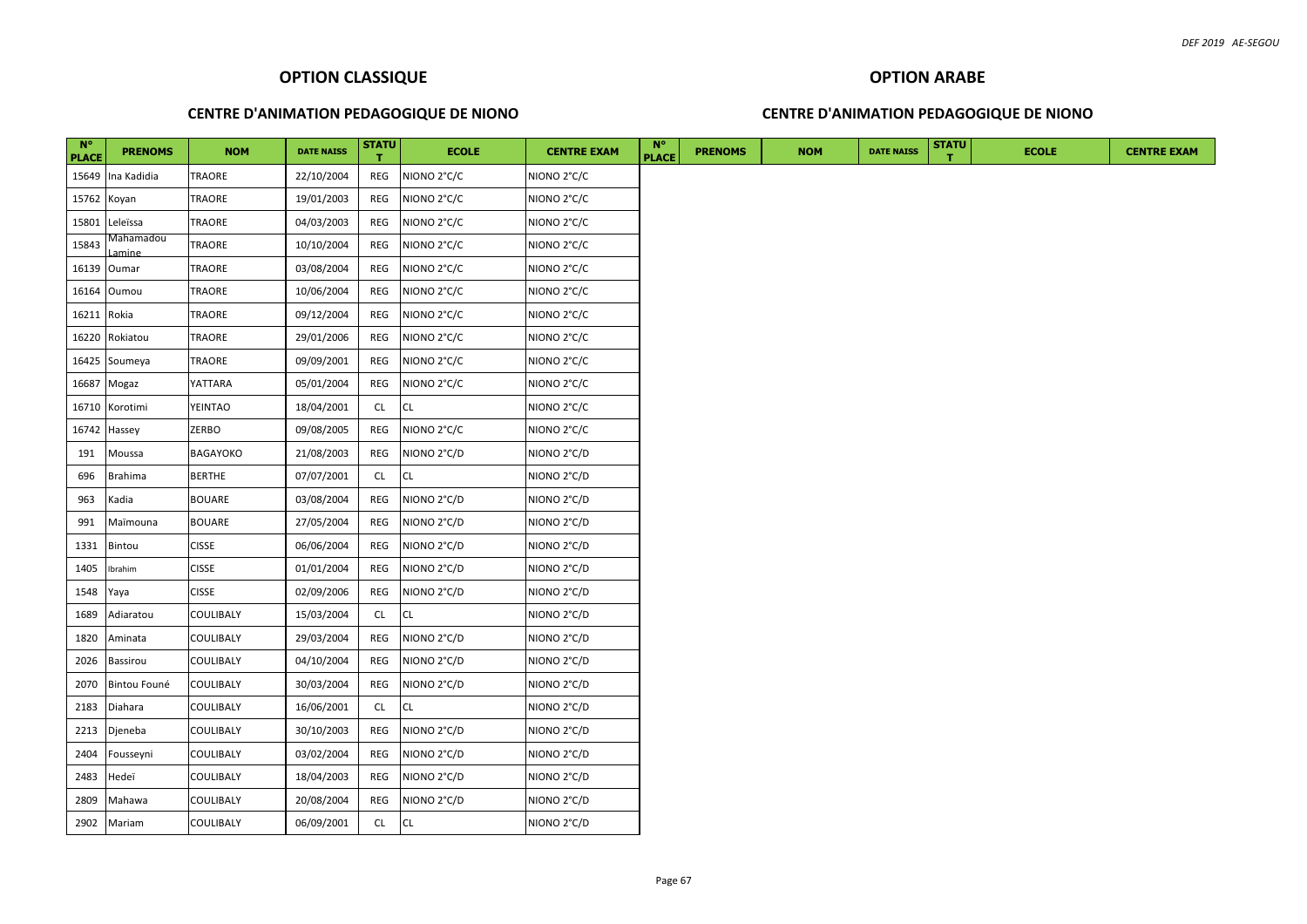#### **CENTRE D'ANIMATION PEDAGOGIQUE DE NIONO**

#### **CENTRE D'ANIMATION PEDAGOGIQUE DE NIONO**

| $N^{\circ}$<br><b>PLACE</b> | <b>PRENOMS</b>       | <b>NOM</b>       | <b>DATE NAISS</b> | <b>STATU</b><br>$\mathbf{T}$ | <b>ECOLE</b> | <b>CENTRE EXAM</b> | $N^{\circ}$<br><b>PLACE</b> | <b>PRENOMS</b> | <b>NOM</b> | <b>DATE NAISS</b> | <b>STATU</b> | <b>ECOLE</b> | <b>CENTRE EXAM</b> |
|-----------------------------|----------------------|------------------|-------------------|------------------------------|--------------|--------------------|-----------------------------|----------------|------------|-------------------|--------------|--------------|--------------------|
| 15649                       | Ina Kadidia          | TRAORE           | 22/10/2004        | REG                          | NIONO 2°C/C  | NIONO 2°C/C        |                             |                |            |                   |              |              |                    |
| 15762 Koyan                 |                      | TRAORE           | 19/01/2003        | REG                          | NIONO 2°C/C  | NIONO 2°C/C        |                             |                |            |                   |              |              |                    |
| 15801                       | Leleïssa             | TRAORE           | 04/03/2003        | REG                          | NIONO 2°C/C  | NIONO 2°C/C        |                             |                |            |                   |              |              |                    |
| 15843                       | Vlahamadou<br>Lamine | TRAORE           | 10/10/2004        | REG                          | NIONO 2°C/C  | NIONO 2°C/C        |                             |                |            |                   |              |              |                    |
| 16139                       | Oumar                | TRAORE           | 03/08/2004        | REG                          | NIONO 2°C/C  | NIONO 2°C/C        |                             |                |            |                   |              |              |                    |
| 16164                       | Oumou                | TRAORE           | 10/06/2004        | REG                          | NIONO 2°C/C  | NIONO 2°C/C        |                             |                |            |                   |              |              |                    |
| 16211                       | Rokia                | TRAORE           | 09/12/2004        | REG                          | NIONO 2°C/C  | NIONO 2°C/C        |                             |                |            |                   |              |              |                    |
| 16220                       | Rokiatou             | TRAORE           | 29/01/2006        | REG                          | NIONO 2°C/C  | NIONO 2°C/C        |                             |                |            |                   |              |              |                    |
| 16425                       | Soumeya              | <b>TRAORE</b>    | 09/09/2001        | REG                          | NIONO 2°C/C  | NIONO 2°C/C        |                             |                |            |                   |              |              |                    |
| 16687                       | Mogaz                | YATTARA          | 05/01/2004        | REG                          | NIONO 2°C/C  | NIONO 2°C/C        |                             |                |            |                   |              |              |                    |
| 16710                       | Korotimi             | <b>YEINTAO</b>   | 18/04/2001        | <b>CL</b>                    | CL           | NIONO 2°C/C        |                             |                |            |                   |              |              |                    |
| 16742                       | Hassey               | ZERBO            | 09/08/2005        | REG                          | NIONO 2°C/C  | NIONO 2°C/C        |                             |                |            |                   |              |              |                    |
| 191                         | Moussa               | <b>BAGAYOKO</b>  | 21/08/2003        | REG                          | NIONO 2°C/D  | NIONO 2°C/D        |                             |                |            |                   |              |              |                    |
| 696                         | Brahima              | <b>BERTHE</b>    | 07/07/2001        | <b>CL</b>                    | CL           | NIONO 2°C/D        |                             |                |            |                   |              |              |                    |
| 963                         | Kadia                | <b>BOUARE</b>    | 03/08/2004        | REG                          | NIONO 2°C/D  | NIONO 2°C/D        |                             |                |            |                   |              |              |                    |
| 991                         | Maïmouna             | <b>BOUARE</b>    | 27/05/2004        | REG                          | NIONO 2°C/D  | NIONO 2°C/D        |                             |                |            |                   |              |              |                    |
| 1331                        | Bintou               | <b>CISSE</b>     | 06/06/2004        | REG                          | NIONO 2°C/D  | NIONO 2°C/D        |                             |                |            |                   |              |              |                    |
| 1405                        | Ibrahim              | <b>CISSE</b>     | 01/01/2004        | REG                          | NIONO 2°C/D  | NIONO 2°C/D        |                             |                |            |                   |              |              |                    |
| 1548                        | Yaya                 | <b>CISSE</b>     | 02/09/2006        | REG                          | NIONO 2°C/D  | NIONO 2°C/D        |                             |                |            |                   |              |              |                    |
| 1689                        | Adiaratou            | COULIBALY        | 15/03/2004        | <b>CL</b>                    | CL           | NIONO 2°C/D        |                             |                |            |                   |              |              |                    |
| 1820                        | Aminata              | COULIBALY        | 29/03/2004        | REG                          | NIONO 2°C/D  | NIONO 2°C/D        |                             |                |            |                   |              |              |                    |
| 2026                        | Bassirou             | <b>COULIBALY</b> | 04/10/2004        | REG                          | NIONO 2°C/D  | NIONO 2°C/D        |                             |                |            |                   |              |              |                    |
| 2070                        | Bintou Founé         | <b>COULIBALY</b> | 30/03/2004        | REG                          | NIONO 2°C/D  | NIONO 2°C/D        |                             |                |            |                   |              |              |                    |
| 2183                        | Diahara              | COULIBALY        | 16/06/2001        | <b>CL</b>                    | CL           | NIONO 2°C/D        |                             |                |            |                   |              |              |                    |
| 2213                        | Djeneba              | <b>COULIBALY</b> | 30/10/2003        | REG                          | NIONO 2°C/D  | NIONO 2°C/D        |                             |                |            |                   |              |              |                    |
| 2404                        | Fousseyni            | COULIBALY        | 03/02/2004        | REG                          | NIONO 2°C/D  | NIONO 2°C/D        |                             |                |            |                   |              |              |                    |
| 2483                        | Hedeï                | COULIBALY        | 18/04/2003        | REG                          | NIONO 2°C/D  | NIONO 2°C/D        |                             |                |            |                   |              |              |                    |
| 2809                        | Mahawa               | COULIBALY        | 20/08/2004        | REG                          | NIONO 2°C/D  | NIONO 2°C/D        |                             |                |            |                   |              |              |                    |
| 2902                        | Mariam               | COULIBALY        | 06/09/2001        | CL                           | <b>CL</b>    | NIONO 2°C/D        |                             |                |            |                   |              |              |                    |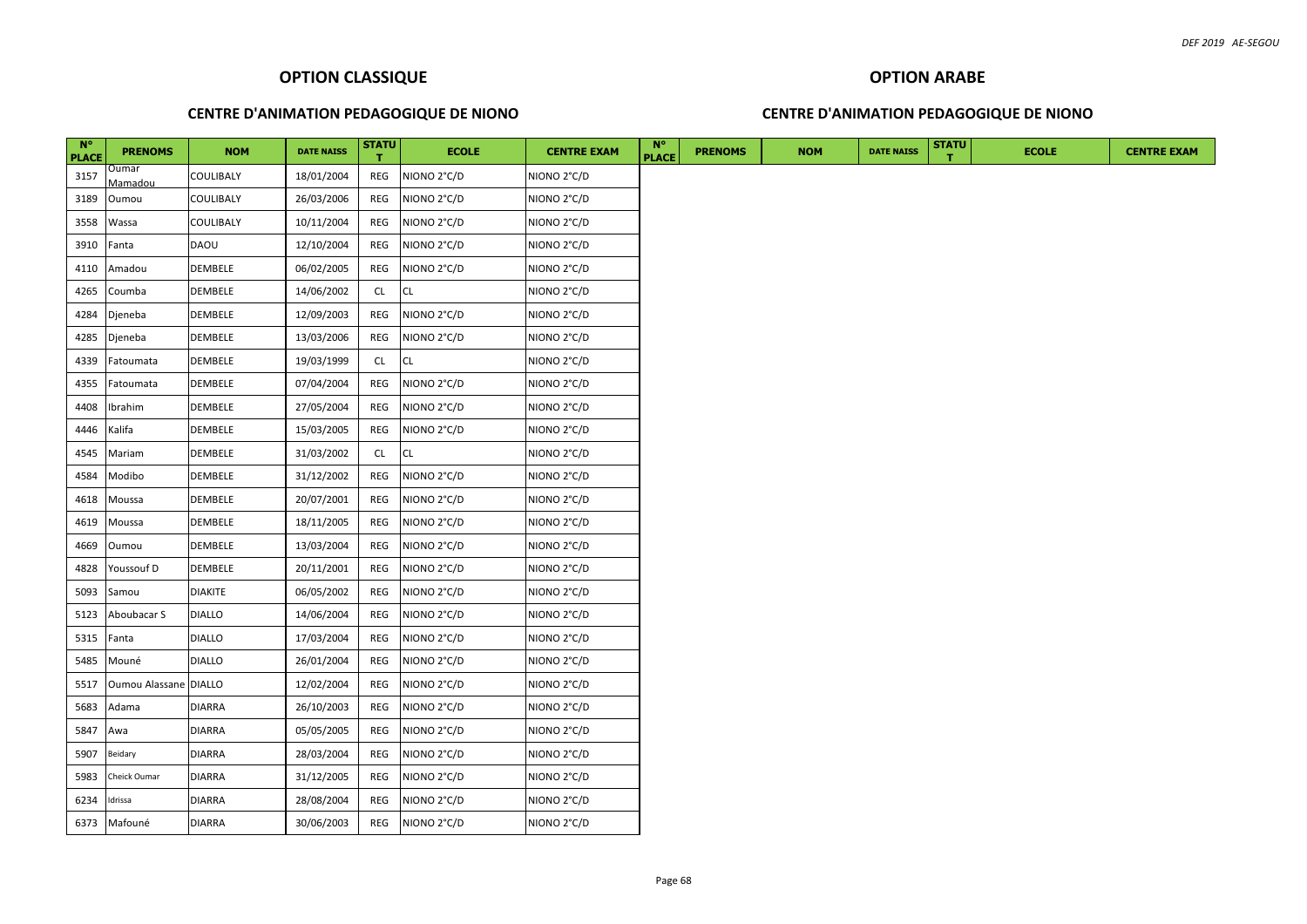# **CENTRE D'ANIMATION PEDAGOGIQUE DE NIONO**

#### **CENTRE D'ANIMATION PEDAGOGIQUE DE NIONO**

| $N^{\circ}$<br><b>PLACE</b> | <b>PRENOMS</b>          | <b>NOM</b>     | <b>DATE NAISS</b> | <b>STATU</b> | <b>ECOLE</b> | <b>CENTRE EXAM</b> | $N^{\circ}$<br><b>PLACE</b> | <b>PRENOMS</b> | <b>NOM</b> | <b>DATE NAISS</b> | <b>STATU</b> | <b>ECOLE</b> | <b>CENTRE EXAM</b> |
|-----------------------------|-------------------------|----------------|-------------------|--------------|--------------|--------------------|-----------------------------|----------------|------------|-------------------|--------------|--------------|--------------------|
| 3157                        | <b>Dumar</b><br>Mamadou | COULIBALY      | 18/01/2004        | REG          | NIONO 2°C/D  | NIONO 2°C/D        |                             |                |            |                   |              |              |                    |
| 3189                        | Oumou                   | COULIBALY      | 26/03/2006        | REG          | NIONO 2°C/D  | NIONO 2°C/D        |                             |                |            |                   |              |              |                    |
| 3558                        | Wassa                   | COULIBALY      | 10/11/2004        | <b>REG</b>   | NIONO 2°C/D  | NIONO 2°C/D        |                             |                |            |                   |              |              |                    |
| 3910                        | Fanta                   | <b>DAOU</b>    | 12/10/2004        | REG          | NIONO 2°C/D  | NIONO 2°C/D        |                             |                |            |                   |              |              |                    |
| 4110                        | Amadou                  | DEMBELE        | 06/02/2005        | REG          | NIONO 2°C/D  | NIONO 2°C/D        |                             |                |            |                   |              |              |                    |
| 4265                        | Coumba                  | DEMBELE        | 14/06/2002        | <b>CL</b>    | <b>CL</b>    | NIONO 2°C/D        |                             |                |            |                   |              |              |                    |
| 4284                        | Djeneba                 | DEMBELE        | 12/09/2003        | REG          | NIONO 2°C/D  | NIONO 2°C/D        |                             |                |            |                   |              |              |                    |
| 4285                        | Djeneba                 | DEMBELE        | 13/03/2006        | REG          | NIONO 2°C/D  | NIONO 2°C/D        |                             |                |            |                   |              |              |                    |
| 4339                        | Fatoumata               | DEMBELE        | 19/03/1999        | CL.          | CL           | NIONO 2°C/D        |                             |                |            |                   |              |              |                    |
| 4355                        | Fatoumata               | DEMBELE        | 07/04/2004        | REG          | NIONO 2°C/D  | NIONO 2°C/D        |                             |                |            |                   |              |              |                    |
| 4408                        | Ibrahim                 | DEMBELE        | 27/05/2004        | REG          | NIONO 2°C/D  | NIONO 2°C/D        |                             |                |            |                   |              |              |                    |
| 4446                        | Kalifa                  | DEMBELE        | 15/03/2005        | REG          | NIONO 2°C/D  | NIONO 2°C/D        |                             |                |            |                   |              |              |                    |
| 4545                        | Mariam                  | DEMBELE        | 31/03/2002        | CL           | <b>CL</b>    | NIONO 2°C/D        |                             |                |            |                   |              |              |                    |
| 4584                        | Modibo                  | DEMBELE        | 31/12/2002        | REG          | NIONO 2°C/D  | NIONO 2°C/D        |                             |                |            |                   |              |              |                    |
| 4618                        | Moussa                  | DEMBELE        | 20/07/2001        | REG          | NIONO 2°C/D  | NIONO 2°C/D        |                             |                |            |                   |              |              |                    |
| 4619                        | Moussa                  | DEMBELE        | 18/11/2005        | REG          | NIONO 2°C/D  | NIONO 2°C/D        |                             |                |            |                   |              |              |                    |
| 4669                        | Oumou                   | DEMBELE        | 13/03/2004        | REG          | NIONO 2°C/D  | NIONO 2°C/D        |                             |                |            |                   |              |              |                    |
| 4828                        | Youssouf D              | DEMBELE        | 20/11/2001        | REG          | NIONO 2°C/D  | NIONO 2°C/D        |                             |                |            |                   |              |              |                    |
| 5093                        | Samou                   | <b>DIAKITE</b> | 06/05/2002        | REG          | NIONO 2°C/D  | NIONO 2°C/D        |                             |                |            |                   |              |              |                    |
| 5123                        | Aboubacar S             | <b>DIALLO</b>  | 14/06/2004        | REG          | NIONO 2°C/D  | NIONO 2°C/D        |                             |                |            |                   |              |              |                    |
| 5315                        | Fanta                   | <b>DIALLO</b>  | 17/03/2004        | REG          | NIONO 2°C/D  | NIONO 2°C/D        |                             |                |            |                   |              |              |                    |
| 5485                        | Mouné                   | <b>DIALLO</b>  | 26/01/2004        | REG          | NIONO 2°C/D  | NIONO 2°C/D        |                             |                |            |                   |              |              |                    |
| 5517                        | Oumou Alassane DIALLO   |                | 12/02/2004        | REG          | NIONO 2°C/D  | NIONO 2°C/D        |                             |                |            |                   |              |              |                    |
| 5683                        | Adama                   | <b>DIARRA</b>  | 26/10/2003        | REG          | NIONO 2°C/D  | NIONO 2°C/D        |                             |                |            |                   |              |              |                    |
| 5847                        | Awa                     | <b>DIARRA</b>  | 05/05/2005        | REG          | NIONO 2°C/D  | NIONO 2°C/D        |                             |                |            |                   |              |              |                    |
| 5907                        | Beidary                 | DIARRA         | 28/03/2004        | REG          | NIONO 2°C/D  | NIONO 2°C/D        |                             |                |            |                   |              |              |                    |
| 5983                        | Cheick Oumar            | <b>DIARRA</b>  | 31/12/2005        | REG          | NIONO 2°C/D  | NIONO 2°C/D        |                             |                |            |                   |              |              |                    |
| 6234                        | Idrissa                 | <b>DIARRA</b>  | 28/08/2004        | REG          | NIONO 2°C/D  | NIONO 2°C/D        |                             |                |            |                   |              |              |                    |
|                             | 6373 Mafouné            | <b>DIARRA</b>  | 30/06/2003        | REG          | NIONO 2°C/D  | NIONO 2°C/D        |                             |                |            |                   |              |              |                    |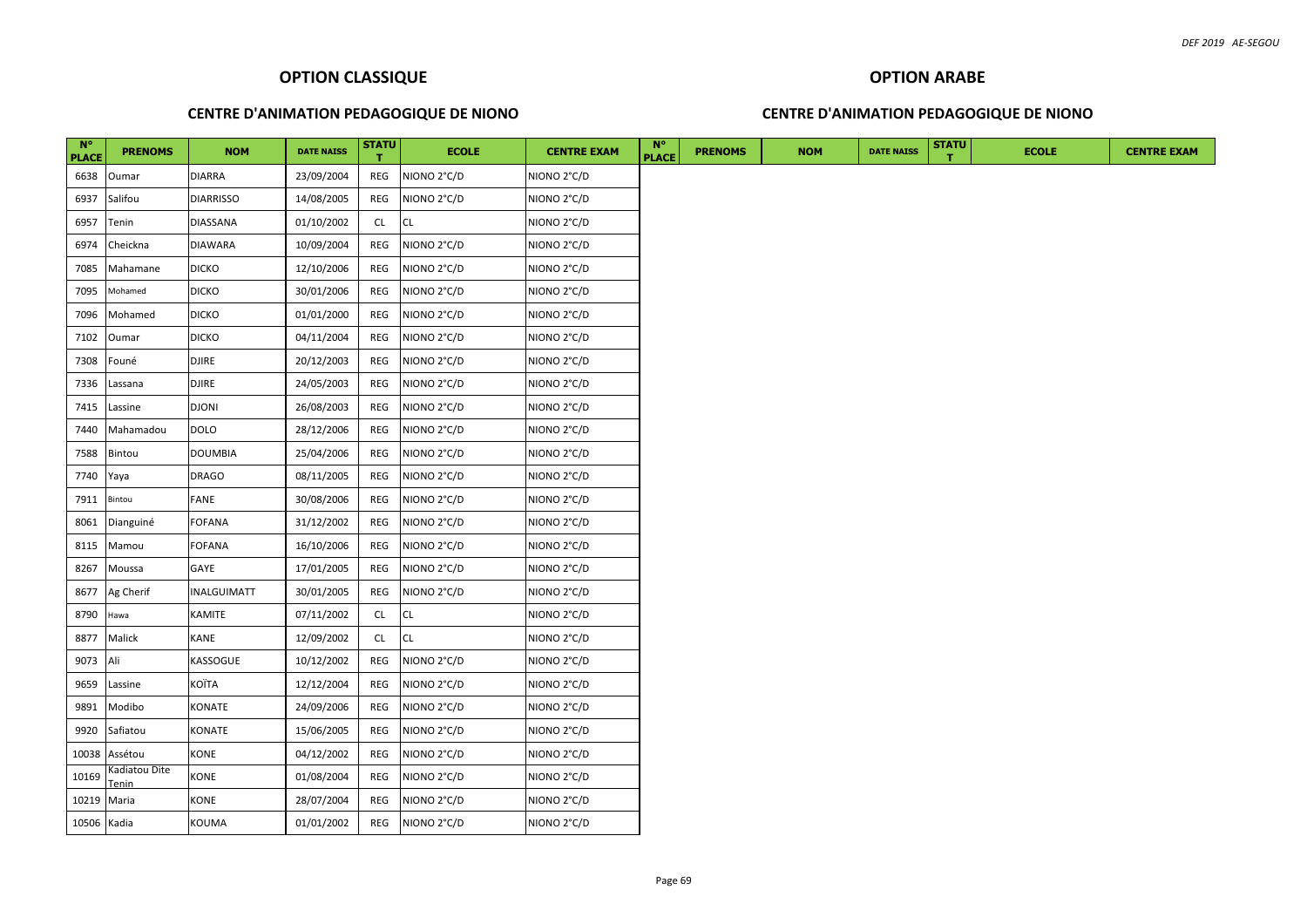#### **CENTRE D'ANIMATION PEDAGOGIQUE DE NIONO**

#### **CENTRE D'ANIMATION PEDAGOGIQUE DE NIONO**

| $N^{\circ}$<br><b>PLACE</b> | <b>PRENOMS</b>        | <b>NOM</b>       | <b>DATE NAISS</b> | <b>STATU</b> | <b>ECOLE</b> | <b>CENTRE EXAM</b> | $N^{\circ}$<br><b>PLACE</b> | <b>PRENOMS</b> | <b>NOM</b> | <b>DATE NAISS</b> | <b>STATU</b> | <b>ECOLE</b> |  |
|-----------------------------|-----------------------|------------------|-------------------|--------------|--------------|--------------------|-----------------------------|----------------|------------|-------------------|--------------|--------------|--|
| 6638                        | Oumar                 | DIARRA           | 23/09/2004        | REG          | NIONO 2°C/D  | NIONO 2°C/D        |                             |                |            |                   |              |              |  |
| 6937                        | Salifou               | <b>DIARRISSO</b> | 14/08/2005        | REG          | NIONO 2°C/D  | NIONO 2°C/D        |                             |                |            |                   |              |              |  |
| 6957                        | Tenin                 | DIASSANA         | 01/10/2002        | <b>CL</b>    | CL           | NIONO 2°C/D        |                             |                |            |                   |              |              |  |
| 6974                        | Cheickna              | <b>DIAWARA</b>   | 10/09/2004        | REG          | NIONO 2°C/D  | NIONO 2°C/D        |                             |                |            |                   |              |              |  |
| 7085                        | Mahamane              | <b>DICKO</b>     | 12/10/2006        | REG          | NIONO 2°C/D  | NIONO 2°C/D        |                             |                |            |                   |              |              |  |
| 7095                        | Mohamed               | <b>DICKO</b>     | 30/01/2006        | REG          | NIONO 2°C/D  | NIONO 2°C/D        |                             |                |            |                   |              |              |  |
| 7096                        | Mohamed               | <b>DICKO</b>     | 01/01/2000        | REG          | NIONO 2°C/D  | NIONO 2°C/D        |                             |                |            |                   |              |              |  |
| 7102                        | Oumar                 | <b>DICKO</b>     | 04/11/2004        | REG          | NIONO 2°C/D  | NIONO 2°C/D        |                             |                |            |                   |              |              |  |
| 7308                        | Founé                 | DJIRE            | 20/12/2003        | REG          | NIONO 2°C/D  | NIONO 2°C/D        |                             |                |            |                   |              |              |  |
| 7336                        | Lassana               | <b>DJIRE</b>     | 24/05/2003        | REG          | NIONO 2°C/D  | NIONO 2°C/D        |                             |                |            |                   |              |              |  |
| 7415                        | Lassine               | <b>DJONI</b>     | 26/08/2003        | REG          | NIONO 2°C/D  | NIONO 2°C/D        |                             |                |            |                   |              |              |  |
| 7440                        | Mahamadou             | <b>DOLO</b>      | 28/12/2006        | REG          | NIONO 2°C/D  | NIONO 2°C/D        |                             |                |            |                   |              |              |  |
| 7588                        | Bintou                | DOUMBIA          | 25/04/2006        | REG          | NIONO 2°C/D  | NIONO 2°C/D        |                             |                |            |                   |              |              |  |
| 7740                        | Yaya                  | DRAGO            | 08/11/2005        | REG          | NIONO 2°C/D  | NIONO 2°C/D        |                             |                |            |                   |              |              |  |
| 7911                        | Bintou                | FANE             | 30/08/2006        | REG          | NIONO 2°C/D  | NIONO 2°C/D        |                             |                |            |                   |              |              |  |
| 8061                        | Dianguiné             | FOFANA           | 31/12/2002        | REG          | NIONO 2°C/D  | NIONO 2°C/D        |                             |                |            |                   |              |              |  |
| 8115                        | Mamou                 | FOFANA           | 16/10/2006        | REG          | NIONO 2°C/D  | NIONO 2°C/D        |                             |                |            |                   |              |              |  |
| 8267                        | Moussa                | GAYE             | 17/01/2005        | REG          | NIONO 2°C/D  | NIONO 2°C/D        |                             |                |            |                   |              |              |  |
| 8677                        | Ag Cherif             | INALGUIMATT      | 30/01/2005        | REG          | NIONO 2°C/D  | NIONO 2°C/D        |                             |                |            |                   |              |              |  |
| 8790                        | Hawa                  | KAMITE           | 07/11/2002        | CL           | CL           | NIONO 2°C/D        |                             |                |            |                   |              |              |  |
| 8877                        | Malick                | KANE             | 12/09/2002        | <b>CL</b>    | CL           | NIONO 2°C/D        |                             |                |            |                   |              |              |  |
| 9073                        | Ali                   | KASSOGUE         | 10/12/2002        | REG          | NIONO 2°C/D  | NIONO 2°C/D        |                             |                |            |                   |              |              |  |
| 9659                        | Lassine               | KOÏTA            | 12/12/2004        | REG          | NIONO 2°C/D  | NIONO 2°C/D        |                             |                |            |                   |              |              |  |
| 9891                        | Modibo                | KONATE           | 24/09/2006        | REG          | NIONO 2°C/D  | NIONO 2°C/D        |                             |                |            |                   |              |              |  |
| 9920                        | Safiatou              | KONATE           | 15/06/2005        | REG          | NIONO 2°C/D  | NIONO 2°C/D        |                             |                |            |                   |              |              |  |
| 10038                       | Assétou               | KONE             | 04/12/2002        | REG          | NIONO 2°C/D  | NIONO 2°C/D        |                             |                |            |                   |              |              |  |
| 10169                       | Kadiatou Dite<br>enin | KONE             | 01/08/2004        | REG          | NIONO 2°C/D  | NIONO 2°C/D        |                             |                |            |                   |              |              |  |
| 10219                       | Maria                 | KONE             | 28/07/2004        | REG          | NIONO 2°C/D  | NIONO 2°C/D        |                             |                |            |                   |              |              |  |
| 10506 Kadia                 |                       | KOUMA            | 01/01/2002        | REG          | NIONO 2°C/D  | NIONO 2°C/D        |                             |                |            |                   |              |              |  |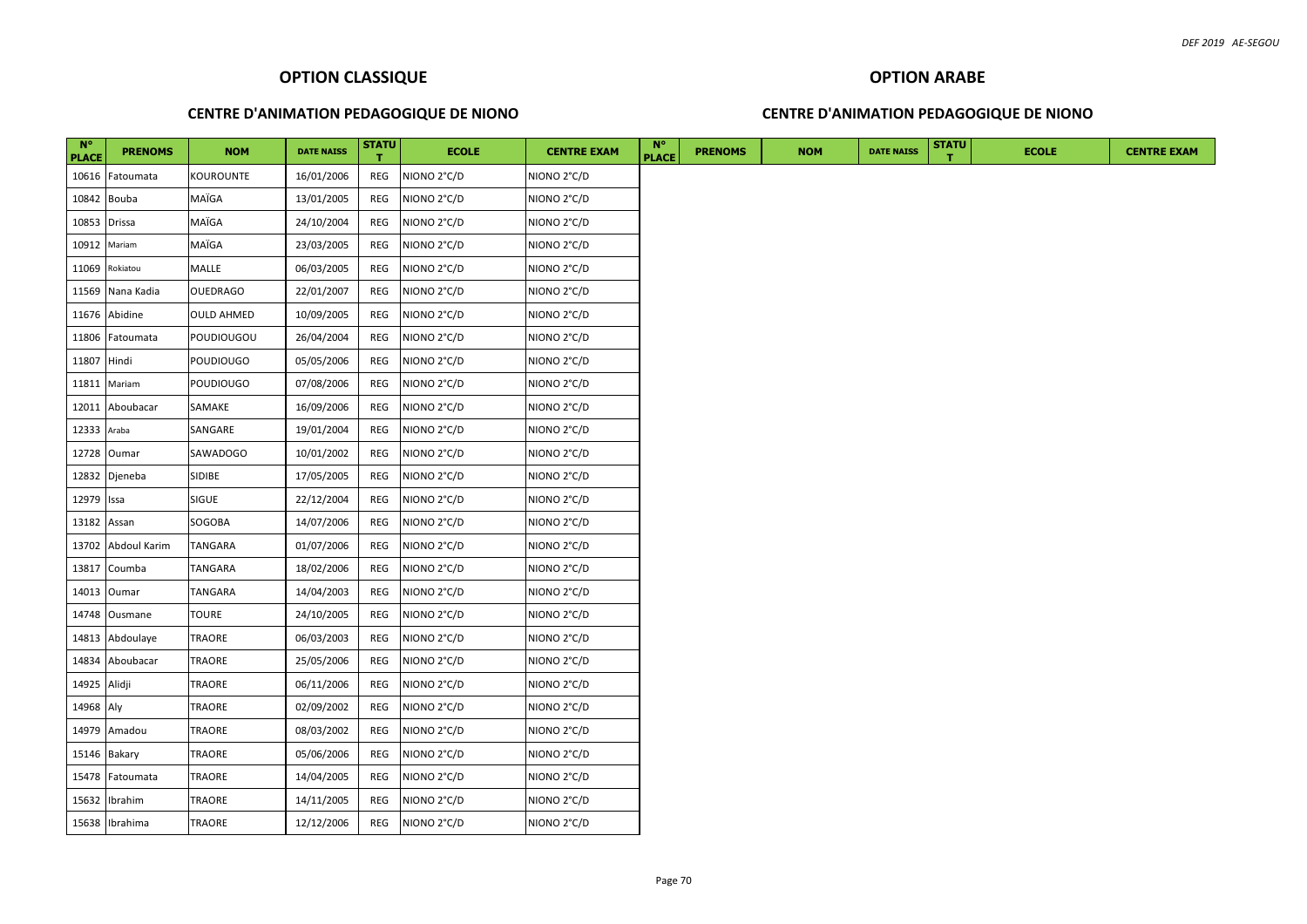#### **CENTRE D'ANIMATION PEDAGOGIQUE DE NIONO**

#### **CENTRE D'ANIMATION PEDAGOGIQUE DE NIONO**

| $N^{\circ}$<br><b>PLACE</b> | <b>PRENOMS</b>  | <b>NOM</b>        | <b>DATE NAISS</b> | <b>STATU</b> | <b>ECOLE</b> | <b>CENTRE EXAM</b>      | $N^{\circ}$<br><b>PLACE</b> | <b>PRENOMS</b> | <b>NOM</b> | <b>DATE NAISS</b> | <b>STATU</b> | <b>ECOLE</b> |  |
|-----------------------------|-----------------|-------------------|-------------------|--------------|--------------|-------------------------|-----------------------------|----------------|------------|-------------------|--------------|--------------|--|
| 10616                       | Fatoumata       | KOUROUNTE         | 16/01/2006        | REG          | NIONO 2°C/D  | NIONO 2°C/D             |                             |                |            |                   |              |              |  |
| 10842 Bouba                 |                 | MAÏGA             | 13/01/2005        | REG          | NIONO 2°C/D  | NIONO <sub>2°C</sub> /D |                             |                |            |                   |              |              |  |
| 10853                       | <b>Drissa</b>   | MAÏGA             | 24/10/2004        | REG          | NIONO 2°C/D  | NIONO <sub>2°C</sub> /D |                             |                |            |                   |              |              |  |
| 10912                       | Mariam          | MAÏGA             | 23/03/2005        | REG          | NIONO 2°C/D  | NIONO <sub>2°C</sub> /D |                             |                |            |                   |              |              |  |
| 11069                       | Rokiatou        | MALLE             | 06/03/2005        | REG          | NIONO 2°C/D  | NIONO <sub>2°C</sub> /D |                             |                |            |                   |              |              |  |
| 11569                       | Nana Kadia      | <b>OUEDRAGO</b>   | 22/01/2007        | REG          | NIONO 2°C/D  | NIONO <sub>2°C</sub> /D |                             |                |            |                   |              |              |  |
| 11676                       | Abidine         | <b>OULD AHMED</b> | 10/09/2005        | REG          | NIONO 2°C/D  | NIONO 2°C/D             |                             |                |            |                   |              |              |  |
| 11806                       | Fatoumata       | POUDIOUGOU        | 26/04/2004        | REG          | NIONO 2°C/D  | NIONO <sub>2°C</sub> /D |                             |                |            |                   |              |              |  |
| 11807 Hindi                 |                 | POUDIOUGO         | 05/05/2006        | REG          | NIONO 2°C/D  | NIONO 2°C/D             |                             |                |            |                   |              |              |  |
| 11811                       | Mariam          | POUDIOUGO         | 07/08/2006        | REG          | NIONO 2°C/D  | NIONO 2°C/D             |                             |                |            |                   |              |              |  |
| 12011                       | Aboubacar       | SAMAKE            | 16/09/2006        | REG          | NIONO 2°C/D  | NIONO 2°C/D             |                             |                |            |                   |              |              |  |
| 12333 Araba                 |                 | SANGARE           | 19/01/2004        | REG          | NIONO 2°C/D  | NIONO 2°C/D             |                             |                |            |                   |              |              |  |
| 12728                       | Oumar           | SAWADOGO          | 10/01/2002        | REG          | NIONO 2°C/D  | NIONO 2°C/D             |                             |                |            |                   |              |              |  |
| 12832                       | Djeneba         | SIDIBE            | 17/05/2005        | REG          | NIONO 2°C/D  | NIONO 2°C/D             |                             |                |            |                   |              |              |  |
| 12979                       | Issa            | <b>SIGUE</b>      | 22/12/2004        | REG          | NIONO 2°C/D  | NIONO 2°C/D             |                             |                |            |                   |              |              |  |
| 13182                       | Assan           | SOGOBA            | 14/07/2006        | REG          | NIONO 2°C/D  | NIONO 2°C/D             |                             |                |            |                   |              |              |  |
| 13702                       | Abdoul Karim    | TANGARA           | 01/07/2006        | REG          | NIONO 2°C/D  | NIONO 2°C/D             |                             |                |            |                   |              |              |  |
| 13817                       | Coumba          | TANGARA           | 18/02/2006        | REG          | NIONO 2°C/D  | NIONO 2°C/D             |                             |                |            |                   |              |              |  |
|                             | 14013 Oumar     | TANGARA           | 14/04/2003        | REG          | NIONO 2°C/D  | NIONO 2°C/D             |                             |                |            |                   |              |              |  |
| 14748                       | Ousmane         | TOURE             | 24/10/2005        | REG          | NIONO 2°C/D  | NIONO 2°C/D             |                             |                |            |                   |              |              |  |
|                             | 14813 Abdoulaye | TRAORE            | 06/03/2003        | REG          | NIONO 2°C/D  | NIONO 2°C/D             |                             |                |            |                   |              |              |  |
| 14834                       | Aboubacar       | TRAORE            | 25/05/2006        | REG          | NIONO 2°C/D  | NIONO 2°C/D             |                             |                |            |                   |              |              |  |
| 14925 Alidji                |                 | TRAORE            | 06/11/2006        | REG          | NIONO 2°C/D  | NIONO 2°C/D             |                             |                |            |                   |              |              |  |
| 14968 Aly                   |                 | TRAORE            | 02/09/2002        | REG          | NIONO 2°C/D  | NIONO 2°C/D             |                             |                |            |                   |              |              |  |
| 14979                       | Amadou          | TRAORE            | 08/03/2002        | REG          | NIONO 2°C/D  | NIONO 2°C/D             |                             |                |            |                   |              |              |  |
|                             | 15146 Bakary    | TRAORE            | 05/06/2006        | REG          | NIONO 2°C/D  | NIONO 2°C/D             |                             |                |            |                   |              |              |  |
| 15478                       | Fatoumata       | TRAORE            | 14/04/2005        | REG          | NIONO 2°C/D  | NIONO 2°C/D             |                             |                |            |                   |              |              |  |
| 15632                       | Ibrahim         | TRAORE            | 14/11/2005        | REG          | NIONO 2°C/D  | NIONO 2°C/D             |                             |                |            |                   |              |              |  |
|                             | 15638 Ibrahima  | TRAORE            | 12/12/2006        | REG          | NIONO 2°C/D  | NIONO 2°C/D             |                             |                |            |                   |              |              |  |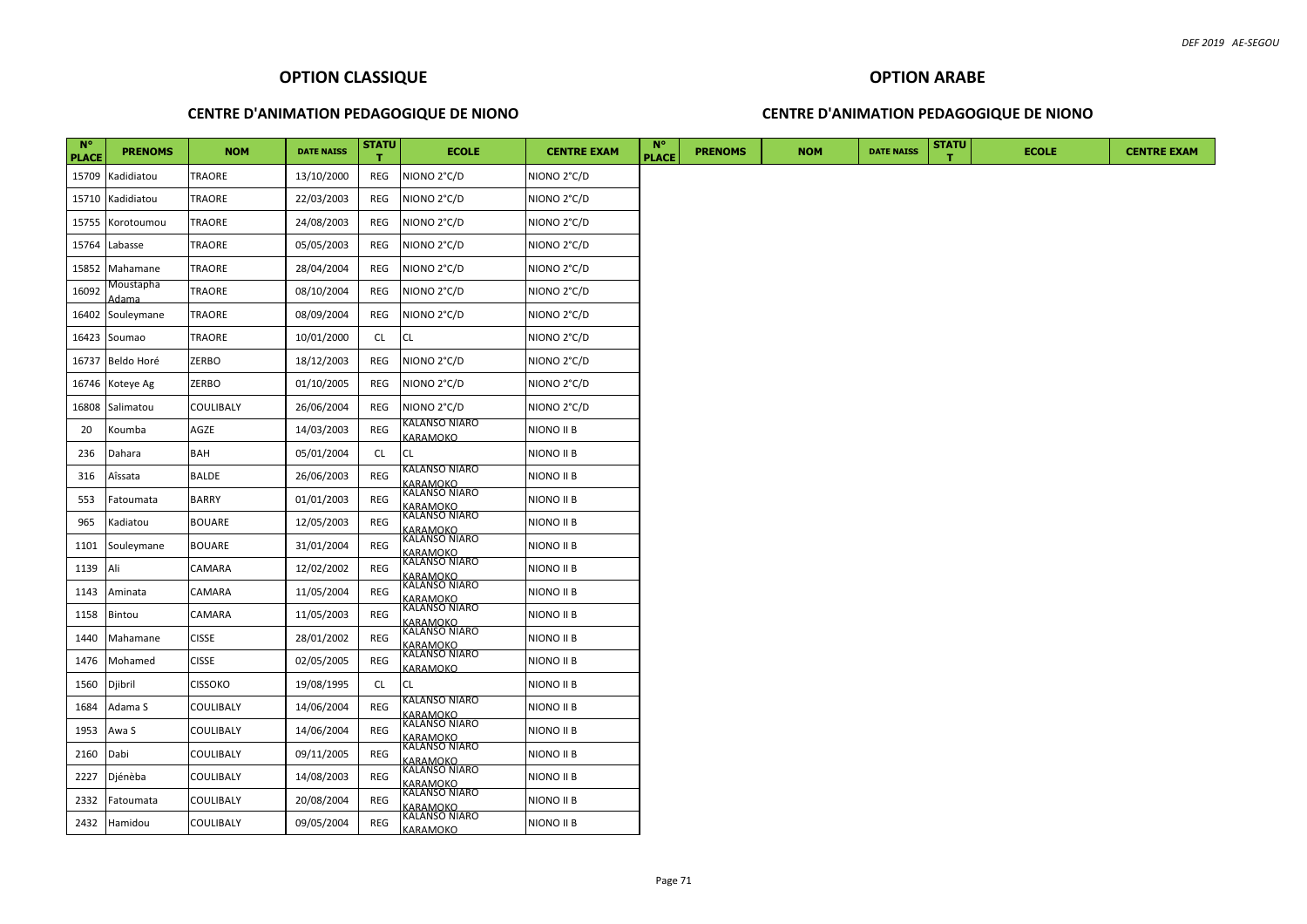#### **CENTRE D'ANIMATION PEDAGOGIQUE DE NIONO**

#### **CENTRE D'ANIMATION PEDAGOGIQUE DE NIONO**

| <b>N°</b><br><b>PLACE</b> | <b>PRENOMS</b>     | <b>NOM</b>     | <b>DATE NAISS</b> | <b>STATU</b> | <b>ECOLE</b>                                        | <b>CENTRE EXAM</b> | $N^{\circ}$<br><b>PLACE</b> | <b>PRENOMS</b> | <b>NOM</b> | <b>DATE NAISS</b> | <b>STATU</b> | <b>ECOLE</b> | <b>CENTRE EXAM</b> |
|---------------------------|--------------------|----------------|-------------------|--------------|-----------------------------------------------------|--------------------|-----------------------------|----------------|------------|-------------------|--------------|--------------|--------------------|
|                           | 15709 Kadidiatou   | TRAORE         | 13/10/2000        | REG          | NIONO 2°C/D                                         | NIONO 2°C/D        |                             |                |            |                   |              |              |                    |
|                           | 15710 Kadidiatou   | TRAORE         | 22/03/2003        | REG          | NIONO 2°C/D                                         | NIONO 2°C/D        |                             |                |            |                   |              |              |                    |
|                           | 15755 Korotoumou   | TRAORE         | 24/08/2003        | REG          | NIONO 2°C/D                                         | NIONO 2°C/D        |                             |                |            |                   |              |              |                    |
|                           | 15764 Labasse      | TRAORE         | 05/05/2003        | REG          | NIONO 2°C/D                                         | NIONO 2°C/D        |                             |                |            |                   |              |              |                    |
|                           | 15852 Mahamane     | TRAORE         | 28/04/2004        | REG          | NIONO 2°C/D                                         | NIONO 2°C/D        |                             |                |            |                   |              |              |                    |
| 16092                     | Moustapha<br>Adama | TRAORE         | 08/10/2004        | REG          | NIONO 2°C/D                                         | NIONO 2°C/D        |                             |                |            |                   |              |              |                    |
|                           | 16402 Souleymane   | TRAORE         | 08/09/2004        | REG          | NIONO 2°C/D                                         | NIONO 2°C/D        |                             |                |            |                   |              |              |                    |
|                           | 16423 Soumao       | <b>TRAORE</b>  | 10/01/2000        | CL           | CL                                                  | NIONO 2°C/D        |                             |                |            |                   |              |              |                    |
|                           | 16737 Beldo Horé   | ZERBO          | 18/12/2003        | REG          | NIONO 2°C/D                                         | NIONO 2°C/D        |                             |                |            |                   |              |              |                    |
|                           | 16746 Koteye Ag    | ZERBO          | 01/10/2005        | REG          | NIONO 2°C/D                                         | NIONO 2°C/D        |                             |                |            |                   |              |              |                    |
|                           | 16808 Salimatou    | COULIBALY      | 26/06/2004        | REG          | NIONO 2°C/D                                         | NIONO 2°C/D        |                             |                |            |                   |              |              |                    |
| 20                        | Koumba             | AGZE           | 14/03/2003        | REG          | KALANSO NIARO<br><b>GARAMOKO</b>                    | NIONO II B         |                             |                |            |                   |              |              |                    |
| 236                       | Dahara             | BAH            | 05/01/2004        | CL           | СL                                                  | NIONO II B         |                             |                |            |                   |              |              |                    |
| 316                       | Aîssata            | <b>BALDE</b>   | 26/06/2003        | REG          | (ALANSO NIARO<br><b>ARAMOKO</b>                     | NIONO II B         |                             |                |            |                   |              |              |                    |
| 553                       | Fatoumata          | <b>BARRY</b>   | 01/01/2003        | REG          | KALANSO NIARO<br><b>GARAMOKO</b>                    | NIONO II B         |                             |                |            |                   |              |              |                    |
| 965                       | Kadiatou           | <b>BOUARE</b>  | 12/05/2003        | REG          | KALANSO NIARO<br><b>ARAMOKO</b>                     | NIONO II B         |                             |                |            |                   |              |              |                    |
|                           | 1101 Souleymane    | <b>BOUARE</b>  | 31/01/2004        | REG          | KALANSO NIARO<br><u> KARAMOKO</u>                   | NIONO II B         |                             |                |            |                   |              |              |                    |
| 1139 Ali                  |                    | CAMARA         | 12/02/2002        | REG          | KALANSO NIARO<br><b>GARAMOKO</b>                    | NIONO II B         |                             |                |            |                   |              |              |                    |
| 1143                      | Aminata            | CAMARA         | 11/05/2004        | REG          | KALANSO NIARO<br><u>KARAMOKO</u><br>KALANSO NIARO   | NIONO II B         |                             |                |            |                   |              |              |                    |
| 1158                      | Bintou             | CAMARA         | 11/05/2003        | REG          | <b>ARAMOKO</b>                                      | NIONO II B         |                             |                |            |                   |              |              |                    |
| 1440                      | Mahamane           | <b>CISSE</b>   | 28/01/2002        | REG          | KALANSO NIARO                                       | NIONO II B         |                             |                |            |                   |              |              |                    |
| 1476                      | Mohamed            | <b>CISSE</b>   | 02/05/2005        | REG          | <u>KARAMOKO</u><br>KALANSO NIARO<br><b>GARAMOKO</b> | NIONO II B         |                             |                |            |                   |              |              |                    |
| 1560                      | Djibril            | <b>CISSOKO</b> | 19/08/1995        | CL.          | СL                                                  | NIONO II B         |                             |                |            |                   |              |              |                    |
| 1684                      | Adama S            | COULIBALY      | 14/06/2004        | REG          | KALANSO NIARO<br>ARAMOKO                            | NIONO II B         |                             |                |            |                   |              |              |                    |
| 1953                      | Awa S              | COULIBALY      | 14/06/2004        | REG          | KALANSO NIARO                                       | NIONO II B         |                             |                |            |                   |              |              |                    |
| 2160                      | Dabi               | COULIBALY      | 09/11/2005        | REG          | <u>KARAMOKO</u><br>KALANSO NIARO                    | NIONO II B         |                             |                |            |                   |              |              |                    |
| 2227                      | Djénèba            | COULIBALY      | 14/08/2003        | REG          | KARAMOKO<br>KALANSO NIARO                           | NIONO II B         |                             |                |            |                   |              |              |                    |
| 2332                      | Fatoumata          | COULIBALY      | 20/08/2004        | REG          | KARAMOKO<br>KALANSO NIARO<br><u>ARAMOKO</u>         | NIONO II B         |                             |                |            |                   |              |              |                    |
|                           | 2432 Hamidou       | COULIBALY      | 09/05/2004        | REG          | KALANSO NIARO<br>KARAMOKO                           | NIONO II B         |                             |                |            |                   |              |              |                    |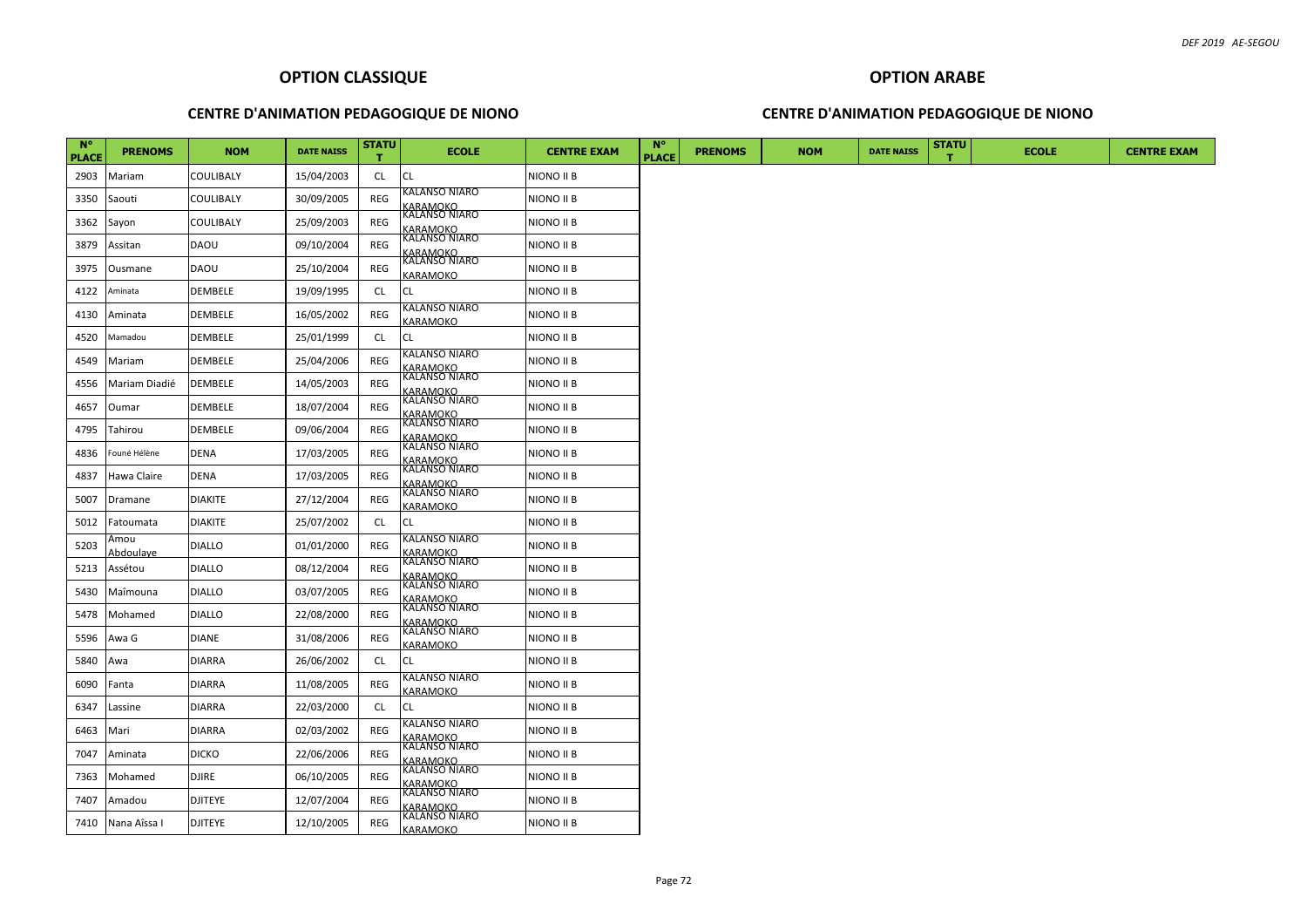#### **CENTRE D'ANIMATION PEDAGOGIQUE DE NIONO**

#### **CENTRE D'ANIMATION PEDAGOGIQUE DE NIONO**

| $N^{\circ}$<br><b>PLACE</b> | <b>PRENOMS</b>    | <b>NOM</b>       | <b>DATE NAISS</b> | <b>STATU</b> | <b>ECOLE</b>                                                  | <b>CENTRE EXAM</b> | $N^{\circ}$<br><b>PLACE</b> | <b>PRENOMS</b> | <b>NOM</b> | <b>DATE NAISS</b> | <b>STATU</b> | <b>ECOLE</b> | <b>CENTRE EXAM</b> |
|-----------------------------|-------------------|------------------|-------------------|--------------|---------------------------------------------------------------|--------------------|-----------------------------|----------------|------------|-------------------|--------------|--------------|--------------------|
| 2903                        | Mariam            | <b>COULIBALY</b> | 15/04/2003        | CL.          | <b>CL</b>                                                     | NIONO II B         |                             |                |            |                   |              |              |                    |
| 3350                        | Saouti            | <b>COULIBALY</b> | 30/09/2005        | REG          | KALANSO NIARO                                                 | NIONO II B         |                             |                |            |                   |              |              |                    |
| 3362                        | Sayon             | <b>COULIBALY</b> | 25/09/2003        | REG          | <u>KARAMOKO</u><br>KALANSO NIARO                              | NIONO II B         |                             |                |            |                   |              |              |                    |
| 3879                        | Assitan           | <b>DAOU</b>      | 09/10/2004        | REG          | <u>KARAMOKO</u><br>KALANSO NIARO                              | NIONO II B         |                             |                |            |                   |              |              |                    |
| 3975                        | Ousmane           | <b>DAOU</b>      | 25/10/2004        | REG          | <u>KARAMOKO</u><br>KALANSO NIARO<br><b>GARAMOKO</b>           | NIONO II B         |                             |                |            |                   |              |              |                    |
| 4122                        | Aminata           | DEMBELE          | 19/09/1995        | <b>CL</b>    | СL                                                            | NIONO II B         |                             |                |            |                   |              |              |                    |
| 4130                        | Aminata           | <b>DEMBELE</b>   | 16/05/2002        | REG          | KALANSO NIARO<br><b>ARAMOKO</b>                               | NIONO II B         |                             |                |            |                   |              |              |                    |
| 4520                        | Mamadou           | <b>DEMBELE</b>   | 25/01/1999        | <b>CL</b>    | CL                                                            | NIONO II B         |                             |                |            |                   |              |              |                    |
| 4549                        | Mariam            | DEMBELE          | 25/04/2006        | REG          | KALANSO NIARO                                                 | NIONO II B         |                             |                |            |                   |              |              |                    |
| 4556                        | Mariam Diadié     | <b>DEMBELE</b>   | 14/05/2003        | REG          | <u>KARAMOKO</u><br>KALANSO NIARO<br><u>ARAMOKO</u>            | NIONO II B         |                             |                |            |                   |              |              |                    |
| 4657                        | Oumar             | <b>DEMBELE</b>   | 18/07/2004        | REG          | KALANSO NIARO<br><b>ARAMOKO</b>                               | NIONO II B         |                             |                |            |                   |              |              |                    |
| 4795                        | Tahirou           | <b>DEMBELE</b>   | 09/06/2004        | REG          | KALANSO NIARO<br><b>ARAMOKO</b>                               | NIONO II B         |                             |                |            |                   |              |              |                    |
| 4836                        | Founé Hélène      | <b>DENA</b>      | 17/03/2005        | REG          | KALANSO NIARO                                                 | NIONO II B         |                             |                |            |                   |              |              |                    |
| 4837                        | Hawa Claire       | <b>DENA</b>      | 17/03/2005        | REG          | <u>KARAMOKO</u><br>KALANSO NIARO                              | NIONO II B         |                             |                |            |                   |              |              |                    |
| 5007                        | Dramane           | <b>DIAKITE</b>   | 27/12/2004        | REG          | <u>KARAMOKO</u><br>KALANSO NIARO<br><b>GARAMOKO</b>           | NIONO II B         |                             |                |            |                   |              |              |                    |
| 5012                        | Fatoumata         | <b>DIAKITE</b>   | 25/07/2002        | <b>CL</b>    | CL                                                            | NIONO II B         |                             |                |            |                   |              |              |                    |
| 5203                        | Amou<br>Abdoulave | <b>DIALLO</b>    | 01/01/2000        | <b>REG</b>   | KALANSO NIARO<br><u>KARAMOKO</u><br>KALANSO NIARO             | NIONO II B         |                             |                |            |                   |              |              |                    |
| 5213                        | Assétou           | <b>DIALLO</b>    | 08/12/2004        | REG          | <u>KARAMOKO</u><br>KALANSO NIARO                              | NIONO II B         |                             |                |            |                   |              |              |                    |
| 5430                        | Maîmouna          | <b>DIALLO</b>    | 03/07/2005        | REG          | <u>KARAMOKO</u><br>KALANSO NIARO                              | NIONO II B         |                             |                |            |                   |              |              |                    |
| 5478                        | Mohamed           | <b>DIALLO</b>    | 22/08/2000        | REG          | <u>KARAMOKO</u><br>KALANSO NIARO                              | NIONO II B         |                             |                |            |                   |              |              |                    |
| 5596                        | Awa G             | <b>DIANE</b>     | 31/08/2006        | REG          | <u> KARAMOKO</u>                                              | NIONO II B         |                             |                |            |                   |              |              |                    |
| 5840                        | Awa               | <b>DIARRA</b>    | 26/06/2002        | <b>CL</b>    | СL                                                            | NIONO II B         |                             |                |            |                   |              |              |                    |
| 6090                        | Fanta             | <b>DIARRA</b>    | 11/08/2005        | REG          | KALANSO NIARO<br><b>ARAMOKO</b>                               | NIONO II B         |                             |                |            |                   |              |              |                    |
| 6347                        | Lassine           | <b>DIARRA</b>    | 22/03/2000        | <b>CL</b>    | СL                                                            | NIONO II B         |                             |                |            |                   |              |              |                    |
| 6463                        | Mari              | <b>DIARRA</b>    | 02/03/2002        | REG          | KALANSO NIARO                                                 | NIONO II B         |                             |                |            |                   |              |              |                    |
| 7047                        | Aminata           | <b>DICKO</b>     | 22/06/2006        | REG          | <u>KARAMOKO</u><br>KALANSO NIARO<br>KARAMOKO<br>KALANSO NIARO | NIONO II B         |                             |                |            |                   |              |              |                    |
| 7363                        | Mohamed           | <b>DJIRE</b>     | 06/10/2005        | REG          | <u>KARAMOKO</u><br>KALANSO NIARO                              | NIONO II B         |                             |                |            |                   |              |              |                    |
| 7407                        | Amadou            | <b>DJITEYE</b>   | 12/07/2004        | REG          | <u>KARAMOKO</u><br>KALANSO NIARO                              | NIONO II B         |                             |                |            |                   |              |              |                    |
| 7410                        | Nana Aîssa I      | <b>DJITEYE</b>   | 12/10/2005        | <b>REG</b>   | KARAMOKO                                                      | NIONO II B         |                             |                |            |                   |              |              |                    |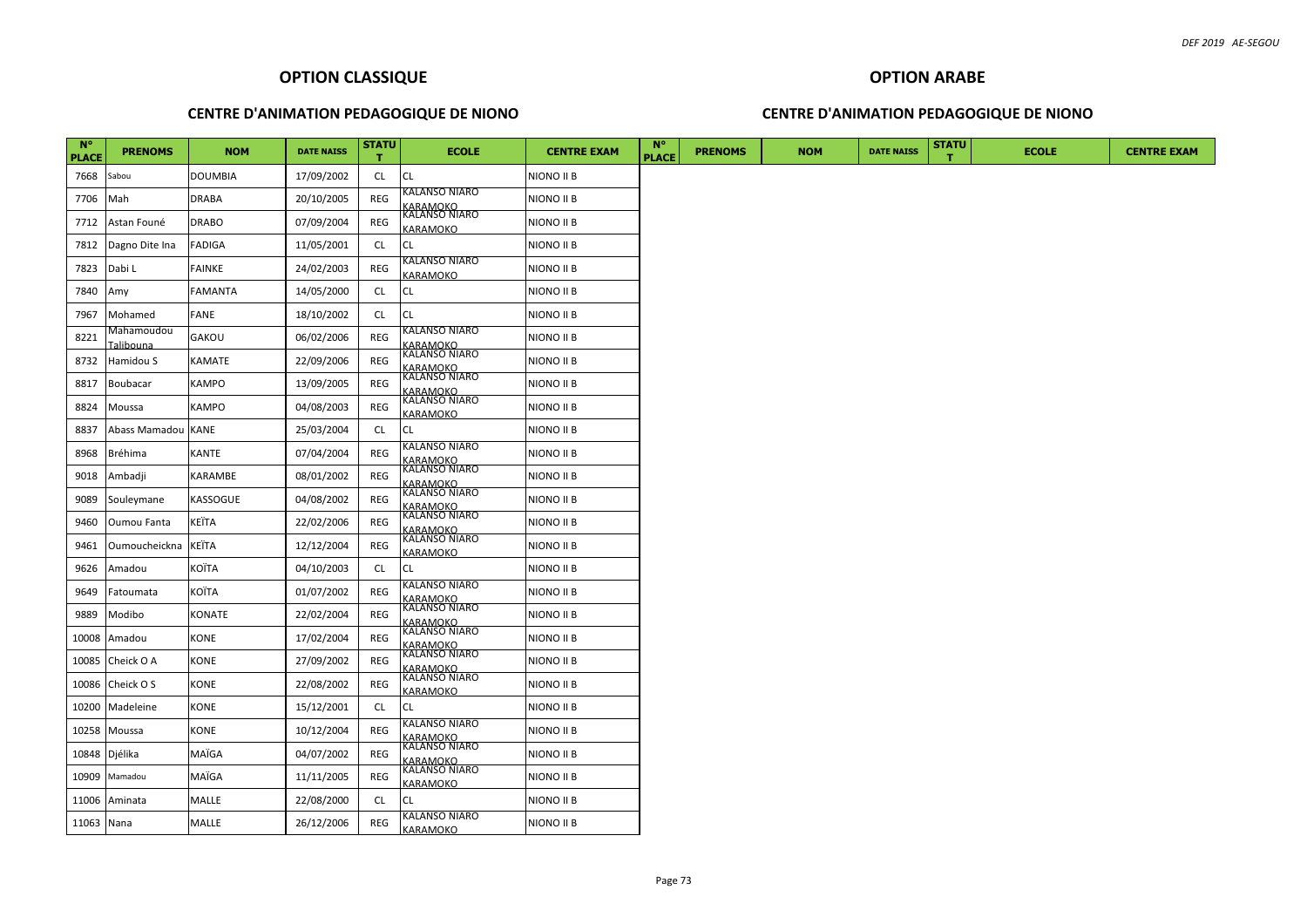### **CENTRE D'ANIMATION PEDAGOGIQUE DE NIONO**

### **CENTRE D'ANIMATION PEDAGOGIQUE DE NIONO**

| $N^{\circ}$<br><b>PLACE</b> | <b>PRENOMS</b>                  | <b>NOM</b>     | <b>DATE NAISS</b> | <b>STATU</b> | <b>ECOLE</b>                                                  | <b>CENTRE EXAM</b> | <b>N°</b><br><b>PLACE</b> | <b>PRENOMS</b> | <b>NOM</b> | <b>DATE NAISS</b> | <b>STATU</b> | <b>ECOLE</b> | <b>CENTRE EXAM</b> |
|-----------------------------|---------------------------------|----------------|-------------------|--------------|---------------------------------------------------------------|--------------------|---------------------------|----------------|------------|-------------------|--------------|--------------|--------------------|
| 7668                        | Sabou                           | <b>DOUMBIA</b> | 17/09/2002        | CL           | CL                                                            | NIONO II B         |                           |                |            |                   |              |              |                    |
| 7706                        | Mah                             | <b>DRABA</b>   | 20/10/2005        | REG          | KALANSO NIARO                                                 | NIONO II B         |                           |                |            |                   |              |              |                    |
| 7712                        | Astan Founé                     | <b>DRABO</b>   | 07/09/2004        | REG          | <u>KARAMOKO</u><br>KALANSO NIARO<br>KARAMOKO                  | NIONO II B         |                           |                |            |                   |              |              |                    |
| 7812                        | Dagno Dite Ina                  | <b>FADIGA</b>  | 11/05/2001        | <b>CL</b>    | CL.                                                           | NIONO II B         |                           |                |            |                   |              |              |                    |
| 7823                        | Dabi L                          | FAINKE         | 24/02/2003        | REG          | KALANSO NIARO<br><b>GARAMOKO</b>                              | NIONO II B         |                           |                |            |                   |              |              |                    |
| 7840                        | Amy                             | <b>FAMANTA</b> | 14/05/2000        | <b>CL</b>    | <b>CL</b>                                                     | NIONO II B         |                           |                |            |                   |              |              |                    |
| 7967                        | Mohamed                         | FANE           | 18/10/2002        | <b>CL</b>    | <b>CL</b>                                                     | NIONO II B         |                           |                |            |                   |              |              |                    |
| 8221                        | Vlahamoudou<br><b>Talibouna</b> | GAKOU          | 06/02/2006        | <b>REG</b>   | KALANSO NIARO                                                 | NIONO II B         |                           |                |            |                   |              |              |                    |
| 8732                        | Hamidou S                       | KAMATE         | 22/09/2006        | <b>REG</b>   | <u>KARAMOKO</u><br>KALANSO NIARO                              | NIONO II B         |                           |                |            |                   |              |              |                    |
| 8817                        | Boubacar                        | KAMPO          | 13/09/2005        | REG          | <u>KARAMOKO</u><br>KALANSO NIARO<br>KARAMOKO<br>KALANSO NIARO | NIONO II B         |                           |                |            |                   |              |              |                    |
| 8824                        | Moussa                          | KAMPO          | 04/08/2003        | <b>REG</b>   | KARAMOKO                                                      | NIONO II B         |                           |                |            |                   |              |              |                    |
| 8837                        | Abass Mamadou KANE              |                | 25/03/2004        | <b>CL</b>    | <b>CL</b>                                                     | NIONO II B         |                           |                |            |                   |              |              |                    |
| 8968                        | Bréhima                         | KANTE          | 07/04/2004        | <b>REG</b>   | KALANSO NIARO<br><u>KARAMOKO</u><br>KALANSO NIARO             | NIONO II B         |                           |                |            |                   |              |              |                    |
| 9018                        | Ambadji                         | KARAMBE        | 08/01/2002        | REG          |                                                               | NIONO II B         |                           |                |            |                   |              |              |                    |
| 9089                        | Souleymane                      | KASSOGUE       | 04/08/2002        | REG          | <u>KARAMOKO</u><br>KALANSO NIARO                              | NIONO II B         |                           |                |            |                   |              |              |                    |
| 9460                        | Oumou Fanta                     | KEÏTA          | 22/02/2006        | REG          | <u>KARAMOKO</u><br>KALANSO NIARO                              | NIONO II B         |                           |                |            |                   |              |              |                    |
| 9461                        | Oumoucheickna                   | KEÏTA          | 12/12/2004        | REG          | KARAMOKO<br>KALANSO NIARO<br>KARAMOKO                         | NIONO II B         |                           |                |            |                   |              |              |                    |
| 9626                        | Amadou                          | KOÏTA          | 04/10/2003        | <b>CL</b>    | <b>CL</b>                                                     | NIONO II B         |                           |                |            |                   |              |              |                    |
| 9649                        | Fatoumata                       | KOÏTA          | 01/07/2002        | <b>REG</b>   | KALANSO NIARO<br><u>KARAMOKO</u><br>KALANSO NIARO             | NIONO II B         |                           |                |            |                   |              |              |                    |
| 9889                        | Modibo                          | KONATE         | 22/02/2004        | REG          | <u>KARAMOKO</u><br>KALANSO NIARO                              | NIONO II B         |                           |                |            |                   |              |              |                    |
| 10008                       | Amadou                          | KONE           | 17/02/2004        | REG          | <b>ARAMOKO</b>                                                | NIONO II B         |                           |                |            |                   |              |              |                    |
| 10085                       | Cheick O A                      | <b>KONE</b>    | 27/09/2002        | <b>REG</b>   | KALANSO NIARO<br>KARAMOKO                                     | NIONO II B         |                           |                |            |                   |              |              |                    |
| 10086                       | Cheick O S                      | KONE           | 22/08/2002        | REG          | KALANSO NIARO<br><b>GARAMOKO</b>                              | NIONO II B         |                           |                |            |                   |              |              |                    |
| 10200                       | Madeleine                       | KONE           | 15/12/2001        | <b>CL</b>    | <b>CL</b>                                                     | NIONO II B         |                           |                |            |                   |              |              |                    |
| 10258                       | Moussa                          | KONE           | 10/12/2004        | REG          | KALANSO NIARO<br><u>KARAMOKO</u><br>KALANSO NIARO             | NIONO II B         |                           |                |            |                   |              |              |                    |
| 10848                       | Djélika                         | MAÏGA          | 04/07/2002        | REG          | KARAMOKO<br>KALANSO NIARO                                     | NIONO II B         |                           |                |            |                   |              |              |                    |
| 10909                       | Mamadou                         | MAÏGA          | 11/11/2005        | REG          | KARAMOKO                                                      | NIONO II B         |                           |                |            |                   |              |              |                    |
| 11006                       | Aminata                         | MALLE          | 22/08/2000        | <b>CL</b>    | <b>CL</b>                                                     | NIONO II B         |                           |                |            |                   |              |              |                    |
| 11063 Nana                  |                                 | MALLE          | 26/12/2006        | <b>REG</b>   | KALANSO NIARO<br>KARAMOKO                                     | NIONO II B         |                           |                |            |                   |              |              |                    |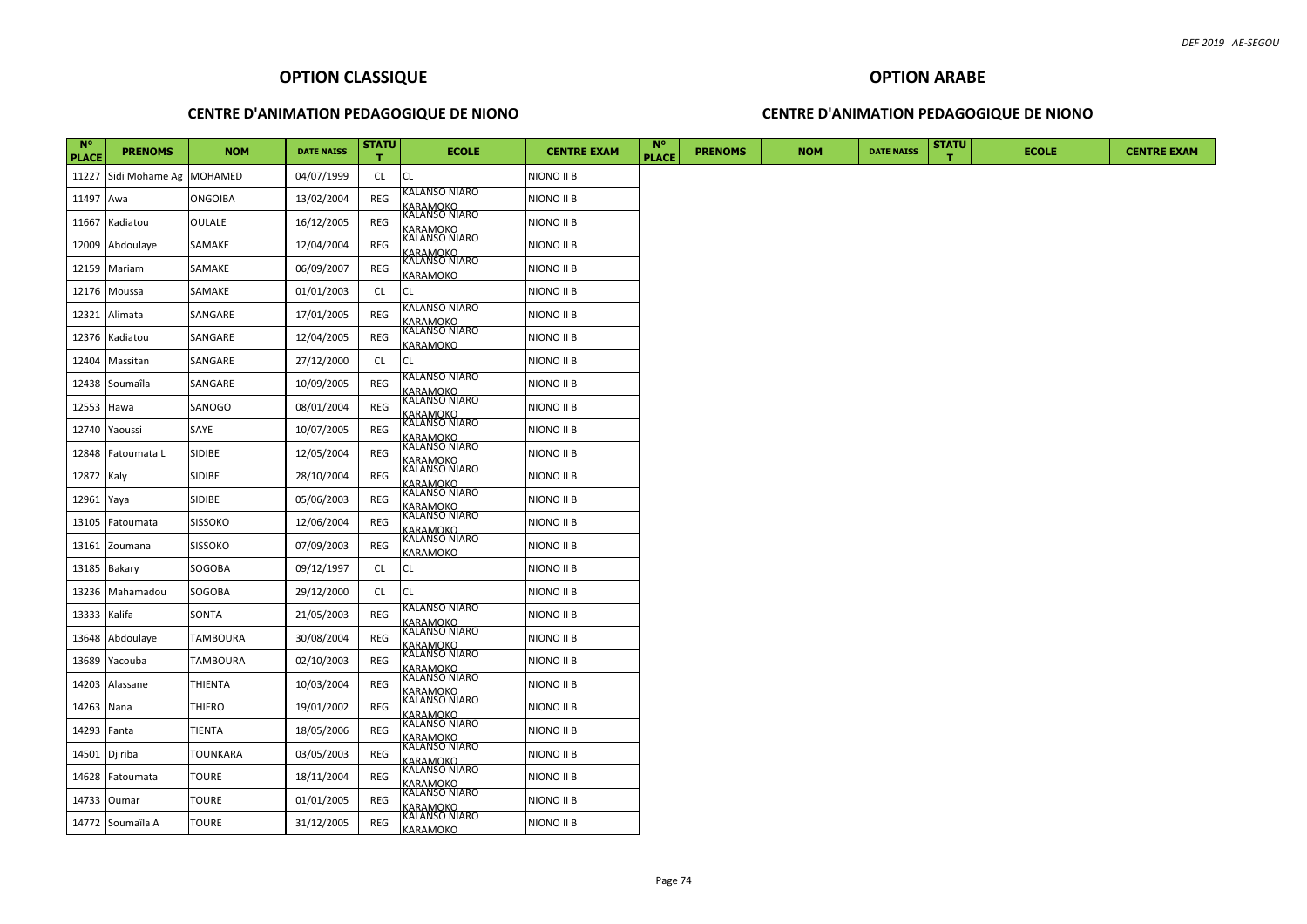### **CENTRE D'ANIMATION PEDAGOGIQUE DE NIONO**

### **CENTRE D'ANIMATION PEDAGOGIQUE DE NIONO**

| $N^{\circ}$<br><b>PLACE</b> | <b>PRENOMS</b>         | <b>NOM</b>      | <b>DATE NAISS</b> | <b>STATU</b> | <b>ECOLE</b>                                                         | <b>CENTRE EXAM</b> | $N^{\circ}$<br><b>PLACE</b> | <b>PRENOMS</b> | <b>NOM</b> | <b>DATE NAISS</b> | <b>STATU</b> | <b>ECOLE</b> | <b>CENTRE EXAM</b> |
|-----------------------------|------------------------|-----------------|-------------------|--------------|----------------------------------------------------------------------|--------------------|-----------------------------|----------------|------------|-------------------|--------------|--------------|--------------------|
| 11227                       | Sidi Mohame Ag MOHAMED |                 | 04/07/1999        | <b>CL</b>    | CL                                                                   | NIONO II B         |                             |                |            |                   |              |              |                    |
| 11497                       | Awa                    | <b>ONGOÏBA</b>  | 13/02/2004        | REG          | KALANSO NIARO<br><b>ARAMOKO</b>                                      | NIONO II B         |                             |                |            |                   |              |              |                    |
| 11667                       | Kadiatou               | <b>OULALE</b>   | 16/12/2005        | REG          | KALANSO NIARO                                                        | NIONO II B         |                             |                |            |                   |              |              |                    |
| 12009                       | Abdoulaye              | SAMAKE          | 12/04/2004        | REG          | <u>KARAMOKO</u><br>KALANSO NIARO                                     | NIONO II B         |                             |                |            |                   |              |              |                    |
| 12159                       | Mariam                 | SAMAKE          | 06/09/2007        | REG          | <u>KARAMOKO</u><br>KALANSO NIARO<br><b>GARAMOKO</b>                  | NIONO II B         |                             |                |            |                   |              |              |                    |
| 12176                       | Moussa                 | SAMAKE          | 01/01/2003        | <b>CL</b>    | CL                                                                   | NIONO II B         |                             |                |            |                   |              |              |                    |
| 12321                       | Alimata                | SANGARE         | 17/01/2005        | <b>REG</b>   | KALANSO NIARO                                                        | NIONO II B         |                             |                |            |                   |              |              |                    |
| 12376                       | Kadiatou               | SANGARE         | 12/04/2005        | REG          | <u>KARAMOKO</u><br>KALANSO NIARO<br><b><i>CARAMOKO</i></b>           | NIONO II B         |                             |                |            |                   |              |              |                    |
| 12404                       | Massitan               | SANGARE         | 27/12/2000        | <b>CL</b>    | CL                                                                   | NIONO II B         |                             |                |            |                   |              |              |                    |
| 12438                       | Soumaîla               | SANGARE         | 10/09/2005        | REG          | KALANSO NIARO                                                        | NIONO II B         |                             |                |            |                   |              |              |                    |
| 12553                       | Hawa                   | SANOGO          | 08/01/2004        | REG          | <u>KARAMOKO</u><br>KALANSO NIARO                                     | NIONO II B         |                             |                |            |                   |              |              |                    |
| 12740                       | Yaoussi                | SAYE            | 10/07/2005        | REG          | <u>KARAMOKO</u><br>KALANSO NIARO<br><b>ARAMOKO</b>                   | NIONO II B         |                             |                |            |                   |              |              |                    |
| 12848                       | Fatoumata L            | <b>SIDIBE</b>   | 12/05/2004        | REG          | KALANSO NIARO<br>KARAMOKO<br>KALANSO NIARO                           | NIONO II B         |                             |                |            |                   |              |              |                    |
| 12872 Kaly                  |                        | <b>SIDIBE</b>   | 28/10/2004        | REG          |                                                                      | NIONO II B         |                             |                |            |                   |              |              |                    |
| 12961                       | Yaya                   | SIDIBE          | 05/06/2003        | REG          | <u>KARAMOKO</u><br>KALANSO NIARO<br><u>KARAMOKO</u><br>KALANSO NIARO | NIONO II B         |                             |                |            |                   |              |              |                    |
| 13105                       | Fatoumata              | <b>SISSOKO</b>  | 12/06/2004        | REG          | <u>KARAMOKO</u><br>KALANSO NIARO                                     | NIONO II B         |                             |                |            |                   |              |              |                    |
| 13161                       | Zoumana                | <b>SISSOKO</b>  | 07/09/2003        | REG          | <b>GARAMOKO</b>                                                      | NIONO II B         |                             |                |            |                   |              |              |                    |
| 13185                       | Bakary                 | SOGOBA          | 09/12/1997        | CL           | СL                                                                   | NIONO II B         |                             |                |            |                   |              |              |                    |
| 13236                       | Mahamadou              | SOGOBA          | 29/12/2000        | <b>CL</b>    | CL                                                                   | NIONO II B         |                             |                |            |                   |              |              |                    |
| 13333                       | Kalifa                 | SONTA           | 21/05/2003        | REG          | KALANSO NIARO<br><u>KARAMOKO</u><br>KALANSO NIARO                    | NIONO II B         |                             |                |            |                   |              |              |                    |
| 13648                       | Abdoulaye              | <b>TAMBOURA</b> | 30/08/2004        | REG          | <u>KARAMOKO</u><br>KALANSO NIARO                                     | NIONO II B         |                             |                |            |                   |              |              |                    |
| 13689                       | Yacouba                | <b>TAMBOURA</b> | 02/10/2003        | REG          | <b>ARAMOKO</b>                                                       | NIONO II B         |                             |                |            |                   |              |              |                    |
| 14203                       | Alassane               | <b>THIENTA</b>  | 10/03/2004        | REG          | KALANSO NIARO<br><u>KARAMOKO</u><br>KALANSO NIARO                    | NIONO II B         |                             |                |            |                   |              |              |                    |
| 14263                       | Nana                   | <b>THIERO</b>   | 19/01/2002        | REG          | <u>KARAMOKO</u><br>KALANSO NIARO                                     | NIONO II B         |                             |                |            |                   |              |              |                    |
| 14293                       | Fanta                  | <b>TIENTA</b>   | 18/05/2006        | REG          | <u>KARAMOKO</u><br>KALANSO NIARO                                     | NIONO II B         |                             |                |            |                   |              |              |                    |
| 14501                       | Djiriba                | <b>TOUNKARA</b> | 03/05/2003        | REG          | KARAMOKO<br>KALANSO NIARO                                            | NIONO II B         |                             |                |            |                   |              |              |                    |
| 14628                       | Fatoumata              | <b>TOURE</b>    | 18/11/2004        | REG          | <u>KARAMOKO</u><br>KALANSO NIARO                                     | NIONO II B         |                             |                |            |                   |              |              |                    |
| 14733                       | Oumar                  | <b>TOURE</b>    | 01/01/2005        | REG          | <u>KARAMOKO</u><br>KALANSO NIARO                                     | NIONO II B         |                             |                |            |                   |              |              |                    |
|                             | 14772 Soumaîla A       | <b>TOURE</b>    | 31/12/2005        | <b>REG</b>   | KARAMOKO                                                             | NIONO II B         |                             |                |            |                   |              |              |                    |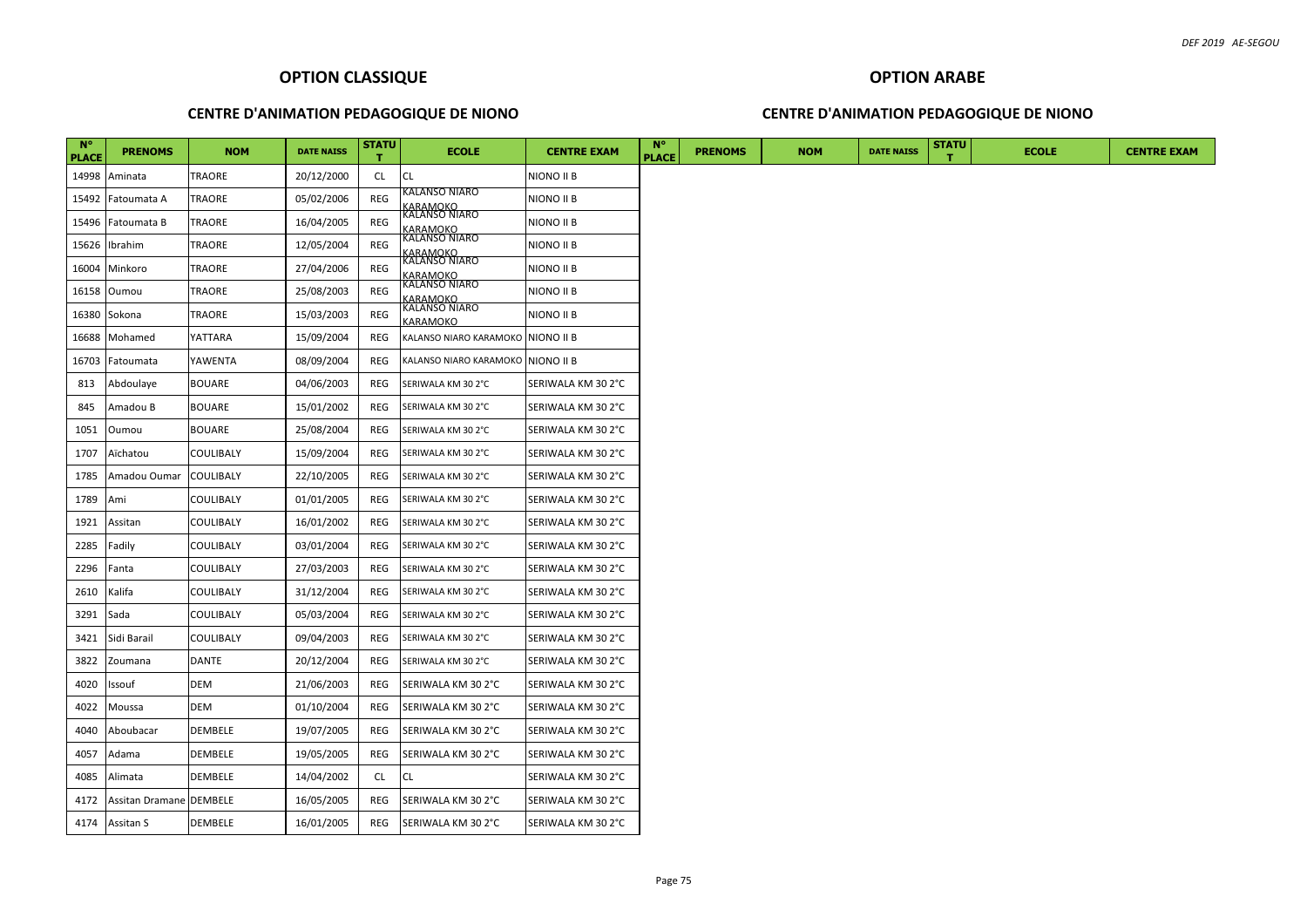### **CENTRE D'ANIMATION PEDAGOGIQUE DE NIONO**

### **CENTRE D'ANIMATION PEDAGOGIQUE DE NIONO**

| <b>N°</b><br><b>PLACE</b> | <b>PRENOMS</b>                 | <b>NOM</b>       | <b>DATE NAISS</b> | <b>STATU</b> | <b>ECOLE</b>                                        | <b>CENTRE EXAM</b> | <b>N°</b><br><b>PLACE</b> | <b>PRENOMS</b> | <b>NOM</b> | <b>DATE NAISS</b> | <b>STATU</b> | <b>ECOLE</b> | <b>CENTRE EXAM</b> |
|---------------------------|--------------------------------|------------------|-------------------|--------------|-----------------------------------------------------|--------------------|---------------------------|----------------|------------|-------------------|--------------|--------------|--------------------|
| 14998                     | Aminata                        | <b>TRAORE</b>    | 20/12/2000        | CL.          | <b>CL</b>                                           | NIONO II B         |                           |                |            |                   |              |              |                    |
| 15492                     | Fatoumata A                    | <b>TRAORE</b>    | 05/02/2006        | REG          | KALANSO NIARO                                       | NIONO II B         |                           |                |            |                   |              |              |                    |
| 15496                     | Fatoumata B                    | TRAORE           | 16/04/2005        | REG          | <u>KARAMOKO</u><br>KALANSO NIARO                    | NIONO II B         |                           |                |            |                   |              |              |                    |
| 15626                     | Ibrahim                        | <b>TRAORE</b>    | 12/05/2004        | REG          | KARAMOKO<br>KALANSO NIARO                           | NIONO II B         |                           |                |            |                   |              |              |                    |
| 16004                     | Minkoro                        | TRAORE           | 27/04/2006        | REG          | <u>KARAMOKO</u><br>KALANSO NIARO                    | NIONO II B         |                           |                |            |                   |              |              |                    |
| 16158                     | Oumou                          | <b>TRAORE</b>    | 25/08/2003        | REG          | <u>KARAMOKO</u><br>KALANSO NIARO                    | NIONO II B         |                           |                |            |                   |              |              |                    |
| 16380                     | Sokona                         | <b>TRAORE</b>    | 15/03/2003        | REG          | <u>KARAMOKO</u><br>KALANSO NIARO<br><b>GARAMOKO</b> | NIONO II B         |                           |                |            |                   |              |              |                    |
| 16688                     | Mohamed                        | YATTARA          | 15/09/2004        | REG          | KALANSO NIARO KARAMOKO NIONO II B                   |                    |                           |                |            |                   |              |              |                    |
| 16703                     | Fatoumata                      | YAWENTA          | 08/09/2004        | REG          | KALANSO NIARO KARAMOKO NIONO II B                   |                    |                           |                |            |                   |              |              |                    |
| 813                       | Abdoulaye                      | <b>BOUARE</b>    | 04/06/2003        | REG          | SERIWALA KM 30 2°C                                  | SERIWALA KM 30 2°C |                           |                |            |                   |              |              |                    |
| 845                       | Amadou B                       | <b>BOUARE</b>    | 15/01/2002        | REG          | SERIWALA KM 30 2°C                                  | SERIWALA KM 30 2°C |                           |                |            |                   |              |              |                    |
| 1051                      | Oumou                          | <b>BOUARE</b>    | 25/08/2004        | REG          | SERIWALA KM 30 2°C                                  | SERIWALA KM 30 2°C |                           |                |            |                   |              |              |                    |
| 1707                      | Aïchatou                       | <b>COULIBALY</b> | 15/09/2004        | REG          | SERIWALA KM 30 2°C                                  | SERIWALA KM 30 2°C |                           |                |            |                   |              |              |                    |
| 1785                      | Amadou Oumar                   | <b>COULIBALY</b> | 22/10/2005        | REG          | SERIWALA KM 30 2°C                                  | SERIWALA KM 30 2°C |                           |                |            |                   |              |              |                    |
| 1789                      | Ami                            | <b>COULIBALY</b> | 01/01/2005        | REG          | SERIWALA KM 30 2°C                                  | SERIWALA KM 30 2°C |                           |                |            |                   |              |              |                    |
| 1921                      | Assitan                        | <b>COULIBALY</b> | 16/01/2002        | REG          | SERIWALA KM 30 2°C                                  | SERIWALA KM 30 2°C |                           |                |            |                   |              |              |                    |
| 2285                      | Fadily                         | <b>COULIBALY</b> | 03/01/2004        | REG          | SERIWALA KM 30 2°C                                  | SERIWALA KM 30 2°C |                           |                |            |                   |              |              |                    |
| 2296                      | Fanta                          | <b>COULIBALY</b> | 27/03/2003        | REG          | SERIWALA KM 30 2°C                                  | SERIWALA KM 30 2°C |                           |                |            |                   |              |              |                    |
| 2610                      | Kalifa                         | <b>COULIBALY</b> | 31/12/2004        | REG          | SERIWALA KM 30 2°C                                  | SERIWALA KM 30 2°C |                           |                |            |                   |              |              |                    |
| 3291                      | Sada                           | <b>COULIBALY</b> | 05/03/2004        | REG          | SERIWALA KM 302°C                                   | SERIWALA KM 30 2°C |                           |                |            |                   |              |              |                    |
| 3421                      | Sidi Barail                    | <b>COULIBALY</b> | 09/04/2003        | REG          | SERIWALA KM 302°C                                   | SERIWALA KM 30 2°C |                           |                |            |                   |              |              |                    |
| 3822                      | Zoumana                        | <b>DANTE</b>     | 20/12/2004        | REG          | SERIWALA KM 30 2°C                                  | SERIWALA KM 30 2°C |                           |                |            |                   |              |              |                    |
| 4020                      | Issouf                         | <b>DEM</b>       | 21/06/2003        | REG          | SERIWALA KM 30 2°C                                  | SERIWALA KM 30 2°C |                           |                |            |                   |              |              |                    |
| 4022                      | Moussa                         | <b>DEM</b>       | 01/10/2004        | REG          | SERIWALA KM 30 2°C                                  | SERIWALA KM 30 2°C |                           |                |            |                   |              |              |                    |
| 4040                      | Aboubacar                      | <b>DEMBELE</b>   | 19/07/2005        | REG          | SERIWALA KM 30 2°C                                  | SERIWALA KM 30 2°C |                           |                |            |                   |              |              |                    |
| 4057                      | Adama                          | <b>DEMBELE</b>   | 19/05/2005        | REG          | SERIWALA KM 30 2°C                                  | SERIWALA KM 30 2°C |                           |                |            |                   |              |              |                    |
| 4085                      | Alimata                        | <b>DEMBELE</b>   | 14/04/2002        | CL.          | <b>CL</b>                                           | SERIWALA KM 30 2°C |                           |                |            |                   |              |              |                    |
| 4172                      | <b>Assitan Dramane DEMBELE</b> |                  | 16/05/2005        | REG          | SERIWALA KM 30 2°C                                  | SERIWALA KM 30 2°C |                           |                |            |                   |              |              |                    |
|                           | 4174 Assitan S                 | <b>DEMBELE</b>   | 16/01/2005        | REG          | SERIWALA KM 30 2°C                                  | SERIWALA KM 30 2°C |                           |                |            |                   |              |              |                    |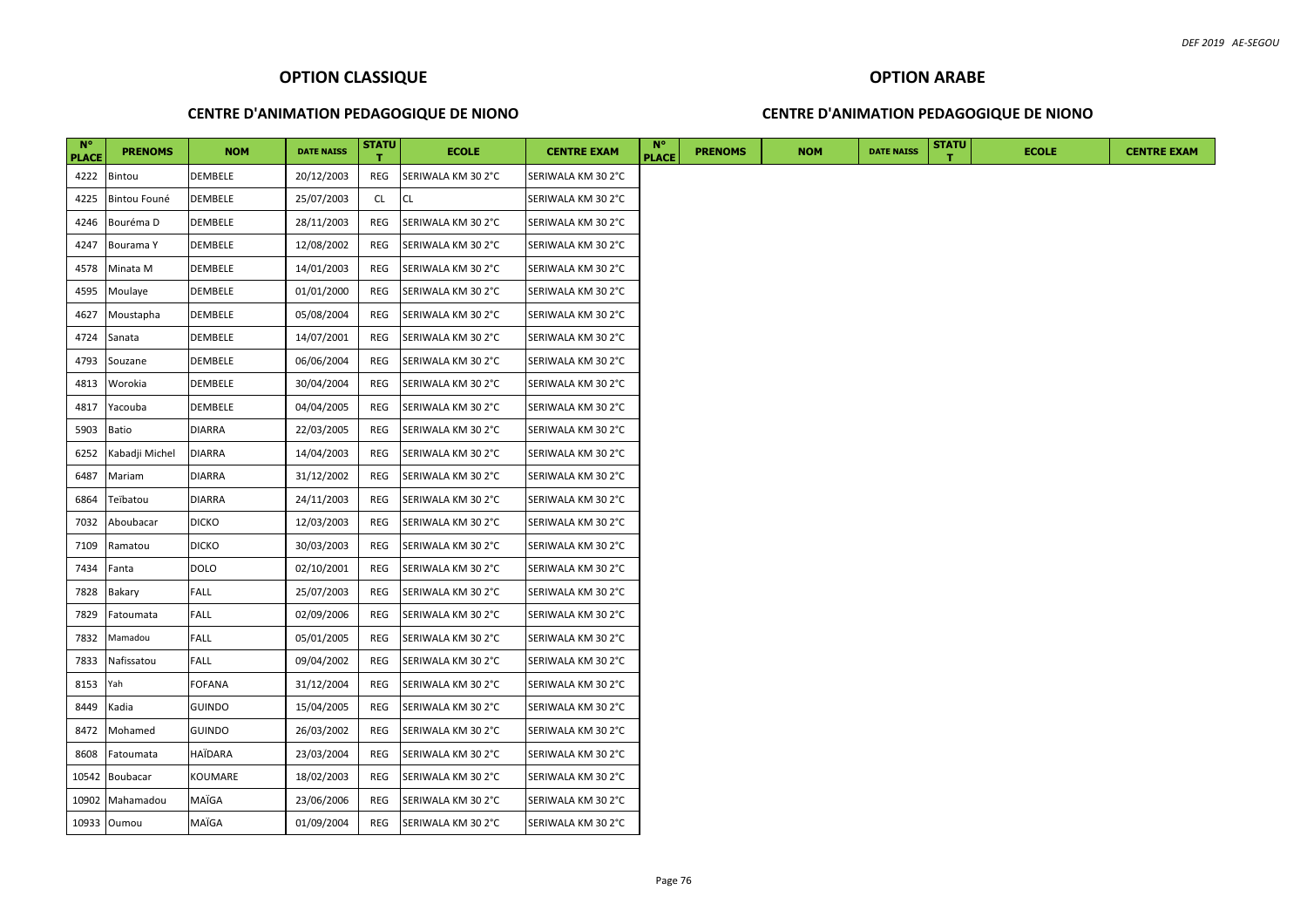### **CENTRE D'ANIMATION PEDAGOGIQUE DE NIONO**

### **CENTRE D'ANIMATION PEDAGOGIQUE DE NIONO**

| $N^{\circ}$<br><b>PLACE</b> | <b>PRENOMS</b> | <b>NOM</b>    | <b>DATE NAISS</b> | <b>STATU</b> | <b>ECOLE</b>       | <b>CENTRE EXAM</b> | $N^{\circ}$<br><b>PLACE</b> | <b>PRENOMS</b> | <b>NOM</b> | <b>DATE NAISS</b> | <b>STATU</b> | <b>ECOLE</b> | <b>CENTRE EXAM</b> |
|-----------------------------|----------------|---------------|-------------------|--------------|--------------------|--------------------|-----------------------------|----------------|------------|-------------------|--------------|--------------|--------------------|
| 4222                        | Bintou         | DEMBELE       | 20/12/2003        | REG          | SERIWALA KM 30 2°C | SERIWALA KM 30 2°C |                             |                |            |                   |              |              |                    |
| 4225                        | Bintou Founé   | DEMBELE       | 25/07/2003        | <b>CL</b>    | <b>CL</b>          | SERIWALA KM 30 2°C |                             |                |            |                   |              |              |                    |
| 4246                        | Bouréma D      | DEMBELE       | 28/11/2003        | REG          | SERIWALA KM 30 2°C | SERIWALA KM 30 2°C |                             |                |            |                   |              |              |                    |
| 4247                        | Bourama Y      | DEMBELE       | 12/08/2002        | REG          | SERIWALA KM 30 2°C | SERIWALA KM 30 2°C |                             |                |            |                   |              |              |                    |
| 4578                        | Minata M       | DEMBELE       | 14/01/2003        | REG          | SERIWALA KM 30 2°C | SERIWALA KM 30 2°C |                             |                |            |                   |              |              |                    |
| 4595                        | Moulaye        | DEMBELE       | 01/01/2000        | REG          | SERIWALA KM 30 2°C | SERIWALA KM 30 2°C |                             |                |            |                   |              |              |                    |
| 4627                        | Moustapha      | DEMBELE       | 05/08/2004        | REG          | SERIWALA KM 30 2°C | SERIWALA KM 30 2°C |                             |                |            |                   |              |              |                    |
| 4724                        | Sanata         | DEMBELE       | 14/07/2001        | REG          | SERIWALA KM 30 2°C | SERIWALA KM 30 2°C |                             |                |            |                   |              |              |                    |
| 4793                        | Souzane        | DEMBELE       | 06/06/2004        | REG          | SERIWALA KM 30 2°C | SERIWALA KM 30 2°C |                             |                |            |                   |              |              |                    |
| 4813                        | Worokia        | DEMBELE       | 30/04/2004        | REG          | SERIWALA KM 30 2°C | SERIWALA KM 30 2°C |                             |                |            |                   |              |              |                    |
| 4817                        | Yacouba        | DEMBELE       | 04/04/2005        | REG          | SERIWALA KM 30 2°C | SERIWALA KM 30 2°C |                             |                |            |                   |              |              |                    |
| 5903                        | Batio          | DIARRA        | 22/03/2005        | REG          | SERIWALA KM 30 2°C | SERIWALA KM 30 2°C |                             |                |            |                   |              |              |                    |
| 6252                        | Kabadji Michel | DIARRA        | 14/04/2003        | REG          | SERIWALA KM 30 2°C | SERIWALA KM 30 2°C |                             |                |            |                   |              |              |                    |
| 6487                        | Mariam         | DIARRA        | 31/12/2002        | REG          | SERIWALA KM 30 2°C | SERIWALA KM 30 2°C |                             |                |            |                   |              |              |                    |
| 6864                        | Teïbatou       | DIARRA        | 24/11/2003        | REG          | SERIWALA KM 30 2°C | SERIWALA KM 30 2°C |                             |                |            |                   |              |              |                    |
| 7032                        | Aboubacar      | <b>DICKO</b>  | 12/03/2003        | REG          | SERIWALA KM 30 2°C | SERIWALA KM 30 2°C |                             |                |            |                   |              |              |                    |
| 7109                        | Ramatou        | <b>DICKO</b>  | 30/03/2003        | REG          | SERIWALA KM 30 2°C | SERIWALA KM 30 2°C |                             |                |            |                   |              |              |                    |
| 7434                        | Fanta          | DOLO          | 02/10/2001        | REG          | SERIWALA KM 30 2°C | SERIWALA KM 30 2°C |                             |                |            |                   |              |              |                    |
| 7828                        | Bakary         | <b>FALL</b>   | 25/07/2003        | REG          | SERIWALA KM 30 2°C | SERIWALA KM 30 2°C |                             |                |            |                   |              |              |                    |
| 7829                        | Fatoumata      | FALL          | 02/09/2006        | REG          | SERIWALA KM 30 2°C | SERIWALA KM 30 2°C |                             |                |            |                   |              |              |                    |
| 7832                        | Mamadou        | FALL          | 05/01/2005        | REG          | SERIWALA KM 30 2°C | SERIWALA KM 30 2°C |                             |                |            |                   |              |              |                    |
| 7833                        | Nafissatou     | FALL          | 09/04/2002        | REG          | SERIWALA KM 30 2°C | SERIWALA KM 30 2°C |                             |                |            |                   |              |              |                    |
| 8153                        | Yah            | FOFANA        | 31/12/2004        | REG          | SERIWALA KM 30 2°C | SERIWALA KM 30 2°C |                             |                |            |                   |              |              |                    |
| 8449                        | Kadia          | GUINDO        | 15/04/2005        | REG          | SERIWALA KM 30 2°C | SERIWALA KM 30 2°C |                             |                |            |                   |              |              |                    |
| 8472                        | Mohamed        | <b>GUINDO</b> | 26/03/2002        | REG          | SERIWALA KM 30 2°C | SERIWALA KM 30 2°C |                             |                |            |                   |              |              |                    |
| 8608                        | Fatoumata      | HAÏDARA       | 23/03/2004        | REG          | SERIWALA KM 30 2°C | SERIWALA KM 30 2°C |                             |                |            |                   |              |              |                    |
| 10542                       | Boubacar       | KOUMARE       | 18/02/2003        | REG          | SERIWALA KM 30 2°C | SERIWALA KM 30 2°C |                             |                |            |                   |              |              |                    |
| 10902                       | Mahamadou      | MAÏGA         | 23/06/2006        | REG          | SERIWALA KM 30 2°C | SERIWALA KM 30 2°C |                             |                |            |                   |              |              |                    |
|                             | 10933 Oumou    | MAÏGA         | 01/09/2004        | REG          | SERIWALA KM 30 2°C | SERIWALA KM 30 2°C |                             |                |            |                   |              |              |                    |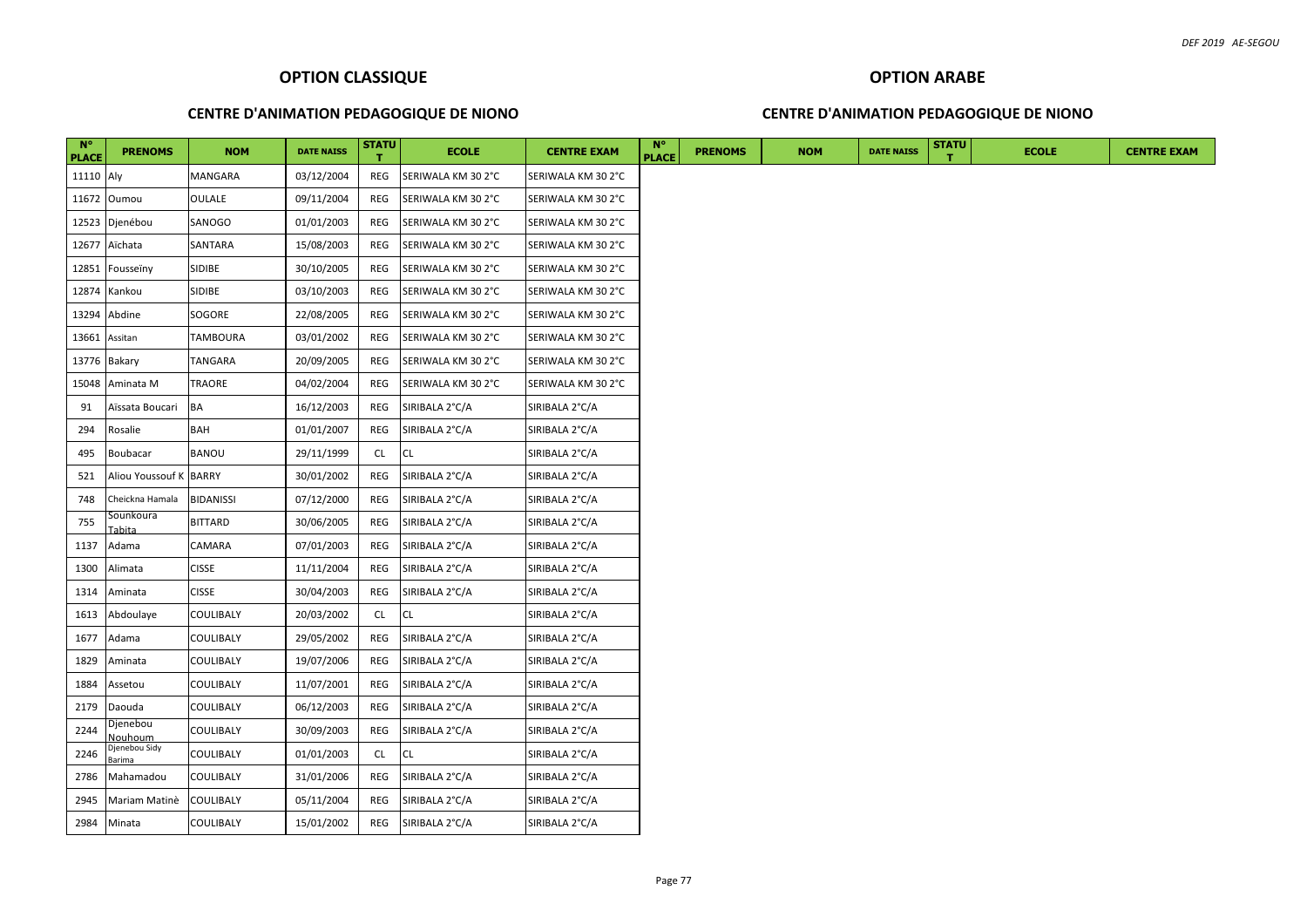### **CENTRE D'ANIMATION PEDAGOGIQUE DE NIONO**

### **CENTRE D'ANIMATION PEDAGOGIQUE DE NIONO**

| $N^{\circ}$<br><b>PLACE</b> | <b>PRENOMS</b>             | <b>NOM</b>       | <b>DATE NAISS</b> | <b>STATU</b> | <b>ECOLE</b>       | <b>CENTRE EXAM</b> | $N^{\circ}$<br><b>PLACE</b> | <b>PRENOMS</b> | <b>NOM</b> | <b>DATE NAISS</b> | <b>STATU</b> | <b>ECOLE</b> | <b>CENTRE EXAM</b> |
|-----------------------------|----------------------------|------------------|-------------------|--------------|--------------------|--------------------|-----------------------------|----------------|------------|-------------------|--------------|--------------|--------------------|
| 11110 Aly                   |                            | MANGARA          | 03/12/2004        | REG          | SERIWALA KM 30 2°C | SERIWALA KM 30 2°C |                             |                |            |                   |              |              |                    |
|                             | 11672 Oumou                | <b>OULALE</b>    | 09/11/2004        | REG          | SERIWALA KM 30 2°C | SERIWALA KM 30 2°C |                             |                |            |                   |              |              |                    |
|                             | 12523 Djenébou             | SANOGO           | 01/01/2003        | REG          | SERIWALA KM 30 2°C | SERIWALA KM 30 2°C |                             |                |            |                   |              |              |                    |
| 12677                       | Aïchata                    | SANTARA          | 15/08/2003        | REG          | SERIWALA KM 30 2°C | SERIWALA KM 30 2°C |                             |                |            |                   |              |              |                    |
| 12851                       | Fousseiny                  | SIDIBE           | 30/10/2005        | REG          | SERIWALA KM 30 2°C | SERIWALA KM 30 2°C |                             |                |            |                   |              |              |                    |
| 12874                       | Kankou                     | SIDIBE           | 03/10/2003        | REG          | SERIWALA KM 30 2°C | SERIWALA KM 30 2°C |                             |                |            |                   |              |              |                    |
| 13294                       | Abdine                     | SOGORE           | 22/08/2005        | REG          | SERIWALA KM 30 2°C | SERIWALA KM 30 2°C |                             |                |            |                   |              |              |                    |
| 13661                       | Assitan                    | <b>TAMBOURA</b>  | 03/01/2002        | REG          | SERIWALA KM 30 2°C | SERIWALA KM 30 2°C |                             |                |            |                   |              |              |                    |
|                             | 13776 Bakary               | <b>TANGARA</b>   | 20/09/2005        | REG          | SERIWALA KM 30 2°C | SERIWALA KM 30 2°C |                             |                |            |                   |              |              |                    |
| 15048                       | Aminata M                  | TRAORE           | 04/02/2004        | REG          | SERIWALA KM 30 2°C | SERIWALA KM 30 2°C |                             |                |            |                   |              |              |                    |
| 91                          | Aïssata Boucari            | BA               | 16/12/2003        | REG          | SIRIBALA 2°C/A     | SIRIBALA 2°C/A     |                             |                |            |                   |              |              |                    |
| 294                         | Rosalie                    | BAH              | 01/01/2007        | REG          | SIRIBALA 2°C/A     | SIRIBALA 2°C/A     |                             |                |            |                   |              |              |                    |
| 495                         | <b>Boubacar</b>            | <b>BANOU</b>     | 29/11/1999        | CL.          | <b>CL</b>          | SIRIBALA 2°C/A     |                             |                |            |                   |              |              |                    |
| 521                         | Aliou Youssouf K   BARRY   |                  | 30/01/2002        | REG          | SIRIBALA 2°C/A     | SIRIBALA 2°C/A     |                             |                |            |                   |              |              |                    |
| 748                         | Cheickna Hamala            | <b>BIDANISSI</b> | 07/12/2000        | REG          | SIRIBALA 2°C/A     | SIRIBALA 2°C/A     |                             |                |            |                   |              |              |                    |
| 755                         | Sounkoura<br><b>Tabita</b> | <b>BITTARD</b>   | 30/06/2005        | REG          | SIRIBALA 2°C/A     | SIRIBALA 2°C/A     |                             |                |            |                   |              |              |                    |
| 1137                        | Adama                      | CAMARA           | 07/01/2003        | REG          | SIRIBALA 2°C/A     | SIRIBALA 2°C/A     |                             |                |            |                   |              |              |                    |
| 1300                        | Alimata                    | <b>CISSE</b>     | 11/11/2004        | REG          | SIRIBALA 2°C/A     | SIRIBALA 2°C/A     |                             |                |            |                   |              |              |                    |
| 1314                        | Aminata                    | <b>CISSE</b>     | 30/04/2003        | REG          | SIRIBALA 2°C/A     | SIRIBALA 2°C/A     |                             |                |            |                   |              |              |                    |
| 1613                        | Abdoulaye                  | <b>COULIBALY</b> | 20/03/2002        | CL.          | <b>CL</b>          | SIRIBALA 2°C/A     |                             |                |            |                   |              |              |                    |
| 1677                        | Adama                      | <b>COULIBALY</b> | 29/05/2002        | REG          | SIRIBALA 2°C/A     | SIRIBALA 2°C/A     |                             |                |            |                   |              |              |                    |
| 1829                        | Aminata                    | <b>COULIBALY</b> | 19/07/2006        | REG          | SIRIBALA 2°C/A     | SIRIBALA 2°C/A     |                             |                |            |                   |              |              |                    |
| 1884                        | Assetou                    | <b>COULIBALY</b> | 11/07/2001        | REG          | SIRIBALA 2°C/A     | SIRIBALA 2°C/A     |                             |                |            |                   |              |              |                    |
| 2179                        | Daouda                     | <b>COULIBALY</b> | 06/12/2003        | REG          | SIRIBALA 2°C/A     | SIRIBALA 2°C/A     |                             |                |            |                   |              |              |                    |
| 2244                        | Djenebou<br>Jouhoum        | <b>COULIBALY</b> | 30/09/2003        | REG          | SIRIBALA 2°C/A     | SIRIBALA 2°C/A     |                             |                |            |                   |              |              |                    |
| 2246                        | Djenebou Sidy<br>Barima    | <b>COULIBALY</b> | 01/01/2003        | CL.          | CL.                | SIRIBALA 2°C/A     |                             |                |            |                   |              |              |                    |
| 2786                        | Mahamadou                  | <b>COULIBALY</b> | 31/01/2006        | REG          | SIRIBALA 2°C/A     | SIRIBALA 2°C/A     |                             |                |            |                   |              |              |                    |
| 2945                        | Mariam Matinè              | <b>COULIBALY</b> | 05/11/2004        | REG          | SIRIBALA 2°C/A     | SIRIBALA 2°C/A     |                             |                |            |                   |              |              |                    |
|                             | 2984 Minata                | <b>COULIBALY</b> | 15/01/2002        | REG          | SIRIBALA 2°C/A     | SIRIBALA 2°C/A     |                             |                |            |                   |              |              |                    |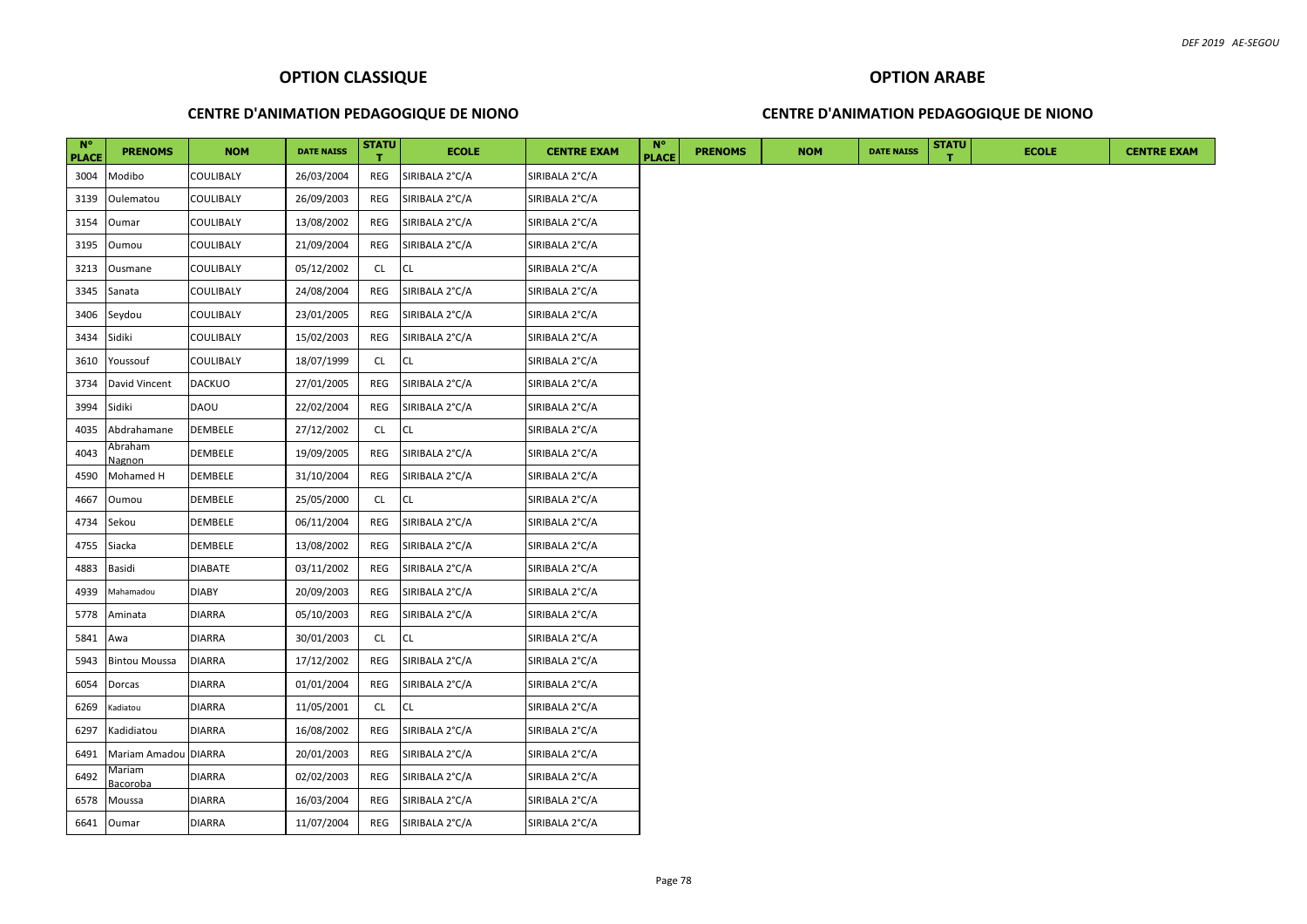### **CENTRE D'ANIMATION PEDAGOGIQUE DE NIONO**

### **CENTRE D'ANIMATION PEDAGOGIQUE DE NIONO**

| $N^{\circ}$<br><b>PLACE</b> | <b>PRENOMS</b>       | <b>NOM</b>       | <b>DATE NAISS</b> | <b>STATU</b> | <b>ECOLE</b>   | <b>CENTRE EXAM</b> | $N^{\circ}$<br><b>PLACE</b> | <b>PRENOMS</b> | <b>NOM</b> | <b>DATE NAISS</b> | <b>STATU</b> | <b>ECOLE</b> | <b>CENTRE EXAM</b> |
|-----------------------------|----------------------|------------------|-------------------|--------------|----------------|--------------------|-----------------------------|----------------|------------|-------------------|--------------|--------------|--------------------|
| 3004                        | Modibo               | <b>COULIBALY</b> | 26/03/2004        | REG          | SIRIBALA 2°C/A | SIRIBALA 2°C/A     |                             |                |            |                   |              |              |                    |
| 3139                        | Oulematou            | <b>COULIBALY</b> | 26/09/2003        | REG          | SIRIBALA 2°C/A | SIRIBALA 2°C/A     |                             |                |            |                   |              |              |                    |
| 3154                        | Oumar                | <b>COULIBALY</b> | 13/08/2002        | REG          | SIRIBALA 2°C/A | SIRIBALA 2°C/A     |                             |                |            |                   |              |              |                    |
| 3195                        | Oumou                | <b>COULIBALY</b> | 21/09/2004        | REG          | SIRIBALA 2°C/A | SIRIBALA 2°C/A     |                             |                |            |                   |              |              |                    |
| 3213                        | Ousmane              | <b>COULIBALY</b> | 05/12/2002        | CL.          | <b>CL</b>      | SIRIBALA 2°C/A     |                             |                |            |                   |              |              |                    |
| 3345                        | Sanata               | <b>COULIBALY</b> | 24/08/2004        | REG          | SIRIBALA 2°C/A | SIRIBALA 2°C/A     |                             |                |            |                   |              |              |                    |
| 3406                        | Seydou               | <b>COULIBALY</b> | 23/01/2005        | REG          | SIRIBALA 2°C/A | SIRIBALA 2°C/A     |                             |                |            |                   |              |              |                    |
| 3434                        | Sidiki               | <b>COULIBALY</b> | 15/02/2003        | REG          | SIRIBALA 2°C/A | SIRIBALA 2°C/A     |                             |                |            |                   |              |              |                    |
| 3610                        | Youssouf             | <b>COULIBALY</b> | 18/07/1999        | CL           | <b>CL</b>      | SIRIBALA 2°C/A     |                             |                |            |                   |              |              |                    |
| 3734                        | David Vincent        | <b>DACKUO</b>    | 27/01/2005        | REG          | SIRIBALA 2°C/A | SIRIBALA 2°C/A     |                             |                |            |                   |              |              |                    |
| 3994                        | Sidiki               | <b>DAOU</b>      | 22/02/2004        | REG          | SIRIBALA 2°C/A | SIRIBALA 2°C/A     |                             |                |            |                   |              |              |                    |
| 4035                        | Abdrahamane          | DEMBELE          | 27/12/2002        | <b>CL</b>    | <b>CL</b>      | SIRIBALA 2°C/A     |                             |                |            |                   |              |              |                    |
| 4043                        | Abraham<br>Nagnon    | DEMBELE          | 19/09/2005        | REG          | SIRIBALA 2°C/A | SIRIBALA 2°C/A     |                             |                |            |                   |              |              |                    |
| 4590                        | Mohamed H            | <b>DEMBELE</b>   | 31/10/2004        | REG          | SIRIBALA 2°C/A | SIRIBALA 2°C/A     |                             |                |            |                   |              |              |                    |
| 4667                        | Oumou                | DEMBELE          | 25/05/2000        | CL.          | CL             | SIRIBALA 2°C/A     |                             |                |            |                   |              |              |                    |
| 4734                        | Sekou                | DEMBELE          | 06/11/2004        | REG          | SIRIBALA 2°C/A | SIRIBALA 2°C/A     |                             |                |            |                   |              |              |                    |
| 4755                        | Siacka               | <b>DEMBELE</b>   | 13/08/2002        | REG          | SIRIBALA 2°C/A | SIRIBALA 2°C/A     |                             |                |            |                   |              |              |                    |
| 4883                        | Basidi               | <b>DIABATE</b>   | 03/11/2002        | REG          | SIRIBALA 2°C/A | SIRIBALA 2°C/A     |                             |                |            |                   |              |              |                    |
| 4939                        | Mahamadou            | <b>DIABY</b>     | 20/09/2003        | REG          | SIRIBALA 2°C/A | SIRIBALA 2°C/A     |                             |                |            |                   |              |              |                    |
| 5778                        | Aminata              | <b>DIARRA</b>    | 05/10/2003        | REG          | SIRIBALA 2°C/A | SIRIBALA 2°C/A     |                             |                |            |                   |              |              |                    |
| 5841                        | Awa                  | <b>DIARRA</b>    | 30/01/2003        | CL           | <b>CL</b>      | SIRIBALA 2°C/A     |                             |                |            |                   |              |              |                    |
| 5943                        | <b>Bintou Moussa</b> | <b>DIARRA</b>    | 17/12/2002        | REG          | SIRIBALA 2°C/A | SIRIBALA 2°C/A     |                             |                |            |                   |              |              |                    |
| 6054                        | Dorcas               | <b>DIARRA</b>    | 01/01/2004        | REG          | SIRIBALA 2°C/A | SIRIBALA 2°C/A     |                             |                |            |                   |              |              |                    |
| 6269                        | Kadiatou             | <b>DIARRA</b>    | 11/05/2001        | CL.          | <b>CL</b>      | SIRIBALA 2°C/A     |                             |                |            |                   |              |              |                    |
| 6297                        | Kadidiatou           | <b>DIARRA</b>    | 16/08/2002        | REG          | SIRIBALA 2°C/A | SIRIBALA 2°C/A     |                             |                |            |                   |              |              |                    |
| 6491                        | Mariam Amadou DIARRA |                  | 20/01/2003        | REG          | SIRIBALA 2°C/A | SIRIBALA 2°C/A     |                             |                |            |                   |              |              |                    |
| 6492                        | Mariam<br>Bacoroba   | <b>DIARRA</b>    | 02/02/2003        | REG          | SIRIBALA 2°C/A | SIRIBALA 2°C/A     |                             |                |            |                   |              |              |                    |
| 6578                        | Moussa               | <b>DIARRA</b>    | 16/03/2004        | REG          | SIRIBALA 2°C/A | SIRIBALA 2°C/A     |                             |                |            |                   |              |              |                    |
|                             | 6641 Oumar           | <b>DIARRA</b>    | 11/07/2004        | REG          | SIRIBALA 2°C/A | SIRIBALA 2°C/A     |                             |                |            |                   |              |              |                    |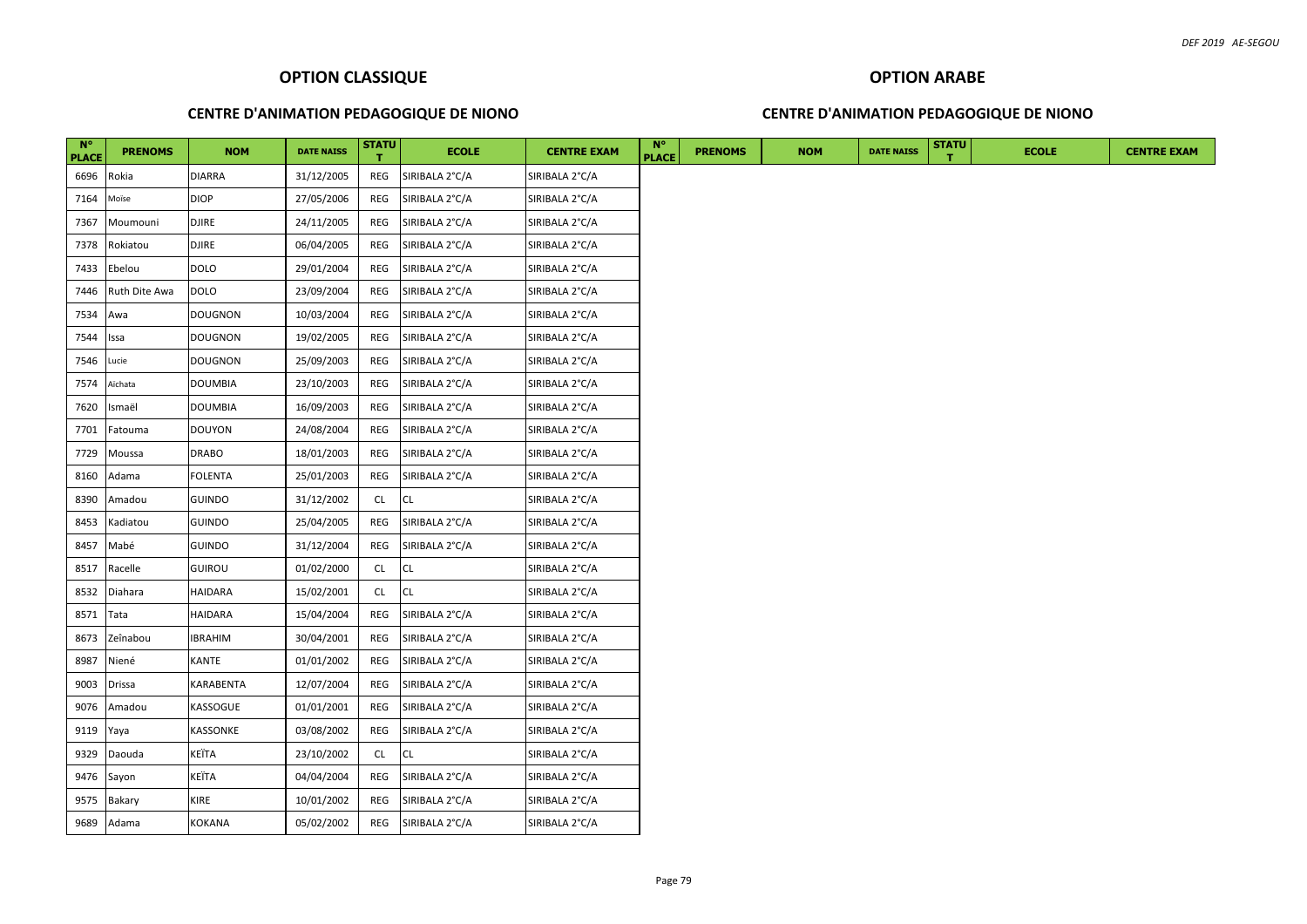### **CENTRE D'ANIMATION PEDAGOGIQUE DE NIONO**

### **CENTRE D'ANIMATION PEDAGOGIQUE DE NIONO**

| $N^{\circ}$<br><b>PLACE</b> | <b>PRENOMS</b> | <b>NOM</b>       | <b>DATE NAISS</b> | <b>STATU</b> | <b>ECOLE</b>   | <b>CENTRE EXAM</b> | <b>N°</b><br><b>PLACE</b> | <b>PRENOMS</b> | <b>NOM</b> | <b>DATE NAISS</b> | <b>STATU</b> | <b>ECOLE</b> |
|-----------------------------|----------------|------------------|-------------------|--------------|----------------|--------------------|---------------------------|----------------|------------|-------------------|--------------|--------------|
| 6696                        | Rokia          | <b>DIARRA</b>    | 31/12/2005        | REG          | SIRIBALA 2°C/A | SIRIBALA 2°C/A     |                           |                |            |                   |              |              |
| 7164                        | Moïse          | <b>DIOP</b>      | 27/05/2006        | REG          | SIRIBALA 2°C/A | SIRIBALA 2°C/A     |                           |                |            |                   |              |              |
| 7367                        | Moumouni       | <b>DJIRE</b>     | 24/11/2005        | REG          | SIRIBALA 2°C/A | SIRIBALA 2°C/A     |                           |                |            |                   |              |              |
| 7378                        | Rokiatou       | <b>DJIRE</b>     | 06/04/2005        | REG          | SIRIBALA 2°C/A | SIRIBALA 2°C/A     |                           |                |            |                   |              |              |
| 7433                        | Ebelou         | <b>DOLO</b>      | 29/01/2004        | REG          | SIRIBALA 2°C/A | SIRIBALA 2°C/A     |                           |                |            |                   |              |              |
| 7446                        | Ruth Dite Awa  | <b>DOLO</b>      | 23/09/2004        | REG          | SIRIBALA 2°C/A | SIRIBALA 2°C/A     |                           |                |            |                   |              |              |
| 7534                        | Awa            | <b>DOUGNON</b>   | 10/03/2004        | REG          | SIRIBALA 2°C/A | SIRIBALA 2°C/A     |                           |                |            |                   |              |              |
| 7544                        | Issa           | <b>DOUGNON</b>   | 19/02/2005        | REG          | SIRIBALA 2°C/A | SIRIBALA 2°C/A     |                           |                |            |                   |              |              |
| 7546                        | Lucie          | <b>DOUGNON</b>   | 25/09/2003        | REG          | SIRIBALA 2°C/A | SIRIBALA 2°C/A     |                           |                |            |                   |              |              |
| 7574                        | Aïchata        | <b>DOUMBIA</b>   | 23/10/2003        | REG          | SIRIBALA 2°C/A | SIRIBALA 2°C/A     |                           |                |            |                   |              |              |
| 7620                        | Ismaël         | <b>DOUMBIA</b>   | 16/09/2003        | REG          | SIRIBALA 2°C/A | SIRIBALA 2°C/A     |                           |                |            |                   |              |              |
| 7701                        | Fatouma        | <b>DOUYON</b>    | 24/08/2004        | REG          | SIRIBALA 2°C/A | SIRIBALA 2°C/A     |                           |                |            |                   |              |              |
| 7729                        | Moussa         | <b>DRABO</b>     | 18/01/2003        | REG          | SIRIBALA 2°C/A | SIRIBALA 2°C/A     |                           |                |            |                   |              |              |
| 8160                        | Adama          | <b>FOLENTA</b>   | 25/01/2003        | REG          | SIRIBALA 2°C/A | SIRIBALA 2°C/A     |                           |                |            |                   |              |              |
| 8390                        | Amadou         | <b>GUINDO</b>    | 31/12/2002        | CL           | CL             | SIRIBALA 2°C/A     |                           |                |            |                   |              |              |
| 8453                        | Kadiatou       | <b>GUINDO</b>    | 25/04/2005        | REG          | SIRIBALA 2°C/A | SIRIBALA 2°C/A     |                           |                |            |                   |              |              |
| 8457                        | Mabé           | <b>GUINDO</b>    | 31/12/2004        | REG          | SIRIBALA 2°C/A | SIRIBALA 2°C/A     |                           |                |            |                   |              |              |
| 8517                        | Racelle        | <b>GUIROU</b>    | 01/02/2000        | <b>CL</b>    | CL             | SIRIBALA 2°C/A     |                           |                |            |                   |              |              |
| 8532                        | Diahara        | <b>HAIDARA</b>   | 15/02/2001        | <b>CL</b>    | CL             | SIRIBALA 2°C/A     |                           |                |            |                   |              |              |
| 8571                        | Tata           | <b>HAIDARA</b>   | 15/04/2004        | REG          | SIRIBALA 2°C/A | SIRIBALA 2°C/A     |                           |                |            |                   |              |              |
| 8673                        | Zeînabou       | <b>IBRAHIM</b>   | 30/04/2001        | REG          | SIRIBALA 2°C/A | SIRIBALA 2°C/A     |                           |                |            |                   |              |              |
| 8987                        | Niené          | <b>KANTE</b>     | 01/01/2002        | REG          | SIRIBALA 2°C/A | SIRIBALA 2°C/A     |                           |                |            |                   |              |              |
| 9003                        | <b>Drissa</b>  | <b>KARABENTA</b> | 12/07/2004        | REG          | SIRIBALA 2°C/A | SIRIBALA 2°C/A     |                           |                |            |                   |              |              |
| 9076                        | Amadou         | KASSOGUE         | 01/01/2001        | REG          | SIRIBALA 2°C/A | SIRIBALA 2°C/A     |                           |                |            |                   |              |              |
| 9119                        | Yaya           | KASSONKE         | 03/08/2002        | REG          | SIRIBALA 2°C/A | SIRIBALA 2°C/A     |                           |                |            |                   |              |              |
| 9329                        | Daouda         | KEÏTA            | 23/10/2002        | <b>CL</b>    | CL             | SIRIBALA 2°C/A     |                           |                |            |                   |              |              |
| 9476                        | Sayon          | KEÏTA            | 04/04/2004        | REG          | SIRIBALA 2°C/A | SIRIBALA 2°C/A     |                           |                |            |                   |              |              |
| 9575                        | Bakary         | <b>KIRE</b>      | 10/01/2002        | REG          | SIRIBALA 2°C/A | SIRIBALA 2°C/A     |                           |                |            |                   |              |              |
| 9689                        | Adama          | <b>KOKANA</b>    | 05/02/2002        | REG          | SIRIBALA 2°C/A | SIRIBALA 2°C/A     |                           |                |            |                   |              |              |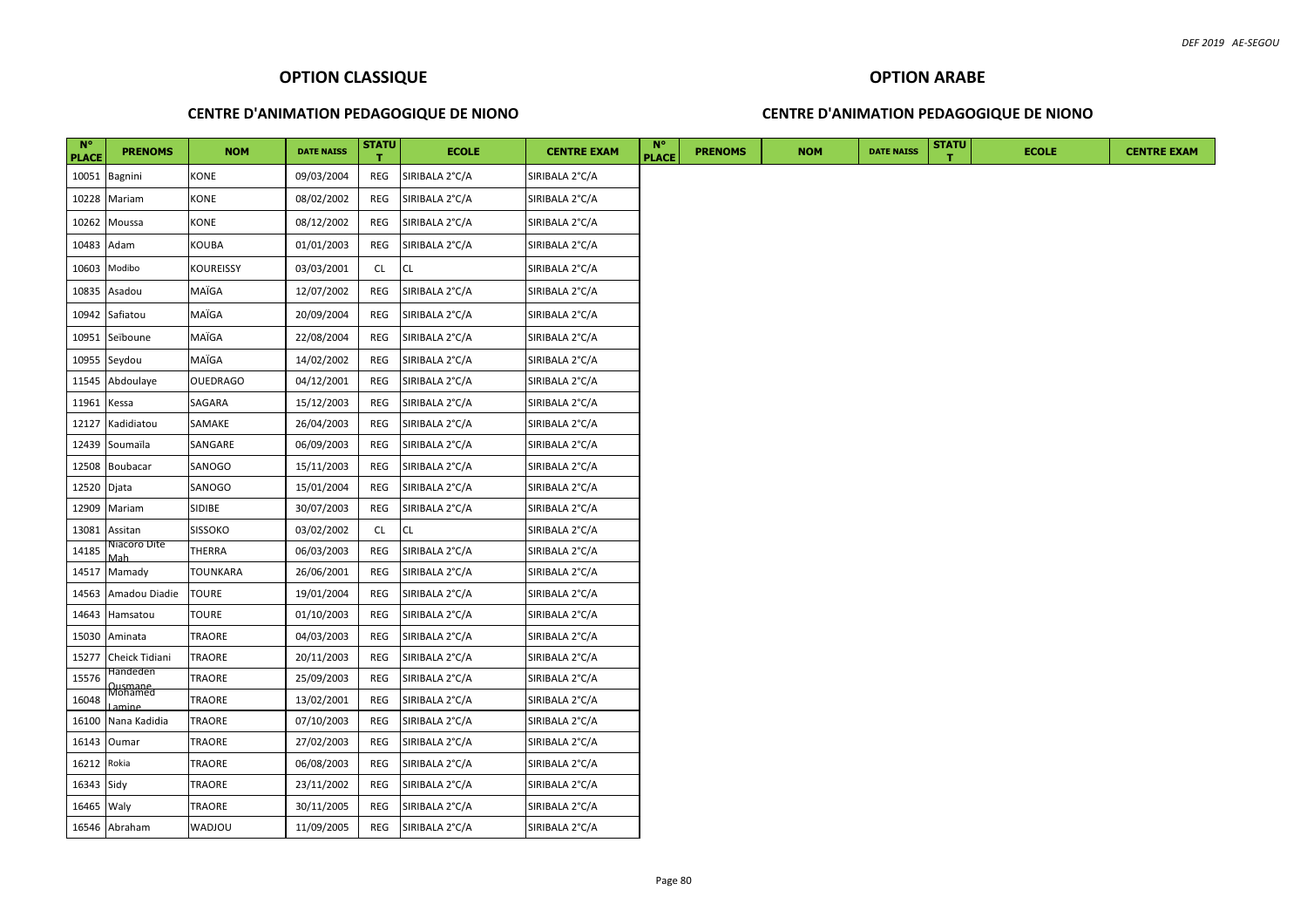### **CENTRE D'ANIMATION PEDAGOGIQUE DE NIONO**

### **CENTRE D'ANIMATION PEDAGOGIQUE DE NIONO**

| <b>N°</b><br><b>PLACE</b> | <b>PRENOMS</b>              | <b>NOM</b>      | <b>DATE NAISS</b> | <b>STATU</b> | <b>ECOLE</b>   | <b>CENTRE EXAM</b> | <b>N°</b><br><b>PLACE</b> | <b>PRENOMS</b> | <b>NOM</b> | <b>DATE NAISS</b> | <b>STATU</b> | <b>ECOLE</b> | <b>CENTRE EXAM</b> |
|---------------------------|-----------------------------|-----------------|-------------------|--------------|----------------|--------------------|---------------------------|----------------|------------|-------------------|--------------|--------------|--------------------|
| 10051                     | <b>Bagnini</b>              | KONE            | 09/03/2004        | REG          | SIRIBALA 2°C/A | SIRIBALA 2°C/A     |                           |                |            |                   |              |              |                    |
| 10228                     | Mariam                      | KONE            | 08/02/2002        | REG          | SIRIBALA 2°C/A | SIRIBALA 2°C/A     |                           |                |            |                   |              |              |                    |
| 10262                     | Moussa                      | KONE            | 08/12/2002        | REG          | SIRIBALA 2°C/A | SIRIBALA 2°C/A     |                           |                |            |                   |              |              |                    |
| 10483                     | Adam                        | KOUBA           | 01/01/2003        | REG          | SIRIBALA 2°C/A | SIRIBALA 2°C/A     |                           |                |            |                   |              |              |                    |
| 10603                     | Modibo                      | KOUREISSY       | 03/03/2001        | CL           | CL             | SIRIBALA 2°C/A     |                           |                |            |                   |              |              |                    |
| 10835                     | Asadou                      | MAÏGA           | 12/07/2002        | REG          | SIRIBALA 2°C/A | SIRIBALA 2°C/A     |                           |                |            |                   |              |              |                    |
| 10942                     | Safiatou                    | MAÏGA           | 20/09/2004        | REG          | SIRIBALA 2°C/A | SIRIBALA 2°C/A     |                           |                |            |                   |              |              |                    |
| 10951                     | Seïboune                    | MAÏGA           | 22/08/2004        | REG          | SIRIBALA 2°C/A | SIRIBALA 2°C/A     |                           |                |            |                   |              |              |                    |
| 10955                     | Seydou                      | MAÏGA           | 14/02/2002        | REG          | SIRIBALA 2°C/A | SIRIBALA 2°C/A     |                           |                |            |                   |              |              |                    |
| 11545                     | Abdoulaye                   | <b>OUEDRAGO</b> | 04/12/2001        | REG          | SIRIBALA 2°C/A | SIRIBALA 2°C/A     |                           |                |            |                   |              |              |                    |
| 11961                     | Kessa                       | SAGARA          | 15/12/2003        | REG          | SIRIBALA 2°C/A | SIRIBALA 2°C/A     |                           |                |            |                   |              |              |                    |
| 12127                     | Kadidiatou                  | SAMAKE          | 26/04/2003        | REG          | SIRIBALA 2°C/A | SIRIBALA 2°C/A     |                           |                |            |                   |              |              |                    |
| 12439                     | Soumaïla                    | SANGARE         | 06/09/2003        | REG          | SIRIBALA 2°C/A | SIRIBALA 2°C/A     |                           |                |            |                   |              |              |                    |
| 12508                     | Boubacar                    | SANOGO          | 15/11/2003        | REG          | SIRIBALA 2°C/A | SIRIBALA 2°C/A     |                           |                |            |                   |              |              |                    |
| 12520 Djata               |                             | SANOGO          | 15/01/2004        | REG          | SIRIBALA 2°C/A | SIRIBALA 2°C/A     |                           |                |            |                   |              |              |                    |
| 12909                     | Mariam                      | SIDIBE          | 30/07/2003        | REG          | SIRIBALA 2°C/A | SIRIBALA 2°C/A     |                           |                |            |                   |              |              |                    |
| 13081                     | Assitan                     | SISSOKO         | 03/02/2002        | <b>CL</b>    | <b>CL</b>      | SIRIBALA 2°C/A     |                           |                |            |                   |              |              |                    |
| 14185                     | Niacoro Dite                | THERRA          | 06/03/2003        | REG          | SIRIBALA 2°C/A | SIRIBALA 2°C/A     |                           |                |            |                   |              |              |                    |
| 14517                     | Mamady                      | TOUNKARA        | 26/06/2001        | REG          | SIRIBALA 2°C/A | SIRIBALA 2°C/A     |                           |                |            |                   |              |              |                    |
| 14563                     | Amadou Diadie               | TOURE           | 19/01/2004        | REG          | SIRIBALA 2°C/A | SIRIBALA 2°C/A     |                           |                |            |                   |              |              |                    |
| 14643                     | Hamsatou                    | TOURE           | 01/10/2003        | REG          | SIRIBALA 2°C/A | SIRIBALA 2°C/A     |                           |                |            |                   |              |              |                    |
| 15030                     | Aminata                     | TRAORE          | 04/03/2003        | REG          | SIRIBALA 2°C/A | SIRIBALA 2°C/A     |                           |                |            |                   |              |              |                    |
| 15277                     | Cheick Tidiani              | <b>TRAORE</b>   | 20/11/2003        | REG          | SIRIBALA 2°C/A | SIRIBALA 2°C/A     |                           |                |            |                   |              |              |                    |
| 15576                     | Handeden                    | TRAORE          | 25/09/2003        | REG          | SIRIBALA 2°C/A | SIRIBALA 2°C/A     |                           |                |            |                   |              |              |                    |
| 16048                     | Qusmane<br>Mohamed<br>amine | TRAORE          | 13/02/2001        | REG          | SIRIBALA 2°C/A | SIRIBALA 2°C/A     |                           |                |            |                   |              |              |                    |
| 16100                     | Nana Kadidia                | TRAORE          | 07/10/2003        | REG          | SIRIBALA 2°C/A | SIRIBALA 2°C/A     |                           |                |            |                   |              |              |                    |
| 16143                     | Oumar                       | <b>TRAORE</b>   | 27/02/2003        | REG          | SIRIBALA 2°C/A | SIRIBALA 2°C/A     |                           |                |            |                   |              |              |                    |
| 16212                     | Rokia                       | TRAORE          | 06/08/2003        | REG          | SIRIBALA 2°C/A | SIRIBALA 2°C/A     |                           |                |            |                   |              |              |                    |
| 16343 Sidy                |                             | TRAORE          | 23/11/2002        | REG          | SIRIBALA 2°C/A | SIRIBALA 2°C/A     |                           |                |            |                   |              |              |                    |
| 16465 Waly                |                             | TRAORE          | 30/11/2005        | REG          | SIRIBALA 2°C/A | SIRIBALA 2°C/A     |                           |                |            |                   |              |              |                    |
|                           | 16546 Abraham               | <b>UOLONW</b>   | 11/09/2005        | REG          | SIRIBALA 2°C/A | SIRIBALA 2°C/A     |                           |                |            |                   |              |              |                    |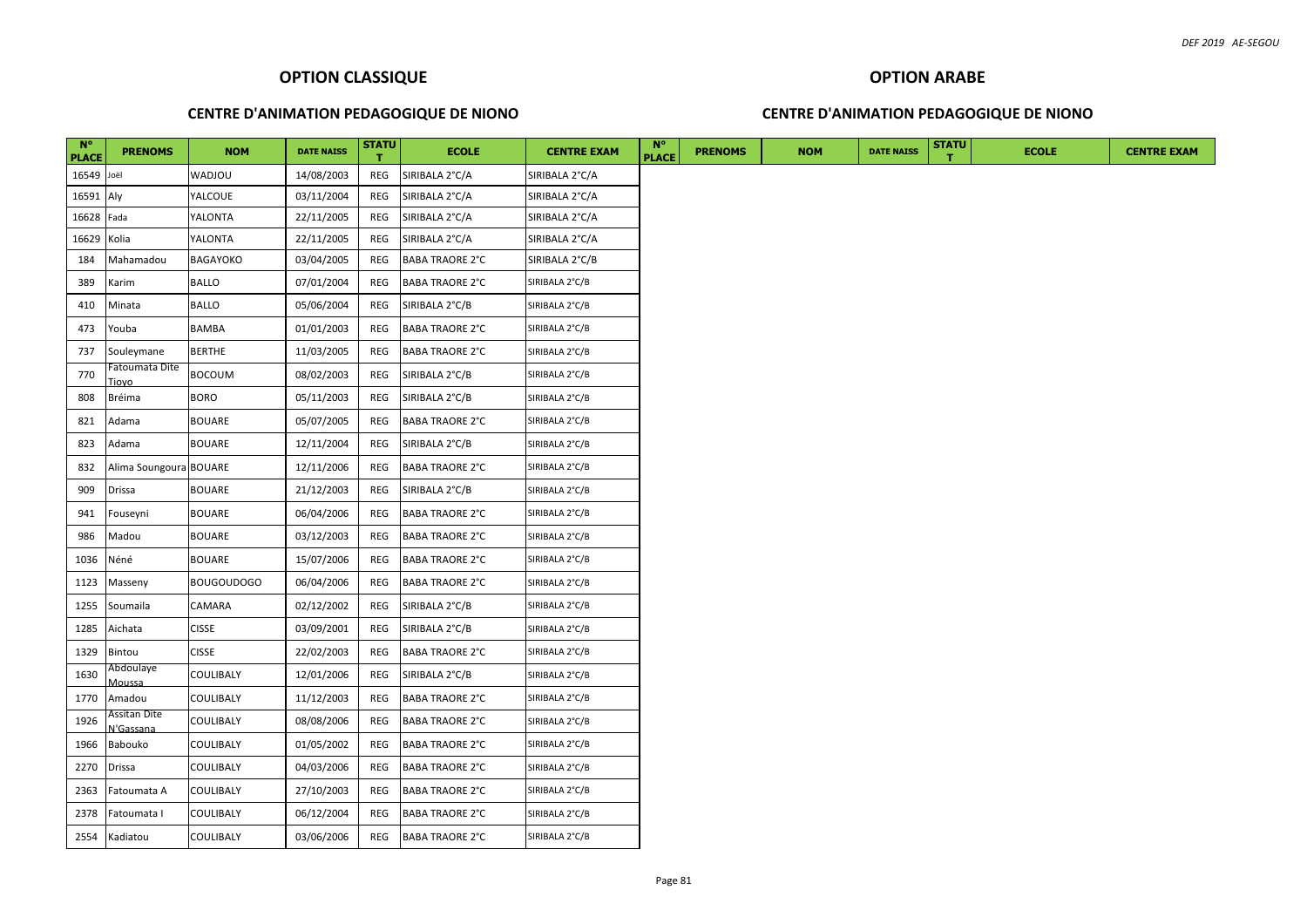## **CENTRE D'ANIMATION PEDAGOGIQUE DE NIONO**

### **CENTRE D'ANIMATION PEDAGOGIQUE DE NIONO**

| $N^{\circ}$<br><b>PLACE</b> | <b>PRENOMS</b>                          | <b>NOM</b>        | <b>DATE NAISS</b> | <b>STATU</b> | <b>ECOLE</b>           | <b>CENTRE EXAM</b> | $N^{\circ}$<br><b>PLACE</b> | <b>PRENOMS</b> | <b>NOM</b> | <b>DATE NAISS</b> | <b>STATU</b> | <b>ECOLE</b> | <b>CENTRE EXAM</b> |
|-----------------------------|-----------------------------------------|-------------------|-------------------|--------------|------------------------|--------------------|-----------------------------|----------------|------------|-------------------|--------------|--------------|--------------------|
| 16549 Joël                  |                                         | <b>WADJOU</b>     | 14/08/2003        | REG          | SIRIBALA 2°C/A         | SIRIBALA 2°C/A     |                             |                |            |                   |              |              |                    |
| 16591 Aly                   |                                         | YALCOUE           | 03/11/2004        | REG          | SIRIBALA 2°C/A         | SIRIBALA 2°C/A     |                             |                |            |                   |              |              |                    |
| 16628 Fada                  |                                         | YALONTA           | 22/11/2005        | REG          | SIRIBALA 2°C/A         | SIRIBALA 2°C/A     |                             |                |            |                   |              |              |                    |
| 16629 Kolia                 |                                         | YALONTA           | 22/11/2005        | REG          | SIRIBALA 2°C/A         | SIRIBALA 2°C/A     |                             |                |            |                   |              |              |                    |
| 184                         | Mahamadou                               | <b>BAGAYOKO</b>   | 03/04/2005        | REG          | <b>BABA TRAORE 2°C</b> | SIRIBALA 2°C/B     |                             |                |            |                   |              |              |                    |
| 389                         | Karim                                   | <b>BALLO</b>      | 07/01/2004        | REG          | <b>BABA TRAORE 2°C</b> | SIRIBALA 2°C/B     |                             |                |            |                   |              |              |                    |
| 410                         | Minata                                  | <b>BALLO</b>      | 05/06/2004        | REG          | SIRIBALA 2°C/B         | SIRIBALA 2°C/B     |                             |                |            |                   |              |              |                    |
| 473                         | Youba                                   | BAMBA             | 01/01/2003        | REG          | <b>BABA TRAORE 2°C</b> | SIRIBALA 2°C/B     |                             |                |            |                   |              |              |                    |
| 737                         | Souleymane                              | <b>BERTHE</b>     | 11/03/2005        | REG          | <b>BABA TRAORE 2°C</b> | SIRIBALA 2°C/B     |                             |                |            |                   |              |              |                    |
| 770                         | <sup>-</sup> atoumata Dite<br>.<br>iovo | <b>BOCOUM</b>     | 08/02/2003        | REG          | SIRIBALA 2°C/B         | SIRIBALA 2°C/B     |                             |                |            |                   |              |              |                    |
| 808                         | Bréima                                  | <b>BORO</b>       | 05/11/2003        | REG          | SIRIBALA 2°C/B         | SIRIBALA 2°C/B     |                             |                |            |                   |              |              |                    |
| 821                         | Adama                                   | <b>BOUARE</b>     | 05/07/2005        | REG          | <b>BABA TRAORE 2°C</b> | SIRIBALA 2°C/B     |                             |                |            |                   |              |              |                    |
| 823                         | Adama                                   | <b>BOUARE</b>     | 12/11/2004        | REG          | SIRIBALA 2°C/B         | SIRIBALA 2°C/B     |                             |                |            |                   |              |              |                    |
| 832                         | Alima Soungoura BOUARE                  |                   | 12/11/2006        | REG          | <b>BABA TRAORE 2°C</b> | SIRIBALA 2°C/B     |                             |                |            |                   |              |              |                    |
| 909                         | <b>Drissa</b>                           | <b>BOUARE</b>     | 21/12/2003        | REG          | SIRIBALA 2°C/B         | SIRIBALA 2°C/B     |                             |                |            |                   |              |              |                    |
| 941                         | Fouseyni                                | <b>BOUARE</b>     | 06/04/2006        | <b>REG</b>   | <b>BABA TRAORE 2°C</b> | SIRIBALA 2°C/B     |                             |                |            |                   |              |              |                    |
| 986                         | Madou                                   | <b>BOUARE</b>     | 03/12/2003        | REG          | <b>BABA TRAORE 2°C</b> | SIRIBALA 2°C/B     |                             |                |            |                   |              |              |                    |
| 1036                        | Néné                                    | <b>BOUARE</b>     | 15/07/2006        | REG          | <b>BABA TRAORE 2°C</b> | SIRIBALA 2°C/B     |                             |                |            |                   |              |              |                    |
| 1123                        | Masseny                                 | <b>BOUGOUDOGO</b> | 06/04/2006        | REG          | <b>BABA TRAORE 2°C</b> | SIRIBALA 2°C/B     |                             |                |            |                   |              |              |                    |
| 1255                        | Soumaila                                | CAMARA            | 02/12/2002        | REG          | SIRIBALA 2°C/B         | SIRIBALA 2°C/B     |                             |                |            |                   |              |              |                    |
| 1285                        | Aichata                                 | <b>CISSE</b>      | 03/09/2001        | REG          | SIRIBALA 2°C/B         | SIRIBALA 2°C/B     |                             |                |            |                   |              |              |                    |
| 1329                        | Bintou                                  | <b>CISSE</b>      | 22/02/2003        | REG          | <b>BABA TRAORE 2°C</b> | SIRIBALA 2°C/B     |                             |                |            |                   |              |              |                    |
| 1630                        | Abdoulaye<br>Moussa                     | COULIBALY         | 12/01/2006        | REG          | SIRIBALA 2°C/B         | SIRIBALA 2°C/B     |                             |                |            |                   |              |              |                    |
| 1770                        | Amadou                                  | COULIBALY         | 11/12/2003        | REG          | <b>BABA TRAORE 2°C</b> | SIRIBALA 2°C/B     |                             |                |            |                   |              |              |                    |
| 1926                        | Assitan Dite<br>V'Gassana               | COULIBALY         | 08/08/2006        | REG          | <b>BABA TRAORE 2°C</b> | SIRIBALA 2°C/B     |                             |                |            |                   |              |              |                    |
| 1966                        | Babouko                                 | COULIBALY         | 01/05/2002        | REG          | BABA TRAORE 2°C        | SIRIBALA 2°C/B     |                             |                |            |                   |              |              |                    |
| 2270                        | <b>Drissa</b>                           | COULIBALY         | 04/03/2006        | REG          | BABA TRAORE 2°C        | SIRIBALA 2°C/B     |                             |                |            |                   |              |              |                    |
| 2363                        | Fatoumata A                             | COULIBALY         | 27/10/2003        | REG          | <b>BABA TRAORE 2°C</b> | SIRIBALA 2°C/B     |                             |                |            |                   |              |              |                    |
| 2378                        | Fatoumata I                             | COULIBALY         | 06/12/2004        | REG          | <b>BABA TRAORE 2°C</b> | SIRIBALA 2°C/B     |                             |                |            |                   |              |              |                    |
|                             | 2554 Kadiatou                           | COULIBALY         | 03/06/2006        | REG          | <b>BABA TRAORE 2°C</b> | SIRIBALA 2°C/B     |                             |                |            |                   |              |              |                    |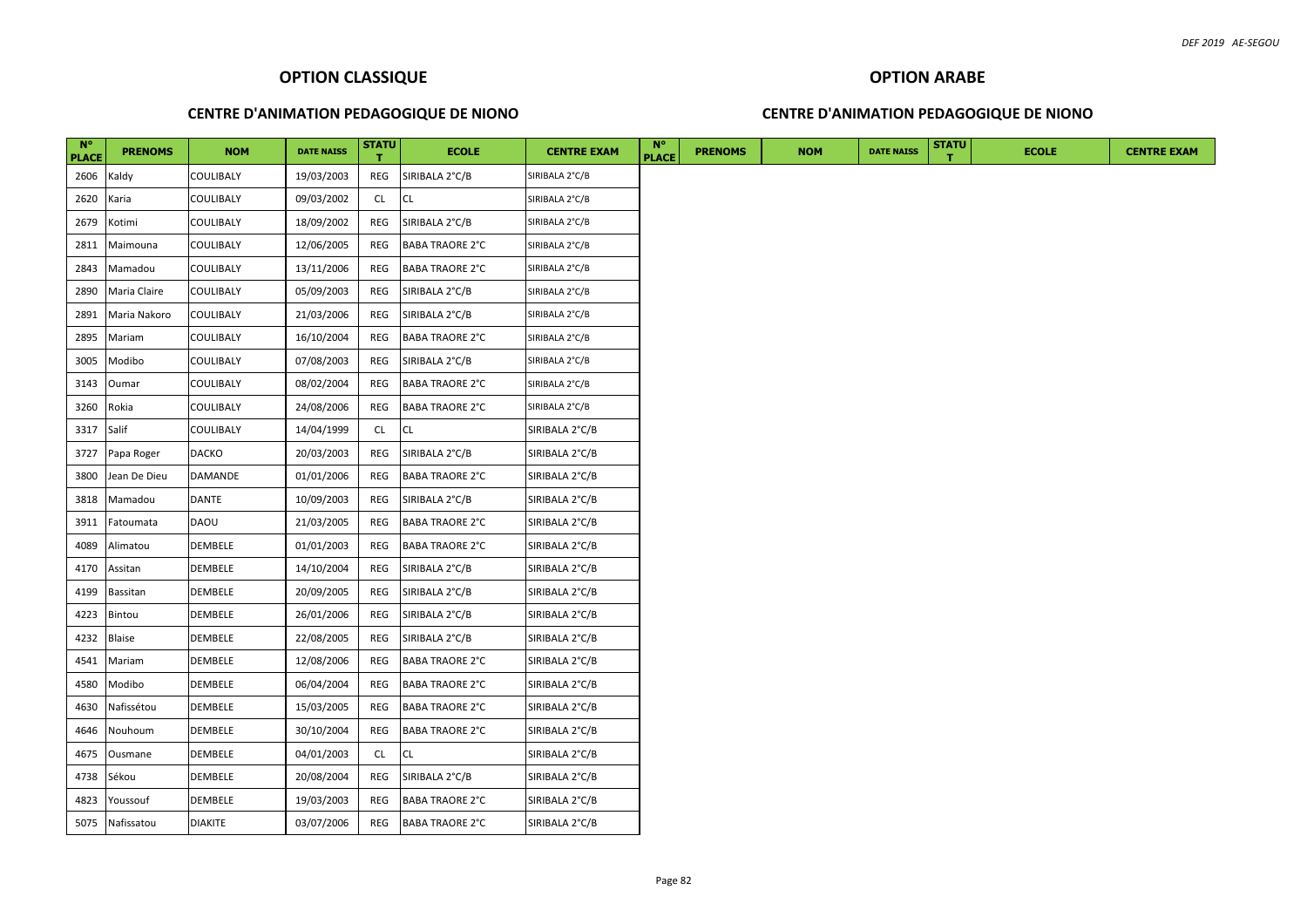### **CENTRE D'ANIMATION PEDAGOGIQUE DE NIONO**

### **CENTRE D'ANIMATION PEDAGOGIQUE DE NIONO**

| $N^{\circ}$<br><b>PLACE</b> | <b>PRENOMS</b>  | <b>NOM</b>       | <b>DATE NAISS</b> | <b>STATU</b> | <b>ECOLE</b>           | <b>CENTRE EXAM</b> | $N^{\circ}$<br><b>PLACE</b> | <b>PRENOMS</b> | <b>NOM</b> | <b>DATE NAISS</b> | <b>STATU</b> | <b>ECOLE</b> | <b>CENTRE EXAM</b> |
|-----------------------------|-----------------|------------------|-------------------|--------------|------------------------|--------------------|-----------------------------|----------------|------------|-------------------|--------------|--------------|--------------------|
| 2606                        | Kaldy           | <b>COULIBALY</b> | 19/03/2003        | REG          | SIRIBALA 2°C/B         | SIRIBALA 2°C/B     |                             |                |            |                   |              |              |                    |
| 2620                        | Karia           | <b>COULIBALY</b> | 09/03/2002        | <b>CL</b>    | <b>CL</b>              | SIRIBALA 2°C/B     |                             |                |            |                   |              |              |                    |
| 2679                        | Kotimi          | <b>COULIBALY</b> | 18/09/2002        | REG          | SIRIBALA 2°C/B         | SIRIBALA 2°C/B     |                             |                |            |                   |              |              |                    |
| 2811                        | Maimouna        | <b>COULIBALY</b> | 12/06/2005        | REG          | <b>BABA TRAORE 2°C</b> | SIRIBALA 2°C/B     |                             |                |            |                   |              |              |                    |
| 2843                        | Mamadou         | <b>COULIBALY</b> | 13/11/2006        | REG          | <b>BABA TRAORE 2°C</b> | SIRIBALA 2°C/B     |                             |                |            |                   |              |              |                    |
| 2890                        | Maria Claire    | <b>COULIBALY</b> | 05/09/2003        | REG          | SIRIBALA 2°C/B         | SIRIBALA 2°C/B     |                             |                |            |                   |              |              |                    |
| 2891                        | Maria Nakoro    | <b>COULIBALY</b> | 21/03/2006        | REG          | SIRIBALA 2°C/B         | SIRIBALA 2°C/B     |                             |                |            |                   |              |              |                    |
| 2895                        | Mariam          | <b>COULIBALY</b> | 16/10/2004        | REG          | <b>BABA TRAORE 2°C</b> | SIRIBALA 2°C/B     |                             |                |            |                   |              |              |                    |
| 3005                        | Modibo          | <b>COULIBALY</b> | 07/08/2003        | REG          | SIRIBALA 2°C/B         | SIRIBALA 2°C/B     |                             |                |            |                   |              |              |                    |
| 3143                        | Oumar           | <b>COULIBALY</b> | 08/02/2004        | REG          | BABA TRAORE 2°C        | SIRIBALA 2°C/B     |                             |                |            |                   |              |              |                    |
| 3260                        | Rokia           | <b>COULIBALY</b> | 24/08/2006        | REG          | <b>BABA TRAORE 2°C</b> | SIRIBALA 2°C/B     |                             |                |            |                   |              |              |                    |
| 3317                        | Salif           | <b>COULIBALY</b> | 14/04/1999        | <b>CL</b>    | <b>CL</b>              | SIRIBALA 2°C/B     |                             |                |            |                   |              |              |                    |
| 3727                        | Papa Roger      | <b>DACKO</b>     | 20/03/2003        | REG          | SIRIBALA 2°C/B         | SIRIBALA 2°C/B     |                             |                |            |                   |              |              |                    |
| 3800                        | lean De Dieu    | DAMANDE          | 01/01/2006        | REG          | <b>BABA TRAORE 2°C</b> | SIRIBALA 2°C/B     |                             |                |            |                   |              |              |                    |
| 3818                        | Mamadou         | <b>DANTE</b>     | 10/09/2003        | REG          | SIRIBALA 2°C/B         | SIRIBALA 2°C/B     |                             |                |            |                   |              |              |                    |
| 3911                        | Fatoumata       | <b>DAOU</b>      | 21/03/2005        | REG          | <b>BABA TRAORE 2°C</b> | SIRIBALA 2°C/B     |                             |                |            |                   |              |              |                    |
| 4089                        | Alimatou        | <b>DEMBELE</b>   | 01/01/2003        | REG          | <b>BABA TRAORE 2°C</b> | SIRIBALA 2°C/B     |                             |                |            |                   |              |              |                    |
| 4170                        | Assitan         | <b>DEMBELE</b>   | 14/10/2004        | REG          | SIRIBALA 2°C/B         | SIRIBALA 2°C/B     |                             |                |            |                   |              |              |                    |
| 4199                        | Bassitan        | <b>DEMBELE</b>   | 20/09/2005        | REG          | SIRIBALA 2°C/B         | SIRIBALA 2°C/B     |                             |                |            |                   |              |              |                    |
| 4223                        | Bintou          | <b>DEMBELE</b>   | 26/01/2006        | REG          | SIRIBALA 2°C/B         | SIRIBALA 2°C/B     |                             |                |            |                   |              |              |                    |
| 4232                        | <b>Blaise</b>   | <b>DEMBELE</b>   | 22/08/2005        | REG          | SIRIBALA 2°C/B         | SIRIBALA 2°C/B     |                             |                |            |                   |              |              |                    |
| 4541                        | Mariam          | <b>DEMBELE</b>   | 12/08/2006        | REG          | <b>BABA TRAORE 2°C</b> | SIRIBALA 2°C/B     |                             |                |            |                   |              |              |                    |
| 4580                        | Modibo          | <b>DEMBELE</b>   | 06/04/2004        | REG          | <b>BABA TRAORE 2°C</b> | SIRIBALA 2°C/B     |                             |                |            |                   |              |              |                    |
| 4630                        | Nafissétou      | <b>DEMBELE</b>   | 15/03/2005        | REG          | <b>BABA TRAORE 2°C</b> | SIRIBALA 2°C/B     |                             |                |            |                   |              |              |                    |
| 4646                        | Nouhoum         | <b>DEMBELE</b>   | 30/10/2004        | REG          | <b>BABA TRAORE 2°C</b> | SIRIBALA 2°C/B     |                             |                |            |                   |              |              |                    |
| 4675                        | Ousmane         | <b>DEMBELE</b>   | 04/01/2003        | CL           | <b>CL</b>              | SIRIBALA 2°C/B     |                             |                |            |                   |              |              |                    |
| 4738                        | Sékou           | DEMBELE          | 20/08/2004        | REG          | SIRIBALA 2°C/B         | SIRIBALA 2°C/B     |                             |                |            |                   |              |              |                    |
| 4823                        | Youssouf        | <b>DEMBELE</b>   | 19/03/2003        | REG          | <b>BABA TRAORE 2°C</b> | SIRIBALA 2°C/B     |                             |                |            |                   |              |              |                    |
|                             | 5075 Nafissatou | <b>DIAKITE</b>   | 03/07/2006        | REG          | <b>BABA TRAORE 2°C</b> | SIRIBALA 2°C/B     |                             |                |            |                   |              |              |                    |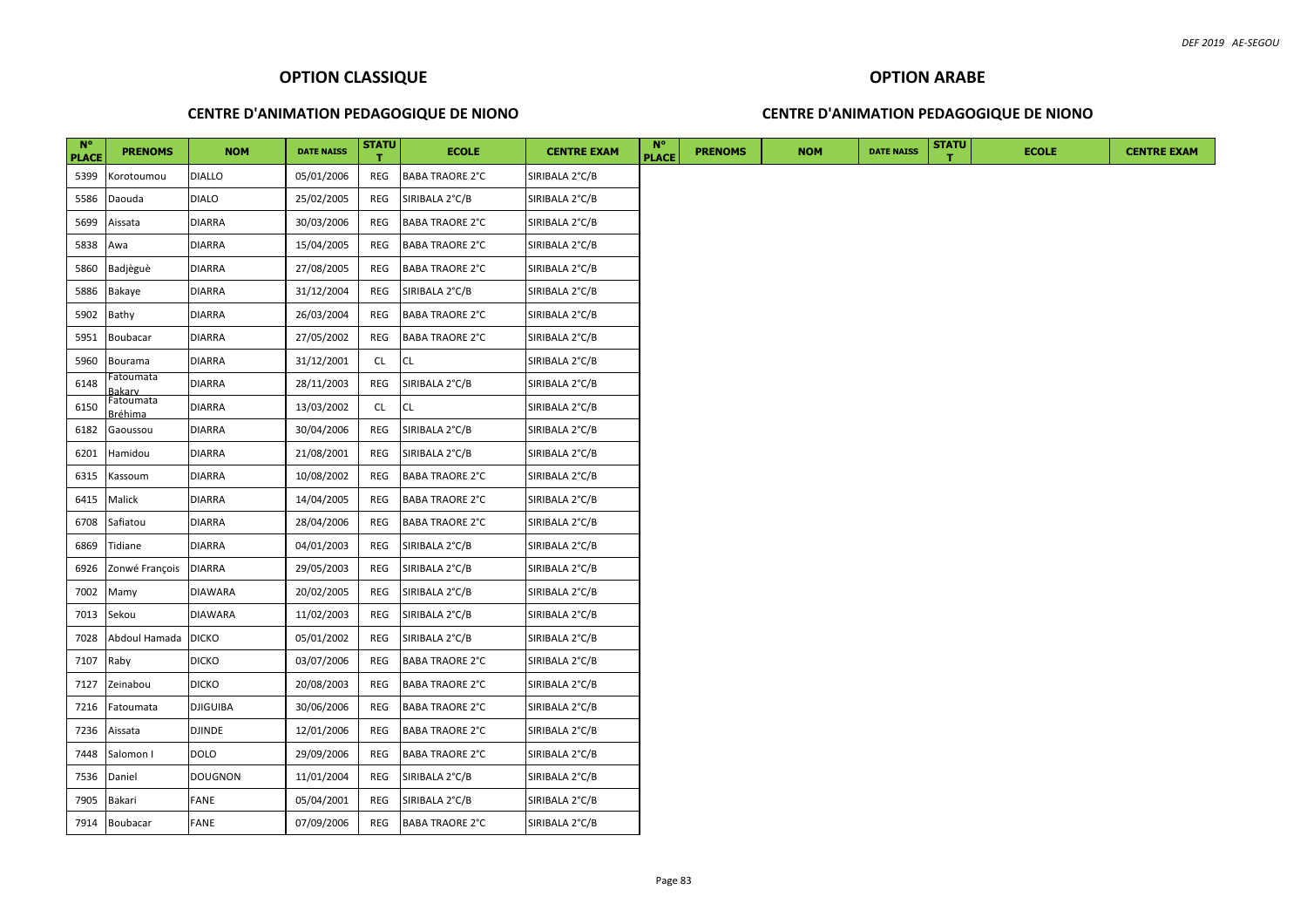### **CENTRE D'ANIMATION PEDAGOGIQUE DE NIONO**

### **CENTRE D'ANIMATION PEDAGOGIQUE DE NIONO**

| $N^{\circ}$<br><b>PLACE</b> | <b>PRENOMS</b>        | <b>NOM</b>      | <b>DATE NAISS</b> | <b>STATU</b> | <b>ECOLE</b>           | <b>CENTRE EXAM</b> | $N^{\circ}$<br><b>PLACE</b> | <b>PRENOMS</b> | <b>NOM</b> | <b>DATE NAISS</b> | <b>STATU</b> | <b>ECOLE</b> | <b>CENTRE EXAM</b> |
|-----------------------------|-----------------------|-----------------|-------------------|--------------|------------------------|--------------------|-----------------------------|----------------|------------|-------------------|--------------|--------------|--------------------|
| 5399                        | Korotoumou            | <b>DIALLO</b>   | 05/01/2006        | REG          | <b>BABA TRAORE 2°C</b> | SIRIBALA 2°C/B     |                             |                |            |                   |              |              |                    |
| 5586                        | Daouda                | <b>DIALO</b>    | 25/02/2005        | REG          | SIRIBALA 2°C/B         | SIRIBALA 2°C/B     |                             |                |            |                   |              |              |                    |
| 5699                        | Aissata               | <b>DIARRA</b>   | 30/03/2006        | REG          | <b>BABA TRAORE 2°C</b> | SIRIBALA 2°C/B     |                             |                |            |                   |              |              |                    |
| 5838                        | Awa                   | <b>DIARRA</b>   | 15/04/2005        | REG          | <b>BABA TRAORE 2°C</b> | SIRIBALA 2°C/B     |                             |                |            |                   |              |              |                    |
| 5860                        | Badjèguè              | <b>DIARRA</b>   | 27/08/2005        | REG          | <b>BABA TRAORE 2°C</b> | SIRIBALA 2°C/B     |                             |                |            |                   |              |              |                    |
| 5886                        | Bakaye                | <b>DIARRA</b>   | 31/12/2004        | REG          | SIRIBALA 2°C/B         | SIRIBALA 2°C/B     |                             |                |            |                   |              |              |                    |
| 5902                        | Bathy                 | DIARRA          | 26/03/2004        | REG          | <b>BABA TRAORE 2°C</b> | SIRIBALA 2°C/B     |                             |                |            |                   |              |              |                    |
| 5951                        | Boubacar              | <b>DIARRA</b>   | 27/05/2002        | REG          | <b>BABA TRAORE 2°C</b> | SIRIBALA 2°C/B     |                             |                |            |                   |              |              |                    |
| 5960                        | Bourama               | <b>DIARRA</b>   | 31/12/2001        | CL           | <b>CL</b>              | SIRIBALA 2°C/B     |                             |                |            |                   |              |              |                    |
| 6148                        | Fatoumata<br>}akarv   | <b>DIARRA</b>   | 28/11/2003        | REG          | SIRIBALA 2°C/B         | SIRIBALA 2°C/B     |                             |                |            |                   |              |              |                    |
| 6150                        | Fatoumata<br>3réhima  | <b>DIARRA</b>   | 13/03/2002        | <b>CL</b>    | <b>CL</b>              | SIRIBALA 2°C/B     |                             |                |            |                   |              |              |                    |
| 6182                        | Gaoussou              | <b>DIARRA</b>   | 30/04/2006        | REG          | SIRIBALA 2°C/B         | SIRIBALA 2°C/B     |                             |                |            |                   |              |              |                    |
| 6201                        | Hamidou               | <b>DIARRA</b>   | 21/08/2001        | REG          | SIRIBALA 2°C/B         | SIRIBALA 2°C/B     |                             |                |            |                   |              |              |                    |
| 6315                        | Kassoum               | <b>DIARRA</b>   | 10/08/2002        | REG          | <b>BABA TRAORE 2°C</b> | SIRIBALA 2°C/B     |                             |                |            |                   |              |              |                    |
| 6415                        | Malick                | <b>DIARRA</b>   | 14/04/2005        | REG          | <b>BABA TRAORE 2°C</b> | SIRIBALA 2°C/B     |                             |                |            |                   |              |              |                    |
| 6708                        | Safiatou              | DIARRA          | 28/04/2006        | REG          | <b>BABA TRAORE 2°C</b> | SIRIBALA 2°C/B     |                             |                |            |                   |              |              |                    |
| 6869                        | Tidiane               | <b>DIARRA</b>   | 04/01/2003        | REG          | SIRIBALA 2°C/B         | SIRIBALA 2°C/B     |                             |                |            |                   |              |              |                    |
| 6926                        | Zonwé François        | <b>DIARRA</b>   | 29/05/2003        | REG          | SIRIBALA 2°C/B         | SIRIBALA 2°C/B     |                             |                |            |                   |              |              |                    |
| 7002                        | Mamy                  | <b>DIAWARA</b>  | 20/02/2005        | REG          | SIRIBALA 2°C/B         | SIRIBALA 2°C/B     |                             |                |            |                   |              |              |                    |
| 7013                        | Sekou                 | <b>DIAWARA</b>  | 11/02/2003        | REG          | SIRIBALA 2°C/B         | SIRIBALA 2°C/B     |                             |                |            |                   |              |              |                    |
| 7028                        | Abdoul Hamada   DICKO |                 | 05/01/2002        | REG          | SIRIBALA 2°C/B         | SIRIBALA 2°C/B     |                             |                |            |                   |              |              |                    |
| 7107                        | Raby                  | <b>DICKO</b>    | 03/07/2006        | REG          | <b>BABA TRAORE 2°C</b> | SIRIBALA 2°C/B     |                             |                |            |                   |              |              |                    |
| 7127                        | Zeinabou              | <b>DICKO</b>    | 20/08/2003        | REG          | <b>BABA TRAORE 2°C</b> | SIRIBALA 2°C/B     |                             |                |            |                   |              |              |                    |
| 7216                        | Fatoumata             | <b>DJIGUIBA</b> | 30/06/2006        | REG          | <b>BABA TRAORE 2°C</b> | SIRIBALA 2°C/B     |                             |                |            |                   |              |              |                    |
| 7236                        | Aissata               | <b>DJINDE</b>   | 12/01/2006        | REG          | <b>BABA TRAORE 2°C</b> | SIRIBALA 2°C/B     |                             |                |            |                   |              |              |                    |
| 7448                        | Salomon I             | <b>DOLO</b>     | 29/09/2006        | REG          | <b>BABA TRAORE 2°C</b> | SIRIBALA 2°C/B     |                             |                |            |                   |              |              |                    |
| 7536                        | Daniel                | <b>DOUGNON</b>  | 11/01/2004        | REG          | SIRIBALA 2°C/B         | SIRIBALA 2°C/B     |                             |                |            |                   |              |              |                    |
| 7905                        | Bakari                | FANE            | 05/04/2001        | REG          | SIRIBALA 2°C/B         | SIRIBALA 2°C/B     |                             |                |            |                   |              |              |                    |
| 7914                        | Boubacar              | FANE            | 07/09/2006        | REG          | <b>BABA TRAORE 2°C</b> | SIRIBALA 2°C/B     |                             |                |            |                   |              |              |                    |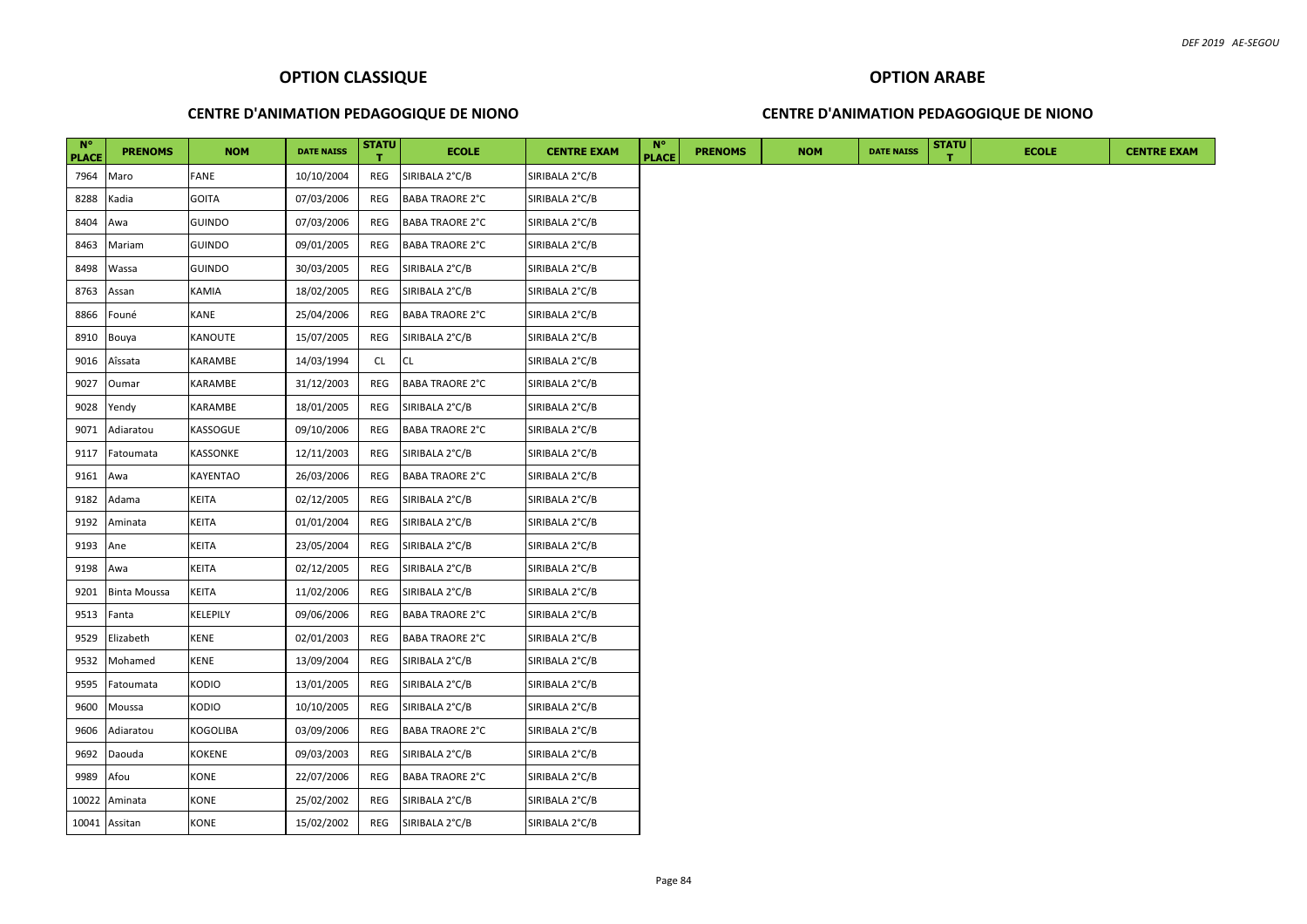### **CENTRE D'ANIMATION PEDAGOGIQUE DE NIONO**

### **CENTRE D'ANIMATION PEDAGOGIQUE DE NIONO**

| N°<br><b>PLACE</b> | <b>PRENOMS</b>      | <b>NOM</b>    | <b>DATE NAISS</b> | <b>STATU</b> | <b>ECOLE</b>           | <b>CENTRE EXAM</b> | <b>N°</b><br><b>PLACE</b> | <b>PRENOMS</b> | <b>NOM</b> | <b>DATE NAISS</b> | <b>STATU</b> | <b>ECOLE</b> |
|--------------------|---------------------|---------------|-------------------|--------------|------------------------|--------------------|---------------------------|----------------|------------|-------------------|--------------|--------------|
| 7964               | Maro                | FANE          | 10/10/2004        | REG          | SIRIBALA 2°C/B         | SIRIBALA 2°C/B     |                           |                |            |                   |              |              |
| 8288               | Kadia               | GOITA         | 07/03/2006        | REG          | <b>BABA TRAORE 2°C</b> | SIRIBALA 2°C/B     |                           |                |            |                   |              |              |
| 8404               | Awa                 | GUINDO        | 07/03/2006        | REG          | <b>BABA TRAORE 2°C</b> | SIRIBALA 2°C/B     |                           |                |            |                   |              |              |
| 8463               | Mariam              | <b>GUINDO</b> | 09/01/2005        | REG          | <b>BABA TRAORE 2°C</b> | SIRIBALA 2°C/B     |                           |                |            |                   |              |              |
| 8498               | Wassa               | GUINDO        | 30/03/2005        | REG          | SIRIBALA 2°C/B         | SIRIBALA 2°C/B     |                           |                |            |                   |              |              |
| 8763               | Assan               | KAMIA         | 18/02/2005        | REG          | SIRIBALA 2°C/B         | SIRIBALA 2°C/B     |                           |                |            |                   |              |              |
| 8866               | Founé               | KANE          | 25/04/2006        | REG          | <b>BABA TRAORE 2°C</b> | SIRIBALA 2°C/B     |                           |                |            |                   |              |              |
| 8910               | Bouya               | KANOUTE       | 15/07/2005        | REG          | SIRIBALA 2°C/B         | SIRIBALA 2°C/B     |                           |                |            |                   |              |              |
| 9016               | Aîssata             | KARAMBE       | 14/03/1994        | CL           | <b>CL</b>              | SIRIBALA 2°C/B     |                           |                |            |                   |              |              |
| 9027               | Oumar               | KARAMBE       | 31/12/2003        | REG          | <b>BABA TRAORE 2°C</b> | SIRIBALA 2°C/B     |                           |                |            |                   |              |              |
| 9028               | Yendy               | KARAMBE       | 18/01/2005        | REG          | SIRIBALA 2°C/B         | SIRIBALA 2°C/B     |                           |                |            |                   |              |              |
| 9071               | Adiaratou           | KASSOGUE      | 09/10/2006        | REG          | <b>BABA TRAORE 2°C</b> | SIRIBALA 2°C/B     |                           |                |            |                   |              |              |
| 9117               | Fatoumata           | KASSONKE      | 12/11/2003        | REG          | SIRIBALA 2°C/B         | SIRIBALA 2°C/B     |                           |                |            |                   |              |              |
| 9161               | Awa                 | KAYENTAO      | 26/03/2006        | REG          | <b>BABA TRAORE 2°C</b> | SIRIBALA 2°C/B     |                           |                |            |                   |              |              |
| 9182               | Adama               | KEITA         | 02/12/2005        | REG          | SIRIBALA 2°C/B         | SIRIBALA 2°C/B     |                           |                |            |                   |              |              |
| 9192               | Aminata             | KEITA         | 01/01/2004        | REG          | SIRIBALA 2°C/B         | SIRIBALA 2°C/B     |                           |                |            |                   |              |              |
| 9193               | Ane                 | KEITA         | 23/05/2004        | REG          | SIRIBALA 2°C/B         | SIRIBALA 2°C/B     |                           |                |            |                   |              |              |
| 9198               | Awa                 | KEITA         | 02/12/2005        | REG          | SIRIBALA 2°C/B         | SIRIBALA 2°C/B     |                           |                |            |                   |              |              |
| 9201               | <b>Binta Moussa</b> | KEITA         | 11/02/2006        | REG          | SIRIBALA 2°C/B         | SIRIBALA 2°C/B     |                           |                |            |                   |              |              |
| 9513               | Fanta               | KELEPILY      | 09/06/2006        | REG          | <b>BABA TRAORE 2°C</b> | SIRIBALA 2°C/B     |                           |                |            |                   |              |              |
| 9529               | Elizabeth           | KENE          | 02/01/2003        | REG          | <b>BABA TRAORE 2°C</b> | SIRIBALA 2°C/B     |                           |                |            |                   |              |              |
| 9532               | Mohamed             | KENE          | 13/09/2004        | REG          | SIRIBALA 2°C/B         | SIRIBALA 2°C/B     |                           |                |            |                   |              |              |
| 9595               | Fatoumata           | KODIO         | 13/01/2005        | REG          | SIRIBALA 2°C/B         | SIRIBALA 2°C/B     |                           |                |            |                   |              |              |
| 9600               | Moussa              | KODIO         | 10/10/2005        | REG          | SIRIBALA 2°C/B         | SIRIBALA 2°C/B     |                           |                |            |                   |              |              |
| 9606               | Adiaratou           | KOGOLIBA      | 03/09/2006        | REG          | <b>BABA TRAORE 2°C</b> | SIRIBALA 2°C/B     |                           |                |            |                   |              |              |
| 9692               | Daouda              | KOKENE        | 09/03/2003        | REG          | SIRIBALA 2°C/B         | SIRIBALA 2°C/B     |                           |                |            |                   |              |              |
| 9989               | Afou                | KONE          | 22/07/2006        | REG          | <b>BABA TRAORE 2°C</b> | SIRIBALA 2°C/B     |                           |                |            |                   |              |              |
| 10022              | Aminata             | <b>CONE</b>   | 25/02/2002        | REG          | SIRIBALA 2°C/B         | SIRIBALA 2°C/B     |                           |                |            |                   |              |              |
|                    | 10041 Assitan       | KONE          | 15/02/2002        | REG          | SIRIBALA 2°C/B         | SIRIBALA 2°C/B     |                           |                |            |                   |              |              |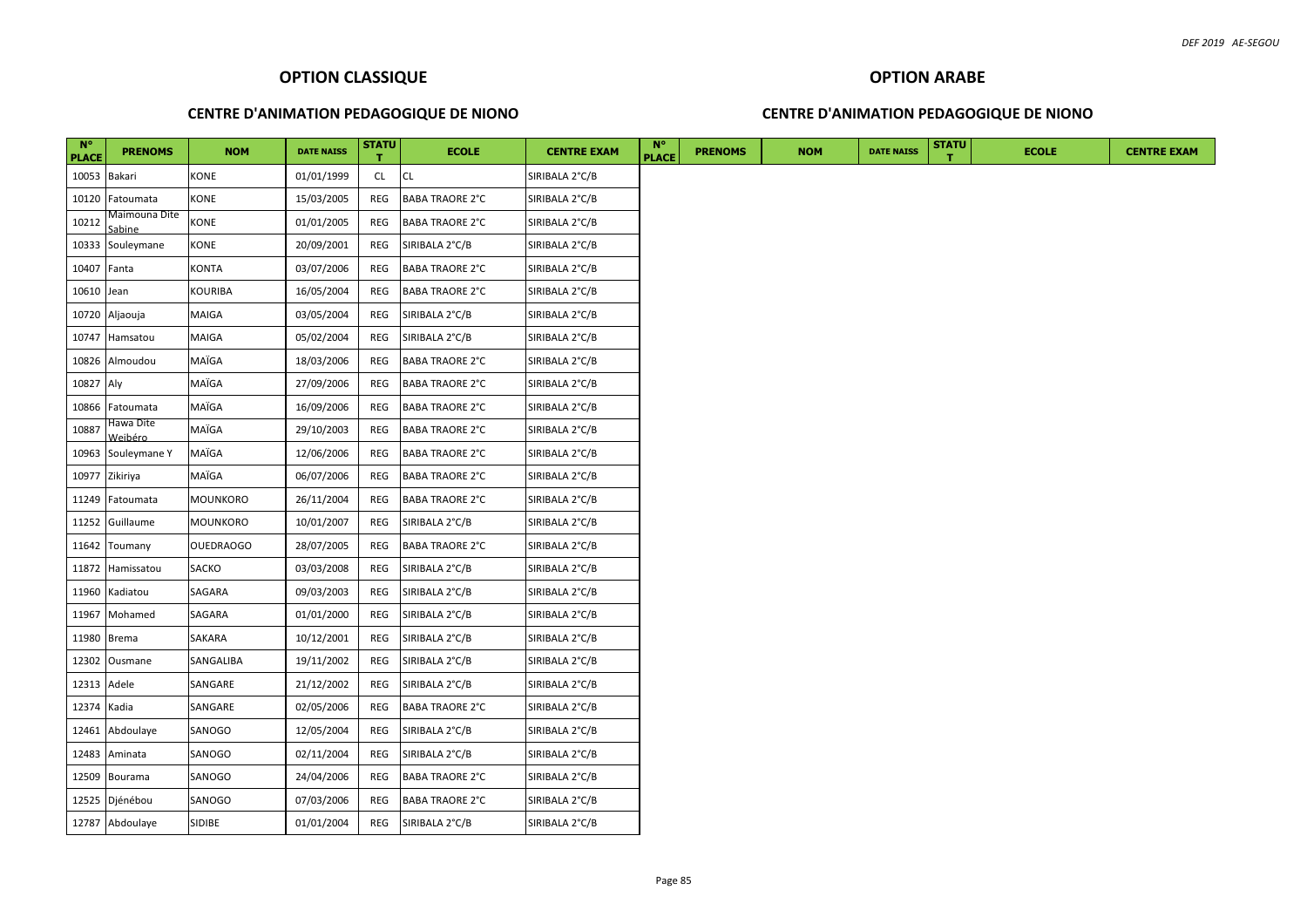### **CENTRE D'ANIMATION PEDAGOGIQUE DE NIONO**

### **CENTRE D'ANIMATION PEDAGOGIQUE DE NIONO**

| $N^{\circ}$<br><b>PLACE</b> | <b>PRENOMS</b>          | <b>NOM</b> | <b>DATE NAISS</b> | <b>STATU</b> | <b>ECOLE</b>           | <b>CENTRE EXAM</b> | $N^{\circ}$<br><b>PLACE</b> | <b>PRENOMS</b> | <b>NOM</b> | <b>DATE NAISS</b> | <b>STATU</b> | <b>ECOLE</b> | <b>CENTRE EXAM</b> |
|-----------------------------|-------------------------|------------|-------------------|--------------|------------------------|--------------------|-----------------------------|----------------|------------|-------------------|--------------|--------------|--------------------|
|                             | 10053 Bakari            | KONE       | 01/01/1999        | <b>CL</b>    | <b>CL</b>              | SIRIBALA 2°C/B     |                             |                |            |                   |              |              |                    |
| 10120                       | Fatoumata               | KONE       | 15/03/2005        | REG          | <b>BABA TRAORE 2°C</b> | SIRIBALA 2°C/B     |                             |                |            |                   |              |              |                    |
| 10212                       | Maimouna Dite<br>Sabine | KONE       | 01/01/2005        | REG          | <b>BABA TRAORE 2°C</b> | SIRIBALA 2°C/B     |                             |                |            |                   |              |              |                    |
|                             | 10333 Souleymane        | KONE       | 20/09/2001        | REG          | SIRIBALA 2°C/B         | SIRIBALA 2°C/B     |                             |                |            |                   |              |              |                    |
| 10407 Fanta                 |                         | KONTA      | 03/07/2006        | REG          | <b>BABA TRAORE 2°C</b> | SIRIBALA 2°C/B     |                             |                |            |                   |              |              |                    |
| 10610 Jean                  |                         | KOURIBA    | 16/05/2004        | REG          | <b>BABA TRAORE 2°C</b> | SIRIBALA 2°C/B     |                             |                |            |                   |              |              |                    |
| 10720                       | Aljaouja                | MAIGA      | 03/05/2004        | REG          | SIRIBALA 2°C/B         | SIRIBALA 2°C/B     |                             |                |            |                   |              |              |                    |
| 10747                       | Hamsatou                | MAIGA      | 05/02/2004        | REG          | SIRIBALA 2°C/B         | SIRIBALA 2°C/B     |                             |                |            |                   |              |              |                    |
| 10826                       | Almoudou                | MAÏGA      | 18/03/2006        | REG          | <b>BABA TRAORE 2°C</b> | SIRIBALA 2°C/B     |                             |                |            |                   |              |              |                    |
| 10827 Aly                   |                         | MAÏGA      | 27/09/2006        | REG          | <b>BABA TRAORE 2°C</b> | SIRIBALA 2°C/B     |                             |                |            |                   |              |              |                    |
| 10866                       | Fatoumata               | MAÏGA      | 16/09/2006        | REG          | <b>BABA TRAORE 2°C</b> | SIRIBALA 2°C/B     |                             |                |            |                   |              |              |                    |
| 10887                       | Hawa Dite<br>Weibéro    | MAÏGA      | 29/10/2003        | REG          | <b>BABA TRAORE 2°C</b> | SIRIBALA 2°C/B     |                             |                |            |                   |              |              |                    |
| 10963                       | Souleymane Y            | MAÏGA      | 12/06/2006        | REG          | <b>BABA TRAORE 2°C</b> | SIRIBALA 2°C/B     |                             |                |            |                   |              |              |                    |
|                             | 10977 Zikiriya          | MAÏGA      | 06/07/2006        | REG          | <b>BABA TRAORE 2°C</b> | SIRIBALA 2°C/B     |                             |                |            |                   |              |              |                    |
| 11249                       | Fatoumata               | MOUNKORO   | 26/11/2004        | REG          | <b>BABA TRAORE 2°C</b> | SIRIBALA 2°C/B     |                             |                |            |                   |              |              |                    |
| 11252                       | Guillaume               | MOUNKORO   | 10/01/2007        | REG          | SIRIBALA 2°C/B         | SIRIBALA 2°C/B     |                             |                |            |                   |              |              |                    |
|                             | 11642 Toumany           | OUEDRAOGO  | 28/07/2005        | REG          | <b>BABA TRAORE 2°C</b> | SIRIBALA 2°C/B     |                             |                |            |                   |              |              |                    |
| 11872                       | Hamissatou              | SACKO      | 03/03/2008        | REG          | SIRIBALA 2°C/B         | SIRIBALA 2°C/B     |                             |                |            |                   |              |              |                    |
| 11960                       | Kadiatou                | SAGARA     | 09/03/2003        | REG          | SIRIBALA 2°C/B         | SIRIBALA 2°C/B     |                             |                |            |                   |              |              |                    |
| 11967                       | Mohamed                 | SAGARA     | 01/01/2000        | REG          | SIRIBALA 2°C/B         | SIRIBALA 2°C/B     |                             |                |            |                   |              |              |                    |
|                             | 11980 Brema             | SAKARA     | 10/12/2001        | REG          | SIRIBALA 2°C/B         | SIRIBALA 2°C/B     |                             |                |            |                   |              |              |                    |
| 12302                       | Ousmane                 | SANGALIBA  | 19/11/2002        | REG          | SIRIBALA 2°C/B         | SIRIBALA 2°C/B     |                             |                |            |                   |              |              |                    |
| 12313 Adele                 |                         | SANGARE    | 21/12/2002        | REG          | SIRIBALA 2°C/B         | SIRIBALA 2°C/B     |                             |                |            |                   |              |              |                    |
| 12374 Kadia                 |                         | SANGARE    | 02/05/2006        | REG          | <b>BABA TRAORE 2°C</b> | SIRIBALA 2°C/B     |                             |                |            |                   |              |              |                    |
| 12461                       | Abdoulaye               | SANOGO     | 12/05/2004        | REG          | SIRIBALA 2°C/B         | SIRIBALA 2°C/B     |                             |                |            |                   |              |              |                    |
| 12483                       | Aminata                 | SANOGO     | 02/11/2004        | REG          | SIRIBALA 2°C/B         | SIRIBALA 2°C/B     |                             |                |            |                   |              |              |                    |
| 12509                       | Bourama                 | SANOGO     | 24/04/2006        | REG          | <b>BABA TRAORE 2°C</b> | SIRIBALA 2°C/B     |                             |                |            |                   |              |              |                    |
|                             | 12525 Djénébou          | SANOGO     | 07/03/2006        | REG          | <b>BABA TRAORE 2°C</b> | SIRIBALA 2°C/B     |                             |                |            |                   |              |              |                    |
|                             | 12787 Abdoulaye         | SIDIBE     | 01/01/2004        | REG          | SIRIBALA 2°C/B         | SIRIBALA 2°C/B     |                             |                |            |                   |              |              |                    |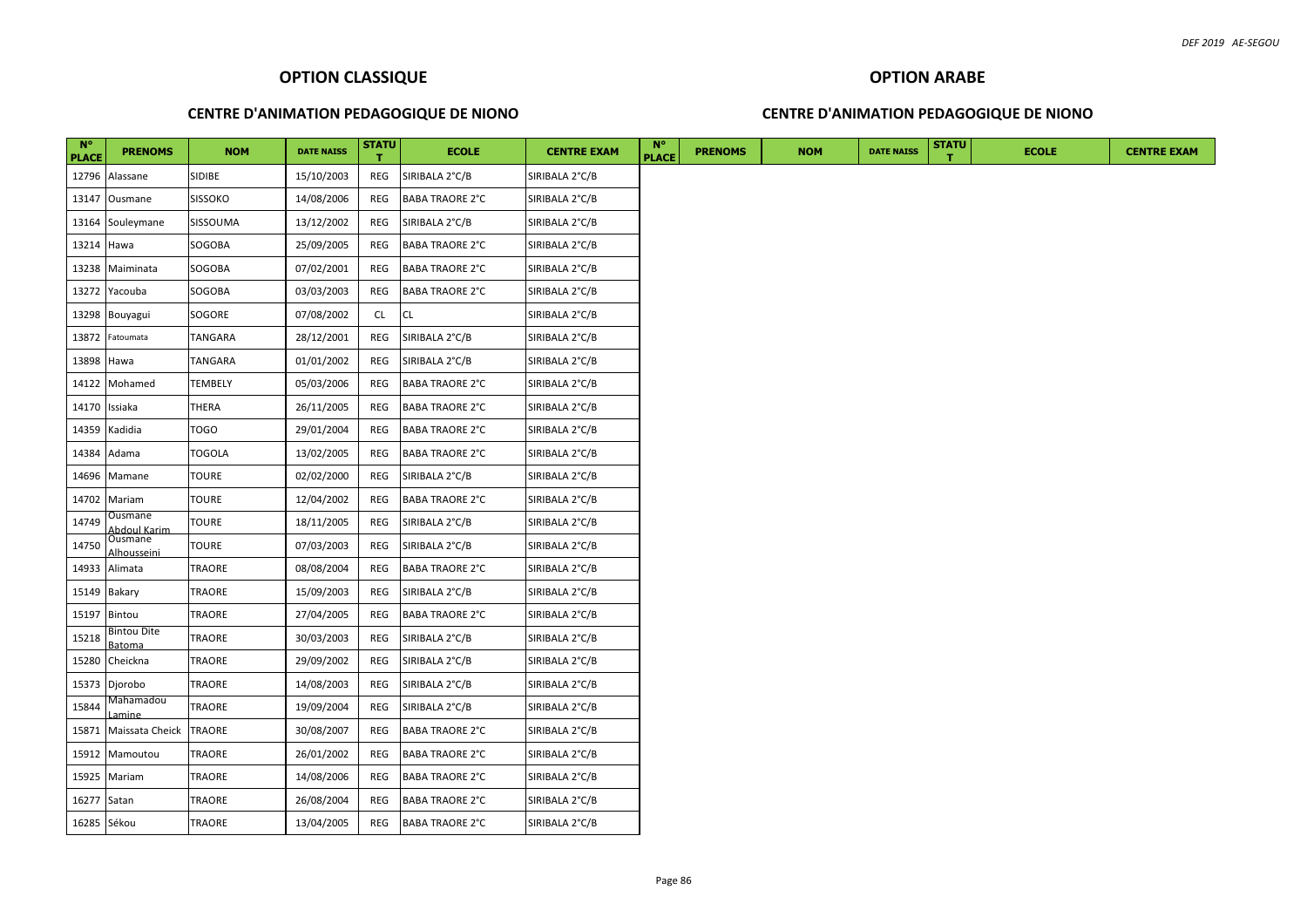### **CENTRE D'ANIMATION PEDAGOGIQUE DE NIONO**

### **CENTRE D'ANIMATION PEDAGOGIQUE DE NIONO**

| $N^{\circ}$<br><b>PLACE</b> | <b>PRENOMS</b>          | <b>NOM</b>     | <b>DATE NAISS</b> | <b>STATU</b> | <b>ECOLE</b>           | <b>CENTRE EXAM</b> | <b>N°</b><br><b>PLACE</b> | <b>PRENOMS</b> | <b>NOM</b> | <b>DATE NAISS</b> | <b>STATU</b> | <b>ECOLE</b> |  |
|-----------------------------|-------------------------|----------------|-------------------|--------------|------------------------|--------------------|---------------------------|----------------|------------|-------------------|--------------|--------------|--|
|                             | 12796 Alassane          | SIDIBE         | 15/10/2003        | REG          | SIRIBALA 2°C/B         | SIRIBALA 2°C/B     |                           |                |            |                   |              |              |  |
|                             | 13147 Ousmane           | <b>SISSOKO</b> | 14/08/2006        | REG          | <b>BABA TRAORE 2°C</b> | SIRIBALA 2°C/B     |                           |                |            |                   |              |              |  |
| 13164                       | Souleymane              | SISSOUMA       | 13/12/2002        | REG          | SIRIBALA 2°C/B         | SIRIBALA 2°C/B     |                           |                |            |                   |              |              |  |
| 13214 Hawa                  |                         | SOGOBA         | 25/09/2005        | REG          | <b>BABA TRAORE 2°C</b> | SIRIBALA 2°C/B     |                           |                |            |                   |              |              |  |
| 13238                       | Maiminata               | SOGOBA         | 07/02/2001        | REG          | <b>BABA TRAORE 2°C</b> | SIRIBALA 2°C/B     |                           |                |            |                   |              |              |  |
|                             | 13272 Yacouba           | SOGOBA         | 03/03/2003        | REG          | <b>BABA TRAORE 2°C</b> | SIRIBALA 2°C/B     |                           |                |            |                   |              |              |  |
|                             | 13298 Bouyagui          | SOGORE         | 07/08/2002        | CL           | <b>CL</b>              | SIRIBALA 2°C/B     |                           |                |            |                   |              |              |  |
|                             | 13872 Fatoumata         | <b>TANGARA</b> | 28/12/2001        | REG          | SIRIBALA 2°C/B         | SIRIBALA 2°C/B     |                           |                |            |                   |              |              |  |
| 13898 Hawa                  |                         | TANGARA        | 01/01/2002        | REG          | SIRIBALA 2°C/B         | SIRIBALA 2°C/B     |                           |                |            |                   |              |              |  |
|                             | 14122 Mohamed           | <b>TEMBELY</b> | 05/03/2006        | REG          | <b>BABA TRAORE 2°C</b> | SIRIBALA 2°C/B     |                           |                |            |                   |              |              |  |
| 14170                       | Issiaka                 | THERA          | 26/11/2005        | REG          | <b>BABA TRAORE 2°C</b> | SIRIBALA 2°C/B     |                           |                |            |                   |              |              |  |
| 14359                       | Kadidia                 | TOGO           | 29/01/2004        | REG          | <b>BABA TRAORE 2°C</b> | SIRIBALA 2°C/B     |                           |                |            |                   |              |              |  |
| 14384                       | Adama                   | TOGOLA         | 13/02/2005        | REG          | <b>BABA TRAORE 2°C</b> | SIRIBALA 2°C/B     |                           |                |            |                   |              |              |  |
|                             | 14696 Mamane            | TOURE          | 02/02/2000        | REG          | SIRIBALA 2°C/B         | SIRIBALA 2°C/B     |                           |                |            |                   |              |              |  |
| 14702                       | Mariam                  | TOURE          | 12/04/2002        | REG          | <b>BABA TRAORE 2°C</b> | SIRIBALA 2°C/B     |                           |                |            |                   |              |              |  |
| 14749                       | Ousmane<br>bdoul Karim) | TOURE          | 18/11/2005        | REG          | SIRIBALA 2°C/B         | SIRIBALA 2°C/B     |                           |                |            |                   |              |              |  |
| 14750                       | Ousmane<br>Alhousseini  | <b>TOURE</b>   | 07/03/2003        | REG          | SIRIBALA 2°C/B         | SIRIBALA 2°C/B     |                           |                |            |                   |              |              |  |
| 14933                       | Alimata                 | TRAORE         | 08/08/2004        | REG          | <b>BABA TRAORE 2°C</b> | SIRIBALA 2°C/B     |                           |                |            |                   |              |              |  |
|                             | 15149 Bakary            | TRAORE         | 15/09/2003        | REG          | SIRIBALA 2°C/B         | SIRIBALA 2°C/B     |                           |                |            |                   |              |              |  |
| 15197                       | Bintou                  | TRAORE         | 27/04/2005        | REG          | <b>BABA TRAORE 2°C</b> | SIRIBALA 2°C/B     |                           |                |            |                   |              |              |  |
| 15218                       | Bintou Dite<br>3atoma   | TRAORE         | 30/03/2003        | REG          | SIRIBALA 2°C/B         | SIRIBALA 2°C/B     |                           |                |            |                   |              |              |  |
| 15280                       | Cheickna                | TRAORE         | 29/09/2002        | REG          | SIRIBALA 2°C/B         | SIRIBALA 2°C/B     |                           |                |            |                   |              |              |  |
| 15373                       | Djorobo                 | TRAORE         | 14/08/2003        | REG          | SIRIBALA 2°C/B         | SIRIBALA 2°C/B     |                           |                |            |                   |              |              |  |
| 15844                       | Mahamadou<br>amine      | TRAORE         | 19/09/2004        | REG          | SIRIBALA 2°C/B         | SIRIBALA 2°C/B     |                           |                |            |                   |              |              |  |
| 15871                       | Maissata Cheick TRAORE  |                | 30/08/2007        | REG          | <b>BABA TRAORE 2°C</b> | SIRIBALA 2°C/B     |                           |                |            |                   |              |              |  |
| 15912                       | Mamoutou                | TRAORE         | 26/01/2002        | REG          | <b>BABA TRAORE 2°C</b> | SIRIBALA 2°C/B     |                           |                |            |                   |              |              |  |
|                             | 15925 Mariam            | TRAORE         | 14/08/2006        | REG          | <b>BABA TRAORE 2°C</b> | SIRIBALA 2°C/B     |                           |                |            |                   |              |              |  |
| 16277 Satan                 |                         | TRAORE         | 26/08/2004        | REG          | <b>BABA TRAORE 2°C</b> | SIRIBALA 2°C/B     |                           |                |            |                   |              |              |  |
| 16285 Sékou                 |                         | TRAORE         | 13/04/2005        | REG          | <b>BABA TRAORE 2°C</b> | SIRIBALA 2°C/B     |                           |                |            |                   |              |              |  |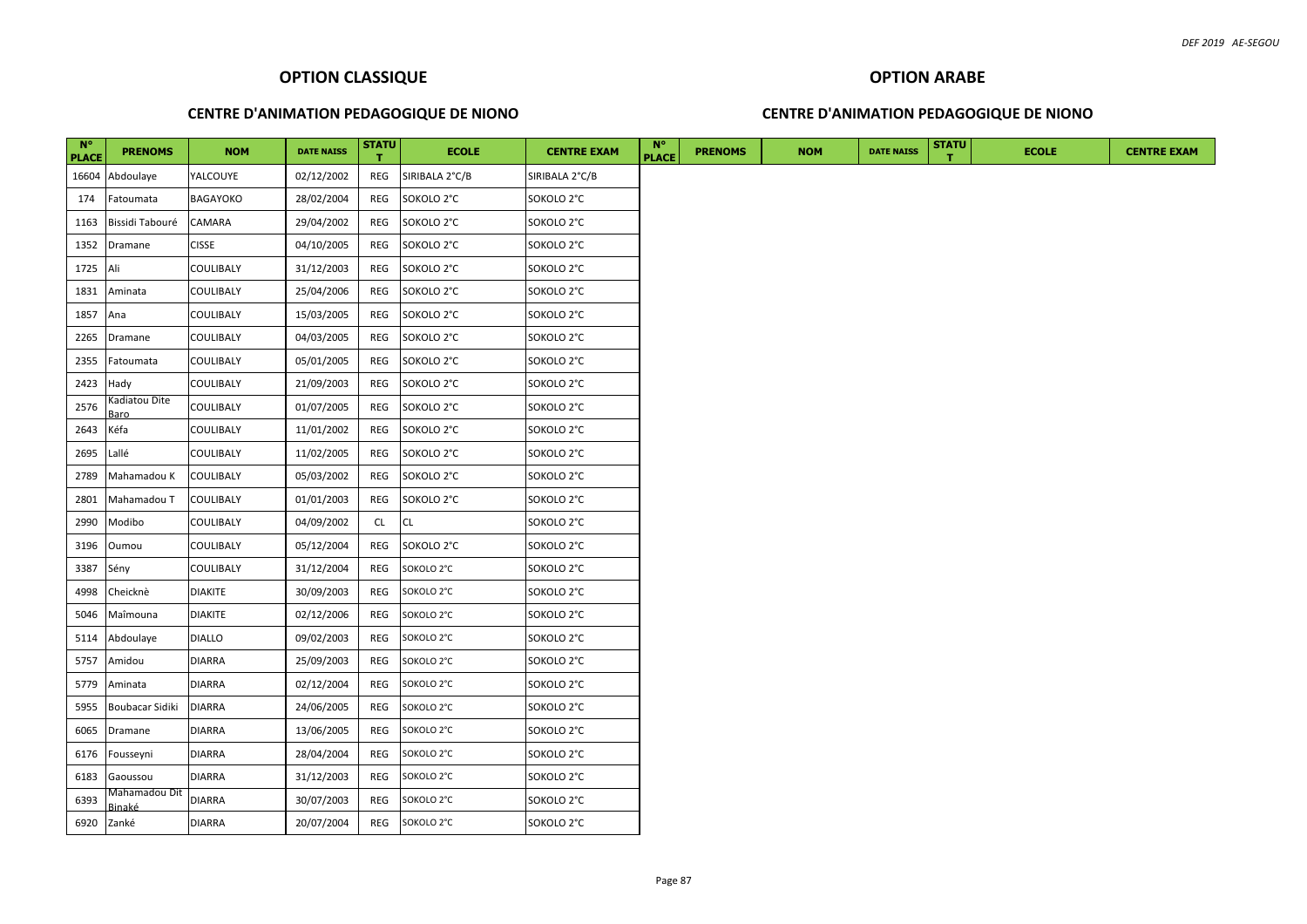# **OPTION ARABE**

### **CENTRE D'ANIMATION PEDAGOGIQUE DE NIONO**

### **CENTRE D'ANIMATION PEDAGOGIQUE DE NIONO**

| $N^{\circ}$<br><b>PLACE</b> | <b>PRENOMS</b>          | <b>NOM</b>      | <b>DATE NAISS</b> | <b>STATU</b> | <b>ECOLE</b>   | <b>CENTRE EXAM</b> | $N^{\circ}$<br><b>PLACE</b> | <b>PRENOMS</b> | <b>NOM</b> | <b>DATE NAISS</b> | <b>STATU</b> | <b>ECOLE</b> | <b>CENTRE EXAM</b> |
|-----------------------------|-------------------------|-----------------|-------------------|--------------|----------------|--------------------|-----------------------------|----------------|------------|-------------------|--------------|--------------|--------------------|
| 16604                       | Abdoulaye               | YALCOUYE        | 02/12/2002        | REG          | SIRIBALA 2°C/B | SIRIBALA 2°C/B     |                             |                |            |                   |              |              |                    |
| 174                         | Fatoumata               | <b>BAGAYOKO</b> | 28/02/2004        | REG          | SOKOLO 2°C     | SOKOLO 2°C         |                             |                |            |                   |              |              |                    |
| 1163                        | Bissidi Tabouré         | CAMARA          | 29/04/2002        | REG          | SOKOLO 2°C     | SOKOLO 2°C         |                             |                |            |                   |              |              |                    |
| 1352                        | Dramane                 | <b>CISSE</b>    | 04/10/2005        | REG          | SOKOLO 2°C     | SOKOLO 2°C         |                             |                |            |                   |              |              |                    |
| 1725                        | Ali                     | COULIBALY       | 31/12/2003        | REG          | SOKOLO 2°C     | SOKOLO 2°C         |                             |                |            |                   |              |              |                    |
| 1831                        | Aminata                 | COULIBALY       | 25/04/2006        | REG          | SOKOLO 2°C     | SOKOLO 2°C         |                             |                |            |                   |              |              |                    |
| 1857                        | Ana                     | COULIBALY       | 15/03/2005        | REG          | SOKOLO 2°C     | SOKOLO 2°C         |                             |                |            |                   |              |              |                    |
| 2265                        | Dramane                 | COULIBALY       | 04/03/2005        | REG          | SOKOLO 2°C     | SOKOLO 2°C         |                             |                |            |                   |              |              |                    |
| 2355                        | Fatoumata               | COULIBALY       | 05/01/2005        | REG          | SOKOLO 2°C     | SOKOLO 2°C         |                             |                |            |                   |              |              |                    |
| 2423                        | Hady                    | COULIBALY       | 21/09/2003        | REG          | SOKOLO 2°C     | SOKOLO 2°C         |                             |                |            |                   |              |              |                    |
| 2576                        | Kadiatou Dite<br>aro?   | COULIBALY       | 01/07/2005        | REG          | SOKOLO 2°C     | SOKOLO 2°C         |                             |                |            |                   |              |              |                    |
| 2643                        | Kéfa                    | COULIBALY       | 11/01/2002        | REG          | SOKOLO 2°C     | SOKOLO 2°C         |                             |                |            |                   |              |              |                    |
| 2695                        | Lallé                   | COULIBALY       | 11/02/2005        | REG          | SOKOLO 2°C     | SOKOLO 2°C         |                             |                |            |                   |              |              |                    |
| 2789                        | Mahamadou K             | COULIBALY       | 05/03/2002        | REG          | SOKOLO 2°C     | SOKOLO 2°C         |                             |                |            |                   |              |              |                    |
| 2801                        | Mahamadou T             | COULIBALY       | 01/01/2003        | REG          | SOKOLO 2°C     | SOKOLO 2°C         |                             |                |            |                   |              |              |                    |
| 2990                        | Modibo                  | COULIBALY       | 04/09/2002        | <b>CL</b>    | CL.            | SOKOLO 2°C         |                             |                |            |                   |              |              |                    |
| 3196                        | Oumou                   | COULIBALY       | 05/12/2004        | REG          | SOKOLO 2°C     | SOKOLO 2°C         |                             |                |            |                   |              |              |                    |
| 3387                        | Sény                    | COULIBALY       | 31/12/2004        | REG          | SOKOLO 2°C     | SOKOLO 2°C         |                             |                |            |                   |              |              |                    |
| 4998                        | Cheicknè                | <b>DIAKITE</b>  | 30/09/2003        | REG          | SOKOLO 2°C     | SOKOLO 2°C         |                             |                |            |                   |              |              |                    |
| 5046                        | Maîmouna                | diakite         | 02/12/2006        | REG          | SOKOLO 2°C     | SOKOLO 2°C         |                             |                |            |                   |              |              |                    |
| 5114                        | Abdoulaye               | <b>DIALLO</b>   | 09/02/2003        | REG          | SOKOLO 2°C     | SOKOLO 2°C         |                             |                |            |                   |              |              |                    |
| 5757                        | Amidou                  | DIARRA          | 25/09/2003        | REG          | SOKOLO 2°C     | SOKOLO 2°C         |                             |                |            |                   |              |              |                    |
| 5779                        | Aminata                 | <b>DIARRA</b>   | 02/12/2004        | REG          | SOKOLO 2°C     | SOKOLO 2°C         |                             |                |            |                   |              |              |                    |
| 5955                        | Boubacar Sidiki         | <b>DIARRA</b>   | 24/06/2005        | REG          | SOKOLO 2°C     | SOKOLO 2°C         |                             |                |            |                   |              |              |                    |
| 6065                        | Dramane                 | <b>DIARRA</b>   | 13/06/2005        | REG          | SOKOLO 2°C     | SOKOLO 2°C         |                             |                |            |                   |              |              |                    |
| 6176                        | Fousseyni               | <b>DIARRA</b>   | 28/04/2004        | REG          | SOKOLO 2°C     | SOKOLO 2°C         |                             |                |            |                   |              |              |                    |
| 6183                        | Gaoussou                | DIARRA          | 31/12/2003        | REG          | SOKOLO 2°C     | SOKOLO 2°C         |                             |                |            |                   |              |              |                    |
| 6393                        | Mahamadou Dit<br>Binaké | DIARRA          | 30/07/2003        | REG          | SOKOLO 2°C     | SOKOLO 2°C         |                             |                |            |                   |              |              |                    |
| 6920                        | Zanké                   | <b>DIARRA</b>   | 20/07/2004        | REG          | SOKOLO 2°C     | SOKOLO 2°C         |                             |                |            |                   |              |              |                    |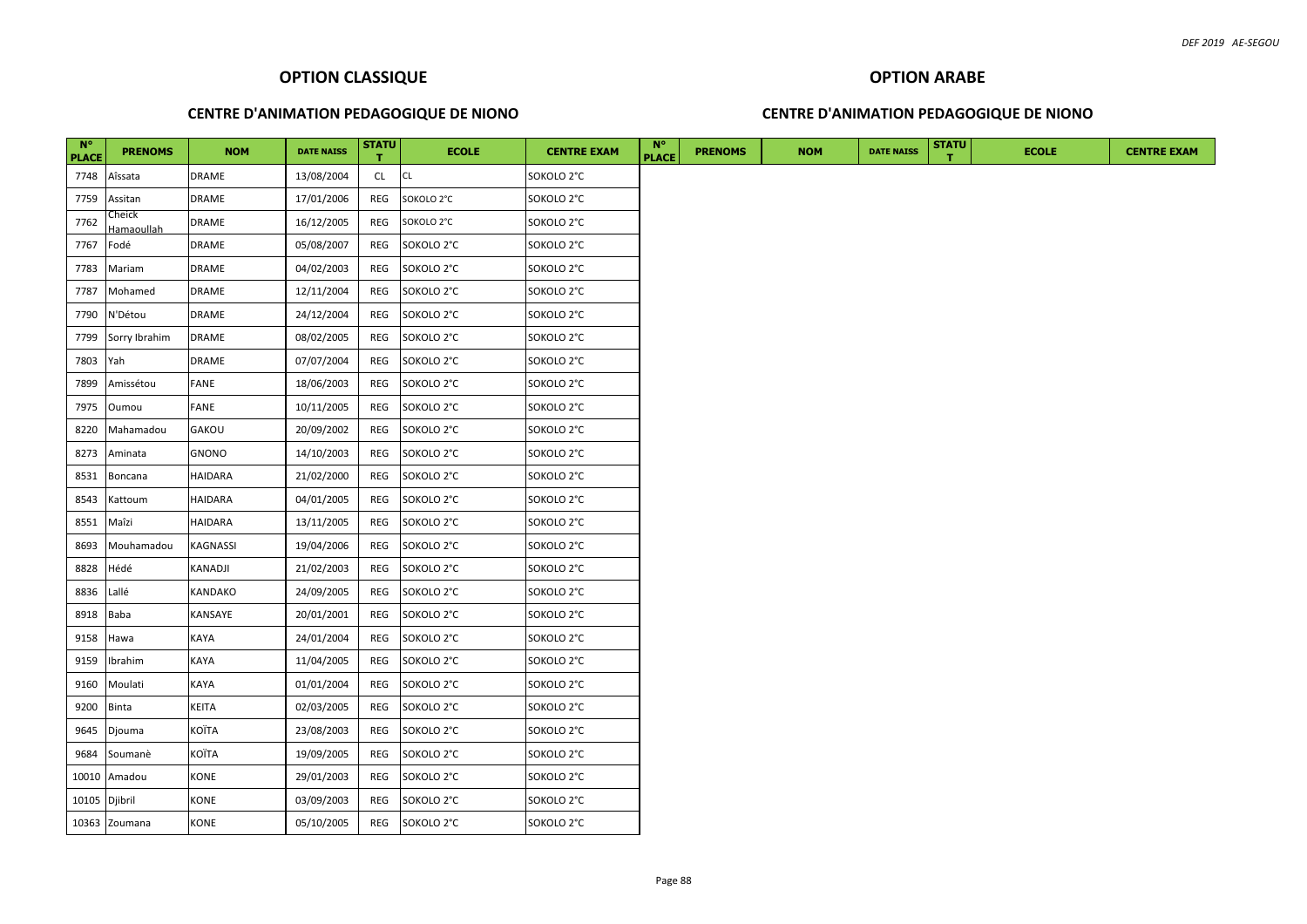### **CENTRE D'ANIMATION PEDAGOGIQUE DE NIONO**

### **CENTRE D'ANIMATION PEDAGOGIQUE DE NIONO**

| $N^{\circ}$<br><b>PLACE</b> | <b>PRENOMS</b>       | <b>NOM</b>   | <b>DATE NAISS</b> | <b>STATU</b> | <b>ECOLE</b> | <b>CENTRE EXAM</b> | $N^{\circ}$<br><b>PLACE</b> | <b>PRENOMS</b> | <b>NOM</b> | <b>DATE NAISS</b> | <b>STATU</b> | <b>ECOLE</b> | <b>CENTRE EXAM</b> |
|-----------------------------|----------------------|--------------|-------------------|--------------|--------------|--------------------|-----------------------------|----------------|------------|-------------------|--------------|--------------|--------------------|
| 7748                        | Aîssata              | DRAME        | 13/08/2004        | CL.          | <b>CL</b>    | SOKOLO 2°C         |                             |                |            |                   |              |              |                    |
| 7759                        | Assitan              | <b>DRAME</b> | 17/01/2006        | REG          | SOKOLO 2°C   | SOKOLO 2°C         |                             |                |            |                   |              |              |                    |
| 7762                        | Cheick<br>Hamaoullah | <b>DRAME</b> | 16/12/2005        | REG          | SOKOLO 2°C   | SOKOLO 2°C         |                             |                |            |                   |              |              |                    |
| 7767                        | Fodé                 | <b>DRAME</b> | 05/08/2007        | REG          | SOKOLO 2°C   | SOKOLO 2°C         |                             |                |            |                   |              |              |                    |
| 7783                        | Mariam               | <b>DRAME</b> | 04/02/2003        | REG          | SOKOLO 2°C   | SOKOLO 2°C         |                             |                |            |                   |              |              |                    |
| 7787                        | Mohamed              | <b>DRAME</b> | 12/11/2004        | REG          | SOKOLO 2°C   | SOKOLO 2°C         |                             |                |            |                   |              |              |                    |
| 7790                        | N'Détou              | DRAME        | 24/12/2004        | REG          | SOKOLO 2°C   | SOKOLO 2°C         |                             |                |            |                   |              |              |                    |
| 7799                        | Sorry Ibrahim        | <b>DRAME</b> | 08/02/2005        | REG          | SOKOLO 2°C   | SOKOLO 2°C         |                             |                |            |                   |              |              |                    |
| 7803                        | Yah                  | DRAME        | 07/07/2004        | REG          | SOKOLO 2°C   | SOKOLO 2°C         |                             |                |            |                   |              |              |                    |
| 7899                        | Amissétou            | FANE         | 18/06/2003        | REG          | SOKOLO 2°C   | SOKOLO 2°C         |                             |                |            |                   |              |              |                    |
| 7975                        | Oumou                | FANE         | 10/11/2005        | REG          | SOKOLO 2°C   | SOKOLO 2°C         |                             |                |            |                   |              |              |                    |
| 8220                        | Mahamadou            | GAKOU        | 20/09/2002        | REG          | SOKOLO 2°C   | SOKOLO 2°C         |                             |                |            |                   |              |              |                    |
| 8273                        | Aminata              | GNONO        | 14/10/2003        | REG          | SOKOLO 2°C   | SOKOLO 2°C         |                             |                |            |                   |              |              |                    |
| 8531                        | Boncana              | HAIDARA      | 21/02/2000        | REG          | SOKOLO 2°C   | SOKOLO 2°C         |                             |                |            |                   |              |              |                    |
| 8543                        | Kattoum              | HAIDARA      | 04/01/2005        | REG          | SOKOLO 2°C   | SOKOLO 2°C         |                             |                |            |                   |              |              |                    |
| 8551                        | Maîzi                | HAIDARA      | 13/11/2005        | REG          | SOKOLO 2°C   | SOKOLO 2°C         |                             |                |            |                   |              |              |                    |
| 8693                        | Mouhamadou           | KAGNASSI     | 19/04/2006        | REG          | SOKOLO 2°C   | SOKOLO 2°C         |                             |                |            |                   |              |              |                    |
| 8828                        | Hédé                 | KANADJI      | 21/02/2003        | REG          | SOKOLO 2°C   | SOKOLO 2°C         |                             |                |            |                   |              |              |                    |
| 8836                        | Lallé                | KANDAKO      | 24/09/2005        | REG          | SOKOLO 2°C   | SOKOLO 2°C         |                             |                |            |                   |              |              |                    |
| 8918                        | <b>Baba</b>          | KANSAYE      | 20/01/2001        | REG          | SOKOLO 2°C   | SOKOLO 2°C         |                             |                |            |                   |              |              |                    |
| 9158                        | Hawa                 | KAYA         | 24/01/2004        | REG          | SOKOLO 2°C   | SOKOLO 2°C         |                             |                |            |                   |              |              |                    |
| 9159                        | Ibrahim              | KAYA         | 11/04/2005        | REG          | SOKOLO 2°C   | SOKOLO 2°C         |                             |                |            |                   |              |              |                    |
| 9160                        | Moulati              | KAYA         | 01/01/2004        | REG          | SOKOLO 2°C   | SOKOLO 2°C         |                             |                |            |                   |              |              |                    |
| 9200                        | <b>Binta</b>         | KEITA        | 02/03/2005        | REG          | SOKOLO 2°C   | SOKOLO 2°C         |                             |                |            |                   |              |              |                    |
| 9645                        | Djouma               | KOÏTA        | 23/08/2003        | REG          | SOKOLO 2°C   | SOKOLO 2°C         |                             |                |            |                   |              |              |                    |
| 9684                        | Soumanè              | KOÏTA        | 19/09/2005        | REG          | SOKOLO 2°C   | SOKOLO 2°C         |                             |                |            |                   |              |              |                    |
| 10010                       | Amadou               | KONE         | 29/01/2003        | REG          | SOKOLO 2°C   | SOKOLO 2°C         |                             |                |            |                   |              |              |                    |
| 10105 Djibril               |                      | KONE         | 03/09/2003        | REG          | SOKOLO 2°C   | SOKOLO 2°C         |                             |                |            |                   |              |              |                    |
|                             | 10363 Zoumana        | KONE         | 05/10/2005        | REG          | SOKOLO 2°C   | SOKOLO 2°C         |                             |                |            |                   |              |              |                    |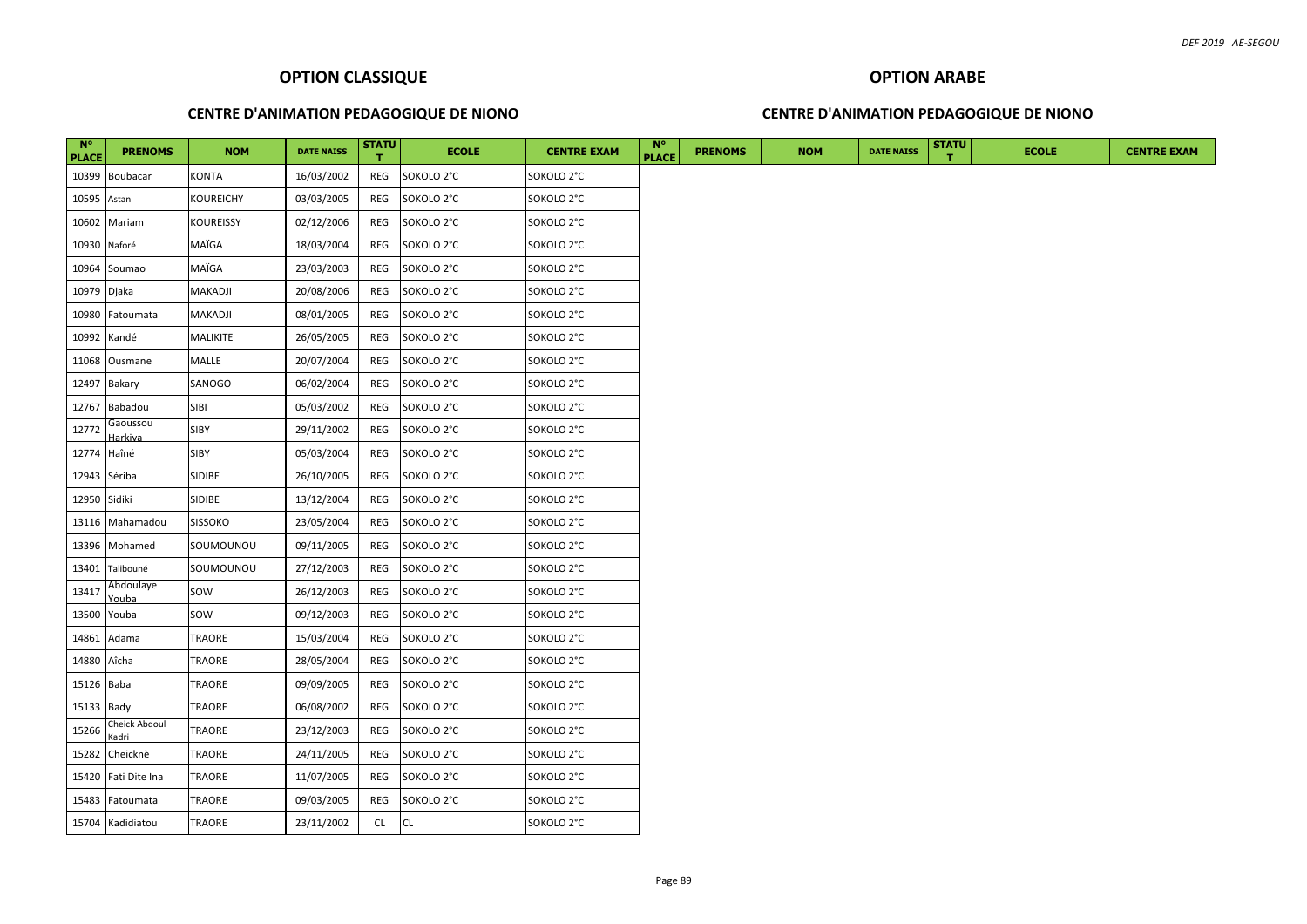### **CENTRE D'ANIMATION PEDAGOGIQUE DE NIONO**

### **CENTRE D'ANIMATION PEDAGOGIQUE DE NIONO**

| $N^{\circ}$<br><b>PLACE</b> | <b>PRENOMS</b>         | <b>NOM</b>      | <b>DATE NAISS</b> | <b>STATU</b> | <b>ECOLE</b> | <b>CENTRE EXAM</b> | $N^{\circ}$<br><b>PLACE</b> | <b>PRENOMS</b> | <b>NOM</b> | <b>DATE NAISS</b> | <b>STATU</b> | <b>ECOLE</b> | <b>CENTRE EXAM</b> |
|-----------------------------|------------------------|-----------------|-------------------|--------------|--------------|--------------------|-----------------------------|----------------|------------|-------------------|--------------|--------------|--------------------|
|                             | 10399 Boubacar         | KONTA           | 16/03/2002        | REG          | SOKOLO 2°C   | SOKOLO 2°C         |                             |                |            |                   |              |              |                    |
| 10595                       | Astan                  | KOUREICHY       | 03/03/2005        | REG          | SOKOLO 2°C   | SOKOLO 2°C         |                             |                |            |                   |              |              |                    |
| 10602                       | Mariam                 | KOUREISSY       | 02/12/2006        | REG          | SOKOLO 2°C   | SOKOLO 2°C         |                             |                |            |                   |              |              |                    |
| 10930                       | Naforé                 | MAÏGA           | 18/03/2004        | REG          | SOKOLO 2°C   | SOKOLO 2°C         |                             |                |            |                   |              |              |                    |
|                             | 10964 Soumao           | MAÏGA           | 23/03/2003        | <b>REG</b>   | SOKOLO 2°C   | SOKOLO 2°C         |                             |                |            |                   |              |              |                    |
| 10979 Djaka                 |                        | MAKADJI         | 20/08/2006        | REG          | SOKOLO 2°C   | SOKOLO 2°C         |                             |                |            |                   |              |              |                    |
| 10980                       | Fatoumata              | MAKADJI         | 08/01/2005        | REG          | SOKOLO 2°C   | SOKOLO 2°C         |                             |                |            |                   |              |              |                    |
| 10992                       | Kandé                  | <b>MALIKITE</b> | 26/05/2005        | REG          | SOKOLO 2°C   | SOKOLO 2°C         |                             |                |            |                   |              |              |                    |
|                             | 11068 Ousmane          | MALLE           | 20/07/2004        | REG          | SOKOLO 2°C   | SOKOLO 2°C         |                             |                |            |                   |              |              |                    |
|                             | 12497 Bakary           | SANOGO          | 06/02/2004        | REG          | SOKOLO 2°C   | SOKOLO 2°C         |                             |                |            |                   |              |              |                    |
|                             | 12767 Babadou          | SIBI            | 05/03/2002        | REG          | SOKOLO 2°C   | SOKOLO 2°C         |                             |                |            |                   |              |              |                    |
| 12772                       | Gaoussou<br>Harkiva    | SIBY            | 29/11/2002        | REG          | SOKOLO 2°C   | SOKOLO 2°C         |                             |                |            |                   |              |              |                    |
| 12774                       | Haîné                  | SIBY            | 05/03/2004        | REG          | SOKOLO 2°C   | SOKOLO 2°C         |                             |                |            |                   |              |              |                    |
| 12943 Sériba                |                        | SIDIBE          | 26/10/2005        | REG          | SOKOLO 2°C   | SOKOLO 2°C         |                             |                |            |                   |              |              |                    |
| 12950 Sidiki                |                        | SIDIBE          | 13/12/2004        | REG          | SOKOLO 2°C   | SOKOLO 2°C         |                             |                |            |                   |              |              |                    |
| 13116                       | Mahamadou              | <b>SISSOKO</b>  | 23/05/2004        | REG          | SOKOLO 2°C   | SOKOLO 2°C         |                             |                |            |                   |              |              |                    |
| 13396                       | Mohamed                | SOUMOUNOU       | 09/11/2005        | REG          | SOKOLO 2°C   | SOKOLO 2°C         |                             |                |            |                   |              |              |                    |
| 13401                       | Talibouné              | SOUMOUNOU       | 27/12/2003        | REG          | SOKOLO 2°C   | SOKOLO 2°C         |                             |                |            |                   |              |              |                    |
| 13417                       | Abdoulaye<br>Youba     | SOW             | 26/12/2003        | REG          | SOKOLO 2°C   | SOKOLO 2°C         |                             |                |            |                   |              |              |                    |
| 13500 Youba                 |                        | SOW             | 09/12/2003        | REG          | SOKOLO 2°C   | SOKOLO 2°C         |                             |                |            |                   |              |              |                    |
| 14861                       | Adama                  | TRAORE          | 15/03/2004        | REG          | SOKOLO 2°C   | SOKOLO 2°C         |                             |                |            |                   |              |              |                    |
| 14880                       | Aîcha                  | TRAORE          | 28/05/2004        | REG          | SOKOLO 2°C   | SOKOLO 2°C         |                             |                |            |                   |              |              |                    |
| 15126 Baba                  |                        | TRAORE          | 09/09/2005        | REG          | SOKOLO 2°C   | SOKOLO 2°C         |                             |                |            |                   |              |              |                    |
| 15133 Bady                  |                        | TRAORE          | 06/08/2002        | REG          | SOKOLO 2°C   | SOKOLO 2°C         |                             |                |            |                   |              |              |                    |
| 15266                       | Cheick Abdoul<br>adri) | TRAORE          | 23/12/2003        | REG          | SOKOLO 2°C   | SOKOLO 2°C         |                             |                |            |                   |              |              |                    |
| 15282                       | Cheicknè               | TRAORE          | 24/11/2005        | REG          | SOKOLO 2°C   | SOKOLO 2°C         |                             |                |            |                   |              |              |                    |
| 15420                       | Fati Dite Ina          | TRAORE          | 11/07/2005        | REG          | SOKOLO 2°C   | SOKOLO 2°C         |                             |                |            |                   |              |              |                    |
| 15483                       | Fatoumata              | TRAORE          | 09/03/2005        | REG          | SOKOLO 2°C   | SOKOLO 2°C         |                             |                |            |                   |              |              |                    |
|                             | 15704 Kadidiatou       | TRAORE          | 23/11/2002        | CL           | CL           | SOKOLO 2°C         |                             |                |            |                   |              |              |                    |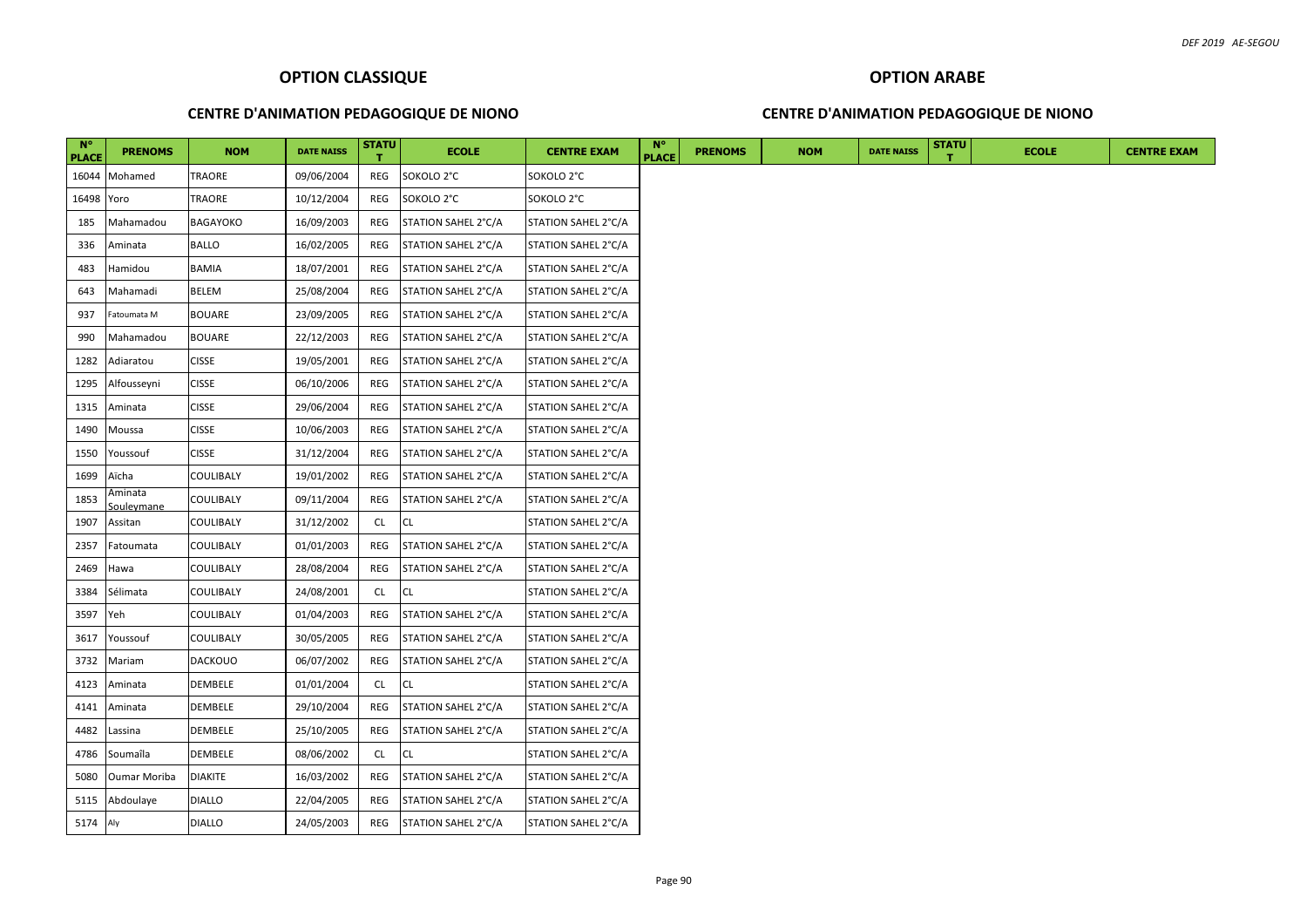### **CENTRE D'ANIMATION PEDAGOGIQUE DE NIONO**

### **CENTRE D'ANIMATION PEDAGOGIQUE DE NIONO**

| <b>N°</b><br><b>PLACE</b> | <b>PRENOMS</b>        | <b>NOM</b>     | <b>DATE NAISS</b> | <b>STATU</b> | <b>ECOLE</b>        | <b>CENTRE EXAM</b>  | <b>N°</b><br><b>PLACE</b> | <b>PRENOMS</b> | <b>NOM</b> | <b>DATE NAISS</b> | <b>STATU</b> | <b>ECOLE</b> | <b>CENTRE EXAM</b> |
|---------------------------|-----------------------|----------------|-------------------|--------------|---------------------|---------------------|---------------------------|----------------|------------|-------------------|--------------|--------------|--------------------|
| 16044                     | Mohamed               | TRAORE         | 09/06/2004        | REG          | SOKOLO 2°C          | SOKOLO 2°C          |                           |                |            |                   |              |              |                    |
| 16498                     | Yoro                  | TRAORE         | 10/12/2004        | REG          | SOKOLO 2°C          | SOKOLO 2°C          |                           |                |            |                   |              |              |                    |
| 185                       | Mahamadou             | BAGAYOKO       | 16/09/2003        | REG          | STATION SAHEL 2°C/A | STATION SAHEL 2°C/A |                           |                |            |                   |              |              |                    |
| 336                       | Aminata               | <b>BALLO</b>   | 16/02/2005        | REG          | STATION SAHEL 2°C/A | STATION SAHEL 2°C/A |                           |                |            |                   |              |              |                    |
| 483                       | Hamidou               | BAMIA          | 18/07/2001        | REG          | STATION SAHEL 2°C/A | STATION SAHEL 2°C/A |                           |                |            |                   |              |              |                    |
| 643                       | Mahamadi              | <b>BELEM</b>   | 25/08/2004        | REG          | STATION SAHEL 2°C/A | STATION SAHEL 2°C/A |                           |                |            |                   |              |              |                    |
| 937                       | Fatoumata M           | <b>BOUARE</b>  | 23/09/2005        | REG          | STATION SAHEL 2°C/A | STATION SAHEL 2°C/A |                           |                |            |                   |              |              |                    |
| 990                       | Mahamadou             | <b>BOUARE</b>  | 22/12/2003        | REG          | STATION SAHEL 2°C/A | STATION SAHEL 2°C/A |                           |                |            |                   |              |              |                    |
| 1282                      | Adiaratou             | <b>CISSE</b>   | 19/05/2001        | REG          | STATION SAHEL 2°C/A | STATION SAHEL 2°C/A |                           |                |            |                   |              |              |                    |
| 1295                      | Alfousseyni           | <b>CISSE</b>   | 06/10/2006        | REG          | STATION SAHEL 2°C/A | STATION SAHEL 2°C/A |                           |                |            |                   |              |              |                    |
| 1315                      | Aminata               | <b>CISSE</b>   | 29/06/2004        | REG          | STATION SAHEL 2°C/A | STATION SAHEL 2°C/A |                           |                |            |                   |              |              |                    |
| 1490                      | Moussa                | <b>CISSE</b>   | 10/06/2003        | REG          | STATION SAHEL 2°C/A | STATION SAHEL 2°C/A |                           |                |            |                   |              |              |                    |
| 1550                      | Youssouf              | <b>CISSE</b>   | 31/12/2004        | REG          | STATION SAHEL 2°C/A | STATION SAHEL 2°C/A |                           |                |            |                   |              |              |                    |
| 1699                      | Aïcha                 | COULIBALY      | 19/01/2002        | REG          | STATION SAHEL 2°C/A | STATION SAHEL 2°C/A |                           |                |            |                   |              |              |                    |
| 1853                      | Aminata<br>Soulevmane | COULIBALY      | 09/11/2004        | REG          | STATION SAHEL 2°C/A | STATION SAHEL 2°C/A |                           |                |            |                   |              |              |                    |
| 1907                      | Assitan               | COULIBALY      | 31/12/2002        | <b>CL</b>    | <b>CL</b>           | STATION SAHEL 2°C/A |                           |                |            |                   |              |              |                    |
| 2357                      | Fatoumata             | COULIBALY      | 01/01/2003        | REG          | STATION SAHEL 2°C/A | STATION SAHEL 2°C/A |                           |                |            |                   |              |              |                    |
| 2469                      | Hawa                  | COULIBALY      | 28/08/2004        | REG          | STATION SAHEL 2°C/A | STATION SAHEL 2°C/A |                           |                |            |                   |              |              |                    |
| 3384                      | Sélimata              | COULIBALY      | 24/08/2001        | <b>CL</b>    | <b>CL</b>           | STATION SAHEL 2°C/A |                           |                |            |                   |              |              |                    |
| 3597                      | Yeh                   | COULIBALY      | 01/04/2003        | REG          | STATION SAHEL 2°C/A | STATION SAHEL 2°C/A |                           |                |            |                   |              |              |                    |
| 3617                      | Youssouf              | COULIBALY      | 30/05/2005        | REG          | STATION SAHEL 2°C/A | STATION SAHEL 2°C/A |                           |                |            |                   |              |              |                    |
| 3732                      | Mariam                | <b>DACKOUO</b> | 06/07/2002        | REG          | STATION SAHEL 2°C/A | STATION SAHEL 2°C/A |                           |                |            |                   |              |              |                    |
| 4123                      | Aminata               | DEMBELE        | 01/01/2004        | <b>CL</b>    | <b>CL</b>           | STATION SAHEL 2°C/A |                           |                |            |                   |              |              |                    |
| 4141                      | Aminata               | DEMBELE        | 29/10/2004        | REG          | STATION SAHEL 2°C/A | STATION SAHEL 2°C/A |                           |                |            |                   |              |              |                    |
| 4482                      | Lassina               | DEMBELE        | 25/10/2005        | REG          | STATION SAHEL 2°C/A | STATION SAHEL 2°C/A |                           |                |            |                   |              |              |                    |
| 4786                      | Soumaîla              | DEMBELE        | 08/06/2002        | <b>CL</b>    | <b>CL</b>           | STATION SAHEL 2°C/A |                           |                |            |                   |              |              |                    |
| 5080                      | <b>Oumar Moriba</b>   | <b>DIAKITE</b> | 16/03/2002        | REG          | STATION SAHEL 2°C/A | STATION SAHEL 2°C/A |                           |                |            |                   |              |              |                    |
| 5115                      | Abdoulaye             | <b>DIALLO</b>  | 22/04/2005        | REG          | STATION SAHEL 2°C/A | STATION SAHEL 2°C/A |                           |                |            |                   |              |              |                    |
| 5174                      | Aly                   | <b>DIALLO</b>  | 24/05/2003        | REG          | STATION SAHEL 2°C/A | STATION SAHEL 2°C/A |                           |                |            |                   |              |              |                    |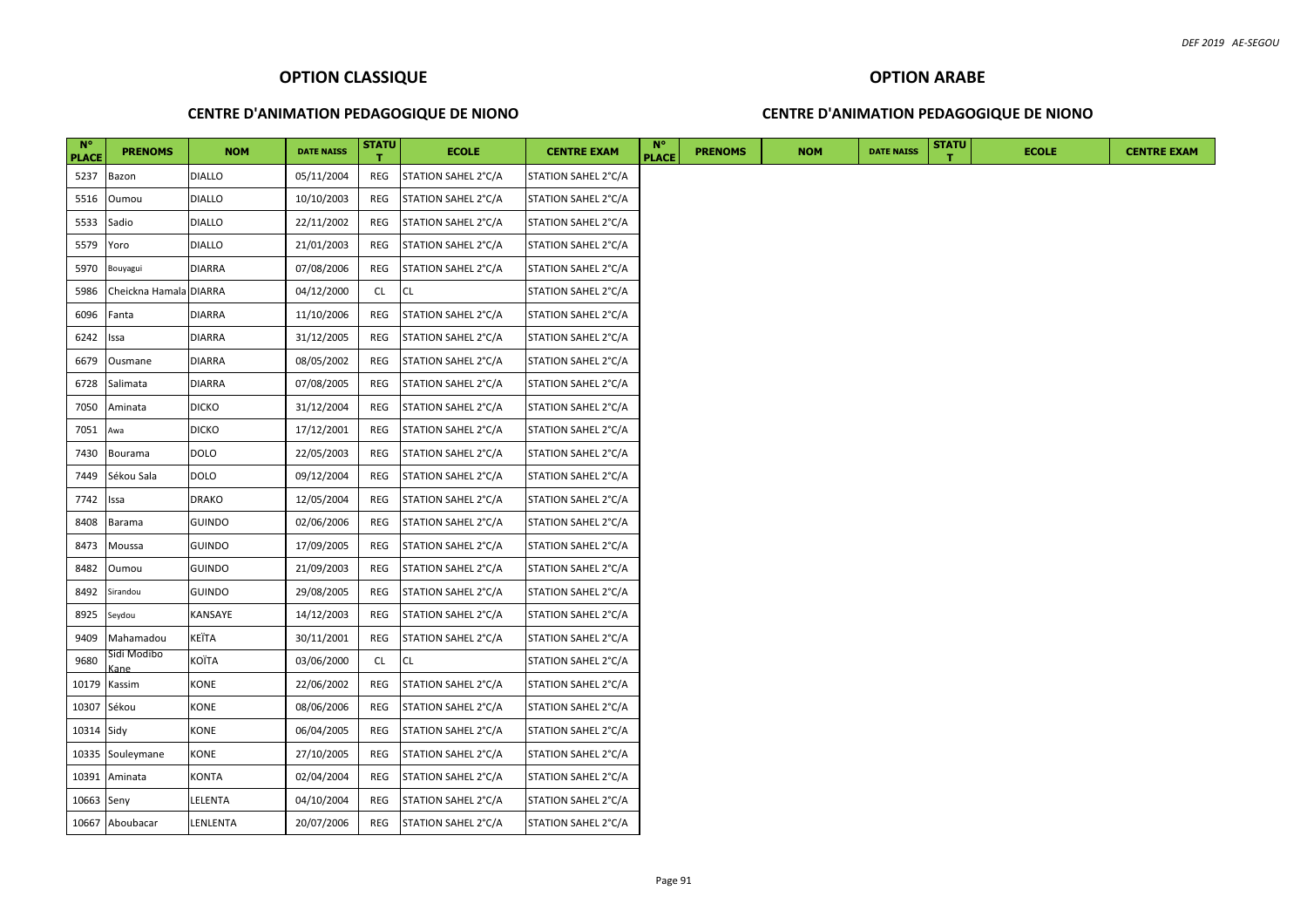### **CENTRE D'ANIMATION PEDAGOGIQUE DE NIONO**

### **CENTRE D'ANIMATION PEDAGOGIQUE DE NIONO**

| $N^{\circ}$<br><b>PLACE</b> | <b>PRENOMS</b>         | <b>NOM</b>    | <b>DATE NAISS</b> | <b>STATU</b> | <b>ECOLE</b>        | <b>CENTRE EXAM</b>  | $N^{\circ}$<br><b>PLACE</b> | <b>PRENOMS</b> | <b>NOM</b> | <b>DATE NAISS</b> | <b>STATU</b> | <b>ECOLE</b> | <b>CENTRE EXAM</b> |
|-----------------------------|------------------------|---------------|-------------------|--------------|---------------------|---------------------|-----------------------------|----------------|------------|-------------------|--------------|--------------|--------------------|
| 5237                        | Bazon                  | DIALLO        | 05/11/2004        | REG          | STATION SAHEL 2°C/A | STATION SAHEL 2°C/A |                             |                |            |                   |              |              |                    |
| 5516                        | Oumou                  | <b>DIALLO</b> | 10/10/2003        | REG          | STATION SAHEL 2°C/A | STATION SAHEL 2°C/A |                             |                |            |                   |              |              |                    |
| 5533                        | Sadio                  | <b>DIALLO</b> | 22/11/2002        | REG          | STATION SAHEL 2°C/A | STATION SAHEL 2°C/A |                             |                |            |                   |              |              |                    |
| 5579                        | Yoro                   | <b>DIALLO</b> | 21/01/2003        | REG          | STATION SAHEL 2°C/A | STATION SAHEL 2°C/A |                             |                |            |                   |              |              |                    |
| 5970                        | Bouyagui               | <b>DIARRA</b> | 07/08/2006        | REG          | STATION SAHEL 2°C/A | STATION SAHEL 2°C/A |                             |                |            |                   |              |              |                    |
| 5986                        | Cheickna Hamala DIARRA |               | 04/12/2000        | CL.          | <b>CL</b>           | STATION SAHEL 2°C/A |                             |                |            |                   |              |              |                    |
| 6096                        | Fanta                  | <b>DIARRA</b> | 11/10/2006        | REG          | STATION SAHEL 2°C/A | STATION SAHEL 2°C/A |                             |                |            |                   |              |              |                    |
| 6242                        | ssa                    | <b>DIARRA</b> | 31/12/2005        | REG          | STATION SAHEL 2°C/A | STATION SAHEL 2°C/A |                             |                |            |                   |              |              |                    |
| 6679                        | Ousmane                | <b>DIARRA</b> | 08/05/2002        | REG          | STATION SAHEL 2°C/A | STATION SAHEL 2°C/A |                             |                |            |                   |              |              |                    |
| 6728                        | Salimata               | <b>DIARRA</b> | 07/08/2005        | REG          | STATION SAHEL 2°C/A | STATION SAHEL 2°C/A |                             |                |            |                   |              |              |                    |
| 7050                        | Aminata                | <b>DICKO</b>  | 31/12/2004        | REG          | STATION SAHEL 2°C/A | STATION SAHEL 2°C/A |                             |                |            |                   |              |              |                    |
| 7051                        | Awa                    | <b>DICKO</b>  | 17/12/2001        | REG          | STATION SAHEL 2°C/A | STATION SAHEL 2°C/A |                             |                |            |                   |              |              |                    |
| 7430                        | Bourama                | DOLO          | 22/05/2003        | REG          | STATION SAHEL 2°C/A | STATION SAHEL 2°C/A |                             |                |            |                   |              |              |                    |
| 7449                        | Sékou Sala             | DOLO          | 09/12/2004        | REG          | STATION SAHEL 2°C/A | STATION SAHEL 2°C/A |                             |                |            |                   |              |              |                    |
| 7742                        | ssa                    | <b>DRAKO</b>  | 12/05/2004        | REG          | STATION SAHEL 2°C/A | STATION SAHEL 2°C/A |                             |                |            |                   |              |              |                    |
| 8408                        | Barama                 | <b>GUINDO</b> | 02/06/2006        | REG          | STATION SAHEL 2°C/A | STATION SAHEL 2°C/A |                             |                |            |                   |              |              |                    |
| 8473                        | Moussa                 | <b>GUINDO</b> | 17/09/2005        | REG          | STATION SAHEL 2°C/A | STATION SAHEL 2°C/A |                             |                |            |                   |              |              |                    |
| 8482                        | Oumou                  | <b>GUINDO</b> | 21/09/2003        | REG          | STATION SAHEL 2°C/A | STATION SAHEL 2°C/A |                             |                |            |                   |              |              |                    |
| 8492                        | Sirandou               | <b>GUINDO</b> | 29/08/2005        | REG          | STATION SAHEL 2°C/A | STATION SAHEL 2°C/A |                             |                |            |                   |              |              |                    |
| 8925                        | Seydou                 | KANSAYE       | 14/12/2003        | REG          | STATION SAHEL 2°C/A | STATION SAHEL 2°C/A |                             |                |            |                   |              |              |                    |
| 9409                        | Mahamadou              | KEÏTA         | 30/11/2001        | REG          | STATION SAHEL 2°C/A | STATION SAHEL 2°C/A |                             |                |            |                   |              |              |                    |
| 9680                        | Sidi Modibo<br>ane)    | KOÏTA         | 03/06/2000        | <b>CL</b>    | CL.                 | STATION SAHEL 2°C/A |                             |                |            |                   |              |              |                    |
| 10179                       | Kassim                 | KONE          | 22/06/2002        | REG          | STATION SAHEL 2°C/A | STATION SAHEL 2°C/A |                             |                |            |                   |              |              |                    |
| 10307 Sékou                 |                        | KONE          | 08/06/2006        | REG          | STATION SAHEL 2°C/A | STATION SAHEL 2°C/A |                             |                |            |                   |              |              |                    |
| 10314 Sidy                  |                        | KONE          | 06/04/2005        | REG          | STATION SAHEL 2°C/A | STATION SAHEL 2°C/A |                             |                |            |                   |              |              |                    |
|                             | 10335 Souleymane       | KONE          | 27/10/2005        | REG          | STATION SAHEL 2°C/A | STATION SAHEL 2°C/A |                             |                |            |                   |              |              |                    |
| 10391                       | Aminata                | KONTA         | 02/04/2004        | REG          | STATION SAHEL 2°C/A | STATION SAHEL 2°C/A |                             |                |            |                   |              |              |                    |
| 10663 Seny                  |                        | LELENTA       | 04/10/2004        | REG          | STATION SAHEL 2°C/A | STATION SAHEL 2°C/A |                             |                |            |                   |              |              |                    |
|                             | 10667 Aboubacar        | LENLENTA      | 20/07/2006        | REG          | STATION SAHEL 2°C/A | STATION SAHEL 2°C/A |                             |                |            |                   |              |              |                    |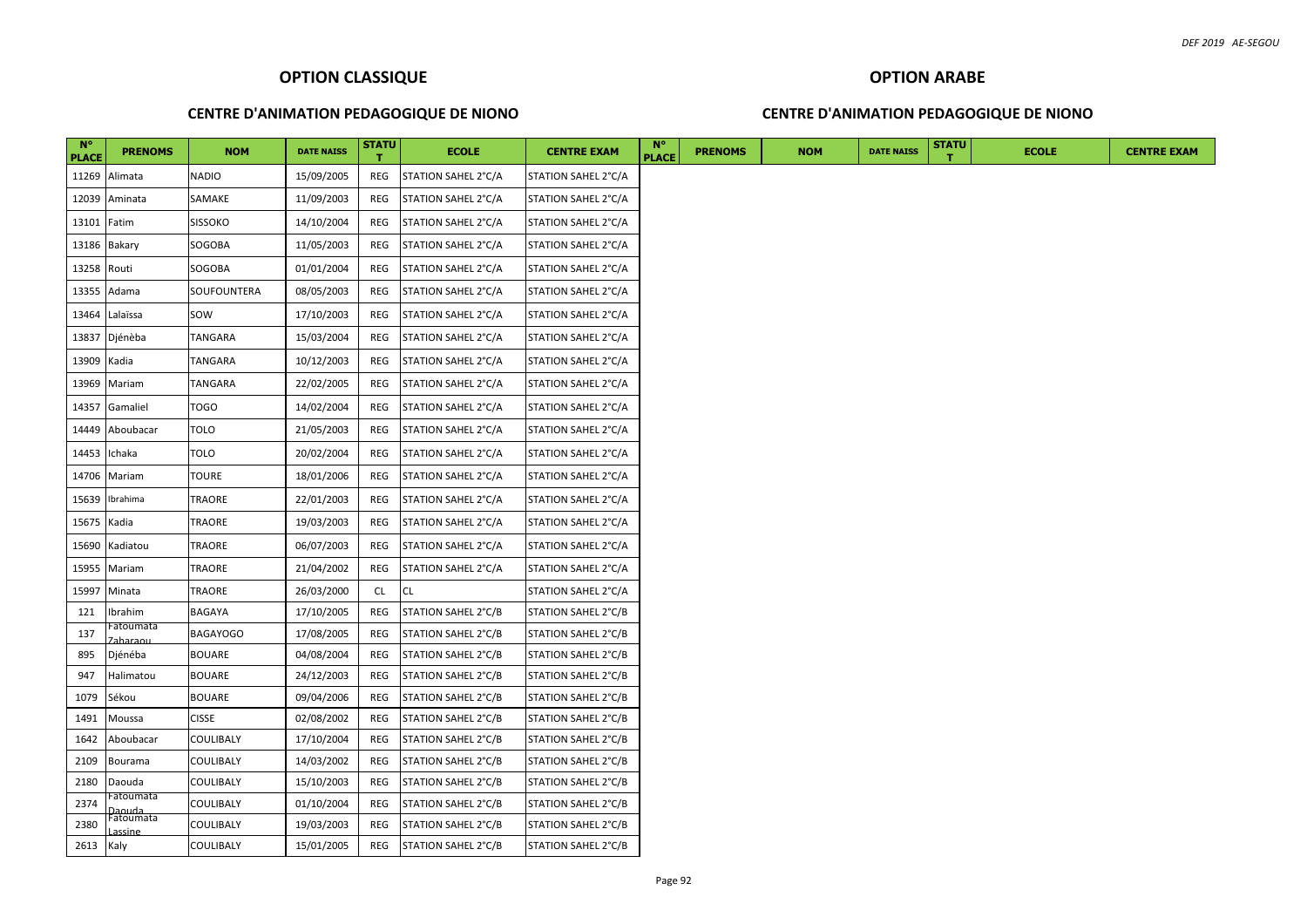### **CENTRE D'ANIMATION PEDAGOGIQUE DE NIONO**

### **CENTRE D'ANIMATION PEDAGOGIQUE DE NIONO**

| $N^{\circ}$<br><b>PLACE</b> | <b>PRENOMS</b>      | <b>NOM</b>       | <b>DATE NAISS</b> | <b>STATU</b> | <b>ECOLE</b>        | <b>CENTRE EXAM</b>  | $N^{\circ}$<br><b>PLACE</b> | <b>PRENOMS</b> | <b>NOM</b> | <b>DATE NAISS</b> | <b>STATU</b> | <b>ECOLE</b> | <b>CENTRE EXAM</b> |
|-----------------------------|---------------------|------------------|-------------------|--------------|---------------------|---------------------|-----------------------------|----------------|------------|-------------------|--------------|--------------|--------------------|
| 11269                       | Alimata             | <b>NADIO</b>     | 15/09/2005        | REG          | STATION SAHEL 2°C/A | STATION SAHEL 2°C/A |                             |                |            |                   |              |              |                    |
| 12039                       | Aminata             | SAMAKE           | 11/09/2003        | REG          | STATION SAHEL 2°C/A | STATION SAHEL 2°C/A |                             |                |            |                   |              |              |                    |
| 13101                       | Fatim               | <b>SISSOKO</b>   | 14/10/2004        | REG          | STATION SAHEL 2°C/A | STATION SAHEL 2°C/A |                             |                |            |                   |              |              |                    |
| 13186                       | Bakary              | SOGOBA           | 11/05/2003        | REG          | STATION SAHEL 2°C/A | STATION SAHEL 2°C/A |                             |                |            |                   |              |              |                    |
| 13258                       | Routi               | SOGOBA           | 01/01/2004        | REG          | STATION SAHEL 2°C/A | STATION SAHEL 2°C/A |                             |                |            |                   |              |              |                    |
| 13355                       | Adama               | SOUFOUNTERA      | 08/05/2003        | REG          | STATION SAHEL 2°C/A | STATION SAHEL 2°C/A |                             |                |            |                   |              |              |                    |
| 13464                       | Lalaïssa            | SOW              | 17/10/2003        | REG          | STATION SAHEL 2°C/A | STATION SAHEL 2°C/A |                             |                |            |                   |              |              |                    |
| 13837                       | Djénèba             | TANGARA          | 15/03/2004        | REG          | STATION SAHEL 2°C/A | STATION SAHEL 2°C/A |                             |                |            |                   |              |              |                    |
| 13909                       | Kadia               | TANGARA          | 10/12/2003        | REG          | STATION SAHEL 2°C/A | STATION SAHEL 2°C/A |                             |                |            |                   |              |              |                    |
| 13969                       | Mariam              | TANGARA          | 22/02/2005        | REG          | STATION SAHEL 2°C/A | STATION SAHEL 2°C/A |                             |                |            |                   |              |              |                    |
| 14357                       | Gamaliel            | TOGO             | 14/02/2004        | REG          | STATION SAHEL 2°C/A | STATION SAHEL 2°C/A |                             |                |            |                   |              |              |                    |
| 14449                       | Aboubacar           | TOLO             | 21/05/2003        | REG          | STATION SAHEL 2°C/A | STATION SAHEL 2°C/A |                             |                |            |                   |              |              |                    |
| 14453                       | Ichaka              | <b>TOLO</b>      | 20/02/2004        | REG          | STATION SAHEL 2°C/A | STATION SAHEL 2°C/A |                             |                |            |                   |              |              |                    |
| 14706                       | Mariam              | TOURE            | 18/01/2006        | REG          | STATION SAHEL 2°C/A | STATION SAHEL 2°C/A |                             |                |            |                   |              |              |                    |
| 15639                       | Ibrahima            | TRAORE           | 22/01/2003        | REG          | STATION SAHEL 2°C/A | STATION SAHEL 2°C/A |                             |                |            |                   |              |              |                    |
| 15675                       | Kadia               | TRAORE           | 19/03/2003        | REG          | STATION SAHEL 2°C/A | STATION SAHEL 2°C/A |                             |                |            |                   |              |              |                    |
| 15690                       | Kadiatou            | TRAORE           | 06/07/2003        | REG          | STATION SAHEL 2°C/A | STATION SAHEL 2°C/A |                             |                |            |                   |              |              |                    |
| 15955                       | Mariam              | TRAORE           | 21/04/2002        | REG          | STATION SAHEL 2°C/A | STATION SAHEL 2°C/A |                             |                |            |                   |              |              |                    |
| 15997                       | Minata              | TRAORE           | 26/03/2000        | CL           | <b>CL</b>           | STATION SAHEL 2°C/A |                             |                |            |                   |              |              |                    |
| 121                         | Ibrahim             | BAGAYA           | 17/10/2005        | REG          | STATION SAHEL 2°C/B | STATION SAHEL 2°C/B |                             |                |            |                   |              |              |                    |
| 137                         | Fatoumata           | <b>BAGAYOGO</b>  | 17/08/2005        | REG          | STATION SAHEL 2°C/B | STATION SAHEL 2°C/B |                             |                |            |                   |              |              |                    |
| 895                         | Djénéba             | <b>BOUARE</b>    | 04/08/2004        | REG          | STATION SAHEL 2°C/B | STATION SAHEL 2°C/B |                             |                |            |                   |              |              |                    |
| 947                         | Halimatou           | <b>BOUARE</b>    | 24/12/2003        | REG          | STATION SAHEL 2°C/B | STATION SAHEL 2°C/B |                             |                |            |                   |              |              |                    |
| 1079                        | Sékou               | <b>BOUARE</b>    | 09/04/2006        | REG          | STATION SAHEL 2°C/B | STATION SAHEL 2°C/B |                             |                |            |                   |              |              |                    |
| 1491                        | Moussa              | <b>CISSE</b>     | 02/08/2002        | REG          | STATION SAHEL 2°C/B | STATION SAHEL 2°C/B |                             |                |            |                   |              |              |                    |
| 1642                        | Aboubacar           | COULIBALY        | 17/10/2004        | REG          | STATION SAHEL 2°C/B | STATION SAHEL 2°C/B |                             |                |            |                   |              |              |                    |
| 2109                        | Bourama             | COULIBALY        | 14/03/2002        | REG          | STATION SAHEL 2°C/B | STATION SAHEL 2°C/B |                             |                |            |                   |              |              |                    |
| 2180                        | Daouda              | COULIBALY        | 15/10/2003        | <b>REG</b>   | STATION SAHEL 2°C/B | STATION SAHEL 2°C/B |                             |                |            |                   |              |              |                    |
| 2374                        | Fatoumata           | COULIBALY        | 01/10/2004        | REG          | STATION SAHEL 2°C/B | STATION SAHEL 2°C/B |                             |                |            |                   |              |              |                    |
| 2380                        | Daouda<br>Fatoumata | COULIBALY        | 19/03/2003        | REG          | STATION SAHEL 2°C/B | STATION SAHEL 2°C/B |                             |                |            |                   |              |              |                    |
| 2613                        | Kaly                | <b>COULIBALY</b> | 15/01/2005        | REG          | STATION SAHEL 2°C/B | STATION SAHEL 2°C/B |                             |                |            |                   |              |              |                    |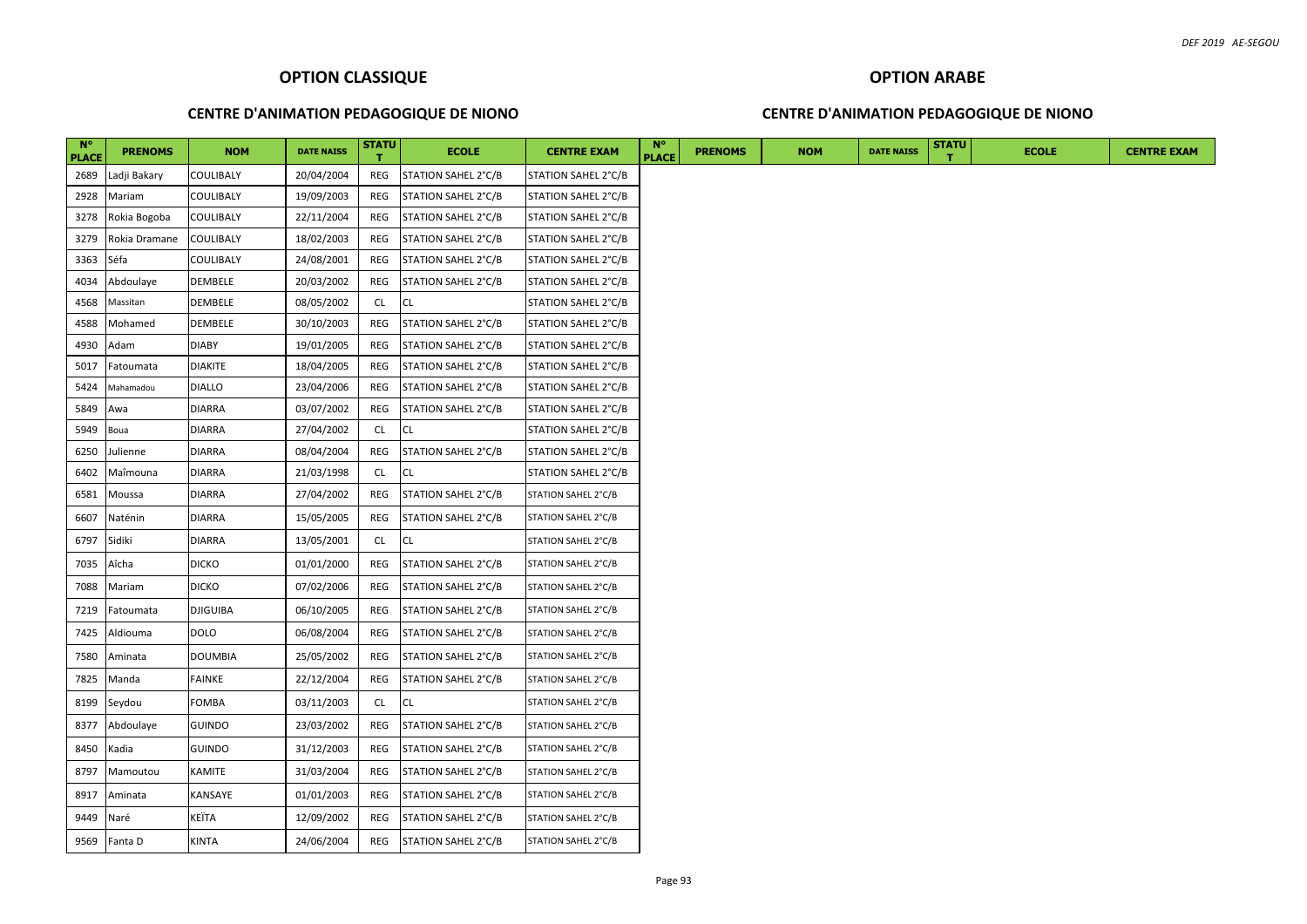### **CENTRE D'ANIMATION PEDAGOGIQUE DE NIONO**

### **CENTRE D'ANIMATION PEDAGOGIQUE DE NIONO**

| $N^{\circ}$<br><b>PLACE</b> | <b>PRENOMS</b> | <b>NOM</b>      | <b>DATE NAISS</b> | <b>STATU</b> | <b>ECOLE</b>        | <b>CENTRE EXAM</b>  | $N^{\circ}$<br><b>PLACE</b> | <b>PRENOMS</b> | <b>NOM</b> | <b>DATE NAISS</b> | <b>STATU</b> | <b>ECOLE</b> |
|-----------------------------|----------------|-----------------|-------------------|--------------|---------------------|---------------------|-----------------------------|----------------|------------|-------------------|--------------|--------------|
| 2689                        | Ladji Bakary   | COULIBALY       | 20/04/2004        | REG          | STATION SAHEL 2°C/B | STATION SAHEL 2°C/B |                             |                |            |                   |              |              |
| 2928                        | Mariam         | COULIBALY       | 19/09/2003        | REG          | STATION SAHEL 2°C/B | STATION SAHEL 2°C/B |                             |                |            |                   |              |              |
| 3278                        | Rokia Bogoba   | COULIBALY       | 22/11/2004        | REG          | STATION SAHEL 2°C/B | STATION SAHEL 2°C/B |                             |                |            |                   |              |              |
| 3279                        | Rokia Dramane  | COULIBALY       | 18/02/2003        | REG          | STATION SAHEL 2°C/B | STATION SAHEL 2°C/B |                             |                |            |                   |              |              |
| 3363                        | Séfa           | COULIBALY       | 24/08/2001        | REG          | STATION SAHEL 2°C/B | STATION SAHEL 2°C/B |                             |                |            |                   |              |              |
| 4034                        | Abdoulaye      | DEMBELE         | 20/03/2002        | REG          | STATION SAHEL 2°C/B | STATION SAHEL 2°C/B |                             |                |            |                   |              |              |
| 4568                        | Massitan       | DEMBELE         | 08/05/2002        | <b>CL</b>    | CL                  | STATION SAHEL 2°C/B |                             |                |            |                   |              |              |
| 4588                        | Mohamed        | DEMBELE         | 30/10/2003        | REG          | STATION SAHEL 2°C/B | STATION SAHEL 2°C/B |                             |                |            |                   |              |              |
| 4930                        | Adam           | <b>DIABY</b>    | 19/01/2005        | REG          | STATION SAHEL 2°C/B | STATION SAHEL 2°C/B |                             |                |            |                   |              |              |
| 5017                        | Fatoumata      | <b>DIAKITE</b>  | 18/04/2005        | <b>REG</b>   | STATION SAHEL 2°C/B | STATION SAHEL 2°C/B |                             |                |            |                   |              |              |
| 5424                        | Mahamadou      | <b>DIALLO</b>   | 23/04/2006        | REG          | STATION SAHEL 2°C/B | STATION SAHEL 2°C/B |                             |                |            |                   |              |              |
| 5849                        | Awa            | <b>DIARRA</b>   | 03/07/2002        | REG          | STATION SAHEL 2°C/B | STATION SAHEL 2°C/B |                             |                |            |                   |              |              |
| 5949                        | Boua           | <b>DIARRA</b>   | 27/04/2002        | CL           | CL                  | STATION SAHEL 2°C/B |                             |                |            |                   |              |              |
| 6250                        | Julienne       | <b>DIARRA</b>   | 08/04/2004        | REG          | STATION SAHEL 2°C/B | STATION SAHEL 2°C/B |                             |                |            |                   |              |              |
| 6402                        | Maîmouna       | <b>DIARRA</b>   | 21/03/1998        | CL           | CL                  | STATION SAHEL 2°C/B |                             |                |            |                   |              |              |
| 6581                        | Moussa         | <b>DIARRA</b>   | 27/04/2002        | REG          | STATION SAHEL 2°C/B | STATION SAHEL 2°C/B |                             |                |            |                   |              |              |
| 6607                        | Naténin        | DIARRA          | 15/05/2005        | <b>REG</b>   | STATION SAHEL 2°C/B | STATION SAHEL 2°C/B |                             |                |            |                   |              |              |
| 6797                        | Sidiki         | DIARRA          | 13/05/2001        | <b>CL</b>    | CL                  | STATION SAHEL 2°C/B |                             |                |            |                   |              |              |
| 7035                        | Aîcha          | <b>DICKO</b>    | 01/01/2000        | REG          | STATION SAHEL 2°C/B | STATION SAHEL 2°C/B |                             |                |            |                   |              |              |
| 7088                        | Mariam         | <b>DICKO</b>    | 07/02/2006        | REG          | STATION SAHEL 2°C/B | STATION SAHEL 2°C/B |                             |                |            |                   |              |              |
| 7219                        | Fatoumata      | <b>DJIGUIBA</b> | 06/10/2005        | REG          | STATION SAHEL 2°C/B | STATION SAHEL 2°C/B |                             |                |            |                   |              |              |
| 7425                        | Aldiouma       | DOLO            | 06/08/2004        | REG          | STATION SAHEL 2°C/B | STATION SAHEL 2°C/B |                             |                |            |                   |              |              |
| 7580                        | Aminata        | DOUMBIA         | 25/05/2002        | REG          | STATION SAHEL 2°C/B | STATION SAHEL 2°C/B |                             |                |            |                   |              |              |
| 7825                        | Manda          | <b>FAINKE</b>   | 22/12/2004        | REG          | STATION SAHEL 2°C/B | STATION SAHEL 2°C/B |                             |                |            |                   |              |              |
| 8199                        | Seydou         | FOMBA           | 03/11/2003        | <b>CL</b>    | CL                  | STATION SAHEL 2°C/B |                             |                |            |                   |              |              |
| 8377                        | Abdoulaye      | <b>GUINDO</b>   | 23/03/2002        | REG          | STATION SAHEL 2°C/B | STATION SAHEL 2°C/B |                             |                |            |                   |              |              |
| 8450                        | Kadia          | <b>GUINDO</b>   | 31/12/2003        | REG          | STATION SAHEL 2°C/B | STATION SAHEL 2°C/B |                             |                |            |                   |              |              |
| 8797                        | Mamoutou       | KAMITE          | 31/03/2004        | REG          | STATION SAHEL 2°C/B | STATION SAHEL 2°C/B |                             |                |            |                   |              |              |
| 8917                        | Aminata        | KANSAYE         | 01/01/2003        | <b>REG</b>   | STATION SAHEL 2°C/B | STATION SAHEL 2°C/B |                             |                |            |                   |              |              |
| 9449                        | Naré           | KEÏTA           | 12/09/2002        | REG          | STATION SAHEL 2°C/B | STATION SAHEL 2°C/B |                             |                |            |                   |              |              |
| 9569                        | Fanta D        | <b>KINTA</b>    | 24/06/2004        | REG          | STATION SAHEL 2°C/B | STATION SAHEL 2°C/B |                             |                |            |                   |              |              |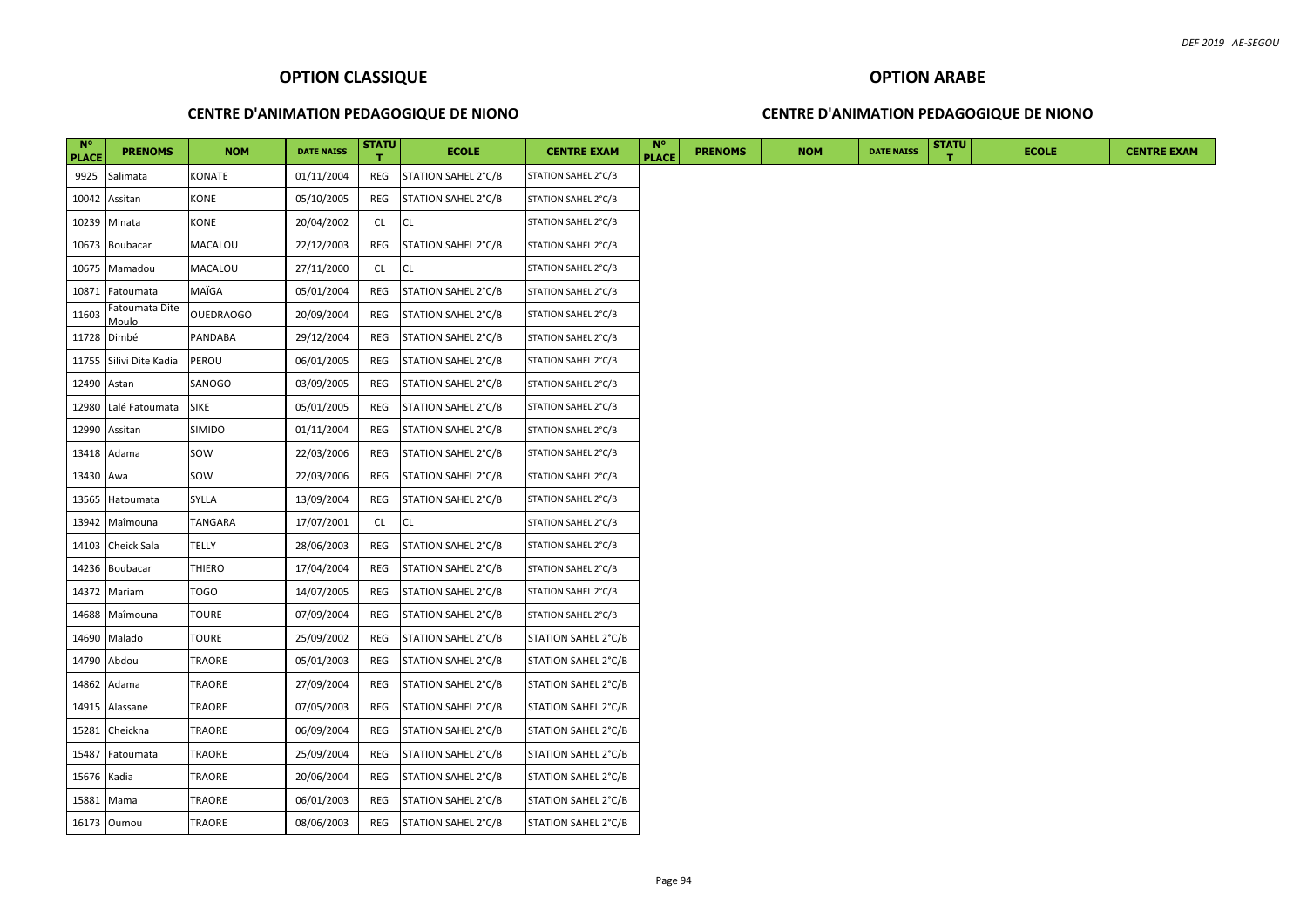### **CENTRE D'ANIMATION PEDAGOGIQUE DE NIONO**

### **CENTRE D'ANIMATION PEDAGOGIQUE DE NIONO**

| $N^{\circ}$<br><b>PLACE</b> | <b>PRENOMS</b>          | <b>NOM</b>       | <b>DATE NAISS</b> | <b>STATU</b> | <b>ECOLE</b>        | <b>CENTRE EXAM</b>  | $N^{\circ}$<br><b>PLACE</b> | <b>PRENOMS</b> | <b>NOM</b> | <b>DATE NAISS</b> | <b>STATU</b> | <b>ECOLE</b> | <b>CENTRE EXAM</b> |
|-----------------------------|-------------------------|------------------|-------------------|--------------|---------------------|---------------------|-----------------------------|----------------|------------|-------------------|--------------|--------------|--------------------|
| 9925                        | Salimata                | KONATE           | 01/11/2004        | REG          | STATION SAHEL 2°C/B | STATION SAHEL 2°C/B |                             |                |            |                   |              |              |                    |
| 10042                       | Assitan                 | <b>KONE</b>      | 05/10/2005        | REG          | STATION SAHEL 2°C/B | STATION SAHEL 2°C/B |                             |                |            |                   |              |              |                    |
| 10239                       | Minata                  | KONE             | 20/04/2002        | CL           | <b>CL</b>           | STATION SAHEL 2°C/B |                             |                |            |                   |              |              |                    |
| 10673                       | Boubacar                | MACALOU          | 22/12/2003        | REG          | STATION SAHEL 2°C/B | STATION SAHEL 2°C/B |                             |                |            |                   |              |              |                    |
| 10675                       | Mamadou                 | MACALOU          | 27/11/2000        | CL           | <b>CL</b>           | STATION SAHEL 2°C/B |                             |                |            |                   |              |              |                    |
| 10871                       | Fatoumata               | MAÏGA            | 05/01/2004        | REG          | STATION SAHEL 2°C/B | STATION SAHEL 2°C/B |                             |                |            |                   |              |              |                    |
| 11603                       | Fatoumata Dite<br>Moulo | <b>OUEDRAOGO</b> | 20/09/2004        | REG          | STATION SAHEL 2°C/B | STATION SAHEL 2°C/B |                             |                |            |                   |              |              |                    |
| 11728 Dimbé                 |                         | PANDABA          | 29/12/2004        | REG          | STATION SAHEL 2°C/B | STATION SAHEL 2°C/B |                             |                |            |                   |              |              |                    |
|                             | 11755 Silivi Dite Kadia | PEROU            | 06/01/2005        | REG          | STATION SAHEL 2°C/B | STATION SAHEL 2°C/B |                             |                |            |                   |              |              |                    |
| 12490                       | Astan                   | SANOGO           | 03/09/2005        | REG          | STATION SAHEL 2°C/B | STATION SAHEL 2°C/B |                             |                |            |                   |              |              |                    |
| 12980                       | Lalé Fatoumata          | <b>SIKE</b>      | 05/01/2005        | REG          | STATION SAHEL 2°C/B | STATION SAHEL 2°C/B |                             |                |            |                   |              |              |                    |
| 12990                       | Assitan                 | SIMIDO           | 01/11/2004        | REG          | STATION SAHEL 2°C/B | STATION SAHEL 2°C/B |                             |                |            |                   |              |              |                    |
| 13418                       | Adama                   | SOW              | 22/03/2006        | REG          | STATION SAHEL 2°C/B | STATION SAHEL 2°C/B |                             |                |            |                   |              |              |                    |
| 13430                       | Awa                     | SOW              | 22/03/2006        | REG          | STATION SAHEL 2°C/B | STATION SAHEL 2°C/B |                             |                |            |                   |              |              |                    |
| 13565                       | Hatoumata               | SYLLA            | 13/09/2004        | REG          | STATION SAHEL 2°C/B | STATION SAHEL 2°C/B |                             |                |            |                   |              |              |                    |
| 13942                       | Maîmouna                | TANGARA          | 17/07/2001        | <b>CL</b>    | CL                  | STATION SAHEL 2°C/B |                             |                |            |                   |              |              |                    |
|                             | 14103 Cheick Sala       | TELLY            | 28/06/2003        | REG          | STATION SAHEL 2°C/B | STATION SAHEL 2°C/B |                             |                |            |                   |              |              |                    |
|                             | 14236 Boubacar          | THIERO           | 17/04/2004        | REG          | STATION SAHEL 2°C/B | STATION SAHEL 2°C/B |                             |                |            |                   |              |              |                    |
| 14372                       | Mariam                  | TOGO             | 14/07/2005        | REG          | STATION SAHEL 2°C/B | STATION SAHEL 2°C/B |                             |                |            |                   |              |              |                    |
| 14688                       | Maîmouna                | <b>TOURE</b>     | 07/09/2004        | REG          | STATION SAHEL 2°C/B | STATION SAHEL 2°C/B |                             |                |            |                   |              |              |                    |
| 14690                       | Malado                  | <b>TOURE</b>     | 25/09/2002        | REG          | STATION SAHEL 2°C/B | STATION SAHEL 2°C/B |                             |                |            |                   |              |              |                    |
| 14790                       | Abdou                   | TRAORE           | 05/01/2003        | REG          | STATION SAHEL 2°C/B | STATION SAHEL 2°C/B |                             |                |            |                   |              |              |                    |
| 14862                       | Adama                   | TRAORE           | 27/09/2004        | REG          | STATION SAHEL 2°C/B | STATION SAHEL 2°C/B |                             |                |            |                   |              |              |                    |
| 14915                       | Alassane                | TRAORE           | 07/05/2003        | REG          | STATION SAHEL 2°C/B | STATION SAHEL 2°C/B |                             |                |            |                   |              |              |                    |
| 15281                       | Cheickna                | TRAORE           | 06/09/2004        | REG          | STATION SAHEL 2°C/B | STATION SAHEL 2°C/B |                             |                |            |                   |              |              |                    |
| 15487                       | Fatoumata               | TRAORE           | 25/09/2004        | REG          | STATION SAHEL 2°C/B | STATION SAHEL 2°C/B |                             |                |            |                   |              |              |                    |
| 15676                       | Kadia                   | TRAORE           | 20/06/2004        | REG          | STATION SAHEL 2°C/B | STATION SAHEL 2°C/B |                             |                |            |                   |              |              |                    |
| 15881 Mama                  |                         | TRAORE           | 06/01/2003        | REG          | STATION SAHEL 2°C/B | STATION SAHEL 2°C/B |                             |                |            |                   |              |              |                    |
|                             | 16173 Oumou             | TRAORE           | 08/06/2003        | REG          | STATION SAHEL 2°C/B | STATION SAHEL 2°C/B |                             |                |            |                   |              |              |                    |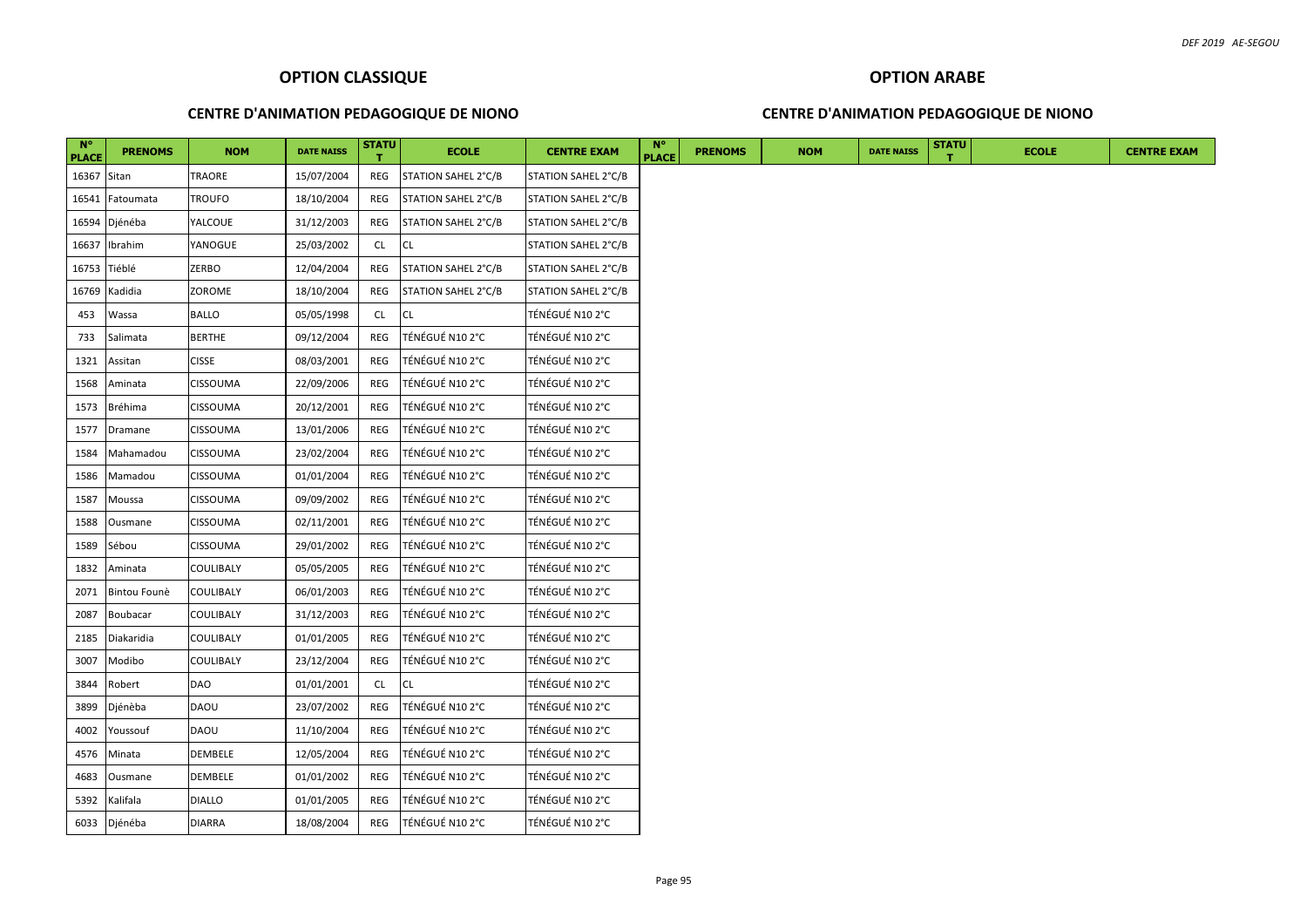### **CENTRE D'ANIMATION PEDAGOGIQUE DE NIONO**

### **CENTRE D'ANIMATION PEDAGOGIQUE DE NIONO**

| $N^{\circ}$<br><b>PLACE</b> | <b>PRENOMS</b> | <b>NOM</b>    | <b>DATE NAISS</b> | <b>STATU</b> | <b>ECOLE</b>        | <b>CENTRE EXAM</b>  | <b>N°</b><br><b>PLACE</b> | <b>PRENOMS</b> | <b>NOM</b> | <b>DATE NAISS</b> | <b>STATU</b> | <b>ECOLE</b> |
|-----------------------------|----------------|---------------|-------------------|--------------|---------------------|---------------------|---------------------------|----------------|------------|-------------------|--------------|--------------|
| 16367 Sitan                 |                | TRAORE        | 15/07/2004        | REG          | STATION SAHEL 2°C/B | STATION SAHEL 2°C/B |                           |                |            |                   |              |              |
| 16541                       | Fatoumata      | <b>TROUFO</b> | 18/10/2004        | REG          | STATION SAHEL 2°C/B | STATION SAHEL 2°C/B |                           |                |            |                   |              |              |
| 16594                       | Djénéba        | YALCOUE       | 31/12/2003        | REG          | STATION SAHEL 2°C/B | STATION SAHEL 2°C/B |                           |                |            |                   |              |              |
| 16637                       | Ibrahim        | YANOGUE       | 25/03/2002        | CL           | CL                  | STATION SAHEL 2°C/B |                           |                |            |                   |              |              |
| 16753                       | Tiéblé         | ZERBO         | 12/04/2004        | REG          | STATION SAHEL 2°C/B | STATION SAHEL 2°C/B |                           |                |            |                   |              |              |
| 16769                       | Kadidia        | ZOROME        | 18/10/2004        | REG          | STATION SAHEL 2°C/B | STATION SAHEL 2°C/B |                           |                |            |                   |              |              |
| 453                         | Wassa          | <b>BALLO</b>  | 05/05/1998        | CL           | <b>CL</b>           | TÉNÉGUÉ N10 2°C     |                           |                |            |                   |              |              |
| 733                         | Salimata       | <b>BERTHE</b> | 09/12/2004        | REG          | TÉNÉGUÉ N102°C      | TÉNÉGUÉ N10 2°C     |                           |                |            |                   |              |              |
| 1321                        | Assitan        | <b>CISSE</b>  | 08/03/2001        | REG          | TÉNÉGUÉ N10 2°C     | TÉNÉGUÉ N10 2°C     |                           |                |            |                   |              |              |
| 1568                        | Aminata        | CISSOUMA      | 22/09/2006        | REG          | TÉNÉGUÉ N10 2°C     | TÉNÉGUÉ N10 2°C     |                           |                |            |                   |              |              |
| 1573                        | Bréhima        | CISSOUMA      | 20/12/2001        | REG          | TÉNÉGUÉ N10 2°C     | TÉNÉGUÉ N10 2°C     |                           |                |            |                   |              |              |
| 1577                        | Dramane        | CISSOUMA      | 13/01/2006        | REG          | TÉNÉGUÉ N10 2°C     | TÉNÉGUÉ N10 2°C     |                           |                |            |                   |              |              |
| 1584                        | Mahamadou      | CISSOUMA      | 23/02/2004        | REG          | TÉNÉGUÉ N10 2°C     | TÉNÉGUÉ N10 2°C     |                           |                |            |                   |              |              |
| 1586                        | Mamadou        | CISSOUMA      | 01/01/2004        | REG          | TÉNÉGUÉ N10 2°C     | TÉNÉGUÉ N10 2°C     |                           |                |            |                   |              |              |
| 1587                        | Moussa         | CISSOUMA      | 09/09/2002        | <b>REG</b>   | TÉNÉGUÉ N10 2°C     | TÉNÉGUÉ N10 2°C     |                           |                |            |                   |              |              |
| 1588                        | Ousmane        | CISSOUMA      | 02/11/2001        | REG          | TÉNÉGUÉ N10 2°C     | TÉNÉGUÉ N10 2°C     |                           |                |            |                   |              |              |
| 1589                        | Sébou          | CISSOUMA      | 29/01/2002        | REG          | TÉNÉGUÉ N10 2°C     | TÉNÉGUÉ N10 2°C     |                           |                |            |                   |              |              |
| 1832                        | Aminata        | COULIBALY     | 05/05/2005        | REG          | TÉNÉGUÉ N10 2°C     | TÉNÉGUÉ N10 2°C     |                           |                |            |                   |              |              |
| 2071                        | Bintou Founè   | COULIBALY     | 06/01/2003        | REG          | TÉNÉGUÉ N102°C      | TÉNÉGUÉ N10 2°C     |                           |                |            |                   |              |              |
| 2087                        | Boubacar       | COULIBALY     | 31/12/2003        | <b>REG</b>   | TÉNÉGUÉ N102°C      | TÉNÉGUÉ N10 2°C     |                           |                |            |                   |              |              |
| 2185                        | Diakaridia     | COULIBALY     | 01/01/2005        | REG          | TÉNÉGUÉ N10 2°C     | TÉNÉGUÉ N10 2°C     |                           |                |            |                   |              |              |
| 3007                        | Modibo         | COULIBALY     | 23/12/2004        | REG          | TÉNÉGUÉ N102°C      | TÉNÉGUÉ N10 2°C     |                           |                |            |                   |              |              |
| 3844                        | Robert         | DAO           | 01/01/2001        | CL           | CL                  | TÉNÉGUÉ N10 2°C     |                           |                |            |                   |              |              |
| 3899                        | Djénèba        | <b>DAOU</b>   | 23/07/2002        | <b>REG</b>   | TÉNÉGUÉ N102°C      | TÉNÉGUÉ N10 2°C     |                           |                |            |                   |              |              |
| 4002                        | Youssouf       | <b>DAOU</b>   | 11/10/2004        | REG          | TÉNÉGUÉ N10 2°C     | TÉNÉGUÉ N10 2°C     |                           |                |            |                   |              |              |
| 4576                        | Minata         | DEMBELE       | 12/05/2004        | REG          | TÉNÉGUÉ N10 2°C     | TÉNÉGUÉ N10 2°C     |                           |                |            |                   |              |              |
| 4683                        | Ousmane        | DEMBELE       | 01/01/2002        | REG          | TÉNÉGUÉ N102°C      | TÉNÉGUÉ N10 2°C     |                           |                |            |                   |              |              |
| 5392                        | Kalifala       | <b>DIALLO</b> | 01/01/2005        | <b>REG</b>   | TÉNÉGUÉ N10 2°C     | TÉNÉGUÉ N10 2°C     |                           |                |            |                   |              |              |
|                             | 6033 Djénéba   | <b>DIARRA</b> | 18/08/2004        | REG          | TÉNÉGUÉ N10 2°C     | TÉNÉGUÉ N10 2°C     |                           |                |            |                   |              |              |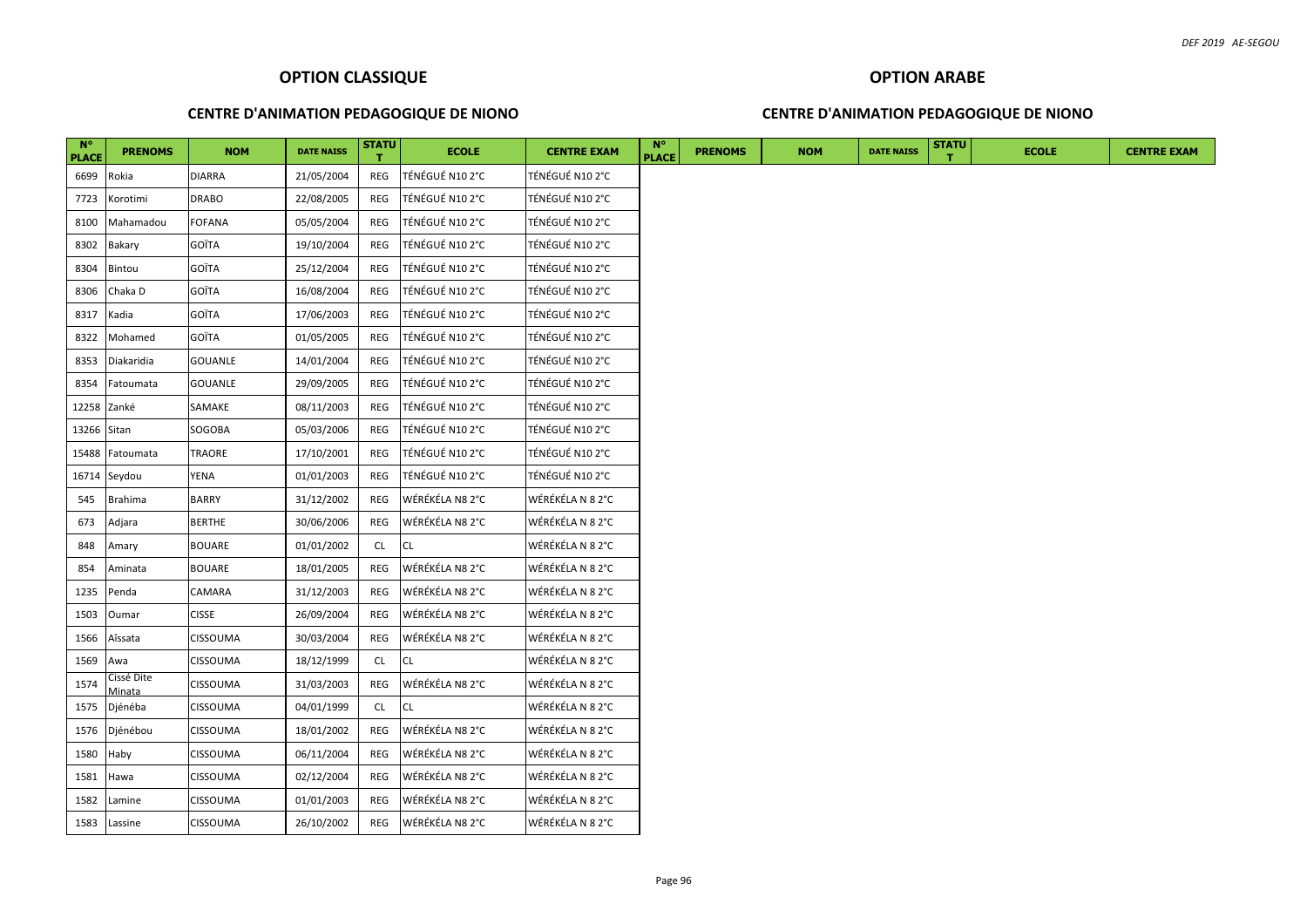### **CENTRE D'ANIMATION PEDAGOGIQUE DE NIONO**

### **CENTRE D'ANIMATION PEDAGOGIQUE DE NIONO**

| $N^{\circ}$<br><b>PLACE</b> | <b>PRENOMS</b>       | <b>NOM</b>      | <b>DATE NAISS</b> | <b>STATU</b> | <b>ECOLE</b>    | <b>CENTRE EXAM</b> | $N^{\circ}$<br><b>PLACE</b> | <b>PRENOMS</b> | <b>NOM</b> | <b>DATE NAISS</b> | <b>STATU</b> | <b>ECOLE</b> | <b>CENTRE EXAM</b> |
|-----------------------------|----------------------|-----------------|-------------------|--------------|-----------------|--------------------|-----------------------------|----------------|------------|-------------------|--------------|--------------|--------------------|
| 6699                        | Rokia                | <b>DIARRA</b>   | 21/05/2004        | REG          | TÉNÉGUÉ N10 2°C | TÉNÉGUÉ N10 2°C    |                             |                |            |                   |              |              |                    |
| 7723                        | Korotimi             | <b>DRABO</b>    | 22/08/2005        | REG          | TÉNÉGUÉ N10 2°C | TÉNÉGUÉ N10 2°C    |                             |                |            |                   |              |              |                    |
| 8100                        | Mahamadou            | <b>FOFANA</b>   | 05/05/2004        | REG          | TÉNÉGUÉ N10 2°C | TÉNÉGUÉ N10 2°C    |                             |                |            |                   |              |              |                    |
| 8302                        | Bakary               | <b>GOÏTA</b>    | 19/10/2004        | REG          | TÉNÉGUÉ N10 2°C | TÉNÉGUÉ N10 2°C    |                             |                |            |                   |              |              |                    |
| 8304                        | Bintou               | <b>GOÏTA</b>    | 25/12/2004        | REG          | TÉNÉGUÉ N10 2°C | TÉNÉGUÉ N10 2°C    |                             |                |            |                   |              |              |                    |
| 8306                        | Chaka D              | <b>GOÏTA</b>    | 16/08/2004        | REG          | TÉNÉGUÉ N10 2°C | TÉNÉGUÉ N10 2°C    |                             |                |            |                   |              |              |                    |
| 8317                        | Kadia                | <b>GOÏTA</b>    | 17/06/2003        | REG          | TÉNÉGUÉ N10 2°C | TÉNÉGUÉ N10 2°C    |                             |                |            |                   |              |              |                    |
| 8322                        | Mohamed              | <b>GOÏTA</b>    | 01/05/2005        | REG          | TÉNÉGUÉ N102°C  | TÉNÉGUÉ N10 2°C    |                             |                |            |                   |              |              |                    |
| 8353                        | Diakaridia           | GOUANLE         | 14/01/2004        | REG          | TÉNÉGUÉ N10 2°C | TÉNÉGUÉ N10 2°C    |                             |                |            |                   |              |              |                    |
| 8354                        | Fatoumata            | <b>GOUANLE</b>  | 29/09/2005        | REG          | TÉNÉGUÉ N10 2°C | TÉNÉGUÉ N10 2°C    |                             |                |            |                   |              |              |                    |
| 12258                       | Zanké                | SAMAKE          | 08/11/2003        | REG          | TÉNÉGUÉ N10 2°C | TÉNÉGUÉ N10 2°C    |                             |                |            |                   |              |              |                    |
| 13266 Sitan                 |                      | SOGOBA          | 05/03/2006        | REG          | TÉNÉGUÉ N10 2°C | TÉNÉGUÉ N10 2°C    |                             |                |            |                   |              |              |                    |
| 15488                       | Fatoumata            | TRAORE          | 17/10/2001        | REG          | TÉNÉGUÉ N10 2°C | TÉNÉGUÉ N10 2°C    |                             |                |            |                   |              |              |                    |
|                             | 16714 Seydou         | YENA            | 01/01/2003        | REG          | TÉNÉGUÉ N10 2°C | TÉNÉGUÉ N10 2°C    |                             |                |            |                   |              |              |                    |
| 545                         | <b>Brahima</b>       | <b>BARRY</b>    | 31/12/2002        | REG          | WÉRÉKÉLA N8 2°C | WÉRÉKÉLA N 8 2°C   |                             |                |            |                   |              |              |                    |
| 673                         | Adjara               | <b>BERTHE</b>   | 30/06/2006        | REG          | WÉRÉKÉLA N8 2°C | WÉRÉKÉLA N 8 2°C   |                             |                |            |                   |              |              |                    |
| 848                         | Amary                | <b>BOUARE</b>   | 01/01/2002        | CL           | <b>CL</b>       | WÉRÉKÉLA N 8 2°C   |                             |                |            |                   |              |              |                    |
| 854                         | Aminata              | <b>BOUARE</b>   | 18/01/2005        | REG          | WÉRÉKÉLA N8 2°C | WÉRÉKÉLA N 8 2°C   |                             |                |            |                   |              |              |                    |
| 1235                        | Penda                | CAMARA          | 31/12/2003        | REG          | WÉRÉKÉLA N8 2°C | WÉRÉKÉLA N 8 2°C   |                             |                |            |                   |              |              |                    |
| 1503                        | Oumar                | <b>CISSE</b>    | 26/09/2004        | REG          | WÉRÉKÉLA N8 2°C | WÉRÉKÉLA N 8 2°C   |                             |                |            |                   |              |              |                    |
| 1566                        | Aîssata              | CISSOUMA        | 30/03/2004        | REG          | WÉRÉKÉLA N8 2°C | WÉRÉKÉLA N 8 2°C   |                             |                |            |                   |              |              |                    |
| 1569                        | Awa                  | CISSOUMA        | 18/12/1999        | CL           | <b>CL</b>       | WÉRÉKÉLA N 8 2°C   |                             |                |            |                   |              |              |                    |
| 1574                        | Cissé Dite<br>Minata | CISSOUMA        | 31/03/2003        | REG          | WÉRÉKÉLA N8 2°C | WÉRÉKÉLA N 8 2°C   |                             |                |            |                   |              |              |                    |
| 1575                        | Djénéba              | CISSOUMA        | 04/01/1999        | CL           | <b>CL</b>       | WÉRÉKÉLA N 8 2°C   |                             |                |            |                   |              |              |                    |
| 1576                        | Djénébou             | CISSOUMA        | 18/01/2002        | REG          | WÉRÉKÉLA N8 2°C | WÉRÉKÉLA N 8 2°C   |                             |                |            |                   |              |              |                    |
| 1580                        | Haby                 | CISSOUMA        | 06/11/2004        | REG          | WÉRÉKÉLA N8 2°C | WÉRÉKÉLA N 8 2°C   |                             |                |            |                   |              |              |                    |
| 1581                        | Hawa                 | CISSOUMA        | 02/12/2004        | REG          | WÉRÉKÉLA N8 2°C | WÉRÉKÉLA N 8 2°C   |                             |                |            |                   |              |              |                    |
| 1582                        | Lamine               | CISSOUMA        | 01/01/2003        | REG          | WÉRÉKÉLA N8 2°C | WÉRÉKÉLA N 8 2°C   |                             |                |            |                   |              |              |                    |
|                             | 1583 Lassine         | <b>CISSOUMA</b> | 26/10/2002        | REG          | WÉRÉKÉLA N8 2°C | WÉRÉKÉLA N 8 2°C   |                             |                |            |                   |              |              |                    |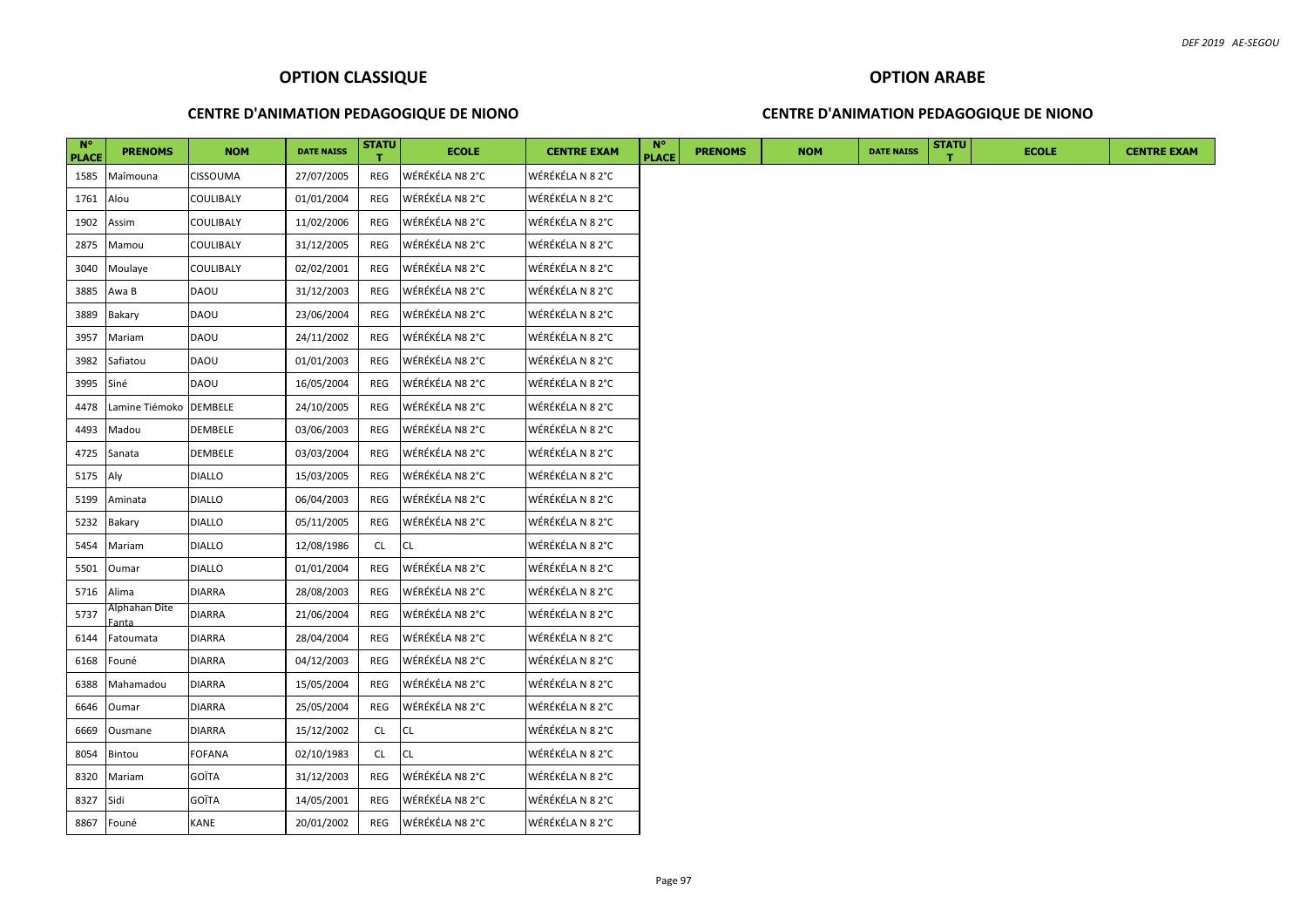### **CENTRE D'ANIMATION PEDAGOGIQUE DE NIONO**

### **CENTRE D'ANIMATION PEDAGOGIQUE DE NIONO**

| <b>N°</b><br><b>PLACE</b> | <b>PRENOMS</b>         | <b>NOM</b>    | <b>DATE NAISS</b> | <b>STATU</b> | <b>ECOLE</b>    | <b>CENTRE EXAM</b> | <b>N</b> °<br><b>PLACE</b> | <b>PRENOMS</b> | <b>NOM</b> | <b>DATE NAISS</b> | <b>STATU</b> | <b>ECOLE</b> |  |  |  | <b>CENTRE EXAM</b> |
|---------------------------|------------------------|---------------|-------------------|--------------|-----------------|--------------------|----------------------------|----------------|------------|-------------------|--------------|--------------|--|--|--|--------------------|
| 1585                      | Maîmouna               | CISSOUMA      | 27/07/2005        | REG          | WÉRÉKÉLA N8 2°C | WÉRÉKÉLA N 8 2°C   |                            |                |            |                   |              |              |  |  |  |                    |
| 1761                      | Alou                   | COULIBALY     | 01/01/2004        | REG          | WÉRÉKÉLA N8 2°C | WÉRÉKÉLA N 8 2°C   |                            |                |            |                   |              |              |  |  |  |                    |
| 1902                      | Assim                  | COULIBALY     | 11/02/2006        | REG          | WÉRÉKÉLA N8 2°C | WÉRÉKÉLA N 8 2°C   |                            |                |            |                   |              |              |  |  |  |                    |
| 2875                      | Mamou                  | COULIBALY     | 31/12/2005        | REG          | WÉRÉKÉLA N8 2°C | WÉRÉKÉLA N 8 2°C   |                            |                |            |                   |              |              |  |  |  |                    |
| 3040                      | Moulaye                | COULIBALY     | 02/02/2001        | REG          | WÉRÉKÉLA N8 2°C | WÉRÉKÉLA N 8 2°C   |                            |                |            |                   |              |              |  |  |  |                    |
| 3885                      | Awa B                  | DAOU          | 31/12/2003        | REG          | WÉRÉKÉLA N8 2°C | WÉRÉKÉLA N 8 2°C   |                            |                |            |                   |              |              |  |  |  |                    |
| 3889                      | <b>Bakary</b>          | <b>DAOU</b>   | 23/06/2004        | REG          | WÉRÉKÉLA N8 2°C | WÉRÉKÉLA N 8 2°C   |                            |                |            |                   |              |              |  |  |  |                    |
| 3957                      | Mariam                 | <b>DAOU</b>   | 24/11/2002        | REG          | WÉRÉKÉLA N8 2°C | WÉRÉKÉLA N 8 2°C   |                            |                |            |                   |              |              |  |  |  |                    |
| 3982                      | Safiatou               | DAOU          | 01/01/2003        | REG          | WÉRÉKÉLA N8 2°C | WÉRÉKÉLA N 8 2°C   |                            |                |            |                   |              |              |  |  |  |                    |
| 3995                      | Siné                   | DAOU          | 16/05/2004        | REG          | WÉRÉKÉLA N8 2°C | WÉRÉKÉLA N 8 2°C   |                            |                |            |                   |              |              |  |  |  |                    |
| 4478                      | Lamine Tiémoko DEMBELE |               | 24/10/2005        | REG          | WÉRÉKÉLA N8 2°C | WÉRÉKÉLA N 8 2°C   |                            |                |            |                   |              |              |  |  |  |                    |
| 4493                      | Madou                  | DEMBELE       | 03/06/2003        | REG          | WÉRÉKÉLA N8 2°C | WÉRÉKÉLA N 8 2°C   |                            |                |            |                   |              |              |  |  |  |                    |
| 4725                      | Sanata                 | DEMBELE       | 03/03/2004        | REG          | WÉRÉKÉLA N8 2°C | WÉRÉKÉLA N 8 2°C   |                            |                |            |                   |              |              |  |  |  |                    |
| 5175                      | Aly                    | <b>DIALLO</b> | 15/03/2005        | REG          | WÉRÉKÉLA N8 2°C | WÉRÉKÉLA N 8 2°C   |                            |                |            |                   |              |              |  |  |  |                    |
| 5199                      | Aminata                | <b>DIALLO</b> | 06/04/2003        | REG          | WÉRÉKÉLA N8 2°C | WÉRÉKÉLA N 8 2°C   |                            |                |            |                   |              |              |  |  |  |                    |
| 5232                      | Bakary                 | <b>DIALLO</b> | 05/11/2005        | REG          | WÉRÉKÉLA N8 2°C | WÉRÉKÉLA N 8 2°C   |                            |                |            |                   |              |              |  |  |  |                    |
| 5454                      | Mariam                 | <b>DIALLO</b> | 12/08/1986        | <b>CL</b>    | <b>CL</b>       | WÉRÉKÉLA N 8 2°C   |                            |                |            |                   |              |              |  |  |  |                    |
| 5501                      | Oumar                  | <b>DIALLO</b> | 01/01/2004        | REG          | WÉRÉKÉLA N8 2°C | WÉRÉKÉLA N 8 2°C   |                            |                |            |                   |              |              |  |  |  |                    |
| 5716                      | Alima                  | <b>DIARRA</b> | 28/08/2003        | REG          | WÉRÉKÉLA N8 2°C | WÉRÉKÉLA N 8 2°C   |                            |                |            |                   |              |              |  |  |  |                    |
| 5737                      | Alphahan Dite<br>Fanta | <b>DIARRA</b> | 21/06/2004        | REG          | WÉRÉKÉLA N8 2°C | WÉRÉKÉLA N 8 2°C   |                            |                |            |                   |              |              |  |  |  |                    |
| 6144                      | Fatoumata              | <b>DIARRA</b> | 28/04/2004        | REG          | WÉRÉKÉLA N8 2°C | WÉRÉKÉLA N 8 2°C   |                            |                |            |                   |              |              |  |  |  |                    |
| 6168                      | Founé                  | <b>DIARRA</b> | 04/12/2003        | REG          | WÉRÉKÉLA N8 2°C | WÉRÉKÉLA N 8 2°C   |                            |                |            |                   |              |              |  |  |  |                    |
| 6388                      | Mahamadou              | <b>DIARRA</b> | 15/05/2004        | REG          | WÉRÉKÉLA N8 2°C | WÉRÉKÉLA N 8 2°C   |                            |                |            |                   |              |              |  |  |  |                    |
| 6646                      | Oumar                  | <b>DIARRA</b> | 25/05/2004        | REG          | WÉRÉKÉLA N8 2°C | WÉRÉKÉLA N 8 2°C   |                            |                |            |                   |              |              |  |  |  |                    |
| 6669                      | Ousmane                | <b>DIARRA</b> | 15/12/2002        | CL           | <b>CL</b>       | WÉRÉKÉLA N 8 2°C   |                            |                |            |                   |              |              |  |  |  |                    |
| 8054                      | Bintou                 | <b>FOFANA</b> | 02/10/1983        | CL           | <b>CL</b>       | WÉRÉKÉLA N 8 2°C   |                            |                |            |                   |              |              |  |  |  |                    |
| 8320                      | Mariam                 | <b>GOÏTA</b>  | 31/12/2003        | REG          | WÉRÉKÉLA N8 2°C | WÉRÉKÉLA N 8 2°C   |                            |                |            |                   |              |              |  |  |  |                    |
| 8327                      | Sidi                   | <b>GOÏTA</b>  | 14/05/2001        | REG          | WÉRÉKÉLA N8 2°C | WÉRÉKÉLA N 8 2°C   |                            |                |            |                   |              |              |  |  |  |                    |
| 8867 Founé                |                        | <b>KANE</b>   | 20/01/2002        | REG          | WÉRÉKÉLA N8 2°C | WÉRÉKÉLA N 8 2°C   |                            |                |            |                   |              |              |  |  |  |                    |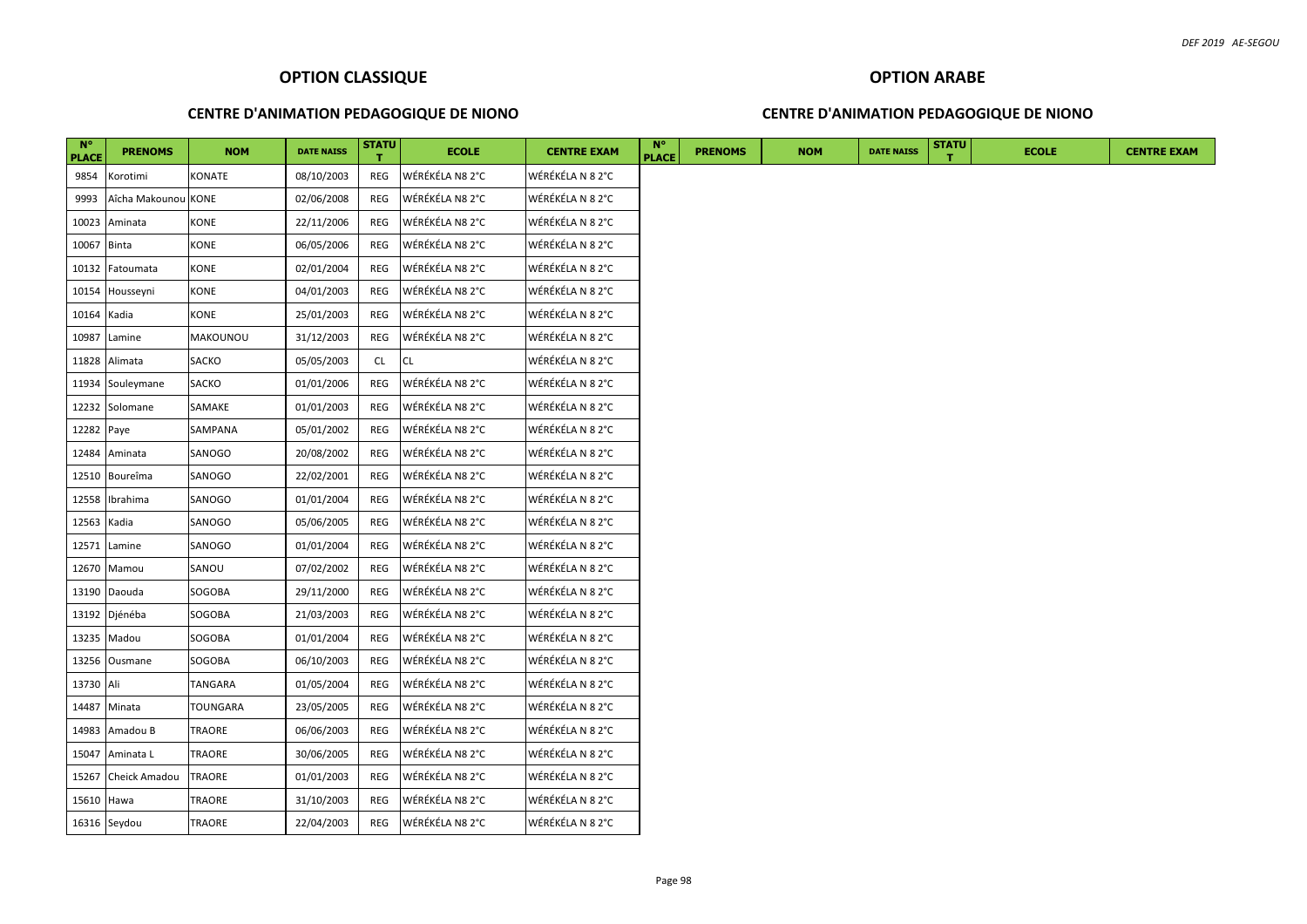### **CENTRE D'ANIMATION PEDAGOGIQUE DE NIONO**

### **CENTRE D'ANIMATION PEDAGOGIQUE DE NIONO**

| $N^{\circ}$<br><b>PLACE</b> | <b>PRENOMS</b>      | <b>NOM</b>    | <b>DATE NAISS</b> | <b>STATU</b> | <b>ECOLE</b>    | <b>CENTRE EXAM</b> | $N^{\circ}$<br><b>PLACE</b> | <b>PRENOMS</b> | <b>NOM</b> | <b>DATE NAISS</b> | <b>STATU</b> | <b>ECOLE</b> | <b>CENTRE EXAM</b> |
|-----------------------------|---------------------|---------------|-------------------|--------------|-----------------|--------------------|-----------------------------|----------------|------------|-------------------|--------------|--------------|--------------------|
| 9854                        | Korotimi            | KONATE        | 08/10/2003        | REG          | WÉRÉKÉLA N8 2°C | WÉRÉKÉLA N 8 2°C   |                             |                |            |                   |              |              |                    |
| 9993                        | Aîcha Makounou KONE |               | 02/06/2008        | REG          | WÉRÉKÉLA N8 2°C | WÉRÉKÉLA N 8 2°C   |                             |                |            |                   |              |              |                    |
| 10023                       | Aminata             | <b>KONE</b>   | 22/11/2006        | REG          | WÉRÉKÉLA N8 2°C | WÉRÉKÉLA N 8 2°C   |                             |                |            |                   |              |              |                    |
| 10067 Binta                 |                     | <b>KONE</b>   | 06/05/2006        | REG          | WÉRÉKÉLA N8 2°C | WÉRÉKÉLA N 8 2°C   |                             |                |            |                   |              |              |                    |
| 10132                       | Fatoumata           | KONE          | 02/01/2004        | REG          | WÉRÉKÉLA N8 2°C | WÉRÉKÉLA N 8 2°C   |                             |                |            |                   |              |              |                    |
| 10154                       | Housseyni           | KONE          | 04/01/2003        | REG          | WÉRÉKÉLA N8 2°C | WÉRÉKÉLA N 8 2°C   |                             |                |            |                   |              |              |                    |
| 10164 Kadia                 |                     | KONE          | 25/01/2003        | REG          | WÉRÉKÉLA N8 2°C | WÉRÉKÉLA N 8 2°C   |                             |                |            |                   |              |              |                    |
| 10987                       | Lamine              | MAKOUNOU      | 31/12/2003        | REG          | WÉRÉKÉLA N8 2°C | WÉRÉKÉLA N 8 2°C   |                             |                |            |                   |              |              |                    |
| 11828                       | Alimata             | <b>SACKO</b>  | 05/05/2003        | CL           | <b>CL</b>       | WÉRÉKÉLA N 8 2°C   |                             |                |            |                   |              |              |                    |
| 11934                       | Souleymane          | SACKO         | 01/01/2006        | REG          | WÉRÉKÉLA N8 2°C | WÉRÉKÉLA N 8 2°C   |                             |                |            |                   |              |              |                    |
| 12232                       | Solomane            | SAMAKE        | 01/01/2003        | REG          | WÉRÉKÉLA N8 2°C | WÉRÉKÉLA N 8 2°C   |                             |                |            |                   |              |              |                    |
| 12282 Paye                  |                     | SAMPANA       | 05/01/2002        | REG          | WÉRÉKÉLA N8 2°C | WÉRÉKÉLA N 8 2°C   |                             |                |            |                   |              |              |                    |
| 12484                       | Aminata             | SANOGO        | 20/08/2002        | REG          | WÉRÉKÉLA N8 2°C | WÉRÉKÉLA N 8 2°C   |                             |                |            |                   |              |              |                    |
| 12510                       | Boureîma            | SANOGO        | 22/02/2001        | REG          | WÉRÉKÉLA N8 2°C | WÉRÉKÉLA N 8 2°C   |                             |                |            |                   |              |              |                    |
| 12558                       | Ibrahima            | SANOGO        | 01/01/2004        | REG          | WÉRÉKÉLA N8 2°C | WÉRÉKÉLA N 8 2°C   |                             |                |            |                   |              |              |                    |
| 12563 Kadia                 |                     | SANOGO        | 05/06/2005        | <b>REG</b>   | WÉRÉKÉLA N8 2°C | WÉRÉKÉLA N 8 2°C   |                             |                |            |                   |              |              |                    |
| 12571                       | Lamine              | SANOGO        | 01/01/2004        | REG          | WÉRÉKÉLA N8 2°C | WÉRÉKÉLA N 8 2°C   |                             |                |            |                   |              |              |                    |
|                             | 12670 Mamou         | SANOU         | 07/02/2002        | <b>REG</b>   | WÉRÉKÉLA N8 2°C | WÉRÉKÉLA N 8 2°C   |                             |                |            |                   |              |              |                    |
|                             | 13190 Daouda        | SOGOBA        | 29/11/2000        | REG          | WÉRÉKÉLA N8 2°C | WÉRÉKÉLA N 8 2°C   |                             |                |            |                   |              |              |                    |
|                             | 13192 Djénéba       | SOGOBA        | 21/03/2003        | <b>REG</b>   | WÉRÉKÉLA N8 2°C | WÉRÉKÉLA N 8 2°C   |                             |                |            |                   |              |              |                    |
|                             | 13235 Madou         | SOGOBA        | 01/01/2004        | REG          | WÉRÉKÉLA N8 2°C | WÉRÉKÉLA N 8 2°C   |                             |                |            |                   |              |              |                    |
| 13256                       | Ousmane             | SOGOBA        | 06/10/2003        | REG          | WÉRÉKÉLA N8 2°C | WÉRÉKÉLA N 8 2°C   |                             |                |            |                   |              |              |                    |
| 13730 Ali                   |                     | TANGARA       | 01/05/2004        | REG          | WÉRÉKÉLA N8 2°C | WÉRÉKÉLA N 8 2°C   |                             |                |            |                   |              |              |                    |
|                             | 14487 Minata        | TOUNGARA      | 23/05/2005        | REG          | WÉRÉKÉLA N8 2°C | WÉRÉKÉLA N 8 2°C   |                             |                |            |                   |              |              |                    |
|                             | 14983 Amadou B      | TRAORE        | 06/06/2003        | REG          | WÉRÉKÉLA N8 2°C | WÉRÉKÉLA N 8 2°C   |                             |                |            |                   |              |              |                    |
| 15047                       | Aminata L           | TRAORE        | 30/06/2005        | REG          | WÉRÉKÉLA N8 2°C | WÉRÉKÉLA N 8 2°C   |                             |                |            |                   |              |              |                    |
| 15267                       | Cheick Amadou       | <b>TRAORE</b> | 01/01/2003        | REG          | WÉRÉKÉLA N8 2°C | WÉRÉKÉLA N 8 2°C   |                             |                |            |                   |              |              |                    |
| 15610 Hawa                  |                     | TRAORE        | 31/10/2003        | REG          | WÉRÉKÉLA N8 2°C | WÉRÉKÉLA N 8 2°C   |                             |                |            |                   |              |              |                    |
|                             | 16316 Seydou        | TRAORE        | 22/04/2003        | REG          | WÉRÉKÉLA N8 2°C | WÉRÉKÉLA N 8 2°C   |                             |                |            |                   |              |              |                    |